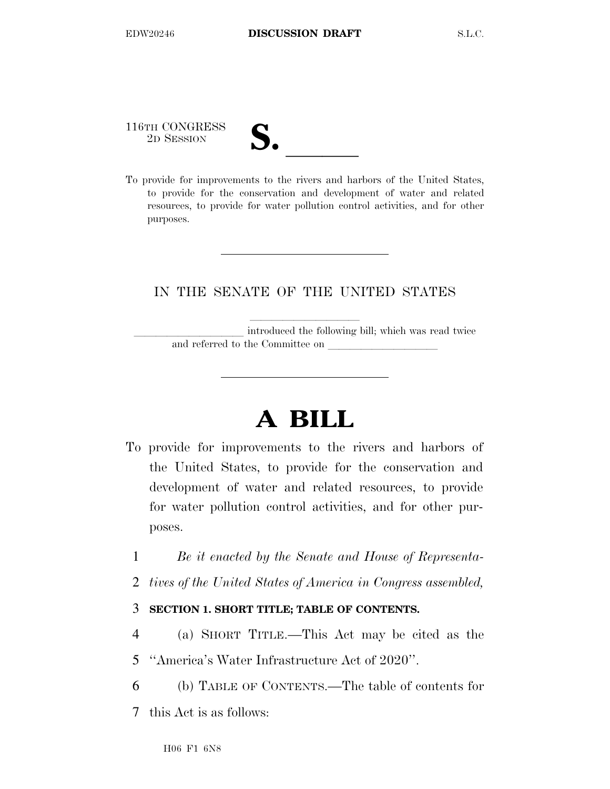116TH CONGRESS

| $\blacksquare$<br>$\overline{\mathsf{v}}$ |  |
|-------------------------------------------|--|
|                                           |  |

116TH CONGRESS<br>
2D SESSION<br>
To provide for improvements to the rivers and harbors of the United States, to provide for the conservation and development of water and related resources, to provide for water pollution control activities, and for other purposes.

# IN THE SENATE OF THE UNITED STATES

introduced the following bill; which was read twice and referred to the Committee on

# **A BILL**

- To provide for improvements to the rivers and harbors of the United States, to provide for the conservation and development of water and related resources, to provide for water pollution control activities, and for other purposes.
	- 1 *Be it enacted by the Senate and House of Representa-*
	- 2 *tives of the United States of America in Congress assembled,*

## 3 **SECTION 1. SHORT TITLE; TABLE OF CONTENTS.**

- 4 (a) SHORT TITLE.—This Act may be cited as the
- 5 ''America's Water Infrastructure Act of 2020''.
- 6 (b) TABLE OF CONTENTS.—The table of contents for
- 7 this Act is as follows: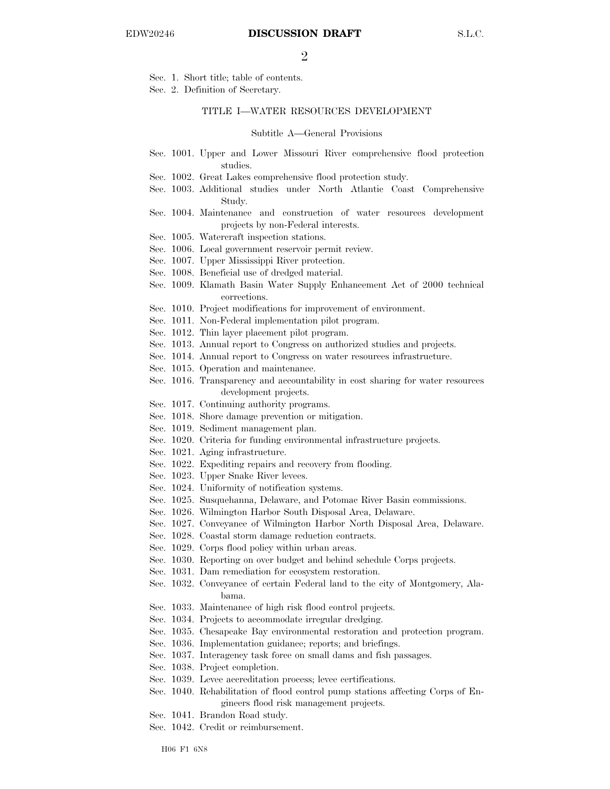$\mathcal{D}_{\mathcal{L}}$ 

Sec. 1. Short title; table of contents.

Sec. 2. Definition of Secretary.

### TITLE I—WATER RESOURCES DEVELOPMENT

#### Subtitle A—General Provisions

- Sec. 1001. Upper and Lower Missouri River comprehensive flood protection studies.
- Sec. 1002. Great Lakes comprehensive flood protection study.
- Sec. 1003. Additional studies under North Atlantic Coast Comprehensive Study.
- Sec. 1004. Maintenance and construction of water resources development projects by non-Federal interests.
- Sec. 1005. Watercraft inspection stations.
- Sec. 1006. Local government reservoir permit review.
- Sec. 1007. Upper Mississippi River protection.
- Sec. 1008. Beneficial use of dredged material.
- Sec. 1009. Klamath Basin Water Supply Enhancement Act of 2000 technical corrections.
- Sec. 1010. Project modifications for improvement of environment.
- Sec. 1011. Non-Federal implementation pilot program.
- Sec. 1012. Thin layer placement pilot program.
- Sec. 1013. Annual report to Congress on authorized studies and projects.
- Sec. 1014. Annual report to Congress on water resources infrastructure.
- Sec. 1015. Operation and maintenance.
- Sec. 1016. Transparency and accountability in cost sharing for water resources development projects.
- Sec. 1017. Continuing authority programs.
- Sec. 1018. Shore damage prevention or mitigation.
- Sec. 1019. Sediment management plan.
- Sec. 1020. Criteria for funding environmental infrastructure projects.
- Sec. 1021. Aging infrastructure.
- Sec. 1022. Expediting repairs and recovery from flooding.
- Sec. 1023. Upper Snake River levees.
- Sec. 1024. Uniformity of notification systems.
- Sec. 1025. Susquehanna, Delaware, and Potomac River Basin commissions.
- Sec. 1026. Wilmington Harbor South Disposal Area, Delaware.
- Sec. 1027. Conveyance of Wilmington Harbor North Disposal Area, Delaware.
- Sec. 1028. Coastal storm damage reduction contracts.
- Sec. 1029. Corps flood policy within urban areas.
- Sec. 1030. Reporting on over budget and behind schedule Corps projects.
- Sec. 1031. Dam remediation for ecosystem restoration.
- Sec. 1032. Conveyance of certain Federal land to the city of Montgomery, Alabama.
- Sec. 1033. Maintenance of high risk flood control projects.
- Sec. 1034. Projects to accommodate irregular dredging.
- Sec. 1035. Chesapeake Bay environmental restoration and protection program.
- Sec. 1036. Implementation guidance; reports; and briefings.
- Sec. 1037. Interagency task force on small dams and fish passages.
- Sec. 1038. Project completion.
- Sec. 1039. Levee accreditation process; levee certifications.
- Sec. 1040. Rehabilitation of flood control pump stations affecting Corps of Engineers flood risk management projects.
- Sec. 1041. Brandon Road study.
- Sec. 1042. Credit or reimbursement.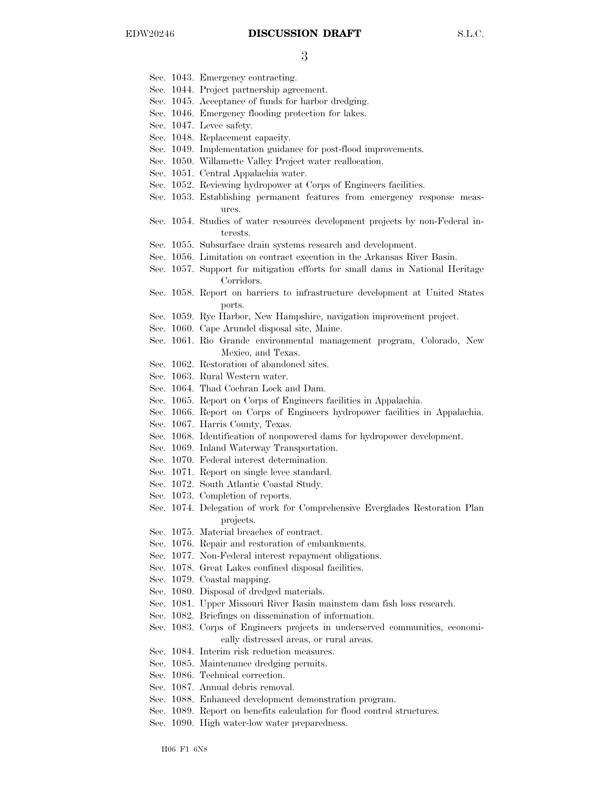- 3
- Sec. 1043. Emergency contracting.
- Sec. 1044. Project partnership agreement.
- Sec. 1045. Acceptance of funds for harbor dredging.
- Sec. 1046. Emergency flooding protection for lakes.
- Sec. 1047. Levee safety.
- Sec. 1048. Replacement capacity.
- Sec. 1049. Implementation guidance for post-flood improvements.
- Sec. 1050. Willamette Valley Project water reallocation.
- Sec. 1051. Central Appalachia water.
- Sec. 1052. Reviewing hydropower at Corps of Engineers facilities.
- Sec. 1053. Establishing permanent features from emergency response measures.
- Sec. 1054. Studies of water resources development projects by non-Federal interests.
- Sec. 1055. Subsurface drain systems research and development.
- Sec. 1056. Limitation on contract execution in the Arkansas River Basin.
- Sec. 1057. Support for mitigation efforts for small dams in National Heritage Corridors.
- Sec. 1058. Report on barriers to infrastructure development at United States ports.
- Sec. 1059. Rye Harbor, New Hampshire, navigation improvement project.
- Sec. 1060. Cape Arundel disposal site, Maine.
- Sec. 1061. Rio Grande environmental management program, Colorado, New Mexico, and Texas.
- Sec. 1062. Restoration of abandoned sites.
- Sec. 1063. Rural Western water.
- Sec. 1064. Thad Cochran Lock and Dam.
- Sec. 1065. Report on Corps of Engineers facilities in Appalachia.
- Sec. 1066. Report on Corps of Engineers hydropower facilities in Appalachia.
- Sec. 1067. Harris County, Texas.
- Sec. 1068. Identification of nonpowered dams for hydropower development.
- Sec. 1069. Inland Waterway Transportation.
- Sec. 1070. Federal interest determination.
- Sec. 1071. Report on single levee standard.
- Sec. 1072. South Atlantic Coastal Study.
- Sec. 1073. Completion of reports.
- Sec. 1074. Delegation of work for Comprehensive Everglades Restoration Plan projects.
- Sec. 1075. Material breaches of contract.
- Sec. 1076. Repair and restoration of embankments.
- Sec. 1077. Non-Federal interest repayment obligations.
- Sec. 1078. Great Lakes confined disposal facilities.
- Sec. 1079. Coastal mapping.
- Sec. 1080. Disposal of dredged materials.
- Sec. 1081. Upper Missouri River Basin mainstem dam fish loss research.
- Sec. 1082. Briefings on dissemination of information.
- Sec. 1083. Corps of Engineers projects in underserved communities, economically distressed areas, or rural areas.
- Sec. 1084. Interim risk reduction measures.
- Sec. 1085. Maintenance dredging permits.
- Sec. 1086. Technical correction.
- Sec. 1087. Annual debris removal.
- Sec. 1088. Enhanced development demonstration program.
- Sec. 1089. Report on benefits calculation for flood control structures.
- Sec. 1090. High water-low water preparedness.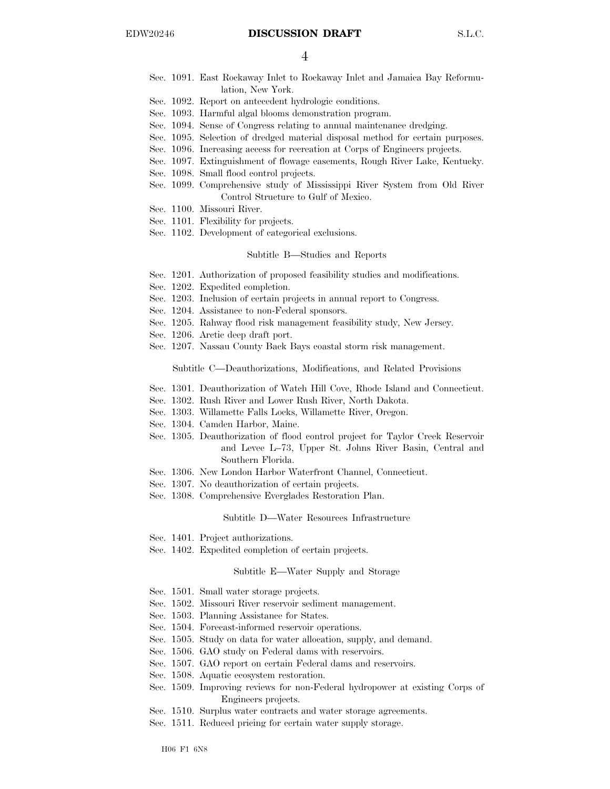- 4
- Sec. 1091. East Rockaway Inlet to Rockaway Inlet and Jamaica Bay Reformulation, New York.
- Sec. 1092. Report on antecedent hydrologic conditions.
- Sec. 1093. Harmful algal blooms demonstration program.
- Sec. 1094. Sense of Congress relating to annual maintenance dredging.
- Sec. 1095. Selection of dredged material disposal method for certain purposes.
- Sec. 1096. Increasing access for recreation at Corps of Engineers projects.
- Sec. 1097. Extinguishment of flowage easements, Rough River Lake, Kentucky.
- Sec. 1098. Small flood control projects.
- Sec. 1099. Comprehensive study of Mississippi River System from Old River Control Structure to Gulf of Mexico.
- Sec. 1100. Missouri River.
- Sec. 1101. Flexibility for projects.
- Sec. 1102. Development of categorical exclusions.

#### Subtitle B—Studies and Reports

- Sec. 1201. Authorization of proposed feasibility studies and modifications.
- Sec. 1202. Expedited completion.
- Sec. 1203. Inclusion of certain projects in annual report to Congress.
- Sec. 1204. Assistance to non-Federal sponsors.
- Sec. 1205. Rahway flood risk management feasibility study, New Jersey.
- Sec. 1206. Arctic deep draft port.
- Sec. 1207. Nassau County Back Bays coastal storm risk management.

Subtitle C—Deauthorizations, Modifications, and Related Provisions

- Sec. 1301. Deauthorization of Watch Hill Cove, Rhode Island and Connecticut.
- Sec. 1302. Rush River and Lower Rush River, North Dakota.
- Sec. 1303. Willamette Falls Locks, Willamette River, Oregon.
- Sec. 1304. Camden Harbor, Maine.
- Sec. 1305. Deauthorization of flood control project for Taylor Creek Reservoir and Levee L–73, Upper St. Johns River Basin, Central and Southern Florida.
- Sec. 1306. New London Harbor Waterfront Channel, Connecticut.
- Sec. 1307. No deauthorization of certain projects.
- Sec. 1308. Comprehensive Everglades Restoration Plan.

#### Subtitle D—Water Resources Infrastructure

- Sec. 1401. Project authorizations.
- Sec. 1402. Expedited completion of certain projects.

### Subtitle E—Water Supply and Storage

- Sec. 1501. Small water storage projects.
- Sec. 1502. Missouri River reservoir sediment management.
- Sec. 1503. Planning Assistance for States.
- Sec. 1504. Forecast-informed reservoir operations.
- Sec. 1505. Study on data for water allocation, supply, and demand.
- Sec. 1506. GAO study on Federal dams with reservoirs.
- Sec. 1507. GAO report on certain Federal dams and reservoirs.
- Sec. 1508. Aquatic ecosystem restoration.
- Sec. 1509. Improving reviews for non-Federal hydropower at existing Corps of Engineers projects.
- Sec. 1510. Surplus water contracts and water storage agreements.
- Sec. 1511. Reduced pricing for certain water supply storage.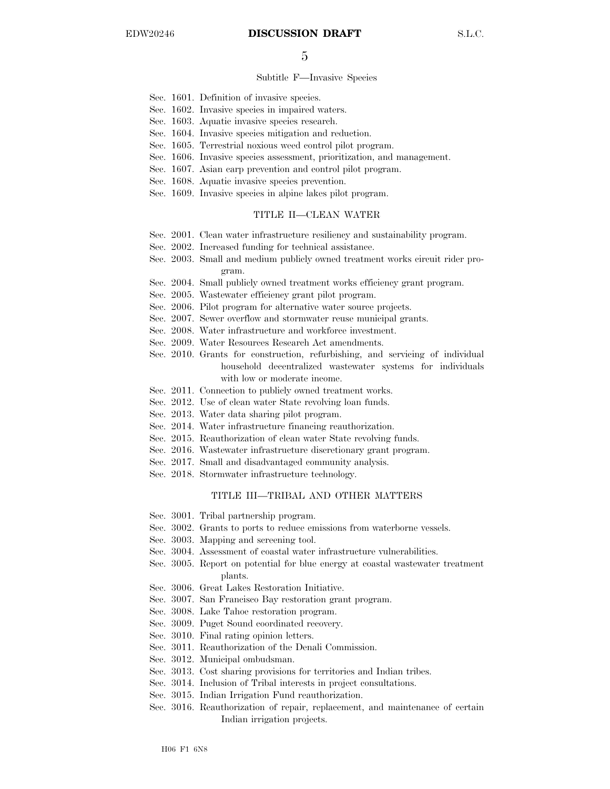#### Subtitle F—Invasive Species

- Sec. 1601. Definition of invasive species.
- Sec. 1602. Invasive species in impaired waters.
- Sec. 1603. Aquatic invasive species research.
- Sec. 1604. Invasive species mitigation and reduction.
- Sec. 1605. Terrestrial noxious weed control pilot program.
- Sec. 1606. Invasive species assessment, prioritization, and management.
- Sec. 1607. Asian carp prevention and control pilot program.
- Sec. 1608. Aquatic invasive species prevention.
- Sec. 1609. Invasive species in alpine lakes pilot program.

### TITLE II—CLEAN WATER

- Sec. 2001. Clean water infrastructure resiliency and sustainability program.
- Sec. 2002. Increased funding for technical assistance.
- Sec. 2003. Small and medium publicly owned treatment works circuit rider program.
- Sec. 2004. Small publicly owned treatment works efficiency grant program.
- Sec. 2005. Wastewater efficiency grant pilot program.
- Sec. 2006. Pilot program for alternative water source projects.
- Sec. 2007. Sewer overflow and stormwater reuse municipal grants.
- Sec. 2008. Water infrastructure and workforce investment.
- Sec. 2009. Water Resources Research Act amendments.
- Sec. 2010. Grants for construction, refurbishing, and servicing of individual household decentralized wastewater systems for individuals with low or moderate income.
- Sec. 2011. Connection to publicly owned treatment works.
- Sec. 2012. Use of clean water State revolving loan funds.
- Sec. 2013. Water data sharing pilot program.
- Sec. 2014. Water infrastructure financing reauthorization.
- Sec. 2015. Reauthorization of clean water State revolving funds.
- Sec. 2016. Wastewater infrastructure discretionary grant program.
- Sec. 2017. Small and disadvantaged community analysis.
- Sec. 2018. Stormwater infrastructure technology.

### TITLE III—TRIBAL AND OTHER MATTERS

- Sec. 3001. Tribal partnership program.
- Sec. 3002. Grants to ports to reduce emissions from waterborne vessels.
- Sec. 3003. Mapping and screening tool.
- Sec. 3004. Assessment of coastal water infrastructure vulnerabilities.
- Sec. 3005. Report on potential for blue energy at coastal wastewater treatment plants.
- Sec. 3006. Great Lakes Restoration Initiative.
- Sec. 3007. San Francisco Bay restoration grant program.
- Sec. 3008. Lake Tahoe restoration program.
- Sec. 3009. Puget Sound coordinated recovery.
- Sec. 3010. Final rating opinion letters.
- Sec. 3011. Reauthorization of the Denali Commission.
- Sec. 3012. Municipal ombudsman.
- Sec. 3013. Cost sharing provisions for territories and Indian tribes.
- Sec. 3014. Inclusion of Tribal interests in project consultations.
- Sec. 3015. Indian Irrigation Fund reauthorization.
- Sec. 3016. Reauthorization of repair, replacement, and maintenance of certain Indian irrigation projects.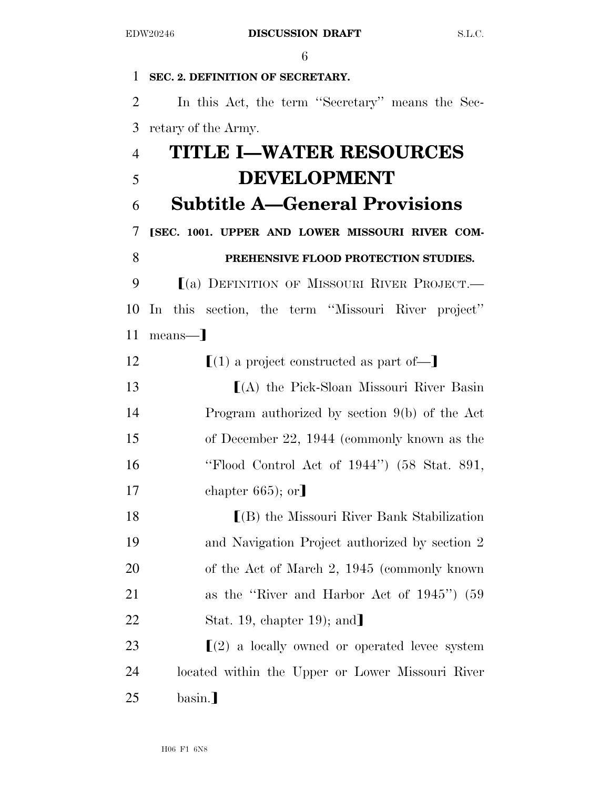# **SEC. 2. DEFINITION OF SECRETARY.**

 In this Act, the term ''Secretary'' means the Sec-retary of the Army.

# **TITLE I—WATER RESOURCES DEVELOPMENT Subtitle A—General Provisions**  ø**SEC. 1001. UPPER AND LOWER MISSOURI RIVER COM- PREHENSIVE FLOOD PROTECTION STUDIES. [(a) DEFINITION OF MISSOURI RIVER PROJECT.—**  In this section, the term ''Missouri River project'' 11 means— 12  $\left[ (1)$  a project constructed as part of  $\left[ -\right]$ 13 [(A) the Pick-Sloan Missouri River Basin Program authorized by section 9(b) of the Act of December 22, 1944 (commonly known as the ''Flood Control Act of 1944'') (58 Stat. 891, 17 chapter 665); or **I**(B) the Missouri River Bank Stabilization and Navigation Project authorized by section 2 of the Act of March 2, 1945 (commonly known as the ''River and Harbor Act of 1945'') (59 22 Stat. 19, chapter 19); and 23  $\lceil(2)$  a locally owned or operated levee system located within the Upper or Lower Missouri River basin.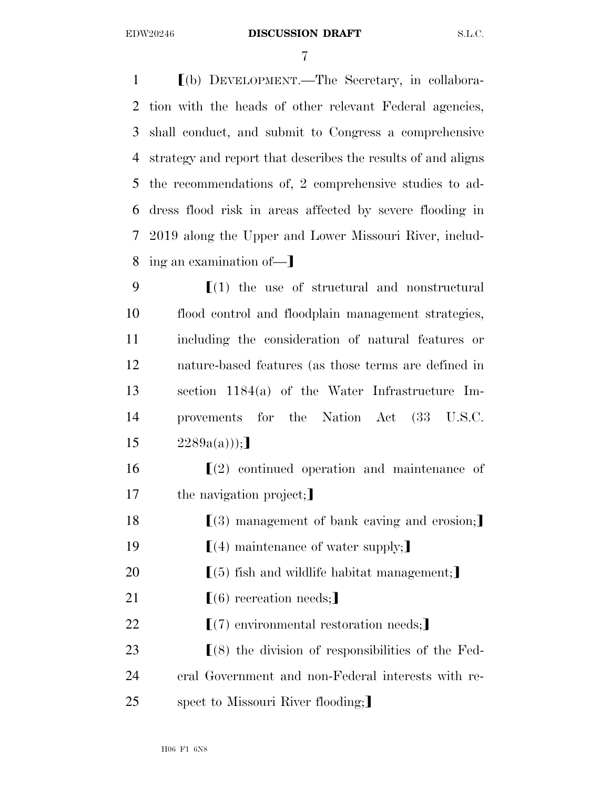### EDW20246 **DISCUSSION DRAFT** S.L.C.

7

 ø(b) DEVELOPMENT.—The Secretary, in collabora- tion with the heads of other relevant Federal agencies, shall conduct, and submit to Congress a comprehensive strategy and report that describes the results of and aligns the recommendations of, 2 comprehensive studies to ad- dress flood risk in areas affected by severe flooding in 2019 along the Upper and Lower Missouri River, includ-8 ing an examination of -

 $\left(1\right)$  the use of structural and nonstructural flood control and floodplain management strategies, including the consideration of natural features or nature-based features (as those terms are defined in section 1184(a) of the Water Infrastructure Im- provements for the Nation Act (33 U.S.C.  $2289a(a))$ ;

 $16$   $\left(2\right)$  continued operation and maintenance of 17 the navigation project;

18 **i**(3) management of bank caving and erosion;

19  $\left[$  (4) maintenance of water supply;

20  $\left[ (5)$  fish and wildlife habitat management;

21  $\left[ (6) \right]$  recreation needs;

22  $\left[ (7)$  environmental restoration needs;

23  $\lceil(8)$  the division of responsibilities of the Fed-

24 eral Government and non-Federal interests with re-

25 spect to Missouri River flooding;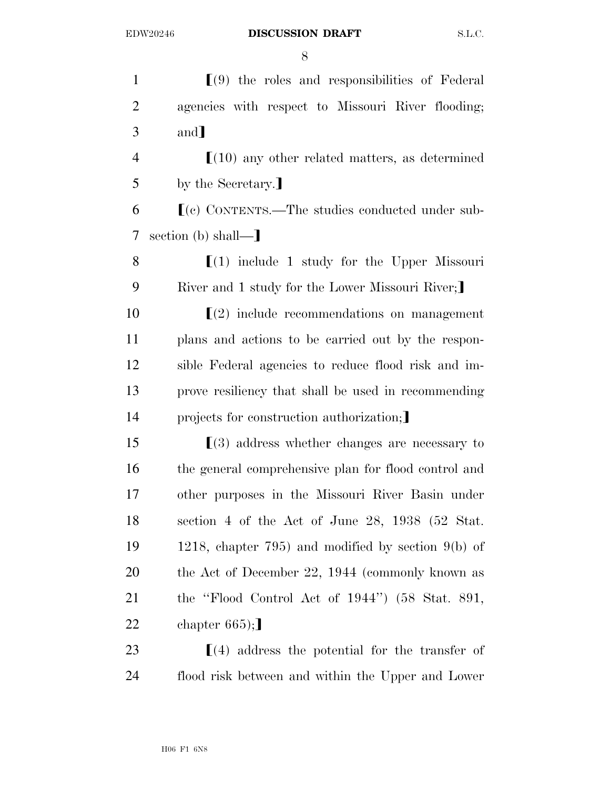$1 \t\t\t [9]$  the roles and responsibilities of Federal 2 agencies with respect to Missouri River flooding;  $3 \qquad \text{and}$  $\sim$   $(10)$  any other related matters, as determined 5 by the Secretary.  $\delta$  [(c) CONTENTS.—The studies conducted under sub-7 section (b) shall— $\overline{\phantom{a}}$ 8  $\lceil(1) \rceil$  include 1 study for the Upper Missouri 9 River and 1 study for the Lower Missouri River;  $10$   $\left[$  (2) include recommendations on management 11 plans and actions to be carried out by the respon-12 sible Federal agencies to reduce flood risk and im-13 prove resiliency that shall be used in recommending 14 projects for construction authorization;  $15$  [(3) address whether changes are necessary to 16 the general comprehensive plan for flood control and 17 other purposes in the Missouri River Basin under 18 section 4 of the Act of June 28, 1938 (52 Stat. 19 1218, chapter 795) and modified by section 9(b) of 20 the Act of December 22, 1944 (commonly known as 21 the ''Flood Control Act of 1944'') (58 Stat. 891, 22 chapter  $665$ ; 23  $\left[ (4) \right]$  address the potential for the transfer of

24 flood risk between and within the Upper and Lower

H06 F1 6N8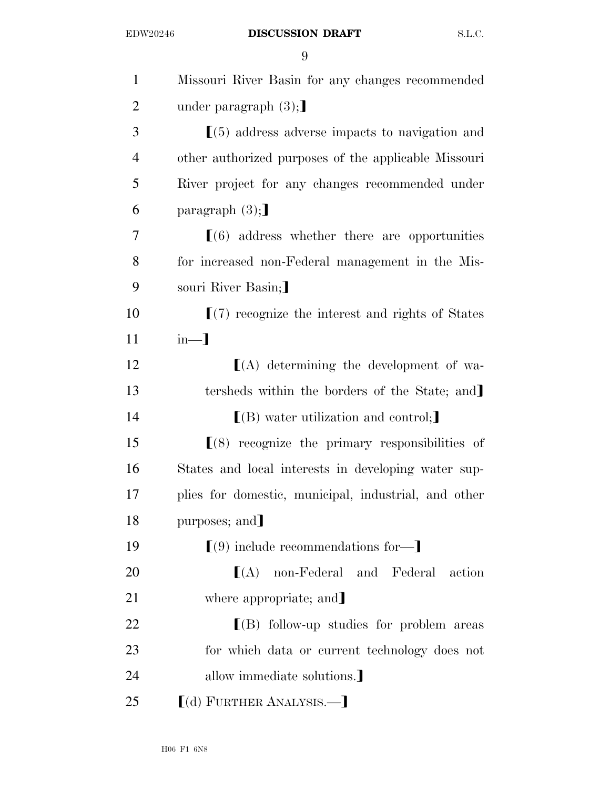| $\mathbf{1}$   | Missouri River Basin for any changes recommended        |
|----------------|---------------------------------------------------------|
| $\overline{2}$ | under paragraph $(3)$ ;                                 |
| 3              | $(5)$ address adverse impacts to navigation and         |
| $\overline{4}$ | other authorized purposes of the applicable Missouri    |
| 5              | River project for any changes recommended under         |
| 6              | paragraph $(3)$ ;                                       |
| 7              | $(6)$ address whether there are opportunities           |
| 8              | for increased non-Federal management in the Mis-        |
| 9              | souri River Basin;                                      |
| 10             | $\Gamma(7)$ recognize the interest and rights of States |
| 11             | $in-1$                                                  |
| 12             | $[(A)$ determining the development of wa-               |
| 13             | tersheds within the borders of the State; and           |
| 14             | $[(B)$ water utilization and control;                   |
| 15             | $(8)$ recognize the primary responsibilities of         |
| 16             | States and local interests in developing water sup-     |
| 17             | plies for domestic, municipal, industrial, and other    |
| 18             | purposes; and]                                          |
| 19             | $(9)$ include recommendations for-                      |
| 20             | non-Federal and Federal action<br>$\lfloor(A)\rfloor$   |
| 21             | where appropriate; and                                  |
| 22             | $\lfloor$ (B) follow-up studies for problem areas       |
| 23             | for which data or current technology does not           |
| 24             | allow immediate solutions.                              |
| 25             | $\left[$ (d) FURTHER ANALYSIS.— $\right]$               |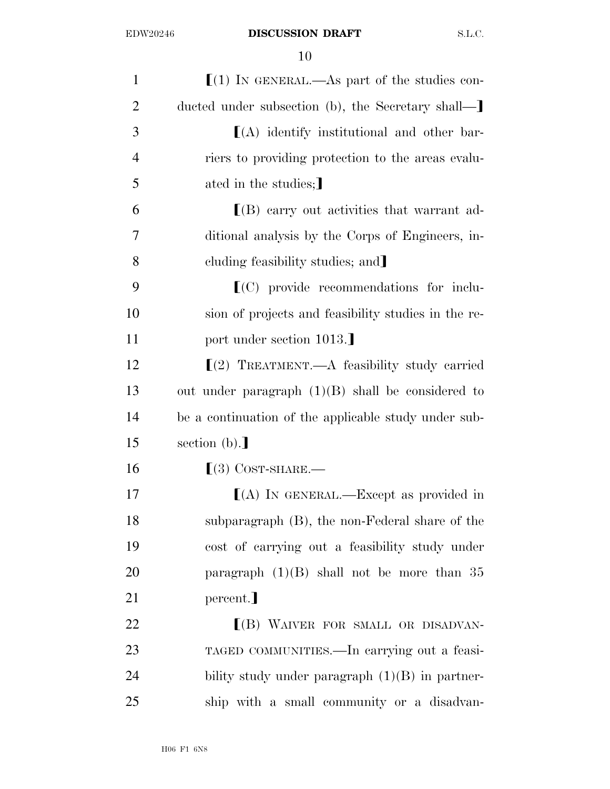| $\mathbf{1}$   | $(1)$ IN GENERAL.—As part of the studies con-               |
|----------------|-------------------------------------------------------------|
| $\overline{2}$ | ducted under subsection (b), the Secretary shall—           |
| 3              | $\lfloor (A) \rfloor$ identify institutional and other bar- |
| 4              | riers to providing protection to the areas evalu-           |
| 5              | ated in the studies;                                        |
| 6              | $[(B)$ carry out activities that warrant ad-                |
| 7              | ditional analysis by the Corps of Engineers, in-            |
| 8              | cluding feasibility studies; and                            |
| 9              | $[(C)$ provide recommendations for inclu-                   |
| 10             | sion of projects and feasibility studies in the re-         |
| 11             | port under section 1013.]                                   |
| 12             | $(2)$ TREATMENT.—A feasibility study carried                |
| 13             | out under paragraph $(1)(B)$ shall be considered to         |
| 14             | be a continuation of the applicable study under sub-        |
| 15             | section $(b).$                                              |
| 16             | $(3)$ COST-SHARE.—                                          |
| 17             | $(A)$ In GENERAL.—Except as provided in                     |
| 18             | subparagraph (B), the non-Federal share of the              |
| 19             | cost of carrying out a feasibility study under              |
| 20             | paragraph $(1)(B)$ shall not be more than 35                |
| 21             | percent.                                                    |
| 22             | $[(B)$ WAIVER FOR SMALL OR DISADVAN-                        |
| 23             | TAGED COMMUNITIES.—In carrying out a feasi-                 |
| 24             | bility study under paragraph $(1)(B)$ in partner-           |
| 25             | ship with a small community or a disadvan-                  |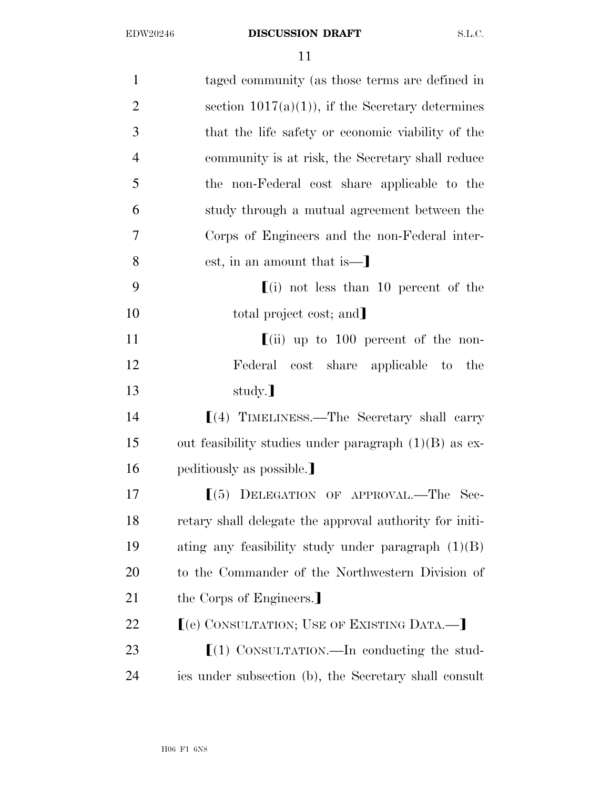| $\mathbf{1}$   | taged community (as those terms are defined in             |
|----------------|------------------------------------------------------------|
| $\overline{2}$ | section $1017(a)(1)$ , if the Secretary determines         |
| 3              | that the life safety or economic viability of the          |
| $\overline{4}$ | community is at risk, the Secretary shall reduce           |
| 5              | the non-Federal cost share applicable to the               |
| 6              | study through a mutual agreement between the               |
| $\overline{7}$ | Corps of Engineers and the non-Federal inter-              |
| 8              | est, in an amount that is $\equiv$                         |
| 9              | $(i)$ not less than 10 percent of the                      |
| 10             | total project cost; and                                    |
| 11             | $\left[ \text{(ii)} \right]$ up to 100 percent of the non- |
| 12             | Federal cost share applicable to the                       |
| 13             | study.]                                                    |
| 14             | $(4)$ TIMELINESS.—The Secretary shall carry                |
| 15             | out feasibility studies under paragraph $(1)(B)$ as ex-    |
| 16             | peditiously as possible.                                   |
| 17             | $(5)$ DELEGATION OF APPROVAL.—The Sec-                     |
| 18             | retary shall delegate the approval authority for initi-    |
| 19             | ating any feasibility study under paragraph $(1)(B)$       |
| 20             | to the Commander of the Northwestern Division of           |
| 21             | the Corps of Engineers.                                    |
| 22             | [(e) CONSULTATION; USE OF EXISTING DATA.—]                 |
| 23             | $\llbracket$ (1) CONSULTATION.—In conducting the stud-     |
| 24             |                                                            |
|                | ies under subsection (b), the Secretary shall consult      |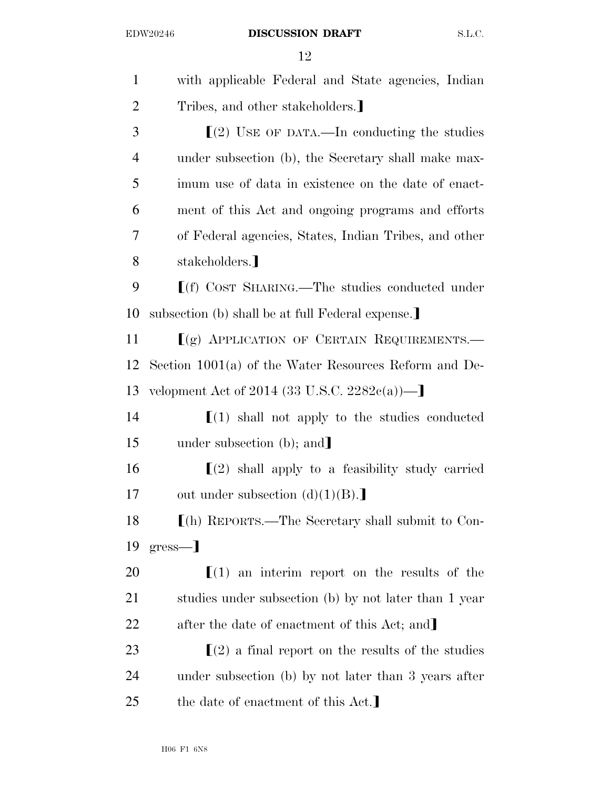| $\mathbf{1}$   | with applicable Federal and State agencies, Indian               |
|----------------|------------------------------------------------------------------|
| $\overline{2}$ | Tribes, and other stakeholders.                                  |
| 3              | $\lfloor 2 \rfloor$ USE OF DATA.—In conducting the studies       |
| $\overline{4}$ | under subsection (b), the Secretary shall make max-              |
| 5              | imum use of data in existence on the date of enact-              |
| 6              | ment of this Act and ongoing programs and efforts                |
| 7              | of Federal agencies, States, Indian Tribes, and other            |
| 8              | stakeholders. <sup>1</sup>                                       |
| 9              | $[f]$ Cost SHARING.—The studies conducted under                  |
| 10             | subsection (b) shall be at full Federal expense.                 |
| 11             | $(q)$ APPLICATION OF CERTAIN REQUIREMENTS.                       |
| 12             | Section $1001(a)$ of the Water Resources Reform and De-          |
| 13             | velopment Act of 2014 (33 U.S.C. 2282 $c(a)$ )—                  |
| 14             | $\lfloor 1 \rfloor$ shall not apply to the studies conducted     |
| 15             | under subsection (b); and                                        |
| 16             | $\lfloor 2 \rfloor$ shall apply to a feasibility study carried   |
| 17             | out under subsection $(d)(1)(B)$ .                               |
| 18             | $\lfloor$ (h) REPORTS.—The Secretary shall submit to Con-        |
| 19             | $gress$ —                                                        |
| 20             | $(1)$ an interim report on the results of the                    |
| 21             | studies under subsection (b) by not later than 1 year            |
| 22             | after the date of enactment of this Act; and                     |
| 23             | $\lfloor 2 \rfloor$ a final report on the results of the studies |
| 24             | under subsection (b) by not later than 3 years after             |
| 25             | the date of enactment of this Act.                               |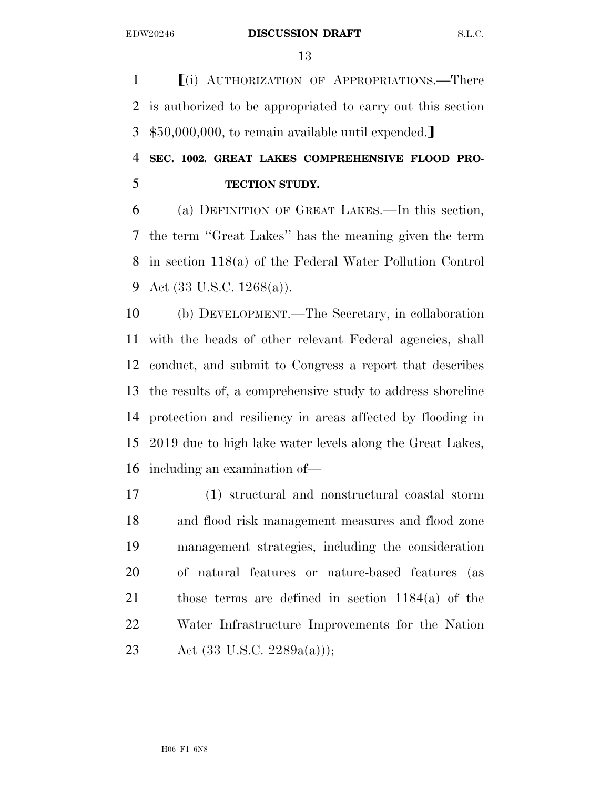**I**(i) AUTHORIZATION OF APPROPRIATIONS.—There is authorized to be appropriated to carry out this section 3 \$50,000,000, to remain available until expended.

# **SEC. 1002. GREAT LAKES COMPREHENSIVE FLOOD PRO-TECTION STUDY.**

 (a) DEFINITION OF GREAT LAKES.—In this section, the term ''Great Lakes'' has the meaning given the term in section 118(a) of the Federal Water Pollution Control Act (33 U.S.C. 1268(a)).

 (b) DEVELOPMENT.—The Secretary, in collaboration with the heads of other relevant Federal agencies, shall conduct, and submit to Congress a report that describes the results of, a comprehensive study to address shoreline protection and resiliency in areas affected by flooding in 2019 due to high lake water levels along the Great Lakes, including an examination of—

 (1) structural and nonstructural coastal storm and flood risk management measures and flood zone management strategies, including the consideration of natural features or nature-based features (as those terms are defined in section 1184(a) of the Water Infrastructure Improvements for the Nation 23 Act  $(33 \text{ U.S.C. } 2289a(a))$ ;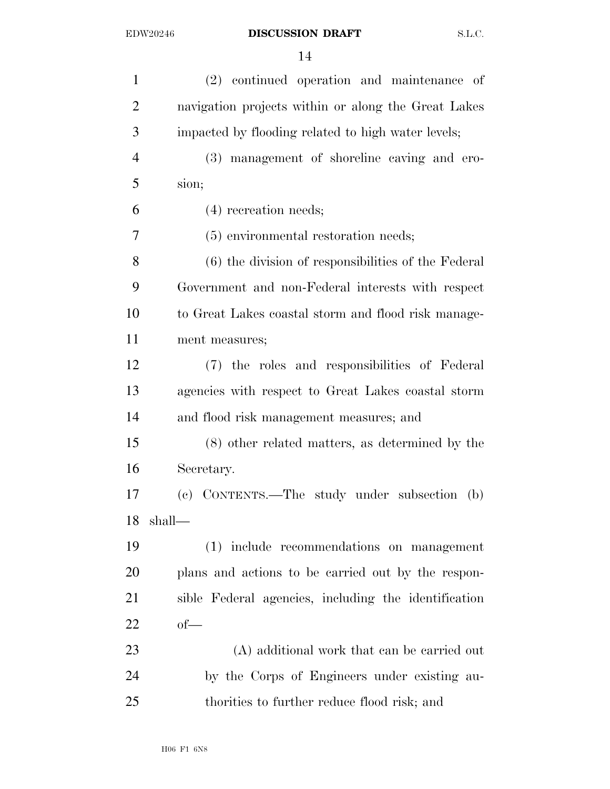| $\mathbf{1}$   | (2) continued operation and maintenance of            |
|----------------|-------------------------------------------------------|
| $\overline{2}$ | navigation projects within or along the Great Lakes   |
| 3              | impacted by flooding related to high water levels;    |
| $\overline{4}$ | (3) management of shoreline caving and ero-           |
| 5              | sion;                                                 |
| 6              | $(4)$ recreation needs;                               |
| 7              | (5) environmental restoration needs;                  |
| 8              | $(6)$ the division of responsibilities of the Federal |
| 9              | Government and non-Federal interests with respect     |
| 10             | to Great Lakes coastal storm and flood risk manage-   |
| 11             | ment measures;                                        |
| 12             | (7) the roles and responsibilities of Federal         |
| 13             | agencies with respect to Great Lakes coastal storm    |
| 14             | and flood risk management measures; and               |
| 15             | (8) other related matters, as determined by the       |
| 16             | Secretary.                                            |
| 17             | (c) CONTENTS.—The study under subsection<br>(b)       |
| 18             | shall—                                                |
| 19             | (1) include recommendations on management             |
| <b>20</b>      | plans and actions to be carried out by the respon-    |
| 21             | sible Federal agencies, including the identification  |
| 22             | $of$ —                                                |
| 23             | (A) additional work that can be carried out           |
| 24             | by the Corps of Engineers under existing au-          |
| 25             | thorities to further reduce flood risk; and           |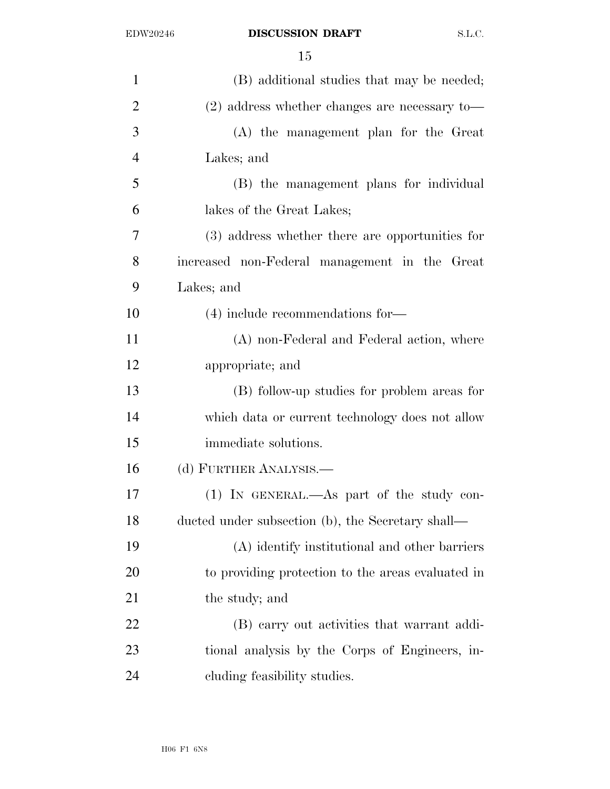| $\mathbf{1}$   | (B) additional studies that may be needed;        |
|----------------|---------------------------------------------------|
| $\overline{2}$ | $(2)$ address whether changes are necessary to —  |
| 3              | (A) the management plan for the Great             |
| $\overline{4}$ | Lakes; and                                        |
| 5              | (B) the management plans for individual           |
| 6              | lakes of the Great Lakes;                         |
| 7              | (3) address whether there are opportunities for   |
| 8              | increased non-Federal management in the Great     |
| 9              | Lakes; and                                        |
| 10             | $(4)$ include recommendations for $-$             |
| 11             | (A) non-Federal and Federal action, where         |
| 12             | appropriate; and                                  |
| 13             | (B) follow-up studies for problem areas for       |
| 14             | which data or current technology does not allow   |
| 15             | immediate solutions.                              |
| 16             | (d) FURTHER ANALYSIS.—                            |
| 17             | (1) IN GENERAL.—As part of the study con-         |
| 18             | ducted under subsection (b), the Secretary shall— |
| 19             | (A) identify institutional and other barriers     |
| 20             | to providing protection to the areas evaluated in |
| 21             | the study; and                                    |
| 22             | (B) carry out activities that warrant addi-       |
| 23             | tional analysis by the Corps of Engineers, in-    |
| 24             | cluding feasibility studies.                      |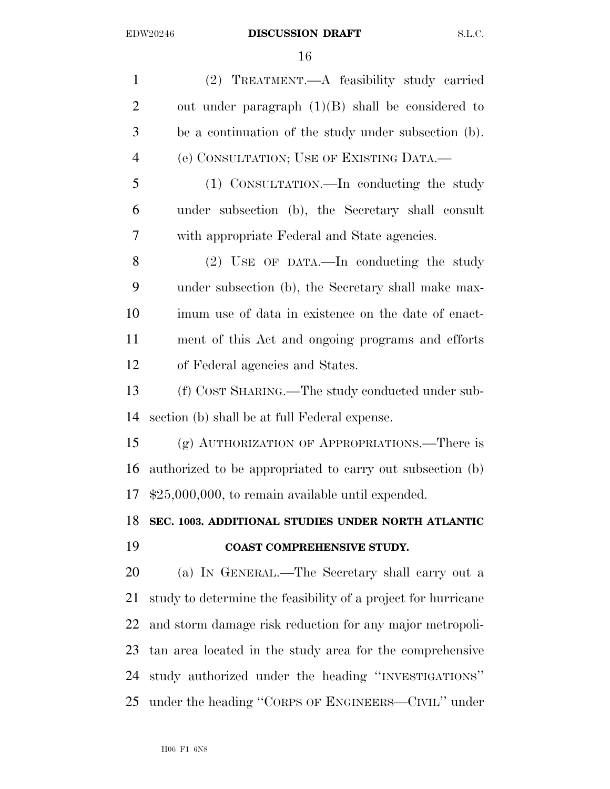(2) TREATMENT.—A feasibility study carried out under paragraph (1)(B) shall be considered to be a continuation of the study under subsection (b). (e) CONSULTATION; USE OF EXISTING DATA.— (1) CONSULTATION.—In conducting the study under subsection (b), the Secretary shall consult with appropriate Federal and State agencies. (2) USE OF DATA.—In conducting the study under subsection (b), the Secretary shall make max- imum use of data in existence on the date of enact- ment of this Act and ongoing programs and efforts of Federal agencies and States. (f) COST SHARING.—The study conducted under sub- section (b) shall be at full Federal expense. (g) AUTHORIZATION OF APPROPRIATIONS.—There is authorized to be appropriated to carry out subsection (b) \$25,000,000, to remain available until expended. **SEC. 1003. ADDITIONAL STUDIES UNDER NORTH ATLANTIC COAST COMPREHENSIVE STUDY.**  (a) IN GENERAL.—The Secretary shall carry out a study to determine the feasibility of a project for hurricane and storm damage risk reduction for any major metropoli- tan area located in the study area for the comprehensive study authorized under the heading ''INVESTIGATIONS''

under the heading ''CORPS OF ENGINEERS—CIVIL'' under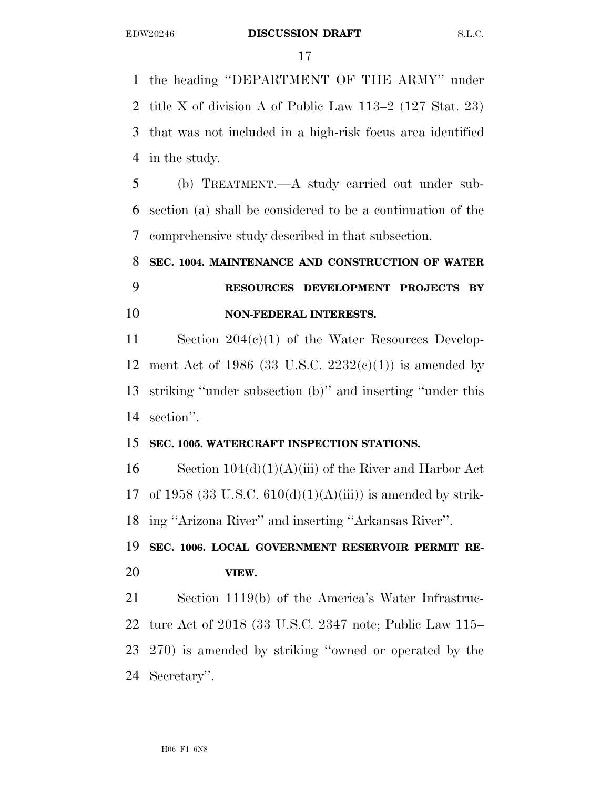the heading ''DEPARTMENT OF THE ARMY'' under title X of division A of Public Law 113–2 (127 Stat. 23) that was not included in a high-risk focus area identified in the study.

 (b) TREATMENT.—A study carried out under sub- section (a) shall be considered to be a continuation of the comprehensive study described in that subsection.

# **SEC. 1004. MAINTENANCE AND CONSTRUCTION OF WATER RESOURCES DEVELOPMENT PROJECTS BY NON-FEDERAL INTERESTS.**

 Section 204(c)(1) of the Water Resources Develop-12 ment Act of 1986 (33 U.S.C.  $2232(e)(1)$ ) is amended by striking ''under subsection (b)'' and inserting ''under this section''.

# **SEC. 1005. WATERCRAFT INSPECTION STATIONS.**

16 Section  $104(d)(1)(A)(iii)$  of the River and Harbor Act 17 of 1958 (33 U.S.C.  $610(d)(1)(A(iii))$  is amended by strik-ing ''Arizona River'' and inserting ''Arkansas River''.

# **SEC. 1006. LOCAL GOVERNMENT RESERVOIR PERMIT RE-VIEW.**

 Section 1119(b) of the America's Water Infrastruc- ture Act of 2018 (33 U.S.C. 2347 note; Public Law 115– 270) is amended by striking ''owned or operated by the Secretary''.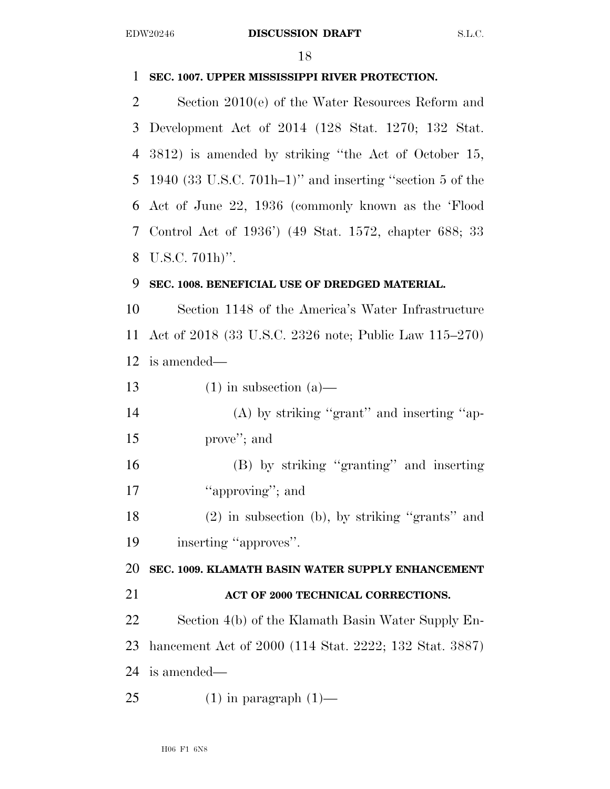## **SEC. 1007. UPPER MISSISSIPPI RIVER PROTECTION.**

 Section 2010(e) of the Water Resources Reform and Development Act of 2014 (128 Stat. 1270; 132 Stat. 3812) is amended by striking ''the Act of October 15, 1940 (33 U.S.C. 701h–1)'' and inserting ''section 5 of the Act of June 22, 1936 (commonly known as the 'Flood Control Act of 1936') (49 Stat. 1572, chapter 688; 33 U.S.C. 701h)''.

### **SEC. 1008. BENEFICIAL USE OF DREDGED MATERIAL.**

 Section 1148 of the America's Water Infrastructure Act of 2018 (33 U.S.C. 2326 note; Public Law 115–270) is amended—

13 (1) in subsection  $(a)$ —

14 (A) by striking "grant" and inserting "ap-prove''; and

 (B) by striking ''granting'' and inserting 17 "approving"; and

 (2) in subsection (b), by striking ''grants'' and inserting ''approves''.

 **SEC. 1009. KLAMATH BASIN WATER SUPPLY ENHANCEMENT ACT OF 2000 TECHNICAL CORRECTIONS.** 

 Section 4(b) of the Klamath Basin Water Supply En- hancement Act of 2000 (114 Stat. 2222; 132 Stat. 3887) is amended—

25 (1) in paragraph  $(1)$ —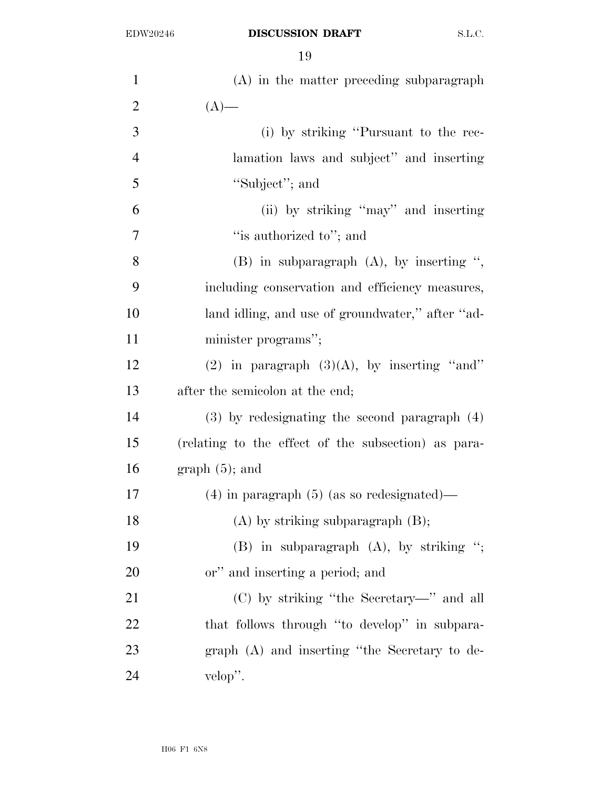### EDW20246 **DISCUSSION DRAFT** S.L.C.

| $\mathbf{1}$   | (A) in the matter preceding subparagraph            |
|----------------|-----------------------------------------------------|
| $\overline{2}$ | $(A)$ —                                             |
| 3              | (i) by striking "Pursuant to the rec-               |
| $\overline{4}$ | lamation laws and subject" and inserting            |
| 5              | "Subject"; and                                      |
| 6              | (ii) by striking "may" and inserting                |
| $\tau$         | "is authorized to"; and                             |
| 8              | $(B)$ in subparagraph $(A)$ , by inserting ",       |
| 9              | including conservation and efficiency measures,     |
| 10             | land idling, and use of groundwater," after "ad-    |
| 11             | minister programs";                                 |
| 12             | (2) in paragraph $(3)(A)$ , by inserting "and"      |
| 13             | after the semicolon at the end;                     |
| 14             | $(3)$ by redesignating the second paragraph $(4)$   |
| 15             | (relating to the effect of the subsection) as para- |
| 16             | $graph(5)$ ; and                                    |
| 17             | $(4)$ in paragraph $(5)$ (as so redesignated)—      |
| 18             | $(A)$ by striking subparagraph $(B)$ ;              |
| 19             | $(B)$ in subparagraph $(A)$ , by striking ";        |
| 20             | or" and inserting a period; and                     |
| 21             | (C) by striking "the Secretary—" and all            |
| 22             | that follows through "to develop" in subpara-       |
| 23             | graph (A) and inserting "the Secretary to de-       |
| 24             | velop".                                             |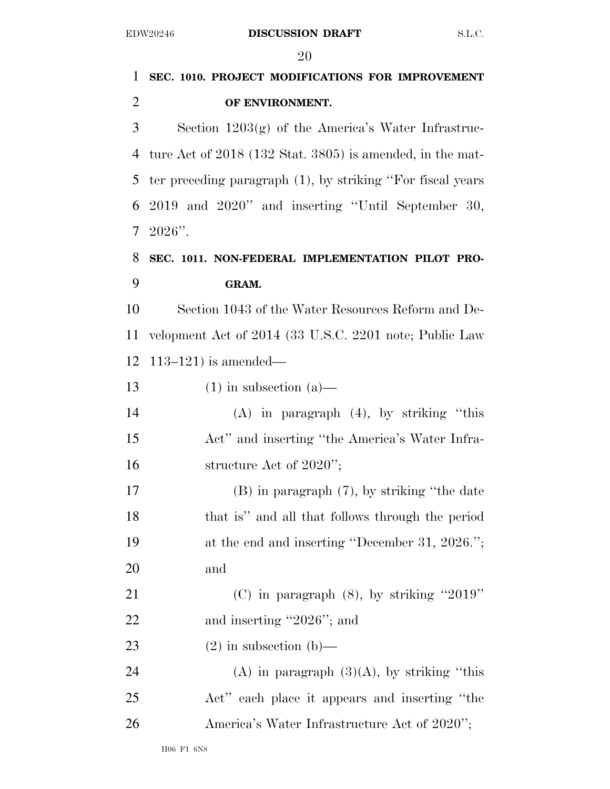| $\mathbf{1}$   | SEC. 1010. PROJECT MODIFICATIONS FOR IMPROVEMENT            |
|----------------|-------------------------------------------------------------|
| $\overline{2}$ | OF ENVIRONMENT.                                             |
| 3              | Section $1203(g)$ of the America's Water Infrastruc-        |
| 4              | ture Act of 2018 (132 Stat. 3805) is amended, in the mat-   |
| 5              | ter preceding paragraph (1), by striking "For fiscal years" |
| 6              | 2019 and 2020" and inserting "Until September 30,           |
| $\tau$         | $2026"$ .                                                   |
| 8              | SEC. 1011. NON-FEDERAL IMPLEMENTATION PILOT PRO-            |
| 9              | GRAM.                                                       |
| 10             | Section 1043 of the Water Resources Reform and De-          |
| 11             | velopment Act of 2014 (33 U.S.C. 2201 note; Public Law      |
| 12             | $113-121$ ) is amended—                                     |
| 13             | $(1)$ in subsection $(a)$ —                                 |
| 14             | $(A)$ in paragraph $(4)$ , by striking "this                |
| 15             | Act" and inserting "the America's Water Infra-              |
| 16             | structure Act of $2020$ ";                                  |
| 17             | $(B)$ in paragraph $(7)$ , by striking "the date"           |
| 18             | that is" and all that follows through the period            |
| 19             | at the end and inserting "December 31, $2026$ .";           |
| 20             | and                                                         |
| 21             | (C) in paragraph $(8)$ , by striking "2019"                 |
| 22             | and inserting "2026"; and                                   |
| 23             | $(2)$ in subsection $(b)$ —                                 |
| 24             | (A) in paragraph $(3)(A)$ , by striking "this               |
| 25             | Act" each place it appears and inserting "the               |
| 26             | America's Water Infrastructure Act of 2020";                |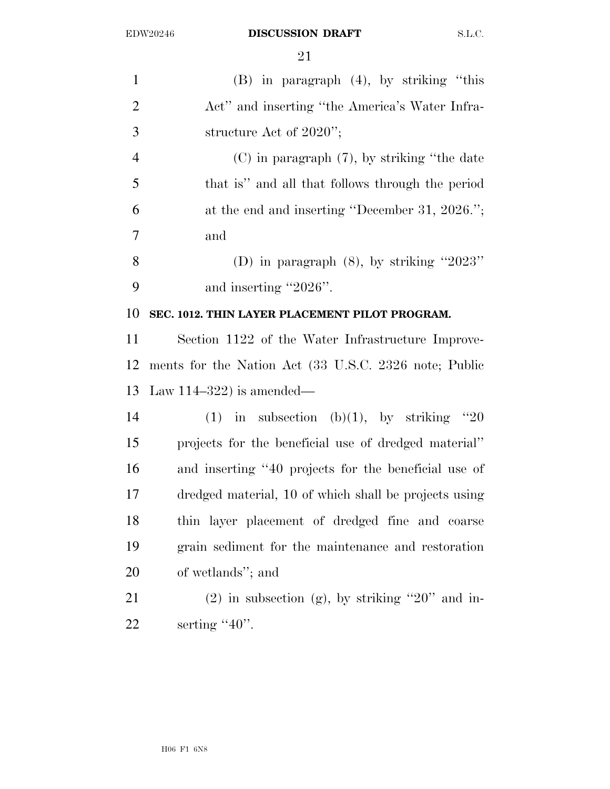| $\mathbf{1}$   | $(B)$ in paragraph $(4)$ , by striking "this          |
|----------------|-------------------------------------------------------|
| $\overline{2}$ | Act" and inserting "the America's Water Infra-        |
| 3              | structure Act of $2020$ ";                            |
| $\overline{4}$ | $(C)$ in paragraph $(7)$ , by striking "the date"     |
| 5              | that is" and all that follows through the period      |
| 6              | at the end and inserting "December 31, 2026.";        |
| 7              | and                                                   |
| 8              | (D) in paragraph $(8)$ , by striking "2023"           |
| 9              | and inserting "2026".                                 |
| 10             | SEC. 1012. THIN LAYER PLACEMENT PILOT PROGRAM.        |
| 11             | Section 1122 of the Water Infrastructure Improve-     |
| 12             | ments for the Nation Act (33 U.S.C. 2326 note; Public |
| 13             | Law $114-322$ is amended—                             |
| 14             | (1) in subsection (b)(1), by striking "20             |
| 15             | projects for the beneficial use of dredged material"  |
| 16             | and inserting "40 projects for the beneficial use of  |
| 17             | dredged material, 10 of which shall be projects using |
| 18             | thin layer placement of dredged fine and coarse       |
| 19             | grain sediment for the maintenance and restoration    |
| 20             | of wetlands"; and                                     |
| 21             | $(2)$ in subsection (g), by striking "20" and in-     |
| 22             | serting " $40$ ".                                     |
|                |                                                       |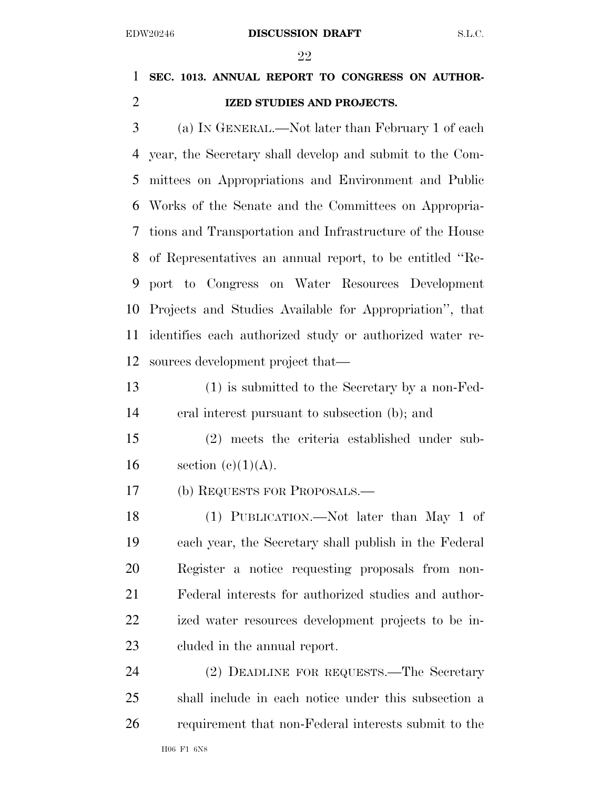# **SEC. 1013. ANNUAL REPORT TO CONGRESS ON AUTHOR-IZED STUDIES AND PROJECTS.**

 (a) IN GENERAL.—Not later than February 1 of each year, the Secretary shall develop and submit to the Com- mittees on Appropriations and Environment and Public Works of the Senate and the Committees on Appropria- tions and Transportation and Infrastructure of the House of Representatives an annual report, to be entitled ''Re- port to Congress on Water Resources Development Projects and Studies Available for Appropriation'', that identifies each authorized study or authorized water re-sources development project that—

 (1) is submitted to the Secretary by a non-Fed-eral interest pursuant to subsection (b); and

 (2) meets the criteria established under sub-16 section  $(c)(1)(A)$ .

(b) REQUESTS FOR PROPOSALS.—

 (1) PUBLICATION.—Not later than May 1 of each year, the Secretary shall publish in the Federal Register a notice requesting proposals from non- Federal interests for authorized studies and author- ized water resources development projects to be in-cluded in the annual report.

 (2) DEADLINE FOR REQUESTS.—The Secretary shall include in each notice under this subsection a requirement that non-Federal interests submit to the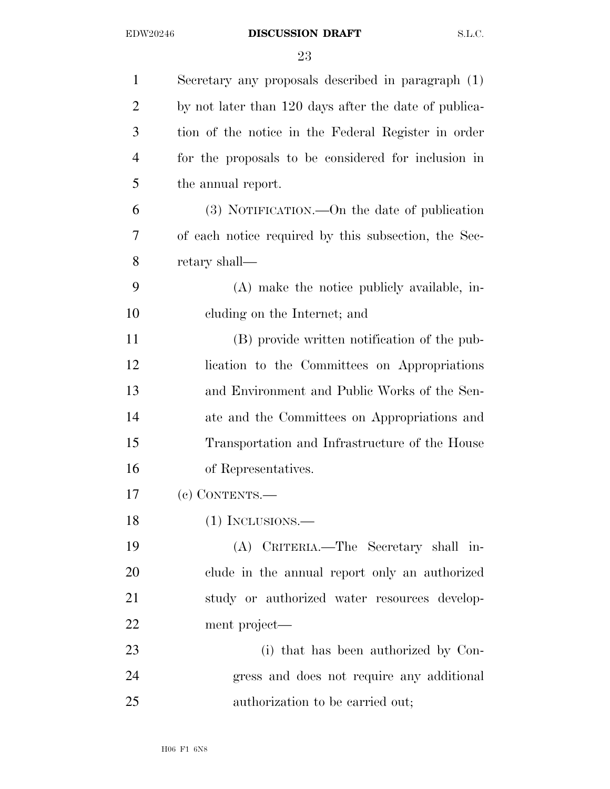### EDW20246 **DISCUSSION DRAFT** S.L.C.

| $\mathbf{1}$   | Secretary any proposals described in paragraph (1)    |
|----------------|-------------------------------------------------------|
| $\overline{2}$ | by not later than 120 days after the date of publica- |
| 3              | tion of the notice in the Federal Register in order   |
| $\overline{4}$ | for the proposals to be considered for inclusion in   |
| 5              | the annual report.                                    |
| 6              | (3) NOTIFICATION.—On the date of publication          |
| 7              | of each notice required by this subsection, the Sec-  |
| 8              | retary shall—                                         |
| 9              | (A) make the notice publicly available, in-           |
| 10             | cluding on the Internet; and                          |
| 11             | (B) provide written notification of the pub-          |
| 12             | lication to the Committees on Appropriations          |
| 13             | and Environment and Public Works of the Sen-          |
| 14             | ate and the Committees on Appropriations and          |
| 15             | Transportation and Infrastructure of the House        |
| 16             | of Representatives.                                   |
| 17             | (c) CONTENTS.—                                        |
| 18             | $(1)$ INCLUSIONS.—                                    |
| 19             | (A) CRITERIA.—The Secretary shall in-                 |
| 20             | clude in the annual report only an authorized         |
| 21             | study or authorized water resources develop-          |
| 22             | ment project—                                         |
| 23             | (i) that has been authorized by Con-                  |
| 24             | gress and does not require any additional             |
| 25             | authorization to be carried out;                      |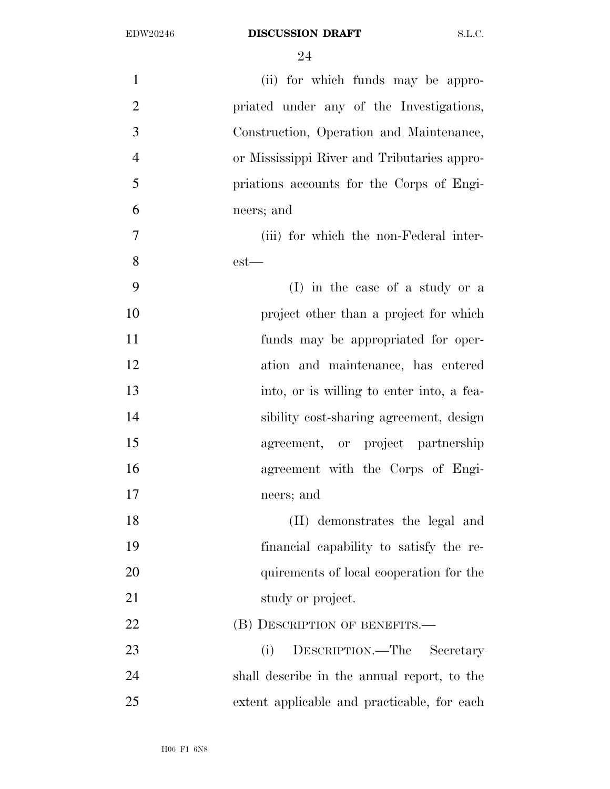| $\mathbf{1}$   | (ii) for which funds may be appro-          |
|----------------|---------------------------------------------|
| $\overline{2}$ | priated under any of the Investigations,    |
| 3              | Construction, Operation and Maintenance,    |
| $\overline{4}$ | or Mississippi River and Tributaries appro- |
| 5              | priations accounts for the Corps of Engi-   |
| 6              | neers; and                                  |
| $\overline{7}$ | (iii) for which the non-Federal inter-      |
| 8              | $est$ —                                     |
| 9              | (I) in the case of a study or a             |
| 10             | project other than a project for which      |
| 11             | funds may be appropriated for oper-         |
| 12             | ation and maintenance, has entered          |
| 13             | into, or is willing to enter into, a fea-   |
| 14             | sibility cost-sharing agreement, design     |
| 15             | agreement, or project partnership           |
| 16             | agreement with the Corps of Engi-           |
| 17             | neers; and                                  |
| 18             | (II) demonstrates the legal and             |
| 19             | financial capability to satisfy the re-     |
| 20             | quirements of local cooperation for the     |
| 21             | study or project.                           |
| 22             | (B) DESCRIPTION OF BENEFITS.—               |
| 23             | DESCRIPTION.—The Secretary<br>(i)           |
| 24             | shall describe in the annual report, to the |
| 25             | extent applicable and practicable, for each |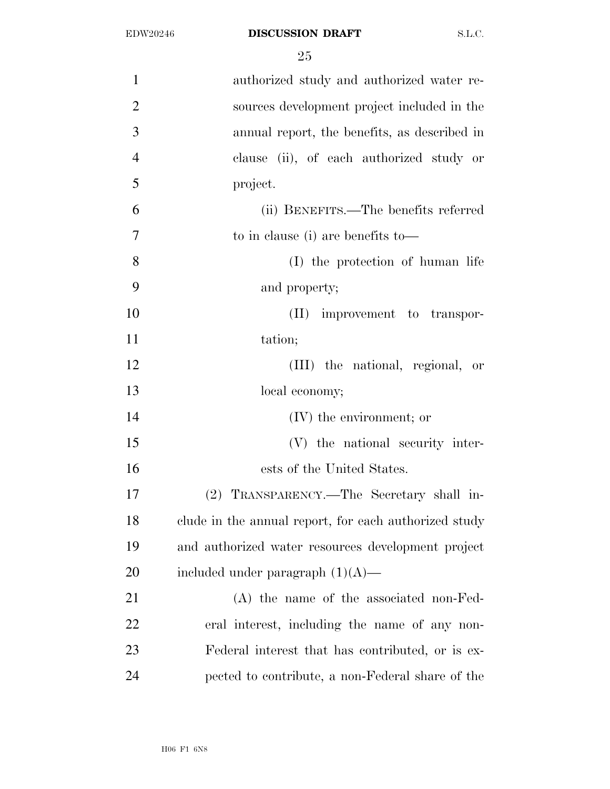| $\mathbf{1}$   | authorized study and authorized water re-             |
|----------------|-------------------------------------------------------|
| $\overline{2}$ | sources development project included in the           |
| 3              | annual report, the benefits, as described in          |
| $\overline{4}$ | clause (ii), of each authorized study or              |
| 5              | project.                                              |
| 6              | (ii) BENEFITS.—The benefits referred                  |
| 7              | to in clause (i) are benefits to-                     |
| 8              | (I) the protection of human life                      |
| 9              | and property;                                         |
| 10             | $(II)$ improvement to transpor-                       |
| 11             | tation;                                               |
| 12             | (III) the national, regional, or                      |
| 13             | local economy;                                        |
| 14             | $(IV)$ the environment; or                            |
| 15             | (V) the national security inter-                      |
| 16             | ests of the United States.                            |
| 17             | (2) TRANSPARENCY.—The Secretary shall in-             |
| 18             | clude in the annual report, for each authorized study |
| 19             | and authorized water resources development project    |
| 20             | included under paragraph $(1)(A)$ —                   |
| 21             | (A) the name of the associated non-Fed-               |
| 22             | eral interest, including the name of any non-         |
| 23             | Federal interest that has contributed, or is ex-      |
| 24             | pected to contribute, a non-Federal share of the      |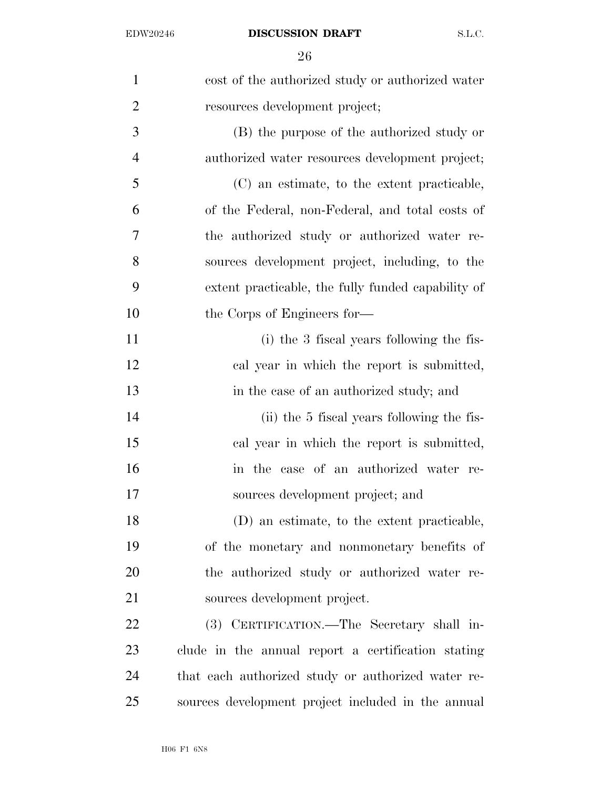### EDW20246 **DISCUSSION DRAFT** S.L.C.

| $\mathbf{1}$   | cost of the authorized study or authorized water   |
|----------------|----------------------------------------------------|
| $\overline{2}$ | resources development project;                     |
| 3              | (B) the purpose of the authorized study or         |
| $\overline{4}$ | authorized water resources development project;    |
| 5              | (C) an estimate, to the extent practicable,        |
| 6              | of the Federal, non-Federal, and total costs of    |
| 7              | the authorized study or authorized water re-       |
| 8              | sources development project, including, to the     |
| 9              | extent practicable, the fully funded capability of |
| 10             | the Corps of Engineers for—                        |
| 11             | (i) the 3 fiscal years following the fis-          |
| 12             | cal year in which the report is submitted,         |
| 13             | in the case of an authorized study; and            |
| 14             | (ii) the 5 fiscal years following the fis-         |
| 15             | cal year in which the report is submitted,         |
| 16             | in the case of an authorized water re-             |
| 17             | sources development project; and                   |
| 18             | (D) an estimate, to the extent practicable,        |
| 19             | of the monetary and nonmonetary benefits of        |
| 20             | the authorized study or authorized water re-       |
| 21             | sources development project.                       |
| <u>22</u>      | (3) CERTIFICATION.—The Secretary shall in-         |
| 23             | clude in the annual report a certification stating |
| 24             | that each authorized study or authorized water re- |
| 25             | sources development project included in the annual |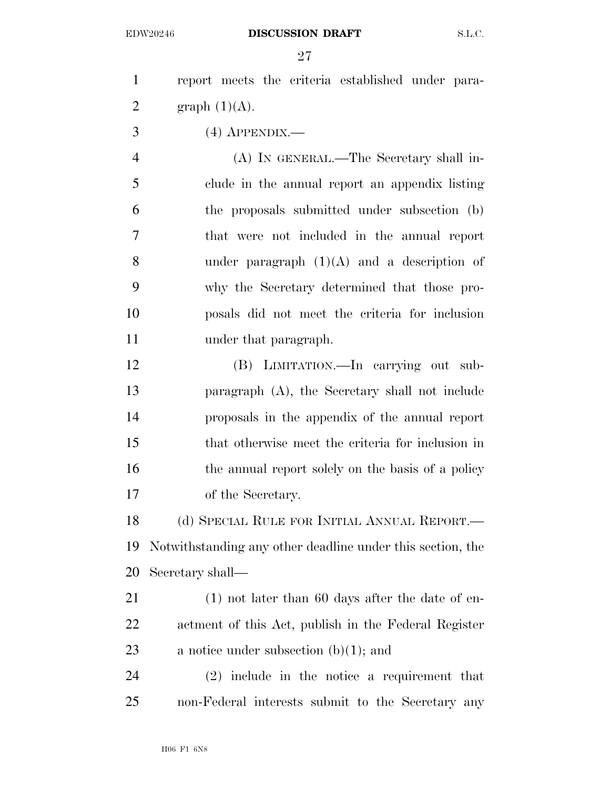report meets the criteria established under para-2 graph  $(1)(A)$ . (4) APPENDIX.— (A) IN GENERAL.—The Secretary shall in- clude in the annual report an appendix listing the proposals submitted under subsection (b) that were not included in the annual report 8 under paragraph  $(1)(A)$  and a description of

 why the Secretary determined that those pro- posals did not meet the criteria for inclusion 11 under that paragraph.

 (B) LIMITATION.—In carrying out sub- paragraph (A), the Secretary shall not include proposals in the appendix of the annual report that otherwise meet the criteria for inclusion in 16 the annual report solely on the basis of a policy of the Secretary.

18 (d) SPECIAL RULE FOR INITIAL ANNUAL REPORT.— Notwithstanding any other deadline under this section, the Secretary shall—

 (1) not later than 60 days after the date of en- actment of this Act, publish in the Federal Register 23 a notice under subsection  $(b)(1)$ ; and

 (2) include in the notice a requirement that non-Federal interests submit to the Secretary any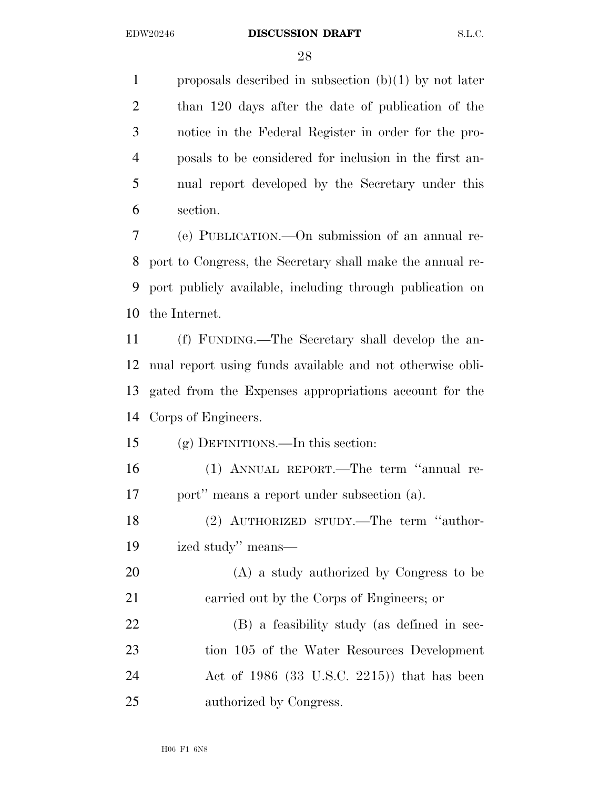1 proposals described in subsection  $(b)(1)$  by not later than 120 days after the date of publication of the notice in the Federal Register in order for the pro- posals to be considered for inclusion in the first an- nual report developed by the Secretary under this section.

 (e) PUBLICATION.—On submission of an annual re- port to Congress, the Secretary shall make the annual re- port publicly available, including through publication on the Internet.

 (f) FUNDING.—The Secretary shall develop the an- nual report using funds available and not otherwise obli- gated from the Expenses appropriations account for the Corps of Engineers.

(g) DEFINITIONS.—In this section:

 (1) ANNUAL REPORT.—The term ''annual re-port'' means a report under subsection (a).

 (2) AUTHORIZED STUDY.—The term ''author-ized study'' means—

 (A) a study authorized by Congress to be carried out by the Corps of Engineers; or

 (B) a feasibility study (as defined in sec- tion 105 of the Water Resources Development Act of 1986 (33 U.S.C. 2215)) that has been authorized by Congress.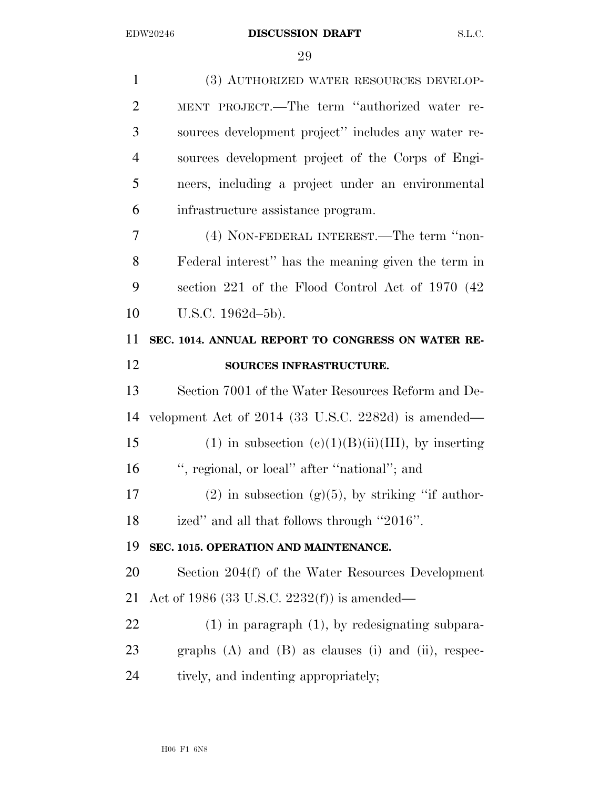(3) AUTHORIZED WATER RESOURCES DEVELOP- MENT PROJECT.—The term ''authorized water re- sources development project'' includes any water re- sources development project of the Corps of Engi- neers, including a project under an environmental infrastructure assistance program. (4) NON-FEDERAL INTEREST.—The term ''non- Federal interest'' has the meaning given the term in section 221 of the Flood Control Act of 1970 (42 U.S.C. 1962d–5b). **SEC. 1014. ANNUAL REPORT TO CONGRESS ON WATER RE- SOURCES INFRASTRUCTURE.**  Section 7001 of the Water Resources Reform and De- velopment Act of 2014 (33 U.S.C. 2282d) is amended— 15 (1) in subsection  $(c)(1)(B)(ii)(III)$ , by inserting 16 ", regional, or local" after "national"; and 17 (2) in subsection  $(g)(5)$ , by striking "if author-18 ized" and all that follows through "2016". **SEC. 1015. OPERATION AND MAINTENANCE.**  Section 204(f) of the Water Resources Development Act of 1986 (33 U.S.C. 2232(f)) is amended— (1) in paragraph (1), by redesignating subpara- graphs (A) and (B) as clauses (i) and (ii), respec-24 tively, and indenting appropriately;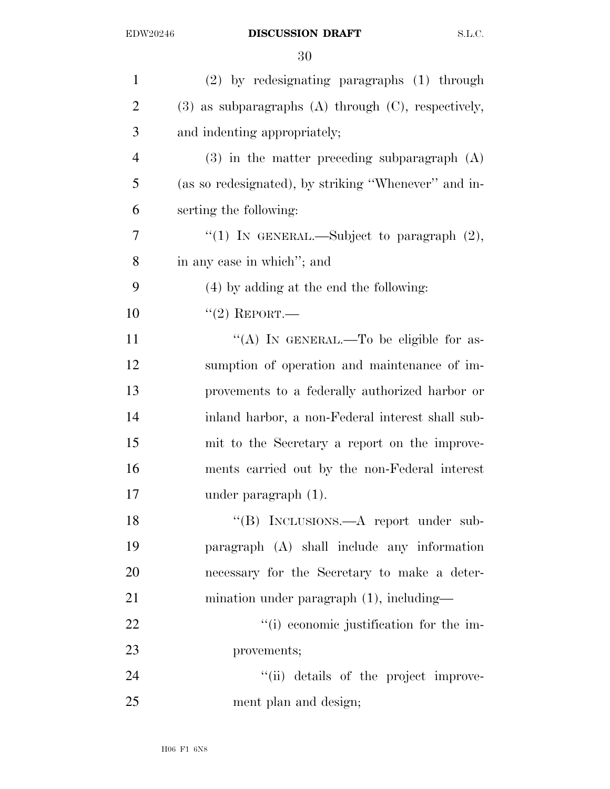| $\mathbf{1}$   | $(2)$ by redesignating paragraphs $(1)$ through            |
|----------------|------------------------------------------------------------|
| $\overline{2}$ | $(3)$ as subparagraphs $(A)$ through $(C)$ , respectively, |
| 3              | and indenting appropriately;                               |
| $\overline{4}$ | $(3)$ in the matter preceding subparagraph $(A)$           |
| 5              | (as so redesignated), by striking "Whenever" and in-       |
| 6              | serting the following:                                     |
| 7              | "(1) IN GENERAL.—Subject to paragraph $(2)$ ,              |
| 8              | in any case in which"; and                                 |
| 9              | $(4)$ by adding at the end the following:                  |
| 10             | $``(2)$ REPORT.—                                           |
| 11             | "(A) IN GENERAL.—To be eligible for as-                    |
| 12             | sumption of operation and maintenance of im-               |
| 13             | provements to a federally authorized harbor or             |
| 14             | inland harbor, a non-Federal interest shall sub-           |
| 15             | mit to the Secretary a report on the improve-              |
| 16             | ments carried out by the non-Federal interest              |
| 17             | under paragraph $(1)$ .                                    |
| 18             | "(B) INCLUSIONS.—A report under sub-                       |
| 19             | paragraph (A) shall include any information                |
| 20             | necessary for the Secretary to make a deter-               |
| 21             | mination under paragraph $(1)$ , including—                |
| 22             | "(i) economic justification for the im-                    |
| 23             | provements;                                                |
| 24             | "(ii) details of the project improve-                      |
| 25             | ment plan and design;                                      |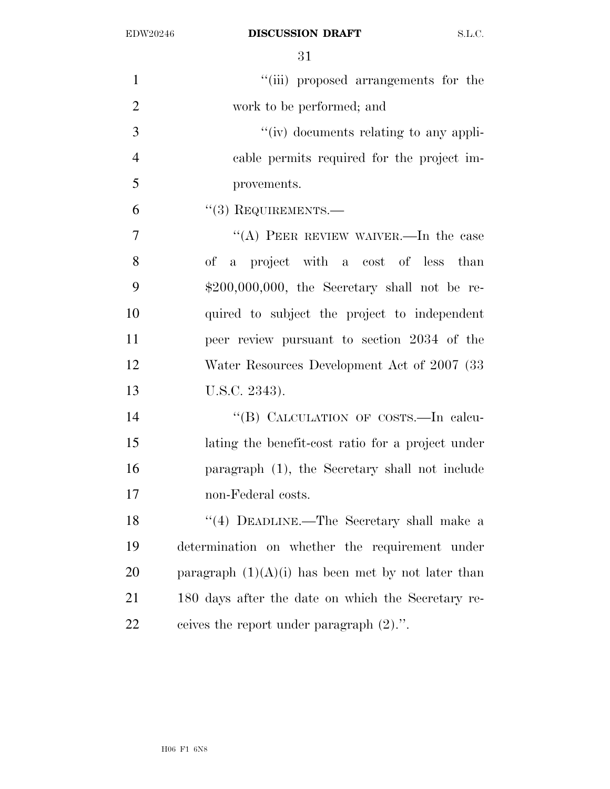EDW20246 **DISCUSSION DRAFT** S.L.C.

| $\mathbf{1}$   | "(iii) proposed arrangements for the                 |
|----------------|------------------------------------------------------|
| $\overline{2}$ | work to be performed; and                            |
| 3              | "(iv) documents relating to any appli-               |
| $\overline{4}$ | cable permits required for the project im-           |
| 5              | provements.                                          |
| 6              | $``(3)$ REQUIREMENTS.—                               |
| $\overline{7}$ | "(A) PEER REVIEW WAIVER.—In the case                 |
| 8              | of a project with a cost of less than                |
| 9              | $$200,000,000$ , the Secretary shall not be re-      |
| 10             | quired to subject the project to independent         |
| 11             | peer review pursuant to section 2034 of the          |
| 12             | Water Resources Development Act of 2007 (33)         |
| 13             | U.S.C. 2343).                                        |
| 14             | "(B) CALCULATION OF COSTS.—In calcu-                 |
| 15             | lating the benefit-cost ratio for a project under    |
| 16             | paragraph (1), the Secretary shall not include       |
| 17             | non-Federal costs.                                   |
| 18             | "(4) DEADLINE.—The Secretary shall make a            |
| 19             | determination on whether the requirement under       |
| 20             | paragraph $(1)(A)(i)$ has been met by not later than |
| 21             | 180 days after the date on which the Secretary re-   |
| 22             | ceives the report under paragraph $(2)$ .".          |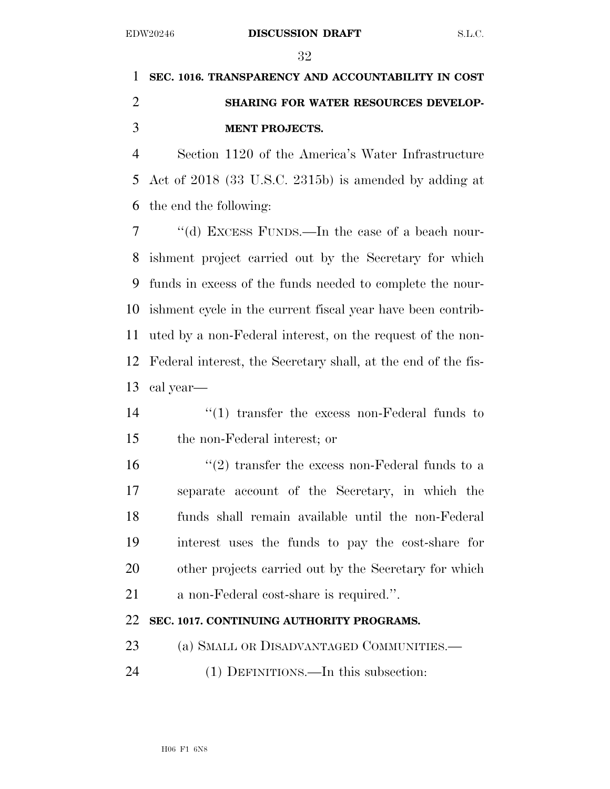# **SEC. 1016. TRANSPARENCY AND ACCOUNTABILITY IN COST SHARING FOR WATER RESOURCES DEVELOP-MENT PROJECTS.**

 Section 1120 of the America's Water Infrastructure Act of 2018 (33 U.S.C. 2315b) is amended by adding at the end the following:

 ''(d) EXCESS FUNDS.—In the case of a beach nour- ishment project carried out by the Secretary for which funds in excess of the funds needed to complete the nour- ishment cycle in the current fiscal year have been contrib- uted by a non-Federal interest, on the request of the non- Federal interest, the Secretary shall, at the end of the fis-cal year—

- ''(1) transfer the excess non-Federal funds to the non-Federal interest; or
- $\frac{16}{2}$  transfer the excess non-Federal funds to a separate account of the Secretary, in which the funds shall remain available until the non-Federal interest uses the funds to pay the cost-share for other projects carried out by the Secretary for which a non-Federal cost-share is required.''.

# **SEC. 1017. CONTINUING AUTHORITY PROGRAMS.**

- 23 (a) SMALL OR DISADVANTAGED COMMUNITIES.—
- (1) DEFINITIONS.—In this subsection: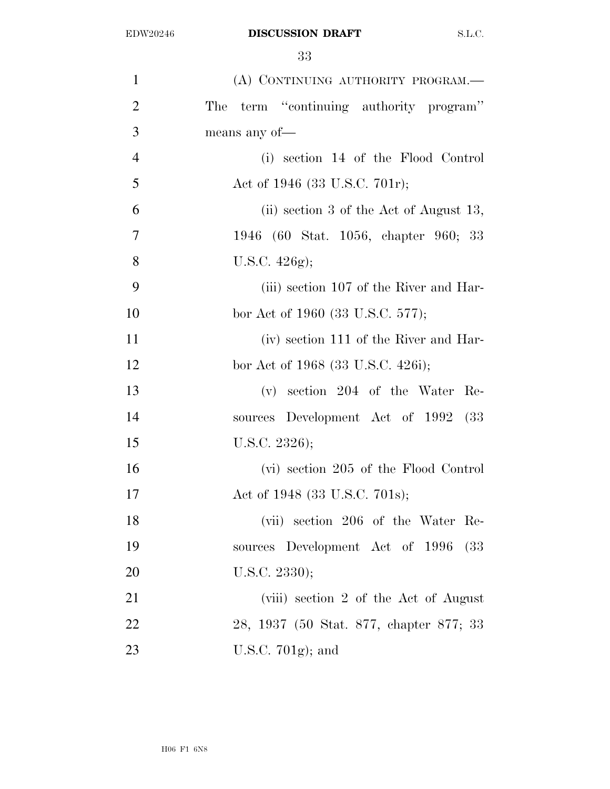| $\mathbf{1}$   | (A) CONTINUING AUTHORITY PROGRAM.-      |
|----------------|-----------------------------------------|
| $\overline{2}$ | The term "continuing authority program" |
| 3              | means any of-                           |
| $\overline{4}$ | (i) section 14 of the Flood Control     |
| 5              | Act of 1946 (33 U.S.C. 701r);           |
| 6              | (ii) section 3 of the Act of August 13, |
| $\overline{7}$ | 1946 (60 Stat. 1056, chapter 960; 33    |
| 8              | U.S.C. $426g$ ;                         |
| 9              | (iii) section 107 of the River and Har- |
| 10             | bor Act of 1960 (33 U.S.C. 577);        |
| 11             | (iv) section 111 of the River and Har-  |
| 12             | bor Act of 1968 (33 U.S.C. 426i);       |
| 13             | $(v)$ section 204 of the Water Re-      |
| 14             | sources Development Act of 1992 (33     |
| 15             | U.S.C. $2326$ );                        |
| 16             | (vi) section 205 of the Flood Control   |
| 17             | Act of 1948 (33 U.S.C. 701s);           |
| 18             | (vii) section 206 of the Water Re-      |
| 19             | sources Development Act of 1996<br>(33) |
| 20             | U.S.C. $2330$ );                        |
| 21             | (viii) section 2 of the Act of August   |
| 22             | 28, 1937 (50 Stat. 877, chapter 877; 33 |
| 23             | U.S.C. $701g$ ; and                     |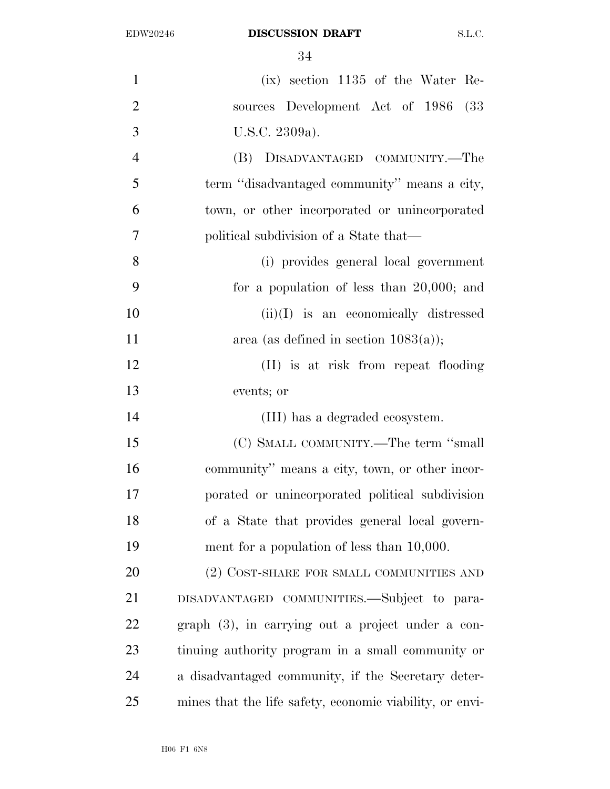| $\mathbf{1}$   | $(ix)$ section 1135 of the Water Re-                     |
|----------------|----------------------------------------------------------|
| $\overline{2}$ | sources Development Act of 1986 (33                      |
| 3              | U.S.C. 2309a).                                           |
| $\overline{4}$ | DISADVANTAGED COMMUNITY.—The<br>(B)                      |
| 5              | term "disadvantaged community" means a city,             |
| 6              | town, or other incorporated or unincorporated            |
| 7              | political subdivision of a State that—                   |
| 8              | (i) provides general local government                    |
| 9              | for a population of less than $20,000$ ; and             |
| 10             | $(ii)(I)$ is an economically distressed                  |
| 11             | area (as defined in section $1083(a)$ );                 |
| 12             | (II) is at risk from repeat flooding                     |
| 13             | events; or                                               |
| 14             | (III) has a degraded ecosystem.                          |
| 15             | (C) SMALL COMMUNITY.—The term "small                     |
| 16             | community" means a city, town, or other incor-           |
| 17             | porated or unincorporated political subdivision          |
| 18             | of a State that provides general local govern-           |
| 19             | ment for a population of less than 10,000.               |
| 20             | (2) COST-SHARE FOR SMALL COMMUNITIES AND                 |
| 21             | DISADVANTAGED COMMUNITIES.—Subject to para-              |
| 22             | $graph(3)$ , in carrying out a project under a con-      |
| 23             | tinuing authority program in a small community or        |
| 24             | a disadvantaged community, if the Secretary deter-       |
| 25             | mines that the life safety, economic viability, or envi- |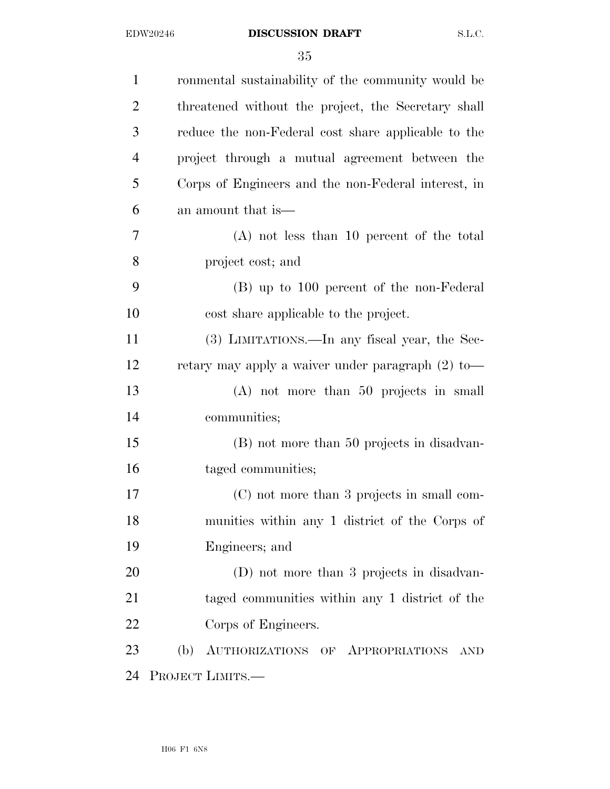### EDW20246 **DISCUSSION DRAFT** S.L.C.

| $\mathbf{1}$   | ronmental sustainability of the community would be   |
|----------------|------------------------------------------------------|
| $\overline{2}$ | threatened without the project, the Secretary shall  |
| 3              | reduce the non-Federal cost share applicable to the  |
| $\overline{4}$ | project through a mutual agreement between the       |
| 5              | Corps of Engineers and the non-Federal interest, in  |
| 6              | an amount that is—                                   |
| 7              | (A) not less than 10 percent of the total            |
| 8              | project cost; and                                    |
| 9              | (B) up to 100 percent of the non-Federal             |
| 10             | cost share applicable to the project.                |
| 11             | (3) LIMITATIONS.—In any fiscal year, the Sec-        |
| 12             | retary may apply a waiver under paragraph $(2)$ to — |
| 13             | $(A)$ not more than 50 projects in small             |
| 14             | communities;                                         |
| 15             | (B) not more than 50 projects in disadvan-           |
| 16             | taged communities;                                   |
| 17             | (C) not more than 3 projects in small com-           |
| 18             | munities within any 1 district of the Corps of       |
| 19             | Engineers; and                                       |
| 20             | (D) not more than 3 projects in disadvan-            |
| 21             | taged communities within any 1 district of the       |
| 22             | Corps of Engineers.                                  |
| 23             | (b) AUTHORIZATIONS OF APPROPRIATIONS AND             |
| 24             | PROJECT LIMITS.-                                     |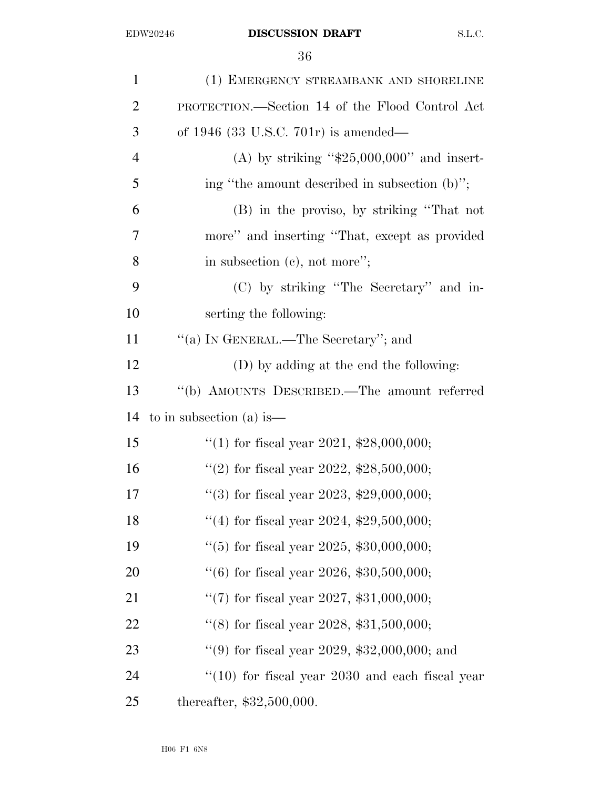| $\mathbf{1}$   | (1) EMERGENCY STREAMBANK AND SHORELINE             |
|----------------|----------------------------------------------------|
| $\overline{2}$ | PROTECTION.—Section 14 of the Flood Control Act    |
| 3              | of 1946 (33 U.S.C. 701r) is amended—               |
| $\overline{4}$ | (A) by striking " $$25,000,000"$ and insert-       |
| 5              | ing "the amount described in subsection (b)";      |
| 6              | (B) in the proviso, by striking "That not          |
| 7              | more" and inserting "That, except as provided      |
| 8              | in subsection $(e)$ , not more";                   |
| 9              | (C) by striking "The Secretary" and in-            |
| 10             | serting the following:                             |
| 11             | "(a) IN GENERAL.—The Secretary"; and               |
| 12             | (D) by adding at the end the following:            |
| 13             | "(b) AMOUNTS DESCRIBED.—The amount referred        |
| 14             | to in subsection (a) is —                          |
| 15             | "(1) for fiscal year 2021, $$28,000,000;$          |
| 16             | "(2) for fiscal year 2022, $$28,500,000;$          |
| 17             | "(3) for fiscal year 2023, $$29,000,000;$          |
| 18             | "(4) for fiscal year 2024, $$29,500,000;$          |
| 19             | "(5) for fiscal year 2025, $$30,000,000;$          |
| 20             | $(6)$ for fiscal year 2026, \$30,500,000;          |
| 21             | "(7) for fiscal year 2027, $\$31,000,000;$         |
| 22             | "(8) for fiscal year 2028, $$31,500,000;$          |
| 23             | "(9) for fiscal year 2029, $$32,000,000$ ; and     |
| 24             | $``(10)$ for fiscal year 2030 and each fiscal year |
| 25             | thereafter, $$32,500,000$ .                        |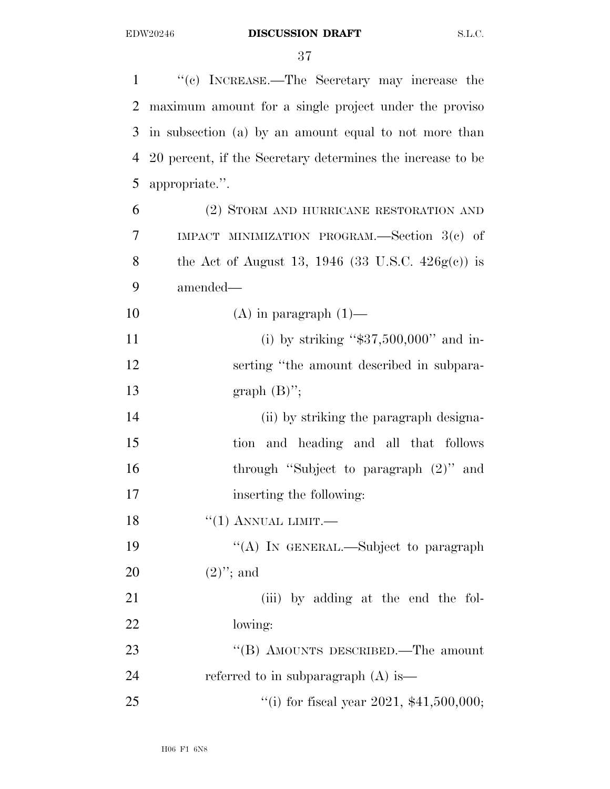| $\mathbf{1}$ | "(c) INCREASE.—The Secretary may increase the              |
|--------------|------------------------------------------------------------|
| 2            | maximum amount for a single project under the proviso      |
| 3            | in subsection (a) by an amount equal to not more than      |
| 4            | 20 percent, if the Secretary determines the increase to be |
| 5            | appropriate.".                                             |
| 6            | (2) STORM AND HURRICANE RESTORATION AND                    |
| 7            | IMPACT MINIMIZATION PROGRAM.—Section $3(e)$ of             |
| 8            | the Act of August 13, 1946 (33 U.S.C. $426g(c)$ ) is       |
| 9            | amended—                                                   |
| 10           | $(A)$ in paragraph $(1)$ —                                 |
| 11           | (i) by striking " $$37,500,000"$ and in-                   |
| 12           | serting "the amount described in subpara-                  |
| 13           | graph $(B)$ ";                                             |
| 14           | (ii) by striking the paragraph designa-                    |
| 15           | tion and heading and all that follows                      |
| 16           | through "Subject to paragraph (2)" and                     |
| 17           | inserting the following:                                   |
| 18           | $``(1)$ ANNUAL LIMIT.—                                     |
| 19           | "(A) IN GENERAL.—Subject to paragraph                      |
| 20           | $(2)$ "; and                                               |
| 21           | (iii) by adding at the end the fol-                        |
| 22           | lowing:                                                    |
| 23           | "(B) AMOUNTS DESCRIBED.—The amount                         |
| 24           | referred to in subparagraph $(A)$ is —                     |
| 25           | "(i) for fiscal year 2021, $$41,500,000;$                  |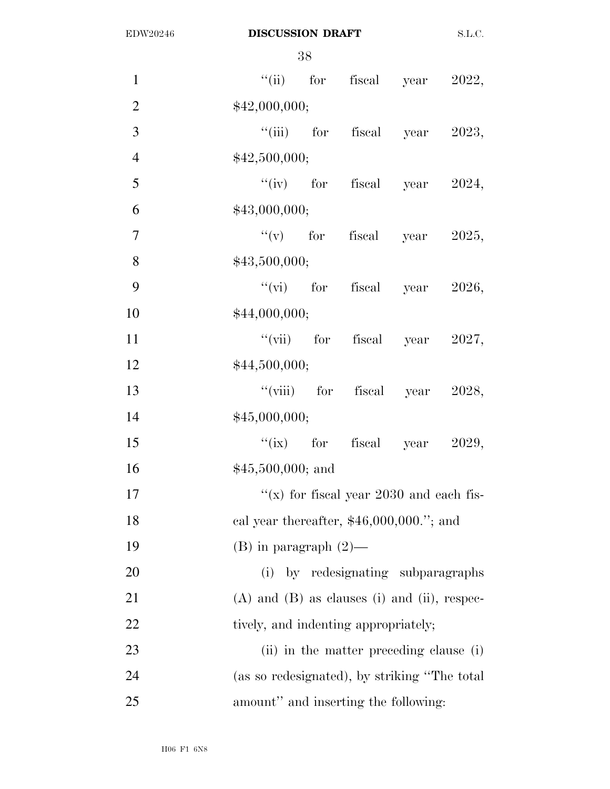| $\mathbf{1}$   |               |                            | "(ii) for fiscal year $2022$ ,                   |  |
|----------------|---------------|----------------------------|--------------------------------------------------|--|
| $\overline{2}$ | \$42,000,000; |                            |                                                  |  |
| 3              |               |                            | "(iii) for fiscal year $2023$ ,                  |  |
| $\overline{4}$ | \$42,500,000; |                            |                                                  |  |
| 5              |               |                            | "(iv) for fiscal year $2024$ ,                   |  |
| 6              | \$43,000,000; |                            |                                                  |  |
| $\overline{7}$ |               |                            | "(v) for fiscal year $2025$ ,                    |  |
| 8              | \$43,500,000; |                            |                                                  |  |
| 9              |               |                            | "(vi) for fiscal year $2026$ ,                   |  |
| 10             | \$44,000,000; |                            |                                                  |  |
| 11             |               |                            | "(vii) for fiscal year $2027$ ,                  |  |
| 12             | \$44,500,000; |                            |                                                  |  |
| 13             |               |                            | "(viii) for fiscal year $2028$ ,                 |  |
| 14             | \$45,000,000; |                            |                                                  |  |
| 15             |               |                            | "(ix) for fiscal year $2029$ ,                   |  |
| 16             |               | $$45,500,000;$ and         |                                                  |  |
| 17             |               |                            | "(x) for fiscal year $2030$ and each fis-        |  |
| 18             |               |                            | cal year thereafter, $$46,000,000."$ ; and       |  |
| 19             |               | $(B)$ in paragraph $(2)$ — |                                                  |  |
| 20             |               |                            | (i) by redesignating subparagraphs               |  |
| 21             |               |                            | $(A)$ and $(B)$ as clauses (i) and (ii), respec- |  |
| 22             |               |                            | tively, and indenting appropriately;             |  |
| 23             |               |                            | (ii) in the matter preceding clause (i)          |  |
| 24             |               |                            | (as so redesignated), by striking "The total     |  |
| 25             |               |                            | amount" and inserting the following:             |  |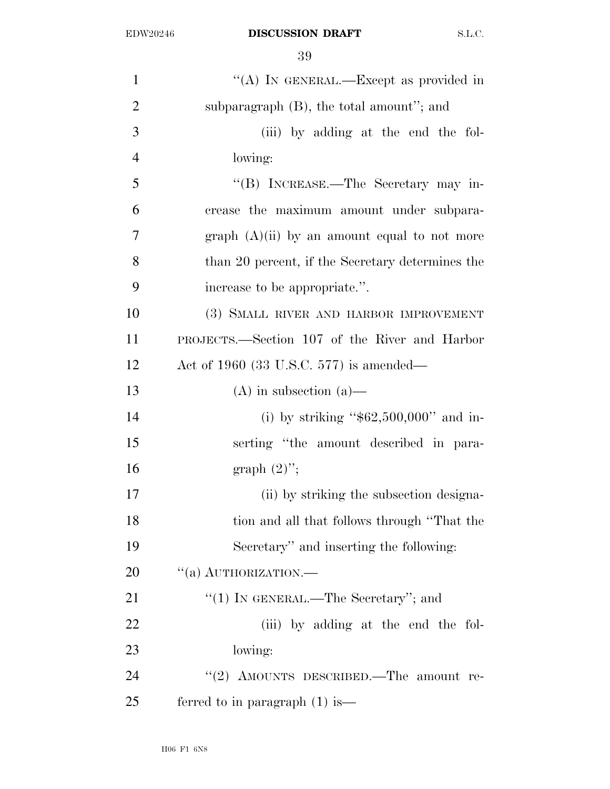| $\mathbf{1}$   | "(A) IN GENERAL.—Except as provided in           |
|----------------|--------------------------------------------------|
| $\overline{2}$ | subparagraph $(B)$ , the total amount"; and      |
| 3              | (iii) by adding at the end the fol-              |
| $\overline{4}$ | lowing:                                          |
| 5              | "(B) INCREASE.—The Secretary may in-             |
| 6              | crease the maximum amount under subpara-         |
| $\overline{7}$ | graph $(A)(ii)$ by an amount equal to not more   |
| 8              | than 20 percent, if the Secretary determines the |
| 9              | increase to be appropriate.".                    |
| 10             | (3) SMALL RIVER AND HARBOR IMPROVEMENT           |
| 11             | PROJECTS.—Section 107 of the River and Harbor    |
| 12             | Act of 1960 (33 U.S.C. 577) is amended—          |
| 13             | $(A)$ in subsection $(a)$ —                      |
| 14             | (i) by striking " $$62,500,000"$ and in-         |
| 15             | serting "the amount described in para-           |
| 16             | graph $(2)$ ";                                   |
| 17             | (ii) by striking the subsection designa-         |
| 18             | tion and all that follows through "That the      |
| 19             | Secretary" and inserting the following:          |
| 20             | $``(a)$ AUTHORIZATION.—                          |
| 21             | "(1) IN GENERAL.—The Secretary"; and             |
| 22             | (iii) by adding at the end the fol-              |
| 23             | lowing:                                          |
| 24             | "(2) AMOUNTS DESCRIBED.—The amount re-           |
| 25             | ferred to in paragraph $(1)$ is —                |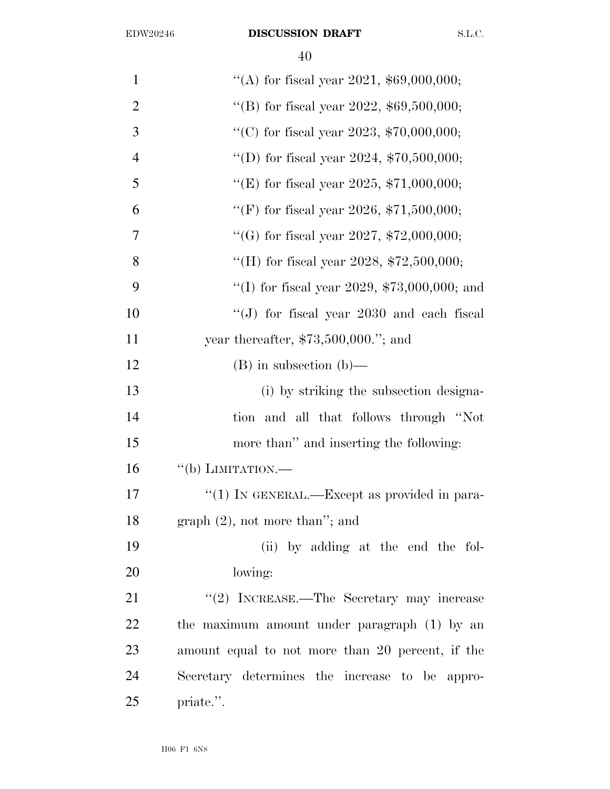| 1              | "(A) for fiscal year 2021, $$69,000,000;$        |
|----------------|--------------------------------------------------|
| $\overline{2}$ | "(B) for fiscal year 2022, $$69,500,000;$        |
| 3              | "(C) for fiscal year 2023, $$70,000,000;$        |
| $\overline{4}$ | "(D) for fiscal year 2024, $$70,500,000;$        |
| 5              | "(E) for fiscal year 2025, $$71,000,000;$        |
| 6              | "(F) for fiscal year 2026, $$71,500,000;$        |
| 7              | "(G) for fiscal year 2027, $$72,000,000;$        |
| 8              | "(H) for fiscal year 2028, $$72,500,000;$        |
| 9              | "(I) for fiscal year 2029, $$73,000,000$ ; and   |
| 10             | "(J) for fiscal year $2030$ and each fiscal      |
| 11             | year thereafter, $$73,500,000."$ ; and           |
| 12             | $(B)$ in subsection $(b)$ —                      |
| 13             | (i) by striking the subsection designa-          |
| 14             | tion and all that follows through "Not           |
| 15             | more than" and inserting the following:          |
| 16             | $``$ (b) LIMITATION.—                            |
| 17             | "(1) IN GENERAL.—Except as provided in para-     |
| 18             | graph $(2)$ , not more than"; and                |
| 19             | (ii) by adding at the end the fol-               |
| 20             | lowing:                                          |
| 21             | "(2) INCREASE.—The Secretary may increase        |
| 22             | the maximum amount under paragraph (1) by an     |
| 23             | amount equal to not more than 20 percent, if the |
| 24             | Secretary determines the increase to be appro-   |
| 25             | priate.".                                        |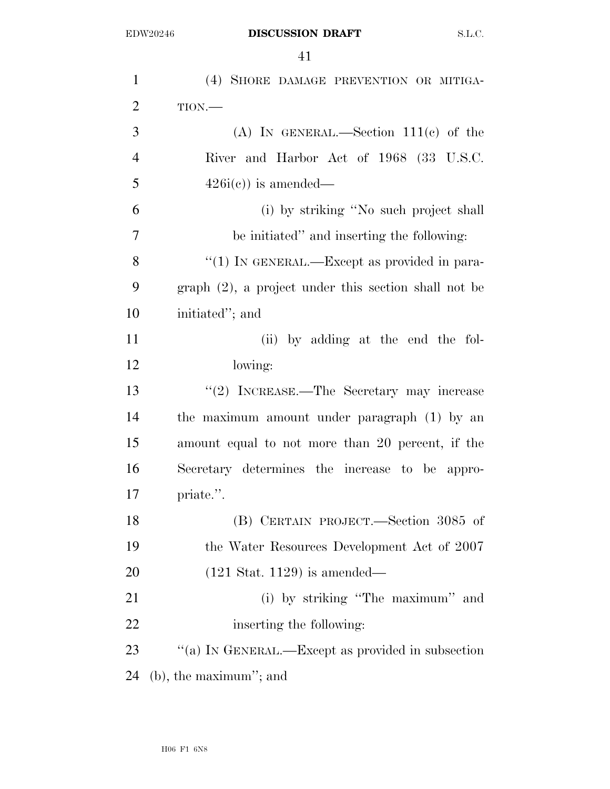| $\mathbf{1}$   | (4) SHORE DAMAGE PREVENTION OR MITIGA-                  |
|----------------|---------------------------------------------------------|
| $\overline{2}$ | TION.                                                   |
| 3              | (A) IN GENERAL.—Section $111(e)$ of the                 |
| $\overline{4}$ | River and Harbor Act of 1968 (33 U.S.C.                 |
| 5              | $426i(e)$ is amended—                                   |
| 6              | (i) by striking "No such project shall                  |
| 7              | be initiated" and inserting the following:              |
| 8              | "(1) IN GENERAL.—Except as provided in para-            |
| 9              | $graph (2)$ , a project under this section shall not be |
| 10             | initiated"; and                                         |
| 11             | (ii) by adding at the end the fol-                      |
| 12             | lowing:                                                 |
| 13             | "(2) INCREASE.—The Secretary may increase               |
| 14             | the maximum amount under paragraph (1) by an            |
| 15             | amount equal to not more than 20 percent, if the        |
| 16             | Secretary determines the increase to be appro-          |
| 17             | priate.".                                               |
| 18             | (B) CERTAIN PROJECT.—Section 3085 of                    |
| 19             | the Water Resources Development Act of 2007             |
| 20             | $(121 \text{ Stat. } 1129)$ is amended—                 |
| 21             | (i) by striking "The maximum" and                       |
| 22             | inserting the following:                                |
| 23             | "(a) IN GENERAL.—Except as provided in subsection       |
| 24             | $(b)$ , the maximum"; and                               |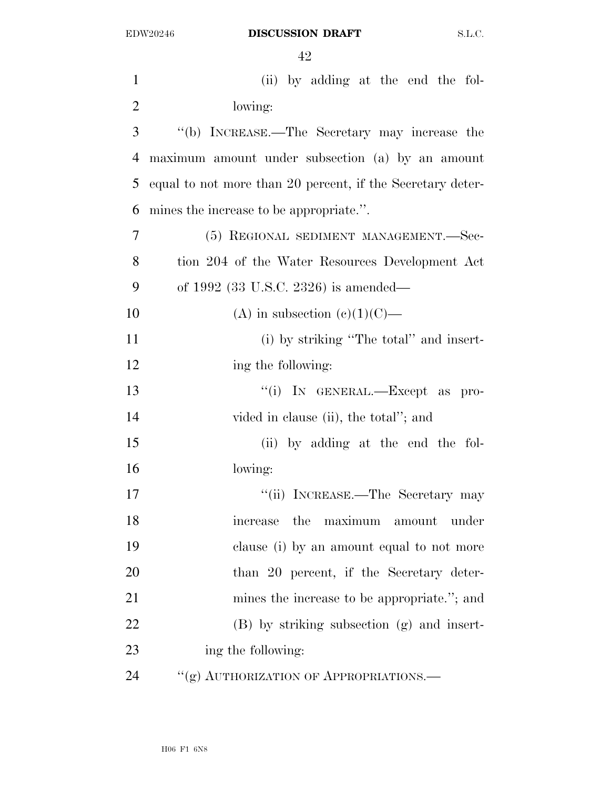| $\mathbf{1}$   | (ii) by adding at the end the fol-                         |
|----------------|------------------------------------------------------------|
| $\overline{2}$ | lowing:                                                    |
| 3              | "(b) INCREASE.—The Secretary may increase the              |
| $\overline{4}$ | maximum amount under subsection (a) by an amount           |
| 5              | equal to not more than 20 percent, if the Secretary deter- |
| 6              | mines the increase to be appropriate.".                    |
| 7              | (5) REGIONAL SEDIMENT MANAGEMENT.—Sec-                     |
| 8              | tion 204 of the Water Resources Development Act            |
| 9              | of 1992 $(33 \text{ U.S.C. } 2326)$ is amended—            |
| 10             | (A) in subsection (c)(1)(C)—                               |
| 11             | (i) by striking "The total" and insert-                    |
| 12             | ing the following:                                         |
| 13             | "(i) IN GENERAL.—Except as pro-                            |
| 14             | vided in clause (ii), the total"; and                      |
| 15             | (ii) by adding at the end the fol-                         |
| 16             | lowing:                                                    |
| 17             | "(ii) INCREASE.—The Secretary may                          |
| 18             | increase the maximum<br>amount<br>under                    |
| 19             | clause (i) by an amount equal to not more                  |
| 20             | than 20 percent, if the Secretary deter-                   |
| 21             | mines the increase to be appropriate."; and                |
| 22             | (B) by striking subsection (g) and insert-                 |
| 23             | ing the following:                                         |
| 24             | "(g) AUTHORIZATION OF APPROPRIATIONS.                      |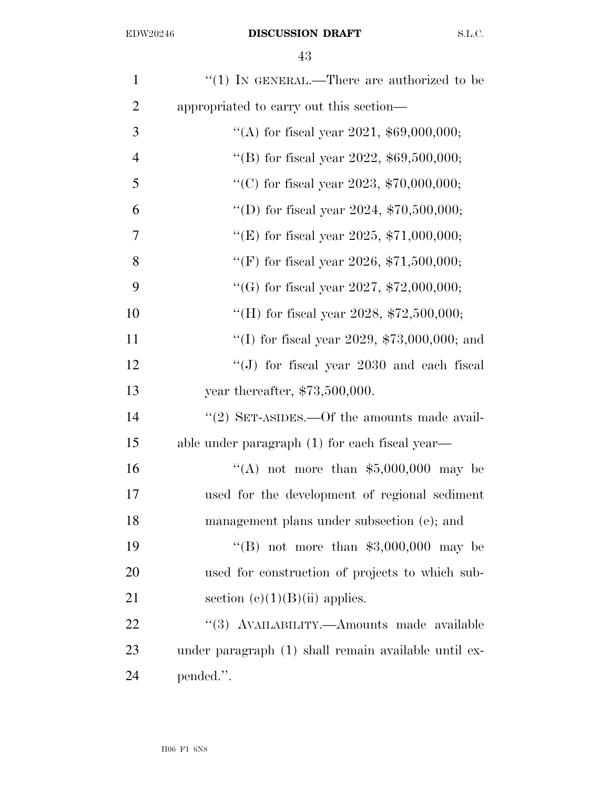| $\mathbf{1}$   | " $(1)$ IN GENERAL.—There are authorized to be       |
|----------------|------------------------------------------------------|
| $\overline{2}$ | appropriated to carry out this section—              |
| 3              | "(A) for fiscal year 2021, $$69,000,000;$            |
| $\overline{4}$ | "(B) for fiscal year 2022, $$69,500,000;$            |
| 5              | "(C) for fiscal year 2023, $$70,000,000;$            |
| 6              | "(D) for fiscal year 2024, $$70,500,000;$            |
| 7              | "(E) for fiscal year 2025, $$71,000,000;$            |
| 8              | "(F) for fiscal year 2026, $$71,500,000;$            |
| 9              | "(G) for fiscal year 2027, $$72,000,000;$            |
| 10             | "(H) for fiscal year 2028, $$72,500,000;$            |
| 11             | "(I) for fiscal year 2029, $$73,000,000$ ; and       |
| 12             | "(J) for fiscal year $2030$ and each fiscal          |
| 13             | year thereafter, \$73,500,000.                       |
| 14             | "(2) SET-ASIDES.—Of the amounts made avail-          |
| 15             | able under paragraph (1) for each fiscal year—       |
| 16             | "(A) not more than $$5,000,000$ may be               |
| 17             | used for the development of regional sediment        |
| 18             | management plans under subsection (e); and           |
| 19             | "(B) not more than $$3,000,000$ may be               |
| 20             | used for construction of projects to which sub-      |
| 21             | section $(c)(1)(B)(ii)$ applies.                     |
| 22             | "(3) AVAILABILITY.—Amounts made available            |
| 23             | under paragraph (1) shall remain available until ex- |
| 24             | pended.".                                            |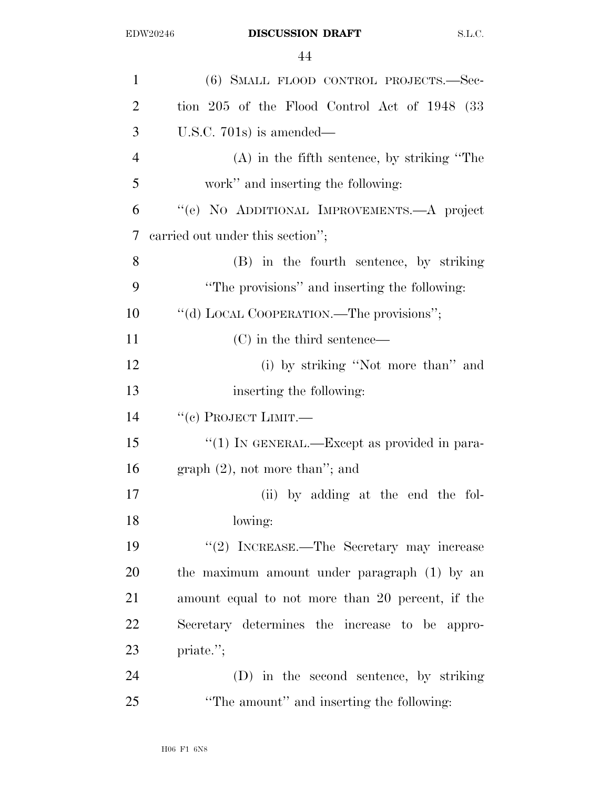| $\mathbf{1}$   | (6) SMALL FLOOD CONTROL PROJECTS.-Sec-           |
|----------------|--------------------------------------------------|
| $\overline{2}$ | tion 205 of the Flood Control Act of 1948 (33    |
| 3              | U.S.C. $701s$ is amended—                        |
| $\overline{4}$ | $(A)$ in the fifth sentence, by striking "The    |
| 5              | work" and inserting the following:               |
| 6              | "(e) NO ADDITIONAL IMPROVEMENTS.—A project       |
| 7              | carried out under this section";                 |
| 8              | (B) in the fourth sentence, by striking          |
| 9              | "The provisions" and inserting the following:    |
| 10             | "(d) LOCAL COOPERATION.—The provisions";         |
| 11             | $(C)$ in the third sentence—                     |
| 12             | (i) by striking "Not more than" and              |
| 13             | inserting the following:                         |
| 14             | $``$ (c) PROJECT LIMIT.—                         |
| 15             | " $(1)$ In GENERAL.—Except as provided in para-  |
| 16             | $graph (2)$ , not more than"; and                |
| 17             | (ii) by adding at the end the fol-               |
| 18             | lowing:                                          |
| 19             | "(2) INCREASE.—The Secretary may increase        |
| 20             | the maximum amount under paragraph (1) by an     |
| 21             | amount equal to not more than 20 percent, if the |
| 22             | Secretary determines the increase to be appro-   |
| 23             | priate.";                                        |
| 24             | (D) in the second sentence, by striking          |
| 25             | "The amount" and inserting the following:        |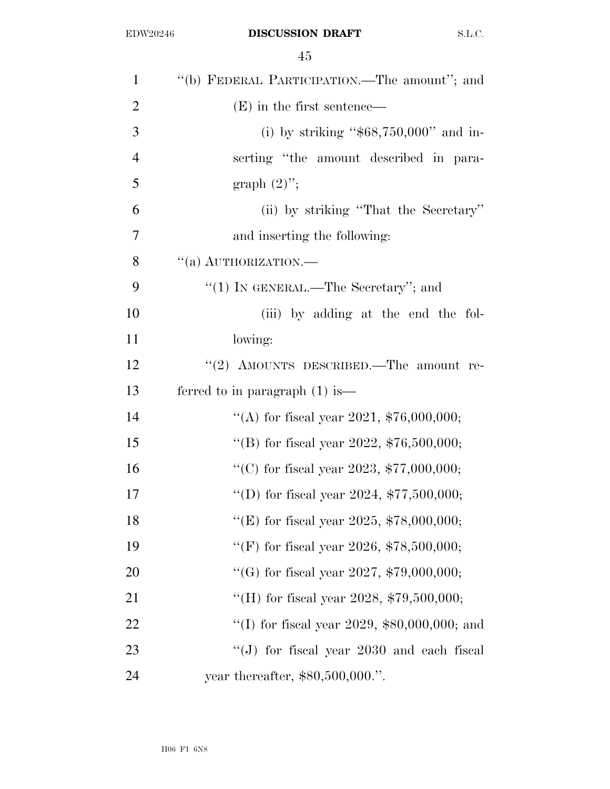| $\mathbf{1}$   | "(b) FEDERAL PARTICIPATION.—The amount"; and   |
|----------------|------------------------------------------------|
| $\overline{2}$ | $(E)$ in the first sentence—                   |
| 3              | (i) by striking " $$68,750,000"$ and in-       |
| 4              | serting "the amount described in para-         |
| 5              | graph $(2)$ ";                                 |
| 6              | (ii) by striking "That the Secretary"          |
| 7              | and inserting the following:                   |
| 8              | $``(a)$ AUTHORIZATION.—                        |
| 9              | $``(1)$ IN GENERAL.—The Secretary"; and        |
| 10             | (iii) by adding at the end the fol-            |
| 11             | lowing:                                        |
| 12             | "(2) AMOUNTS DESCRIBED.—The amount re-         |
| 13             | ferred to in paragraph $(1)$ is —              |
| 14             | "(A) for fiscal year 2021, $$76,000,000;$      |
| 15             | "(B) for fiscal year 2022, $$76,500,000;$      |
| 16             | "(C) for fiscal year 2023, $$77,000,000;$      |
| 17             | "(D) for fiscal year 2024, $$77,500,000;$      |
| 18             | "(E) for fiscal year 2025, $$78,000,000;$      |
| 19             | "(F) for fiscal year 2026, $$78,500,000;$      |
| 20             | "(G) for fiscal year 2027, $$79,000,000;$      |
| 21             | "(H) for fiscal year 2028, $$79,500,000;$      |
| 22             | "(I) for fiscal year 2029, $$80,000,000$ ; and |
| 23             | "(J) for fiscal year $2030$ and each fiscal    |
| 24             | year thereafter, \$80,500,000.".               |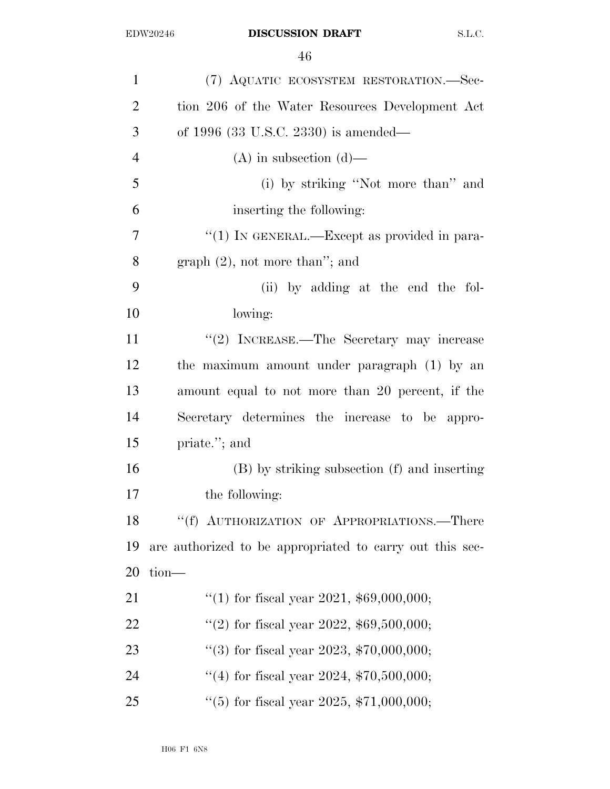| $\mathbf{1}$   | (7) AQUATIC ECOSYSTEM RESTORATION.—Sec-                  |
|----------------|----------------------------------------------------------|
| $\overline{2}$ | tion 206 of the Water Resources Development Act          |
| 3              | of 1996 $(33 \text{ U.S.C. } 2330)$ is amended—          |
| $\overline{4}$ | $(A)$ in subsection $(d)$ —                              |
| 5              | (i) by striking "Not more than" and                      |
| 6              | inserting the following:                                 |
| 7              | "(1) IN GENERAL.—Except as provided in para-             |
| 8              | $graph (2)$ , not more than"; and                        |
| 9              | (ii) by adding at the end the fol-                       |
| 10             | lowing:                                                  |
| 11             | "(2) INCREASE.—The Secretary may increase                |
| 12             | the maximum amount under paragraph (1) by an             |
| 13             | amount equal to not more than 20 percent, if the         |
| 14             | Secretary determines the increase to be appro-           |
| 15             | priate."; and                                            |
| 16             | (B) by striking subsection (f) and inserting             |
| 17             | the following:                                           |
| 18             | "(f) AUTHORIZATION OF APPROPRIATIONS.—There              |
| 19             | are authorized to be appropriated to carry out this sec- |
| 20             | tion-                                                    |
| 21             | "(1) for fiscal year 2021, $$69,000,000;$                |
| 22             | "(2) for fiscal year 2022, $$69,500,000;$                |
| 23             | "(3) for fiscal year 2023, $$70,000,000;$                |
| 24             | "(4) for fiscal year 2024, $$70,500,000;$                |
| 25             | "(5) for fiscal year 2025, $$71,000,000;$                |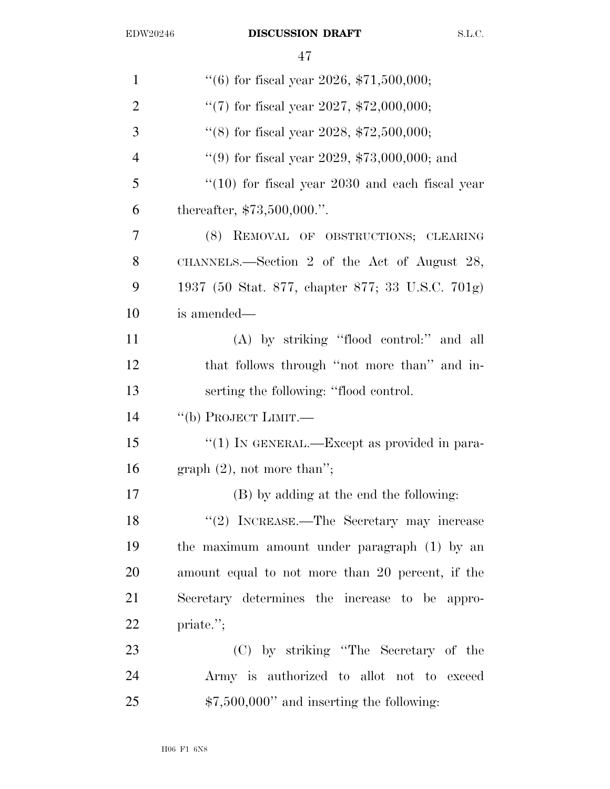| $\mathbf{1}$   | "(6) for fiscal year 2026, $$71,500,000;$        |
|----------------|--------------------------------------------------|
| $\overline{2}$ | "(7) for fiscal year 2027, $$72,000,000;$        |
| 3              | "(8) for fiscal year 2028, $$72,500,000;$        |
| $\overline{4}$ | "(9) for fiscal year 2029, $$73,000,000$ ; and   |
| 5              | $(10)$ for fiscal year 2030 and each fiscal year |
| 6              | thereafter, $$73,500,000."$ .                    |
| 7              | (8) REMOVAL OF OBSTRUCTIONS; CLEARING            |
| 8              | CHANNELS.—Section 2 of the Act of August 28,     |
| 9              | 1937 (50 Stat. 877, chapter 877; 33 U.S.C. 701g) |
| 10             | is amended—                                      |
| 11             | (A) by striking "flood control:" and all         |
| 12             | that follows through "not more than" and in-     |
| 13             | serting the following: "flood control.           |
| 14             | "(b) PROJECT LIMIT.—                             |
| 15             | "(1) IN GENERAL.—Except as provided in para-     |
| 16             | graph $(2)$ , not more than";                    |
| 17             | (B) by adding at the end the following:          |
| 18             | "(2) INCREASE.—The Secretary may increase        |
| 19             | the maximum amount under paragraph (1) by an     |
| 20             | amount equal to not more than 20 percent, if the |
| 21             | Secretary determines the increase to be appro-   |
| 22             | priate.";                                        |
| 23             | (C) by striking "The Secretary of the            |
| 24             | Army is authorized to allot not to exceed        |
| 25             | $$7,500,000"$ and inserting the following:       |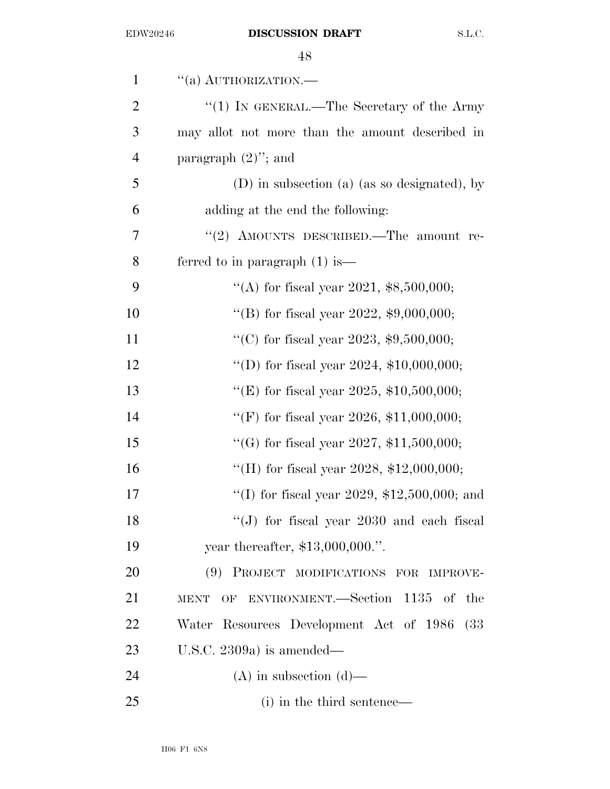| $\mathbf{1}$   | $``(a)$ AUTHORIZATION.—                            |
|----------------|----------------------------------------------------|
| $\overline{2}$ | " $(1)$ IN GENERAL.—The Secretary of the Army      |
| 3              | may allot not more than the amount described in    |
| $\overline{4}$ | paragraph $(2)$ "; and                             |
| 5              | (D) in subsection (a) (as so designated), by       |
| 6              | adding at the end the following:                   |
| 7              | "(2) AMOUNTS DESCRIBED.—The amount re-             |
| 8              | ferred to in paragraph $(1)$ is—                   |
| 9              | "(A) for fiscal year 2021, $$8,500,000;$           |
| 10             | "(B) for fiscal year 2022, $$9,000,000;$           |
| 11             | "(C) for fiscal year 2023, $$9,500,000;$           |
| 12             | "(D) for fiscal year 2024, $$10,000,000;$          |
| 13             | "(E) for fiscal year 2025, $$10,500,000;$          |
| 14             | "(F) for fiscal year 2026, $$11,000,000;$          |
| 15             | "(G) for fiscal year 2027, $$11,500,000;$          |
| 16             | "(H) for fiscal year 2028, $$12,000,000;$          |
| 17             | "(I) for fiscal year 2029, $$12,500,000$ ; and     |
| 18             | "(J) for fiscal year $2030$ and each fiscal        |
| 19             | year thereafter, $$13,000,000."$ .                 |
| 20             | (9) PROJECT MODIFICATIONS FOR IMPROVE-             |
| 21             | OF ENVIRONMENT.—Section 1135 of the<br><b>MENT</b> |
| 22             | Water Resources Development Act of 1986<br>(33)    |
| 23             | U.S.C. 2309a) is amended—                          |
| 24             | $(A)$ in subsection $(d)$ —                        |
| 25             | (i) in the third sentence—                         |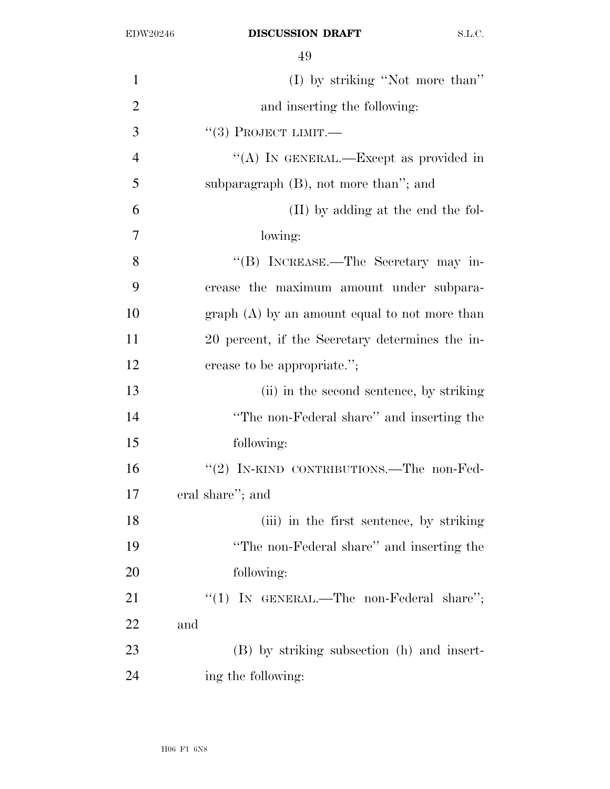| $\mathbf{1}$   | (I) by striking "Not more than"                 |
|----------------|-------------------------------------------------|
| $\overline{2}$ | and inserting the following:                    |
| 3              | $``(3)$ PROJECT LIMIT.—                         |
| $\overline{4}$ | "(A) IN GENERAL.—Except as provided in          |
| 5              | subparagraph $(B)$ , not more than"; and        |
| 6              | (II) by adding at the end the fol-              |
| 7              | lowing:                                         |
| 8              | "(B) INCREASE.—The Secretary may in-            |
| 9              | crease the maximum amount under subpara-        |
| 10             | $graph(A)$ by an amount equal to not more than  |
| 11             | 20 percent, if the Secretary determines the in- |
| 12             | crease to be appropriate.";                     |
| 13             | (ii) in the second sentence, by striking        |
| 14             | "The non-Federal share" and inserting the       |
| 15             | following:                                      |
| 16             | "(2) IN-KIND CONTRIBUTIONS.—The non-Fed-        |
| 17             | eral share"; and                                |
| 18             | (iii) in the first sentence, by striking        |
| 19             | "The non-Federal share" and inserting the       |
| 20             | following:                                      |
| 21             | "(1) IN GENERAL.—The non-Federal share";        |
| 22             | and                                             |
| 23             | (B) by striking subsection (h) and insert-      |
| 24             | ing the following:                              |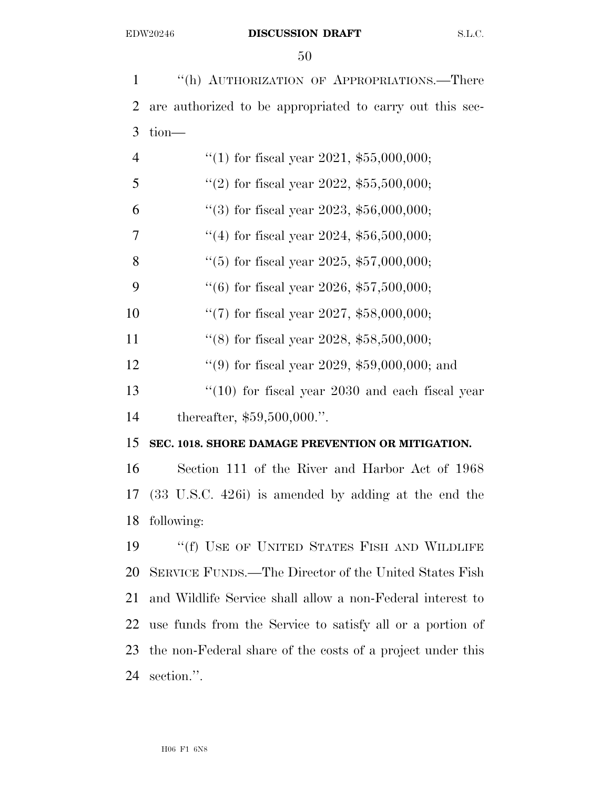''(h) AUTHORIZATION OF APPROPRIATIONS.—There are authorized to be appropriated to carry out this sec- tion—  $\frac{4}{1}$  for fiscal year 2021, \$55,000,000;  $\frac{4}{2}$  for fiscal year 2022, \$55,500,000;  $\frac{4}{3}$  for fiscal year 2023, \$56,000,000;  $(4)$  for fiscal year 2024, \$56,500,000;  $\frac{4}{5}$  for fiscal year 2025, \$57,000,000;  $\frac{4}{6}$  (6) for fiscal year 2026, \$57,500,000; ''(7) for fiscal year 2027, \$58,000,000; ''(8) for fiscal year 2028, \$58,500,000; ''(9) for fiscal year 2029, \$59,000,000; and 13 ''(10) for fiscal year 2030 and each fiscal year thereafter, \$59,500,000.''. **SEC. 1018. SHORE DAMAGE PREVENTION OR MITIGATION.**  Section 111 of the River and Harbor Act of 1968 (33 U.S.C. 426i) is amended by adding at the end the following: 19 "(f) USE OF UNITED STATES FISH AND WILDLIFE SERVICE FUNDS.—The Director of the United States Fish and Wildlife Service shall allow a non-Federal interest to use funds from the Service to satisfy all or a portion of the non-Federal share of the costs of a project under this section.''.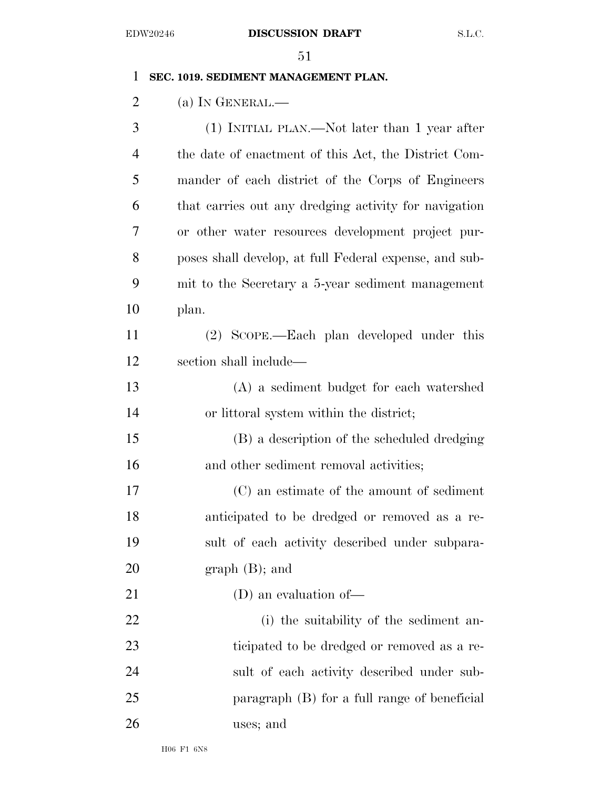## **SEC. 1019. SEDIMENT MANAGEMENT PLAN.**

2 (a) IN GENERAL.—

| 3              | (1) INITIAL PLAN.—Not later than 1 year after          |
|----------------|--------------------------------------------------------|
| $\overline{4}$ | the date of enactment of this Act, the District Com-   |
| 5              | mander of each district of the Corps of Engineers      |
| 6              | that carries out any dredging activity for navigation  |
| 7              | or other water resources development project pur-      |
| 8              | poses shall develop, at full Federal expense, and sub- |
| 9              | mit to the Secretary a 5-year sediment management      |
| 10             | plan.                                                  |
| 11             | (2) SCOPE.—Each plan developed under this              |
| 12             | section shall include—                                 |
| 13             | (A) a sediment budget for each watershed               |
| 14             | or littoral system within the district;                |
| 15             | (B) a description of the scheduled dredging            |
| 16             | and other sediment removal activities;                 |
| 17             | (C) an estimate of the amount of sediment              |
| 18             | anticipated to be dredged or removed as a re-          |
| 19             | sult of each activity described under subpara-         |
| 20             | graph (B); and                                         |
| 21             | $(D)$ an evaluation of —                               |
| 22             | (i) the suitability of the sediment an-                |
| 23             | ticipated to be dredged or removed as a re-            |
| 24             | sult of each activity described under sub-             |
| 25             | paragraph (B) for a full range of beneficial           |
| 26             | uses; and                                              |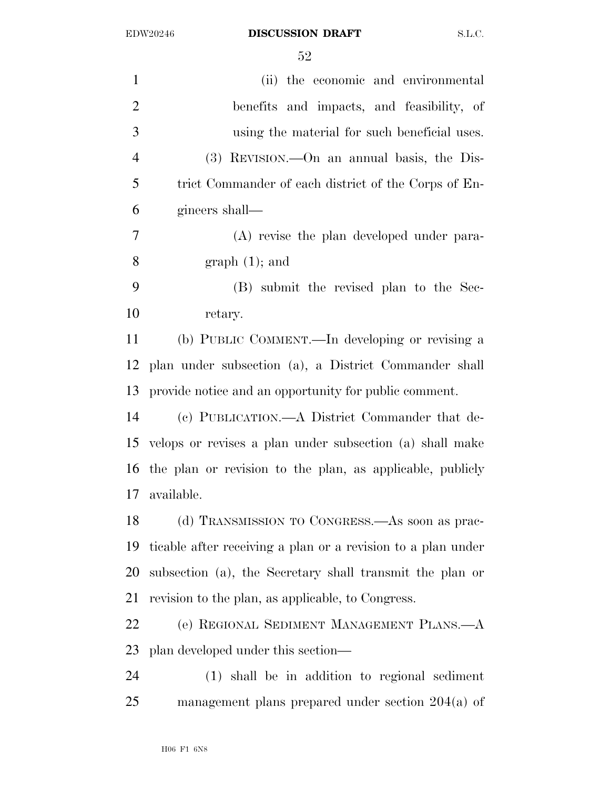| 1              | (ii) the economic and environmental                          |
|----------------|--------------------------------------------------------------|
| $\overline{2}$ | benefits and impacts, and feasibility, of                    |
| 3              | using the material for such beneficial uses.                 |
| $\overline{4}$ | $(3)$ REVISION.—On an annual basis, the Dis-                 |
| 5              | trict Commander of each district of the Corps of En-         |
| 6              | gineers shall—                                               |
| 7              | (A) revise the plan developed under para-                    |
| 8              | $graph(1);$ and                                              |
| 9              | (B) submit the revised plan to the Sec-                      |
| 10             | retary.                                                      |
| 11             | (b) PUBLIC COMMENT.—In developing or revising a              |
| 12             | plan under subsection (a), a District Commander shall        |
| 13             | provide notice and an opportunity for public comment.        |
| 14             | (c) PUBLICATION.—A District Commander that de-               |
| 15             | velops or revises a plan under subsection (a) shall make     |
|                | 16 the plan or revision to the plan, as applicable, publicly |
| 17             | available.                                                   |
| 18             | (d) TRANSMISSION TO CONGRESS.—As soon as prac-               |
| 19             | ticable after receiving a plan or a revision to a plan under |
| 20             | subsection (a), the Secretary shall transmit the plan or     |
| 21             | revision to the plan, as applicable, to Congress.            |
| 22             | (e) REGIONAL SEDIMENT MANAGEMENT PLANS.—A                    |
| 23             | plan developed under this section—                           |
| 24             | (1) shall be in addition to regional sediment                |
| 25             | management plans prepared under section $204(a)$ of          |
|                |                                                              |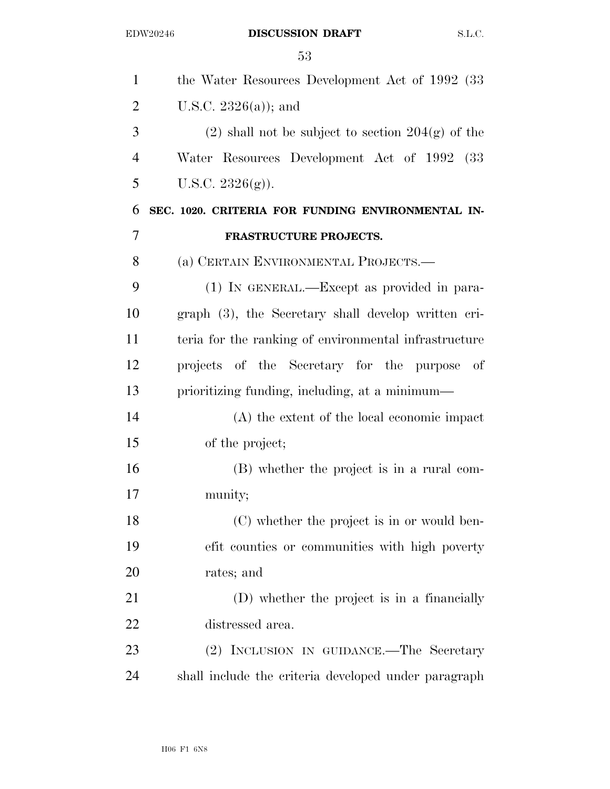| $\mathbf{1}$   | the Water Resources Development Act of 1992 (33)      |
|----------------|-------------------------------------------------------|
| $\overline{2}$ | U.S.C. $2326(a)$ ; and                                |
| 3              | $(2)$ shall not be subject to section $204(g)$ of the |
| $\overline{4}$ | Water Resources Development Act of 1992 (33           |
| 5              | U.S.C. $2326(g)$ ).                                   |
| 6              | SEC. 1020. CRITERIA FOR FUNDING ENVIRONMENTAL IN-     |
| 7              | FRASTRUCTURE PROJECTS.                                |
| 8              | (a) CERTAIN ENVIRONMENTAL PROJECTS.—                  |
| 9              | (1) IN GENERAL.—Except as provided in para-           |
| 10             | $graph(3)$ , the Secretary shall develop written cri- |
| 11             | teria for the ranking of environmental infrastructure |
| 12             | projects of the Secretary for the purpose of          |
| 13             | prioritizing funding, including, at a minimum—        |
| 14             | (A) the extent of the local economic impact           |
| 15             | of the project;                                       |
| 16             | (B) whether the project is in a rural com-            |
| 17             | munity;                                               |
| 18             | (C) whether the project is in or would ben-           |
| 19             | efit counties or communities with high poverty        |
| 20             | rates; and                                            |
| 21             | (D) whether the project is in a financially           |
| 22             | distressed area.                                      |
| 23             | (2) INCLUSION IN GUIDANCE.—The Secretary              |
| 24             | shall include the criteria developed under paragraph  |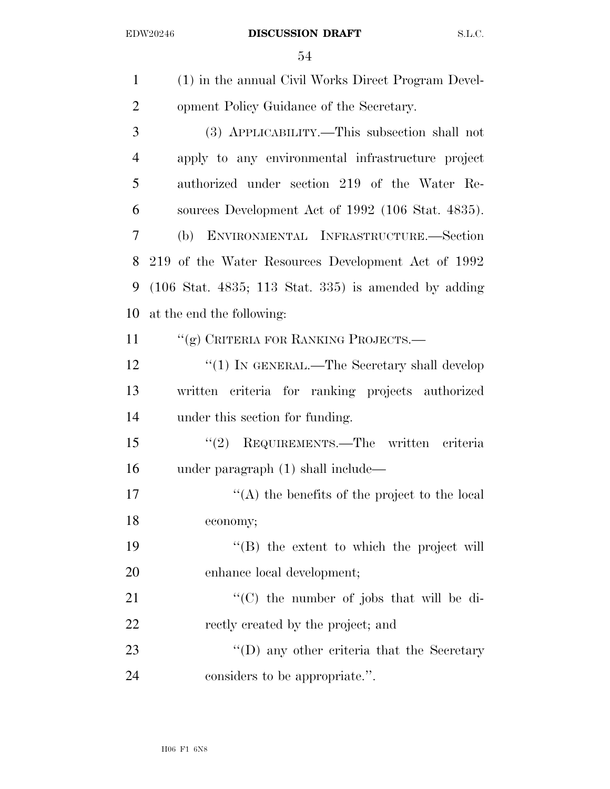| $\mathbf{1}$   | (1) in the annual Civil Works Direct Program Devel-                      |
|----------------|--------------------------------------------------------------------------|
| $\overline{2}$ | opment Policy Guidance of the Secretary.                                 |
| 3              | (3) APPLICABILITY.—This subsection shall not                             |
| $\overline{4}$ | apply to any environmental infrastructure project                        |
| 5              | authorized under section 219 of the Water Re-                            |
| 6              | sources Development Act of 1992 (106 Stat. 4835).                        |
| 7              | ENVIRONMENTAL INFRASTRUCTURE.-Section<br>(b)                             |
| 8              | 219 of the Water Resources Development Act of 1992                       |
| 9              | $(106 \text{ Stat. } 4835; 113 \text{ Stat. } 335)$ is amended by adding |
| 10             | at the end the following:                                                |
| 11             | "(g) CRITERIA FOR RANKING PROJECTS.—                                     |
| 12             | " $(1)$ IN GENERAL.—The Secretary shall develop                          |
| 13             | written criteria for ranking projects authorized                         |
| 14             | under this section for funding.                                          |
| 15             | "(2) REQUIREMENTS.—The written criteria                                  |
| 16             | under paragraph $(1)$ shall include—                                     |
| 17             | $\lq\lq$ the benefits of the project to the local                        |
| 18             | economy;                                                                 |
| 19             | "(B) the extent to which the project will                                |
| 20             | enhance local development;                                               |
| 21             | $\lq\lq$ (C) the number of jobs that will be di-                         |
| 22             | rectly created by the project; and                                       |
| 23             | $\lq\lq$ (D) any other criteria that the Secretary                       |
| 24             | considers to be appropriate.".                                           |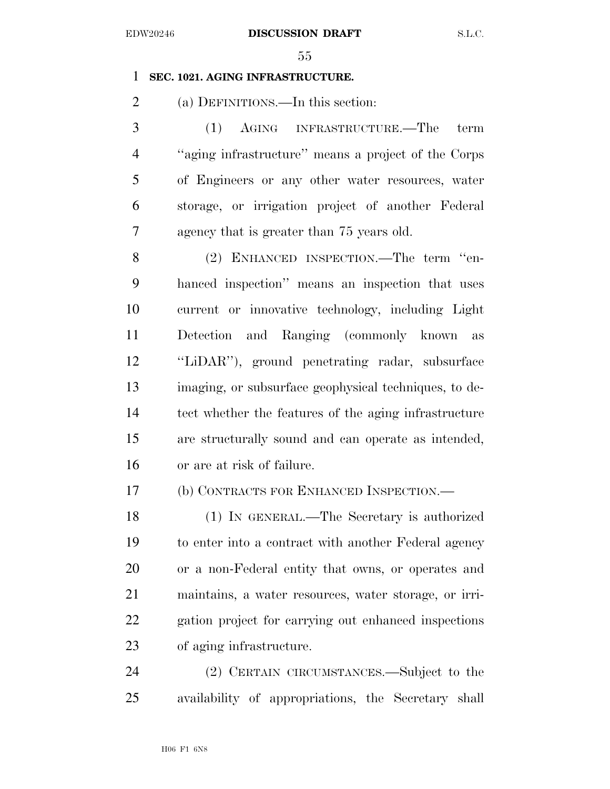### **SEC. 1021. AGING INFRASTRUCTURE.**

(a) DEFINITIONS.—In this section:

 (1) AGING INFRASTRUCTURE.—The term ''aging infrastructure'' means a project of the Corps of Engineers or any other water resources, water storage, or irrigation project of another Federal agency that is greater than 75 years old.

8 (2) ENHANCED INSPECTION.—The term "en- hanced inspection'' means an inspection that uses current or innovative technology, including Light Detection and Ranging (commonly known as ''LiDAR''), ground penetrating radar, subsurface imaging, or subsurface geophysical techniques, to de- tect whether the features of the aging infrastructure are structurally sound and can operate as intended, or are at risk of failure.

(b) CONTRACTS FOR ENHANCED INSPECTION.—

 (1) IN GENERAL.—The Secretary is authorized to enter into a contract with another Federal agency or a non-Federal entity that owns, or operates and maintains, a water resources, water storage, or irri- gation project for carrying out enhanced inspections of aging infrastructure.

 (2) CERTAIN CIRCUMSTANCES.—Subject to the availability of appropriations, the Secretary shall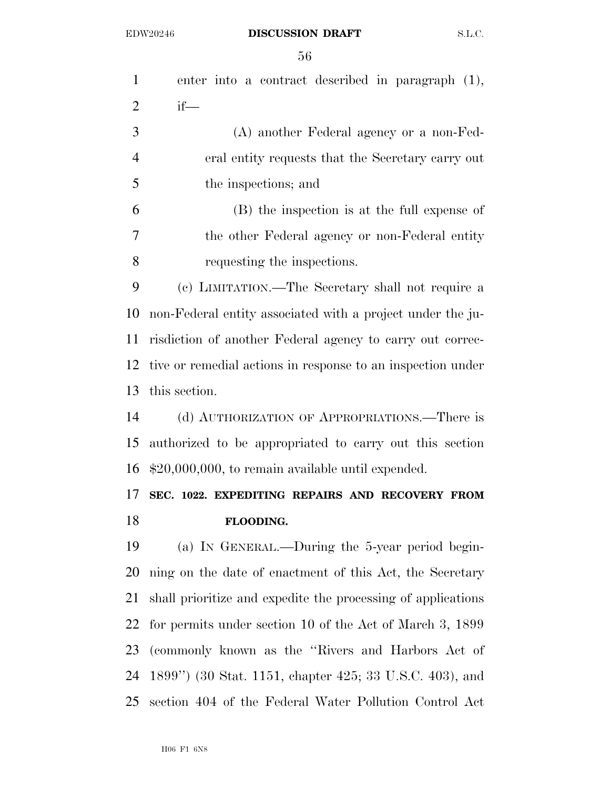| $\mathbf{1}$   | enter into a contract described in paragraph (1),            |
|----------------|--------------------------------------------------------------|
| $\overline{2}$ | $if$ —                                                       |
| 3              | (A) another Federal agency or a non-Fed-                     |
| $\overline{4}$ | eral entity requests that the Secretary carry out            |
| 5              | the inspections; and                                         |
| 6              | (B) the inspection is at the full expense of                 |
| 7              | the other Federal agency or non-Federal entity               |
| 8              | requesting the inspections.                                  |
| 9              | (c) LIMITATION.—The Secretary shall not require a            |
| 10             | non-Federal entity associated with a project under the ju-   |
| 11             | risdiction of another Federal agency to carry out correc-    |
| 12             | tive or remedial actions in response to an inspection under  |
| 13             | this section.                                                |
| 14             | (d) AUTHORIZATION OF APPROPRIATIONS.—There is                |
| 15             | authorized to be appropriated to carry out this section      |
| 16             | $$20,000,000$ , to remain available until expended.          |
| 17             | SEC. 1022. EXPEDITING REPAIRS AND RECOVERY FROM              |
| 18             | FLOODING.                                                    |
| 19             | (a) IN GENERAL.—During the 5-year period begin-              |
| 20             | ning on the date of enactment of this Act, the Secretary     |
| 21             | shall prioritize and expedite the processing of applications |
| 22             | for permits under section 10 of the Act of March 3, 1899     |
| 23             | (commonly known as the "Rivers and Harbors Act of            |
| 24             | 1899") (30 Stat. 1151, chapter 425; 33 U.S.C. 403), and      |
| 25             | section 404 of the Federal Water Pollution Control Act       |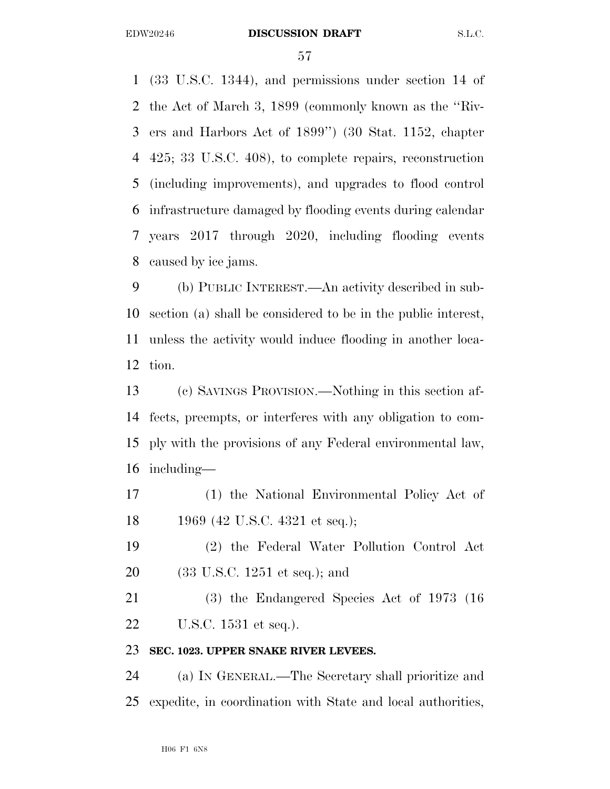#### EDW20246 **DISCUSSION DRAFT** S.L.C.

 (33 U.S.C. 1344), and permissions under section 14 of the Act of March 3, 1899 (commonly known as the ''Riv- ers and Harbors Act of 1899'') (30 Stat. 1152, chapter 425; 33 U.S.C. 408), to complete repairs, reconstruction (including improvements), and upgrades to flood control infrastructure damaged by flooding events during calendar years 2017 through 2020, including flooding events caused by ice jams.

 (b) PUBLIC INTEREST.—An activity described in sub- section (a) shall be considered to be in the public interest, unless the activity would induce flooding in another loca-tion.

 (c) SAVINGS PROVISION.—Nothing in this section af- fects, preempts, or interferes with any obligation to com- ply with the provisions of any Federal environmental law, including—

- (1) the National Environmental Policy Act of 1969 (42 U.S.C. 4321 et seq.);
- (2) the Federal Water Pollution Control Act (33 U.S.C. 1251 et seq.); and
- (3) the Endangered Species Act of 1973 (16 U.S.C. 1531 et seq.).

#### **SEC. 1023. UPPER SNAKE RIVER LEVEES.**

 (a) IN GENERAL.—The Secretary shall prioritize and expedite, in coordination with State and local authorities,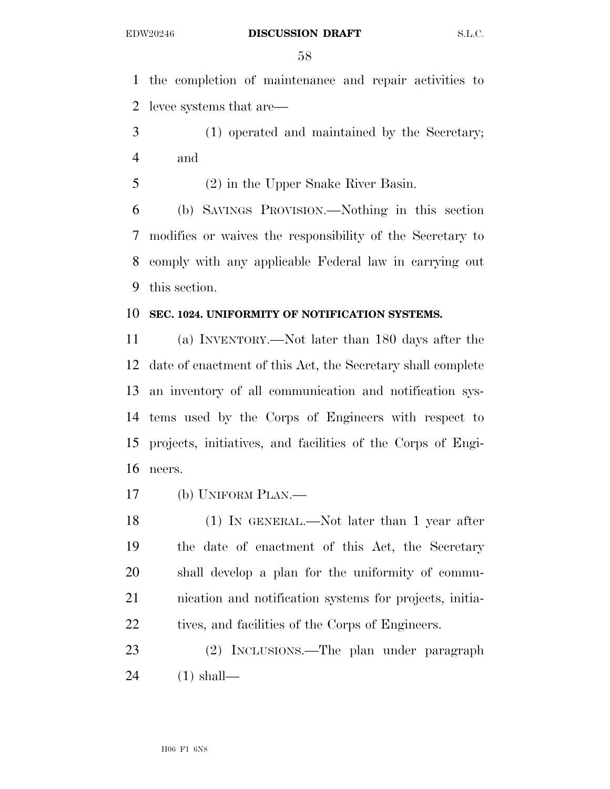the completion of maintenance and repair activities to levee systems that are—

- (1) operated and maintained by the Secretary; and
- (2) in the Upper Snake River Basin.

 (b) SAVINGS PROVISION.—Nothing in this section modifies or waives the responsibility of the Secretary to comply with any applicable Federal law in carrying out this section.

### **SEC. 1024. UNIFORMITY OF NOTIFICATION SYSTEMS.**

 (a) INVENTORY.—Not later than 180 days after the date of enactment of this Act, the Secretary shall complete an inventory of all communication and notification sys- tems used by the Corps of Engineers with respect to projects, initiatives, and facilities of the Corps of Engi-neers.

(b) UNIFORM PLAN.—

 (1) IN GENERAL.—Not later than 1 year after the date of enactment of this Act, the Secretary shall develop a plan for the uniformity of commu- nication and notification systems for projects, initia-tives, and facilities of the Corps of Engineers.

 (2) INCLUSIONS.—The plan under paragraph (1) shall—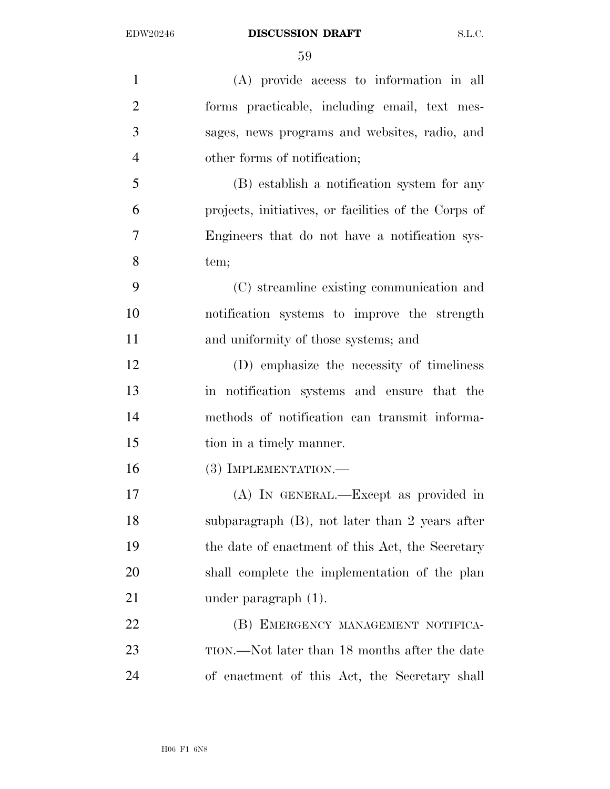(A) provide access to information in all forms practicable, including email, text mes- sages, news programs and websites, radio, and other forms of notification; (B) establish a notification system for any projects, initiatives, or facilities of the Corps of Engineers that do not have a notification sys- tem; (C) streamline existing communication and notification systems to improve the strength and uniformity of those systems; and (D) emphasize the necessity of timeliness in notification systems and ensure that the methods of notification can transmit informa- tion in a timely manner. 16 (3) IMPLEMENTATION.— (A) IN GENERAL.—Except as provided in subparagraph (B), not later than 2 years after the date of enactment of this Act, the Secretary shall complete the implementation of the plan 21 under paragraph (1). **(B) EMERGENCY MANAGEMENT NOTIFICA-** TION.—Not later than 18 months after the date of enactment of this Act, the Secretary shall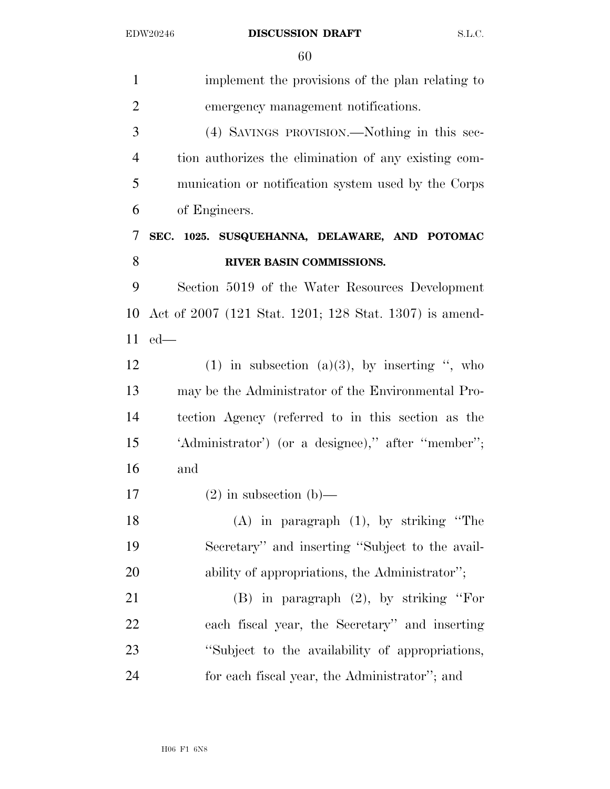| $\mathbf{1}$   | implement the provisions of the plan relating to       |
|----------------|--------------------------------------------------------|
| $\overline{2}$ | emergency management notifications.                    |
| 3              | (4) SAVINGS PROVISION.—Nothing in this sec-            |
| $\overline{4}$ | tion authorizes the elimination of any existing com-   |
| 5              | munication or notification system used by the Corps    |
| 6              | of Engineers.                                          |
| 7              | SEC. 1025. SUSQUEHANNA, DELAWARE, AND POTOMAC          |
| 8              | RIVER BASIN COMMISSIONS.                               |
| 9              | Section 5019 of the Water Resources Development        |
| 10             | Act of 2007 (121 Stat. 1201; 128 Stat. 1307) is amend- |
| 11             | $ed$ —                                                 |
| 12             | $(1)$ in subsection $(a)(3)$ , by inserting ", who     |
| 13             | may be the Administrator of the Environmental Pro-     |
| 14             | tection Agency (referred to in this section as the     |
| 15             | 'Administrator') (or a designee)," after "member";     |
| 16             | and                                                    |
| 17             | $(2)$ in subsection $(b)$ —                            |
| 18             | $(A)$ in paragraph $(1)$ , by striking "The            |
| 19             | Secretary" and inserting "Subject to the avail-        |
| 20             | ability of appropriations, the Administrator";         |
| 21             | $(B)$ in paragraph $(2)$ , by striking "For            |
| 22             | each fiscal year, the Secretary" and inserting         |
| 23             | "Subject to the availability of appropriations,        |
| 24             | for each fiscal year, the Administrator"; and          |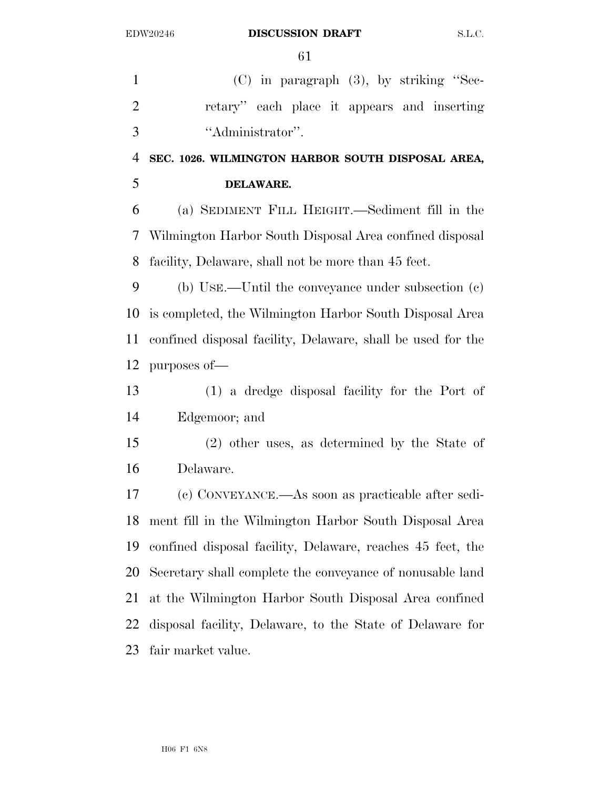(C) in paragraph (3), by striking ''Sec- retary'' each place it appears and inserting ''Administrator''. **SEC. 1026. WILMINGTON HARBOR SOUTH DISPOSAL AREA, DELAWARE.**  (a) SEDIMENT FILL HEIGHT.—Sediment fill in the Wilmington Harbor South Disposal Area confined disposal facility, Delaware, shall not be more than 45 feet. (b) USE.—Until the conveyance under subsection (c) is completed, the Wilmington Harbor South Disposal Area confined disposal facility, Delaware, shall be used for the purposes of— (1) a dredge disposal facility for the Port of Edgemoor; and (2) other uses, as determined by the State of Delaware. (c) CONVEYANCE.—As soon as practicable after sedi- ment fill in the Wilmington Harbor South Disposal Area confined disposal facility, Delaware, reaches 45 feet, the Secretary shall complete the conveyance of nonusable land at the Wilmington Harbor South Disposal Area confined

 disposal facility, Delaware, to the State of Delaware for fair market value.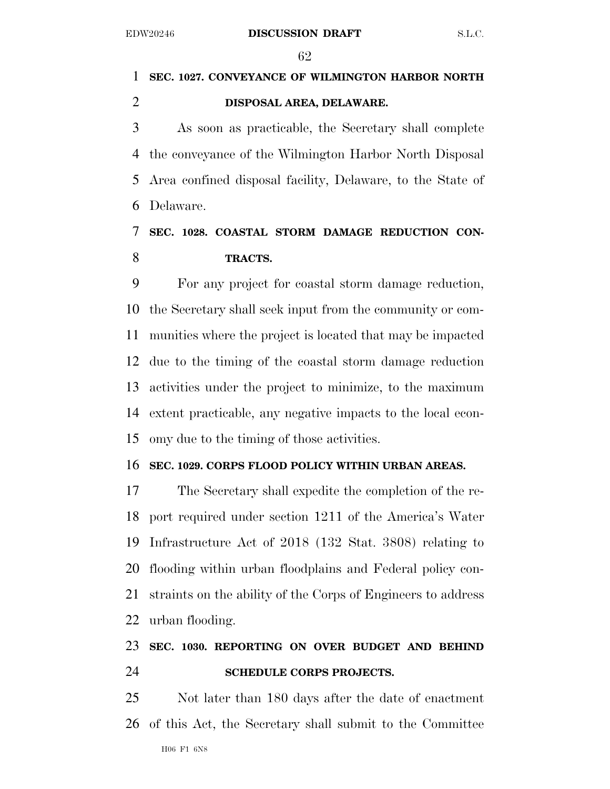# **SEC. 1027. CONVEYANCE OF WILMINGTON HARBOR NORTH DISPOSAL AREA, DELAWARE.**

 As soon as practicable, the Secretary shall complete the conveyance of the Wilmington Harbor North Disposal Area confined disposal facility, Delaware, to the State of Delaware.

## **SEC. 1028. COASTAL STORM DAMAGE REDUCTION CON-TRACTS.**

 For any project for coastal storm damage reduction, the Secretary shall seek input from the community or com- munities where the project is located that may be impacted due to the timing of the coastal storm damage reduction activities under the project to minimize, to the maximum extent practicable, any negative impacts to the local econ-omy due to the timing of those activities.

### **SEC. 1029. CORPS FLOOD POLICY WITHIN URBAN AREAS.**

 The Secretary shall expedite the completion of the re- port required under section 1211 of the America's Water Infrastructure Act of 2018 (132 Stat. 3808) relating to flooding within urban floodplains and Federal policy con- straints on the ability of the Corps of Engineers to address urban flooding.

# **SEC. 1030. REPORTING ON OVER BUDGET AND BEHIND SCHEDULE CORPS PROJECTS.**

 Not later than 180 days after the date of enactment of this Act, the Secretary shall submit to the Committee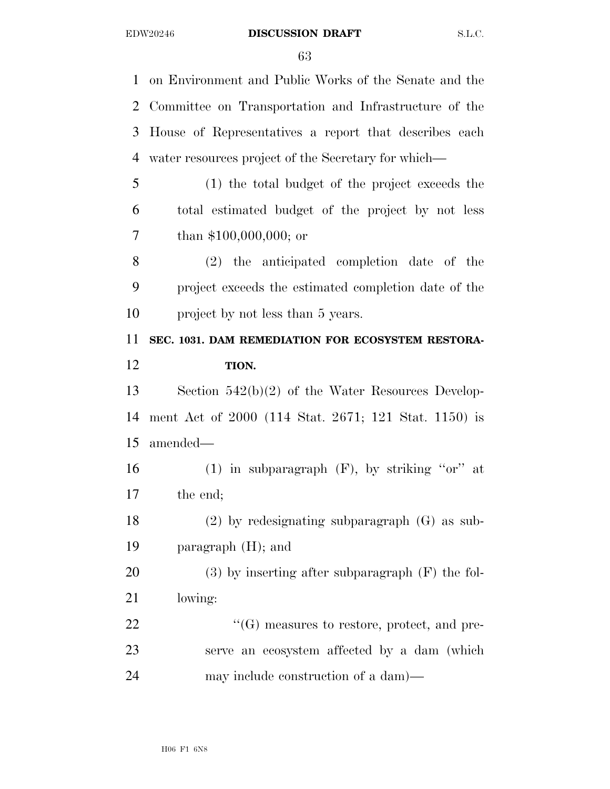on Environment and Public Works of the Senate and the Committee on Transportation and Infrastructure of the House of Representatives a report that describes each water resources project of the Secretary for which— (1) the total budget of the project exceeds the total estimated budget of the project by not less than \$100,000,000; or (2) the anticipated completion date of the project exceeds the estimated completion date of the 10 project by not less than 5 years. **SEC. 1031. DAM REMEDIATION FOR ECOSYSTEM RESTORA- TION.**  Section 542(b)(2) of the Water Resources Develop- ment Act of 2000 (114 Stat. 2671; 121 Stat. 1150) is amended— 16 (1) in subparagraph  $(F)$ , by striking "or" at the end; (2) by redesignating subparagraph (G) as sub- paragraph (H); and (3) by inserting after subparagraph (F) the fol- lowing:  $\text{``(G)}$  measures to restore, protect, and pre- serve an ecosystem affected by a dam (which may include construction of a dam)—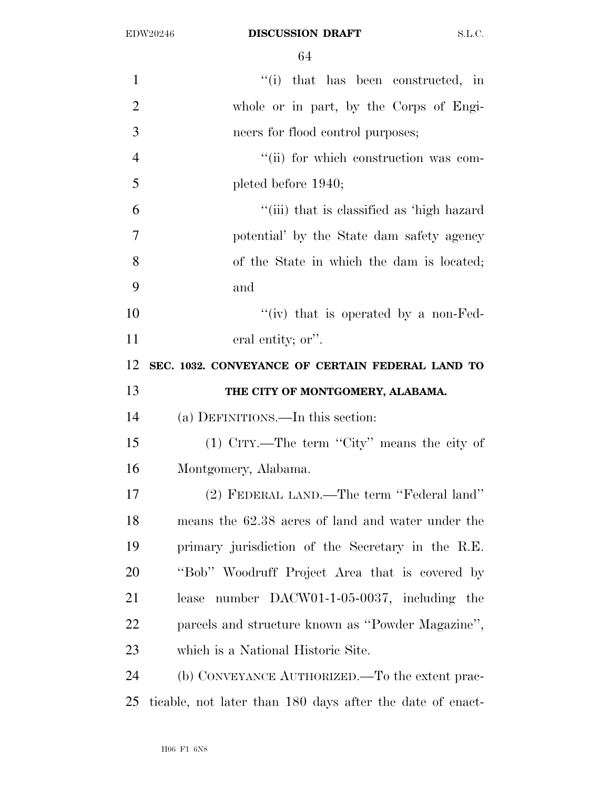| $\mathbf{1}$   | $\lq$ <sup>"(i)</sup> that has been constructed, in |
|----------------|-----------------------------------------------------|
| $\overline{2}$ | whole or in part, by the Corps of Engi-             |
| 3              | neers for flood control purposes;                   |
| $\overline{4}$ | "(ii) for which construction was com-               |
| 5              | pleted before 1940;                                 |
| 6              | "(iii) that is classified as 'high hazard           |
| 7              | potential' by the State dam safety agency           |
| 8              | of the State in which the dam is located;           |
| 9              | and                                                 |
| 10             | "(iv) that is operated by a non-Fed-                |
| 11             | eral entity; or".                                   |
| 12             | SEC. 1032. CONVEYANCE OF CERTAIN FEDERAL LAND TO    |
| 13             | THE CITY OF MONTGOMERY, ALABAMA.                    |
| 14             | (a) DEFINITIONS.—In this section:                   |
|                |                                                     |
| 15             | $(1)$ CITY.—The term "City" means the city of       |
| 16             | Montgomery, Alabama.                                |
| 17             | (2) FEDERAL LAND.—The term "Federal land"           |
| 18             | means the 62.38 acres of land and water under the   |
| 19             | primary jurisdiction of the Secretary in the R.E.   |
| 20             | "Bob" Woodruff Project Area that is covered by      |
| 21             | lease number DACW01-1-05-0037, including the        |
| <u>22</u>      | parcels and structure known as "Powder Magazine",   |
| 23             | which is a National Historic Site.                  |
| 24             | (b) CONVEYANCE AUTHORIZED.—To the extent prac-      |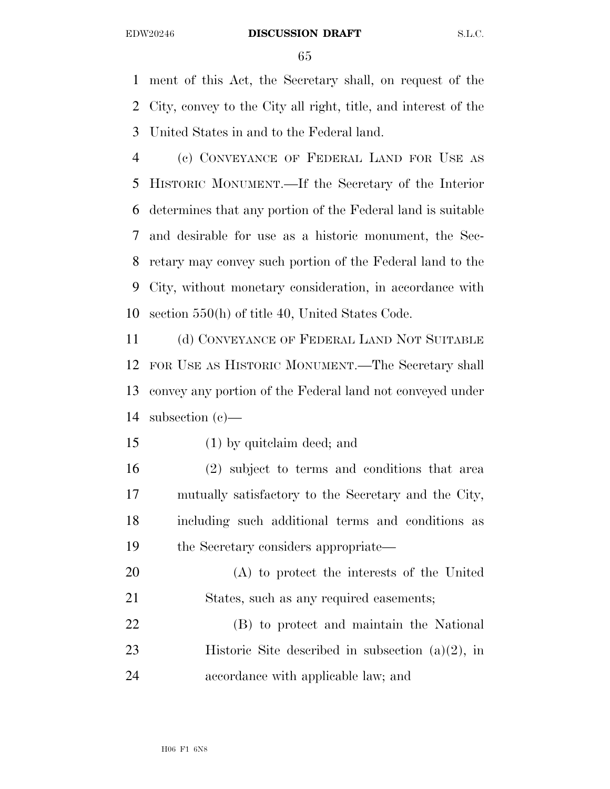#### EDW20246 **DISCUSSION DRAFT** S.L.C.

 ment of this Act, the Secretary shall, on request of the City, convey to the City all right, title, and interest of the United States in and to the Federal land.

 (c) CONVEYANCE OF FEDERAL LAND FOR USE AS HISTORIC MONUMENT.—If the Secretary of the Interior determines that any portion of the Federal land is suitable and desirable for use as a historic monument, the Sec- retary may convey such portion of the Federal land to the City, without monetary consideration, in accordance with section 550(h) of title 40, United States Code.

 (d) CONVEYANCE OF FEDERAL LAND NOT SUITABLE FOR USE AS HISTORIC MONUMENT.—The Secretary shall convey any portion of the Federal land not conveyed under subsection (c)—

(1) by quitclaim deed; and

 (2) subject to terms and conditions that area mutually satisfactory to the Secretary and the City, including such additional terms and conditions as the Secretary considers appropriate—

- (A) to protect the interests of the United States, such as any required easements;
- (B) to protect and maintain the National Historic Site described in subsection (a)(2), in accordance with applicable law; and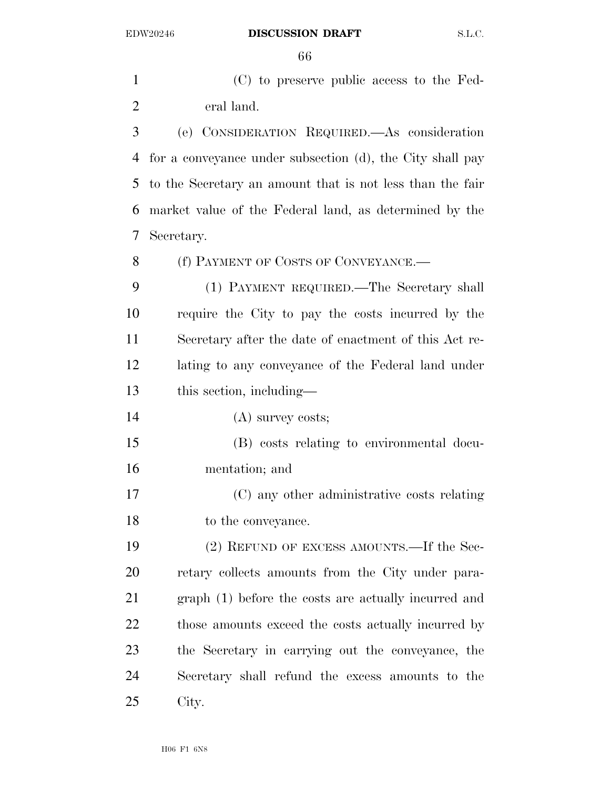(C) to preserve public access to the Fed-eral land.

 (e) CONSIDERATION REQUIRED.—As consideration for a conveyance under subsection (d), the City shall pay to the Secretary an amount that is not less than the fair market value of the Federal land, as determined by the Secretary.

8 (f) PAYMENT OF COSTS OF CONVEYANCE.

 (1) PAYMENT REQUIRED.—The Secretary shall require the City to pay the costs incurred by the Secretary after the date of enactment of this Act re- lating to any conveyance of the Federal land under this section, including—

(A) survey costs;

 (B) costs relating to environmental docu-mentation; and

 (C) any other administrative costs relating to the conveyance.

 (2) REFUND OF EXCESS AMOUNTS.—If the Sec- retary collects amounts from the City under para- graph (1) before the costs are actually incurred and those amounts exceed the costs actually incurred by the Secretary in carrying out the conveyance, the Secretary shall refund the excess amounts to the City.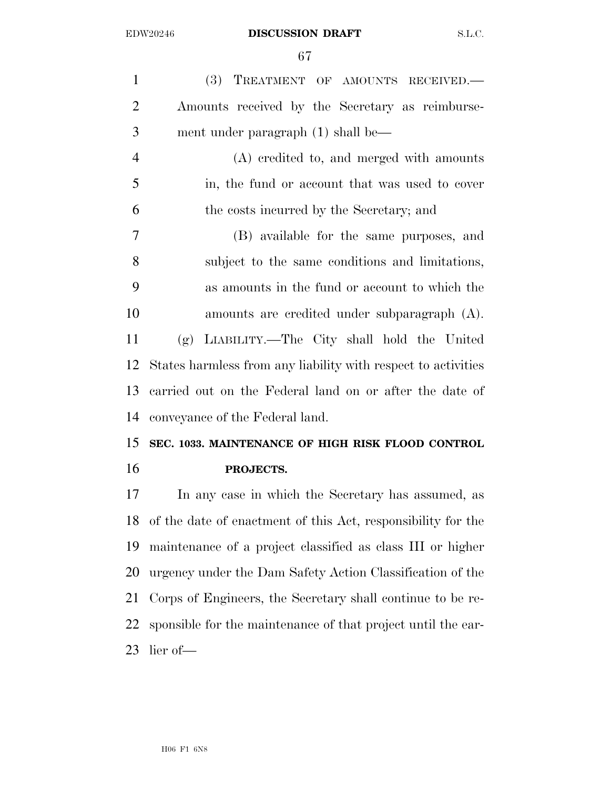$\alpha$   $\equiv$ 

|                | 67                                                            |
|----------------|---------------------------------------------------------------|
| $\mathbf{1}$   | (3)<br>TREATMENT OF AMOUNTS RECEIVED.                         |
| $\overline{2}$ | Amounts received by the Secretary as reimburse-               |
| 3              | ment under paragraph (1) shall be—                            |
| $\overline{4}$ | (A) credited to, and merged with amounts                      |
| 5              | in, the fund or account that was used to cover                |
| 6              | the costs incurred by the Secretary; and                      |
| $\overline{7}$ | (B) available for the same purposes, and                      |
| 8              | subject to the same conditions and limitations,               |
| 9              | as amounts in the fund or account to which the                |
| 10             | amounts are credited under subparagraph (A).                  |
| 11             | LIABILITY.—The City shall hold the United<br>(g)              |
| 12             | States harmless from any liability with respect to activities |
| 13             | carried out on the Federal land on or after the date of       |
| 14             | conveyance of the Federal land.                               |
| 15             | SEC. 1033. MAINTENANCE OF HIGH RISK FLOOD CONTROL             |
| 16             | PROJECTS.                                                     |
| 17             | In any case in which the Secretary has assumed, as            |
| 18             | of the date of enactment of this Act, responsibility for the  |

 maintenance of a project classified as class III or higher urgency under the Dam Safety Action Classification of the Corps of Engineers, the Secretary shall continue to be re- sponsible for the maintenance of that project until the ear-lier of—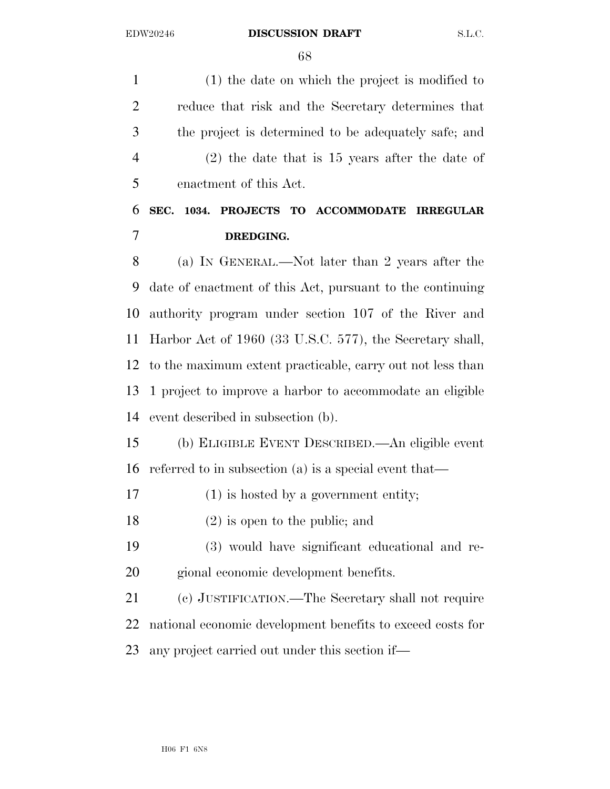(1) the date on which the project is modified to reduce that risk and the Secretary determines that the project is determined to be adequately safe; and (2) the date that is 15 years after the date of enactment of this Act.

 **SEC. 1034. PROJECTS TO ACCOMMODATE IRREGULAR DREDGING.** 

 (a) IN GENERAL.—Not later than 2 years after the date of enactment of this Act, pursuant to the continuing authority program under section 107 of the River and Harbor Act of 1960 (33 U.S.C. 577), the Secretary shall, to the maximum extent practicable, carry out not less than 1 project to improve a harbor to accommodate an eligible event described in subsection (b).

 (b) ELIGIBLE EVENT DESCRIBED.—An eligible event referred to in subsection (a) is a special event that—

(1) is hosted by a government entity;

(2) is open to the public; and

 (3) would have significant educational and re-gional economic development benefits.

 (c) JUSTIFICATION.—The Secretary shall not require national economic development benefits to exceed costs for any project carried out under this section if—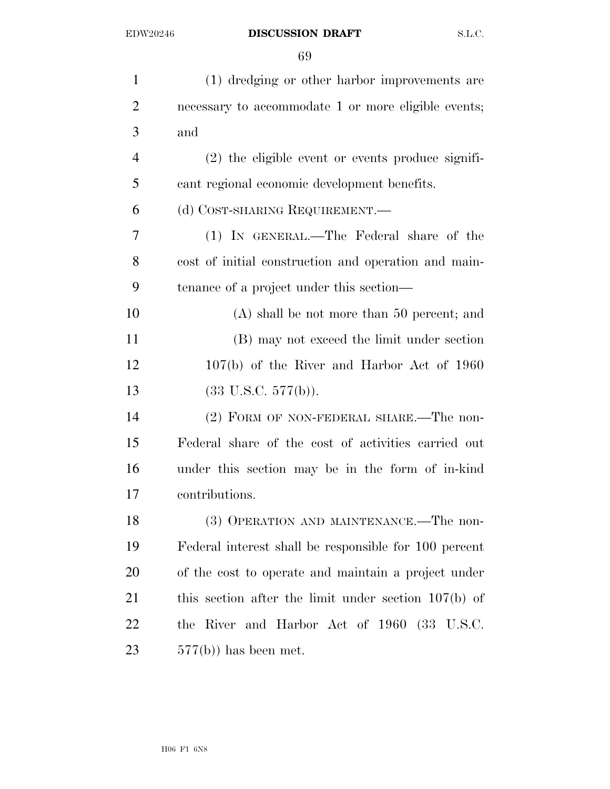| 1              | (1) dredging or other harbor improvements are          |
|----------------|--------------------------------------------------------|
| $\overline{2}$ | necessary to accommodate 1 or more eligible events;    |
| 3              | and                                                    |
| $\overline{4}$ | $(2)$ the eligible event or events produce signifi-    |
| 5              | cant regional economic development benefits.           |
| 6              | (d) COST-SHARING REQUIREMENT.—                         |
| 7              | (1) IN GENERAL.—The Federal share of the               |
| 8              | cost of initial construction and operation and main-   |
| 9              | tenance of a project under this section—               |
| 10             | $(A)$ shall be not more than 50 percent; and           |
| 11             | (B) may not exceed the limit under section             |
| 12             | $107(b)$ of the River and Harbor Act of 1960           |
| 13             | $(33 \text{ U.S.C. } 577(b)).$                         |
| 14             | (2) FORM OF NON-FEDERAL SHARE.—The non-                |
| 15             | Federal share of the cost of activities carried out    |
| 16             | under this section may be in the form of in-kind       |
| 17             | contributions.                                         |
| 18             | (3) OPERATION AND MAINTENANCE.—The non-                |
| 19             | Federal interest shall be responsible for 100 percent  |
| 20             | of the cost to operate and maintain a project under    |
| 21             | this section after the limit under section $107(b)$ of |
| 22             | the River and Harbor Act of 1960 (33 U.S.C.            |
| 23             | $577(b)$ has been met.                                 |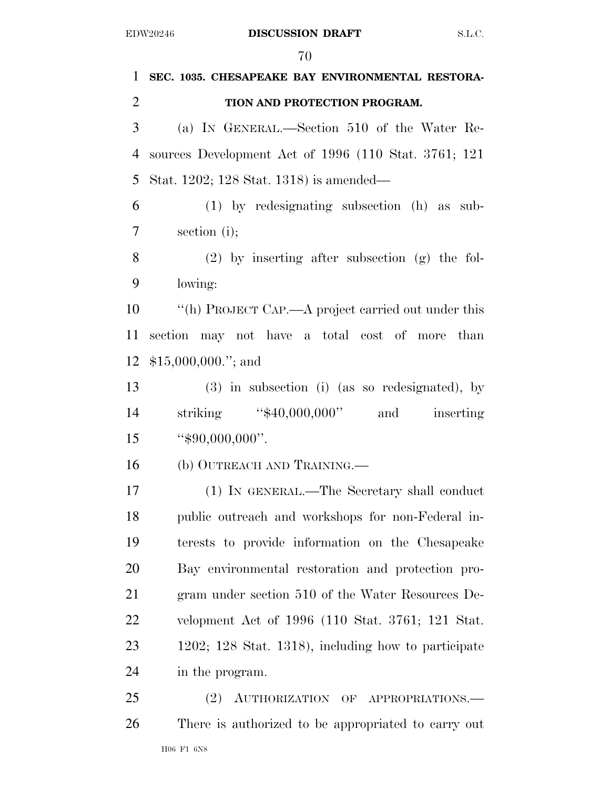| $\mathbf{1}$   | SEC. 1035. CHESAPEAKE BAY ENVIRONMENTAL RESTORA-     |
|----------------|------------------------------------------------------|
| $\overline{2}$ | TION AND PROTECTION PROGRAM.                         |
| 3              | (a) IN GENERAL.—Section 510 of the Water Re-         |
| $\overline{4}$ | sources Development Act of 1996 (110 Stat. 3761; 121 |
| 5              | Stat. 1202; 128 Stat. 1318) is amended—              |
| 6              | $(1)$ by redesignating subsection $(h)$ as sub-      |
| $\tau$         | section $(i)$ ;                                      |
| 8              | $(2)$ by inserting after subsection $(g)$ the fol-   |
| 9              | lowing:                                              |
| 10             | "(h) PROJECT CAP.—A project carried out under this   |
| 11             | section may not have a total cost of more than       |
| 12             | $$15,000,000."$ ; and                                |
| 13             | $(3)$ in subsection (i) (as so redesignated), by     |
| 14             | striking $40,000,000$ "<br>and inserting             |
| 15             | " $$90,000,000$ ".                                   |
| 16             | (b) OUTREACH AND TRAINING.—                          |
| 17             | (1) IN GENERAL.—The Secretary shall conduct          |
| 18             | public outreach and workshops for non-Federal in-    |
| 19             | terests to provide information on the Chesapeake     |
| 20             | Bay environmental restoration and protection pro-    |
| 21             | gram under section 510 of the Water Resources De-    |
| 22             | velopment Act of 1996 (110 Stat. 3761; 121 Stat.     |
| 23             | 1202; 128 Stat. 1318), including how to participate  |
| 24             | in the program.                                      |
| 25             | (2)<br>AUTHORIZATION OF APPROPRIATIONS.              |
| 26             | There is authorized to be appropriated to carry out  |
|                |                                                      |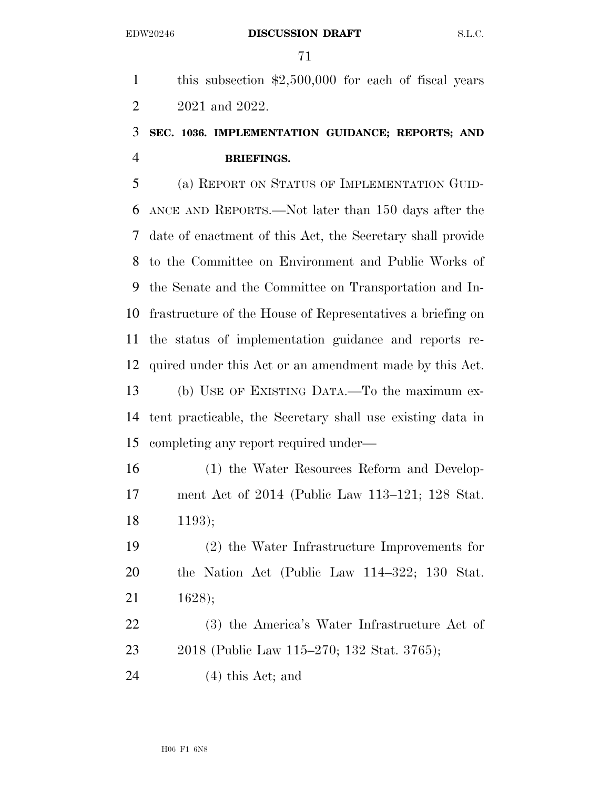this subsection \$2,500,000 for each of fiscal years 2021 and 2022.

## **SEC. 1036. IMPLEMENTATION GUIDANCE; REPORTS; AND BRIEFINGS.**

 (a) REPORT ON STATUS OF IMPLEMENTATION GUID- ANCE AND REPORTS.—Not later than 150 days after the date of enactment of this Act, the Secretary shall provide to the Committee on Environment and Public Works of the Senate and the Committee on Transportation and In- frastructure of the House of Representatives a briefing on the status of implementation guidance and reports re- quired under this Act or an amendment made by this Act. (b) USE OF EXISTING DATA.—To the maximum ex- tent practicable, the Secretary shall use existing data in completing any report required under—

 (1) the Water Resources Reform and Develop- ment Act of 2014 (Public Law 113–121; 128 Stat. 1193);

 (2) the Water Infrastructure Improvements for the Nation Act (Public Law 114–322; 130 Stat. 1628);

 (3) the America's Water Infrastructure Act of 2018 (Public Law 115–270; 132 Stat. 3765);

(4) this Act; and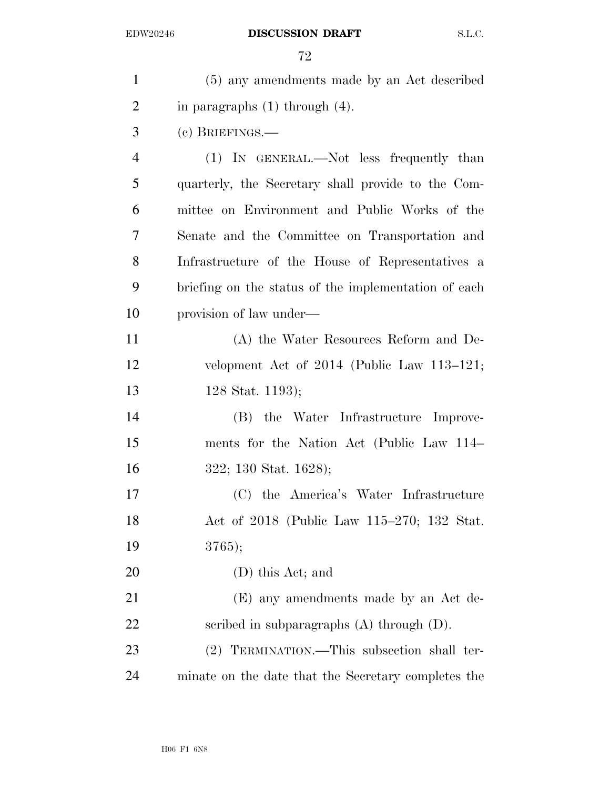| $\mathbf{1}$   | (5) any amendments made by an Act described          |
|----------------|------------------------------------------------------|
| $\overline{2}$ | in paragraphs $(1)$ through $(4)$ .                  |
| 3              | $(e)$ BRIEFINGS.—                                    |
| $\overline{4}$ | (1) IN GENERAL.—Not less frequently than             |
| 5              | quarterly, the Secretary shall provide to the Com-   |
| 6              | mittee on Environment and Public Works of the        |
| 7              | Senate and the Committee on Transportation and       |
| 8              | Infrastructure of the House of Representatives a     |
| 9              | briefing on the status of the implementation of each |
| 10             | provision of law under—                              |
| 11             | (A) the Water Resources Reform and De-               |
| 12             | velopment Act of $2014$ (Public Law 113–121;         |
| 13             | 128 Stat. 1193);                                     |
| 14             | (B) the Water Infrastructure Improve-                |
| 15             | ments for the Nation Act (Public Law 114–            |
| 16             | $322; 130$ Stat. 1628);                              |
| 17             | (C) the America's Water Infrastructure               |
| 18             | Act of 2018 (Public Law 115–270; 132 Stat.           |
| 19             | 3765);                                               |
| 20             | (D) this Act; and                                    |
| 21             | (E) any amendments made by an Act de-                |
| 22             | scribed in subparagraphs $(A)$ through $(D)$ .       |
| 23             | (2) TERMINATION.—This subsection shall ter-          |
| 24             | minate on the date that the Secretary completes the  |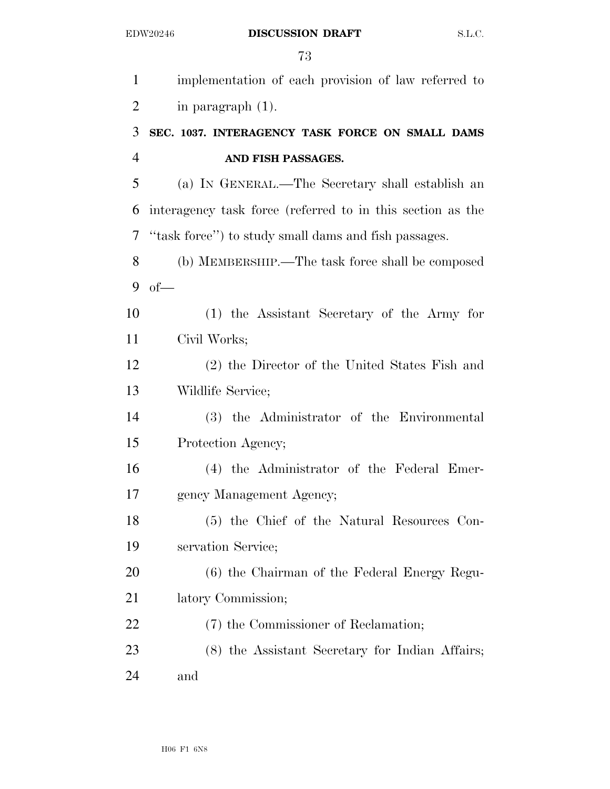| $\mathbf{1}$   | implementation of each provision of law referred to        |
|----------------|------------------------------------------------------------|
| $\overline{2}$ | in paragraph $(1)$ .                                       |
| 3              | SEC. 1037. INTERAGENCY TASK FORCE ON SMALL DAMS            |
| $\overline{4}$ | AND FISH PASSAGES.                                         |
| 5              | (a) IN GENERAL.—The Secretary shall establish an           |
| 6              | interagency task force (referred to in this section as the |
| 7              | "task force") to study small dams and fish passages.       |
| 8              | (b) MEMBERSHIP.—The task force shall be composed           |
| 9              | $of$ —                                                     |
| 10             | $(1)$ the Assistant Secretary of the Army for              |
| 11             | Civil Works;                                               |
| 12             | (2) the Director of the United States Fish and             |
| 13             | Wildlife Service;                                          |
| 14             | (3) the Administrator of the Environmental                 |
| 15             | Protection Agency;                                         |
| 16             | (4) the Administrator of the Federal Emer-                 |
| 17             | gency Management Agency;                                   |
| 18             | (5) the Chief of the Natural Resources Con-                |
| 19             | servation Service;                                         |
| 20             | (6) the Chairman of the Federal Energy Regu-               |
| 21             | latory Commission;                                         |
| 22             | (7) the Commissioner of Reclamation;                       |
| 23             | (8) the Assistant Secretary for Indian Affairs;            |
| 24             | and                                                        |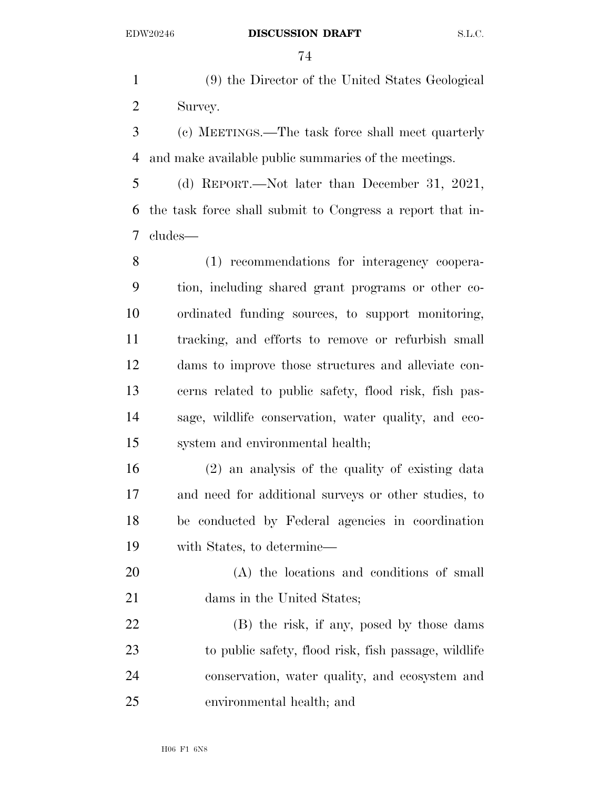(9) the Director of the United States Geological Survey.

 (c) MEETINGS.—The task force shall meet quarterly and make available public summaries of the meetings.

 (d) REPORT.—Not later than December 31, 2021, the task force shall submit to Congress a report that in-cludes—

 (1) recommendations for interagency coopera- tion, including shared grant programs or other co- ordinated funding sources, to support monitoring, tracking, and efforts to remove or refurbish small dams to improve those structures and alleviate con- cerns related to public safety, flood risk, fish pas- sage, wildlife conservation, water quality, and eco-system and environmental health;

 (2) an analysis of the quality of existing data and need for additional surveys or other studies, to be conducted by Federal agencies in coordination with States, to determine—

 (A) the locations and conditions of small 21 dams in the United States;

 (B) the risk, if any, posed by those dams to public safety, flood risk, fish passage, wildlife conservation, water quality, and ecosystem and environmental health; and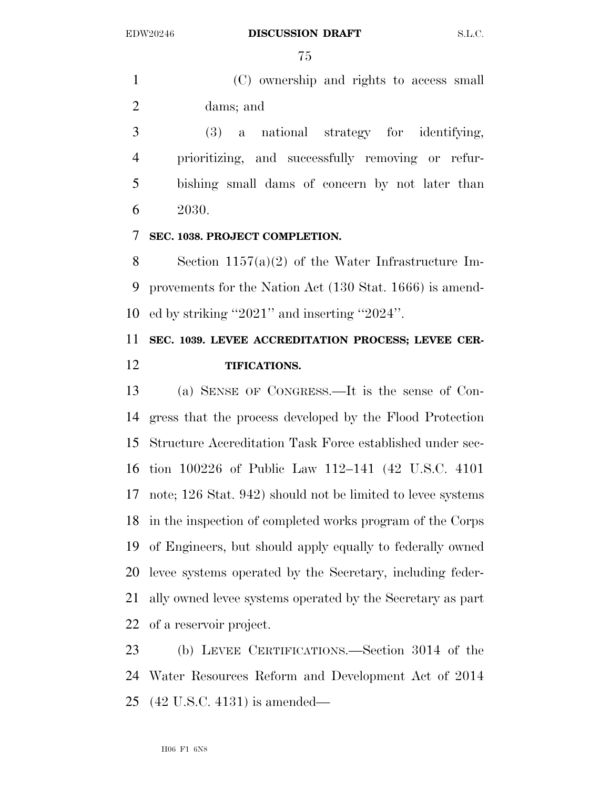(C) ownership and rights to access small dams; and

 (3) a national strategy for identifying, prioritizing, and successfully removing or refur- bishing small dams of concern by not later than 2030.

#### **SEC. 1038. PROJECT COMPLETION.**

 Section 1157(a)(2) of the Water Infrastructure Im- provements for the Nation Act (130 Stat. 1666) is amend-ed by striking ''2021'' and inserting ''2024''.

# **SEC. 1039. LEVEE ACCREDITATION PROCESS; LEVEE CER-TIFICATIONS.**

 (a) SENSE OF CONGRESS.—It is the sense of Con- gress that the process developed by the Flood Protection Structure Accreditation Task Force established under sec- tion 100226 of Public Law 112–141 (42 U.S.C. 4101 note; 126 Stat. 942) should not be limited to levee systems in the inspection of completed works program of the Corps of Engineers, but should apply equally to federally owned levee systems operated by the Secretary, including feder- ally owned levee systems operated by the Secretary as part of a reservoir project.

 (b) LEVEE CERTIFICATIONS.—Section 3014 of the Water Resources Reform and Development Act of 2014 (42 U.S.C. 4131) is amended—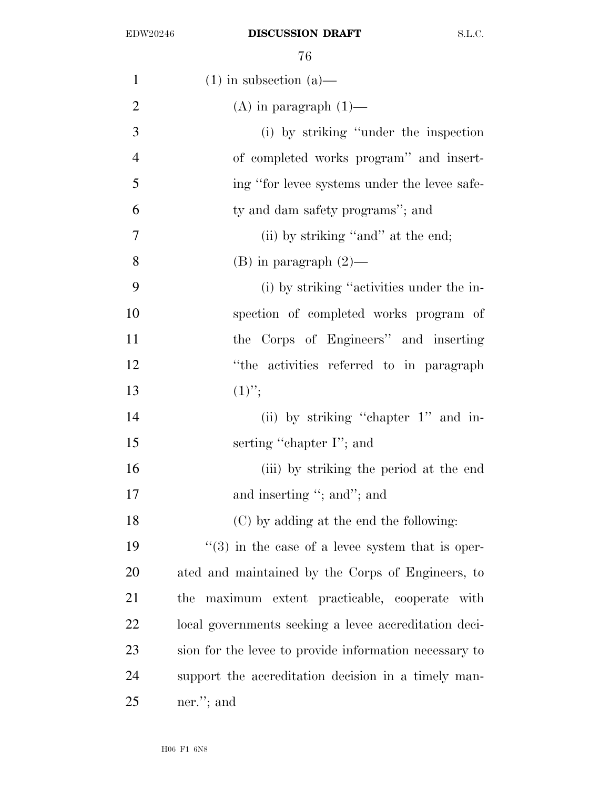| $\mathbf{1}$   | $(1)$ in subsection $(a)$ —                                  |
|----------------|--------------------------------------------------------------|
| $\overline{2}$ | $(A)$ in paragraph $(1)$ —                                   |
| 3              | (i) by striking "under the inspection"                       |
| $\overline{4}$ | of completed works program" and insert-                      |
| 5              | ing "for levee systems under the levee safe-                 |
| 6              | ty and dam safety programs"; and                             |
| 7              | (ii) by striking "and" at the end;                           |
| 8              | $(B)$ in paragraph $(2)$ —                                   |
| 9              | (i) by striking "activities under the in-                    |
| 10             | spection of completed works program of                       |
| 11             | the Corps of Engineers" and inserting                        |
| 12             | "the activities referred to in paragraph                     |
| 13             | $(1)$ ";                                                     |
| 14             | (ii) by striking "chapter 1" and in-                         |
| 15             | serting "chapter I"; and                                     |
| 16             | (iii) by striking the period at the end                      |
| 17             | and inserting "; and"; and                                   |
| 18             | (C) by adding at the end the following:                      |
| 19             | $\cdot\cdot$ (3) in the case of a levee system that is oper- |
| 20             | ated and maintained by the Corps of Engineers, to            |
| 21             | maximum extent practicable, cooperate with<br>the            |
| 22             | local governments seeking a levee accreditation deci-        |
| 23             | sion for the level to provide information necessary to       |
| 24             | support the accreditation decision in a timely man-          |
| 25             | ner."; and                                                   |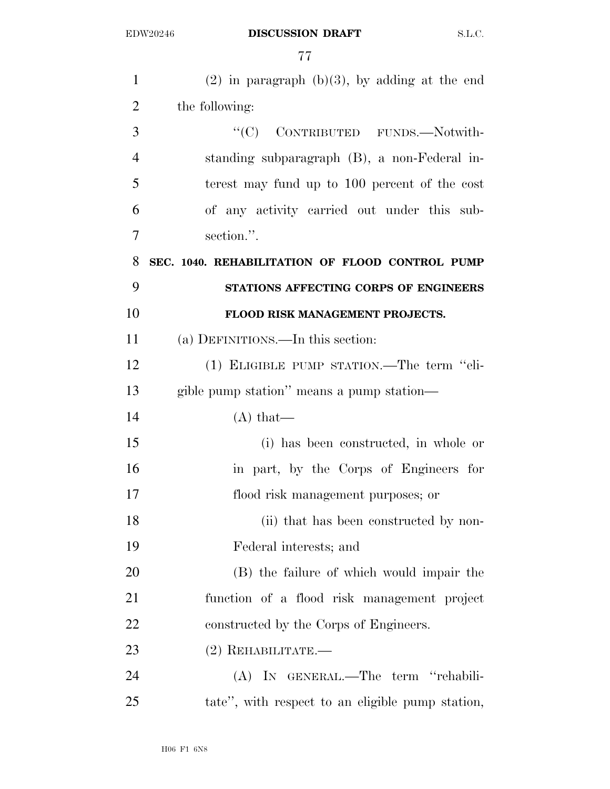| $\mathbf{1}$   | $(2)$ in paragraph $(b)(3)$ , by adding at the end |
|----------------|----------------------------------------------------|
| $\overline{2}$ | the following:                                     |
| 3              | "(C) CONTRIBUTED FUNDS.-Notwith-                   |
| $\overline{4}$ | standing subparagraph (B), a non-Federal in-       |
| 5              | terest may fund up to 100 percent of the cost      |
| 6              | of any activity carried out under this sub-        |
| 7              | section.".                                         |
| 8              | SEC. 1040. REHABILITATION OF FLOOD CONTROL PUMP    |
| 9              | STATIONS AFFECTING CORPS OF ENGINEERS              |
| 10             | FLOOD RISK MANAGEMENT PROJECTS.                    |
| 11             | (a) DEFINITIONS.—In this section:                  |
| 12             | (1) ELIGIBLE PUMP STATION.—The term "eli-          |
| 13             | gible pump station" means a pump station-          |
| 14             | $(A)$ that—                                        |
| 15             | (i) has been constructed, in whole or              |
| 16             | in part, by the Corps of Engineers for             |
| 17             | flood risk management purposes; or                 |
| 18             | (ii) that has been constructed by non-             |
| 19             | Federal interests; and                             |
| 20             | (B) the failure of which would impair the          |
| 21             | function of a flood risk management project        |
| 22             | constructed by the Corps of Engineers.             |
| 23             | $(2)$ REHABILITATE.—                               |
| 24             | (A) IN GENERAL.—The term "rehabili-                |
| 25             | tate", with respect to an eligible pump station,   |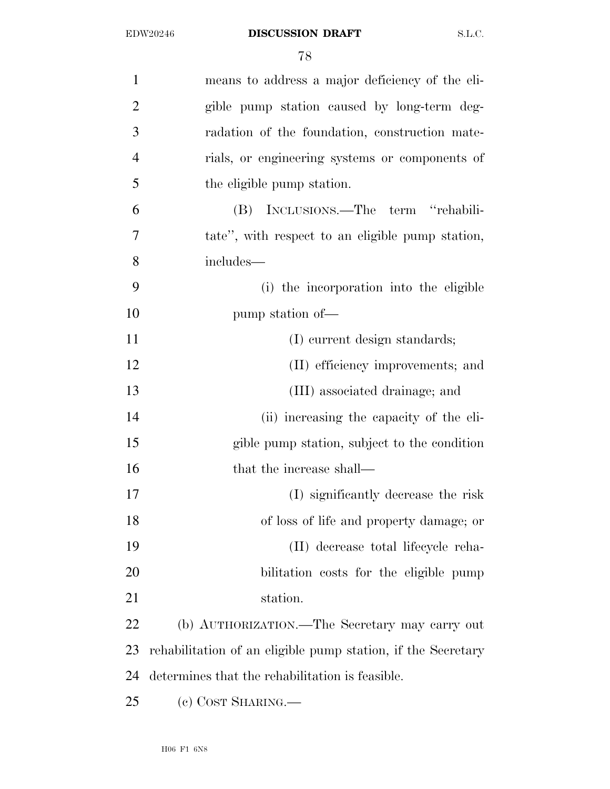| $\mathbf{1}$   | means to address a major deficiency of the eli-              |
|----------------|--------------------------------------------------------------|
| $\overline{2}$ | gible pump station caused by long-term deg-                  |
| 3              | radation of the foundation, construction mate-               |
| $\overline{4}$ | rials, or engineering systems or components of               |
| 5              | the eligible pump station.                                   |
| 6              | (B) INCLUSIONS.—The term "rehabili-                          |
| $\overline{7}$ | tate", with respect to an eligible pump station,             |
| 8              | includes—                                                    |
| 9              | (i) the incorporation into the eligible                      |
| 10             | pump station of—                                             |
| 11             | (I) current design standards;                                |
| 12             | (II) efficiency improvements; and                            |
| 13             | (III) associated drainage; and                               |
| 14             | (ii) increasing the capacity of the eli-                     |
| 15             | gible pump station, subject to the condition                 |
| 16             | that the increase shall—                                     |
| 17             | (I) significantly decrease the risk                          |
| 18             | of loss of life and property damage; or                      |
| 19             | (II) decrease total lifecycle reha-                          |
| 20             | bilitation costs for the eligible pump                       |
| 21             | station.                                                     |
| 22             | (b) AUTHORIZATION.—The Secretary may carry out               |
| 23             | rehabilitation of an eligible pump station, if the Secretary |
| 24             | determines that the rehabilitation is feasible.              |
| 25             | (c) COST SHARING.—                                           |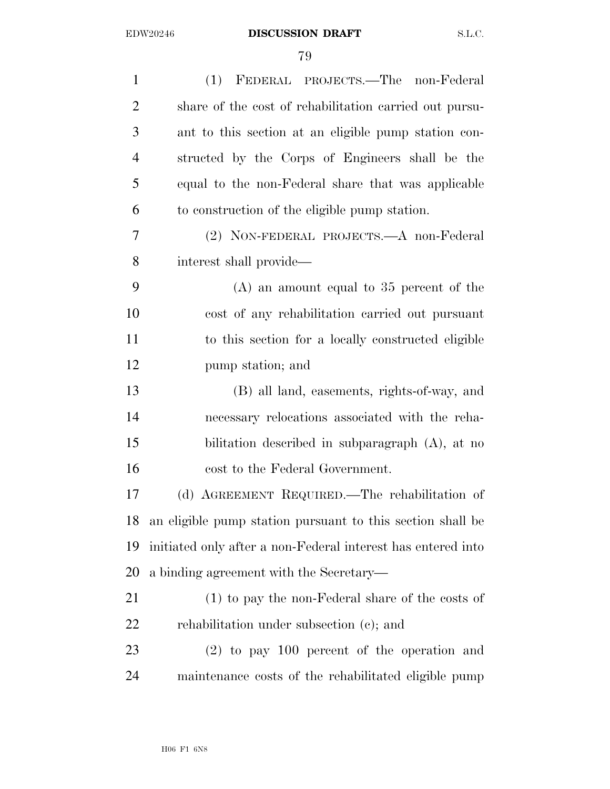| (1) FEDERAL PROJECTS.—The non-Federal                        |
|--------------------------------------------------------------|
| share of the cost of rehabilitation carried out pursu-       |
| ant to this section at an eligible pump station con-         |
| structed by the Corps of Engineers shall be the              |
| equal to the non-Federal share that was applicable           |
| to construction of the eligible pump station.                |
| (2) NON-FEDERAL PROJECTS.—A non-Federal                      |
| interest shall provide—                                      |
| $(A)$ an amount equal to 35 percent of the                   |
| cost of any rehabilitation carried out pursuant              |
| to this section for a locally constructed eligible           |
| pump station; and                                            |
| (B) all land, easements, rights-of-way, and                  |
| necessary relocations associated with the reha-              |
| bilitation described in subparagraph $(A)$ , at no           |
| cost to the Federal Government.                              |
| (d) AGREEMENT REQUIRED.—The rehabilitation of                |
| an eligible pump station pursuant to this section shall be   |
| initiated only after a non-Federal interest has entered into |
| a binding agreement with the Secretary—                      |
|                                                              |
| $(1)$ to pay the non-Federal share of the costs of           |
| rehabilitation under subsection (c); and                     |
| $(2)$ to pay 100 percent of the operation and                |
|                                                              |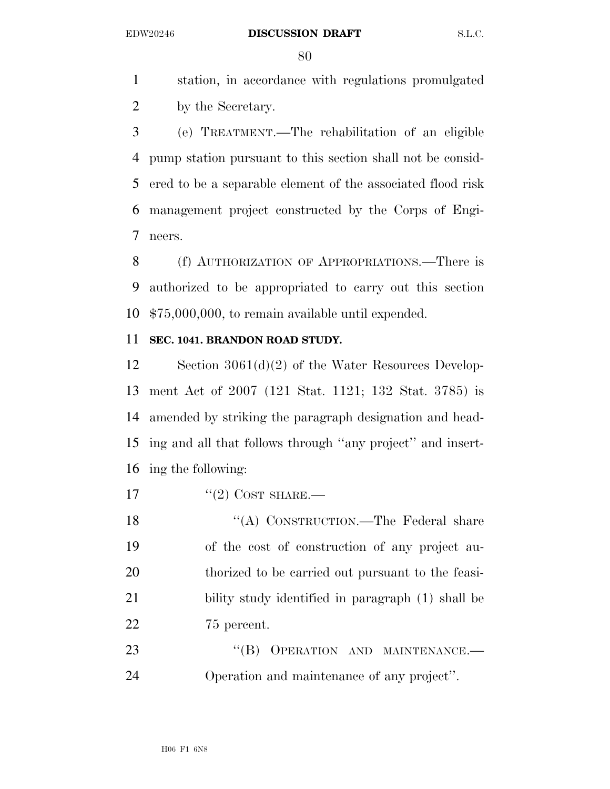station, in accordance with regulations promulgated by the Secretary.

 (e) TREATMENT.—The rehabilitation of an eligible pump station pursuant to this section shall not be consid- ered to be a separable element of the associated flood risk management project constructed by the Corps of Engi-neers.

 (f) AUTHORIZATION OF APPROPRIATIONS.—There is authorized to be appropriated to carry out this section \$75,000,000, to remain available until expended.

### **SEC. 1041. BRANDON ROAD STUDY.**

 Section 3061(d)(2) of the Water Resources Develop- ment Act of 2007 (121 Stat. 1121; 132 Stat. 3785) is amended by striking the paragraph designation and head- ing and all that follows through ''any project'' and insert-ing the following:

17  $"(2)$  COST SHARE.—

18 "(A) CONSTRUCTION.—The Federal share of the cost of construction of any project au- thorized to be carried out pursuant to the feasi- bility study identified in paragraph (1) shall be 75 percent.

23 "(B) OPERATION AND MAINTENANCE.— Operation and maintenance of any project''.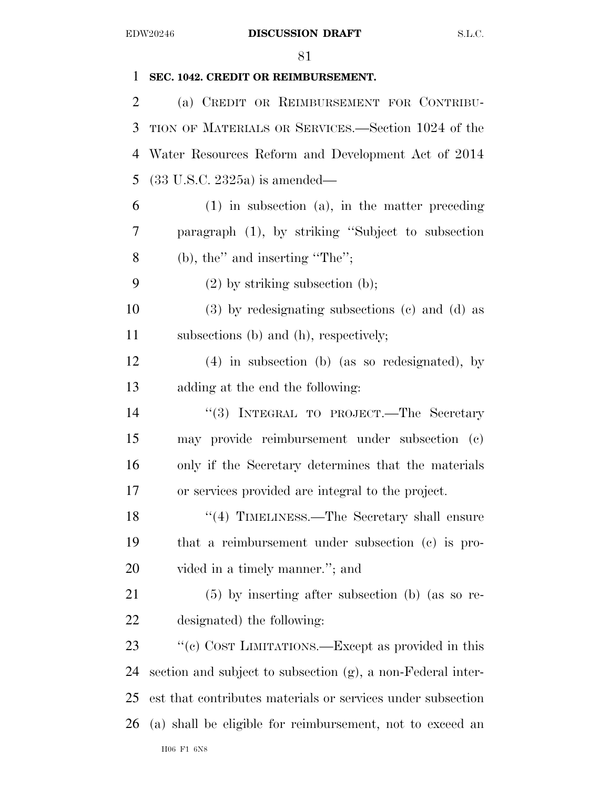| 1              | SEC. 1042. CREDIT OR REIMBURSEMENT.                         |
|----------------|-------------------------------------------------------------|
| $\overline{2}$ | (a) CREDIT OR REIMBURSEMENT FOR CONTRIBU-                   |
| 3              | TION OF MATERIALS OR SERVICES.—Section 1024 of the          |
| 4              | Water Resources Reform and Development Act of 2014          |
| 5              | $(33 \text{ U.S.C. } 2325a)$ is amended—                    |
| 6              | $(1)$ in subsection $(a)$ , in the matter preceding         |
| 7              | paragraph (1), by striking "Subject to subsection           |
| 8              | $(b)$ , the" and inserting "The";                           |
| 9              | $(2)$ by striking subsection (b);                           |
| 10             | $(3)$ by redesignating subsections $(e)$ and $(d)$ as       |
| 11             | subsections (b) and (h), respectively;                      |
| 12             | $(4)$ in subsection (b) (as so redesignated), by            |
| 13             | adding at the end the following:                            |
| 14             | "(3) INTEGRAL TO PROJECT.—The Secretary                     |
| 15             | may provide reimbursement under subsection (c)              |
| 16             | only if the Secretary determines that the materials         |
| 17             | or services provided are integral to the project.           |
| 18             | $(4)$ TIMELINESS.—The Secretary shall ensure                |
| 19             | that a reimbursement under subsection (c) is pro-           |
| 20             | vided in a timely manner."; and                             |
| 21             | $(5)$ by inserting after subsection (b) (as so re-          |
| 22             | designated) the following:                                  |
| 23             | "(c) COST LIMITATIONS.—Except as provided in this           |
| 24             | section and subject to subsection (g), a non-Federal inter- |
| 25             | est that contributes materials or services under subsection |
| 26             | (a) shall be eligible for reimbursement, not to exceed an   |
|                | ${\rm H06\,$ F1 ${\rm\,6N8}$                                |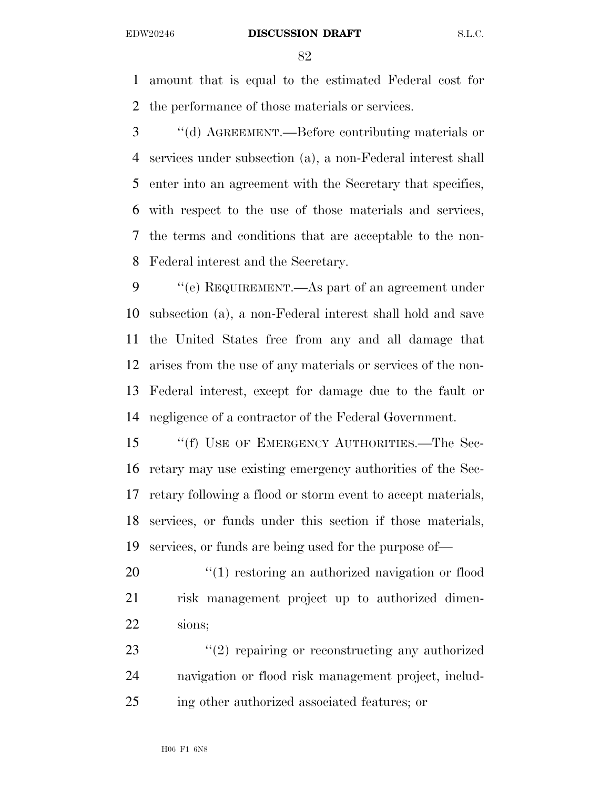amount that is equal to the estimated Federal cost for the performance of those materials or services.

 ''(d) AGREEMENT.—Before contributing materials or services under subsection (a), a non-Federal interest shall enter into an agreement with the Secretary that specifies, with respect to the use of those materials and services, the terms and conditions that are acceptable to the non-Federal interest and the Secretary.

 ''(e) REQUIREMENT.—As part of an agreement under subsection (a), a non-Federal interest shall hold and save the United States free from any and all damage that arises from the use of any materials or services of the non- Federal interest, except for damage due to the fault or negligence of a contractor of the Federal Government.

15 ""(f) USE OF EMERGENCY AUTHORITIES.—The Sec- retary may use existing emergency authorities of the Sec- retary following a flood or storm event to accept materials, services, or funds under this section if those materials, services, or funds are being used for the purpose of—

20  $\frac{1}{20}$   $\frac{1}{20}$  restoring an authorized navigation or flood risk management project up to authorized dimen-sions;

23 ''(2) repairing or reconstructing any authorized navigation or flood risk management project, includ-ing other authorized associated features; or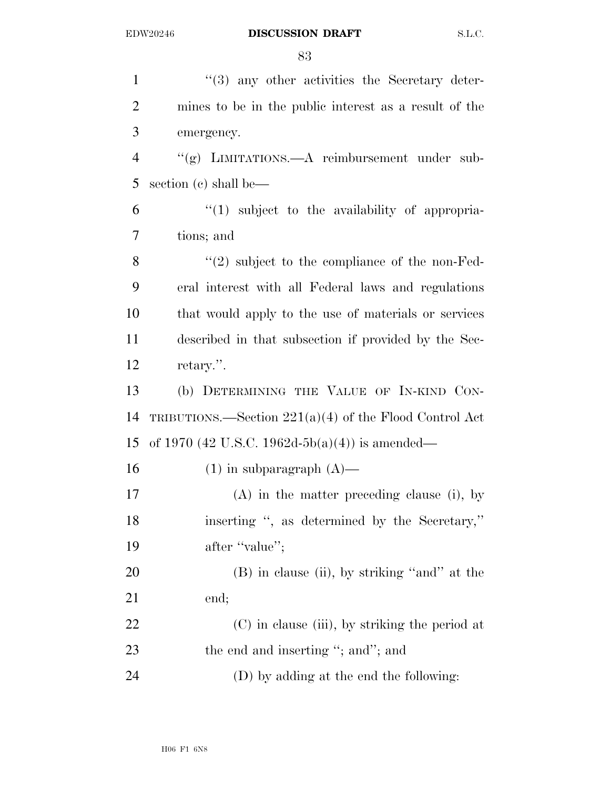1 ''(3) any other activities the Secretary deter- mines to be in the public interest as a result of the emergency. ''(g) LIMITATIONS.—A reimbursement under sub- section (c) shall be— ''(1) subject to the availability of appropria- tions; and 8 "(2) subject to the compliance of the non-Fed- eral interest with all Federal laws and regulations that would apply to the use of materials or services described in that subsection if provided by the Sec- retary.''. (b) DETERMINING THE VALUE OF IN-KIND CON- TRIBUTIONS.—Section 221(a)(4) of the Flood Control Act 15 of 1970 (42 U.S.C. 1962d-5b(a)(4)) is amended— 16 (1) in subparagraph  $(A)$ — (A) in the matter preceding clause (i), by inserting '', as determined by the Secretary,'' 19 after "value"; 20 (B) in clause (ii), by striking "and" at the end; 22 (C) in clause (iii), by striking the period at 23 the end and inserting "; and"; and (D) by adding at the end the following: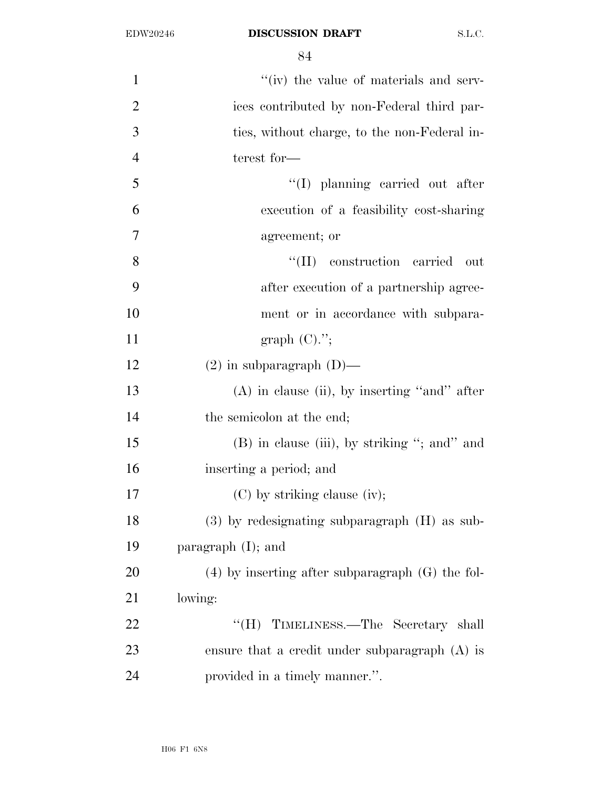| $\mathbf{1}$   | "(iv) the value of materials and serv-               |
|----------------|------------------------------------------------------|
| $\overline{2}$ | ices contributed by non-Federal third par-           |
| 3              | ties, without charge, to the non-Federal in-         |
| $\overline{4}$ | terest for-                                          |
| 5              | "(I) planning carried out after                      |
| 6              | execution of a feasibility cost-sharing              |
| $\tau$         | agreement; or                                        |
| 8              | "(II) construction carried<br>- out                  |
| 9              | after execution of a partnership agree-              |
| 10             | ment or in accordance with subpara-                  |
| 11             | graph $(C).$ ";                                      |
| 12             | $(2)$ in subparagraph $(D)$ —                        |
| 13             | $(A)$ in clause (ii), by inserting "and" after       |
| 14             | the semicolon at the end;                            |
| 15             | $(B)$ in clause (iii), by striking "; and" and       |
| 16             | inserting a period; and                              |
| 17             | $(C)$ by striking clause (iv);                       |
| 18             | $(3)$ by redesignating subparagraph $(H)$ as sub-    |
| 19             | paragraph $(I)$ ; and                                |
| 20             | $(4)$ by inserting after subparagraph $(G)$ the fol- |
| 21             | lowing:                                              |
| 22             | "(H) TIMELINESS.—The Secretary shall                 |
| 23             | ensure that a credit under subparagraph $(A)$ is     |
| 24             | provided in a timely manner.".                       |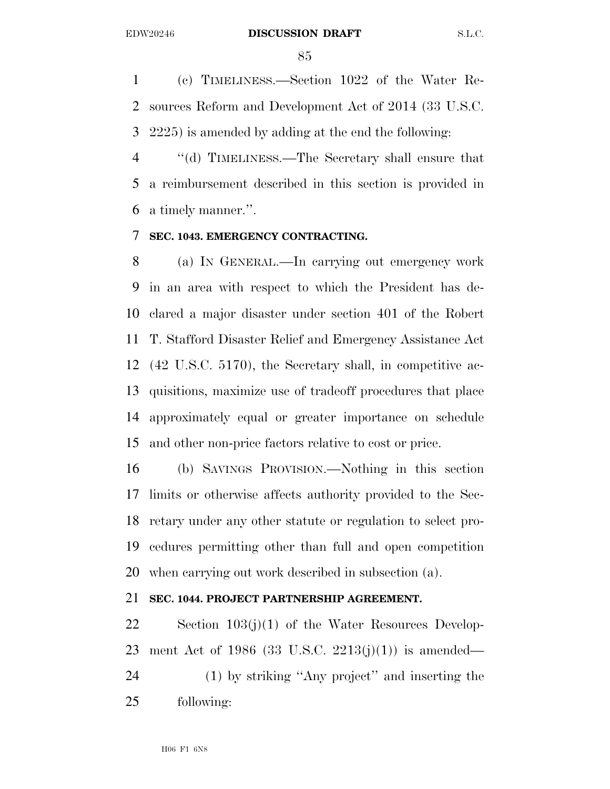(c) TIMELINESS.—Section 1022 of the Water Re- sources Reform and Development Act of 2014 (33 U.S.C. 2225) is amended by adding at the end the following:

 ''(d) TIMELINESS.—The Secretary shall ensure that a reimbursement described in this section is provided in a timely manner.''.

#### **SEC. 1043. EMERGENCY CONTRACTING.**

 (a) IN GENERAL.—In carrying out emergency work in an area with respect to which the President has de- clared a major disaster under section 401 of the Robert T. Stafford Disaster Relief and Emergency Assistance Act (42 U.S.C. 5170), the Secretary shall, in competitive ac- quisitions, maximize use of tradeoff procedures that place approximately equal or greater importance on schedule and other non-price factors relative to cost or price.

 (b) SAVINGS PROVISION.—Nothing in this section limits or otherwise affects authority provided to the Sec- retary under any other statute or regulation to select pro- cedures permitting other than full and open competition when carrying out work described in subsection (a).

#### **SEC. 1044. PROJECT PARTNERSHIP AGREEMENT.**

 Section 103(j)(1) of the Water Resources Develop- ment Act of 1986 (33 U.S.C. 2213(j)(1)) is amended— (1) by striking ''Any project'' and inserting the following: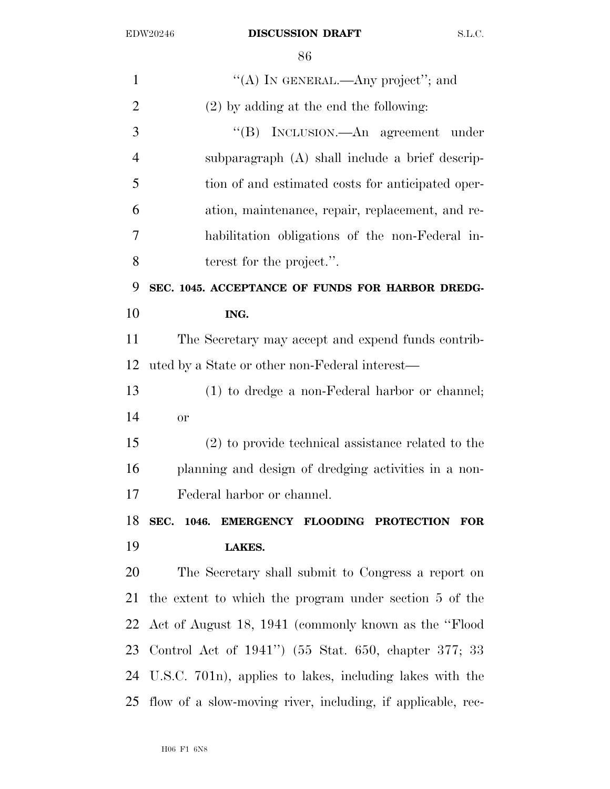| 1              | "(A) IN GENERAL.—Any project"; and                             |
|----------------|----------------------------------------------------------------|
| $\overline{2}$ | $(2)$ by adding at the end the following:                      |
| 3              | "(B) INCLUSION.—An agreement under                             |
| $\overline{4}$ | subparagraph (A) shall include a brief descrip-                |
| 5              | tion of and estimated costs for anticipated oper-              |
| 6              | ation, maintenance, repair, replacement, and re-               |
| 7              | habilitation obligations of the non-Federal in-                |
| 8              | terest for the project.".                                      |
| 9              | SEC. 1045. ACCEPTANCE OF FUNDS FOR HARBOR DREDG-               |
| 10             | ING.                                                           |
| 11             | The Secretary may accept and expend funds contrib-             |
| 12             | uted by a State or other non-Federal interest—                 |
| 13             | $(1)$ to dredge a non-Federal harbor or channel;               |
| 14             | <b>or</b>                                                      |
| 15             | $(2)$ to provide technical assistance related to the           |
| 16             | planning and design of dredging activities in a non-           |
| 17             | Federal harbor or channel.                                     |
|                | 18 SEC. 1046. EMERGENCY FLOODING PROTECTION FOR                |
| 19             | <b>LAKES.</b>                                                  |
| 20             | The Secretary shall submit to Congress a report on             |
| 21             | the extent to which the program under section 5 of the         |
| 22             | Act of August 18, 1941 (commonly known as the "Flood"          |
| 23             | Control Act of 1941") (55 Stat. 650, chapter 377; 33           |
|                | 24 U.S.C. 701n), applies to lakes, including lakes with the    |
|                | 25 flow of a slow-moving river, including, if applicable, rec- |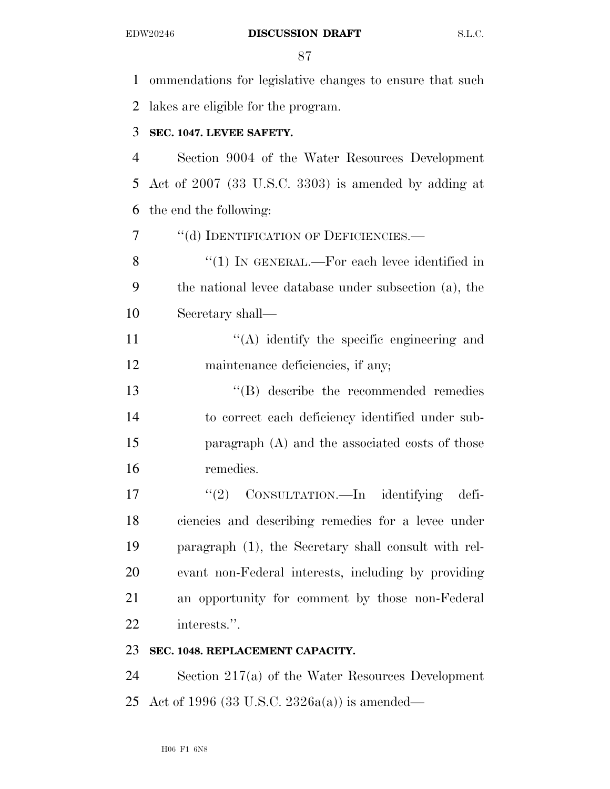ommendations for legislative changes to ensure that such lakes are eligible for the program.

#### **SEC. 1047. LEVEE SAFETY.**

 Section 9004 of the Water Resources Development Act of 2007 (33 U.S.C. 3303) is amended by adding at the end the following:

''(d) IDENTIFICATION OF DEFICIENCIES.—

8 "(1) IN GENERAL.—For each levee identified in the national levee database under subsection (a), the Secretary shall—

11  $\langle (A)$  identify the specific engineering and 12 maintenance deficiencies, if any;

 ''(B) describe the recommended remedies to correct each deficiency identified under sub- paragraph (A) and the associated costs of those remedies.

17 "(2) CONSULTATION.—In identifying defi- ciencies and describing remedies for a levee under paragraph (1), the Secretary shall consult with rel- evant non-Federal interests, including by providing an opportunity for comment by those non-Federal interests.''.

#### **SEC. 1048. REPLACEMENT CAPACITY.**

 Section 217(a) of the Water Resources Development Act of 1996 (33 U.S.C. 2326a(a)) is amended—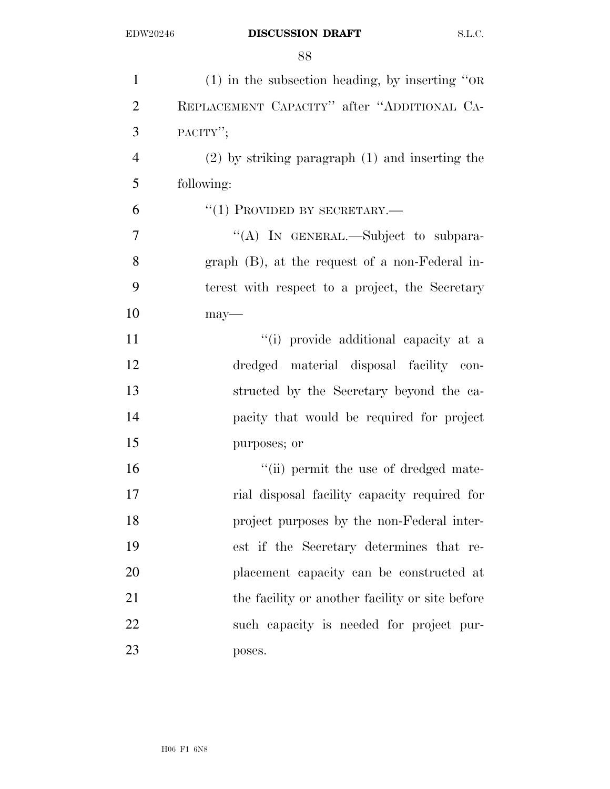| $\mathbf{1}$   | $(1)$ in the subsection heading, by inserting "OR   |
|----------------|-----------------------------------------------------|
| $\overline{2}$ | REPLACEMENT CAPACITY" after "ADDITIONAL CA-         |
| 3              | PACITY";                                            |
| $\overline{4}$ | $(2)$ by striking paragraph $(1)$ and inserting the |
| 5              | following:                                          |
| 6              | $``(1)$ PROVIDED BY SECRETARY.—                     |
| $\overline{7}$ | "(A) IN GENERAL.—Subject to subpara-                |
| 8              | $graph$ (B), at the request of a non-Federal in-    |
| 9              | terest with respect to a project, the Secretary     |
| 10             | $may$ —                                             |
| 11             | "(i) provide additional capacity at a               |
| 12             | dredged material disposal facility con-             |
| 13             | structed by the Secretary beyond the ca-            |
| 14             | pacity that would be required for project           |
| 15             | purposes; or                                        |
| 16             | "(ii) permit the use of dredged mate-               |
| 17             | rial disposal facility capacity required for        |
| 18             | project purposes by the non-Federal inter-          |
| 19             | est if the Secretary determines that re-            |
| 20             | placement capacity can be constructed at            |
| 21             | the facility or another facility or site before     |
| 22             | such capacity is needed for project pur-            |
| 23             | poses.                                              |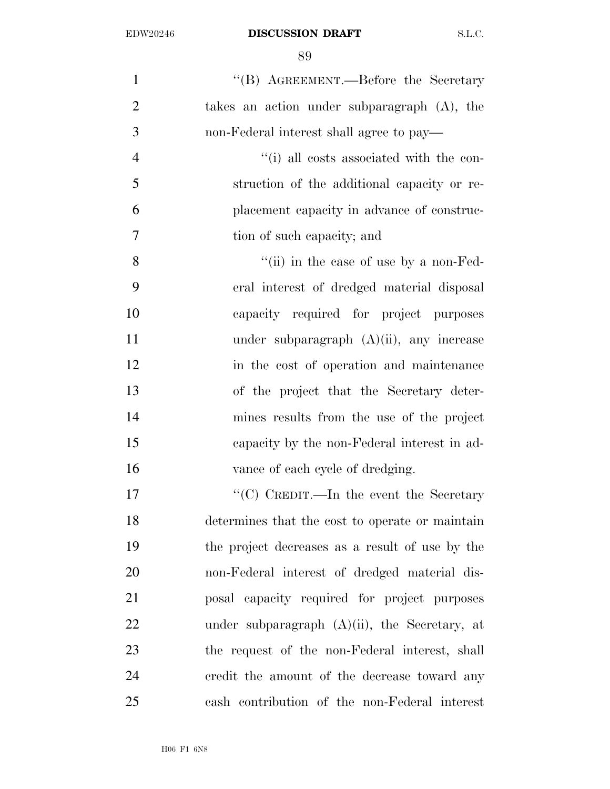| $\mathbf{1}$   | "(B) AGREEMENT.—Before the Secretary             |
|----------------|--------------------------------------------------|
| $\overline{2}$ | takes an action under subparagraph (A), the      |
| 3              | non-Federal interest shall agree to pay—         |
| $\overline{4}$ | "(i) all costs associated with the con-          |
| 5              | struction of the additional capacity or re-      |
| 6              | placement capacity in advance of construc-       |
| 7              | tion of such capacity; and                       |
| 8              | "(ii) in the case of use by a non-Fed-           |
| 9              | eral interest of dredged material disposal       |
| 10             | capacity required for project purposes           |
| 11             | under subparagraph $(A)(ii)$ , any increase      |
| 12             | in the cost of operation and maintenance         |
| 13             | of the project that the Secretary deter-         |
| 14             | mines results from the use of the project        |
| 15             | capacity by the non-Federal interest in ad-      |
| 16             | vance of each cycle of dredging.                 |
| 17             | "(C) CREDIT.—In the event the Secretary          |
| 18             | determines that the cost to operate or maintain  |
| 19             | the project decreases as a result of use by the  |
| 20             | non-Federal interest of dredged material dis-    |
| 21             | posal capacity required for project purposes     |
| 22             | under subparagraph $(A)(ii)$ , the Secretary, at |
| 23             | the request of the non-Federal interest, shall   |
| 24             | credit the amount of the decrease toward any     |
| 25             | cash contribution of the non-Federal interest    |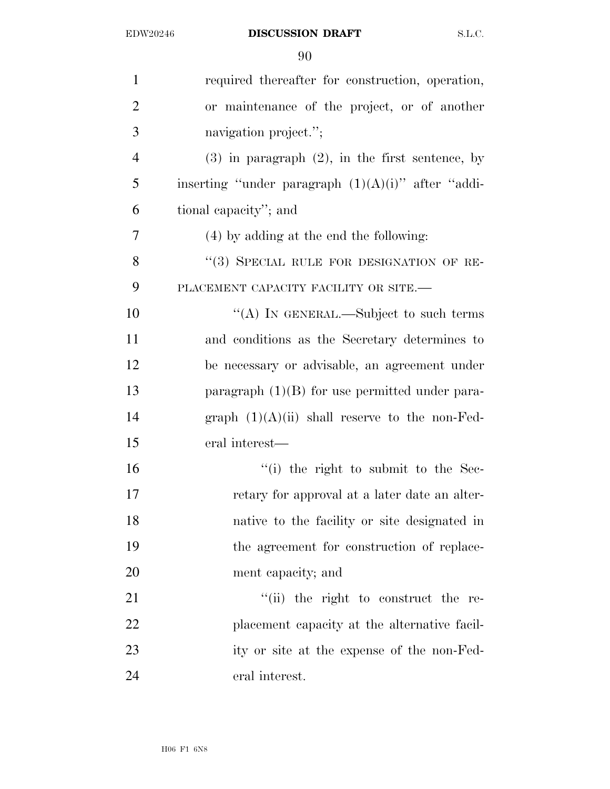| $\mathbf{1}$   | required thereafter for construction, operation,      |
|----------------|-------------------------------------------------------|
| $\overline{2}$ | or maintenance of the project, or of another          |
| 3              | navigation project.";                                 |
| $\overline{4}$ | $(3)$ in paragraph $(2)$ , in the first sentence, by  |
| 5              | inserting "under paragraph $(1)(A)(i)$ " after "addi- |
| 6              | tional capacity"; and                                 |
| $\overline{7}$ | (4) by adding at the end the following:               |
| 8              | "(3) SPECIAL RULE FOR DESIGNATION OF RE-              |
| 9              | PLACEMENT CAPACITY FACILITY OR SITE.-                 |
| 10             | "(A) IN GENERAL.—Subject to such terms                |
| 11             | and conditions as the Secretary determines to         |
| 12             | be necessary or advisable, an agreement under         |
| 13             | paragraph $(1)(B)$ for use permitted under para-      |
| 14             | graph $(1)(A)(ii)$ shall reserve to the non-Fed-      |
| 15             | eral interest—                                        |
| 16             | "(i) the right to submit to the Sec-                  |
| 17             | retary for approval at a later date an alter-         |
| 18             | native to the facility or site designated in          |
| 19             | the agreement for construction of replace-            |
| 20             | ment capacity; and                                    |
| 21             | "(ii) the right to construct the re-                  |
| 22             | placement capacity at the alternative facil-          |
| 23             | ity or site at the expense of the non-Fed-            |
| 24             | eral interest.                                        |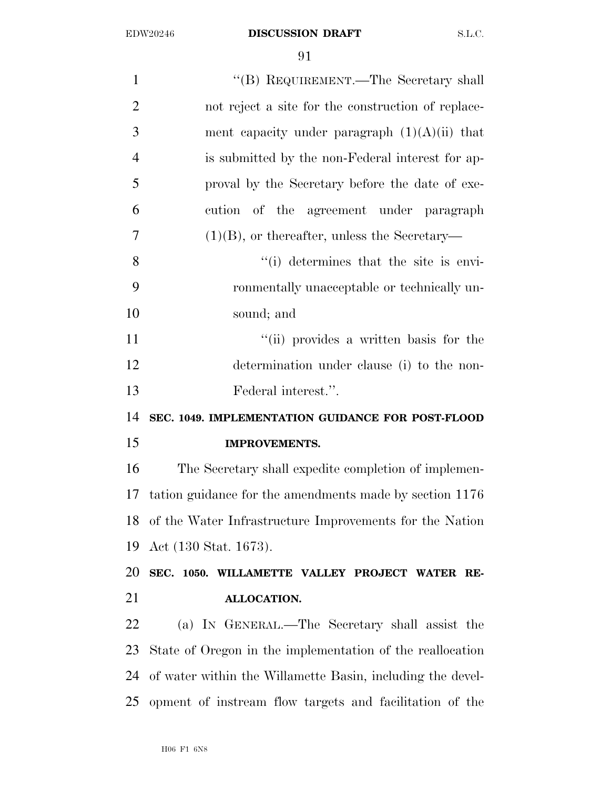| $\mathbf{1}$   | "(B) REQUIREMENT.—The Secretary shall                      |
|----------------|------------------------------------------------------------|
| $\overline{2}$ | not reject a site for the construction of replace-         |
| 3              | ment capacity under paragraph $(1)(A)(ii)$ that            |
| $\overline{4}$ | is submitted by the non-Federal interest for ap-           |
| 5              | proval by the Secretary before the date of exe-            |
| 6              | cution of the agreement under paragraph                    |
| 7              | $(1)(B)$ , or thereafter, unless the Secretary—            |
| 8              | "(i) determines that the site is envi-                     |
| 9              | ronmentally unacceptable or technically un-                |
| 10             | sound; and                                                 |
| 11             | "(ii) provides a written basis for the                     |
| 12             | determination under clause (i) to the non-                 |
| 13             | Federal interest.".                                        |
| 14             | SEC. 1049. IMPLEMENTATION GUIDANCE FOR POST-FLOOD          |
| 15             | <b>IMPROVEMENTS.</b>                                       |
| 16             | The Secretary shall expedite completion of implemen-       |
| 17             | tation guidance for the amendments made by section 1176    |
| 18             | of the Water Infrastructure Improvements for the Nation    |
| 19             | Act (130 Stat. 1673).                                      |
| 20             | SEC. 1050. WILLAMETTE VALLEY PROJECT WATER RE-             |
| 21             | ALLOCATION.                                                |
| 22             | (a) IN GENERAL.—The Secretary shall assist the             |
| 23             | State of Oregon in the implementation of the reallocation  |
| 24             | of water within the Willamette Basin, including the devel- |
| 25             | opment of instream flow targets and facilitation of the    |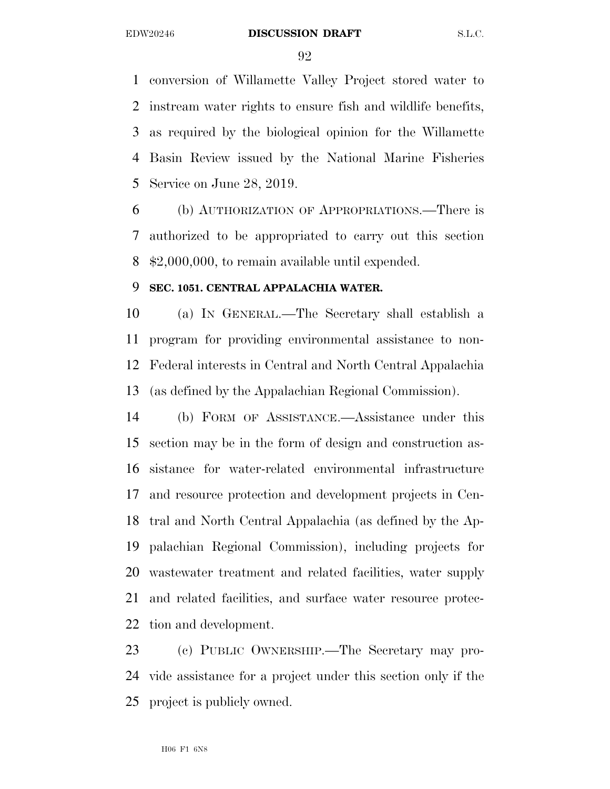conversion of Willamette Valley Project stored water to instream water rights to ensure fish and wildlife benefits, as required by the biological opinion for the Willamette Basin Review issued by the National Marine Fisheries Service on June 28, 2019.

 (b) AUTHORIZATION OF APPROPRIATIONS.—There is authorized to be appropriated to carry out this section \$2,000,000, to remain available until expended.

#### **SEC. 1051. CENTRAL APPALACHIA WATER.**

 (a) IN GENERAL.—The Secretary shall establish a program for providing environmental assistance to non- Federal interests in Central and North Central Appalachia (as defined by the Appalachian Regional Commission).

 (b) FORM OF ASSISTANCE.—Assistance under this section may be in the form of design and construction as- sistance for water-related environmental infrastructure and resource protection and development projects in Cen- tral and North Central Appalachia (as defined by the Ap- palachian Regional Commission), including projects for wastewater treatment and related facilities, water supply and related facilities, and surface water resource protec-tion and development.

 (c) PUBLIC OWNERSHIP.—The Secretary may pro- vide assistance for a project under this section only if the project is publicly owned.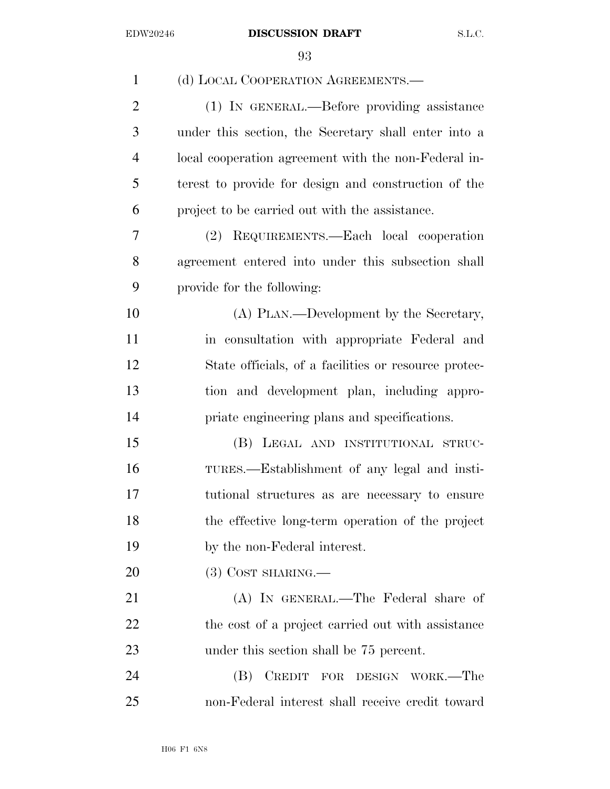| $\mathbf{1}$   | (d) LOCAL COOPERATION AGREEMENTS.                    |
|----------------|------------------------------------------------------|
| $\overline{2}$ | (1) IN GENERAL.—Before providing assistance          |
| 3              | under this section, the Secretary shall enter into a |
| $\overline{4}$ | local cooperation agreement with the non-Federal in- |
| 5              | terest to provide for design and construction of the |
| 6              | project to be carried out with the assistance.       |
| 7              | (2) REQUIREMENTS.—Each local cooperation             |
| 8              | agreement entered into under this subsection shall   |
| 9              | provide for the following:                           |
| 10             | (A) PLAN.—Development by the Secretary,              |
| 11             | in consultation with appropriate Federal and         |
| 12             | State officials, of a facilities or resource protec- |
| 13             | tion and development plan, including appro-          |
| 14             | priate engineering plans and specifications.         |
| 15             | (B) LEGAL AND INSTITUTIONAL STRUC-                   |
| 16             | TURES.—Establishment of any legal and insti-         |
| 17             | tutional structures as are necessary to ensure       |
| 18             | the effective long-term operation of the project     |
| 19             | by the non-Federal interest.                         |
| 20             | $(3)$ COST SHARING.—                                 |
| 21             | (A) IN GENERAL.—The Federal share of                 |
| 22             | the cost of a project carried out with assistance    |
| 23             | under this section shall be 75 percent.              |
| 24             | CREDIT FOR DESIGN WORK.—The<br>(B)                   |
| 25             | non-Federal interest shall receive credit toward     |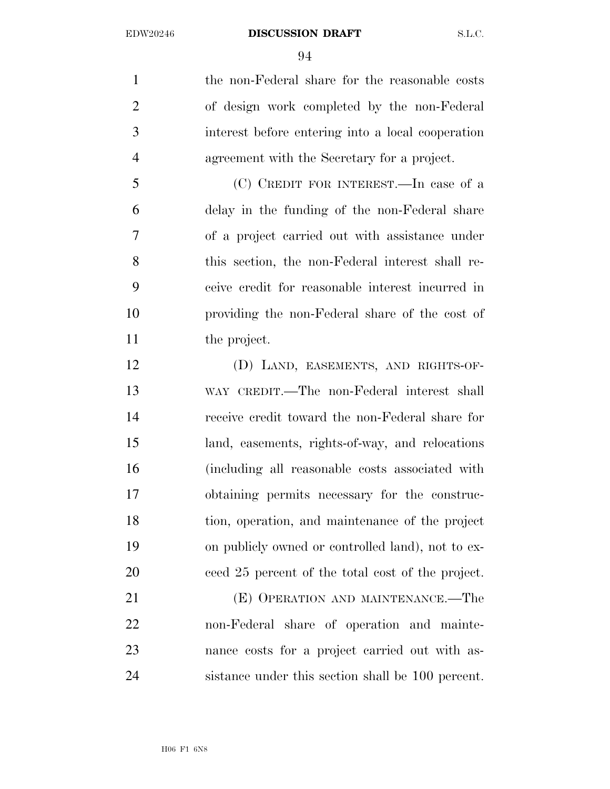the non-Federal share for the reasonable costs of design work completed by the non-Federal interest before entering into a local cooperation agreement with the Secretary for a project.

 (C) CREDIT FOR INTEREST.—In case of a delay in the funding of the non-Federal share of a project carried out with assistance under this section, the non-Federal interest shall re- ceive credit for reasonable interest incurred in providing the non-Federal share of the cost of 11 the project.

 (D) LAND, EASEMENTS, AND RIGHTS-OF- WAY CREDIT.—The non-Federal interest shall receive credit toward the non-Federal share for land, easements, rights-of-way, and relocations (including all reasonable costs associated with obtaining permits necessary for the construc- tion, operation, and maintenance of the project on publicly owned or controlled land), not to ex-ceed 25 percent of the total cost of the project.

**(E) OPERATION AND MAINTENANCE.** The non-Federal share of operation and mainte- nance costs for a project carried out with as-sistance under this section shall be 100 percent.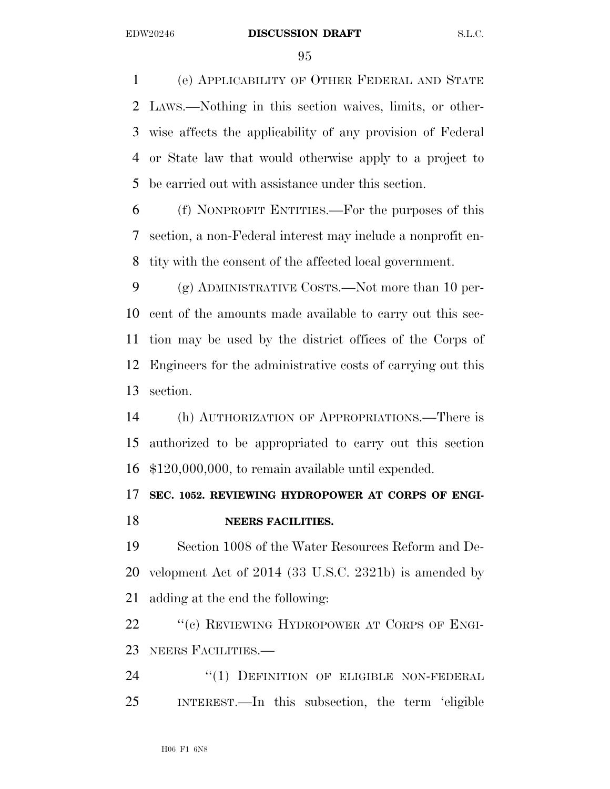(e) APPLICABILITY OF OTHER FEDERAL AND STATE LAWS.—Nothing in this section waives, limits, or other- wise affects the applicability of any provision of Federal or State law that would otherwise apply to a project to be carried out with assistance under this section.

 (f) NONPROFIT ENTITIES.—For the purposes of this section, a non-Federal interest may include a nonprofit en-tity with the consent of the affected local government.

9 (g) ADMINISTRATIVE COSTS.—Not more than 10 per- cent of the amounts made available to carry out this sec- tion may be used by the district offices of the Corps of Engineers for the administrative costs of carrying out this section.

 (h) AUTHORIZATION OF APPROPRIATIONS.—There is authorized to be appropriated to carry out this section \$120,000,000, to remain available until expended.

# **SEC. 1052. REVIEWING HYDROPOWER AT CORPS OF ENGI-NEERS FACILITIES.**

 Section 1008 of the Water Resources Reform and De- velopment Act of 2014 (33 U.S.C. 2321b) is amended by adding at the end the following:

22 "(c) REVIEWING HYDROPOWER AT CORPS OF ENGI-23 NEERS FACILITIES.

24 "(1) DEFINITION OF ELIGIBLE NON-FEDERAL INTEREST.—In this subsection, the term 'eligible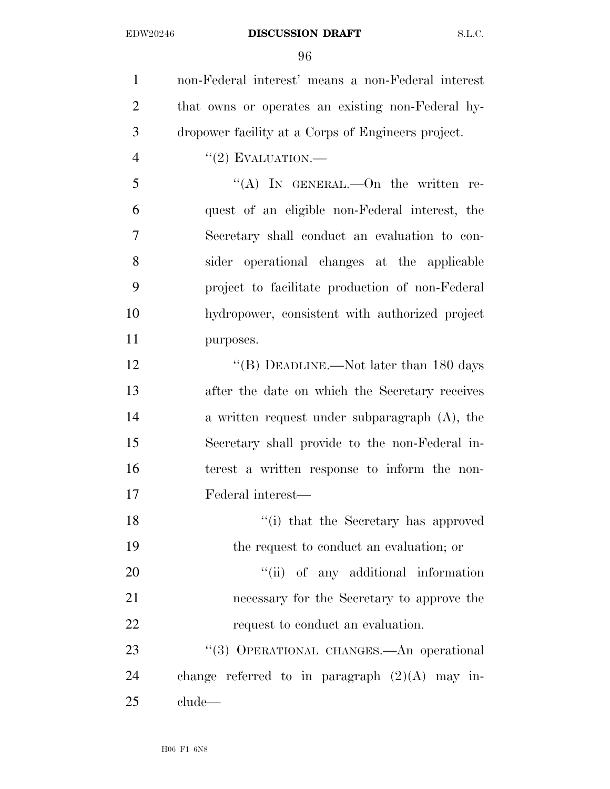non-Federal interest' means a non-Federal interest that owns or operates an existing non-Federal hy-dropower facility at a Corps of Engineers project.

 $\frac{4}{2}$   $\frac{4}{2}$  EVALUATION.

 "(A) In GENERAL. - On the written re- quest of an eligible non-Federal interest, the Secretary shall conduct an evaluation to con- sider operational changes at the applicable project to facilitate production of non-Federal hydropower, consistent with authorized project purposes.

12 "(B) DEADLINE.—Not later than 180 days after the date on which the Secretary receives a written request under subparagraph (A), the Secretary shall provide to the non-Federal in- terest a written response to inform the non-Federal interest—

18 ''(i) that the Secretary has approved the request to conduct an evaluation; or

20  $"$ (ii) of any additional information necessary for the Secretary to approve the 22 request to conduct an evaluation.

23 "(3) OPERATIONAL CHANGES.—An operational change referred to in paragraph (2)(A) may in-clude—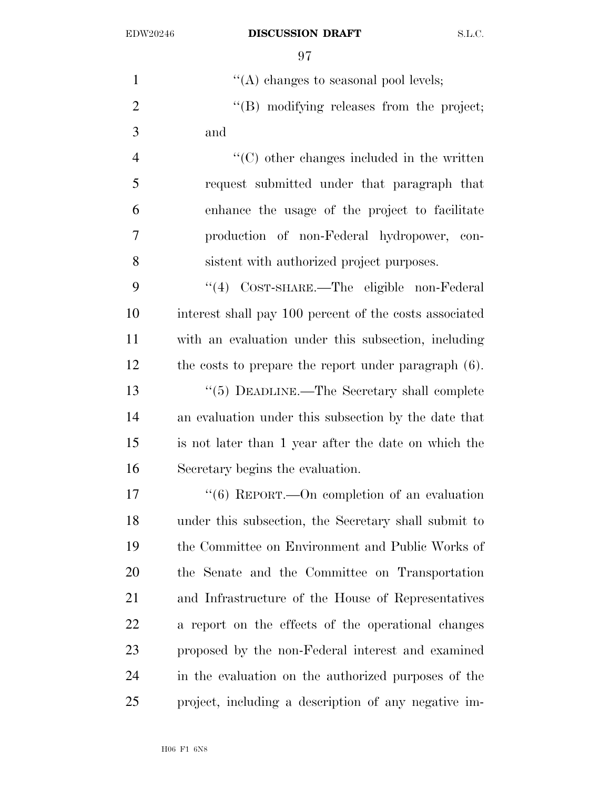$'$ (A) changes to seasonal pool levels;  $\text{``(B)}$  modifying releases from the project; and ''(C) other changes included in the written request submitted under that paragraph that enhance the usage of the project to facilitate production of non-Federal hydropower, con- sistent with authorized project purposes. ''(4) COST-SHARE.—The eligible non-Federal interest shall pay 100 percent of the costs associated with an evaluation under this subsection, including the costs to prepare the report under paragraph (6). 13 "(5) DEADLINE.—The Secretary shall complete an evaluation under this subsection by the date that is not later than 1 year after the date on which the Secretary begins the evaluation.  $\frac{17}{16}$  REPORT. - On completion of an evaluation under this subsection, the Secretary shall submit to the Committee on Environment and Public Works of the Senate and the Committee on Transportation and Infrastructure of the House of Representatives a report on the effects of the operational changes proposed by the non-Federal interest and examined in the evaluation on the authorized purposes of the project, including a description of any negative im-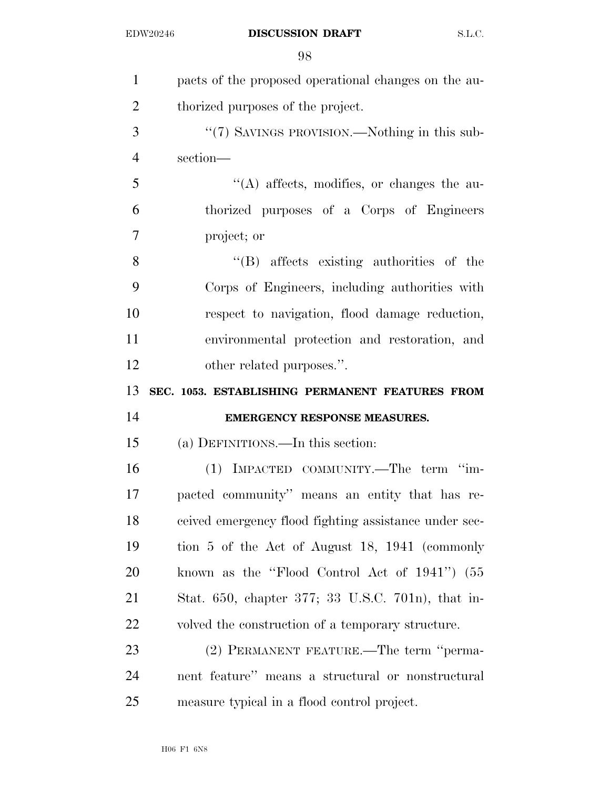| $\mathbf{1}$   | pacts of the proposed operational changes on the au-  |
|----------------|-------------------------------------------------------|
| $\overline{2}$ | thorized purposes of the project.                     |
| 3              | "(7) SAVINGS PROVISION.—Nothing in this sub-          |
| $\overline{4}$ | section-                                              |
| 5              | "(A) affects, modifies, or changes the au-            |
| 6              | thorized purposes of a Corps of Engineers             |
| $\overline{7}$ | project; or                                           |
| 8              | $\lq\lq$ affects existing authorities of the          |
| 9              | Corps of Engineers, including authorities with        |
| 10             | respect to navigation, flood damage reduction,        |
| 11             | environmental protection and restoration, and         |
| 12             | other related purposes.".                             |
|                |                                                       |
| 13             | SEC. 1053. ESTABLISHING PERMANENT FEATURES FROM       |
| 14             | <b>EMERGENCY RESPONSE MEASURES.</b>                   |
| 15             | (a) DEFINITIONS.—In this section:                     |
| 16             | (1) IMPACTED COMMUNITY.—The term "im-                 |
| 17             | pacted community" means an entity that has re-        |
| 18             | ceived emergency flood fighting assistance under sec- |
| 19             | tion 5 of the Act of August 18, 1941 (commonly        |
| 20             | known as the "Flood Control Act of 1941") (55         |
| 21             | Stat. 650, chapter 377; 33 U.S.C. 701n), that in-     |
| 22             | volved the construction of a temporary structure.     |
| 23             | (2) PERMANENT FEATURE.—The term "perma-               |
| 24             | nent feature" means a structural or nonstructural     |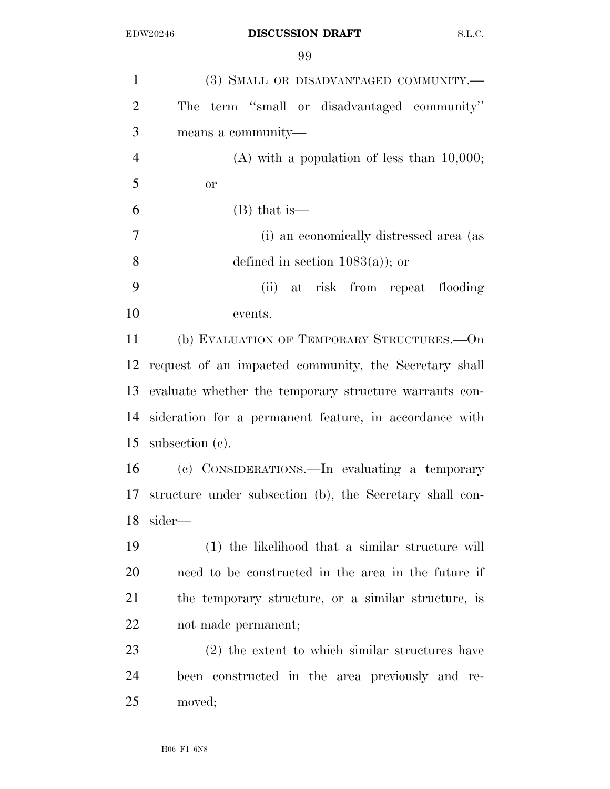| $\mathbf{1}$   | (3) SMALL OR DISADVANTAGED COMMUNITY.—                      |
|----------------|-------------------------------------------------------------|
| $\overline{2}$ | The term "small or disadvantaged community"                 |
| 3              | means a community—                                          |
| $\overline{4}$ | $(A)$ with a population of less than 10,000;                |
| 5              | <b>or</b>                                                   |
| 6              | $(B)$ that is—                                              |
| $\tau$         | (i) an economically distressed area (as                     |
| 8              | defined in section $1083(a)$ ; or                           |
| 9              | at risk from repeat flooding<br>(ii)                        |
| 10             | events.                                                     |
| 11             | (b) EVALUATION OF TEMPORARY STRUCTURES. - On                |
| 12             | request of an impacted community, the Secretary shall       |
| 13             | evaluate whether the temporary structure warrants con-      |
| 14             | sideration for a permanent feature, in accordance with      |
| 15             | subsection $(c)$ .                                          |
| 16             | (c) CONSIDERATIONS.—In evaluating a temporary               |
|                | 17 structure under subsection (b), the Secretary shall con- |
| 18             | sider—                                                      |
| 19             | (1) the likelihood that a similar structure will            |
| 20             | need to be constructed in the area in the future if         |
| 21             | the temporary structure, or a similar structure, is         |
| 22             | not made permanent;                                         |
| 23             | $(2)$ the extent to which similar structures have           |
| 24             | been constructed in the area previously and re-             |
| 25             | moved;                                                      |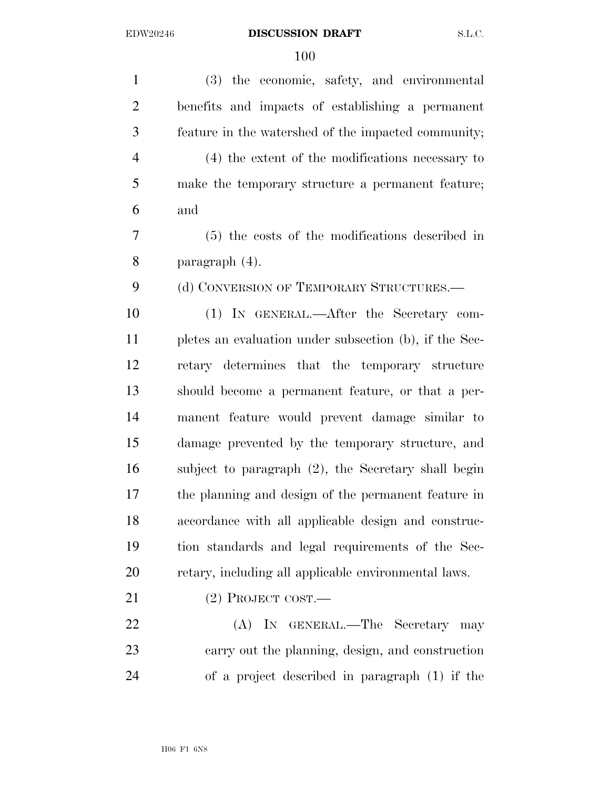(3) the economic, safety, and environmental benefits and impacts of establishing a permanent feature in the watershed of the impacted community; (4) the extent of the modifications necessary to make the temporary structure a permanent feature; and (5) the costs of the modifications described in paragraph (4). 9 (d) CONVERSION OF TEMPORARY STRUCTURES. (1) IN GENERAL.—After the Secretary com- pletes an evaluation under subsection (b), if the Sec- retary determines that the temporary structure should become a permanent feature, or that a per- manent feature would prevent damage similar to damage prevented by the temporary structure, and subject to paragraph (2), the Secretary shall begin the planning and design of the permanent feature in accordance with all applicable design and construc- tion standards and legal requirements of the Sec- retary, including all applicable environmental laws. (2) PROJECT COST.— 22 (A) In GENERAL.—The Secretary may carry out the planning, design, and construction of a project described in paragraph (1) if the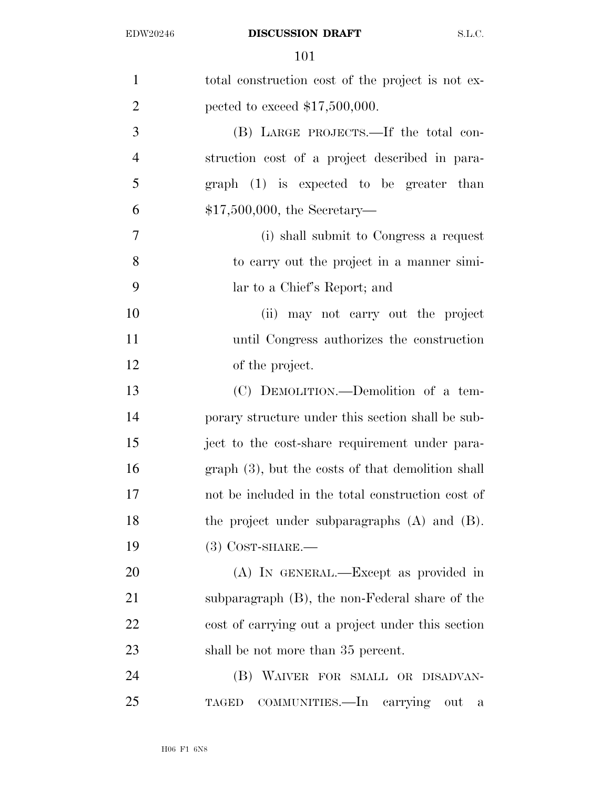| $\mathbf{1}$   | total construction cost of the project is not ex-   |
|----------------|-----------------------------------------------------|
| $\overline{2}$ | pected to exceed $$17,500,000$ .                    |
| 3              | (B) LARGE PROJECTS.—If the total con-               |
| $\overline{4}$ | struction cost of a project described in para-      |
| 5              | $graph$ (1) is expected to be greater than          |
| 6              | $$17,500,000,$ the Secretary-                       |
| 7              | (i) shall submit to Congress a request              |
| 8              | to carry out the project in a manner simi-          |
| 9              | lar to a Chief's Report; and                        |
| 10             | (ii) may not carry out the project                  |
| 11             | until Congress authorizes the construction          |
| 12             | of the project.                                     |
| 13             | (C) DEMOLITION.—Demolition of a tem-                |
| 14             | porary structure under this section shall be sub-   |
| 15             | ject to the cost-share requirement under para-      |
| 16             | $graph(3)$ , but the costs of that demolition shall |
| 17             | not be included in the total construction cost of   |
| 18             | the project under subparagraphs $(A)$ and $(B)$ .   |
| 19             | $(3)$ COST-SHARE.—                                  |
| 20             | (A) IN GENERAL.—Except as provided in               |
| 21             | subparagraph $(B)$ , the non-Federal share of the   |
| 22             | cost of carrying out a project under this section   |
| 23             | shall be not more than 35 percent.                  |
| 24             | (B) WAIVER FOR SMALL OR DISADVAN-                   |
| 25             | TAGED COMMUNITIES.—In carrying out<br>- a           |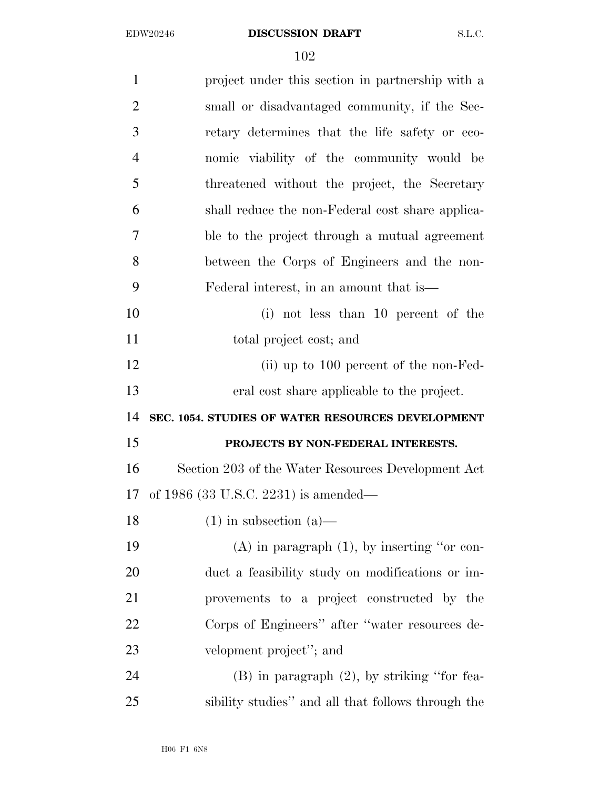| $\mathbf{1}$   | project under this section in partnership with a   |
|----------------|----------------------------------------------------|
| $\overline{2}$ | small or disadvantaged community, if the Sec-      |
| 3              | retary determines that the life safety or eco-     |
| $\overline{4}$ | nomic viability of the community would be          |
| 5              | threatened without the project, the Secretary      |
| 6              | shall reduce the non-Federal cost share applica-   |
| 7              | ble to the project through a mutual agreement      |
| 8              | between the Corps of Engineers and the non-        |
| 9              | Federal interest, in an amount that is—            |
| 10             | (i) not less than 10 percent of the                |
| 11             | total project cost; and                            |
| 12             | (ii) up to 100 percent of the non-Fed-             |
| 13             | eral cost share applicable to the project.         |
| 14             | SEC. 1054. STUDIES OF WATER RESOURCES DEVELOPMENT  |
| 15             | PROJECTS BY NON-FEDERAL INTERESTS.                 |
| 16             | Section 203 of the Water Resources Development Act |
| 17             | of 1986 $(33 \text{ U.S.C. } 2231)$ is amended—    |
| 18             | $(1)$ in subsection $(a)$ —                        |
| 19             | $(A)$ in paragraph $(1)$ , by inserting "or con-   |
| 20             | duct a feasibility study on modifications or im-   |
| 21             | provements to a project constructed by the         |
| 22             | Corps of Engineers" after "water resources de-     |
| 23             | velopment project"; and                            |
| 24             | $(B)$ in paragraph $(2)$ , by striking "for fea-   |
| 25             | sibility studies" and all that follows through the |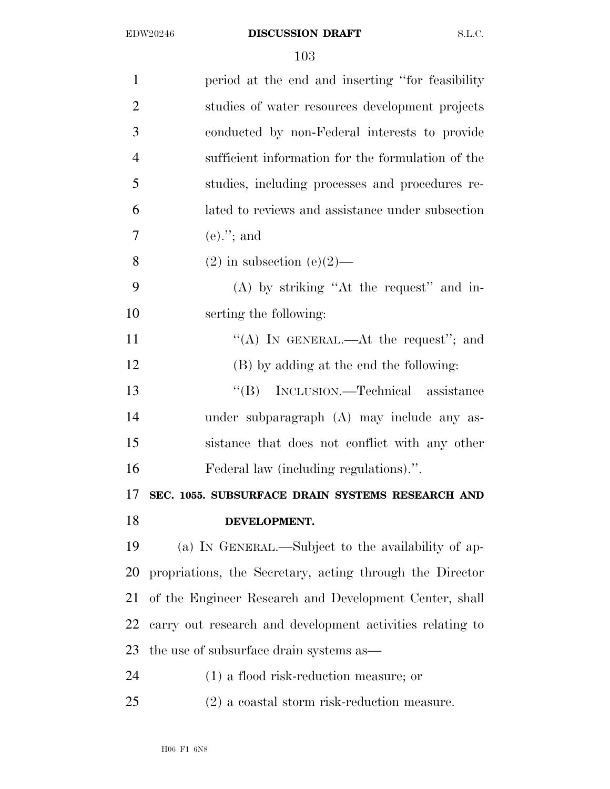| $\mathbf{1}$   | period at the end and inserting "for feasibility"         |
|----------------|-----------------------------------------------------------|
| $\overline{2}$ | studies of water resources development projects           |
| 3              | conducted by non-Federal interests to provide             |
| $\overline{4}$ | sufficient information for the formulation of the         |
| 5              | studies, including processes and procedures re-           |
| 6              | lated to reviews and assistance under subsection          |
| 7              | $(e)$ ."; and                                             |
| 8              | $(2)$ in subsection $(e)(2)$ —                            |
| 9              | (A) by striking "At the request" and in-                  |
| 10             | serting the following:                                    |
| 11             | "(A) IN GENERAL.—At the request"; and                     |
| 12             | (B) by adding at the end the following:                   |
| 13             | "(B) INCLUSION.—Technical assistance                      |
| 14             | under subparagraph (A) may include any as-                |
| 15             | sistance that does not conflict with any other            |
| 16             | Federal law (including regulations).".                    |
| 17             | SEC. 1055. SUBSURFACE DRAIN SYSTEMS RESEARCH AND          |
| 18             | DEVELOPMENT.                                              |
| 19             | (a) IN GENERAL.—Subject to the availability of ap-        |
| 20             | propriations, the Secretary, acting through the Director  |
| 21             | of the Engineer Research and Development Center, shall    |
| 22             | carry out research and development activities relating to |
| 23             | the use of subsurface drain systems as—                   |
| 24             | $(1)$ a flood risk-reduction measure; or                  |
| 25             | $(2)$ a coastal storm risk-reduction measure.             |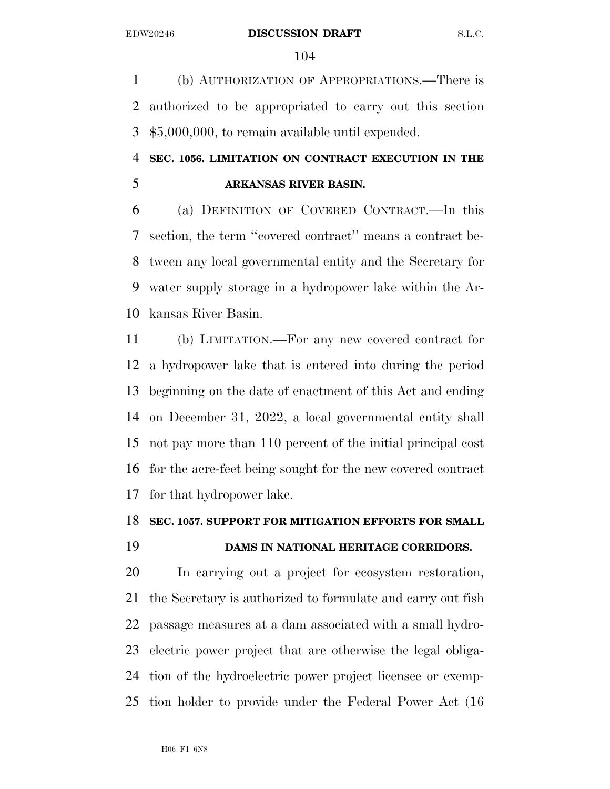(b) AUTHORIZATION OF APPROPRIATIONS.—There is authorized to be appropriated to carry out this section \$5,000,000, to remain available until expended.

# **SEC. 1056. LIMITATION ON CONTRACT EXECUTION IN THE ARKANSAS RIVER BASIN.**

 (a) DEFINITION OF COVERED CONTRACT.—In this section, the term ''covered contract'' means a contract be- tween any local governmental entity and the Secretary for water supply storage in a hydropower lake within the Ar-kansas River Basin.

 (b) LIMITATION.—For any new covered contract for a hydropower lake that is entered into during the period beginning on the date of enactment of this Act and ending on December 31, 2022, a local governmental entity shall not pay more than 110 percent of the initial principal cost for the acre-feet being sought for the new covered contract for that hydropower lake.

### **SEC. 1057. SUPPORT FOR MITIGATION EFFORTS FOR SMALL**

## **DAMS IN NATIONAL HERITAGE CORRIDORS.**

 In carrying out a project for ecosystem restoration, the Secretary is authorized to formulate and carry out fish passage measures at a dam associated with a small hydro- electric power project that are otherwise the legal obliga- tion of the hydroelectric power project licensee or exemp-tion holder to provide under the Federal Power Act (16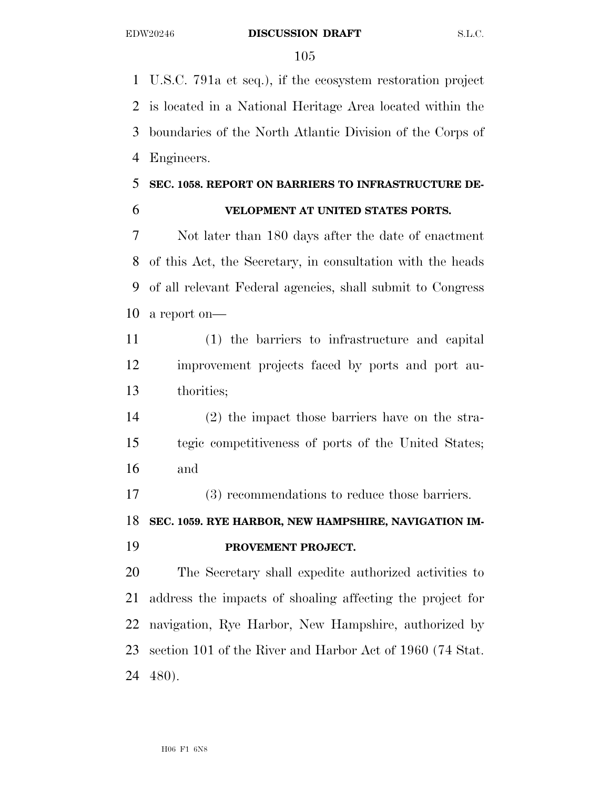U.S.C. 791a et seq.), if the ecosystem restoration project is located in a National Heritage Area located within the boundaries of the North Atlantic Division of the Corps of Engineers.

# **SEC. 1058. REPORT ON BARRIERS TO INFRASTRUCTURE DE-**

**VELOPMENT AT UNITED STATES PORTS.** 

 Not later than 180 days after the date of enactment of this Act, the Secretary, in consultation with the heads of all relevant Federal agencies, shall submit to Congress a report on—

 (1) the barriers to infrastructure and capital improvement projects faced by ports and port au-thorities;

 (2) the impact those barriers have on the stra- tegic competitiveness of ports of the United States; and

(3) recommendations to reduce those barriers.

 **SEC. 1059. RYE HARBOR, NEW HAMPSHIRE, NAVIGATION IM-PROVEMENT PROJECT.** 

 The Secretary shall expedite authorized activities to address the impacts of shoaling affecting the project for navigation, Rye Harbor, New Hampshire, authorized by section 101 of the River and Harbor Act of 1960 (74 Stat. 480).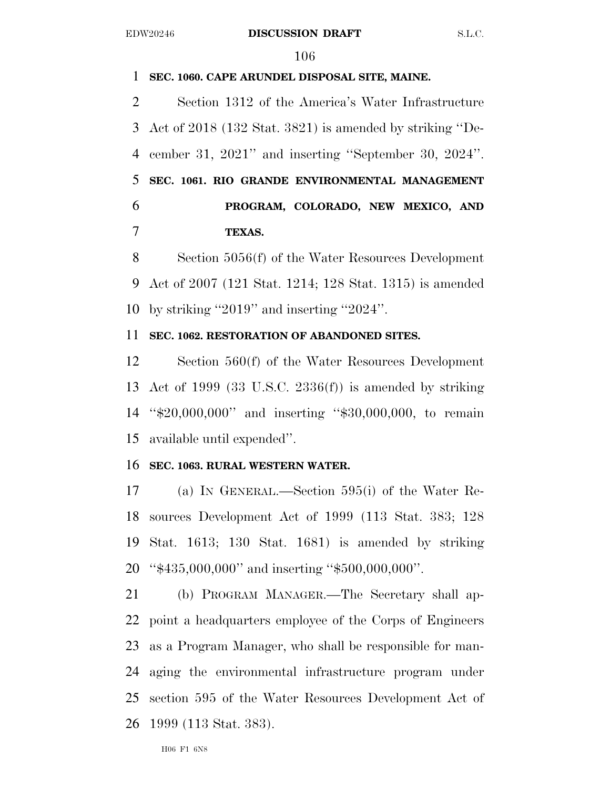**SEC. 1060. CAPE ARUNDEL DISPOSAL SITE, MAINE.** 

 Section 1312 of the America's Water Infrastructure Act of 2018 (132 Stat. 3821) is amended by striking ''De- cember 31, 2021'' and inserting ''September 30, 2024''. **SEC. 1061. RIO GRANDE ENVIRONMENTAL MANAGEMENT PROGRAM, COLORADO, NEW MEXICO, AND TEXAS.** 

 Section 5056(f) of the Water Resources Development Act of 2007 (121 Stat. 1214; 128 Stat. 1315) is amended by striking ''2019'' and inserting ''2024''.

#### **SEC. 1062. RESTORATION OF ABANDONED SITES.**

 Section 560(f) of the Water Resources Development Act of 1999 (33 U.S.C. 2336(f)) is amended by striking ''\$20,000,000'' and inserting ''\$30,000,000, to remain available until expended''.

#### **SEC. 1063. RURAL WESTERN WATER.**

 (a) IN GENERAL.—Section 595(i) of the Water Re- sources Development Act of 1999 (113 Stat. 383; 128 Stat. 1613; 130 Stat. 1681) is amended by striking ''\$435,000,000'' and inserting ''\$500,000,000''.

 (b) PROGRAM MANAGER.—The Secretary shall ap- point a headquarters employee of the Corps of Engineers as a Program Manager, who shall be responsible for man- aging the environmental infrastructure program under section 595 of the Water Resources Development Act of 1999 (113 Stat. 383).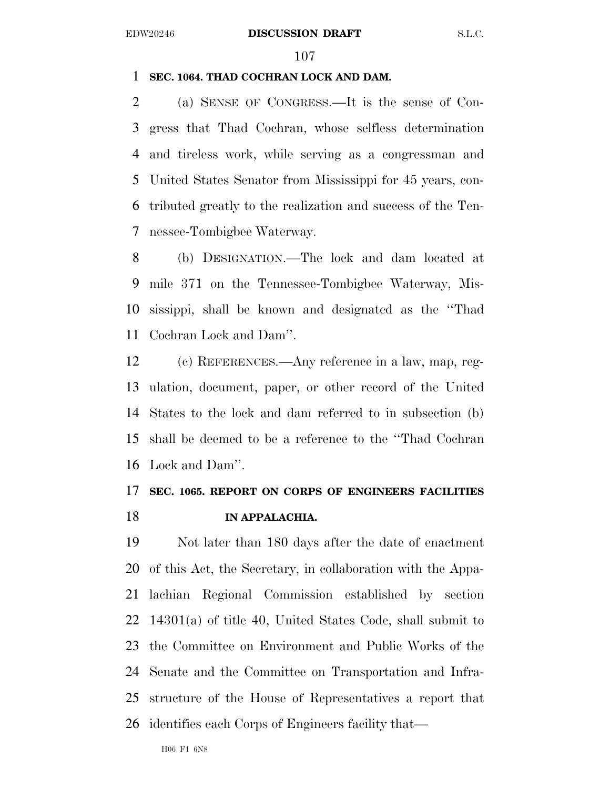#### **SEC. 1064. THAD COCHRAN LOCK AND DAM.**

 (a) SENSE OF CONGRESS.—It is the sense of Con- gress that Thad Cochran, whose selfless determination and tireless work, while serving as a congressman and United States Senator from Mississippi for 45 years, con- tributed greatly to the realization and success of the Ten-nessee-Tombigbee Waterway.

 (b) DESIGNATION.—The lock and dam located at mile 371 on the Tennessee-Tombigbee Waterway, Mis- sissippi, shall be known and designated as the ''Thad Cochran Lock and Dam''.

 (c) REFERENCES.—Any reference in a law, map, reg- ulation, document, paper, or other record of the United States to the lock and dam referred to in subsection (b) shall be deemed to be a reference to the ''Thad Cochran Lock and Dam''.

# **SEC. 1065. REPORT ON CORPS OF ENGINEERS FACILITIES IN APPALACHIA.**

 Not later than 180 days after the date of enactment of this Act, the Secretary, in collaboration with the Appa- lachian Regional Commission established by section 14301(a) of title 40, United States Code, shall submit to the Committee on Environment and Public Works of the Senate and the Committee on Transportation and Infra- structure of the House of Representatives a report that identifies each Corps of Engineers facility that—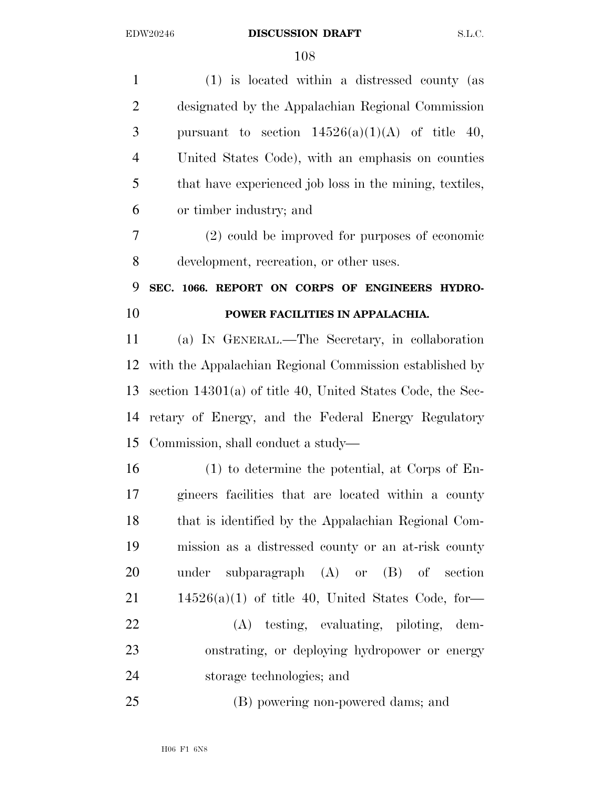(1) is located within a distressed county (as designated by the Appalachian Regional Commission 3 pursuant to section  $14526(a)(1)(A)$  of title 40, United States Code), with an emphasis on counties that have experienced job loss in the mining, textiles, or timber industry; and (2) could be improved for purposes of economic development, recreation, or other uses. **SEC. 1066. REPORT ON CORPS OF ENGINEERS HYDRO- POWER FACILITIES IN APPALACHIA.**  (a) IN GENERAL.—The Secretary, in collaboration with the Appalachian Regional Commission established by section 14301(a) of title 40, United States Code, the Sec- retary of Energy, and the Federal Energy Regulatory Commission, shall conduct a study— (1) to determine the potential, at Corps of En- gineers facilities that are located within a county that is identified by the Appalachian Regional Com- mission as a distressed county or an at-risk county under subparagraph (A) or (B) of section 14526(a)(1) of title 40, United States Code, for- (A) testing, evaluating, piloting, dem- onstrating, or deploying hydropower or energy storage technologies; and (B) powering non-powered dams; and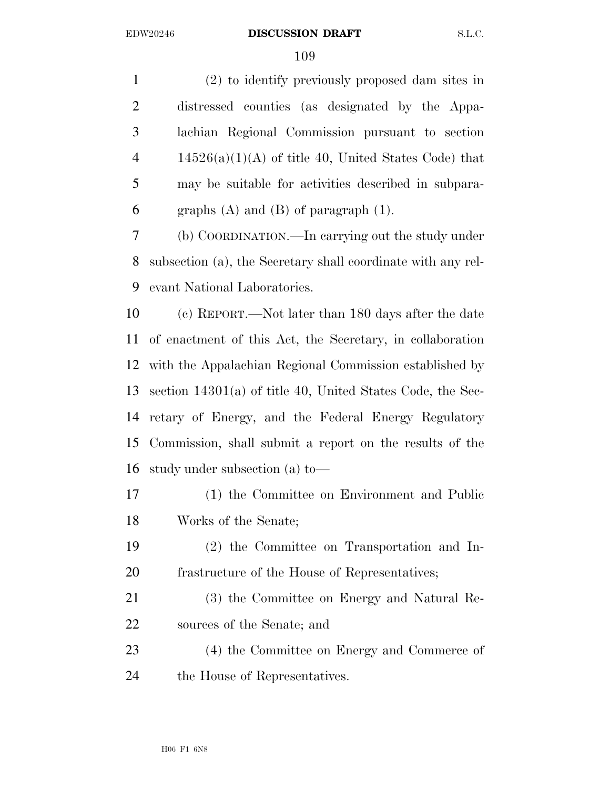(2) to identify previously proposed dam sites in distressed counties (as designated by the Appa- lachian Regional Commission pursuant to section 4 14526(a)(1)(A) of title 40, United States Code) that may be suitable for activities described in subpara-6 graphs  $(A)$  and  $(B)$  of paragraph  $(1)$ .

 (b) COORDINATION.—In carrying out the study under subsection (a), the Secretary shall coordinate with any rel-evant National Laboratories.

 (c) REPORT.—Not later than 180 days after the date of enactment of this Act, the Secretary, in collaboration with the Appalachian Regional Commission established by section 14301(a) of title 40, United States Code, the Sec- retary of Energy, and the Federal Energy Regulatory Commission, shall submit a report on the results of the study under subsection (a) to—

- (1) the Committee on Environment and Public Works of the Senate;
- (2) the Committee on Transportation and In-frastructure of the House of Representatives;
- (3) the Committee on Energy and Natural Re-sources of the Senate; and
- (4) the Committee on Energy and Commerce of the House of Representatives.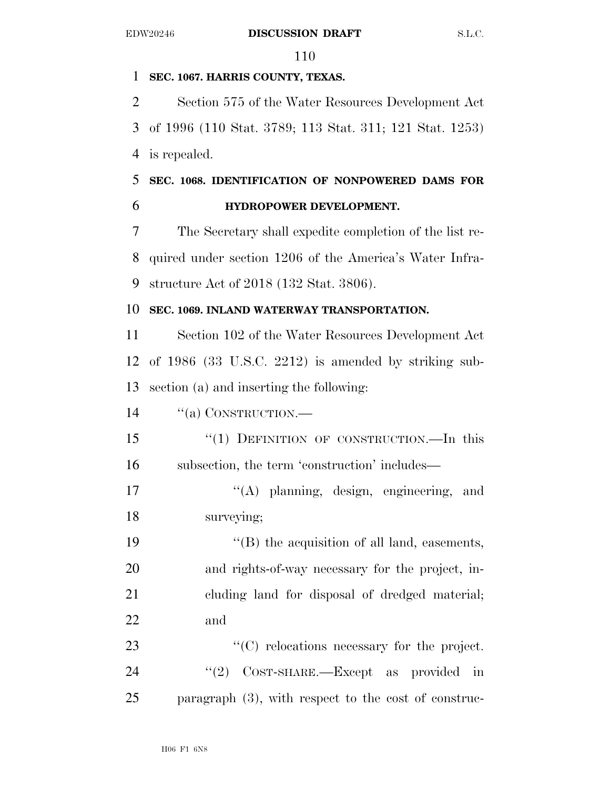# **SEC. 1067. HARRIS COUNTY, TEXAS.**

 Section 575 of the Water Resources Development Act of 1996 (110 Stat. 3789; 113 Stat. 311; 121 Stat. 1253) is repealed.

# **SEC. 1068. IDENTIFICATION OF NONPOWERED DAMS FOR HYDROPOWER DEVELOPMENT.**

 The Secretary shall expedite completion of the list re- quired under section 1206 of the America's Water Infra-structure Act of 2018 (132 Stat. 3806).

# **SEC. 1069. INLAND WATERWAY TRANSPORTATION.**

 Section 102 of the Water Resources Development Act of 1986 (33 U.S.C. 2212) is amended by striking sub-section (a) and inserting the following:

14 "(a) CONSTRUCTION.—

 ''(1) DEFINITION OF CONSTRUCTION.—In this subsection, the term 'construction' includes—

17  $\langle (A)$  planning, design, engineering, and surveying;

 $\langle G \rangle$  the acquisition of all land, easements, and rights-of-way necessary for the project, in- cluding land for disposal of dredged material; and

23  $\cdot$  (C) relocations necessary for the project. 24 "(2) COST-SHARE.—Except as provided in paragraph (3), with respect to the cost of construc-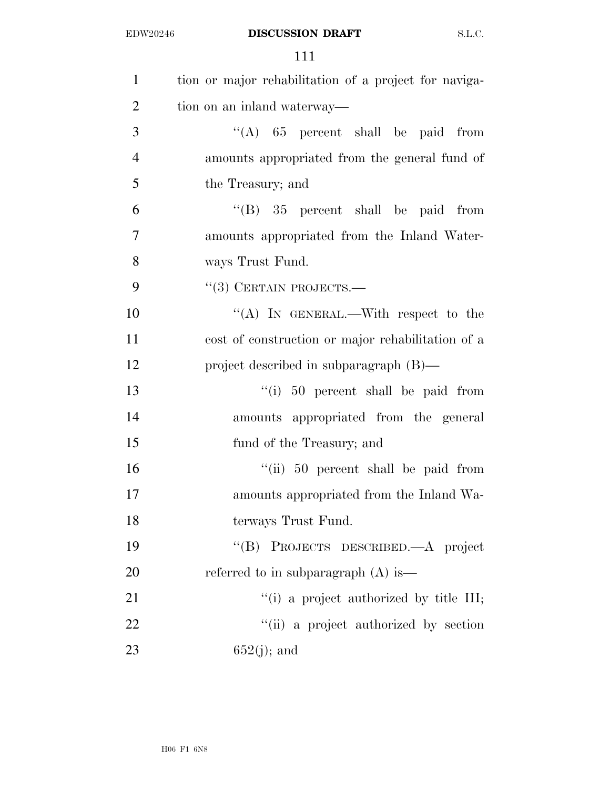| $\mathbf{1}$   | tion or major rehabilitation of a project for naviga- |
|----------------|-------------------------------------------------------|
| $\overline{2}$ | tion on an inland waterway—                           |
| 3              | "(A) $65$ percent shall be paid from                  |
| $\overline{4}$ | amounts appropriated from the general fund of         |
| 5              | the Treasury; and                                     |
| 6              | $\cdot$ (B) 35 percent shall be paid from             |
| $\tau$         | amounts appropriated from the Inland Water-           |
| 8              | ways Trust Fund.                                      |
| 9              | $``(3)$ CERTAIN PROJECTS.—                            |
| 10             | "(A) IN GENERAL.—With respect to the                  |
| 11             | cost of construction or major rehabilitation of a     |
| 12             | project described in subparagraph $(B)$ —             |
| 13             | "(i) 50 percent shall be paid from                    |
| 14             | amounts appropriated from the general                 |
| 15             | fund of the Treasury; and                             |
| 16             | "(ii) 50 percent shall be paid from                   |
| 17             | amounts appropriated from the Inland Wa-              |
| 18             | terways Trust Fund.                                   |
| 19             | "(B) PROJECTS DESCRIBED.—A project                    |
| 20             | referred to in subparagraph $(A)$ is —                |
| 21             | "(i) a project authorized by title III;               |
| 22             | "(ii) a project authorized by section                 |
| 23             | $652(j)$ ; and                                        |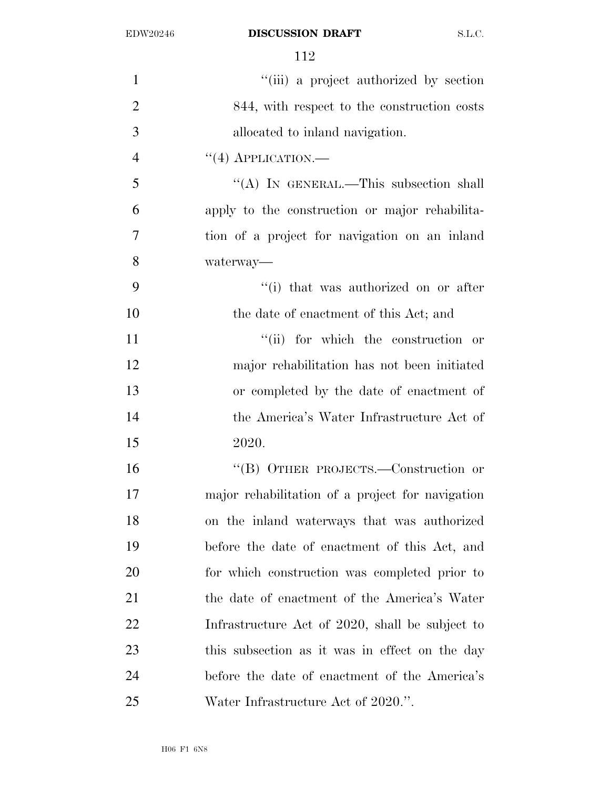| $\mathbf{1}$   | "(iii) a project authorized by section           |
|----------------|--------------------------------------------------|
| $\overline{2}$ | 844, with respect to the construction costs      |
| 3              | allocated to inland navigation.                  |
| $\overline{4}$ | $``(4)$ APPLICATION.—                            |
| 5              | "(A) IN GENERAL.—This subsection shall           |
| 6              | apply to the construction or major rehabilita-   |
| $\overline{7}$ | tion of a project for navigation on an inland    |
| 8              | waterway—                                        |
| 9              | "(i) that was authorized on or after             |
| 10             | the date of enactment of this Act; and           |
| 11             | "(ii) for which the construction or              |
| 12             | major rehabilitation has not been initiated      |
| 13             | or completed by the date of enactment of         |
| 14             | the America's Water Infrastructure Act of        |
| 15             | 2020.                                            |
| 16             | "(B) OTHER PROJECTS.—Construction or             |
| 17             | major rehabilitation of a project for navigation |
| 18             | on the inland waterways that was authorized      |
| 19             | before the date of enactment of this Act, and    |
| <b>20</b>      | for which construction was completed prior to    |
| 21             | the date of enactment of the America's Water     |
| 22             | Infrastructure Act of 2020, shall be subject to  |
| 23             | this subsection as it was in effect on the day   |
| 24             | before the date of enactment of the America's    |
| 25             | Water Infrastructure Act of 2020.".              |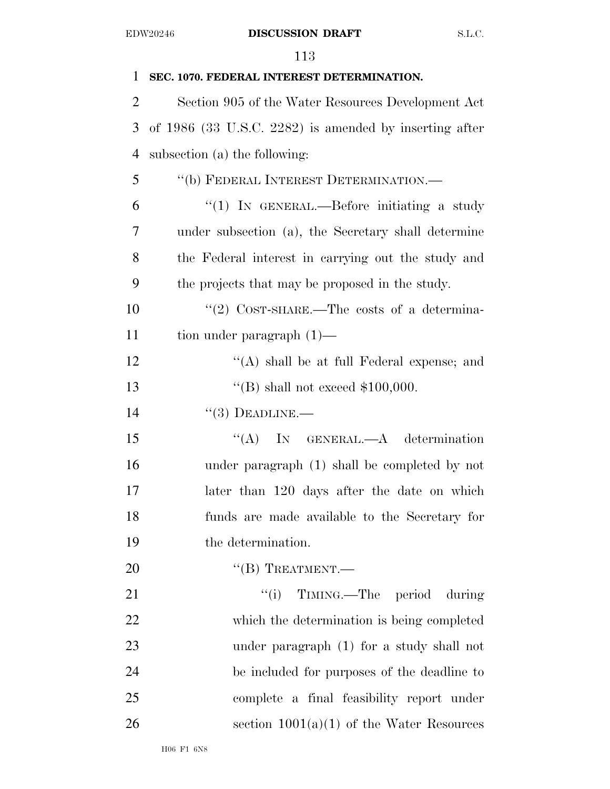| $\mathbf{1}$   | SEC. 1070. FEDERAL INTEREST DETERMINATION.               |
|----------------|----------------------------------------------------------|
| $\overline{2}$ | Section 905 of the Water Resources Development Act       |
| 3              | of $1986$ (33 U.S.C. 2282) is amended by inserting after |
| $\overline{4}$ | subsection (a) the following:                            |
| 5              | "(b) FEDERAL INTEREST DETERMINATION.—                    |
| 6              | "(1) IN GENERAL.—Before initiating a study               |
| 7              | under subsection (a), the Secretary shall determine      |
| 8              | the Federal interest in carrying out the study and       |
| 9              | the projects that may be proposed in the study.          |
| 10             | "(2) COST-SHARE.—The costs of a determina-               |
| 11             | tion under paragraph $(1)$ —                             |
| 12             | "(A) shall be at full Federal expense; and               |
| 13             | "(B) shall not exceed $$100,000$ .                       |
| 14             | $``(3)$ DEADLINE.—                                       |
| 15             | IN GENERAL.—A determination<br>``(A)                     |
| 16             | under paragraph (1) shall be completed by not            |
| 17             | later than 120 days after the date on which              |
| 18             | funds are made available to the Secretary for            |
| 19             | the determination.                                       |
| 20             | $\lq\lq (B)$ TREATMENT.—                                 |
| 21             | "(i) TIMING.—The period during                           |
| 22             | which the determination is being completed               |
| 23             | under paragraph (1) for a study shall not                |
| 24             | be included for purposes of the deadline to              |
| 25             | complete a final feasibility report under                |
| 26             | section $1001(a)(1)$ of the Water Resources              |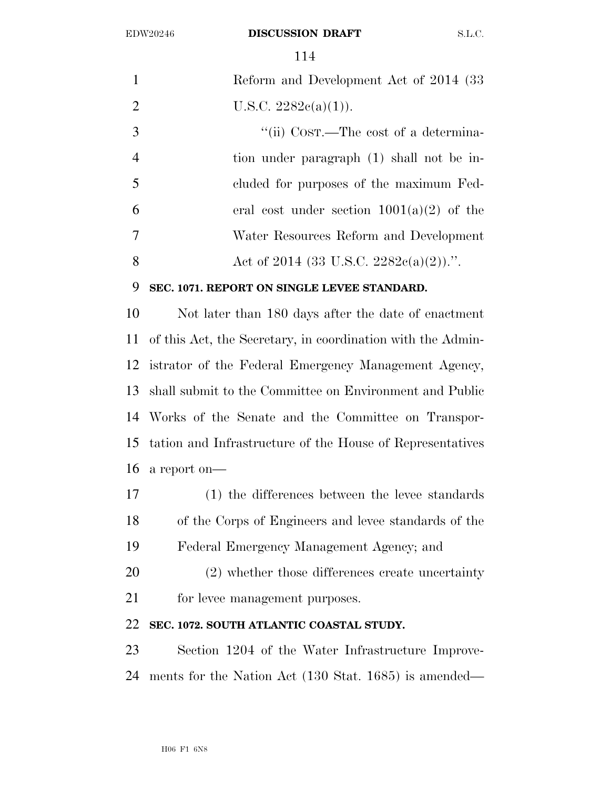|                | 114                                                         |
|----------------|-------------------------------------------------------------|
| $\mathbf{1}$   | Reform and Development Act of 2014 (33)                     |
| $\overline{2}$ | U.S.C. $2282e(a)(1)$ .                                      |
| 3              | "(ii) Cost.—The cost of a determina-                        |
| 4              | tion under paragraph (1) shall not be in-                   |
| 5              | cluded for purposes of the maximum Fed-                     |
| 6              | eral cost under section $1001(a)(2)$ of the                 |
| 7              | Water Resources Reform and Development                      |
| 8              | Act of 2014 (33 U.S.C. 2282 $c(a)(2)$ ).".                  |
| 9              | SEC. 1071. REPORT ON SINGLE LEVEE STANDARD.                 |
| 10             | Not later than 180 days after the date of enactment         |
| 11             | of this Act, the Secretary, in coordination with the Admin- |
| 12             | istrator of the Federal Emergency Management Agency,        |
| 13             | shall submit to the Committee on Environment and Public     |
|                | 14 Works of the Senate and the Committee on Transpor-       |
| 15             | tation and Infrastructure of the House of Representatives   |
| 16             | a report on-                                                |
| 17             | (1) the differences between the levee standards             |
| 18             | of the Corps of Engineers and levee standards of the        |
| 19             | Federal Emergency Management Agency; and                    |
| 20             | (2) whether those differences create uncertainty            |
| 21             | for levee management purposes.                              |
| 22             | SEC. 1072. SOUTH ATLANTIC COASTAL STUDY.                    |
| 23             | Section 1204 of the Water Infrastructure Improve-           |
| 24             | ments for the Nation Act (130 Stat. 1685) is amended—       |
|                |                                                             |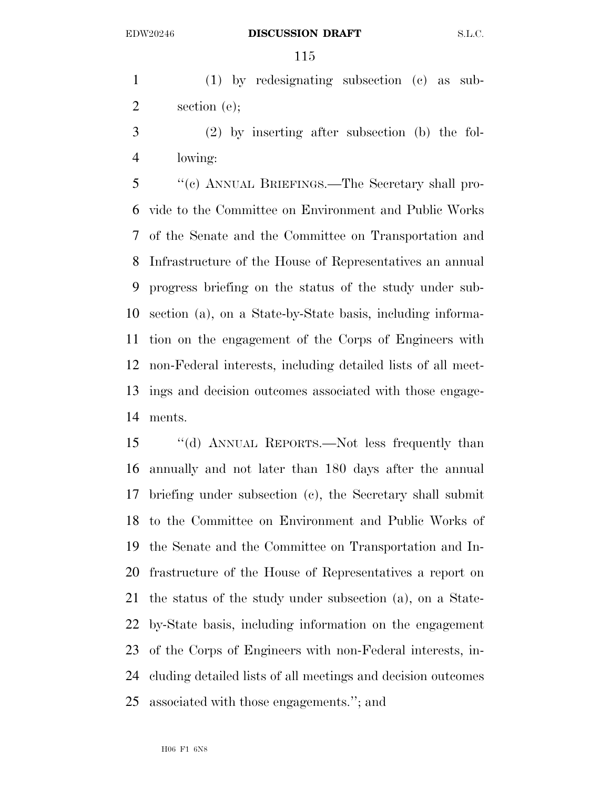(1) by redesignating subsection (c) as sub-section (e);

 (2) by inserting after subsection (b) the fol-lowing:

 ''(c) ANNUAL BRIEFINGS.—The Secretary shall pro- vide to the Committee on Environment and Public Works of the Senate and the Committee on Transportation and Infrastructure of the House of Representatives an annual progress briefing on the status of the study under sub- section (a), on a State-by-State basis, including informa- tion on the engagement of the Corps of Engineers with non-Federal interests, including detailed lists of all meet- ings and decision outcomes associated with those engage-ments.

 ''(d) ANNUAL REPORTS.—Not less frequently than annually and not later than 180 days after the annual briefing under subsection (c), the Secretary shall submit to the Committee on Environment and Public Works of the Senate and the Committee on Transportation and In- frastructure of the House of Representatives a report on the status of the study under subsection (a), on a State- by-State basis, including information on the engagement of the Corps of Engineers with non-Federal interests, in- cluding detailed lists of all meetings and decision outcomes associated with those engagements.''; and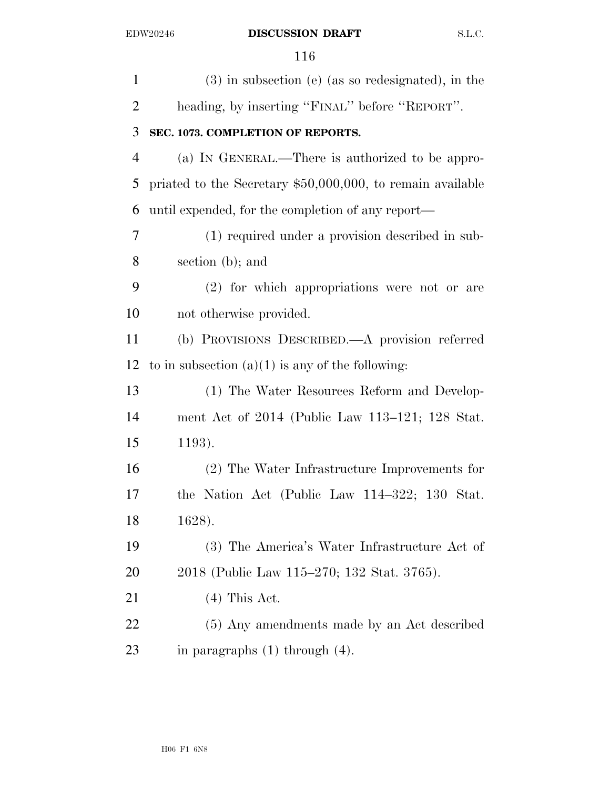| $\mathbf{1}$   | $(3)$ in subsection (e) (as so redesignated), in the       |
|----------------|------------------------------------------------------------|
| $\overline{2}$ | heading, by inserting "FINAL" before "REPORT".             |
| 3              | SEC. 1073. COMPLETION OF REPORTS.                          |
| $\overline{4}$ | (a) IN GENERAL.—There is authorized to be appro-           |
| 5              | priated to the Secretary \$50,000,000, to remain available |
| 6              | until expended, for the completion of any report—          |
| 7              | (1) required under a provision described in sub-           |
| 8              | section (b); and                                           |
| 9              | (2) for which appropriations were not or are               |
| 10             | not otherwise provided.                                    |
| 11             | (b) PROVISIONS DESCRIBED.—A provision referred             |
| 12             | to in subsection $(a)(1)$ is any of the following:         |
| 13             | (1) The Water Resources Reform and Develop-                |
| 14             | ment Act of 2014 (Public Law 113–121; 128 Stat.            |
| 15             | 1193).                                                     |
| 16             | (2) The Water Infrastructure Improvements for              |
| 17             | the Nation Act (Public Law 114–322; 130 Stat.              |
| 18             | 1628).                                                     |
| 19             | (3) The America's Water Infrastructure Act of              |
| <b>20</b>      | 2018 (Public Law 115–270; 132 Stat. 3765).                 |
| 21             | $(4)$ This Act.                                            |
| <u>22</u>      | (5) Any amendments made by an Act described                |
| 23             | in paragraphs $(1)$ through $(4)$ .                        |
|                |                                                            |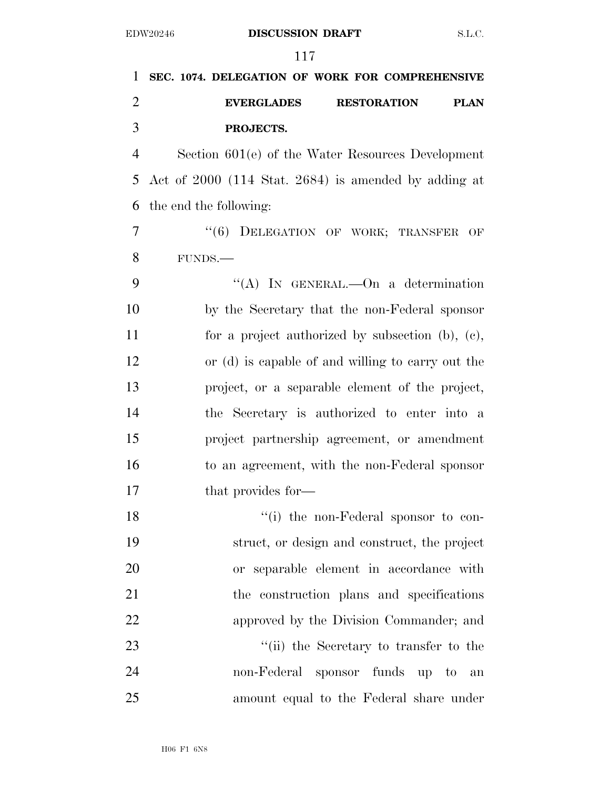**SEC. 1074. DELEGATION OF WORK FOR COMPREHENSIVE EVERGLADES RESTORATION PLAN PROJECTS.**  Section 601(e) of the Water Resources Development Act of 2000 (114 Stat. 2684) is amended by adding at the end the following: 7 "(6) DELEGATION OF WORK; TRANSFER OF FUNDS.— ''(A) IN GENERAL.—On a determination by the Secretary that the non-Federal sponsor for a project authorized by subsection (b), (c), or (d) is capable of and willing to carry out the project, or a separable element of the project, the Secretary is authorized to enter into a project partnership agreement, or amendment to an agreement, with the non-Federal sponsor 17 that provides for— 18 ''(i) the non-Federal sponsor to con- struct, or design and construct, the project or separable element in accordance with the construction plans and specifications approved by the Division Commander; and 23 ''(ii) the Secretary to transfer to the non-Federal sponsor funds up to an amount equal to the Federal share under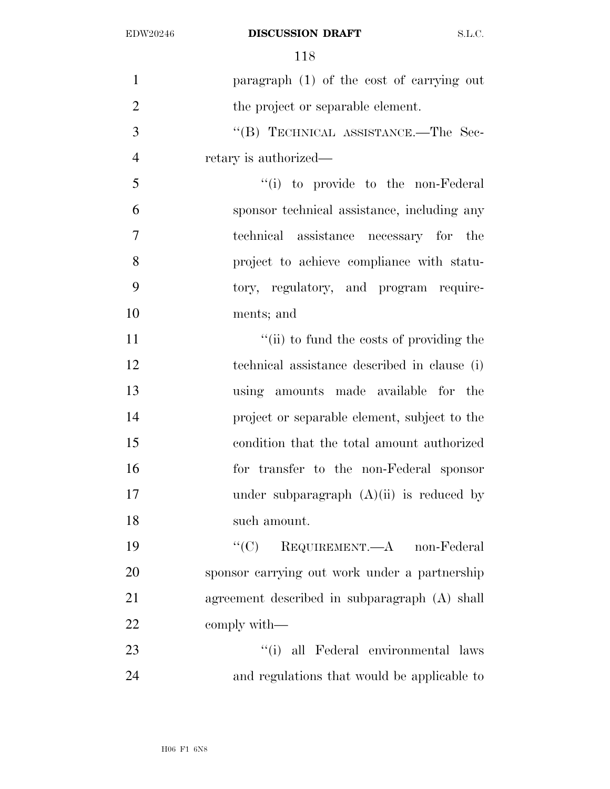| $\mathbf{1}$   | paragraph $(1)$ of the cost of carrying out                                                                                                             |
|----------------|---------------------------------------------------------------------------------------------------------------------------------------------------------|
| $\overline{2}$ | the project or separable element.                                                                                                                       |
| 3              | "(B) TECHNICAL ASSISTANCE.—The Sec-                                                                                                                     |
| $\overline{4}$ | retary is authorized—                                                                                                                                   |
| 5              | "(i) to provide to the non-Federal"                                                                                                                     |
| 6              | sponsor technical assistance, including any                                                                                                             |
| $\tau$         | technical assistance necessary for the                                                                                                                  |
| 8              | project to achieve compliance with statu-                                                                                                               |
| 9              | tory, regulatory, and program require-                                                                                                                  |
| 10             | ments; and                                                                                                                                              |
| 11             | "(ii) to fund the costs of providing the                                                                                                                |
| 12             | technical assistance described in clause (i)                                                                                                            |
| 13             | using amounts made available for the                                                                                                                    |
| 14             | project or separable element, subject to the                                                                                                            |
| 15             | condition that the total amount authorized                                                                                                              |
| 16             | for transfer to the non-Federal sponsor                                                                                                                 |
| 17             | under subparagraph $(A)(ii)$ is reduced by                                                                                                              |
| 18             | such amount.                                                                                                                                            |
| 19             | ``(C)<br>$\begin{minipage}{.4\linewidth} \bf \color{red}{RegUIREMENT}.\textcolor{blue}{\bf \color{green}{-A}\hspace{-.8ex} non-Federal} \end{minipage}$ |
| 20             | sponsor carrying out work under a partnership                                                                                                           |
| 21             | agreement described in subparagraph (A) shall                                                                                                           |
| 22             | comply with—                                                                                                                                            |
| 23             | "(i) all Federal environmental laws                                                                                                                     |
| 24             | and regulations that would be applicable to                                                                                                             |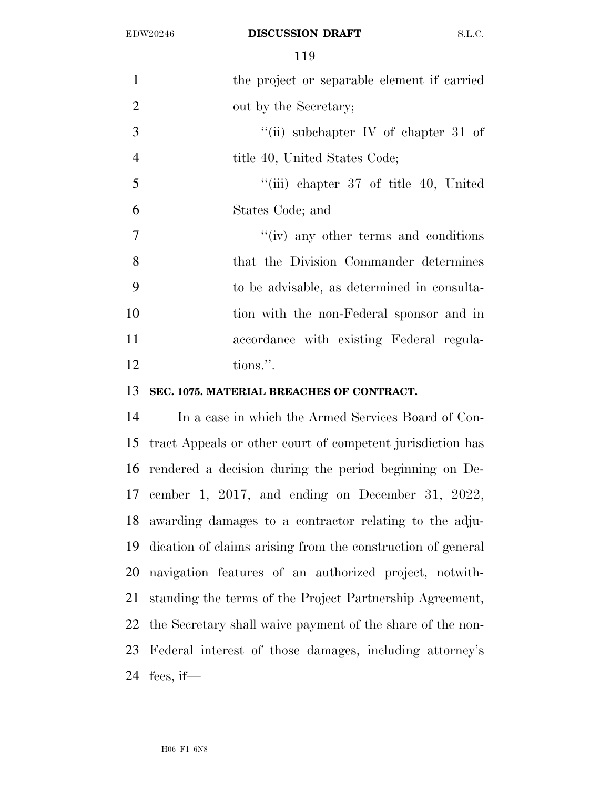| $\mathbf{1}$   | the project or separable element if carried      |
|----------------|--------------------------------------------------|
| 2              | out by the Secretary;                            |
| 3              | "(ii) subchapter IV of chapter 31 of             |
| $\overline{4}$ | title 40, United States Code;                    |
| 5              | $``(iii)$ chapter 37 of title 40, United         |
| 6              | States Code; and                                 |
| $\overline{7}$ | $\mathcal{L}(iv)$ any other terms and conditions |
| 8              | that the Division Commander determines           |
| 9              | to be advisable, as determined in consulta-      |
| 10             | tion with the non-Federal sponsor and in         |
| 11             | accordance with existing Federal regula-         |
| 12             | tions.".                                         |
| 13             | SEC. 1075. MATERIAL BREACHES OF CONTRACT.        |

 In a case in which the Armed Services Board of Con- tract Appeals or other court of competent jurisdiction has rendered a decision during the period beginning on De- cember 1, 2017, and ending on December 31, 2022, awarding damages to a contractor relating to the adju- dication of claims arising from the construction of general navigation features of an authorized project, notwith- standing the terms of the Project Partnership Agreement, the Secretary shall waive payment of the share of the non- Federal interest of those damages, including attorney's fees, if—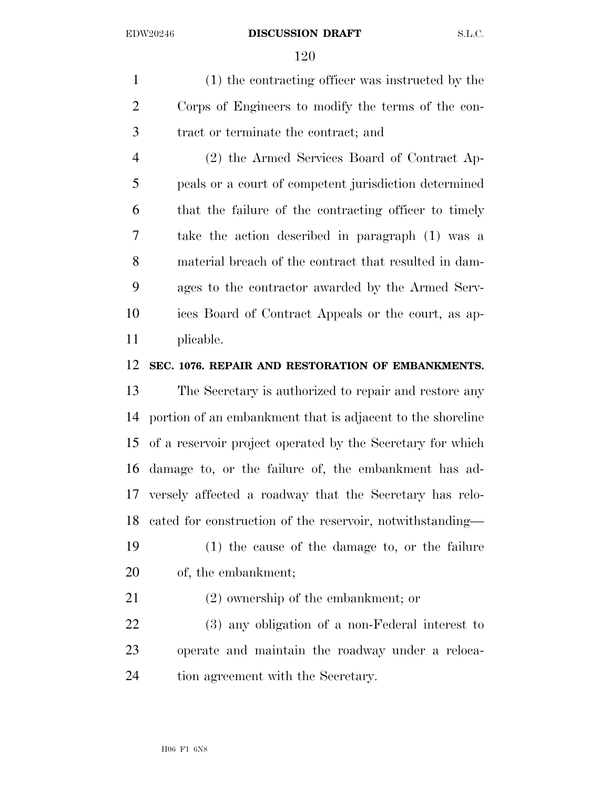(1) the contracting officer was instructed by the Corps of Engineers to modify the terms of the con-tract or terminate the contract; and

 (2) the Armed Services Board of Contract Ap- peals or a court of competent jurisdiction determined that the failure of the contracting officer to timely take the action described in paragraph (1) was a material breach of the contract that resulted in dam- ages to the contractor awarded by the Armed Serv- ices Board of Contract Appeals or the court, as ap-plicable.

### **SEC. 1076. REPAIR AND RESTORATION OF EMBANKMENTS.**

 The Secretary is authorized to repair and restore any portion of an embankment that is adjacent to the shoreline of a reservoir project operated by the Secretary for which damage to, or the failure of, the embankment has ad- versely affected a roadway that the Secretary has relo-cated for construction of the reservoir, notwithstanding—

 (1) the cause of the damage to, or the failure of, the embankment;

(2) ownership of the embankment; or

 (3) any obligation of a non-Federal interest to operate and maintain the roadway under a reloca-tion agreement with the Secretary.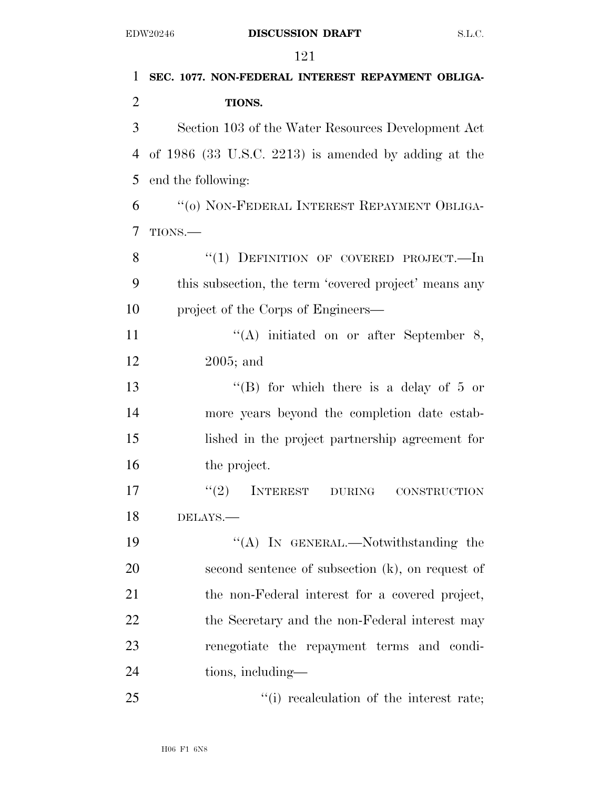| 1              | SEC. 1077. NON-FEDERAL INTEREST REPAYMENT OBLIGA-              |
|----------------|----------------------------------------------------------------|
| $\overline{2}$ | TIONS.                                                         |
| 3              | Section 103 of the Water Resources Development Act             |
| $\overline{4}$ | of $1986$ (33 U.S.C. 2213) is amended by adding at the         |
| 5              | end the following:                                             |
| 6              | "(0) NON-FEDERAL INTEREST REPAYMENT OBLIGA-                    |
| 7              | TIONS.                                                         |
| 8              | "(1) DEFINITION OF COVERED PROJECT.-In                         |
| 9              | this subsection, the term 'covered project' means any          |
| 10             | project of the Corps of Engineers—                             |
| 11             | $\lq\lq$ initiated on or after September 8,                    |
| 12             | $2005$ ; and                                                   |
| 13             | "(B) for which there is a delay of $5$ or                      |
| 14             | more years beyond the completion date estab-                   |
| 15             | lished in the project partnership agreement for                |
| 16             | the project.                                                   |
| 17             | (2)<br><b>INTEREST</b><br><b>DURING</b><br><b>CONSTRUCTION</b> |
| 18             | DELAYS.                                                        |
| 19             | "(A) IN GENERAL.—Notwithstanding the                           |
| 20             | second sentence of subsection (k), on request of               |
| 21             | the non-Federal interest for a covered project,                |
| 22             | the Secretary and the non-Federal interest may                 |
| 23             | renegotiate the repayment terms and condi-                     |
| 24             | tions, including—                                              |
| 25             | $f'(i)$ recalculation of the interest rate;                    |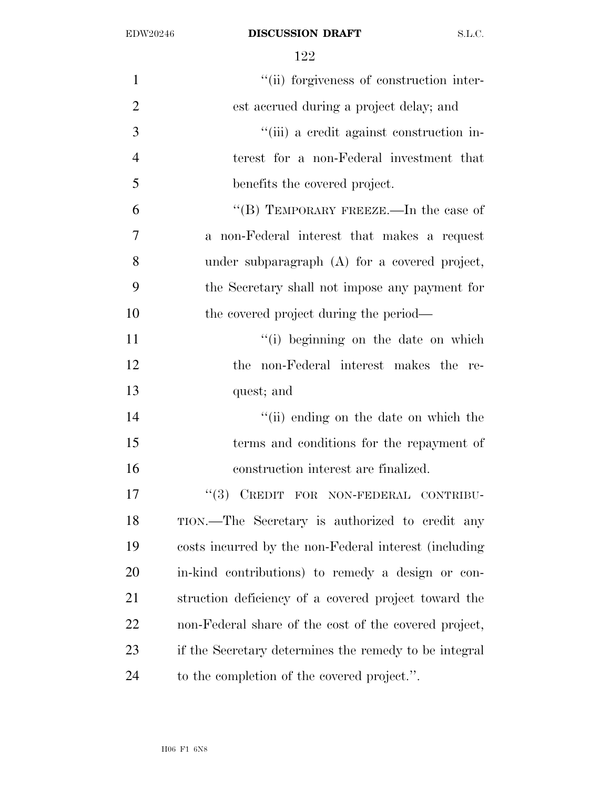| $\mathbf{1}$   | "(ii) forgiveness of construction inter-              |
|----------------|-------------------------------------------------------|
| $\overline{2}$ | est accrued during a project delay; and               |
| 3              | "(iii) a credit against construction in-              |
| $\overline{4}$ | terest for a non-Federal investment that              |
| 5              | benefits the covered project.                         |
| 6              | "(B) TEMPORARY FREEZE.—In the case of                 |
| 7              | a non-Federal interest that makes a request           |
| 8              | under subparagraph (A) for a covered project,         |
| 9              | the Secretary shall not impose any payment for        |
| 10             | the covered project during the period—                |
| 11             | "(i) beginning on the date on which                   |
| 12             | the non-Federal interest makes the re-                |
| 13             | quest; and                                            |
| 14             | "(ii) ending on the date on which the                 |
| 15             | terms and conditions for the repayment of             |
| 16             | construction interest are finalized.                  |
| 17             | (3)<br>CREDIT FOR NON-FEDERAL CONTRIBU-               |
| 18             | TION.—The Secretary is authorized to credit any       |
| 19             | costs incurred by the non-Federal interest (including |
| 20             | in-kind contributions) to remedy a design or con-     |
| 21             | struction deficiency of a covered project toward the  |
| 22             | non-Federal share of the cost of the covered project, |
| 23             | if the Secretary determines the remedy to be integral |
| 24             | to the completion of the covered project.".           |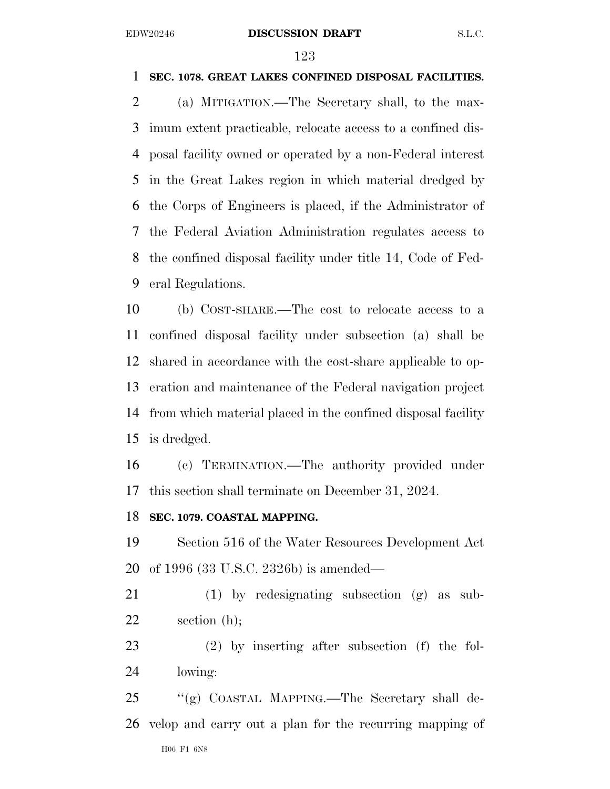# **SEC. 1078. GREAT LAKES CONFINED DISPOSAL FACILITIES.**

 (a) MITIGATION.—The Secretary shall, to the max- imum extent practicable, relocate access to a confined dis- posal facility owned or operated by a non-Federal interest in the Great Lakes region in which material dredged by the Corps of Engineers is placed, if the Administrator of the Federal Aviation Administration regulates access to the confined disposal facility under title 14, Code of Fed-eral Regulations.

 (b) COST-SHARE.—The cost to relocate access to a confined disposal facility under subsection (a) shall be shared in accordance with the cost-share applicable to op- eration and maintenance of the Federal navigation project from which material placed in the confined disposal facility is dredged.

 (c) TERMINATION.—The authority provided under this section shall terminate on December 31, 2024.

# **SEC. 1079. COASTAL MAPPING.**

 Section 516 of the Water Resources Development Act of 1996 (33 U.S.C. 2326b) is amended—

 (1) by redesignating subsection (g) as sub-section (h);

 (2) by inserting after subsection (f) the fol-lowing:

H06 F1 6N8 ''(g) COASTAL MAPPING.—The Secretary shall de-velop and carry out a plan for the recurring mapping of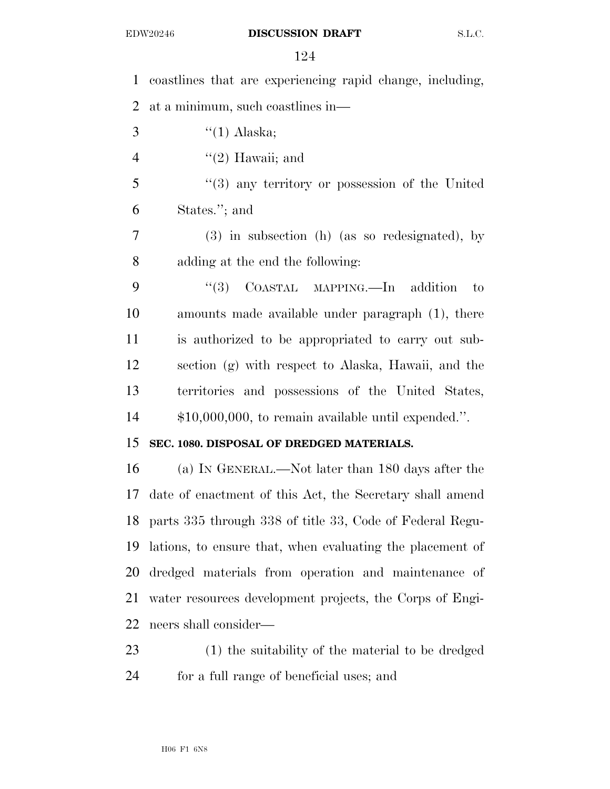coastlines that are experiencing rapid change, including, at a minimum, such coastlines in— ''(1) Alaska;  $"(2)$  Hawaii; and ''(3) any territory or possession of the United States.''; and (3) in subsection (h) (as so redesignated), by adding at the end the following: 9 "(3) COASTAL MAPPING.—In addition to amounts made available under paragraph (1), there is authorized to be appropriated to carry out sub- section (g) with respect to Alaska, Hawaii, and the territories and possessions of the United States, \$10,000,000, to remain available until expended.''. **SEC. 1080. DISPOSAL OF DREDGED MATERIALS.**  (a) IN GENERAL.—Not later than 180 days after the date of enactment of this Act, the Secretary shall amend parts 335 through 338 of title 33, Code of Federal Regu- lations, to ensure that, when evaluating the placement of dredged materials from operation and maintenance of water resources development projects, the Corps of Engi- neers shall consider— (1) the suitability of the material to be dredged

for a full range of beneficial uses; and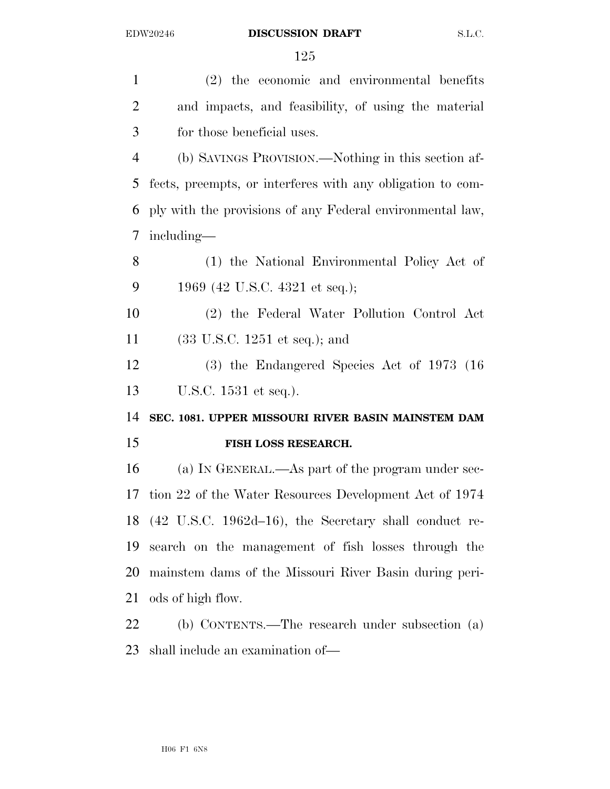(2) the economic and environmental benefits and impacts, and feasibility, of using the material for those beneficial uses. (b) SAVINGS PROVISION.—Nothing in this section af- fects, preempts, or interferes with any obligation to com- ply with the provisions of any Federal environmental law, including— (1) the National Environmental Policy Act of 1969 (42 U.S.C. 4321 et seq.); (2) the Federal Water Pollution Control Act (33 U.S.C. 1251 et seq.); and (3) the Endangered Species Act of 1973 (16 U.S.C. 1531 et seq.). **SEC. 1081. UPPER MISSOURI RIVER BASIN MAINSTEM DAM FISH LOSS RESEARCH.**  (a) IN GENERAL.—As part of the program under sec- tion 22 of the Water Resources Development Act of 1974 (42 U.S.C. 1962d–16), the Secretary shall conduct re- search on the management of fish losses through the mainstem dams of the Missouri River Basin during peri- ods of high flow. (b) CONTENTS.—The research under subsection (a) shall include an examination of—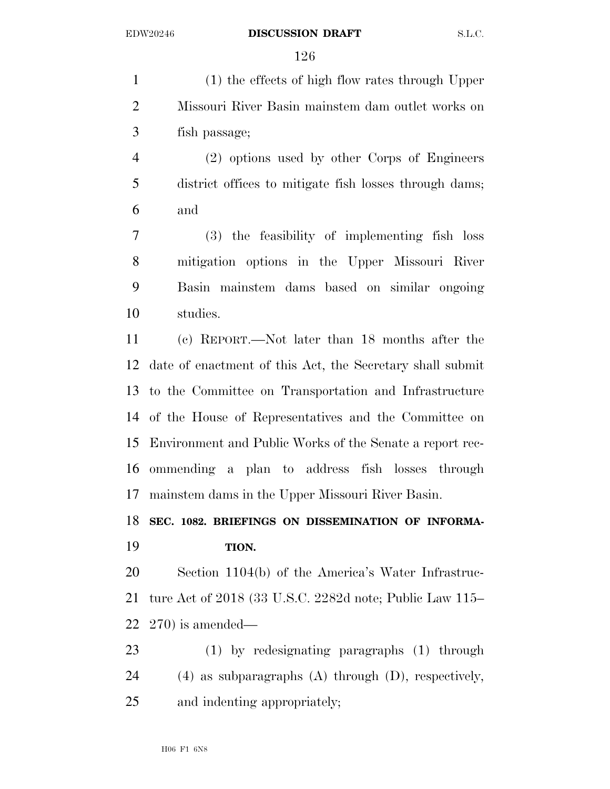(1) the effects of high flow rates through Upper Missouri River Basin mainstem dam outlet works on fish passage;

 (2) options used by other Corps of Engineers district offices to mitigate fish losses through dams; and

 (3) the feasibility of implementing fish loss mitigation options in the Upper Missouri River Basin mainstem dams based on similar ongoing studies.

 (c) REPORT.—Not later than 18 months after the date of enactment of this Act, the Secretary shall submit to the Committee on Transportation and Infrastructure of the House of Representatives and the Committee on Environment and Public Works of the Senate a report rec- ommending a plan to address fish losses through mainstem dams in the Upper Missouri River Basin.

 **SEC. 1082. BRIEFINGS ON DISSEMINATION OF INFORMA-TION.** 

 Section 1104(b) of the America's Water Infrastruc- ture Act of 2018 (33 U.S.C. 2282d note; Public Law 115– 270) is amended—

 (1) by redesignating paragraphs (1) through (4) as subparagraphs (A) through (D), respectively, and indenting appropriately;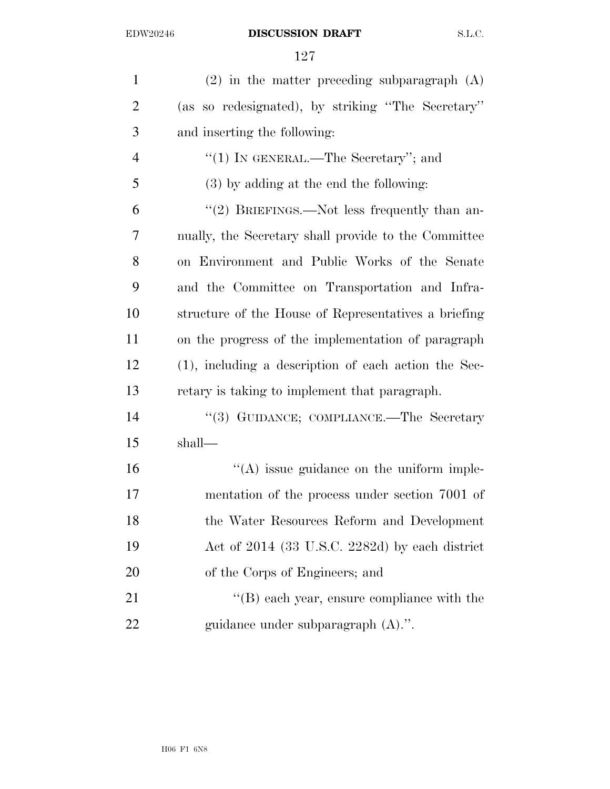| $\mathbf{1}$   | $(2)$ in the matter preceding subparagraph $(A)$        |
|----------------|---------------------------------------------------------|
| $\overline{2}$ | (as so redesignated), by striking "The Secretary"       |
| 3              | and inserting the following:                            |
| $\overline{4}$ | "(1) IN GENERAL.—The Secretary"; and                    |
| 5              | (3) by adding at the end the following:                 |
| 6              | "(2) BRIEFINGS.—Not less frequently than an-            |
| 7              | nually, the Secretary shall provide to the Committee    |
| 8              | on Environment and Public Works of the Senate           |
| 9              | and the Committee on Transportation and Infra-          |
| 10             | structure of the House of Representatives a briefing    |
| 11             | on the progress of the implementation of paragraph      |
| 12             | $(1)$ , including a description of each action the Sec- |
| 13             | retary is taking to implement that paragraph.           |
| 14             | "(3) GUIDANCE; COMPLIANCE.—The Secretary                |
| 15             | shall—                                                  |
| 16             | $\lq\lq$ issue guidance on the uniform imple-           |
| 17             | mentation of the process under section 7001 of          |
| 18             | the Water Resources Reform and Development              |
| 19             | Act of $2014$ (33 U.S.C. 2282d) by each district        |
| 20             | of the Corps of Engineers; and                          |
| 21             | $\lq\lq$ (B) each year, ensure compliance with the      |
| 22             | guidance under subparagraph (A).".                      |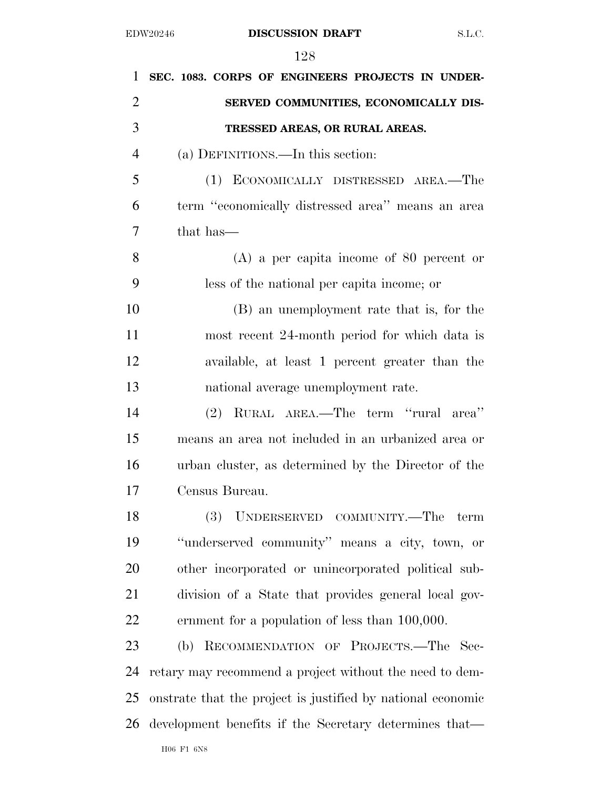| 1              | SEC. 1083. CORPS OF ENGINEERS PROJECTS IN UNDER-            |
|----------------|-------------------------------------------------------------|
| $\overline{2}$ | SERVED COMMUNITIES, ECONOMICALLY DIS-                       |
| 3              | TRESSED AREAS, OR RURAL AREAS.                              |
| $\overline{4}$ | (a) DEFINITIONS.—In this section:                           |
| 5              | (1) ECONOMICALLY DISTRESSED AREA.—The                       |
| 6              | term "economically distressed area" means an area           |
| 7              | that has—                                                   |
| 8              | $(A)$ a per capita income of 80 percent or                  |
| 9              | less of the national per capita income; or                  |
| 10             | (B) an unemployment rate that is, for the                   |
| 11             | most recent 24-month period for which data is               |
| 12             | available, at least 1 percent greater than the              |
| 13             | national average unemployment rate.                         |
| 14             | (2) RURAL AREA.—The term "rural area"                       |
| 15             | means an area not included in an urbanized area or          |
| 16             | urban cluster, as determined by the Director of the         |
| 17             | Census Bureau.                                              |
| 18             | (3) UNDERSERVED COMMUNITY.—The term                         |
| 19             | "underserved community" means a city, town, or              |
| 20             | other incorporated or unincorporated political sub-         |
| 21             | division of a State that provides general local gov-        |
| 22             | ernment for a population of less than 100,000.              |
| 23             | RECOMMENDATION OF PROJECTS.-The Sec-<br>(b)                 |
| 24             | retary may recommend a project without the need to dem-     |
| 25             | onstrate that the project is justified by national economic |
| 26             | development benefits if the Secretary determines that—      |
|                | $H06$ $F1$ $6$ N <sub>8</sub>                               |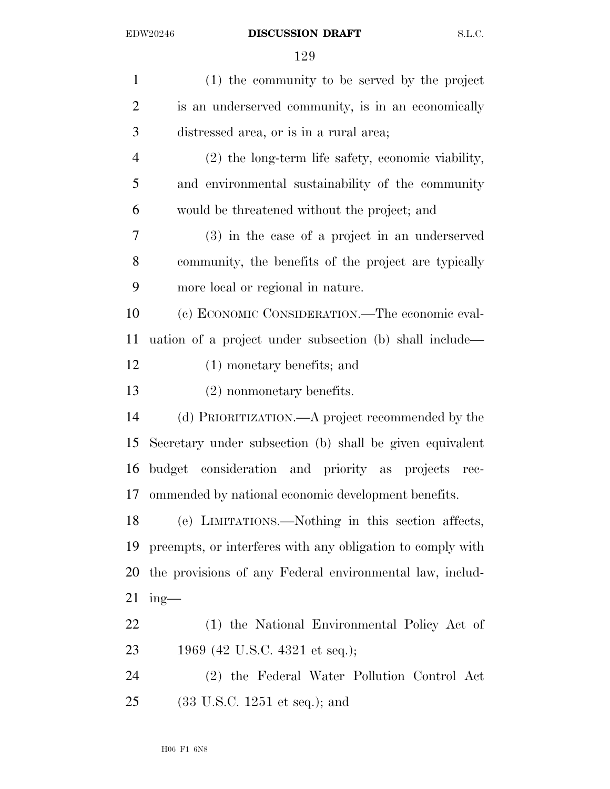| $\mathbf{1}$   | (1) the community to be served by the project              |
|----------------|------------------------------------------------------------|
| $\overline{2}$ | is an underserved community, is in an economically         |
| 3              | distressed area, or is in a rural area;                    |
| $\overline{4}$ | (2) the long-term life safety, economic viability,         |
| 5              | and environmental sustainability of the community          |
| 6              | would be threatened without the project; and               |
| 7              | $(3)$ in the case of a project in an underserved           |
| 8              | community, the benefits of the project are typically       |
| 9              | more local or regional in nature.                          |
| 10             | (c) ECONOMIC CONSIDERATION.—The economic eval-             |
| 11             | uation of a project under subsection (b) shall include—    |
| 12             | $(1)$ monetary benefits; and                               |
| 13             | $(2)$ nonmonetary benefits.                                |
| 14             | (d) PRIORITIZATION.—A project recommended by the           |
| 15             | Secretary under subsection (b) shall be given equivalent   |
| 16             | budget consideration and priority as projects rec-         |
| 17             | ommended by national economic development benefits.        |
| 18             | (e) LIMITATIONS.—Nothing in this section affects,          |
| 19             | preempts, or interferes with any obligation to comply with |
| 20             | the provisions of any Federal environmental law, includ-   |
| 21             | $ing$ —                                                    |
| 22             | (1) the National Environmental Policy Act of               |
| 23             | 1969 (42 U.S.C. 4321 et seq.);                             |
| 24             | (2) the Federal Water Pollution Control Act                |
| 25             | $(33 \text{ U.S.C. } 1251 \text{ et seq.});$ and           |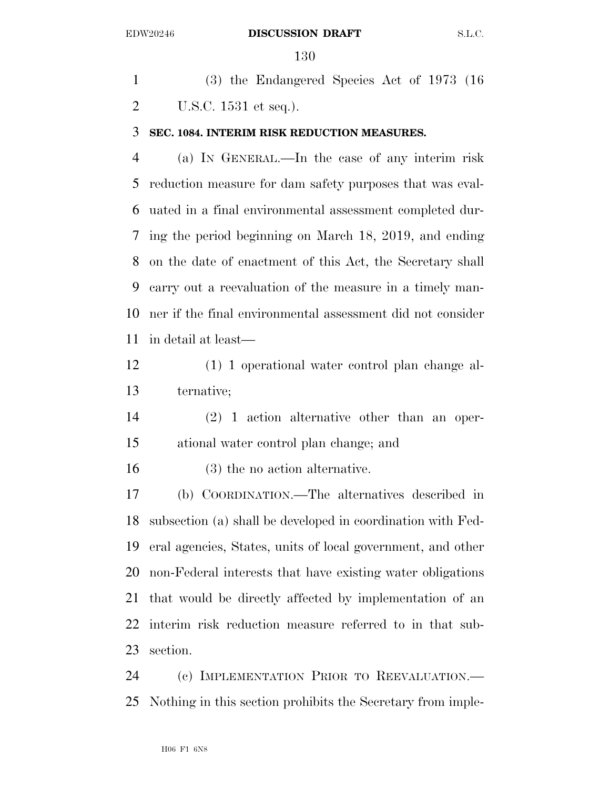(3) the Endangered Species Act of 1973 (16 U.S.C. 1531 et seq.).

# **SEC. 1084. INTERIM RISK REDUCTION MEASURES.**

 (a) IN GENERAL.—In the case of any interim risk reduction measure for dam safety purposes that was eval- uated in a final environmental assessment completed dur- ing the period beginning on March 18, 2019, and ending on the date of enactment of this Act, the Secretary shall carry out a reevaluation of the measure in a timely man- ner if the final environmental assessment did not consider in detail at least—

 (1) 1 operational water control plan change al-ternative;

 (2) 1 action alternative other than an oper-ational water control plan change; and

(3) the no action alternative.

 (b) COORDINATION.—The alternatives described in subsection (a) shall be developed in coordination with Fed- eral agencies, States, units of local government, and other non-Federal interests that have existing water obligations that would be directly affected by implementation of an interim risk reduction measure referred to in that sub-section.

 (c) IMPLEMENTATION PRIOR TO REEVALUATION.— Nothing in this section prohibits the Secretary from imple-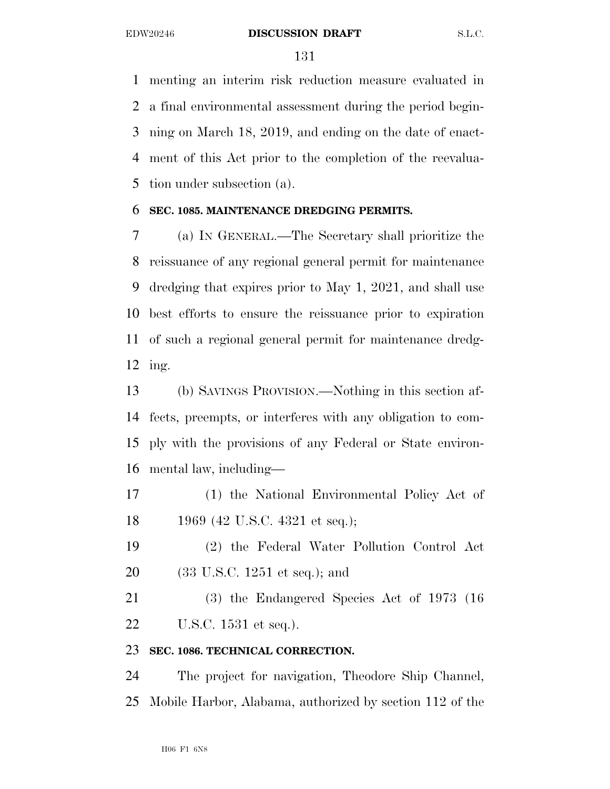menting an interim risk reduction measure evaluated in a final environmental assessment during the period begin- ning on March 18, 2019, and ending on the date of enact- ment of this Act prior to the completion of the reevalua-tion under subsection (a).

# **SEC. 1085. MAINTENANCE DREDGING PERMITS.**

 (a) IN GENERAL.—The Secretary shall prioritize the reissuance of any regional general permit for maintenance dredging that expires prior to May 1, 2021, and shall use best efforts to ensure the reissuance prior to expiration of such a regional general permit for maintenance dredg-ing.

 (b) SAVINGS PROVISION.—Nothing in this section af- fects, preempts, or interferes with any obligation to com- ply with the provisions of any Federal or State environ-mental law, including—

- (1) the National Environmental Policy Act of 1969 (42 U.S.C. 4321 et seq.);
- (2) the Federal Water Pollution Control Act (33 U.S.C. 1251 et seq.); and
- (3) the Endangered Species Act of 1973 (16 U.S.C. 1531 et seq.).

# **SEC. 1086. TECHNICAL CORRECTION.**

 The project for navigation, Theodore Ship Channel, Mobile Harbor, Alabama, authorized by section 112 of the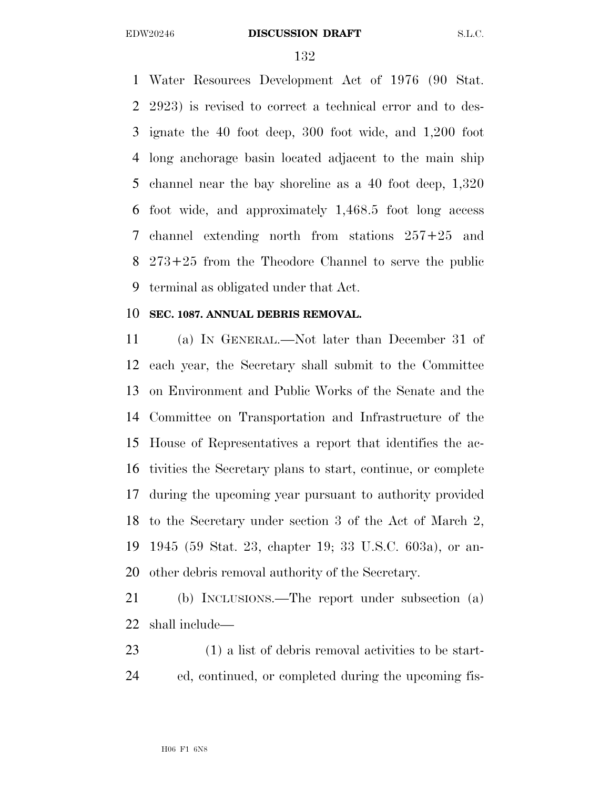Water Resources Development Act of 1976 (90 Stat. 2923) is revised to correct a technical error and to des- ignate the 40 foot deep, 300 foot wide, and 1,200 foot long anchorage basin located adjacent to the main ship channel near the bay shoreline as a 40 foot deep, 1,320 foot wide, and approximately 1,468.5 foot long access channel extending north from stations 257+25 and 273+25 from the Theodore Channel to serve the public terminal as obligated under that Act.

# **SEC. 1087. ANNUAL DEBRIS REMOVAL.**

 (a) IN GENERAL.—Not later than December 31 of each year, the Secretary shall submit to the Committee on Environment and Public Works of the Senate and the Committee on Transportation and Infrastructure of the House of Representatives a report that identifies the ac- tivities the Secretary plans to start, continue, or complete during the upcoming year pursuant to authority provided to the Secretary under section 3 of the Act of March 2, 1945 (59 Stat. 23, chapter 19; 33 U.S.C. 603a), or an-other debris removal authority of the Secretary.

 (b) INCLUSIONS.—The report under subsection (a) shall include—

 (1) a list of debris removal activities to be start-ed, continued, or completed during the upcoming fis-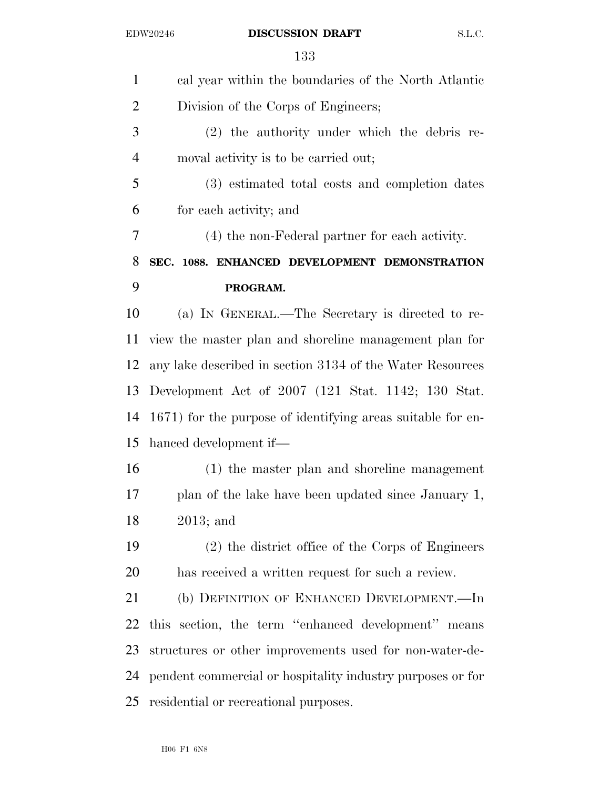| $\mathbf{1}$   | cal year within the boundaries of the North Atlantic        |
|----------------|-------------------------------------------------------------|
| $\overline{2}$ | Division of the Corps of Engineers;                         |
| 3              | $(2)$ the authority under which the debris re-              |
| $\overline{4}$ | moval activity is to be carried out;                        |
| 5              | (3) estimated total costs and completion dates              |
| 6              | for each activity; and                                      |
| 7              | (4) the non-Federal partner for each activity.              |
| 8              | SEC. 1088. ENHANCED DEVELOPMENT DEMONSTRATION               |
| 9              | PROGRAM.                                                    |
| 10             | (a) IN GENERAL.—The Secretary is directed to re-            |
| 11             | view the master plan and shoreline management plan for      |
| 12             | any lake described in section 3134 of the Water Resources   |
| 13             | Development Act of 2007 (121 Stat. 1142; 130 Stat.          |
| 14             | 1671) for the purpose of identifying areas suitable for en- |
| 15             | hanced development if—                                      |
| 16             | (1) the master plan and shoreline management                |
| 17             | plan of the lake have been updated since January 1,         |
| 18             | $2013$ ; and                                                |
| 19             | (2) the district office of the Corps of Engineers           |
| 20             | has received a written request for such a review.           |
| 21             | (b) DEFINITION OF ENHANCED DEVELOPMENT.—In                  |
| 22             | this section, the term "enhanced development" means         |
| 23             | structures or other improvements used for non-water-de-     |
| 24             | pendent commercial or hospitality industry purposes or for  |
| 25             | residential or recreational purposes.                       |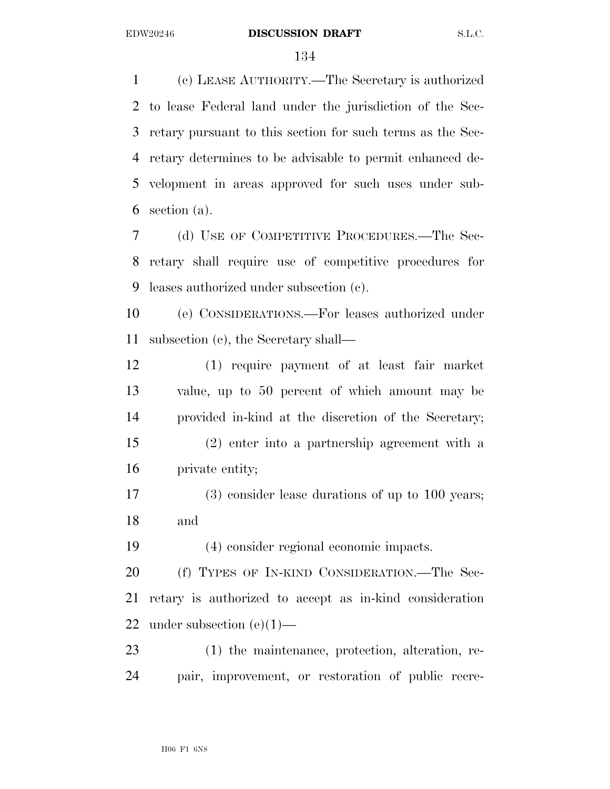(c) LEASE AUTHORITY.—The Secretary is authorized to lease Federal land under the jurisdiction of the Sec- retary pursuant to this section for such terms as the Sec- retary determines to be advisable to permit enhanced de- velopment in areas approved for such uses under sub-section (a).

 (d) USE OF COMPETITIVE PROCEDURES.—The Sec- retary shall require use of competitive procedures for leases authorized under subsection (c).

 (e) CONSIDERATIONS.—For leases authorized under subsection (c), the Secretary shall—

 (1) require payment of at least fair market value, up to 50 percent of which amount may be provided in-kind at the discretion of the Secretary; (2) enter into a partnership agreement with a private entity; (3) consider lease durations of up to 100 years;

and

(4) consider regional economic impacts.

20 (f) TYPES OF IN-KIND CONSIDERATION.—The Sec- retary is authorized to accept as in-kind consideration 22 under subsection  $(e)(1)$ —

 (1) the maintenance, protection, alteration, re-pair, improvement, or restoration of public recre-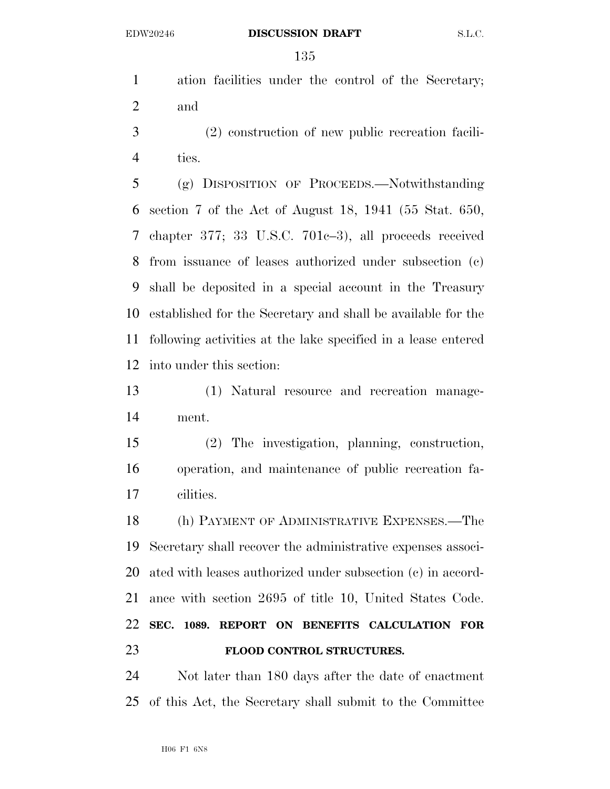ation facilities under the control of the Secretary; and

 (2) construction of new public recreation facili-ties.

 (g) DISPOSITION OF PROCEEDS.—Notwithstanding section 7 of the Act of August 18, 1941 (55 Stat. 650, chapter 377; 33 U.S.C. 701c–3), all proceeds received from issuance of leases authorized under subsection (c) shall be deposited in a special account in the Treasury established for the Secretary and shall be available for the following activities at the lake specified in a lease entered into under this section:

 (1) Natural resource and recreation manage-ment.

 (2) The investigation, planning, construction, operation, and maintenance of public recreation fa-cilities.

 (h) PAYMENT OF ADMINISTRATIVE EXPENSES.—The Secretary shall recover the administrative expenses associ- ated with leases authorized under subsection (c) in accord- ance with section 2695 of title 10, United States Code. **SEC. 1089. REPORT ON BENEFITS CALCULATION FOR FLOOD CONTROL STRUCTURES.** 

 Not later than 180 days after the date of enactment of this Act, the Secretary shall submit to the Committee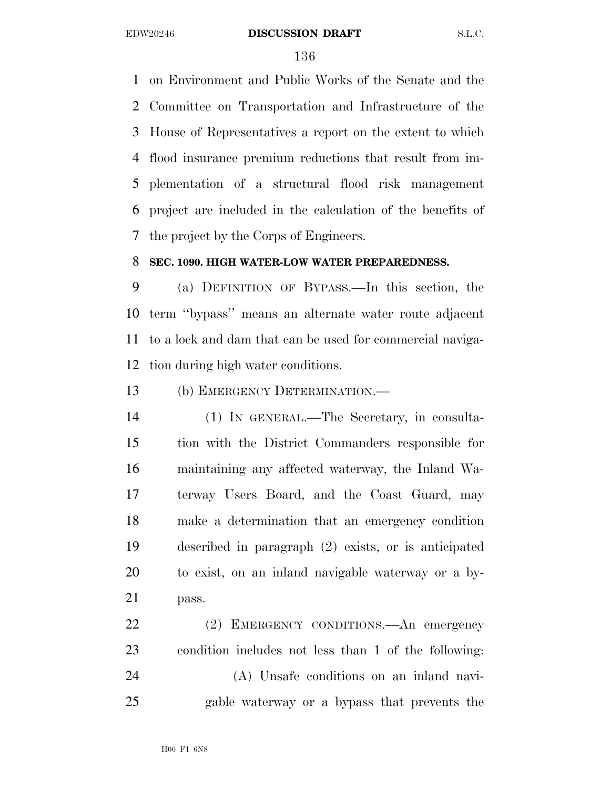on Environment and Public Works of the Senate and the Committee on Transportation and Infrastructure of the House of Representatives a report on the extent to which flood insurance premium reductions that result from im- plementation of a structural flood risk management project are included in the calculation of the benefits of the project by the Corps of Engineers.

# **SEC. 1090. HIGH WATER-LOW WATER PREPAREDNESS.**

 (a) DEFINITION OF BYPASS.—In this section, the term ''bypass'' means an alternate water route adjacent to a lock and dam that can be used for commercial naviga-tion during high water conditions.

(b) EMERGENCY DETERMINATION.—

 (1) IN GENERAL.—The Secretary, in consulta- tion with the District Commanders responsible for maintaining any affected waterway, the Inland Wa- terway Users Board, and the Coast Guard, may make a determination that an emergency condition described in paragraph (2) exists, or is anticipated to exist, on an inland navigable waterway or a by-pass.

 (2) EMERGENCY CONDITIONS.—An emergency condition includes not less than 1 of the following: (A) Unsafe conditions on an inland navi-gable waterway or a bypass that prevents the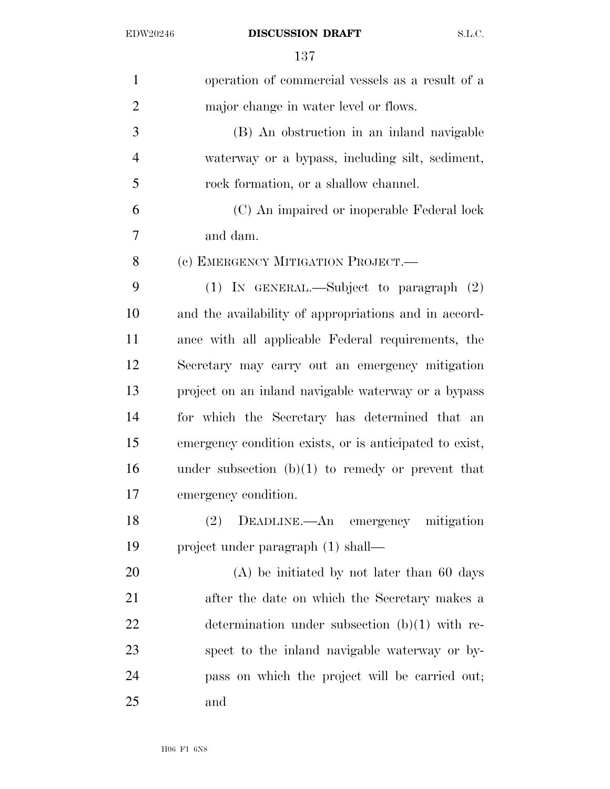| $\mathbf{1}$   | operation of commercial vessels as a result of a        |
|----------------|---------------------------------------------------------|
| $\overline{2}$ | major change in water level or flows.                   |
| 3              | (B) An obstruction in an inland navigable               |
| $\overline{4}$ | waterway or a bypass, including silt, sediment,         |
| 5              | rock formation, or a shallow channel.                   |
| 6              | (C) An impaired or inoperable Federal lock              |
| 7              | and dam.                                                |
| 8              | (c) EMERGENCY MITIGATION PROJECT.—                      |
| 9              | (1) IN GENERAL.—Subject to paragraph $(2)$              |
| 10             | and the availability of appropriations and in accord-   |
| 11             | ance with all applicable Federal requirements, the      |
| 12             | Secretary may carry out an emergency mitigation         |
| 13             | project on an inland navigable waterway or a bypass     |
| 14             | for which the Secretary has determined that an          |
| 15             | emergency condition exists, or is anticipated to exist, |
| 16             | under subsection $(b)(1)$ to remedy or prevent that     |
| 17             | emergency condition.                                    |
| 18             | DEADLINE. An emergency mitigation<br>(2)                |
| 19             | project under paragraph (1) shall—                      |
| 20             | $(A)$ be initiated by not later than 60 days            |
| 21             | after the date on which the Secretary makes a           |
| 22             | determination under subsection $(b)(1)$ with re-        |
| 23             | spect to the inland navigable waterway or by-           |
| 24             | pass on which the project will be carried out;          |
| 25             | and                                                     |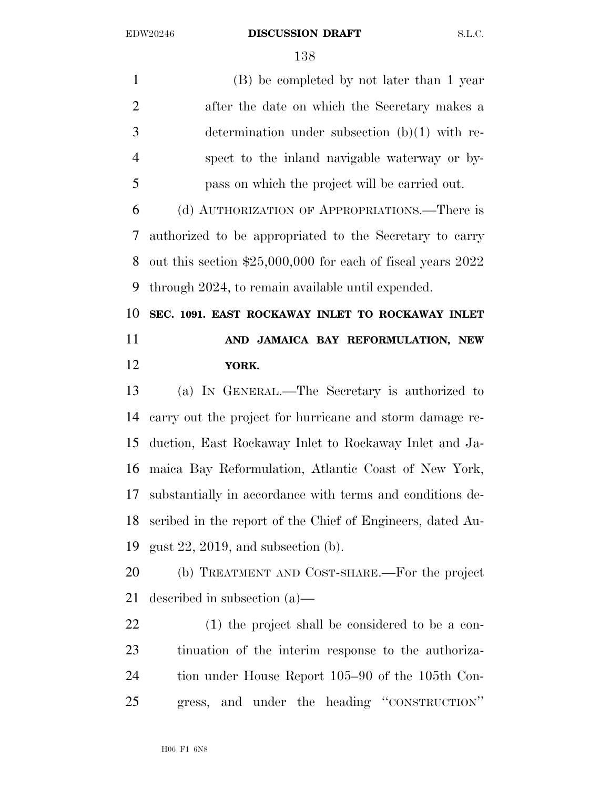(B) be completed by not later than 1 year after the date on which the Secretary makes a determination under subsection (b)(1) with re- spect to the inland navigable waterway or by-pass on which the project will be carried out.

 (d) AUTHORIZATION OF APPROPRIATIONS.—There is authorized to be appropriated to the Secretary to carry out this section \$25,000,000 for each of fiscal years 2022 through 2024, to remain available until expended.

 **SEC. 1091. EAST ROCKAWAY INLET TO ROCKAWAY INLET AND JAMAICA BAY REFORMULATION, NEW YORK.** 

 (a) IN GENERAL.—The Secretary is authorized to carry out the project for hurricane and storm damage re- duction, East Rockaway Inlet to Rockaway Inlet and Ja- maica Bay Reformulation, Atlantic Coast of New York, substantially in accordance with terms and conditions de- scribed in the report of the Chief of Engineers, dated Au-gust 22, 2019, and subsection (b).

 (b) TREATMENT AND COST-SHARE.—For the project described in subsection (a)—

 (1) the project shall be considered to be a con- tinuation of the interim response to the authoriza- tion under House Report 105–90 of the 105th Con-gress, and under the heading ''CONSTRUCTION''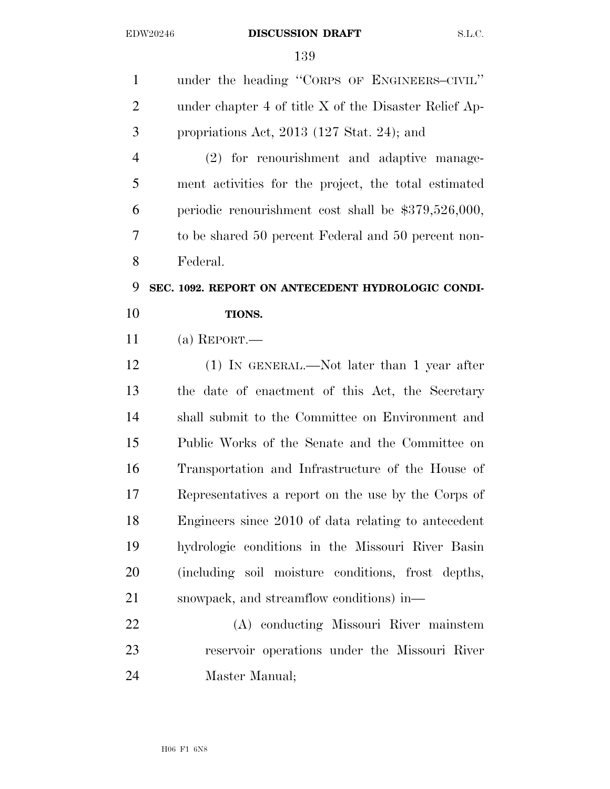| $\mathbf{1}$   | under the heading "CORPS OF ENGINEERS-CIVIL"          |
|----------------|-------------------------------------------------------|
| $\overline{2}$ | under chapter 4 of title X of the Disaster Relief Ap- |
| 3              | propriations Act, $2013$ (127 Stat. 24); and          |
| $\overline{4}$ | (2) for renourishment and adaptive manage-            |
| 5              | ment activities for the project, the total estimated  |
| 6              | periodic renourishment cost shall be $$379,526,000,$  |
| 7              | to be shared 50 percent Federal and 50 percent non-   |
| 8              | Federal.                                              |
| 9              | SEC. 1092. REPORT ON ANTECEDENT HYDROLOGIC CONDI-     |
| 10             | TIONS.                                                |
| 11             | (a) REPORT.—                                          |
| 12             | $(1)$ In GENERAL.—Not later than 1 year after         |
| 13             | the date of enactment of this Act, the Secretary      |
| 14             | shall submit to the Committee on Environment and      |
| 15             | Public Works of the Senate and the Committee on       |
| 16             | Transportation and Infrastructure of the House of     |
| 17             | Representatives a report on the use by the Corps of   |
| 18             | Engineers since 2010 of data relating to antecedent   |
| 19             | hydrologic conditions in the Missouri River Basin     |
| 20             | (including soil moisture conditions, frost depths,    |
| 21             | snowpack, and streamflow conditions) in—              |
| 22             | (A) conducting Missouri River mainstem                |
| 23             | reservoir operations under the Missouri River         |
| 24             | Master Manual;                                        |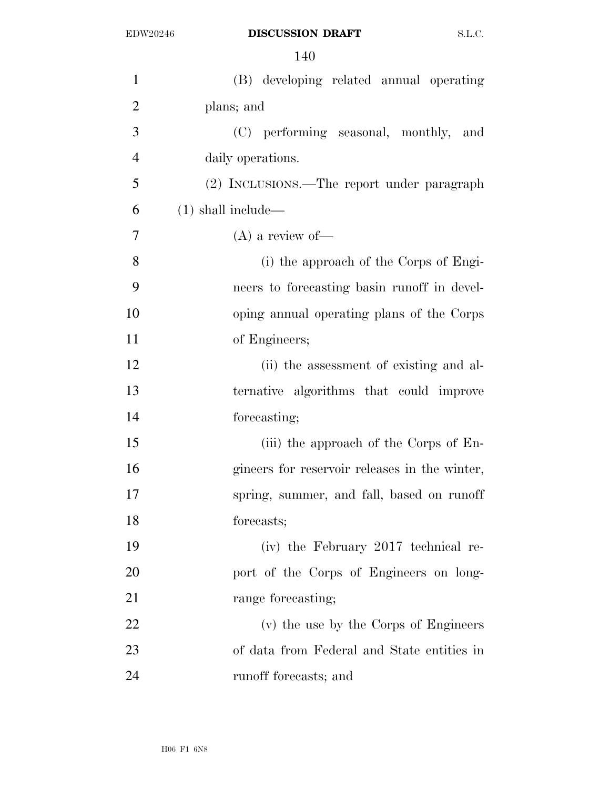| $\mathbf{1}$   | (B) developing related annual operating       |
|----------------|-----------------------------------------------|
| $\overline{2}$ | plans; and                                    |
| 3              | (C) performing seasonal, monthly, and         |
| $\overline{4}$ | daily operations.                             |
| 5              | (2) INCLUSIONS.—The report under paragraph    |
| 6              | $(1)$ shall include—                          |
| 7              | $(A)$ a review of-                            |
| 8              | (i) the approach of the Corps of Engi-        |
| 9              | neers to forecasting basin runoff in devel-   |
| 10             | oping annual operating plans of the Corps     |
| 11             | of Engineers;                                 |
| 12             | (ii) the assessment of existing and al-       |
| 13             | ternative algorithms that could improve       |
| 14             | forecasting;                                  |
| 15             | (iii) the approach of the Corps of En-        |
| 16             | gineers for reservoir releases in the winter, |
| 17             | spring, summer, and fall, based on runoff     |
| 18             | forecasts;                                    |
| 19             | (iv) the February 2017 technical re-          |
| 20             | port of the Corps of Engineers on long-       |
| 21             | range forecasting;                            |
| 22             | (v) the use by the Corps of Engineers         |
| 23             | of data from Federal and State entities in    |
| 24             | runoff forecasts; and                         |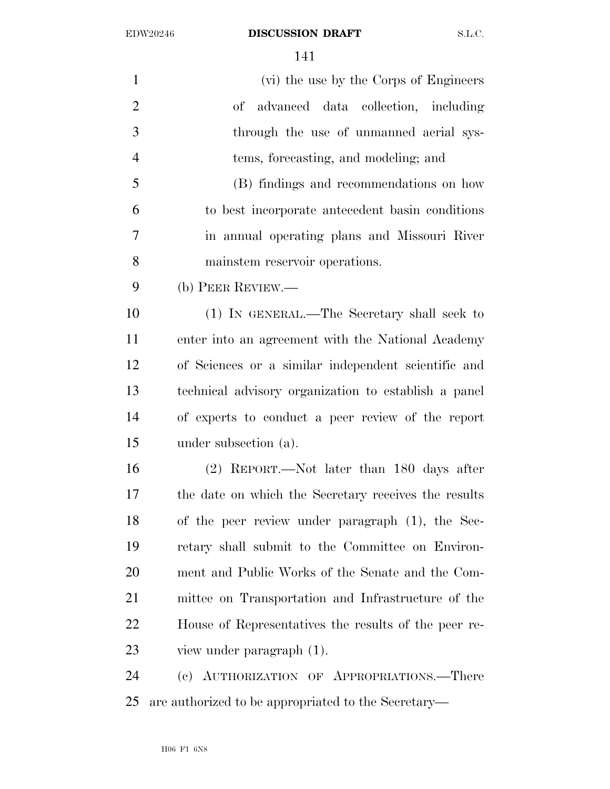(vi) the use by the Corps of Engineers of advanced data collection, including through the use of unmanned aerial sys- tems, forecasting, and modeling; and (B) findings and recommendations on how to best incorporate antecedent basin conditions in annual operating plans and Missouri River mainstem reservoir operations. (b) PEER REVIEW.— (1) IN GENERAL.—The Secretary shall seek to enter into an agreement with the National Academy of Sciences or a similar independent scientific and technical advisory organization to establish a panel of experts to conduct a peer review of the report under subsection (a). (2) REPORT.—Not later than 180 days after the date on which the Secretary receives the results of the peer review under paragraph (1), the Sec- retary shall submit to the Committee on Environ- ment and Public Works of the Senate and the Com- mittee on Transportation and Infrastructure of the House of Representatives the results of the peer re- view under paragraph (1). (c) AUTHORIZATION OF APPROPRIATIONS.—There

are authorized to be appropriated to the Secretary—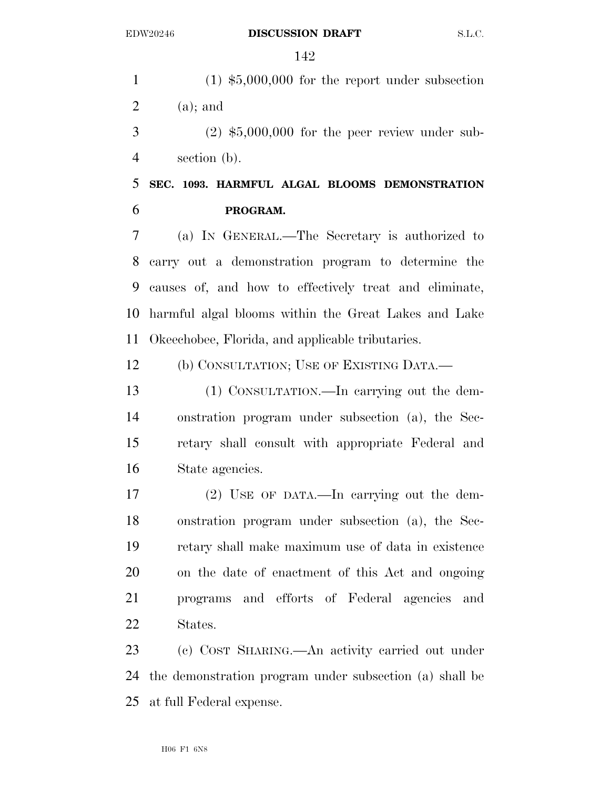(1) \$5,000,000 for the report under subsection  $2 \qquad \text{(a); and}$ 

 (2) \$5,000,000 for the peer review under sub-section (b).

 **SEC. 1093. HARMFUL ALGAL BLOOMS DEMONSTRATION PROGRAM.** 

 (a) IN GENERAL.—The Secretary is authorized to carry out a demonstration program to determine the causes of, and how to effectively treat and eliminate, harmful algal blooms within the Great Lakes and Lake Okeechobee, Florida, and applicable tributaries.

(b) CONSULTATION; USE OF EXISTING DATA.—

 (1) CONSULTATION.—In carrying out the dem- onstration program under subsection (a), the Sec- retary shall consult with appropriate Federal and State agencies.

 (2) USE OF DATA.—In carrying out the dem- onstration program under subsection (a), the Sec- retary shall make maximum use of data in existence on the date of enactment of this Act and ongoing programs and efforts of Federal agencies and States.

 (c) COST SHARING.—An activity carried out under the demonstration program under subsection (a) shall be at full Federal expense.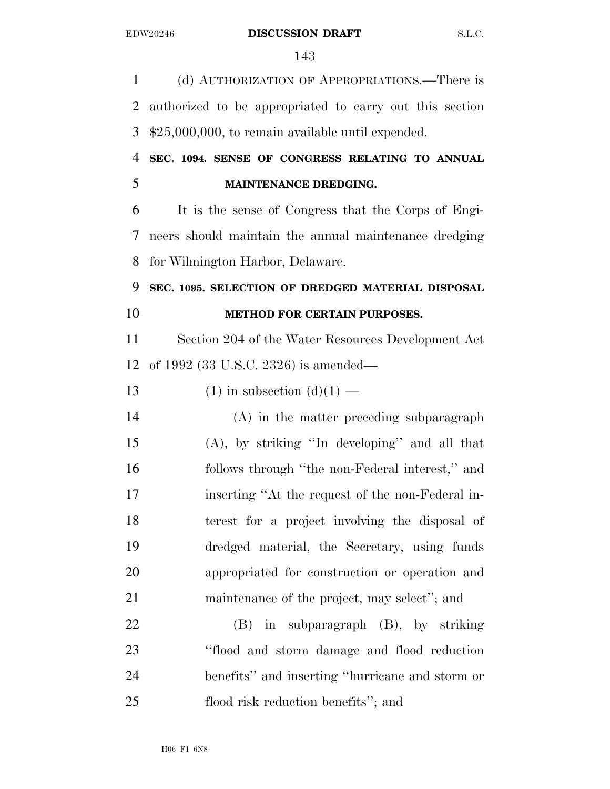(d) AUTHORIZATION OF APPROPRIATIONS.—There is authorized to be appropriated to carry out this section \$25,000,000, to remain available until expended. **SEC. 1094. SENSE OF CONGRESS RELATING TO ANNUAL MAINTENANCE DREDGING.**  It is the sense of Congress that the Corps of Engi- neers should maintain the annual maintenance dredging for Wilmington Harbor, Delaware. **SEC. 1095. SELECTION OF DREDGED MATERIAL DISPOSAL METHOD FOR CERTAIN PURPOSES.**  Section 204 of the Water Resources Development Act of 1992 (33 U.S.C. 2326) is amended— 13 (1) in subsection  $(d)(1)$  — (A) in the matter preceding subparagraph (A), by striking ''In developing'' and all that follows through ''the non-Federal interest,'' and inserting ''At the request of the non-Federal in- terest for a project involving the disposal of dredged material, the Secretary, using funds appropriated for construction or operation and 21 maintenance of the project, may select"; and (B) in subparagraph (B), by striking ''flood and storm damage and flood reduction benefits'' and inserting ''hurricane and storm or

flood risk reduction benefits''; and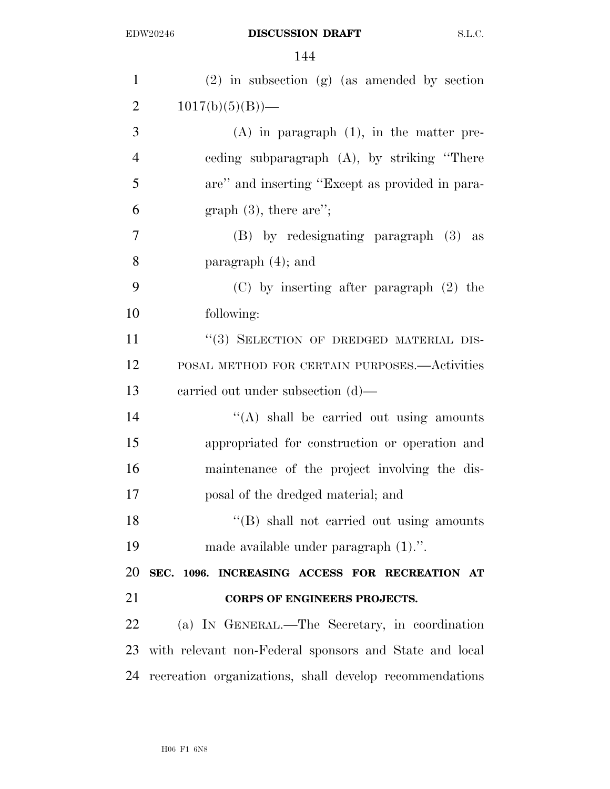| $(2)$ in subsection $(g)$ (as amended by section       |
|--------------------------------------------------------|
| $1017(b)(5)(B)$ —                                      |
| $(A)$ in paragraph $(1)$ , in the matter pre-          |
| eeding subparagraph (A), by striking "There"           |
| are" and inserting "Except as provided in para-        |
| graph $(3)$ , there are";                              |
| $(B)$ by redesignating paragraph $(3)$ as              |
| paragraph $(4)$ ; and                                  |
| $(C)$ by inserting after paragraph $(2)$ the           |
| following:                                             |
| "(3) SELECTION OF DREDGED MATERIAL DIS-                |
| POSAL METHOD FOR CERTAIN PURPOSES.—Activities          |
| carried out under subsection $(d)$ —                   |
| $\lq\lq$ shall be carried out using amounts            |
| appropriated for construction or operation and         |
| maintenance of the project involving the dis-          |
| posal of the dredged material; and                     |
| "(B) shall not carried out using amounts               |
| made available under paragraph $(1)$ .".               |
| SEC. 1096. INCREASING ACCESS FOR RECREATION AT         |
| <b>CORPS OF ENGINEERS PROJECTS.</b>                    |
|                                                        |
| (a) IN GENERAL.—The Secretary, in coordination         |
| with relevant non-Federal sponsors and State and local |
|                                                        |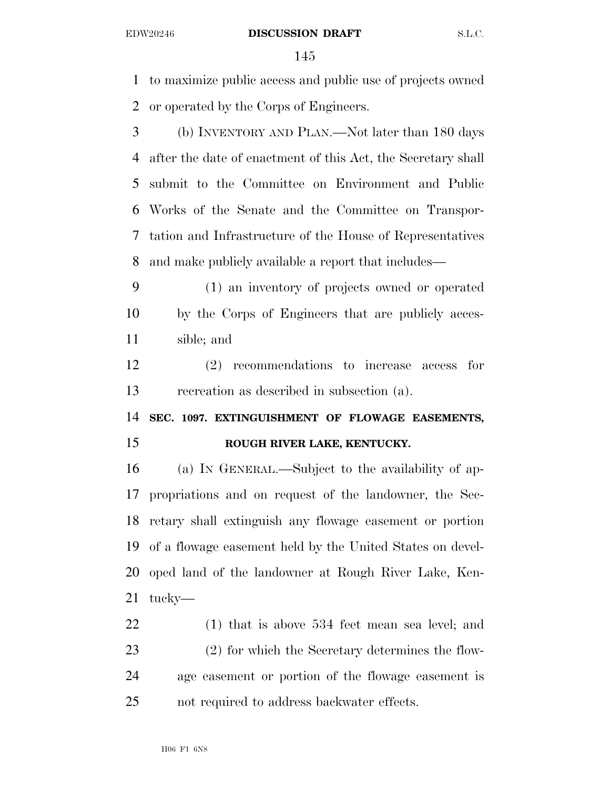to maximize public access and public use of projects owned or operated by the Corps of Engineers.

- (b) INVENTORY AND PLAN.—Not later than 180 days after the date of enactment of this Act, the Secretary shall submit to the Committee on Environment and Public Works of the Senate and the Committee on Transpor- tation and Infrastructure of the House of Representatives and make publicly available a report that includes—
- (1) an inventory of projects owned or operated by the Corps of Engineers that are publicly acces-sible; and

 (2) recommendations to increase access for recreation as described in subsection (a).

 **SEC. 1097. EXTINGUISHMENT OF FLOWAGE EASEMENTS, ROUGH RIVER LAKE, KENTUCKY.** 

 (a) IN GENERAL.—Subject to the availability of ap- propriations and on request of the landowner, the Sec- retary shall extinguish any flowage easement or portion of a flowage easement held by the United States on devel- oped land of the landowner at Rough River Lake, Ken-tucky—

 (1) that is above 534 feet mean sea level; and (2) for which the Secretary determines the flow- age easement or portion of the flowage easement is not required to address backwater effects.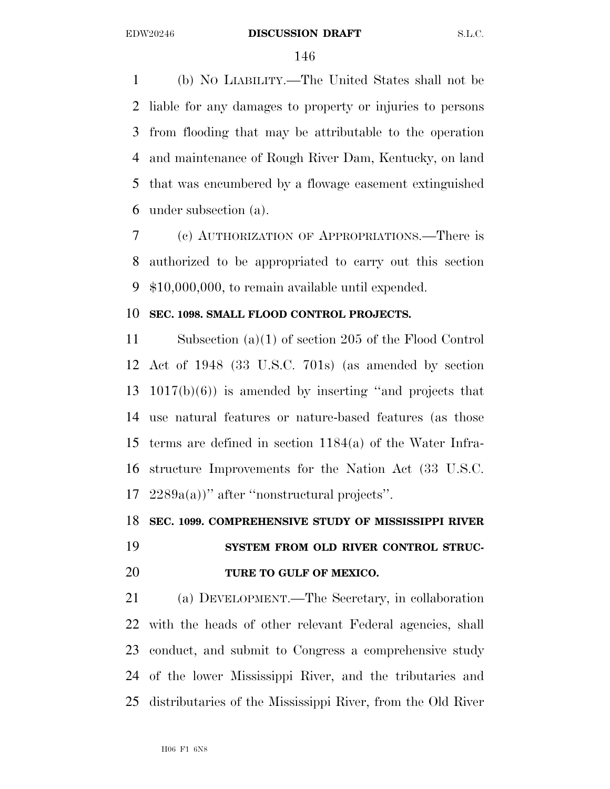(b) NO LIABILITY.—The United States shall not be liable for any damages to property or injuries to persons from flooding that may be attributable to the operation and maintenance of Rough River Dam, Kentucky, on land that was encumbered by a flowage easement extinguished under subsection (a).

 (c) AUTHORIZATION OF APPROPRIATIONS.—There is authorized to be appropriated to carry out this section \$10,000,000, to remain available until expended.

### **SEC. 1098. SMALL FLOOD CONTROL PROJECTS.**

 Subsection (a)(1) of section 205 of the Flood Control Act of 1948 (33 U.S.C. 701s) (as amended by section 1017(b)(6)) is amended by inserting ''and projects that use natural features or nature-based features (as those terms are defined in section 1184(a) of the Water Infra- structure Improvements for the Nation Act (33 U.S.C.  $2289a(a)$ )" after "nonstructural projects".

#### **SEC. 1099. COMPREHENSIVE STUDY OF MISSISSIPPI RIVER**

# **SYSTEM FROM OLD RIVER CONTROL STRUC-TURE TO GULF OF MEXICO.**

 (a) DEVELOPMENT.—The Secretary, in collaboration with the heads of other relevant Federal agencies, shall conduct, and submit to Congress a comprehensive study of the lower Mississippi River, and the tributaries and distributaries of the Mississippi River, from the Old River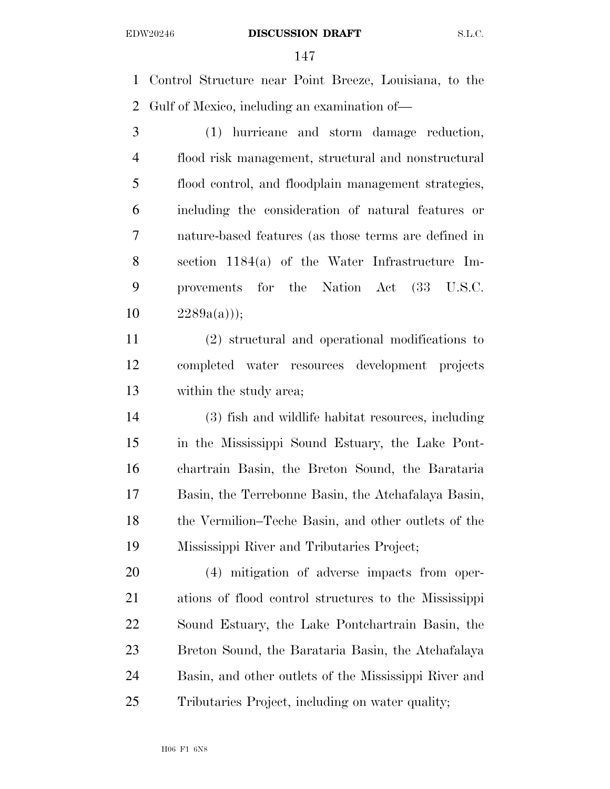Control Structure near Point Breeze, Louisiana, to the Gulf of Mexico, including an examination of—

 (1) hurricane and storm damage reduction, flood risk management, structural and nonstructural flood control, and floodplain management strategies, including the consideration of natural features or nature-based features (as those terms are defined in section 1184(a) of the Water Infrastructure Im- provements for the Nation Act (33 U.S.C.  $10 \qquad 2289a(a))$ ;

 (2) structural and operational modifications to completed water resources development projects within the study area;

 (3) fish and wildlife habitat resources, including in the Mississippi Sound Estuary, the Lake Pont- chartrain Basin, the Breton Sound, the Barataria Basin, the Terrebonne Basin, the Atchafalaya Basin, the Vermilion–Teche Basin, and other outlets of the Mississippi River and Tributaries Project;

 (4) mitigation of adverse impacts from oper- ations of flood control structures to the Mississippi Sound Estuary, the Lake Pontchartrain Basin, the Breton Sound, the Barataria Basin, the Atchafalaya Basin, and other outlets of the Mississippi River and Tributaries Project, including on water quality;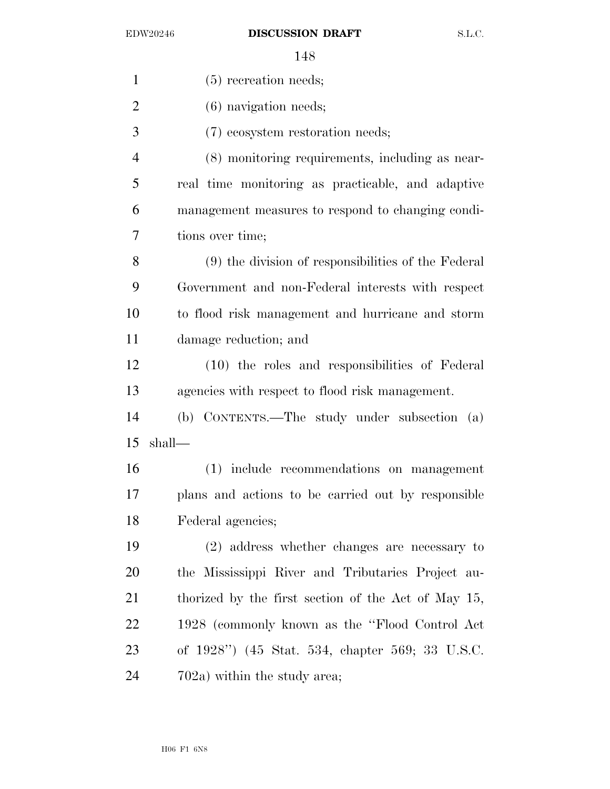| $\mathbf{1}$   | $(5)$ recreation needs;                             |
|----------------|-----------------------------------------------------|
| $\overline{2}$ | $(6)$ navigation needs;                             |
| 3              | (7) ecosystem restoration needs;                    |
| $\overline{4}$ | (8) monitoring requirements, including as near-     |
| 5              | real time monitoring as practicable, and adaptive   |
| 6              | management measures to respond to changing condi-   |
| $\tau$         | tions over time;                                    |
| 8              | (9) the division of responsibilities of the Federal |
| 9              | Government and non-Federal interests with respect   |
| 10             | to flood risk management and hurricane and storm    |
| 11             | damage reduction; and                               |
| 12             | (10) the roles and responsibilities of Federal      |
| 13             | agencies with respect to flood risk management.     |
| 14             | (b) CONTENTS.—The study under subsection (a)        |
| 15             | shall—                                              |
| 16             | (1) include recommendations on management           |
| 17             | plans and actions to be carried out by responsible  |
| 18             | Federal agencies;                                   |
| 19             | (2) address whether changes are necessary to        |
| 20             | the Mississippi River and Tributaries Project au-   |
| 21             | thorized by the first section of the Act of May 15, |
| 22             | 1928 (commonly known as the "Flood Control Act"     |
| 23             | of 1928") (45 Stat. 534, chapter 569; 33 U.S.C.     |
| 24             | $702a$ ) within the study area;                     |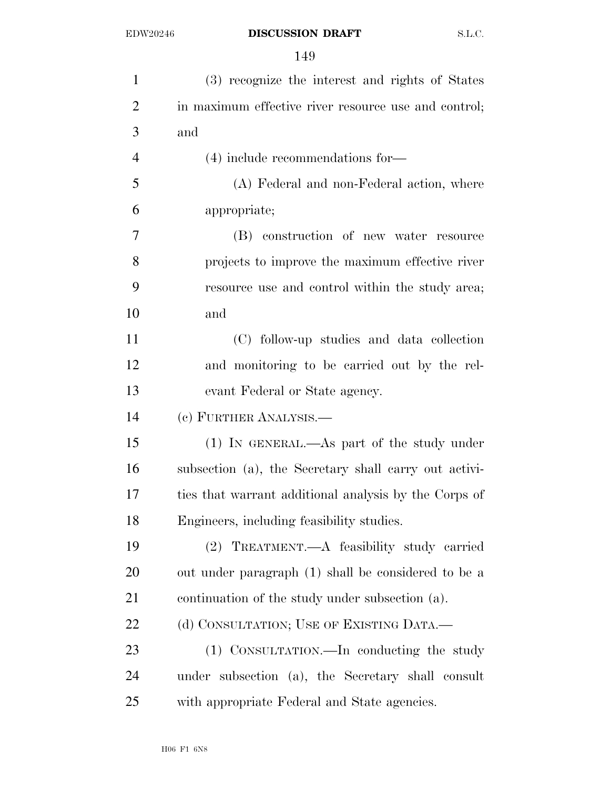| $\mathbf{1}$   | (3) recognize the interest and rights of States       |
|----------------|-------------------------------------------------------|
| $\overline{2}$ | in maximum effective river resource use and control;  |
| 3              | and                                                   |
| $\overline{4}$ | $(4)$ include recommendations for $-$                 |
| 5              | (A) Federal and non-Federal action, where             |
| 6              | appropriate;                                          |
| 7              | (B) construction of new water resource                |
| 8              | projects to improve the maximum effective river       |
| 9              | resource use and control within the study area;       |
| 10             | and                                                   |
| 11             | (C) follow-up studies and data collection             |
| 12             | and monitoring to be carried out by the rel-          |
| 13             | evant Federal or State agency.                        |
| 14             | (c) FURTHER ANALYSIS.—                                |
| 15             | $(1)$ IN GENERAL.—As part of the study under          |
| 16             | subsection (a), the Secretary shall carry out activi- |
| 17             | ties that warrant additional analysis by the Corps of |
| 18             | Engineers, including feasibility studies.             |
| 19             | (2) TREATMENT.—A feasibility study carried            |
| 20             | out under paragraph (1) shall be considered to be a   |
| 21             | continuation of the study under subsection (a).       |
| 22             | (d) CONSULTATION; USE OF EXISTING DATA.—              |
| 23             | (1) CONSULTATION.—In conducting the study             |
| 24             | under subsection (a), the Secretary shall consult     |
| 25             | with appropriate Federal and State agencies.          |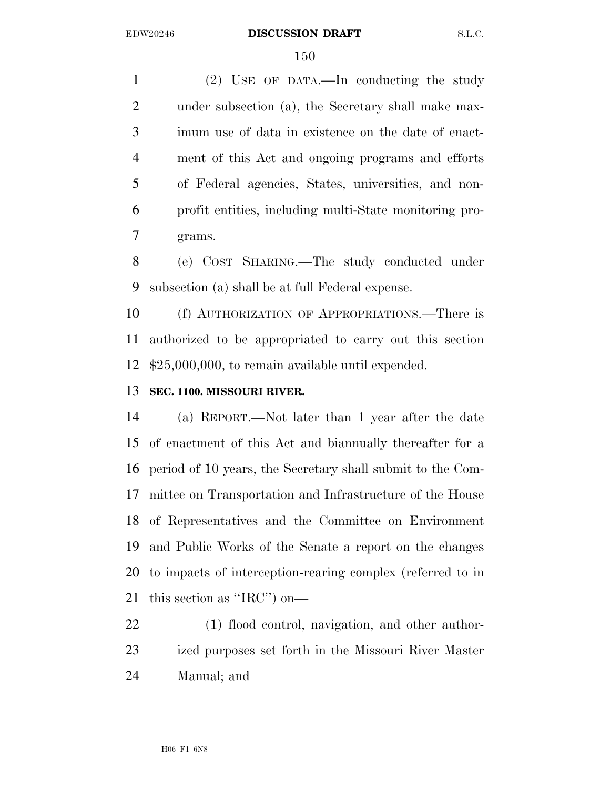(2) USE OF DATA.—In conducting the study under subsection (a), the Secretary shall make max- imum use of data in existence on the date of enact- ment of this Act and ongoing programs and efforts of Federal agencies, States, universities, and non- profit entities, including multi-State monitoring pro-grams.

 (e) COST SHARING.—The study conducted under subsection (a) shall be at full Federal expense.

 (f) AUTHORIZATION OF APPROPRIATIONS.—There is authorized to be appropriated to carry out this section \$25,000,000, to remain available until expended.

# **SEC. 1100. MISSOURI RIVER.**

 (a) REPORT.—Not later than 1 year after the date of enactment of this Act and biannually thereafter for a period of 10 years, the Secretary shall submit to the Com- mittee on Transportation and Infrastructure of the House of Representatives and the Committee on Environment and Public Works of the Senate a report on the changes to impacts of interception-rearing complex (referred to in this section as ''IRC'') on—

 (1) flood control, navigation, and other author- ized purposes set forth in the Missouri River Master Manual; and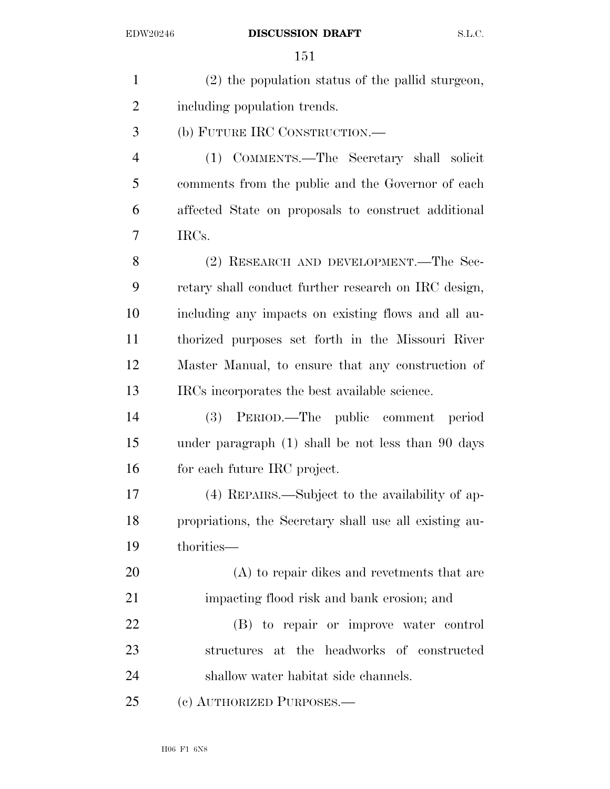| $\mathbf{1}$   | (2) the population status of the pallid sturgeon,      |
|----------------|--------------------------------------------------------|
| $\overline{2}$ | including population trends.                           |
| 3              | (b) FUTURE IRC CONSTRUCTION.—                          |
| $\overline{4}$ | (1) COMMENTS.—The Secretary shall solicit              |
| 5              | comments from the public and the Governor of each      |
| 6              | affected State on proposals to construct additional    |
| 7              | IRCs.                                                  |
| 8              | (2) RESEARCH AND DEVELOPMENT.—The Sec-                 |
| 9              | retary shall conduct further research on IRC design,   |
| 10             | including any impacts on existing flows and all au-    |
| 11             | thorized purposes set forth in the Missouri River      |
| 12             | Master Manual, to ensure that any construction of      |
| 13             | IRCs incorporates the best available science.          |
| 14             | (3) PERIOD.—The public comment period                  |
| 15             | under paragraph (1) shall be not less than 90 days     |
| 16             | for each future IRC project.                           |
| 17             | (4) REPAIRS.—Subject to the availability of ap-        |
| 18             | propriations, the Secretary shall use all existing au- |
| 19             | thorities—                                             |
| 20             | (A) to repair dikes and reverments that are            |
| 21             | impacting flood risk and bank erosion; and             |
| 22             | (B) to repair or improve water control                 |
| 23             | structures at the headworks of constructed             |
| 24             | shallow water habitat side channels.                   |
| 25             | (c) AUTHORIZED PURPOSES.—                              |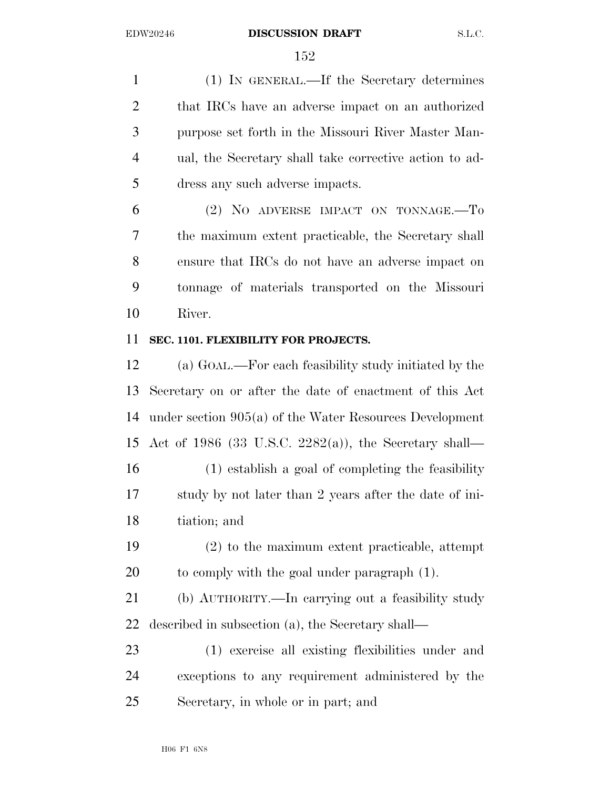(1) IN GENERAL.—If the Secretary determines that IRCs have an adverse impact on an authorized purpose set forth in the Missouri River Master Man- ual, the Secretary shall take corrective action to ad-dress any such adverse impacts.

 (2) NO ADVERSE IMPACT ON TONNAGE.—To the maximum extent practicable, the Secretary shall ensure that IRCs do not have an adverse impact on tonnage of materials transported on the Missouri River.

# **SEC. 1101. FLEXIBILITY FOR PROJECTS.**

 (a) GOAL.—For each feasibility study initiated by the Secretary on or after the date of enactment of this Act under section 905(a) of the Water Resources Development Act of 1986 (33 U.S.C. 2282(a)), the Secretary shall— (1) establish a goal of completing the feasibility study by not later than 2 years after the date of ini- tiation; and (2) to the maximum extent practicable, attempt to comply with the goal under paragraph (1).

 (b) AUTHORITY.—In carrying out a feasibility study described in subsection (a), the Secretary shall—

 (1) exercise all existing flexibilities under and exceptions to any requirement administered by the Secretary, in whole or in part; and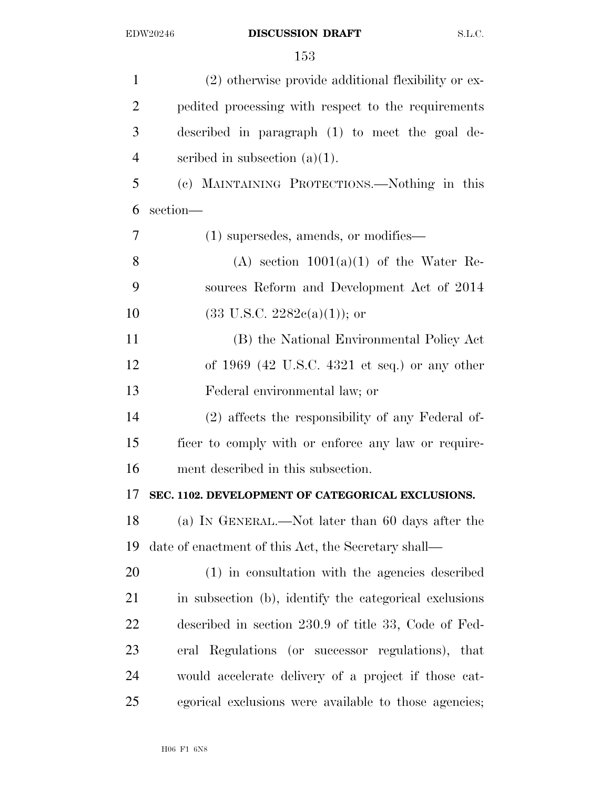| $\mathbf{1}$   | (2) otherwise provide additional flexibility or ex-    |
|----------------|--------------------------------------------------------|
| 2              | pedited processing with respect to the requirements    |
| 3              | described in paragraph (1) to meet the goal de-        |
| $\overline{4}$ | scribed in subsection $(a)(1)$ .                       |
| 5              | (c) MAINTAINING PROTECTIONS.—Nothing in this           |
| 6              | section-                                               |
| $\overline{7}$ | $(1)$ supersedes, amends, or modifies—                 |
| 8              | (A) section $1001(a)(1)$ of the Water Re-              |
| 9              | sources Reform and Development Act of 2014             |
| 10             | $(33 \text{ U.S.C. } 2282c(a)(1));$ or                 |
| 11             | (B) the National Environmental Policy Act              |
| 12             | of $1969$ (42 U.S.C. 4321 et seq.) or any other        |
| 13             | Federal environmental law; or                          |
| 14             | (2) affects the responsibility of any Federal of-      |
| 15             | ficer to comply with or enforce any law or require-    |
| 16             | ment described in this subsection.                     |
| 17             | SEC. 1102. DEVELOPMENT OF CATEGORICAL EXCLUSIONS.      |
| 18             | (a) IN GENERAL.—Not later than 60 days after the       |
| 19             | date of enactment of this Act, the Secretary shall—    |
| 20             | (1) in consultation with the agencies described        |
| 21             | in subsection (b), identify the categorical exclusions |
| 22             | described in section 230.9 of title 33, Code of Fed-   |
| 23             | eral Regulations (or successor regulations), that      |
| 24             | would accelerate delivery of a project if those cat-   |
| 25             | egorical exclusions were available to those agencies;  |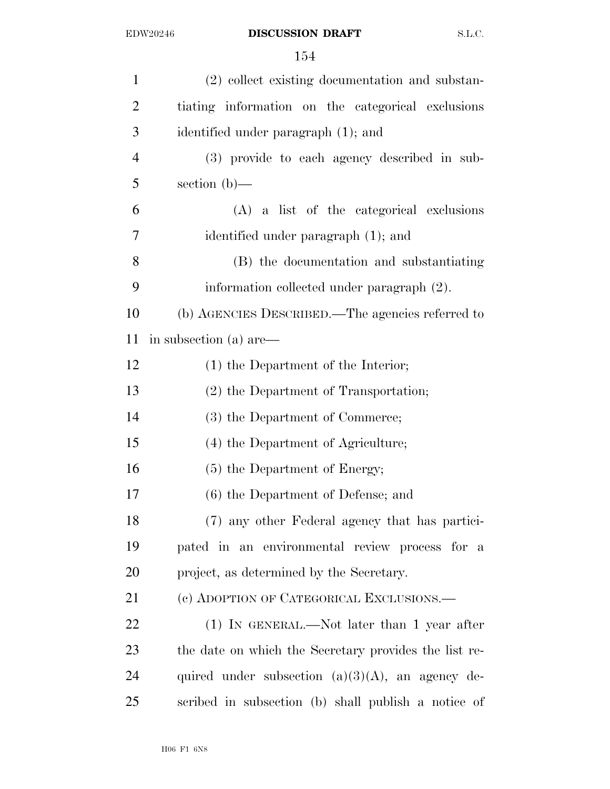| $\mathbf{1}$   | (2) collect existing documentation and substan-       |
|----------------|-------------------------------------------------------|
| $\overline{2}$ | tiating information on the categorical exclusions     |
| 3              | identified under paragraph (1); and                   |
| $\overline{4}$ | (3) provide to each agency described in sub-          |
| 5              | section $(b)$ —                                       |
| 6              | (A) a list of the categorical exclusions              |
| 7              | identified under paragraph (1); and                   |
| 8              | (B) the documentation and substantiating              |
| 9              | information collected under paragraph (2).            |
| 10             | (b) AGENCIES DESCRIBED.—The agencies referred to      |
| 11             | in subsection (a) are—                                |
| 12             | $(1)$ the Department of the Interior;                 |
| 13             | (2) the Department of Transportation;                 |
| 14             | (3) the Department of Commerce;                       |
| 15             | (4) the Department of Agriculture;                    |
| 16             | (5) the Department of Energy;                         |
| 17             | (6) the Department of Defense; and                    |
| 18             | (7) any other Federal agency that has partici-        |
| 19             | pated in an environmental review process for a        |
| 20             | project, as determined by the Secretary.              |
| 21             | (c) ADOPTION OF CATEGORICAL EXCLUSIONS.—              |
| 22             | $(1)$ IN GENERAL.—Not later than 1 year after         |
| 23             | the date on which the Secretary provides the list re- |
| 24             | quired under subsection $(a)(3)(A)$ , an agency de-   |
| 25             | scribed in subsection (b) shall publish a notice of   |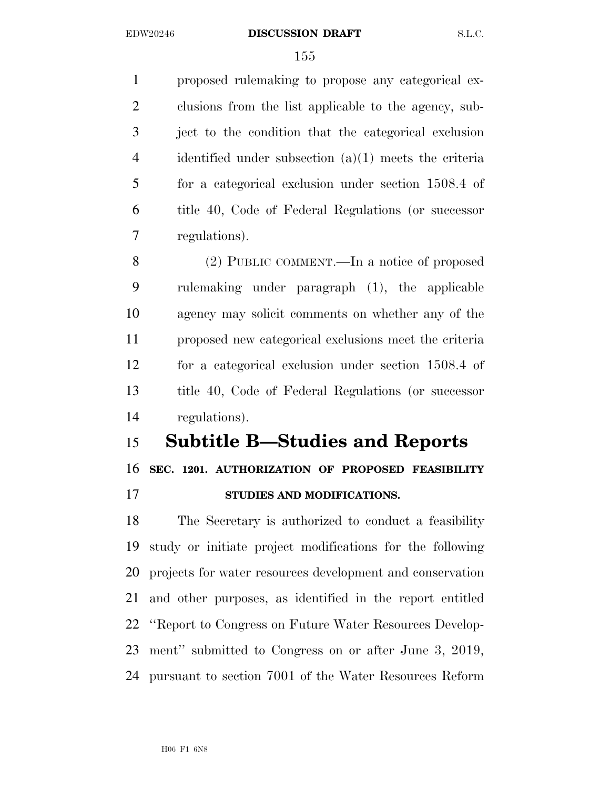proposed rulemaking to propose any categorical ex- clusions from the list applicable to the agency, sub- ject to the condition that the categorical exclusion identified under subsection (a)(1) meets the criteria for a categorical exclusion under section 1508.4 of title 40, Code of Federal Regulations (or successor regulations).

 (2) PUBLIC COMMENT.—In a notice of proposed rulemaking under paragraph (1), the applicable agency may solicit comments on whether any of the proposed new categorical exclusions meet the criteria for a categorical exclusion under section 1508.4 of title 40, Code of Federal Regulations (or successor regulations).

# **Subtitle B—Studies and Reports**

**SEC. 1201. AUTHORIZATION OF PROPOSED FEASIBILITY** 

**STUDIES AND MODIFICATIONS.** 

 The Secretary is authorized to conduct a feasibility study or initiate project modifications for the following projects for water resources development and conservation and other purposes, as identified in the report entitled ''Report to Congress on Future Water Resources Develop- ment'' submitted to Congress on or after June 3, 2019, pursuant to section 7001 of the Water Resources Reform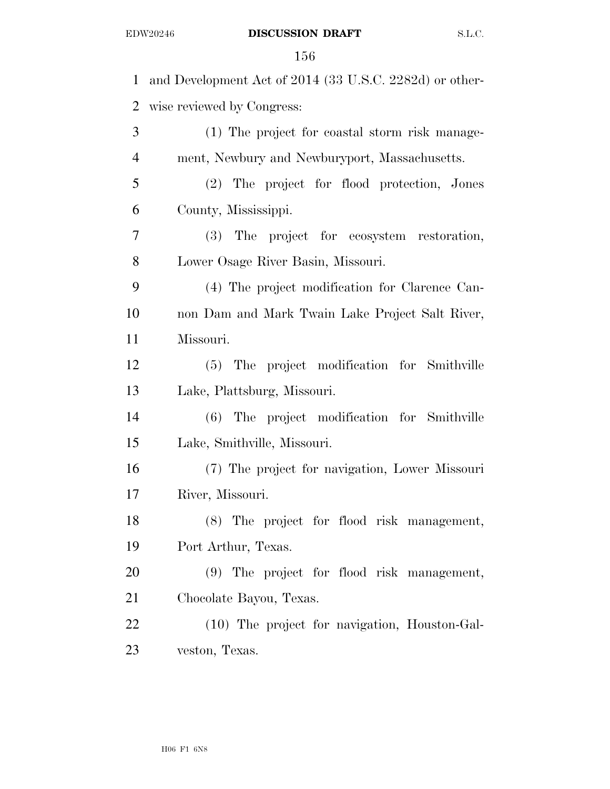| $\mathbf{1}$   | and Development Act of 2014 (33 U.S.C. 2282d) or other- |
|----------------|---------------------------------------------------------|
| $\overline{2}$ | wise reviewed by Congress:                              |
| 3              | (1) The project for coastal storm risk manage-          |
| $\overline{4}$ | ment, Newbury and Newburyport, Massachusetts.           |
| 5              | (2) The project for flood protection, Jones             |
| 6              | County, Mississippi.                                    |
| $\tau$         | (3) The project for ecosystem restoration,              |
| 8              | Lower Osage River Basin, Missouri.                      |
| 9              | (4) The project modification for Clarence Can-          |
| 10             | non Dam and Mark Twain Lake Project Salt River,         |
| 11             | Missouri.                                               |
| 12             | (5) The project modification for Smithville             |
| 13             | Lake, Plattsburg, Missouri.                             |
| 14             | (6) The project modification for Smithville             |
| 15             | Lake, Smithville, Missouri.                             |
| 16             | (7) The project for navigation, Lower Missouri          |
| 17             | River, Missouri.                                        |
| 18             | (8) The project for flood risk management,              |
| 19             | Port Arthur, Texas.                                     |
| 20             | (9)<br>The project for flood risk management,           |
| 21             | Chocolate Bayou, Texas.                                 |
| 22             | $(10)$ The project for navigation, Houston-Gal-         |
| 23             | veston, Texas.                                          |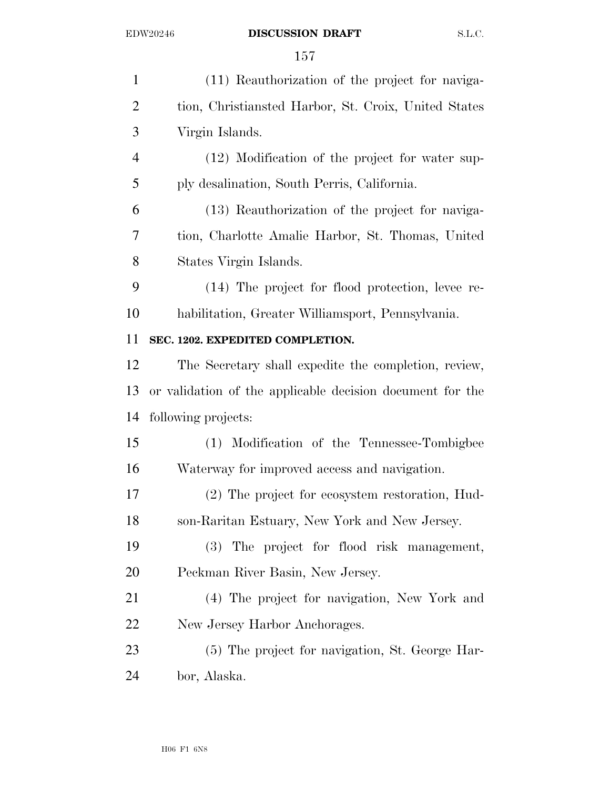| $\mathbf{1}$   | (11) Reauthorization of the project for naviga-           |
|----------------|-----------------------------------------------------------|
| $\overline{2}$ | tion, Christiansted Harbor, St. Croix, United States      |
| 3              | Virgin Islands.                                           |
| $\overline{4}$ | (12) Modification of the project for water sup-           |
| 5              | ply desalination, South Perris, California.               |
| 6              | (13) Reauthorization of the project for naviga-           |
| 7              | tion, Charlotte Amalie Harbor, St. Thomas, United         |
| 8              | States Virgin Islands.                                    |
| 9              | (14) The project for flood protection, levee re-          |
| 10             | habilitation, Greater Williamsport, Pennsylvania.         |
| 11             | SEC. 1202. EXPEDITED COMPLETION.                          |
| 12             | The Secretary shall expedite the completion, review,      |
| 13             | or validation of the applicable decision document for the |
| 14             | following projects:                                       |
| 15             | (1) Modification of the Tennessee-Tombigbee               |
| 16             | Waterway for improved access and navigation.              |
| 17             | (2) The project for ecosystem restoration, Hud-           |
| 18             | son-Raritan Estuary, New York and New Jersey.             |
| 19             | The project for flood risk management,<br><b>(3)</b>      |
| 20             | Peckman River Basin, New Jersey.                          |
| 21             | (4) The project for navigation, New York and              |
| 22             | New Jersey Harbor Anchorages.                             |
| 23             | (5) The project for navigation, St. George Har-           |
| 24             | bor, Alaska.                                              |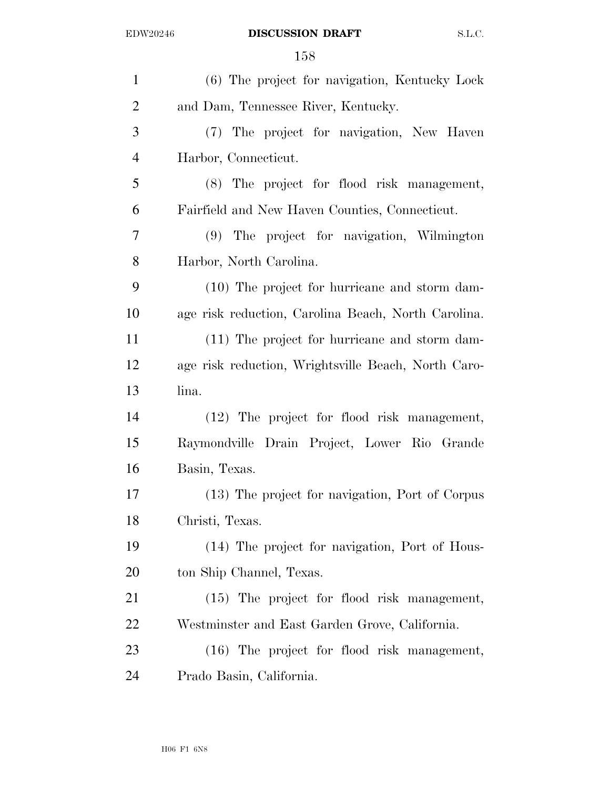| $\mathbf{1}$   | (6) The project for navigation, Kentucky Lock       |
|----------------|-----------------------------------------------------|
| $\overline{2}$ | and Dam, Tennessee River, Kentucky.                 |
| 3              | (7) The project for navigation, New Haven           |
| $\overline{4}$ | Harbor, Connecticut.                                |
| 5              | (8) The project for flood risk management,          |
| 6              | Fairfield and New Haven Counties, Connecticut.      |
| 7              | (9) The project for navigation, Wilmington          |
| 8              | Harbor, North Carolina.                             |
| 9              | (10) The project for hurricane and storm dam-       |
| 10             | age risk reduction, Carolina Beach, North Carolina. |
| 11             | (11) The project for hurricane and storm dam-       |
| 12             | age risk reduction, Wrightsville Beach, North Caro- |
| 13             | lina.                                               |
| 14             | (12) The project for flood risk management,         |
| 15             | Raymondville Drain Project, Lower Rio Grande        |
| 16             | Basin, Texas.                                       |
| 17             | (13) The project for navigation, Port of Corpus     |
| 18             | Christi, Texas.                                     |
| 19             | (14) The project for navigation, Port of Hous-      |
| 20             | ton Ship Channel, Texas.                            |
| 21             | (15) The project for flood risk management,         |
| 22             | Westminster and East Garden Grove, California.      |
| 23             | (16) The project for flood risk management,         |
| 24             | Prado Basin, California.                            |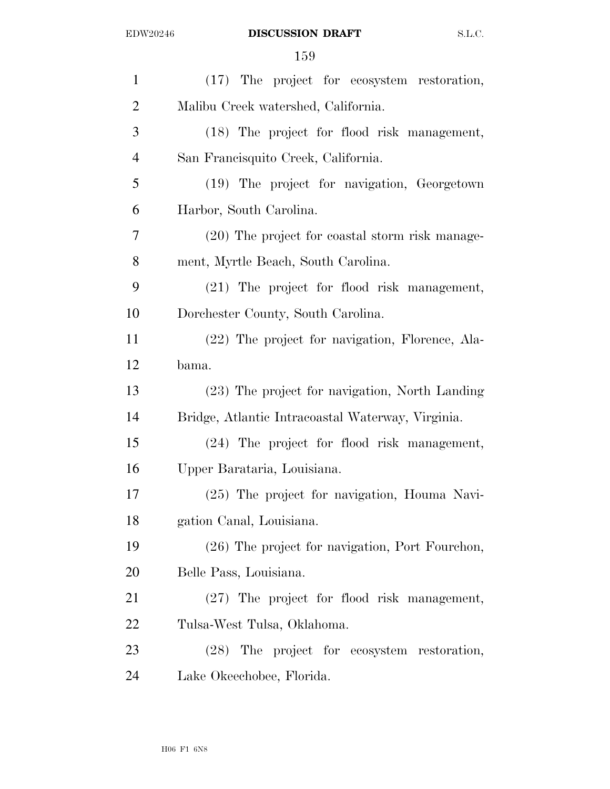| $\mathbf{1}$   | (17) The project for ecosystem restoration,       |
|----------------|---------------------------------------------------|
| $\overline{2}$ | Malibu Creek watershed, California.               |
| 3              | (18) The project for flood risk management,       |
| $\overline{4}$ | San Francisquito Creek, California.               |
| 5              | (19) The project for navigation, Georgetown       |
| 6              | Harbor, South Carolina.                           |
| 7              | (20) The project for coastal storm risk manage-   |
| 8              | ment, Myrtle Beach, South Carolina.               |
| 9              | (21) The project for flood risk management,       |
| 10             | Dorchester County, South Carolina.                |
| 11             | (22) The project for navigation, Florence, Ala-   |
| 12             | bama.                                             |
| 13             | (23) The project for navigation, North Landing    |
| 14             | Bridge, Atlantic Intracoastal Waterway, Virginia. |
| 15             | (24) The project for flood risk management,       |
| 16             | Upper Barataria, Louisiana.                       |
| 17             | (25) The project for navigation, Houma Navi-      |
| 18             | gation Canal, Louisiana.                          |
| 19             | (26) The project for navigation, Port Fourchon,   |
| 20             | Belle Pass, Louisiana.                            |
| 21             | (27) The project for flood risk management,       |
| 22             | Tulsa-West Tulsa, Oklahoma.                       |
| 23             | The project for ecosystem restoration,<br>(28)    |
| 24             | Lake Okeechobee, Florida.                         |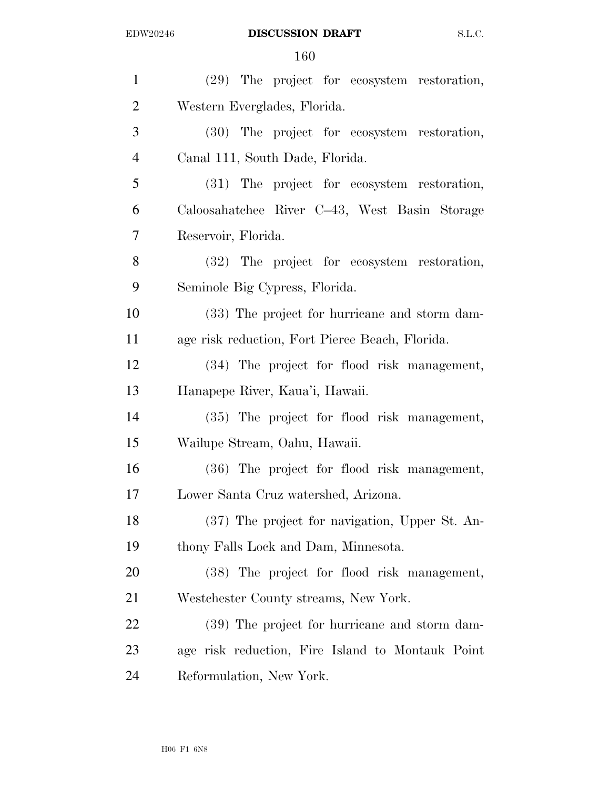| $\mathbf{1}$   | (29) The project for ecosystem restoration,      |
|----------------|--------------------------------------------------|
| $\overline{2}$ | Western Everglades, Florida.                     |
| 3              | (30) The project for ecosystem restoration,      |
| $\overline{4}$ | Canal 111, South Dade, Florida.                  |
| 5              | (31) The project for ecosystem restoration,      |
| 6              | Caloosahatchee River C-43, West Basin Storage    |
| 7              | Reservoir, Florida.                              |
| 8              | (32) The project for ecosystem restoration,      |
| 9              | Seminole Big Cypress, Florida.                   |
| 10             | (33) The project for hurricane and storm dam-    |
| 11             | age risk reduction, Fort Pierce Beach, Florida.  |
| 12             | (34) The project for flood risk management,      |
| 13             | Hanapepe River, Kaua'i, Hawaii.                  |
| 14             | (35) The project for flood risk management,      |
| 15             | Wailupe Stream, Oahu, Hawaii.                    |
| 16             | (36) The project for flood risk management,      |
| 17             | Lower Santa Cruz watershed, Arizona.             |
| 18             | (37) The project for navigation, Upper St. An-   |
| 19             | thony Falls Lock and Dam, Minnesota.             |
| 20             | (38) The project for flood risk management,      |
| 21             | Westchester County streams, New York.            |
| 22             | (39) The project for hurricane and storm dam-    |
| 23             | age risk reduction, Fire Island to Montauk Point |
| 24             | Reformulation, New York.                         |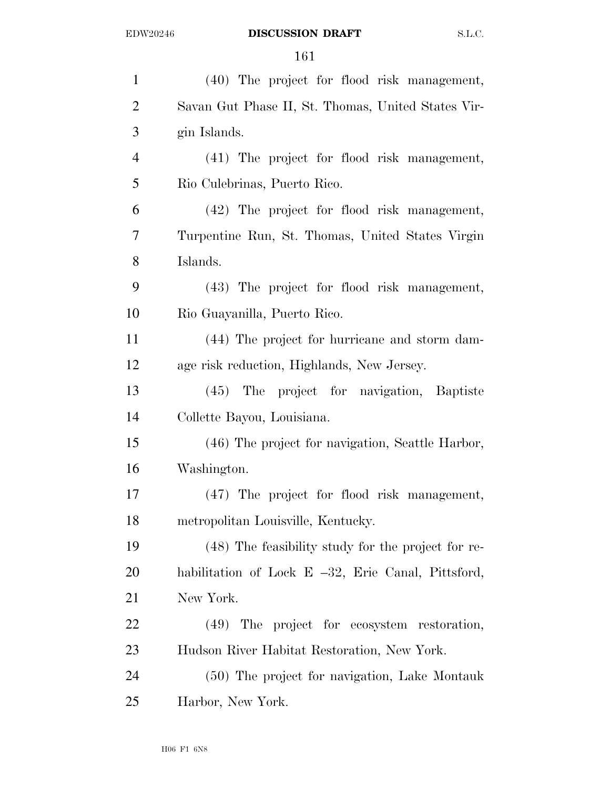| $\mathbf{1}$   | (40) The project for flood risk management,           |
|----------------|-------------------------------------------------------|
| $\overline{2}$ | Savan Gut Phase II, St. Thomas, United States Vir-    |
| 3              | gin Islands.                                          |
| $\overline{4}$ | (41) The project for flood risk management,           |
| 5              | Rio Culebrinas, Puerto Rico.                          |
| 6              | (42) The project for flood risk management,           |
| $\overline{7}$ | Turpentine Run, St. Thomas, United States Virgin      |
| 8              | Islands.                                              |
| 9              | (43) The project for flood risk management,           |
| 10             | Rio Guayanilla, Puerto Rico.                          |
| 11             | (44) The project for hurricane and storm dam-         |
| 12             | age risk reduction, Highlands, New Jersey.            |
| 13             | (45) The project for navigation, Baptiste             |
| 14             | Collette Bayou, Louisiana.                            |
| 15             | (46) The project for navigation, Seattle Harbor,      |
| 16             | Washington.                                           |
| 17             | (47) The project for flood risk management,           |
| 18             | metropolitan Louisville, Kentucky.                    |
| 19             | (48) The feasibility study for the project for re-    |
| 20             | habilitation of Lock $E -32$ , Erie Canal, Pittsford, |
| 21             | New York.                                             |
| 22             | (49)<br>The project for ecosystem restoration,        |
| 23             | Hudson River Habitat Restoration, New York.           |
| 24             | (50) The project for navigation, Lake Montauk         |
| 25             | Harbor, New York.                                     |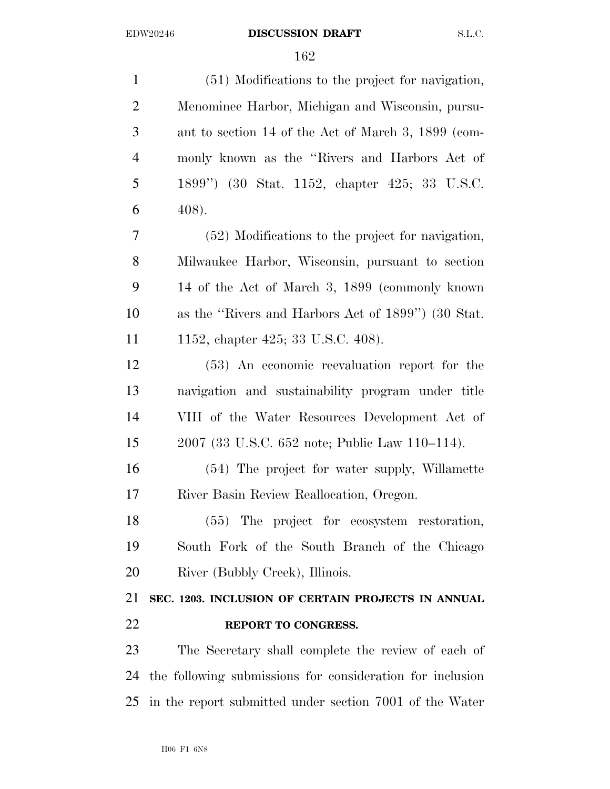| $\mathbf{1}$   | (51) Modifications to the project for navigation,         |
|----------------|-----------------------------------------------------------|
| $\overline{2}$ | Menominee Harbor, Michigan and Wisconsin, pursu-          |
| 3              | ant to section 14 of the Act of March 3, 1899 (com-       |
| $\overline{4}$ | monly known as the "Rivers and Harbors Act of             |
| 5              | 1899") (30 Stat. 1152, chapter 425; 33 U.S.C.             |
| 6              | 408).                                                     |
| $\overline{7}$ | (52) Modifications to the project for navigation,         |
| 8              | Milwaukee Harbor, Wisconsin, pursuant to section          |
| 9              | 14 of the Act of March 3, 1899 (commonly known)           |
| 10             | as the "Rivers and Harbors Act of 1899") (30 Stat.        |
| 11             | 1152, chapter 425; 33 U.S.C. 408).                        |
| 12             | (53) An economic reevaluation report for the              |
| 13             | navigation and sustainability program under title         |
| 14             | VIII of the Water Resources Development Act of            |
| 15             | 2007 (33 U.S.C. 652 note; Public Law 110–114).            |
| 16             | (54) The project for water supply, Willamette             |
| 17             | River Basin Review Reallocation, Oregon.                  |
| 18             | (55) The project for ecosystem restoration,               |
| 19             | South Fork of the South Branch of the Chicago             |
| 20             | River (Bubbly Creek), Illinois.                           |
| 21             | SEC. 1203. INCLUSION OF CERTAIN PROJECTS IN ANNUAL        |
| 22             | REPORT TO CONGRESS.                                       |
| 23             | The Secretary shall complete the review of each of        |
| 24             | the following submissions for consideration for inclusion |
| 25             | in the report submitted under section 7001 of the Water   |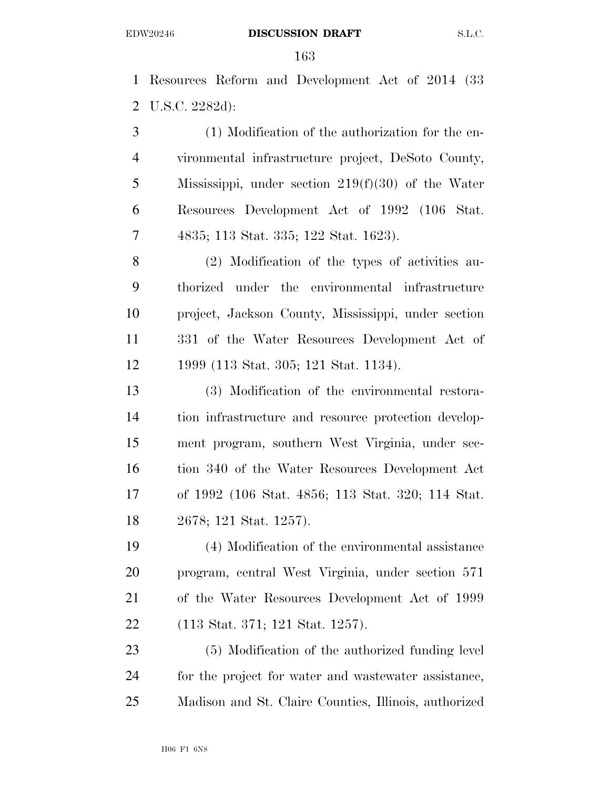Resources Reform and Development Act of 2014 (33 U.S.C. 2282d):

 (1) Modification of the authorization for the en- vironmental infrastructure project, DeSoto County, Mississippi, under section 219(f)(30) of the Water Resources Development Act of 1992 (106 Stat. 4835; 113 Stat. 335; 122 Stat. 1623).

 (2) Modification of the types of activities au- thorized under the environmental infrastructure project, Jackson County, Mississippi, under section 331 of the Water Resources Development Act of 1999 (113 Stat. 305; 121 Stat. 1134).

 (3) Modification of the environmental restora- tion infrastructure and resource protection develop- ment program, southern West Virginia, under sec-16 tion 340 of the Water Resources Development Act of 1992 (106 Stat. 4856; 113 Stat. 320; 114 Stat. 2678; 121 Stat. 1257).

 (4) Modification of the environmental assistance program, central West Virginia, under section 571 of the Water Resources Development Act of 1999 (113 Stat. 371; 121 Stat. 1257).

 (5) Modification of the authorized funding level for the project for water and wastewater assistance, Madison and St. Claire Counties, Illinois, authorized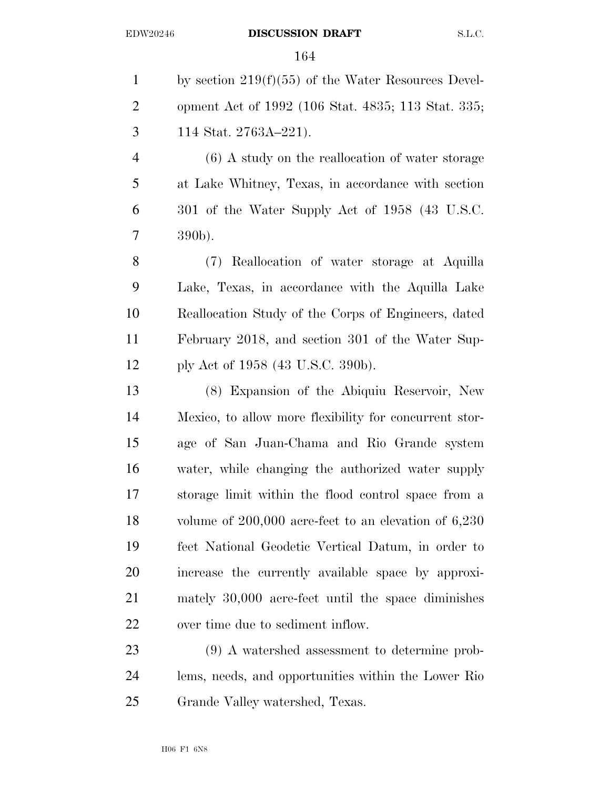by section 219(f)(55) of the Water Resources Devel- opment Act of 1992 (106 Stat. 4835; 113 Stat. 335; 114 Stat. 2763A–221).

 (6) A study on the reallocation of water storage at Lake Whitney, Texas, in accordance with section 301 of the Water Supply Act of 1958 (43 U.S.C. 390b).

 (7) Reallocation of water storage at Aquilla Lake, Texas, in accordance with the Aquilla Lake Reallocation Study of the Corps of Engineers, dated February 2018, and section 301 of the Water Sup-ply Act of 1958 (43 U.S.C. 390b).

 (8) Expansion of the Abiquiu Reservoir, New Mexico, to allow more flexibility for concurrent stor- age of San Juan-Chama and Rio Grande system water, while changing the authorized water supply storage limit within the flood control space from a volume of 200,000 acre-feet to an elevation of 6,230 feet National Geodetic Vertical Datum, in order to increase the currently available space by approxi- mately 30,000 acre-feet until the space diminishes over time due to sediment inflow.

 (9) A watershed assessment to determine prob- lems, needs, and opportunities within the Lower Rio Grande Valley watershed, Texas.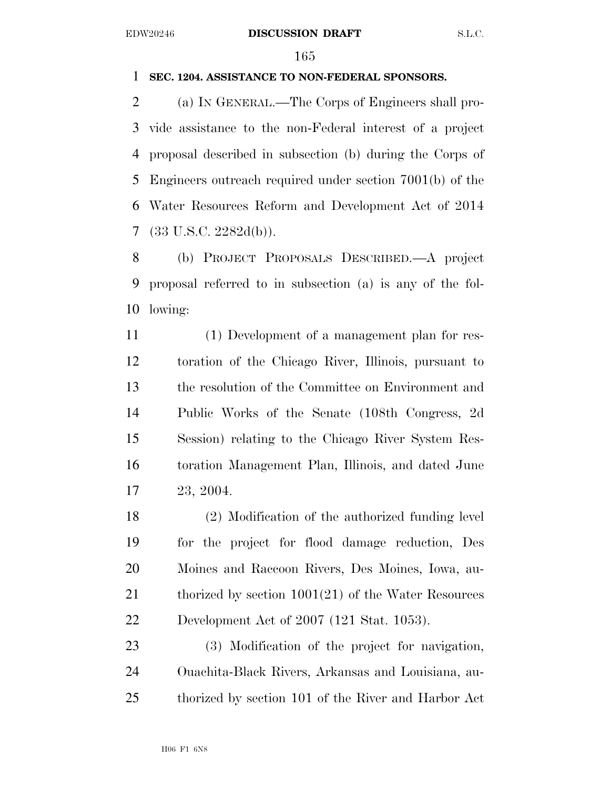# **SEC. 1204. ASSISTANCE TO NON-FEDERAL SPONSORS.**

 (a) IN GENERAL.—The Corps of Engineers shall pro- vide assistance to the non-Federal interest of a project proposal described in subsection (b) during the Corps of Engineers outreach required under section 7001(b) of the Water Resources Reform and Development Act of 2014 (33 U.S.C. 2282d(b)).

 (b) PROJECT PROPOSALS DESCRIBED.—A project proposal referred to in subsection (a) is any of the fol-lowing:

 (1) Development of a management plan for res- toration of the Chicago River, Illinois, pursuant to the resolution of the Committee on Environment and Public Works of the Senate (108th Congress, 2d Session) relating to the Chicago River System Res- toration Management Plan, Illinois, and dated June 23, 2004.

 (2) Modification of the authorized funding level for the project for flood damage reduction, Des Moines and Raccoon Rivers, Des Moines, Iowa, au-21 thorized by section 1001(21) of the Water Resources Development Act of 2007 (121 Stat. 1053).

 (3) Modification of the project for navigation, Ouachita-Black Rivers, Arkansas and Louisiana, au-thorized by section 101 of the River and Harbor Act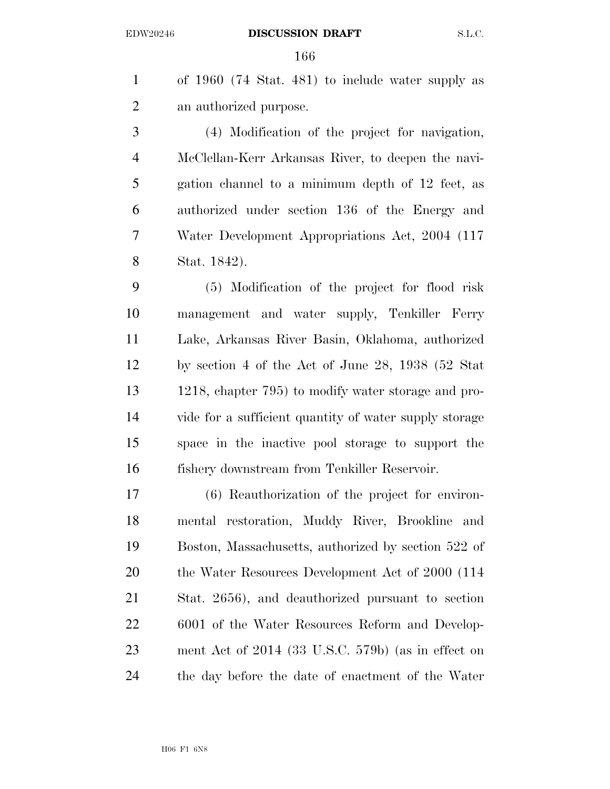of 1960 (74 Stat. 481) to include water supply as an authorized purpose.

 (4) Modification of the project for navigation, McClellan-Kerr Arkansas River, to deepen the navi- gation channel to a minimum depth of 12 feet, as authorized under section 136 of the Energy and Water Development Appropriations Act, 2004 (117 Stat. 1842).

 (5) Modification of the project for flood risk management and water supply, Tenkiller Ferry Lake, Arkansas River Basin, Oklahoma, authorized by section 4 of the Act of June 28, 1938 (52 Stat 1218, chapter 795) to modify water storage and pro- vide for a sufficient quantity of water supply storage space in the inactive pool storage to support the fishery downstream from Tenkiller Reservoir.

 (6) Reauthorization of the project for environ- mental restoration, Muddy River, Brookline and Boston, Massachusetts, authorized by section 522 of 20 the Water Resources Development Act of 2000 (114 Stat. 2656), and deauthorized pursuant to section 22 6001 of the Water Resources Reform and Develop- ment Act of 2014 (33 U.S.C. 579b) (as in effect on the day before the date of enactment of the Water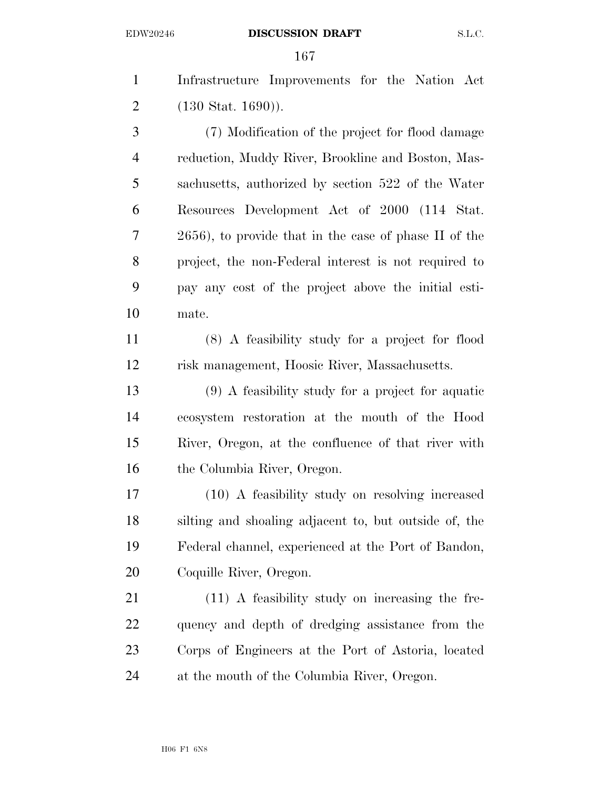Infrastructure Improvements for the Nation Act (130 Stat. 1690)).

 (7) Modification of the project for flood damage reduction, Muddy River, Brookline and Boston, Mas- sachusetts, authorized by section 522 of the Water Resources Development Act of 2000 (114 Stat. 2656), to provide that in the case of phase II of the project, the non-Federal interest is not required to pay any cost of the project above the initial esti-mate.

 (8) A feasibility study for a project for flood risk management, Hoosic River, Massachusetts.

 (9) A feasibility study for a project for aquatic ecosystem restoration at the mouth of the Hood River, Oregon, at the confluence of that river with the Columbia River, Oregon.

 (10) A feasibility study on resolving increased silting and shoaling adjacent to, but outside of, the Federal channel, experienced at the Port of Bandon, Coquille River, Oregon.

 (11) A feasibility study on increasing the fre- quency and depth of dredging assistance from the Corps of Engineers at the Port of Astoria, located at the mouth of the Columbia River, Oregon.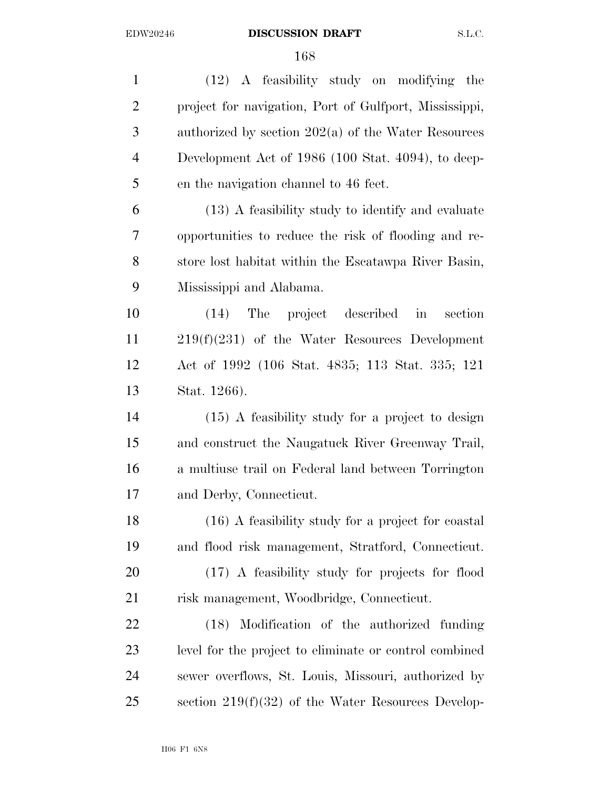(12) A feasibility study on modifying the project for navigation, Port of Gulfport, Mississippi, authorized by section 202(a) of the Water Resources Development Act of 1986 (100 Stat. 4094), to deep- en the navigation channel to 46 feet. (13) A feasibility study to identify and evaluate opportunities to reduce the risk of flooding and re- store lost habitat within the Escatawpa River Basin, Mississippi and Alabama. (14) The project described in section 219(f)(231) of the Water Resources Development Act of 1992 (106 Stat. 4835; 113 Stat. 335; 121 Stat. 1266). (15) A feasibility study for a project to design and construct the Naugatuck River Greenway Trail, a multiuse trail on Federal land between Torrington and Derby, Connecticut. (16) A feasibility study for a project for coastal and flood risk management, Stratford, Connecticut. (17) A feasibility study for projects for flood risk management, Woodbridge, Connecticut. (18) Modification of the authorized funding level for the project to eliminate or control combined sewer overflows, St. Louis, Missouri, authorized by section 219(f)(32) of the Water Resources Develop-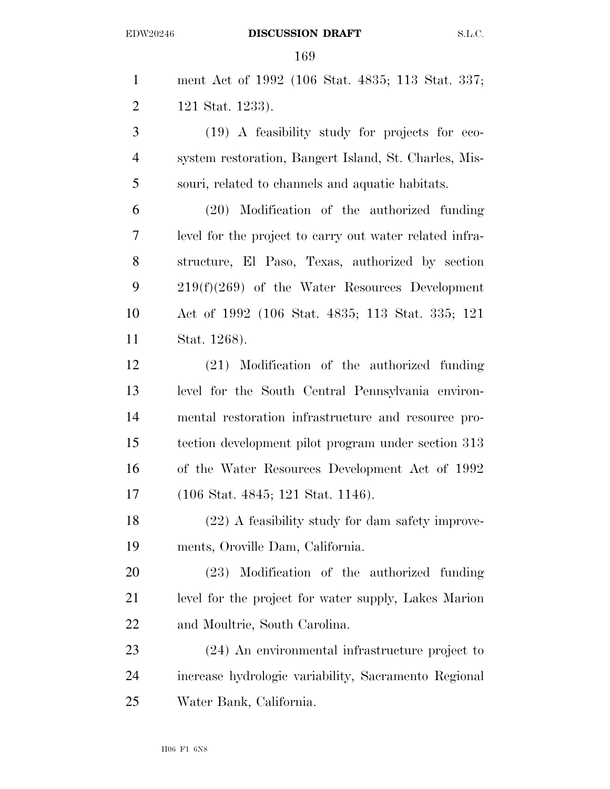ment Act of 1992 (106 Stat. 4835; 113 Stat. 337; 121 Stat. 1233). (19) A feasibility study for projects for eco- system restoration, Bangert Island, St. Charles, Mis- souri, related to channels and aquatic habitats. (20) Modification of the authorized funding level for the project to carry out water related infra- structure, El Paso, Texas, authorized by section 219(f)(269) of the Water Resources Development Act of 1992 (106 Stat. 4835; 113 Stat. 335; 121 Stat. 1268). (21) Modification of the authorized funding level for the South Central Pennsylvania environ- mental restoration infrastructure and resource pro- tection development pilot program under section 313 of the Water Resources Development Act of 1992 (106 Stat. 4845; 121 Stat. 1146). (22) A feasibility study for dam safety improve- ments, Oroville Dam, California. (23) Modification of the authorized funding level for the project for water supply, Lakes Marion and Moultrie, South Carolina. (24) An environmental infrastructure project to increase hydrologic variability, Sacramento Regional Water Bank, California.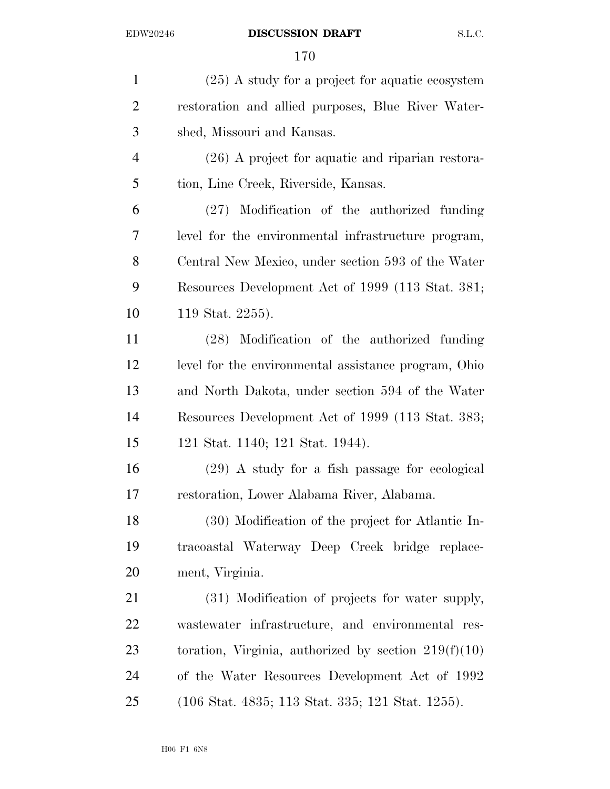(25) A study for a project for aquatic ecosystem restoration and allied purposes, Blue River Water- shed, Missouri and Kansas. (26) A project for aquatic and riparian restora- tion, Line Creek, Riverside, Kansas. (27) Modification of the authorized funding level for the environmental infrastructure program, Central New Mexico, under section 593 of the Water Resources Development Act of 1999 (113 Stat. 381; 119 Stat. 2255). (28) Modification of the authorized funding level for the environmental assistance program, Ohio and North Dakota, under section 594 of the Water Resources Development Act of 1999 (113 Stat. 383; 121 Stat. 1140; 121 Stat. 1944). (29) A study for a fish passage for ecological restoration, Lower Alabama River, Alabama. (30) Modification of the project for Atlantic In- tracoastal Waterway Deep Creek bridge replace- ment, Virginia. (31) Modification of projects for water supply, wastewater infrastructure, and environmental res- toration, Virginia, authorized by section 219(f)(10) of the Water Resources Development Act of 1992 (106 Stat. 4835; 113 Stat. 335; 121 Stat. 1255).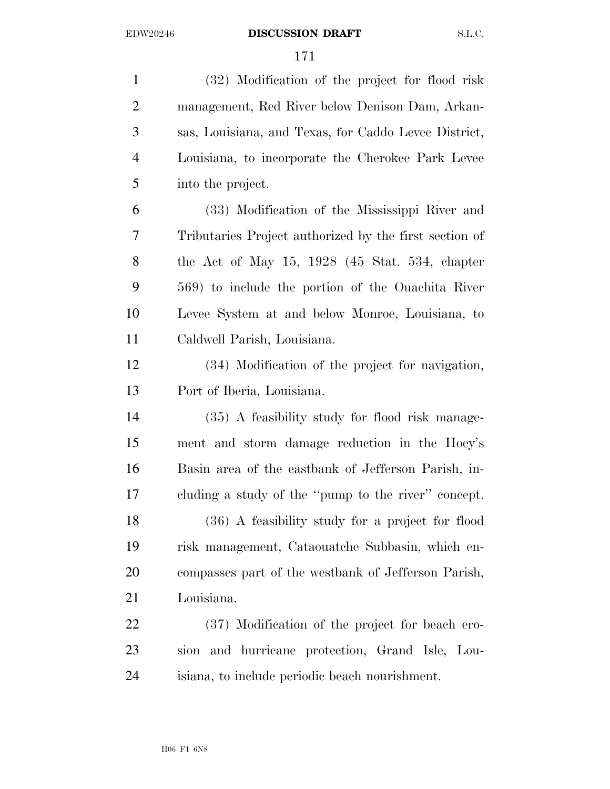(32) Modification of the project for flood risk management, Red River below Denison Dam, Arkan- sas, Louisiana, and Texas, for Caddo Levee District, Louisiana, to incorporate the Cherokee Park Levee into the project.

 (33) Modification of the Mississippi River and Tributaries Project authorized by the first section of the Act of May 15, 1928 (45 Stat. 534, chapter 569) to include the portion of the Ouachita River Levee System at and below Monroe, Louisiana, to Caldwell Parish, Louisiana.

 (34) Modification of the project for navigation, Port of Iberia, Louisiana.

 (35) A feasibility study for flood risk manage- ment and storm damage reduction in the Hoey's Basin area of the eastbank of Jefferson Parish, in- cluding a study of the ''pump to the river'' concept. (36) A feasibility study for a project for flood risk management, Cataouatche Subbasin, which en- compasses part of the westbank of Jefferson Parish, Louisiana.

 (37) Modification of the project for beach ero- sion and hurricane protection, Grand Isle, Lou-isiana, to include periodic beach nourishment.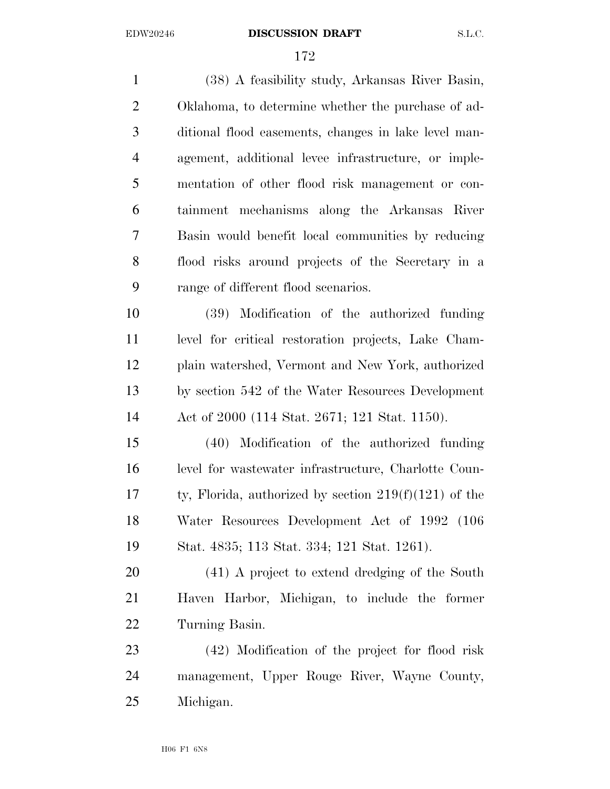(38) A feasibility study, Arkansas River Basin, Oklahoma, to determine whether the purchase of ad- ditional flood easements, changes in lake level man- agement, additional levee infrastructure, or imple- mentation of other flood risk management or con- tainment mechanisms along the Arkansas River Basin would benefit local communities by reducing flood risks around projects of the Secretary in a range of different flood scenarios. (39) Modification of the authorized funding level for critical restoration projects, Lake Cham- plain watershed, Vermont and New York, authorized by section 542 of the Water Resources Development Act of 2000 (114 Stat. 2671; 121 Stat. 1150). (40) Modification of the authorized funding level for wastewater infrastructure, Charlotte Coun-

 ty, Florida, authorized by section 219(f)(121) of the Water Resources Development Act of 1992 (106 Stat. 4835; 113 Stat. 334; 121 Stat. 1261).

 (41) A project to extend dredging of the South Haven Harbor, Michigan, to include the former Turning Basin.

 (42) Modification of the project for flood risk management, Upper Rouge River, Wayne County, Michigan.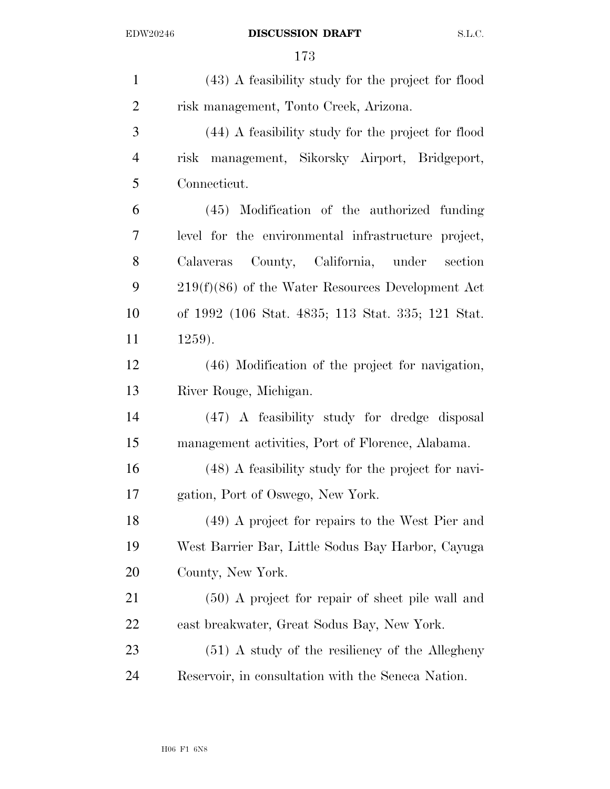| $\mathbf{1}$   | (43) A feasibility study for the project for flood  |
|----------------|-----------------------------------------------------|
| $\overline{2}$ | risk management, Tonto Creek, Arizona.              |
| 3              | (44) A feasibility study for the project for flood  |
| $\overline{4}$ | management, Sikorsky Airport, Bridgeport,<br>risk   |
| 5              | Connecticut.                                        |
| 6              | (45) Modification of the authorized funding         |
| 7              | level for the environmental infrastructure project, |
| 8              | Calaveras County, California, under<br>section      |
| 9              | $219(f)(86)$ of the Water Resources Development Act |
| 10             | of 1992 (106 Stat. 4835; 113 Stat. 335; 121 Stat.   |
| 11             | 1259).                                              |
| 12             | (46) Modification of the project for navigation,    |
| 13             | River Rouge, Michigan.                              |
| 14             | (47) A feasibility study for dredge disposal        |
| 15             | management activities, Port of Florence, Alabama.   |
| 16             | (48) A feasibility study for the project for navi-  |
| 17             | gation, Port of Oswego, New York.                   |
| 18             | (49) A project for repairs to the West Pier and     |
| 19             | West Barrier Bar, Little Sodus Bay Harbor, Cayuga   |
| 20             | County, New York.                                   |
| 21             | $(50)$ A project for repair of sheet pile wall and  |
| 22             | east breakwater, Great Sodus Bay, New York.         |
| 23             | $(51)$ A study of the resiliency of the Allegheny   |
| 24             | Reservoir, in consultation with the Seneca Nation.  |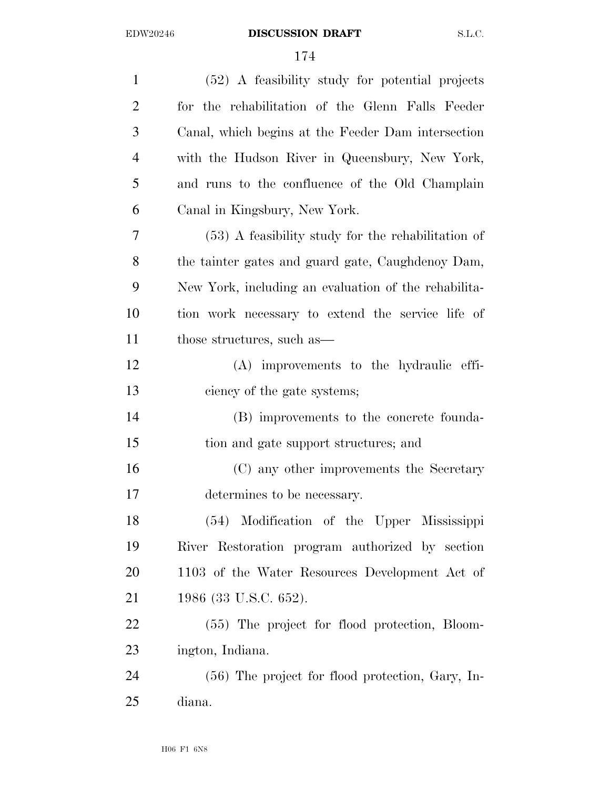| $\mathbf{1}$   | (52) A feasibility study for potential projects      |
|----------------|------------------------------------------------------|
| $\overline{2}$ | for the rehabilitation of the Glenn Falls Feeder     |
| 3              | Canal, which begins at the Feeder Dam intersection   |
| 4              | with the Hudson River in Queensbury, New York,       |
| 5              | and runs to the confluence of the Old Champlain      |
| 6              | Canal in Kingsbury, New York.                        |
| 7              | $(53)$ A feasibility study for the rehabilitation of |
| 8              | the tainter gates and guard gate, Caughdenoy Dam,    |
| 9              | New York, including an evaluation of the rehabilita- |
| 10             | tion work necessary to extend the service life of    |
| 11             | those structures, such as—                           |
| 12             | (A) improvements to the hydraulic effi-              |
| 13             | ciency of the gate systems;                          |
| 14             | (B) improvements to the concrete founda-             |
| 15             | tion and gate support structures; and                |
| 16             | (C) any other improvements the Secretary             |
| 17             | determines to be necessary.                          |
| 18             | (54) Modification of the Upper Mississippi           |
| 19             | River Restoration program authorized by section      |
| 20             | 1103 of the Water Resources Development Act of       |
| 21             | 1986 (33 U.S.C. 652).                                |
| 22             | (55) The project for flood protection, Bloom-        |
| 23             | ington, Indiana.                                     |
| 24             | $(56)$ The project for flood protection, Gary, In-   |
| 25             | diana.                                               |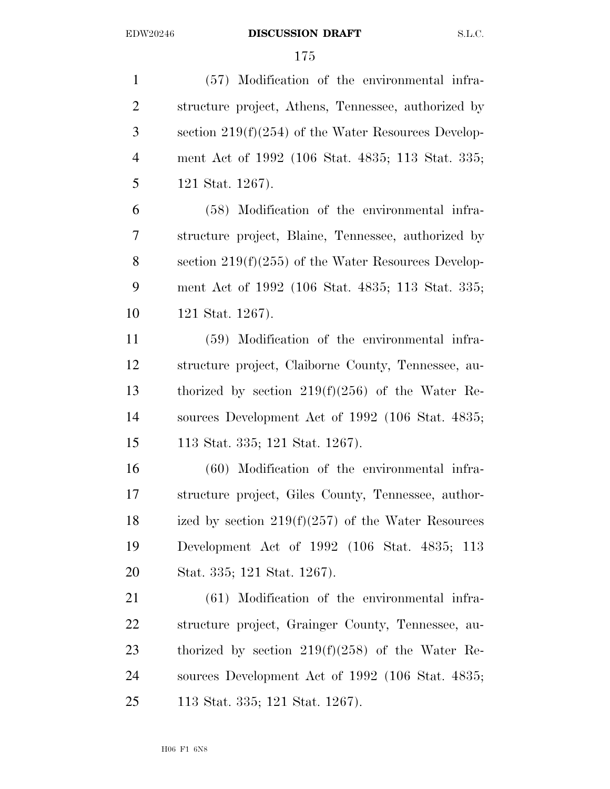(57) Modification of the environmental infra- structure project, Athens, Tennessee, authorized by section 219(f)(254) of the Water Resources Develop- ment Act of 1992 (106 Stat. 4835; 113 Stat. 335; 121 Stat. 1267).

 (58) Modification of the environmental infra- structure project, Blaine, Tennessee, authorized by section 219(f)(255) of the Water Resources Develop- ment Act of 1992 (106 Stat. 4835; 113 Stat. 335; 121 Stat. 1267).

 (59) Modification of the environmental infra- structure project, Claiborne County, Tennessee, au- thorized by section 219(f)(256) of the Water Re- sources Development Act of 1992 (106 Stat. 4835; 113 Stat. 335; 121 Stat. 1267).

 (60) Modification of the environmental infra- structure project, Giles County, Tennessee, author- ized by section 219(f)(257) of the Water Resources Development Act of 1992 (106 Stat. 4835; 113 Stat. 335; 121 Stat. 1267).

 (61) Modification of the environmental infra- structure project, Grainger County, Tennessee, au- thorized by section 219(f)(258) of the Water Re- sources Development Act of 1992 (106 Stat. 4835; 113 Stat. 335; 121 Stat. 1267).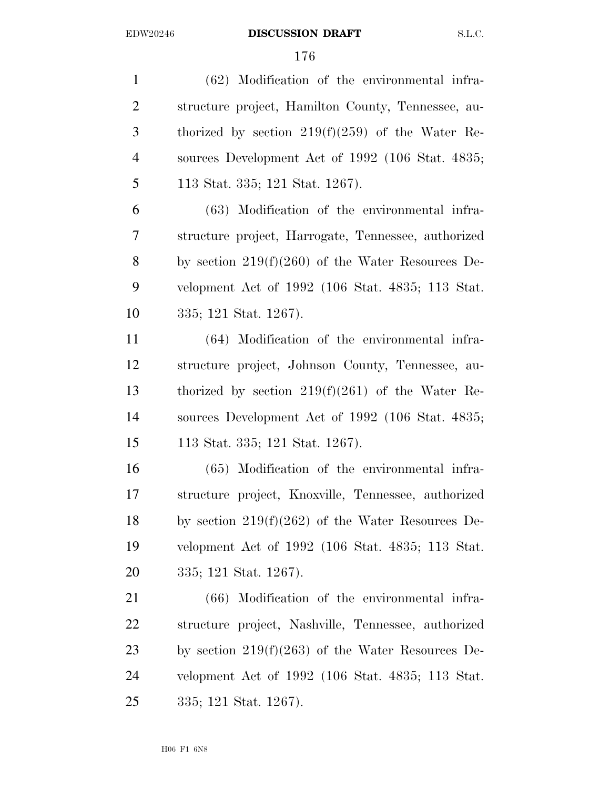(62) Modification of the environmental infra- structure project, Hamilton County, Tennessee, au- thorized by section 219(f)(259) of the Water Re- sources Development Act of 1992 (106 Stat. 4835; 113 Stat. 335; 121 Stat. 1267).

 (63) Modification of the environmental infra- structure project, Harrogate, Tennessee, authorized by section 219(f)(260) of the Water Resources De- velopment Act of 1992 (106 Stat. 4835; 113 Stat. 335; 121 Stat. 1267).

 (64) Modification of the environmental infra- structure project, Johnson County, Tennessee, au- thorized by section 219(f)(261) of the Water Re- sources Development Act of 1992 (106 Stat. 4835; 113 Stat. 335; 121 Stat. 1267).

 (65) Modification of the environmental infra- structure project, Knoxville, Tennessee, authorized by section 219(f)(262) of the Water Resources De- velopment Act of 1992 (106 Stat. 4835; 113 Stat. 335; 121 Stat. 1267).

 (66) Modification of the environmental infra- structure project, Nashville, Tennessee, authorized by section 219(f)(263) of the Water Resources De- velopment Act of 1992 (106 Stat. 4835; 113 Stat. 335; 121 Stat. 1267).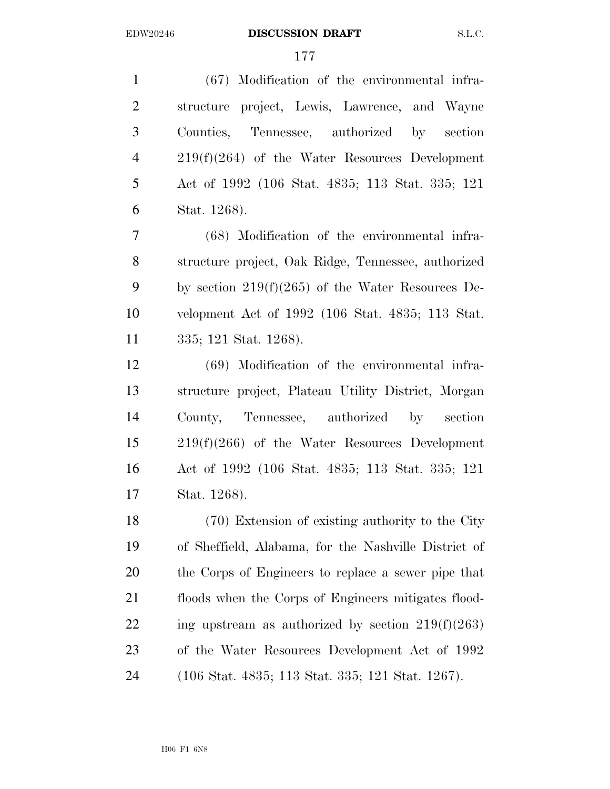(67) Modification of the environmental infra- structure project, Lewis, Lawrence, and Wayne Counties, Tennessee, authorized by section 219(f)(264) of the Water Resources Development Act of 1992 (106 Stat. 4835; 113 Stat. 335; 121 Stat. 1268).

 (68) Modification of the environmental infra- structure project, Oak Ridge, Tennessee, authorized by section 219(f)(265) of the Water Resources De- velopment Act of 1992 (106 Stat. 4835; 113 Stat. 335; 121 Stat. 1268).

 (69) Modification of the environmental infra- structure project, Plateau Utility District, Morgan County, Tennessee, authorized by section 219(f)(266) of the Water Resources Development Act of 1992 (106 Stat. 4835; 113 Stat. 335; 121 Stat. 1268).

 (70) Extension of existing authority to the City of Sheffield, Alabama, for the Nashville District of the Corps of Engineers to replace a sewer pipe that floods when the Corps of Engineers mitigates flood-22 ing upstream as authorized by section  $219(f)(263)$  of the Water Resources Development Act of 1992 (106 Stat. 4835; 113 Stat. 335; 121 Stat. 1267).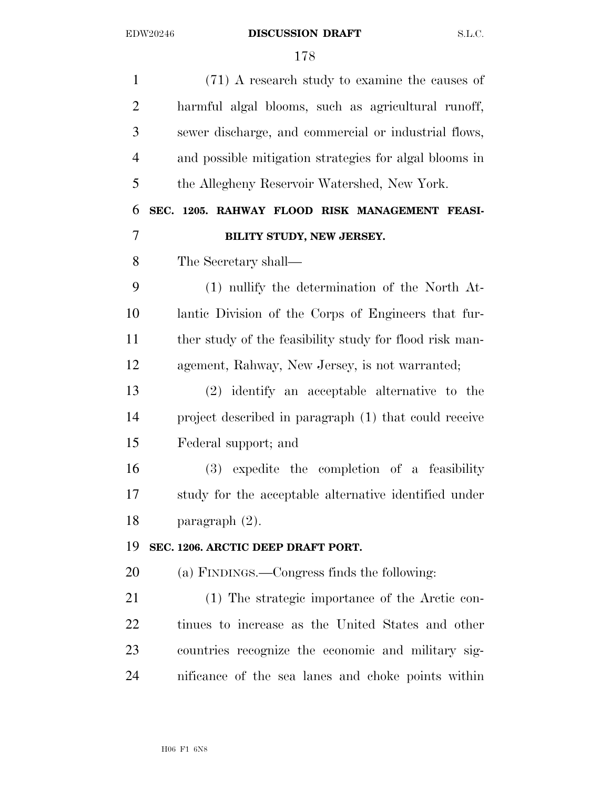| $\mathbf{1}$   | (71) A research study to examine the causes of          |
|----------------|---------------------------------------------------------|
| $\overline{2}$ | harmful algal blooms, such as agricultural runoff,      |
| 3              | sewer discharge, and commercial or industrial flows,    |
| $\overline{4}$ | and possible mitigation strategies for algal blooms in  |
| 5              | the Allegheny Reservoir Watershed, New York.            |
| 6              | SEC. 1205. RAHWAY FLOOD RISK MANAGEMENT FEASI-          |
| 7              | BILITY STUDY, NEW JERSEY.                               |
| 8              | The Secretary shall—                                    |
| 9              | (1) nullify the determination of the North At-          |
| 10             | lantic Division of the Corps of Engineers that fur-     |
| 11             | ther study of the feasibility study for flood risk man- |
| 12             | agement, Rahway, New Jersey, is not warranted;          |
| 13             | $(2)$ identify an acceptable alternative to the         |
| 14             | project described in paragraph (1) that could receive   |
| 15             | Federal support; and                                    |
| 16             | $(3)$ expedite the completion of a feasibility          |
| 17             | study for the acceptable alternative identified under   |
| 18             | paragraph $(2)$ .                                       |
| 19             | SEC. 1206. ARCTIC DEEP DRAFT PORT.                      |
| 20             | (a) FINDINGS.—Congress finds the following:             |
| 21             | (1) The strategic importance of the Arctic con-         |
| 22             | tinues to increase as the United States and other       |
| 23             | countries recognize the economic and military sig-      |
| 24             | nificance of the sea lanes and choke points within      |
|                |                                                         |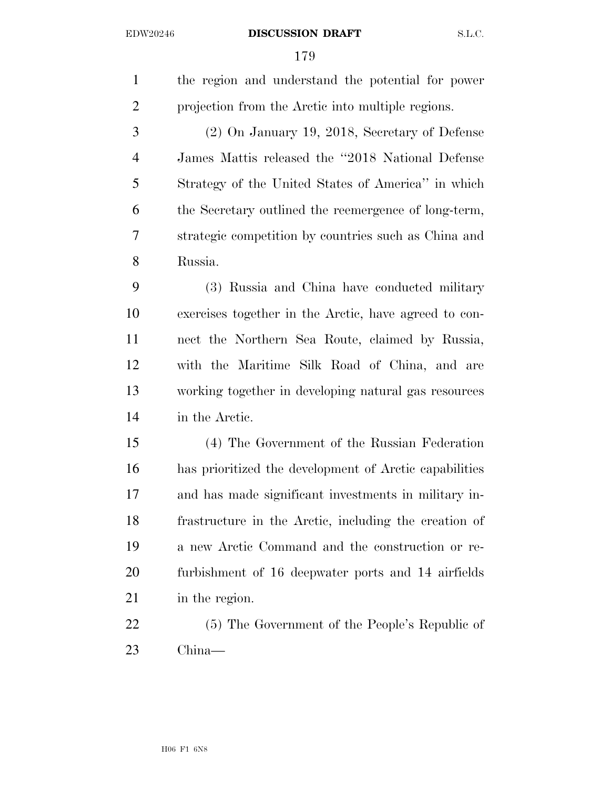the region and understand the potential for power projection from the Arctic into multiple regions. (2) On January 19, 2018, Secretary of Defense James Mattis released the ''2018 National Defense Strategy of the United States of America'' in which the Secretary outlined the reemergence of long-term, strategic competition by countries such as China and Russia. (3) Russia and China have conducted military exercises together in the Arctic, have agreed to con- nect the Northern Sea Route, claimed by Russia, with the Maritime Silk Road of China, and are working together in developing natural gas resources in the Arctic. (4) The Government of the Russian Federation has prioritized the development of Arctic capabilities and has made significant investments in military in- frastructure in the Arctic, including the creation of a new Arctic Command and the construction or re- furbishment of 16 deepwater ports and 14 airfields 21 in the region. (5) The Government of the People's Republic of China—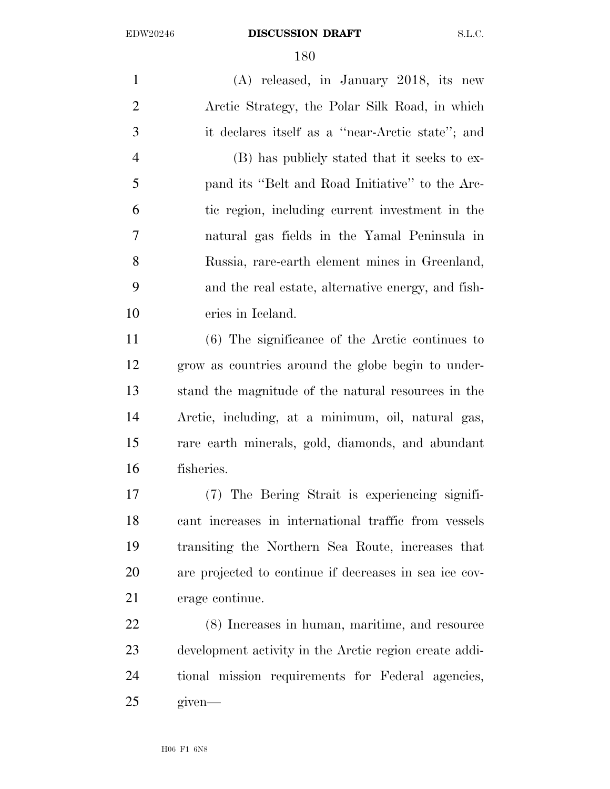(A) released, in January 2018, its new Arctic Strategy, the Polar Silk Road, in which it declares itself as a ''near-Arctic state''; and (B) has publicly stated that it seeks to ex- pand its ''Belt and Road Initiative'' to the Arc- tic region, including current investment in the natural gas fields in the Yamal Peninsula in Russia, rare-earth element mines in Greenland, and the real estate, alternative energy, and fish- eries in Iceland. (6) The significance of the Arctic continues to grow as countries around the globe begin to under- stand the magnitude of the natural resources in the Arctic, including, at a minimum, oil, natural gas, rare earth minerals, gold, diamonds, and abundant fisheries. (7) The Bering Strait is experiencing signifi- cant increases in international traffic from vessels transiting the Northern Sea Route, increases that are projected to continue if decreases in sea ice cov- erage continue. (8) Increases in human, maritime, and resource development activity in the Arctic region create addi- tional mission requirements for Federal agencies, given—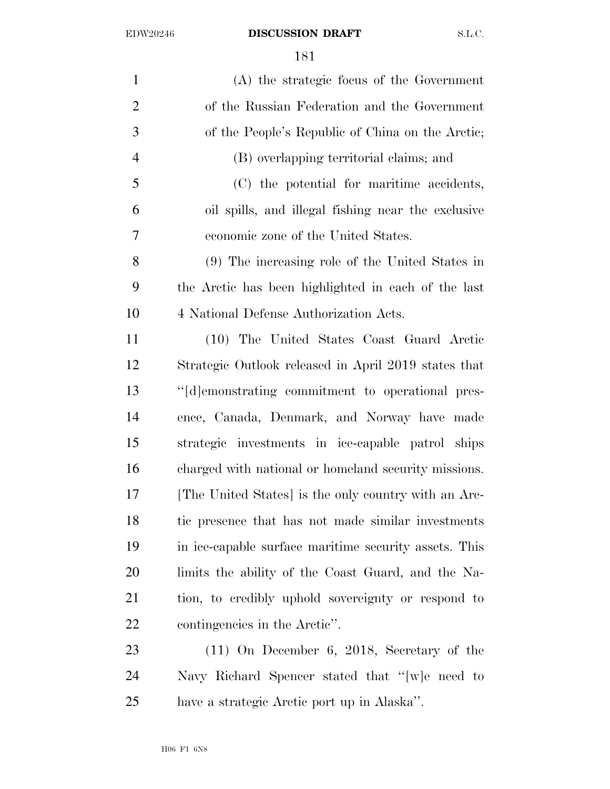#### EDW20246 **DISCUSSION DRAFT** S.L.C.

| $\mathbf{1}$   | (A) the strategic focus of the Government             |
|----------------|-------------------------------------------------------|
| $\overline{2}$ | of the Russian Federation and the Government          |
| 3              | of the People's Republic of China on the Arctic;      |
| $\overline{4}$ | (B) overlapping territorial claims; and               |
| 5              | (C) the potential for maritime accidents,             |
| 6              | oil spills, and illegal fishing near the exclusive    |
| 7              | economic zone of the United States.                   |
| 8              | (9) The increasing role of the United States in       |
| 9              | the Arctic has been highlighted in each of the last   |
| 10             | 4 National Defense Authorization Acts.                |
| 11             | (10) The United States Coast Guard Arctic             |
| 12             | Strategic Outlook released in April 2019 states that  |
| 13             | "[d]emonstrating commitment to operational pres-      |
| 14             | ence, Canada, Denmark, and Norway have made           |
| 15             | strategic investments in ice-capable patrol ships     |
| 16             | charged with national or homeland security missions.  |
| 17             | [The United States] is the only country with an Arc-  |
| 18             | tic presence that has not made similar investments    |
| 19             | in ice-capable surface maritime security assets. This |
| 20             | limits the ability of the Coast Guard, and the Na-    |
| 21             | tion, to credibly uphold sovereignty or respond to    |
| 22             | contingencies in the Arctic".                         |
| 23             | $(11)$ On December 6, 2018, Secretary of the          |
| 24             | Navy Richard Spencer stated that "[w]e need to        |
| 25             | have a strategic Arctic port up in Alaska".           |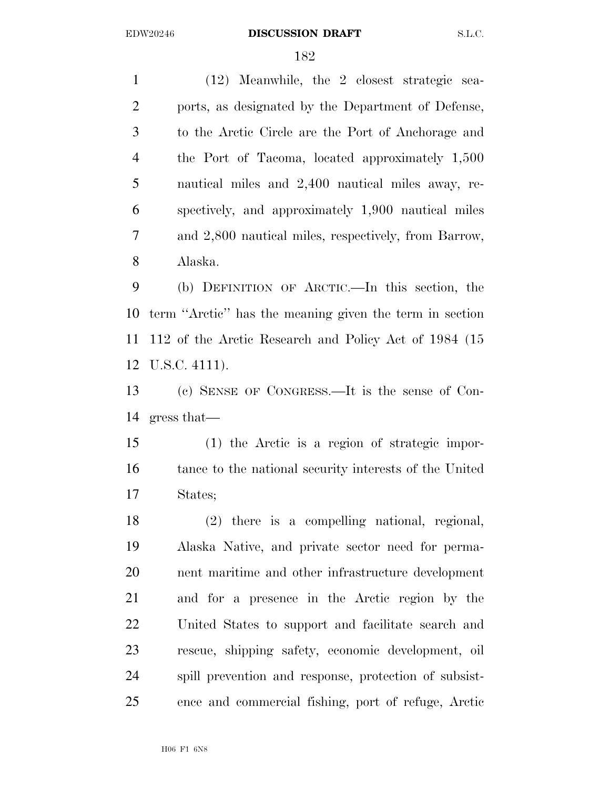(12) Meanwhile, the 2 closest strategic sea- ports, as designated by the Department of Defense, to the Arctic Circle are the Port of Anchorage and the Port of Tacoma, located approximately 1,500 nautical miles and 2,400 nautical miles away, re- spectively, and approximately 1,900 nautical miles and 2,800 nautical miles, respectively, from Barrow, Alaska.

 (b) DEFINITION OF ARCTIC.—In this section, the term ''Arctic'' has the meaning given the term in section 112 of the Arctic Research and Policy Act of 1984 (15 U.S.C. 4111).

 (c) SENSE OF CONGRESS.—It is the sense of Con-gress that—

 (1) the Arctic is a region of strategic impor- tance to the national security interests of the United States;

 (2) there is a compelling national, regional, Alaska Native, and private sector need for perma- nent maritime and other infrastructure development and for a presence in the Arctic region by the United States to support and facilitate search and rescue, shipping safety, economic development, oil spill prevention and response, protection of subsist-ence and commercial fishing, port of refuge, Arctic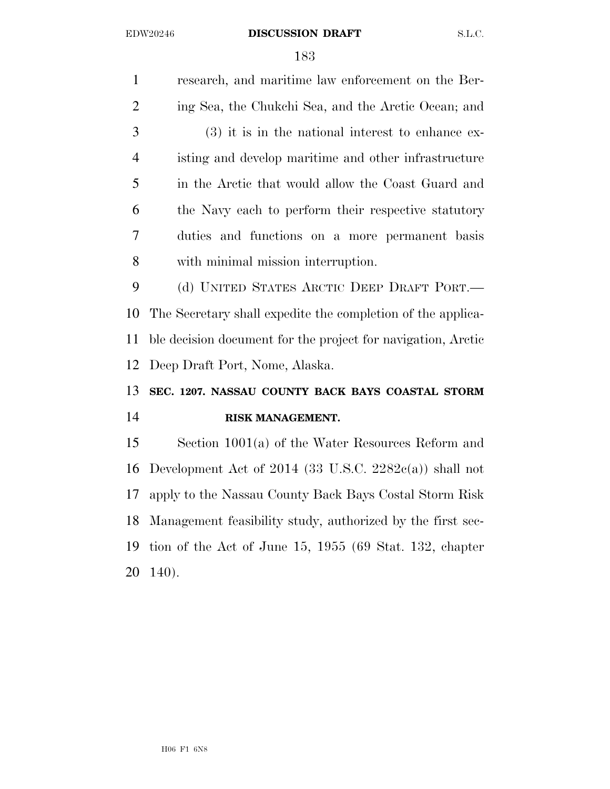#### EDW20246 **DISCUSSION DRAFT** S.L.C.

 research, and maritime law enforcement on the Ber- ing Sea, the Chukchi Sea, and the Arctic Ocean; and (3) it is in the national interest to enhance ex- isting and develop maritime and other infrastructure in the Arctic that would allow the Coast Guard and the Navy each to perform their respective statutory duties and functions on a more permanent basis with minimal mission interruption. (d) UNITED STATES ARCTIC DEEP DRAFT PORT.— The Secretary shall expedite the completion of the applica- ble decision document for the project for navigation, Arctic Deep Draft Port, Nome, Alaska. **SEC. 1207. NASSAU COUNTY BACK BAYS COASTAL STORM RISK MANAGEMENT.**  Section 1001(a) of the Water Resources Reform and Development Act of 2014 (33 U.S.C. 2282c(a)) shall not apply to the Nassau County Back Bays Costal Storm Risk Management feasibility study, authorized by the first sec-

 tion of the Act of June 15, 1955 (69 Stat. 132, chapter 140).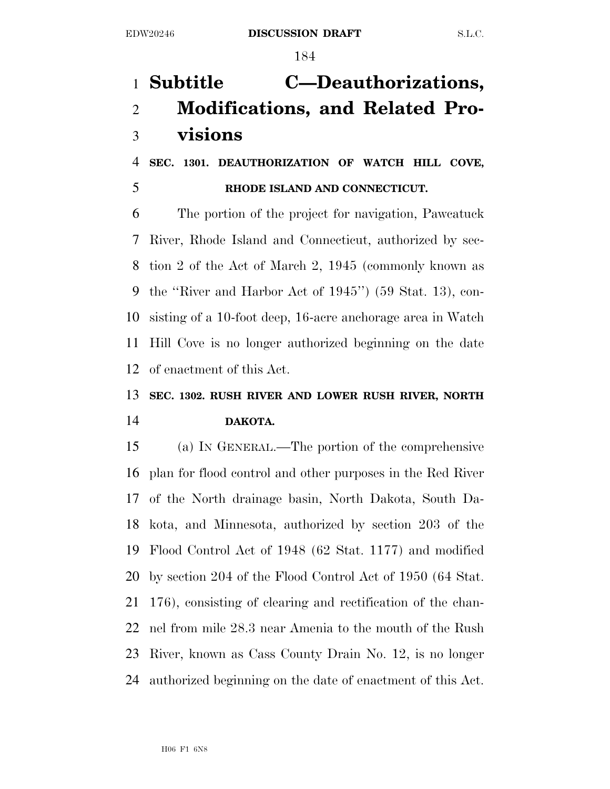# **Subtitle C—Deauthorizations, Modifications, and Related Pro-visions**

## **SEC. 1301. DEAUTHORIZATION OF WATCH HILL COVE, RHODE ISLAND AND CONNECTICUT.**

 The portion of the project for navigation, Pawcatuck River, Rhode Island and Connecticut, authorized by sec- tion 2 of the Act of March 2, 1945 (commonly known as the ''River and Harbor Act of 1945'') (59 Stat. 13), con- sisting of a 10-foot deep, 16-acre anchorage area in Watch Hill Cove is no longer authorized beginning on the date of enactment of this Act.

# **SEC. 1302. RUSH RIVER AND LOWER RUSH RIVER, NORTH DAKOTA.**

 (a) IN GENERAL.—The portion of the comprehensive plan for flood control and other purposes in the Red River of the North drainage basin, North Dakota, South Da- kota, and Minnesota, authorized by section 203 of the Flood Control Act of 1948 (62 Stat. 1177) and modified by section 204 of the Flood Control Act of 1950 (64 Stat. 176), consisting of clearing and rectification of the chan- nel from mile 28.3 near Amenia to the mouth of the Rush River, known as Cass County Drain No. 12, is no longer authorized beginning on the date of enactment of this Act.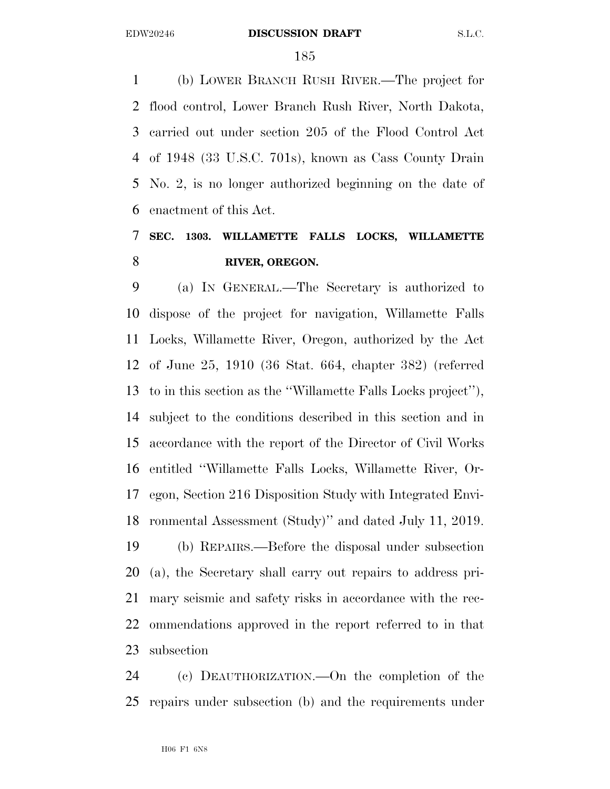(b) LOWER BRANCH RUSH RIVER.—The project for flood control, Lower Branch Rush River, North Dakota, carried out under section 205 of the Flood Control Act of 1948 (33 U.S.C. 701s), known as Cass County Drain No. 2, is no longer authorized beginning on the date of enactment of this Act.

# **SEC. 1303. WILLAMETTE FALLS LOCKS, WILLAMETTE RIVER, OREGON.**

 (a) IN GENERAL.—The Secretary is authorized to dispose of the project for navigation, Willamette Falls Locks, Willamette River, Oregon, authorized by the Act of June 25, 1910 (36 Stat. 664, chapter 382) (referred to in this section as the ''Willamette Falls Locks project''), subject to the conditions described in this section and in accordance with the report of the Director of Civil Works entitled ''Willamette Falls Locks, Willamette River, Or- egon, Section 216 Disposition Study with Integrated Envi-ronmental Assessment (Study)'' and dated July 11, 2019.

 (b) REPAIRS.—Before the disposal under subsection (a), the Secretary shall carry out repairs to address pri- mary seismic and safety risks in accordance with the rec- ommendations approved in the report referred to in that subsection

 (c) DEAUTHORIZATION.—On the completion of the repairs under subsection (b) and the requirements under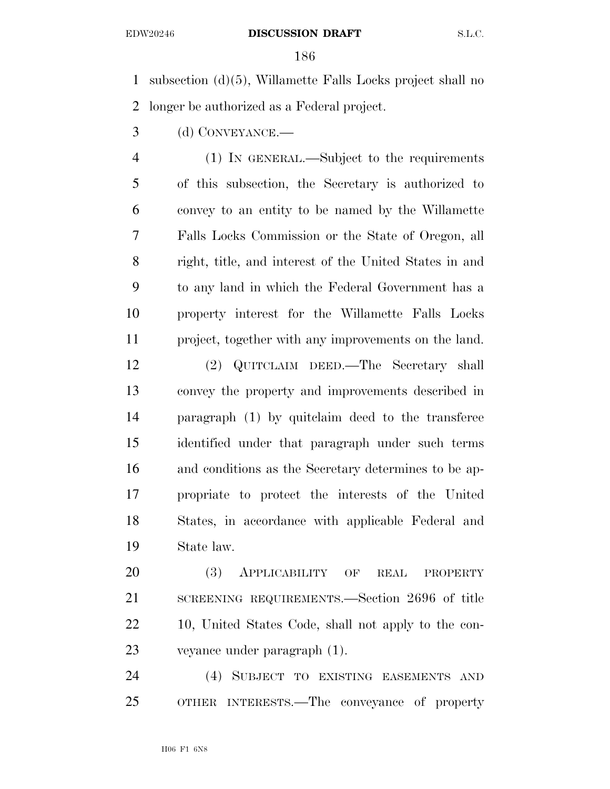#### EDW20246 **DISCUSSION DRAFT** S.L.C.

 subsection (d)(5), Willamette Falls Locks project shall no longer be authorized as a Federal project.

(d) CONVEYANCE.—

 (1) IN GENERAL.—Subject to the requirements of this subsection, the Secretary is authorized to convey to an entity to be named by the Willamette Falls Locks Commission or the State of Oregon, all right, title, and interest of the United States in and to any land in which the Federal Government has a property interest for the Willamette Falls Locks project, together with any improvements on the land.

 (2) QUITCLAIM DEED.—The Secretary shall convey the property and improvements described in paragraph (1) by quitclaim deed to the transferee identified under that paragraph under such terms and conditions as the Secretary determines to be ap- propriate to protect the interests of the United States, in accordance with applicable Federal and State law.

 (3) APPLICABILITY OF REAL PROPERTY SCREENING REQUIREMENTS.—Section 2696 of title 22 10, United States Code, shall not apply to the con-veyance under paragraph (1).

 (4) SUBJECT TO EXISTING EASEMENTS AND OTHER INTERESTS.—The conveyance of property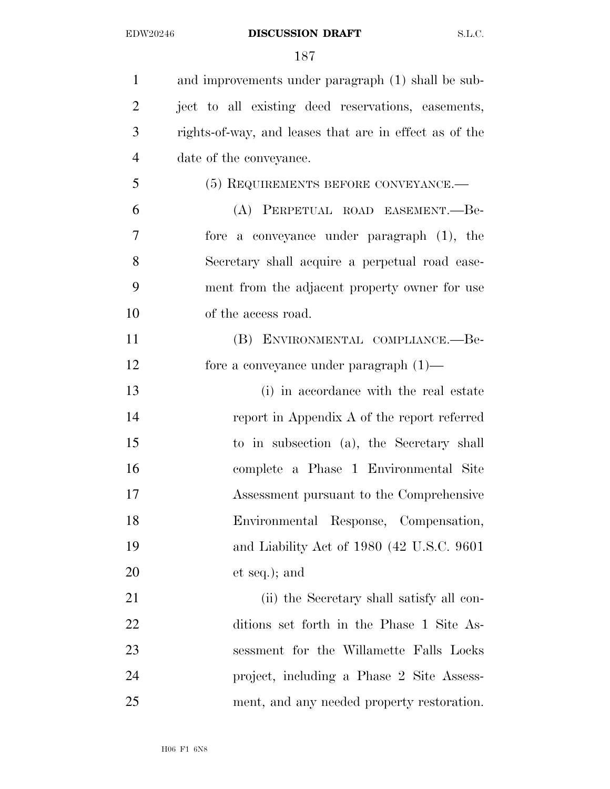and improvements under paragraph (1) shall be sub- ject to all existing deed reservations, easements, rights-of-way, and leases that are in effect as of the date of the conveyance. (5) REQUIREMENTS BEFORE CONVEYANCE.— (A) PERPETUAL ROAD EASEMENT.—Be- fore a conveyance under paragraph (1), the Secretary shall acquire a perpetual road ease- ment from the adjacent property owner for use of the access road. (B) ENVIRONMENTAL COMPLIANCE.—Be- fore a conveyance under paragraph (1)— (i) in accordance with the real estate report in Appendix A of the report referred to in subsection (a), the Secretary shall complete a Phase 1 Environmental Site Assessment pursuant to the Comprehensive Environmental Response, Compensation, and Liability Act of 1980 (42 U.S.C. 9601 et seq.); and 21 (ii) the Secretary shall satisfy all con- ditions set forth in the Phase 1 Site As- sessment for the Willamette Falls Locks project, including a Phase 2 Site Assess-ment, and any needed property restoration.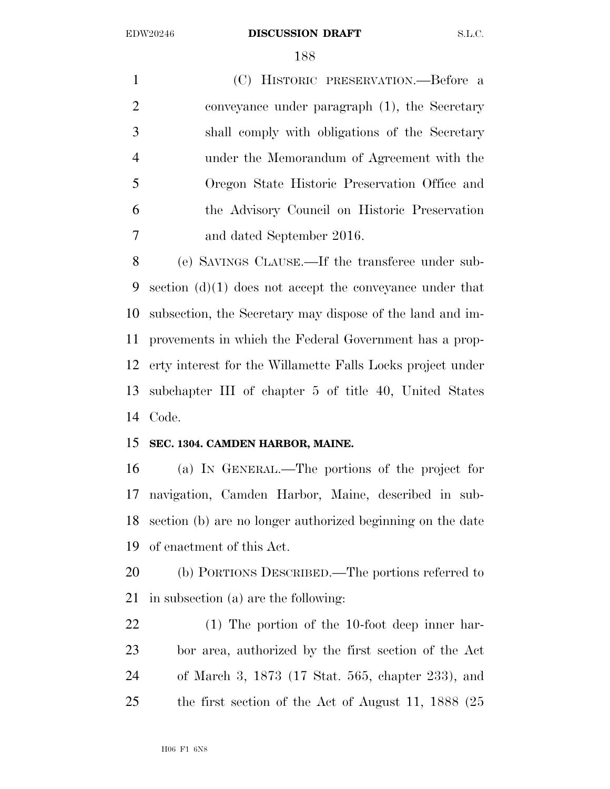(C) HISTORIC PRESERVATION.—Before a conveyance under paragraph (1), the Secretary shall comply with obligations of the Secretary under the Memorandum of Agreement with the Oregon State Historic Preservation Office and the Advisory Council on Historic Preservation and dated September 2016.

 (e) SAVINGS CLAUSE.—If the transferee under sub- section (d)(1) does not accept the conveyance under that subsection, the Secretary may dispose of the land and im- provements in which the Federal Government has a prop- erty interest for the Willamette Falls Locks project under subchapter III of chapter 5 of title 40, United States Code.

## **SEC. 1304. CAMDEN HARBOR, MAINE.**

 (a) IN GENERAL.—The portions of the project for navigation, Camden Harbor, Maine, described in sub- section (b) are no longer authorized beginning on the date of enactment of this Act.

 (b) PORTIONS DESCRIBED.—The portions referred to in subsection (a) are the following:

 (1) The portion of the 10-foot deep inner har- bor area, authorized by the first section of the Act of March 3, 1873 (17 Stat. 565, chapter 233), and the first section of the Act of August 11, 1888 (25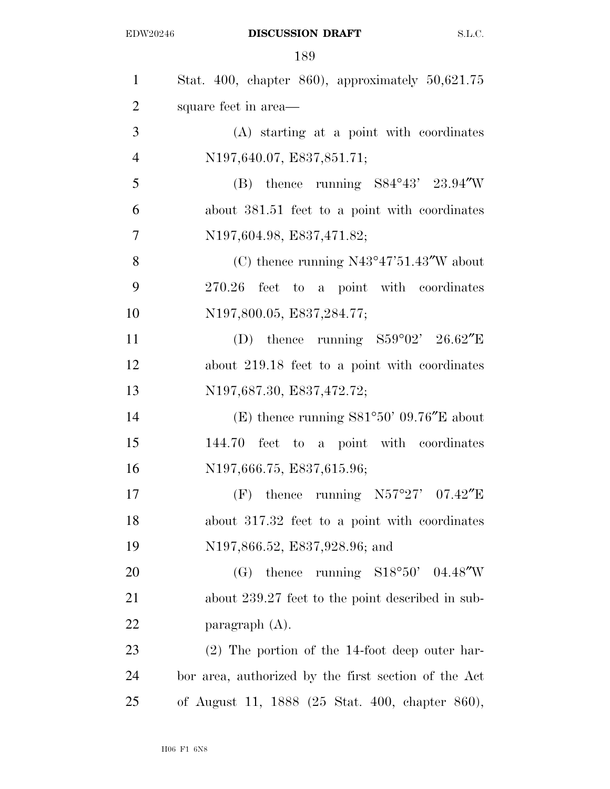| $\mathbf{1}$   | Stat. 400, chapter 860), approximately $50,621.75$   |
|----------------|------------------------------------------------------|
| $\overline{2}$ | square feet in area—                                 |
| 3              | (A) starting at a point with coordinates             |
| $\overline{4}$ | N197,640.07, E837,851.71;                            |
| 5              | (B) thence running $S84^{\circ}43'$ 23.94"W          |
| 6              | about 381.51 feet to a point with coordinates        |
| $\tau$         | N197,604.98, E837,471.82;                            |
| 8              | (C) thence running $N43^{\circ}47'51.43''W$ about    |
| 9              | 270.26 feet to a point with coordinates              |
| 10             | N197,800.05, E837,284.77;                            |
| 11             | (D) thence running $S59°02'$ 26.62"E                 |
| 12             | about 219.18 feet to a point with coordinates        |
| 13             | N197,687.30, E837,472.72;                            |
| 14             | (E) thence running $S81°50'$ 09.76"E about           |
| 15             | 144.70 feet to a point with coordinates              |
| 16             | N197,666.75, E837,615.96;                            |
| 17             | (F) thence running $N57°27'$ 07.42"E                 |
| 18             | about 317.32 feet to a point with coordinates        |
| 19             | N197,866.52, E837,928.96; and                        |
| 20             | running $S18°50'$ 04.48"W<br>$(G)$ thence            |
| 21             | about 239.27 feet to the point described in sub-     |
| 22             | paragraph $(A)$ .                                    |
| 23             | $(2)$ The portion of the 14-foot deep outer har-     |
| 24             | bor area, authorized by the first section of the Act |
| 25             | of August 11, 1888 (25 Stat. 400, chapter 860),      |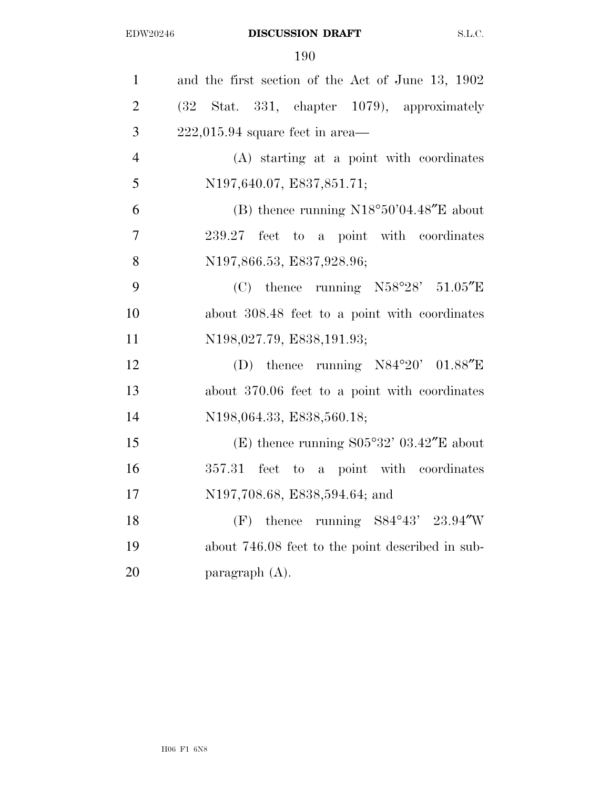| $\mathbf{1}$   | and the first section of the Act of June 13, 1902 |
|----------------|---------------------------------------------------|
| $\overline{2}$ | (32 Stat. 331, chapter 1079), approximately       |
| 3              | $222,015.94$ square feet in area—                 |
| $\overline{4}$ | (A) starting at a point with coordinates          |
| 5              | N197,640.07, E837,851.71;                         |
| 6              | (B) thence running $N18°50'04.48''E$ about        |
| $\overline{7}$ | 239.27 feet to a point with coordinates           |
| 8              | N197,866.53, E837,928.96;                         |
| 9              | (C) thence running $N58°28'$ 51.05"E              |
| 10             | about 308.48 feet to a point with coordinates     |
| 11             | N198,027.79, E838,191.93;                         |
| 12             | (D) thence running $N84^{\circ}20'$ 01.88"E       |
| 13             | about 370.06 feet to a point with coordinates     |
| 14             | N198,064.33, E838,560.18;                         |
| 15             | (E) thence running $S05°32'$ 03.42"E about        |
| 16             | 357.31 feet to a point with coordinates           |
| 17             | N197,708.68, E838,594.64; and                     |
| 18             | (F) thence running $S84^{\circ}43'$ 23.94"W       |
| 19             | about 746.08 feet to the point described in sub-  |
| 20             | paragraph $(A)$ .                                 |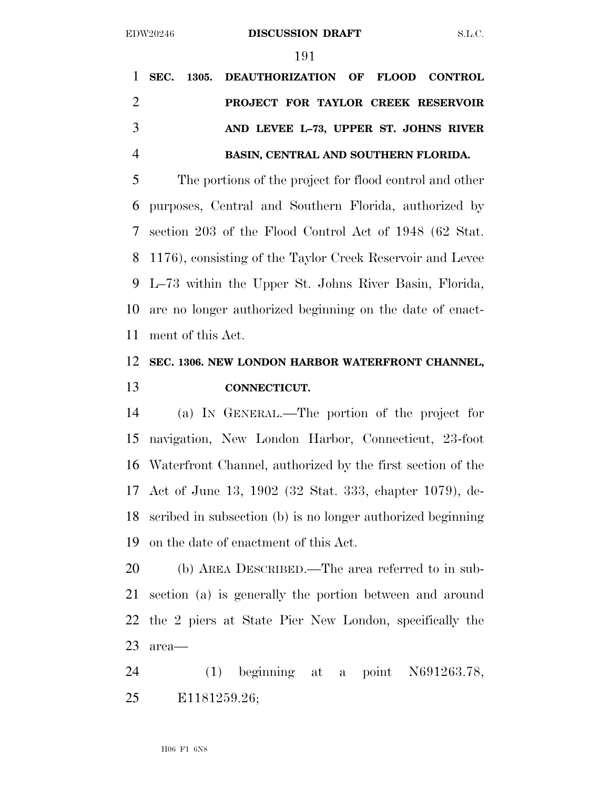|               |  | 1 SEC. 1305. DEAUTHORIZATION OF FLOOD CONTROL |
|---------------|--|-----------------------------------------------|
|               |  | PROJECT FOR TAYLOR CREEK RESERVOIR            |
| $\mathcal{R}$ |  | AND LEVEE L-73, UPPER ST. JOHNS RIVER         |
|               |  | BASIN, CENTRAL AND SOUTHERN FLORIDA.          |

 The portions of the project for flood control and other purposes, Central and Southern Florida, authorized by section 203 of the Flood Control Act of 1948 (62 Stat. 1176), consisting of the Taylor Creek Reservoir and Levee L–73 within the Upper St. Johns River Basin, Florida, are no longer authorized beginning on the date of enact-ment of this Act.

# **SEC. 1306. NEW LONDON HARBOR WATERFRONT CHANNEL, CONNECTICUT.**

 (a) IN GENERAL.—The portion of the project for navigation, New London Harbor, Connecticut, 23-foot Waterfront Channel, authorized by the first section of the Act of June 13, 1902 (32 Stat. 333, chapter 1079), de- scribed in subsection (b) is no longer authorized beginning on the date of enactment of this Act.

 (b) AREA DESCRIBED.—The area referred to in sub- section (a) is generally the portion between and around the 2 piers at State Pier New London, specifically the area—

 (1) beginning at a point N691263.78, E1181259.26;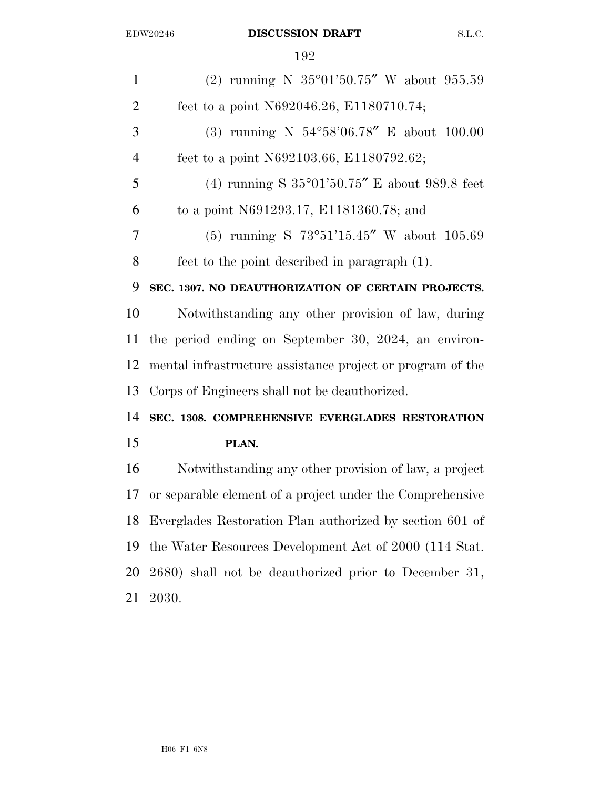| $\mathbf{1}$   | (2) running N $35^{\circ}01'50.75''$ W about $955.59$      |
|----------------|------------------------------------------------------------|
| $\overline{2}$ | feet to a point N692046.26, E1180710.74;                   |
| 3              | (3) running N $54^{\circ}58'06.78''$ E about 100.00        |
| $\overline{4}$ | feet to a point N692103.66, E1180792.62;                   |
| 5              | (4) running S $35^{\circ}01'50.75''$ E about 989.8 feet    |
| 6              | to a point N691293.17, E1181360.78; and                    |
| 7              | (5) running S $73^{\circ}51'15.45''$ W about $105.69$      |
| 8              | feet to the point described in paragraph (1).              |
| 9              | SEC. 1307. NO DEAUTHORIZATION OF CERTAIN PROJECTS.         |
| 10             | Notwithstanding any other provision of law, during         |
| 11             | the period ending on September 30, 2024, an environ-       |
| 12             | mental infrastructure assistance project or program of the |
| 13             | Corps of Engineers shall not be deauthorized.              |
| 14             | SEC. 1308. COMPREHENSIVE EVERGLADES RESTORATION            |
| 15             | PLAN.                                                      |
| 16             | Notwithstanding any other provision of law, a project      |
| 17             | or separable element of a project under the Comprehensive  |
| 18             | Everglades Restoration Plan authorized by section 601 of   |
| 19             | the Water Resources Development Act of 2000 (114 Stat.     |
| 20             | 2680) shall not be deauthorized prior to December 31,      |
| 21             | 2030.                                                      |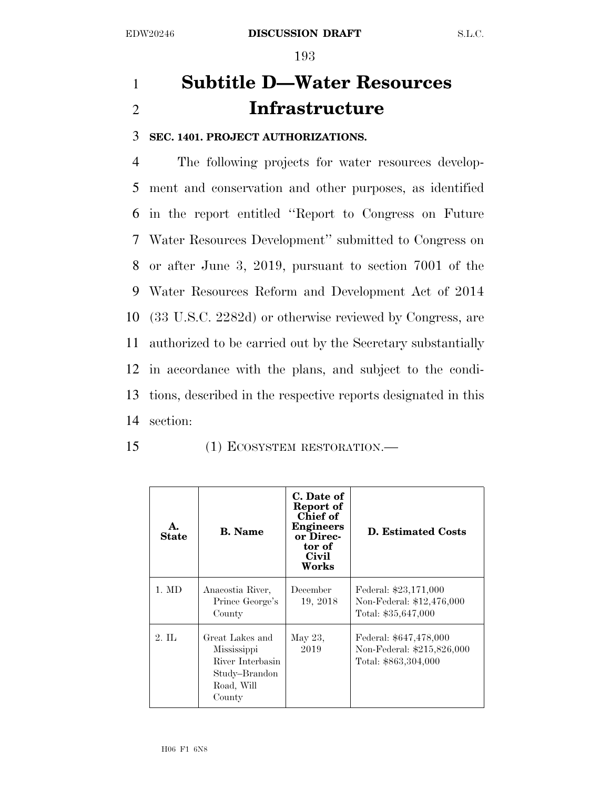# 1 **Subtitle D—Water Resources**  2 **Infrastructure**

## 3 **SEC. 1401. PROJECT AUTHORIZATIONS.**

 The following projects for water resources develop- ment and conservation and other purposes, as identified in the report entitled ''Report to Congress on Future Water Resources Development'' submitted to Congress on or after June 3, 2019, pursuant to section 7001 of the Water Resources Reform and Development Act of 2014 (33 U.S.C. 2282d) or otherwise reviewed by Congress, are authorized to be carried out by the Secretary substantially in accordance with the plans, and subject to the condi- tions, described in the respective reports designated in this section:

15 (1) ECOSYSTEM RESTORATION.—

| <b>State</b>       | <b>B.</b> Name                                                                                     | C. Date of<br>Report of<br>Chief of<br><b>Engineers</b><br>or Direc-<br>tor of<br>Civil<br>Works | <b>D. Estimated Costs</b>                                                    |
|--------------------|----------------------------------------------------------------------------------------------------|--------------------------------------------------------------------------------------------------|------------------------------------------------------------------------------|
| 1. MD              | Anacostia River,<br>Prince George's<br>County                                                      | December<br>19, 2018                                                                             | Federal: \$23,171,000<br>Non-Federal: \$12,476,000<br>Total: \$35,647,000    |
| $2. \, \mathrm{H}$ | Great Lakes and<br><i>Mississippi</i><br>River Interbasin<br>Study–Brandon<br>Road, Will<br>County | May 23,<br>2019                                                                                  | Federal: \$647,478,000<br>Non-Federal: \$215,826,000<br>Total: \$863,304,000 |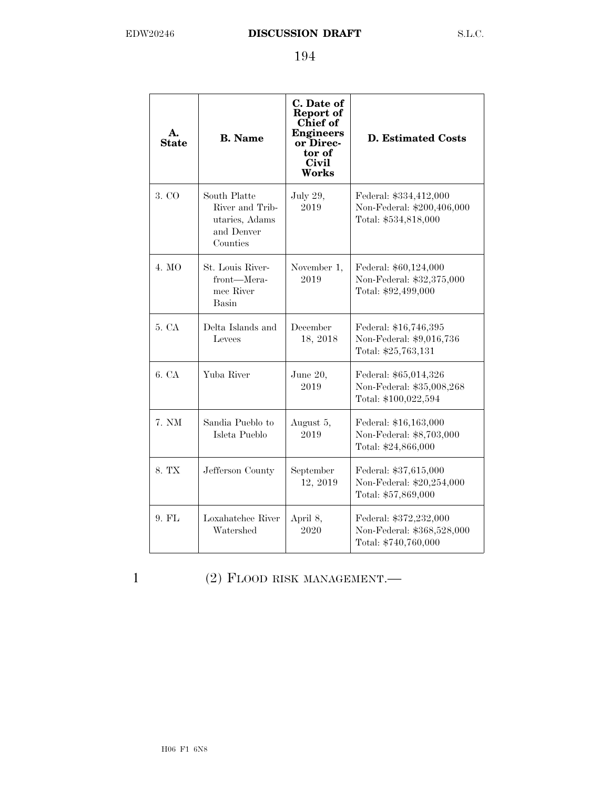| A.<br><b>State</b> | <b>B.</b> Name                                                              | C. Date of<br>Report of<br><b>Chief</b> of<br><b>Engineers</b><br>or Direc-<br>tor of<br>Civil<br>Works | <b>D. Estimated Costs</b>                                                    |
|--------------------|-----------------------------------------------------------------------------|---------------------------------------------------------------------------------------------------------|------------------------------------------------------------------------------|
| 3. CO              | South Platte<br>River and Trib-<br>utaries, Adams<br>and Denver<br>Counties | July 29,<br>2019                                                                                        | Federal: \$334,412,000<br>Non-Federal: \$200,406,000<br>Total: \$534,818,000 |
| $4. \text{MO}$     | St. Louis River-<br>front-Mera-<br>mec River<br>Basin                       | November 1,<br>2019                                                                                     | Federal: \$60,124,000<br>Non-Federal: \$32,375,000<br>Total: \$92,499,000    |
| 5. CA              | Delta Islands and<br>Levees                                                 | December<br>18, 2018                                                                                    | Federal: \$16,746,395<br>Non-Federal: \$9,016,736<br>Total: \$25,763,131     |
| 6. CA              | Yuba River                                                                  | June 20,<br>2019                                                                                        | Federal: \$65,014,326<br>Non-Federal: \$35,008,268<br>Total: \$100,022,594   |
| 7. NM              | Sandia Pueblo to<br>Isleta Pueblo                                           | August 5,<br>2019                                                                                       | Federal: \$16,163,000<br>Non-Federal: \$8,703,000<br>Total: \$24,866,000     |
| 8. TX              | Jefferson County                                                            | September<br>12, 2019                                                                                   | Federal: \$37,615,000<br>Non-Federal: \$20,254,000<br>Total: \$57,869,000    |
| 9. FL              | Loxahatchee River<br>Watershed                                              | April 8,<br>2020                                                                                        | Federal: \$372,232,000<br>Non-Federal: \$368,528,000<br>Total: \$740,760,000 |

## 1 (2) FLOOD RISK MANAGEMENT.—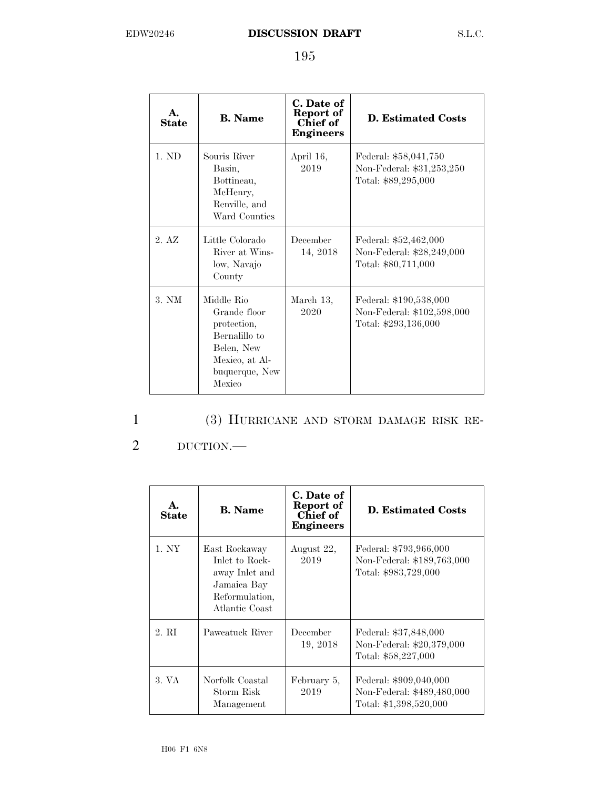| A.<br><b>State</b> | <b>B.</b> Name                                                                                                         | C. Date of<br>Report of<br>Chief of<br><b>Engineers</b> | D. Estimated Costs                                                           |
|--------------------|------------------------------------------------------------------------------------------------------------------------|---------------------------------------------------------|------------------------------------------------------------------------------|
| 1. ND              | Souris River<br>Basin,<br>Bottineau,<br>McHenry,<br>Renville, and<br>Ward Counties                                     | April 16,<br>2019                                       | Federal: \$58,041,750<br>Non-Federal: \$31,253,250<br>Total: \$89,295,000    |
| 2. AZ              | Little Colorado<br>River at Wins-<br>low, Navajo<br>County                                                             | December<br>14, 2018                                    | Federal: \$52,462,000<br>Non-Federal: \$28,249,000<br>Total: \$80,711,000    |
| 3. NM              | Middle Rio<br>Grande floor<br>protection,<br>Bernalillo to<br>Belen, New<br>Mexico, at Al-<br>buquerque, New<br>Mexico | March 13,<br>2020                                       | Federal: \$190,538,000<br>Non-Federal: \$102,598,000<br>Total: \$293,136,000 |

| I |  |
|---|--|
|   |  |
|   |  |
|   |  |

## 1 (3) HURRICANE AND STORM DAMAGE RISK RE-

## 2 DUCTION.—

| A.<br><b>State</b> | <b>B.</b> Name                                                                                       | C. Date of<br>Report of<br>Chief of<br><b>Engineers</b> | D. Estimated Costs                                                             |
|--------------------|------------------------------------------------------------------------------------------------------|---------------------------------------------------------|--------------------------------------------------------------------------------|
| 1. NY              | East Rockaway<br>Inlet to Rock-<br>away Inlet and<br>Jamaica Bay<br>Reformulation,<br>Atlantic Coast | August 22,<br>2019                                      | Federal: \$793,966,000<br>Non-Federal: \$189,763,000<br>Total: \$983,729,000   |
| 2. RI              | Paweatuck River                                                                                      | December<br>19, 2018                                    | Federal: \$37,848,000<br>Non-Federal: \$20,379,000<br>Total: \$58,227,000      |
| 3. VA              | Norfolk Coastal<br>Storm Risk<br>Management                                                          | February 5,<br>2019                                     | Federal: \$909,040,000<br>Non-Federal: \$489,480,000<br>Total: \$1,398,520,000 |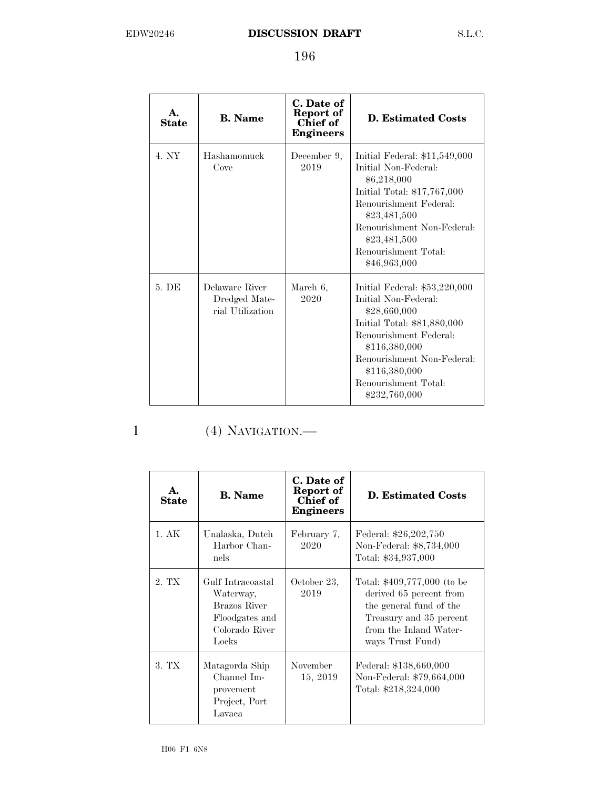| А.<br><b>State</b> | <b>B.</b> Name                                      | C. Date of<br>Report of<br>Chief of<br><b>Engineers</b> | <b>D. Estimated Costs</b>                                                                                                                                                                                                               |
|--------------------|-----------------------------------------------------|---------------------------------------------------------|-----------------------------------------------------------------------------------------------------------------------------------------------------------------------------------------------------------------------------------------|
| 4. NY              | Hashamomuck<br>Cove                                 | December 9,<br>2019                                     | Initial Federal: \$11,549,000<br>Initial Non-Federal:<br>\$6,218,000<br>Initial Total: \$17,767,000<br>Renourishment Federal:<br>\$23,481,500<br>Renourishment Non-Federal:<br>\$23,481,500<br>Renourishment Total:<br>\$46,963,000     |
| 5. DE              | Delaware River<br>Dredged Mate-<br>rial Utilization | March 6,<br>2020                                        | Initial Federal: $$53,220,000$<br>Initial Non-Federal:<br>\$28,660,000<br>Initial Total: \$81,880,000<br>Renourishment Federal:<br>\$116,380,000<br>Renourishment Non-Federal<br>\$116,380,000<br>Renourishment Total:<br>\$232,760,000 |

## 1 (4) NAVIGATION.—

| A.<br>State | <b>B.</b> Name                                                                              | C. Date of<br>Report of<br>Chief of<br><b>Engineers</b> | <b>D. Estimated Costs</b>                                                                                                                                  |
|-------------|---------------------------------------------------------------------------------------------|---------------------------------------------------------|------------------------------------------------------------------------------------------------------------------------------------------------------------|
| 1.AK        | Unalaska, Dutch<br>Harbor Chan-<br>nels                                                     | February 7,<br>2020                                     | Federal: \$26,202,750<br>Non-Federal: \$8,734,000<br>Total: \$34,937,000                                                                                   |
| 2. TX       | Gulf Intracoastal<br>Waterway,<br>Brazos River<br>Floodgates and<br>Colorado River<br>Locks | October 23,<br>2019                                     | Total: \$409,777,000 (to be<br>derived 65 percent from<br>the general fund of the<br>Treasury and 35 percent<br>from the Inland Water-<br>ways Trust Fund) |
| 3. TX       | Matagorda Ship<br>Channel Im-<br>provement<br>Project, Port<br>Lavaca                       | November<br>15, 2019                                    | Federal: \$138,660,000<br>Non-Federal: \$79,664,000<br>Total: \$218,324,000                                                                                |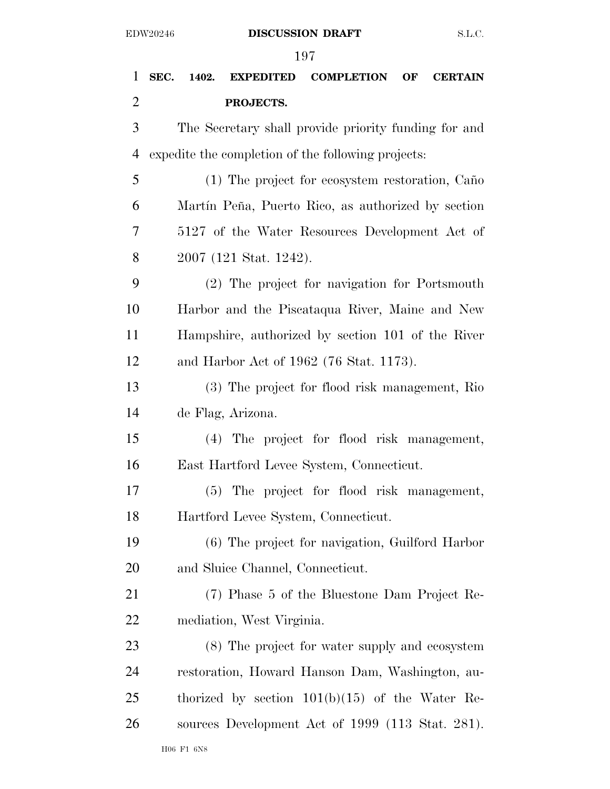| $\mathbf{1}$   | SEC. | 1402.                        | <b>EXPEDITED</b>                 | <b>COMPLETION</b>                                    | OF | <b>CERTAIN</b> |
|----------------|------|------------------------------|----------------------------------|------------------------------------------------------|----|----------------|
| $\overline{2}$ |      |                              | PROJECTS.                        |                                                      |    |                |
| 3              |      |                              |                                  | The Secretary shall provide priority funding for and |    |                |
| $\overline{4}$ |      |                              |                                  | expedite the completion of the following projects:   |    |                |
| 5              |      |                              |                                  | (1) The project for ecosystem restoration, Caño      |    |                |
| 6              |      |                              |                                  | Martín Peña, Puerto Rico, as authorized by section   |    |                |
| 7              |      |                              |                                  | 5127 of the Water Resources Development Act of       |    |                |
| 8              |      |                              | 2007 (121 Stat. 1242).           |                                                      |    |                |
| 9              |      |                              |                                  | (2) The project for navigation for Portsmouth        |    |                |
| 10             |      |                              |                                  | Harbor and the Piscataqua River, Maine and New       |    |                |
| 11             |      |                              |                                  | Hampshire, authorized by section 101 of the River    |    |                |
| 12             |      |                              |                                  | and Harbor Act of 1962 (76 Stat. 1173).              |    |                |
| 13             |      |                              |                                  | (3) The project for flood risk management, Rio       |    |                |
| 14             |      |                              | de Flag, Arizona.                |                                                      |    |                |
| 15             |      |                              |                                  | (4) The project for flood risk management,           |    |                |
| 16             |      |                              |                                  | East Hartford Levee System, Connecticut.             |    |                |
| 17             |      |                              |                                  | (5) The project for flood risk management,           |    |                |
| 18             |      |                              |                                  | Hartford Levee System, Connecticut.                  |    |                |
| 19             |      |                              |                                  | (6) The project for navigation, Guilford Harbor      |    |                |
| 20             |      |                              | and Sluice Channel, Connecticut. |                                                      |    |                |
| 21             |      |                              |                                  | (7) Phase 5 of the Bluestone Dam Project Re-         |    |                |
| 22             |      |                              | mediation, West Virginia.        |                                                      |    |                |
| 23             |      |                              |                                  | (8) The project for water supply and ecosystem       |    |                |
| 24             |      |                              |                                  | restoration, Howard Hanson Dam, Washington, au-      |    |                |
| 25             |      |                              |                                  | thorized by section $101(b)(15)$ of the Water Re-    |    |                |
| 26             |      |                              |                                  | sources Development Act of 1999 (113 Stat. 281).     |    |                |
|                |      | ${\rm H06\,$ F1 ${\rm\,6N8}$ |                                  |                                                      |    |                |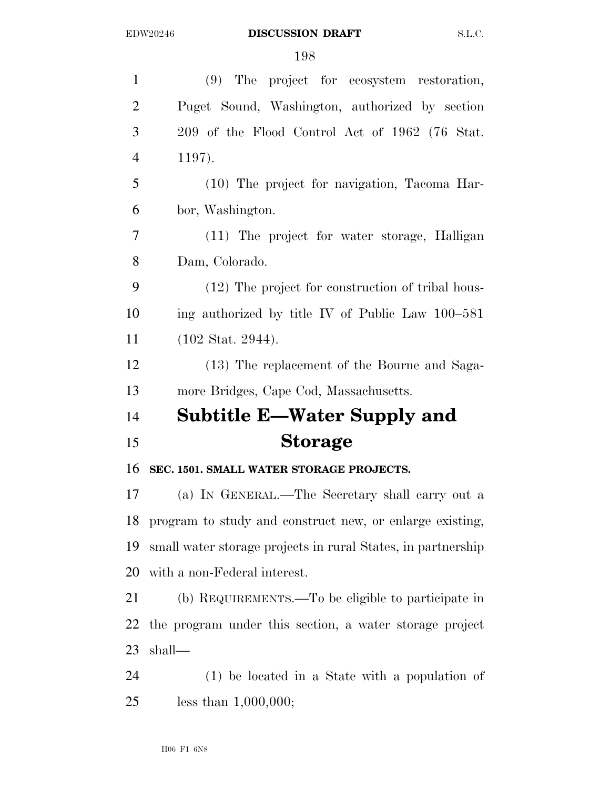|                | ⊥ச⊖                                                          |
|----------------|--------------------------------------------------------------|
| $\mathbf{1}$   | (9) The project for ecosystem restoration,                   |
| $\overline{2}$ | Puget Sound, Washington, authorized by section               |
| 3              | 209 of the Flood Control Act of 1962 (76 Stat.               |
| $\overline{4}$ | 1197).                                                       |
| 5              | (10) The project for navigation, Tacoma Har-                 |
| 6              | bor, Washington.                                             |
| $\overline{7}$ | (11) The project for water storage, Halligan                 |
| 8              | Dam, Colorado.                                               |
| 9              | (12) The project for construction of tribal hous-            |
| 10             | ing authorized by title IV of Public Law 100–581             |
| 11             | $(102 \text{ Stat. } 2944).$                                 |
| 12             | (13) The replacement of the Bourne and Saga-                 |
|                |                                                              |
|                | more Bridges, Cape Cod, Massachusetts.                       |
|                | Subtitle E—Water Supply and                                  |
| 13<br>14<br>15 | <b>Storage</b>                                               |
| 16             | SEC. 1501. SMALL WATER STORAGE PROJECTS.                     |
| 17             | (a) IN GENERAL.—The Secretary shall carry out a              |
| 18             | program to study and construct new, or enlarge existing,     |
| 19             | small water storage projects in rural States, in partnership |
| 20             | with a non-Federal interest.                                 |
| 21             | (b) REQUIREMENTS.—To be eligible to participate in           |
| 22             | the program under this section, a water storage project      |
| 23             | shall—                                                       |

less than 1,000,000;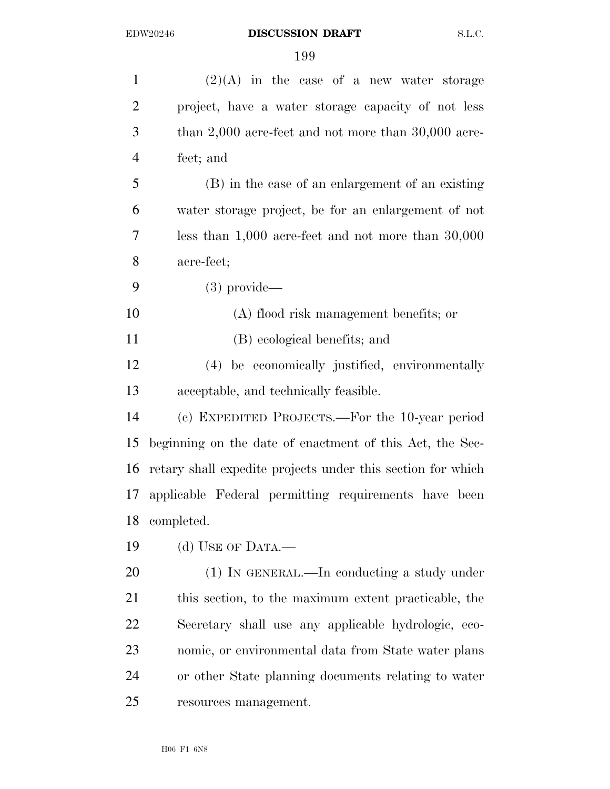| $\mathbf{1}$   | $(2)(A)$ in the case of a new water storage                 |
|----------------|-------------------------------------------------------------|
| $\overline{2}$ | project, have a water storage capacity of not less          |
| 3              | than $2,000$ acre-feet and not more than $30,000$ acre-     |
| $\overline{4}$ | feet; and                                                   |
| 5              | (B) in the case of an enlargement of an existing            |
| 6              | water storage project, be for an enlargement of not         |
| 7              | less than $1,000$ acre-feet and not more than $30,000$      |
| 8              | acre-feet;                                                  |
| 9              | $(3)$ provide—                                              |
| 10             | (A) flood risk management benefits; or                      |
| 11             | (B) ecological benefits; and                                |
| 12             | (4) be economically justified, environmentally              |
| 13             | acceptable, and technically feasible.                       |
| 14             | (c) EXPEDITED PROJECTS.—For the 10-year period              |
| 15             | beginning on the date of enactment of this Act, the Sec-    |
| 16             | retary shall expedite projects under this section for which |
| 17             | applicable Federal permitting requirements have been        |
| 18             | completed.                                                  |
| 19             | (d) USE OF DATA.—                                           |
| 20             | (1) IN GENERAL.—In conducting a study under                 |
| 21             | this section, to the maximum extent practicable, the        |
| 22             | Secretary shall use any applicable hydrologic, eco-         |
| 23             | nomic, or environmental data from State water plans         |
| 24             | or other State planning documents relating to water         |
| 25             | resources management.                                       |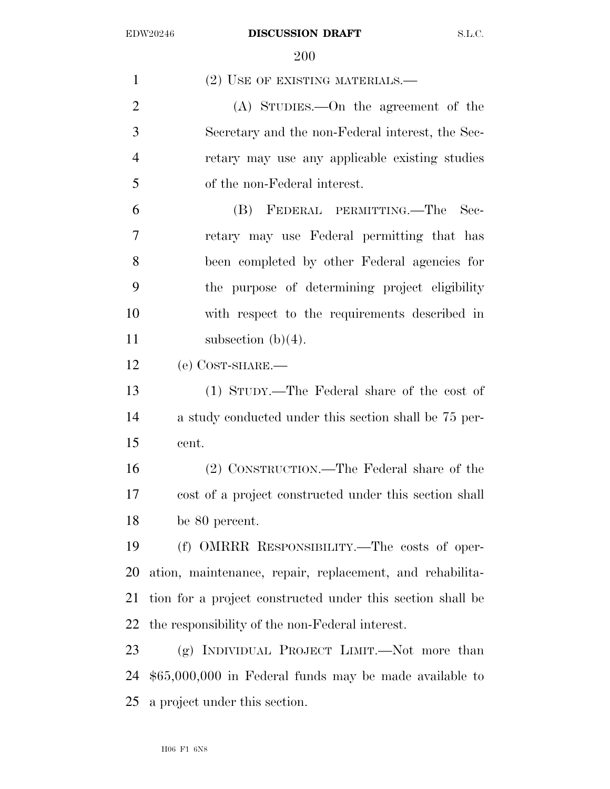1 (2) USE OF EXISTING MATERIALS.— (A) STUDIES.—On the agreement of the Secretary and the non-Federal interest, the Sec- retary may use any applicable existing studies of the non-Federal interest. (B) FEDERAL PERMITTING.—The Sec- retary may use Federal permitting that has been completed by other Federal agencies for the purpose of determining project eligibility with respect to the requirements described in 11 subsection  $(b)(4)$ . (e) COST-SHARE.— (1) STUDY.—The Federal share of the cost of a study conducted under this section shall be 75 per- cent. (2) CONSTRUCTION.—The Federal share of the cost of a project constructed under this section shall be 80 percent. (f) OMRRR RESPONSIBILITY.—The costs of oper- ation, maintenance, repair, replacement, and rehabilita- tion for a project constructed under this section shall be the responsibility of the non-Federal interest. (g) INDIVIDUAL PROJECT LIMIT.—Not more than \$65,000,000 in Federal funds may be made available to a project under this section.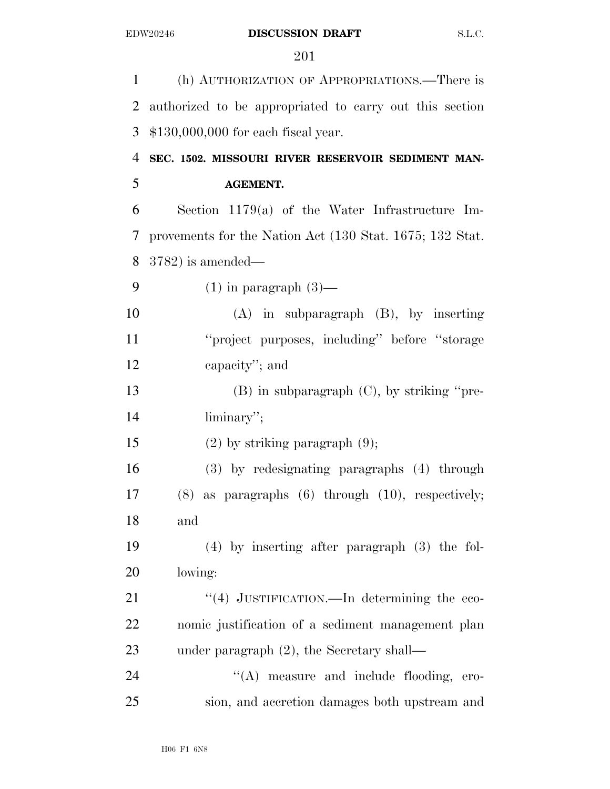| $\mathbf{1}$   | (h) AUTHORIZATION OF APPROPRIATIONS.—There is             |
|----------------|-----------------------------------------------------------|
| $\overline{2}$ | authorized to be appropriated to carry out this section   |
| 3              | $$130,000,000$ for each fiscal year.                      |
| $\overline{4}$ | SEC. 1502. MISSOURI RIVER RESERVOIR SEDIMENT MAN-         |
| 5              | <b>AGEMENT.</b>                                           |
| 6              | Section $1179(a)$ of the Water Infrastructure Im-         |
| 7              | provements for the Nation Act (130 Stat. 1675; 132 Stat.  |
| 8              | $(3782)$ is amended—                                      |
| 9              | $(1)$ in paragraph $(3)$ —                                |
| 10             | $(A)$ in subparagraph $(B)$ , by inserting                |
| 11             | "project purposes, including" before "storage"            |
| 12             | capacity"; and                                            |
| 13             | $(B)$ in subparagraph $(C)$ , by striking "pre-           |
| 14             | liminary";                                                |
| 15             | $(2)$ by striking paragraph $(9)$ ;                       |
| 16             | (3) by redesignating paragraphs (4) through               |
| 17             | as paragraphs $(6)$ through $(10)$ , respectively;<br>(8) |
| 18             | and                                                       |
| 19             | $(4)$ by inserting after paragraph $(3)$ the fol-         |
| 20             | lowing:                                                   |
| 21             | "(4) JUSTIFICATION.—In determining the eco-               |
| 22             | nomic justification of a sediment management plan         |
| 23             | under paragraph $(2)$ , the Secretary shall—              |
| 24             | "(A) measure and include flooding, ero-                   |
| 25             | sion, and accretion damages both upstream and             |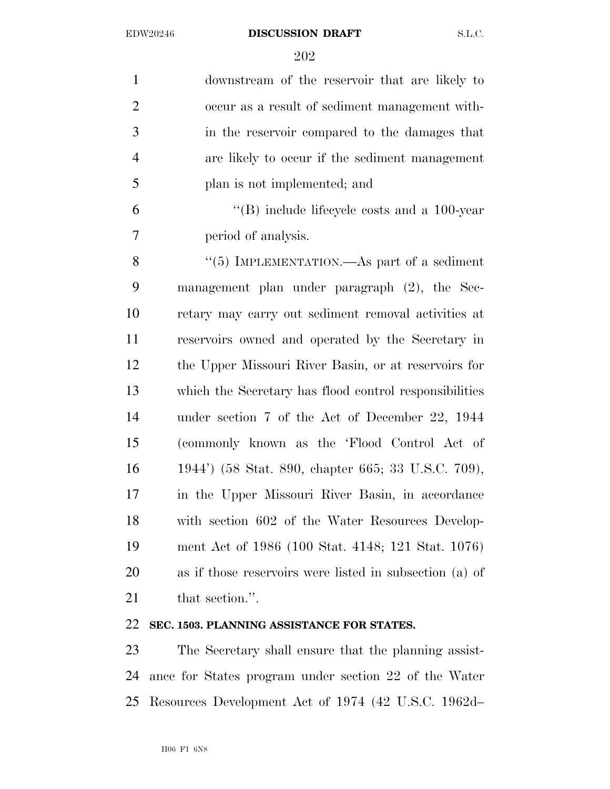#### EDW20246 **DISCUSSION DRAFT** S.L.C.

 downstream of the reservoir that are likely to occur as a result of sediment management with- in the reservoir compared to the damages that are likely to occur if the sediment management plan is not implemented; and ''(B) include lifecycle costs and a 100-year period of analysis. 8 "(5) IMPLEMENTATION.—As part of a sediment management plan under paragraph (2), the Sec- retary may carry out sediment removal activities at reservoirs owned and operated by the Secretary in the Upper Missouri River Basin, or at reservoirs for which the Secretary has flood control responsibilities under section 7 of the Act of December 22, 1944 (commonly known as the 'Flood Control Act of 1944') (58 Stat. 890, chapter 665; 33 U.S.C. 709), in the Upper Missouri River Basin, in accordance with section 602 of the Water Resources Develop- ment Act of 1986 (100 Stat. 4148; 121 Stat. 1076) as if those reservoirs were listed in subsection (a) of 21 that section.".

## **SEC. 1503. PLANNING ASSISTANCE FOR STATES.**

 The Secretary shall ensure that the planning assist- ance for States program under section 22 of the Water Resources Development Act of 1974 (42 U.S.C. 1962d–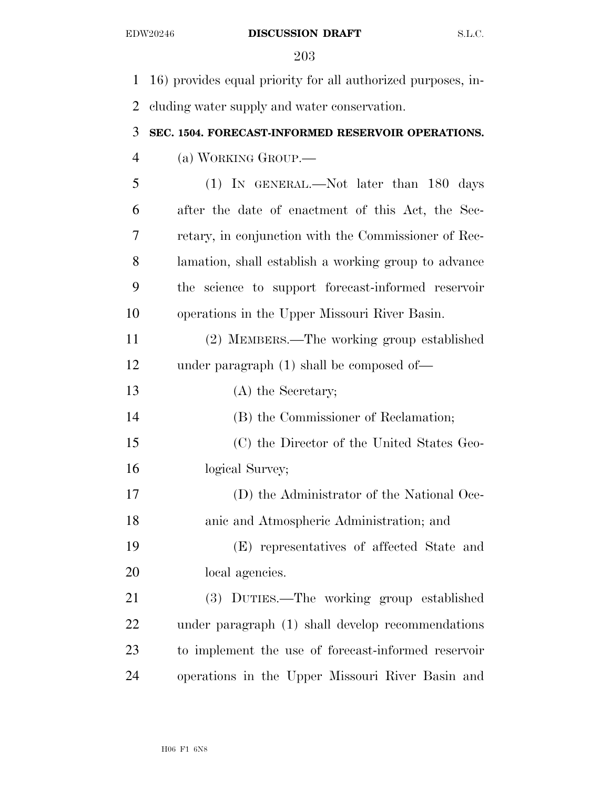16) provides equal priority for all authorized purposes, in-cluding water supply and water conservation.

## **SEC. 1504. FORECAST-INFORMED RESERVOIR OPERATIONS.**  (a) WORKING GROUP.—

- (1) IN GENERAL.—Not later than 180 days after the date of enactment of this Act, the Sec- retary, in conjunction with the Commissioner of Rec- lamation, shall establish a working group to advance the science to support forecast-informed reservoir operations in the Upper Missouri River Basin.
- (2) MEMBERS.—The working group established under paragraph (1) shall be composed of—
- (A) the Secretary;
- (B) the Commissioner of Reclamation;
- (C) the Director of the United States Geo-logical Survey;
- (D) the Administrator of the National Oce-anic and Atmospheric Administration; and
- (E) representatives of affected State and local agencies.

 (3) DUTIES.—The working group established under paragraph (1) shall develop recommendations to implement the use of forecast-informed reservoir operations in the Upper Missouri River Basin and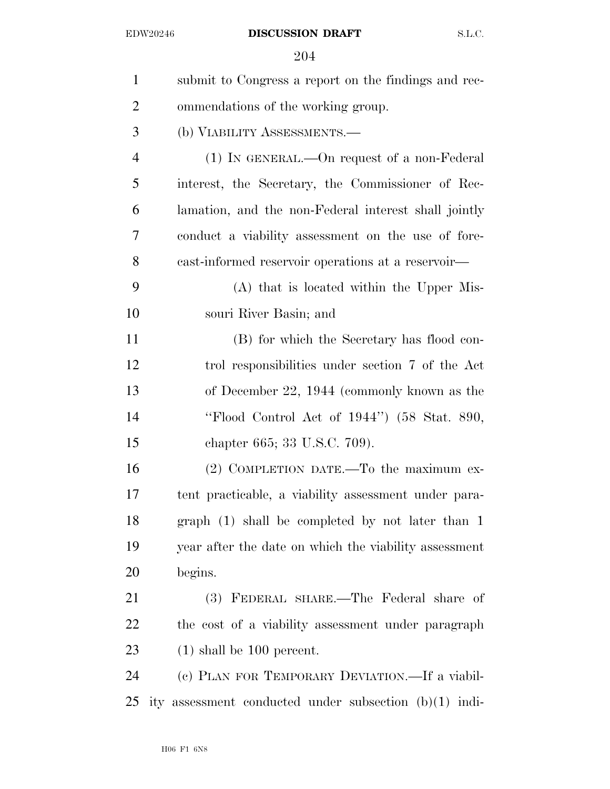#### EDW20246 **DISCUSSION DRAFT** S.L.C.

| $\mathbf{1}$   | submit to Congress a report on the findings and rec-     |
|----------------|----------------------------------------------------------|
| $\overline{2}$ | ommendations of the working group.                       |
| 3              | (b) VIABILITY ASSESSMENTS.-                              |
| $\overline{4}$ | $(1)$ IN GENERAL.—On request of a non-Federal            |
| 5              | interest, the Secretary, the Commissioner of Rec-        |
| 6              | lamation, and the non-Federal interest shall jointly     |
| 7              | conduct a viability assessment on the use of fore-       |
| 8              | cast-informed reservoir operations at a reservoir—       |
| 9              | (A) that is located within the Upper Mis-                |
| 10             | souri River Basin; and                                   |
| 11             | (B) for which the Secretary has flood con-               |
| 12             | trol responsibilities under section 7 of the Act         |
| 13             | of December 22, 1944 (commonly known as the              |
| 14             | "Flood Control Act of 1944") (58 Stat. 890,              |
| 15             | chapter 665; 33 U.S.C. 709).                             |
| 16             | (2) COMPLETION DATE.—To the maximum ex-                  |
| 17             | tent practicable, a viability assessment under para-     |
| 18             | graph $(1)$ shall be completed by not later than 1       |
| 19             | year after the date on which the viability assessment    |
| 20             | begins.                                                  |
| 21             | (3) FEDERAL SHARE.—The Federal share of                  |
| 22             | the cost of a viability assessment under paragraph       |
| 23             | $(1)$ shall be 100 percent.                              |
| 24             | (c) PLAN FOR TEMPORARY DEVIATION.—If a viabil-           |
| 25             | ity assessment conducted under subsection $(b)(1)$ indi- |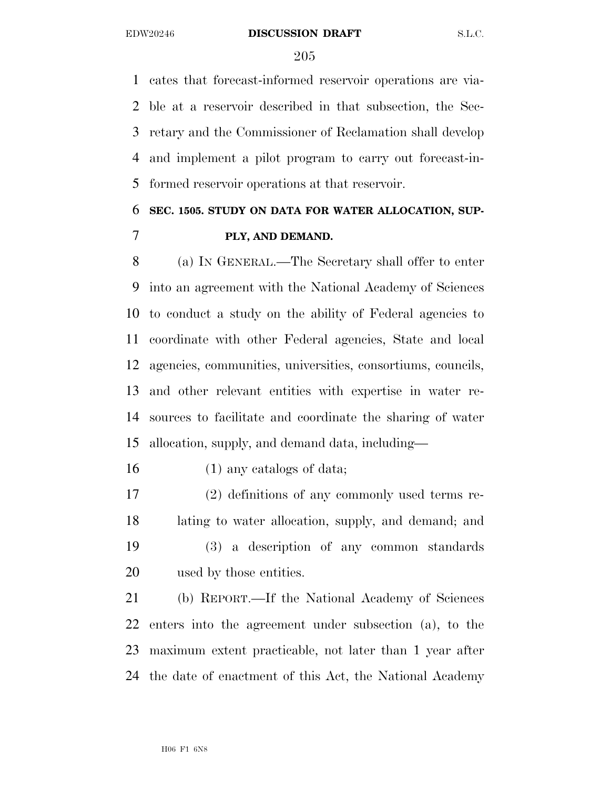#### EDW20246 **DISCUSSION DRAFT** S.L.C.

 cates that forecast-informed reservoir operations are via- ble at a reservoir described in that subsection, the Sec- retary and the Commissioner of Reclamation shall develop and implement a pilot program to carry out forecast-in-formed reservoir operations at that reservoir.

## **SEC. 1505. STUDY ON DATA FOR WATER ALLOCATION, SUP-PLY, AND DEMAND.**

 (a) IN GENERAL.—The Secretary shall offer to enter into an agreement with the National Academy of Sciences to conduct a study on the ability of Federal agencies to coordinate with other Federal agencies, State and local agencies, communities, universities, consortiums, councils, and other relevant entities with expertise in water re- sources to facilitate and coordinate the sharing of water allocation, supply, and demand data, including—

(1) any catalogs of data;

 (2) definitions of any commonly used terms re- lating to water allocation, supply, and demand; and (3) a description of any common standards used by those entities.

 (b) REPORT.—If the National Academy of Sciences enters into the agreement under subsection (a), to the maximum extent practicable, not later than 1 year after the date of enactment of this Act, the National Academy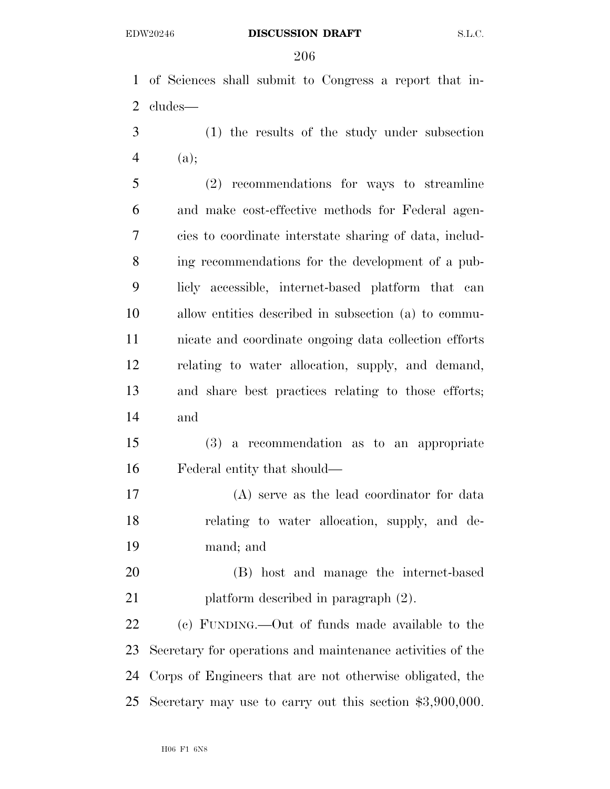of Sciences shall submit to Congress a report that in-cludes—

 (1) the results of the study under subsection (a);

 (2) recommendations for ways to streamline and make cost-effective methods for Federal agen- cies to coordinate interstate sharing of data, includ- ing recommendations for the development of a pub- licly accessible, internet-based platform that can allow entities described in subsection (a) to commu- nicate and coordinate ongoing data collection efforts relating to water allocation, supply, and demand, and share best practices relating to those efforts; and

 (3) a recommendation as to an appropriate Federal entity that should—

 (A) serve as the lead coordinator for data relating to water allocation, supply, and de-mand; and

 (B) host and manage the internet-based 21 platform described in paragraph  $(2)$ .

 (c) FUNDING.—Out of funds made available to the Secretary for operations and maintenance activities of the Corps of Engineers that are not otherwise obligated, the Secretary may use to carry out this section \$3,900,000.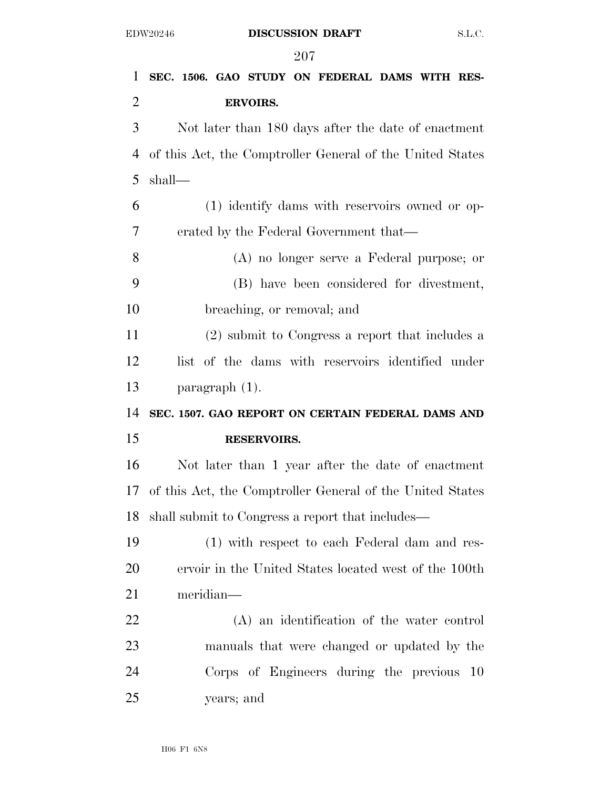**SEC. 1506. GAO STUDY ON FEDERAL DAMS WITH RES- ERVOIRS.**  Not later than 180 days after the date of enactment of this Act, the Comptroller General of the United States shall— (1) identify dams with reservoirs owned or op- erated by the Federal Government that— (A) no longer serve a Federal purpose; or (B) have been considered for divestment, breaching, or removal; and (2) submit to Congress a report that includes a list of the dams with reservoirs identified under paragraph (1). **SEC. 1507. GAO REPORT ON CERTAIN FEDERAL DAMS AND RESERVOIRS.**  Not later than 1 year after the date of enactment of this Act, the Comptroller General of the United States shall submit to Congress a report that includes— (1) with respect to each Federal dam and res- ervoir in the United States located west of the 100th meridian— (A) an identification of the water control manuals that were changed or updated by the Corps of Engineers during the previous 10 years; and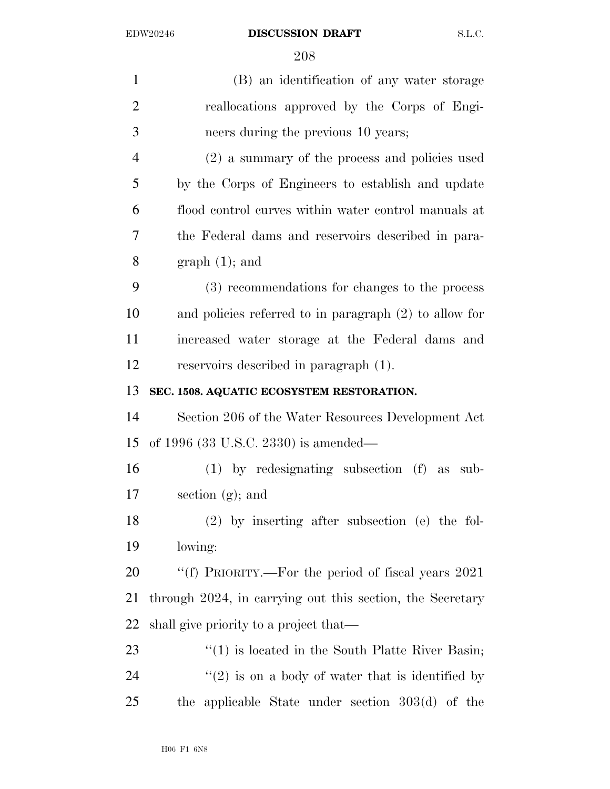EDW20246 **DISCUSSION DRAFT** S.L.C.

| $\mathbf{1}$   | (B) an identification of any water storage                |
|----------------|-----------------------------------------------------------|
| $\overline{2}$ | reallocations approved by the Corps of Engi-              |
| 3              | neers during the previous 10 years;                       |
| $\overline{4}$ | (2) a summary of the process and policies used            |
| 5              | by the Corps of Engineers to establish and update         |
| 6              | flood control curves within water control manuals at      |
| 7              | the Federal dams and reservoirs described in para-        |
| 8              | $graph(1);$ and                                           |
| 9              | (3) recommendations for changes to the process            |
| 10             | and policies referred to in paragraph $(2)$ to allow for  |
| 11             | increased water storage at the Federal dams and           |
| 12             | reservoirs described in paragraph $(1)$ .                 |
| 13             | SEC. 1508. AQUATIC ECOSYSTEM RESTORATION.                 |
| 14             | Section 206 of the Water Resources Development Act        |
| 15             | of 1996 $(33 \text{ U.S.C. } 2330)$ is amended—           |
| 16             | $(1)$ by redesignating subsection $(f)$ as sub-           |
| 17             | section $(g)$ ; and                                       |
| 18             | $(2)$ by inserting after subsection (e) the fol-          |
| 19             | lowing:                                                   |
| 20             | "(f) PRIORITY.—For the period of fiscal years $2021$      |
| 21             | through 2024, in carrying out this section, the Secretary |
| 22             | shall give priority to a project that—                    |
| 23             | $f''(1)$ is located in the South Platte River Basin;      |
| 24             | $\lq(2)$ is on a body of water that is identified by      |
| 25             | the applicable State under section 303(d) of the          |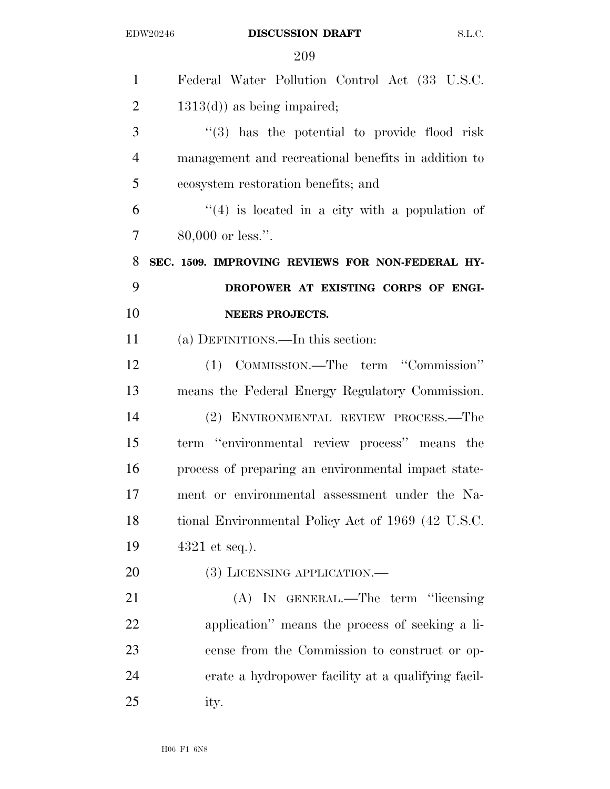| $\mathbf{1}$   | Federal Water Pollution Control Act (33 U.S.C.      |
|----------------|-----------------------------------------------------|
| $\overline{2}$ | $1313(d)$ as being impaired;                        |
| 3              | $(3)$ has the potential to provide flood risk       |
| $\overline{4}$ | management and recreational benefits in addition to |
| 5              | ecosystem restoration benefits; and                 |
| 6              | $(4)$ is located in a city with a population of     |
| 7              | $80,000$ or less.".                                 |
| 8              | SEC. 1509. IMPROVING REVIEWS FOR NON-FEDERAL HY-    |
| 9              | DROPOWER AT EXISTING CORPS OF ENGI-                 |
| 10             | <b>NEERS PROJECTS.</b>                              |
| 11             | (a) DEFINITIONS.—In this section:                   |
| 12             | (1) COMMISSION.—The term "Commission"               |
| 13             | means the Federal Energy Regulatory Commission.     |
| 14             | (2) ENVIRONMENTAL REVIEW PROCESS.—The               |
| 15             | term "environmental review process" means the       |
| 16             | process of preparing an environmental impact state- |
| 17             | ment or environmental assessment under the Na-      |
| 18             | tional Environmental Policy Act of 1969 (42 U.S.C.  |
| 19             | $4321$ et seq.).                                    |
| 20             | (3) LICENSING APPLICATION.—                         |
| 21             | (A) IN GENERAL.—The term "licensing                 |
| 22             | application" means the process of seeking a li-     |
| 23             | cense from the Commission to construct or op-       |
| 24             | erate a hydropower facility at a qualifying facil-  |
| 25             | ity.                                                |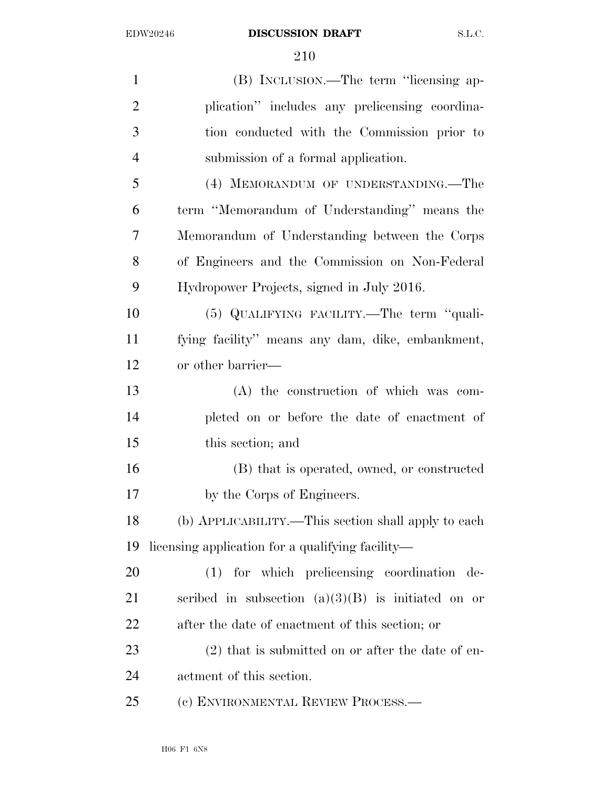| $\mathbf{1}$   | (B) INCLUSION.—The term "licensing ap-               |
|----------------|------------------------------------------------------|
| $\overline{2}$ | plication" includes any prelicensing coordina-       |
| 3              | tion conducted with the Commission prior to          |
| $\overline{4}$ | submission of a formal application.                  |
| 5              | (4) MEMORANDUM OF UNDERSTANDING.-The                 |
| 6              | term "Memorandum of Understanding" means the         |
| 7              | Memorandum of Understanding between the Corps        |
| 8              | of Engineers and the Commission on Non-Federal       |
| 9              | Hydropower Projects, signed in July 2016.            |
| 10             | (5) QUALIFYING FACILITY.—The term "quali-            |
| 11             | fying facility" means any dam, dike, embankment,     |
| 12             | or other barrier—                                    |
| 13             | (A) the construction of which was com-               |
| 14             | pleted on or before the date of enactment of         |
| 15             | this section; and                                    |
| 16             | (B) that is operated, owned, or constructed          |
| 17             | by the Corps of Engineers.                           |
| 18             | (b) APPLICABILITY.—This section shall apply to each  |
| 19             | licensing application for a qualifying facility—     |
| 20             | (1) for which prelicensing coordination de-          |
| 21             | scribed in subsection $(a)(3)(B)$ is initiated on or |
| 22             | after the date of enactment of this section; or      |
| 23             | $(2)$ that is submitted on or after the date of en-  |
| 24             | actment of this section.                             |
| 25             | (c) ENVIRONMENTAL REVIEW PROCESS.—                   |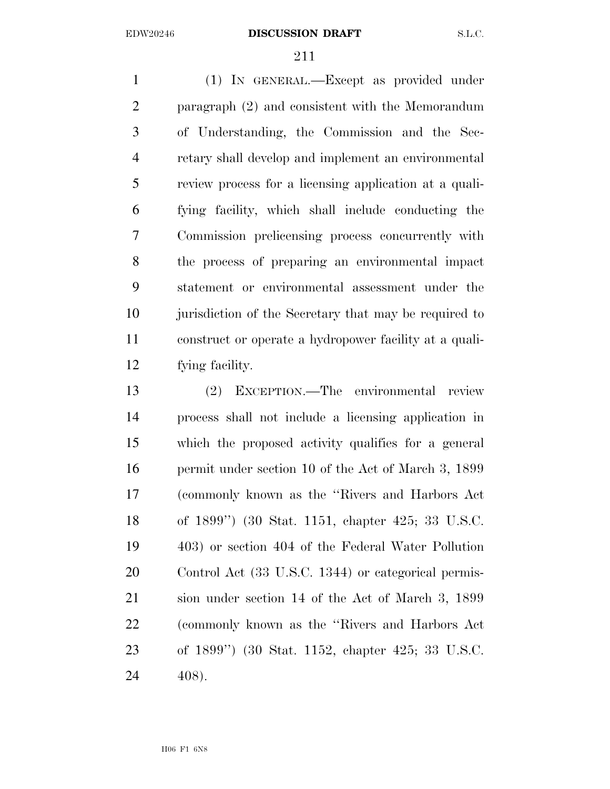(1) IN GENERAL.—Except as provided under paragraph (2) and consistent with the Memorandum of Understanding, the Commission and the Sec- retary shall develop and implement an environmental review process for a licensing application at a quali- fying facility, which shall include conducting the Commission prelicensing process concurrently with the process of preparing an environmental impact statement or environmental assessment under the jurisdiction of the Secretary that may be required to construct or operate a hydropower facility at a quali-fying facility.

 (2) EXCEPTION.—The environmental review process shall not include a licensing application in which the proposed activity qualifies for a general permit under section 10 of the Act of March 3, 1899 (commonly known as the ''Rivers and Harbors Act of 1899'') (30 Stat. 1151, chapter 425; 33 U.S.C. 403) or section 404 of the Federal Water Pollution Control Act (33 U.S.C. 1344) or categorical permis- sion under section 14 of the Act of March 3, 1899 (commonly known as the ''Rivers and Harbors Act of 1899'') (30 Stat. 1152, chapter 425; 33 U.S.C. 408).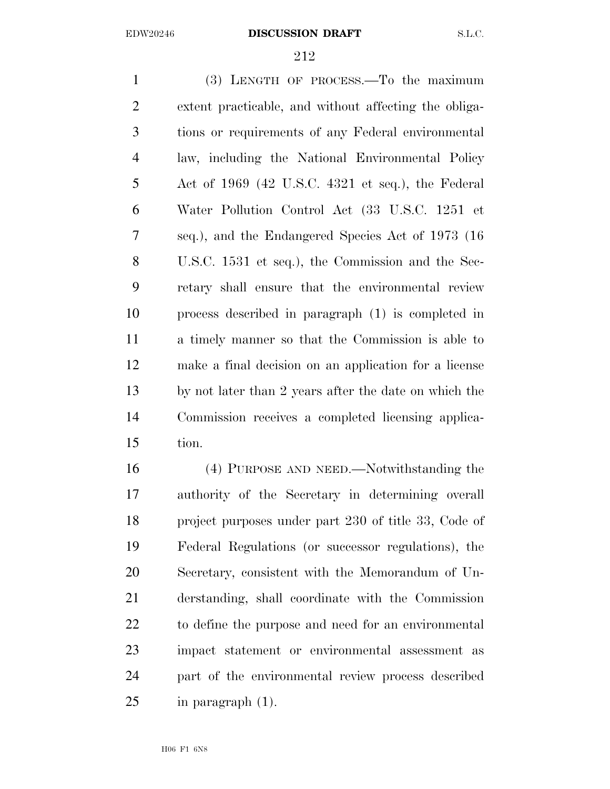(3) LENGTH OF PROCESS.—To the maximum extent practicable, and without affecting the obliga- tions or requirements of any Federal environmental law, including the National Environmental Policy Act of 1969 (42 U.S.C. 4321 et seq.), the Federal Water Pollution Control Act (33 U.S.C. 1251 et seq.), and the Endangered Species Act of 1973 (16 U.S.C. 1531 et seq.), the Commission and the Sec- retary shall ensure that the environmental review process described in paragraph (1) is completed in a timely manner so that the Commission is able to make a final decision on an application for a license by not later than 2 years after the date on which the Commission receives a completed licensing applica-tion.

 (4) PURPOSE AND NEED.—Notwithstanding the authority of the Secretary in determining overall project purposes under part 230 of title 33, Code of Federal Regulations (or successor regulations), the Secretary, consistent with the Memorandum of Un- derstanding, shall coordinate with the Commission to define the purpose and need for an environmental impact statement or environmental assessment as part of the environmental review process described in paragraph (1).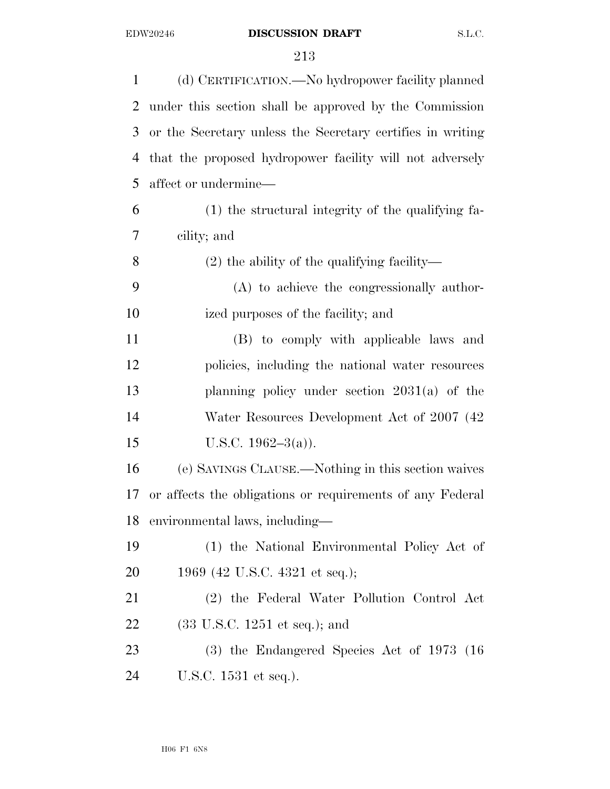| $\mathbf{1}$   | (d) CERTIFICATION.—No hydropower facility planned          |
|----------------|------------------------------------------------------------|
| 2              | under this section shall be approved by the Commission     |
| 3              | or the Secretary unless the Secretary certifies in writing |
| $\overline{4}$ | that the proposed hydropower facility will not adversely   |
| 5              | affect or undermine—                                       |
| 6              | (1) the structural integrity of the qualifying fa-         |
| 7              | cility; and                                                |
| 8              | $(2)$ the ability of the qualifying facility—              |
| 9              | (A) to achieve the congressionally author-                 |
| 10             | ized purposes of the facility; and                         |
| 11             | (B) to comply with applicable laws and                     |
| 12             | policies, including the national water resources           |
| 13             | planning policy under section $2031(a)$ of the             |
| 14             | Water Resources Development Act of 2007 (42)               |
| 15             | U.S.C. $1962-3(a)$ ).                                      |
| 16             | (e) SAVINGS CLAUSE.—Nothing in this section waives         |
| 17             | or affects the obligations or requirements of any Federal  |
| 18             | environmental laws, including-                             |
| 19             | (1) the National Environmental Policy Act of               |
| 20             | 1969 (42 U.S.C. 4321 et seq.);                             |
| 21             | (2) the Federal Water Pollution Control Act                |
| 22             | $(33 \text{ U.S.C. } 1251 \text{ et seq.});$ and           |
| 23             | $(3)$ the Endangered Species Act of 1973 (16)              |
| 24             | U.S.C. 1531 et seq.).                                      |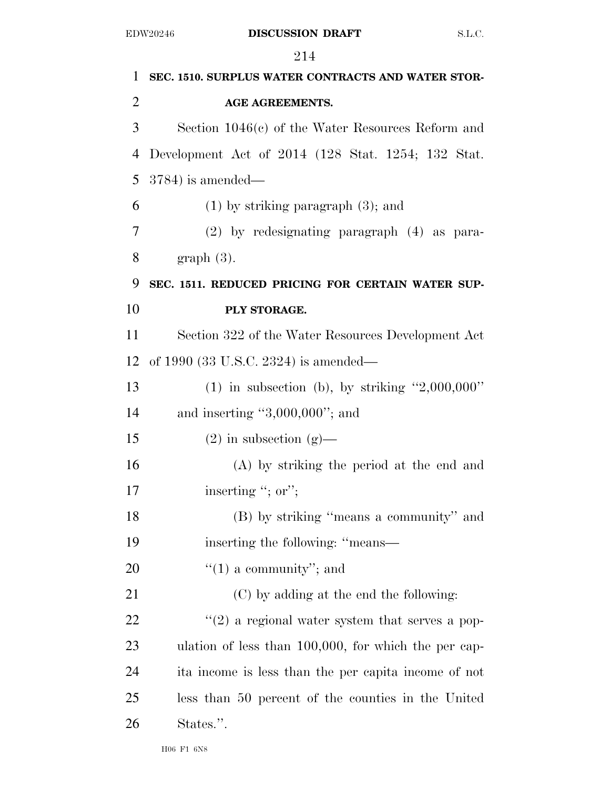**SEC. 1510. SURPLUS WATER CONTRACTS AND WATER STOR- AGE AGREEMENTS.**  Section 1046(c) of the Water Resources Reform and Development Act of 2014 (128 Stat. 1254; 132 Stat. 3784) is amended— (1) by striking paragraph (3); and (2) by redesignating paragraph (4) as para- graph (3). **SEC. 1511. REDUCED PRICING FOR CERTAIN WATER SUP- PLY STORAGE.**  Section 322 of the Water Resources Development Act of 1990 (33 U.S.C. 2324) is amended— (1) in subsection (b), by striking ''2,000,000'' and inserting ''3,000,000''; and 15 (2) in subsection  $(g)$ — (A) by striking the period at the end and 17 inserting "; or"; (B) by striking ''means a community'' and 19 inserting the following: "means—  $\frac{((1) \text{ a community''}; \text{ and } )}{((1) \text{ a community''}; \text{ and } )}$  (C) by adding at the end the following:  $\frac{u(2)}{2}$  a regional water system that serves a pop- ulation of less than 100,000, for which the per cap- ita income is less than the per capita income of not less than 50 percent of the counties in the United States.''.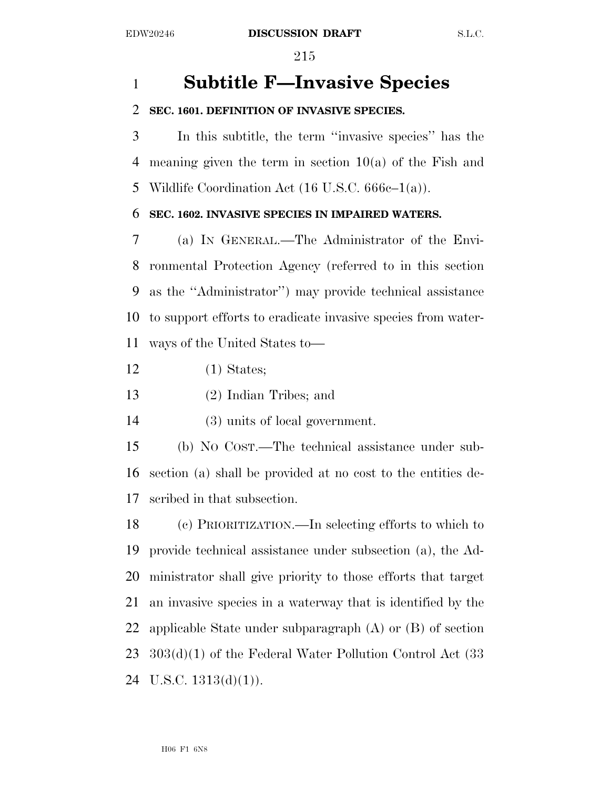# **Subtitle F—Invasive Species**

## **SEC. 1601. DEFINITION OF INVASIVE SPECIES.**

 In this subtitle, the term ''invasive species'' has the meaning given the term in section 10(a) of the Fish and Wildlife Coordination Act (16 U.S.C. 666c–1(a)).

## **SEC. 1602. INVASIVE SPECIES IN IMPAIRED WATERS.**

 (a) IN GENERAL.—The Administrator of the Envi- ronmental Protection Agency (referred to in this section as the ''Administrator'') may provide technical assistance to support efforts to eradicate invasive species from water-ways of the United States to—

(1) States;

(2) Indian Tribes; and

(3) units of local government.

 (b) NO COST.—The technical assistance under sub- section (a) shall be provided at no cost to the entities de-scribed in that subsection.

 (c) PRIORITIZATION.—In selecting efforts to which to provide technical assistance under subsection (a), the Ad- ministrator shall give priority to those efforts that target an invasive species in a waterway that is identified by the applicable State under subparagraph (A) or (B) of section 303(d)(1) of the Federal Water Pollution Control Act (33 24 U.S.C.  $1313(d)(1)$ ).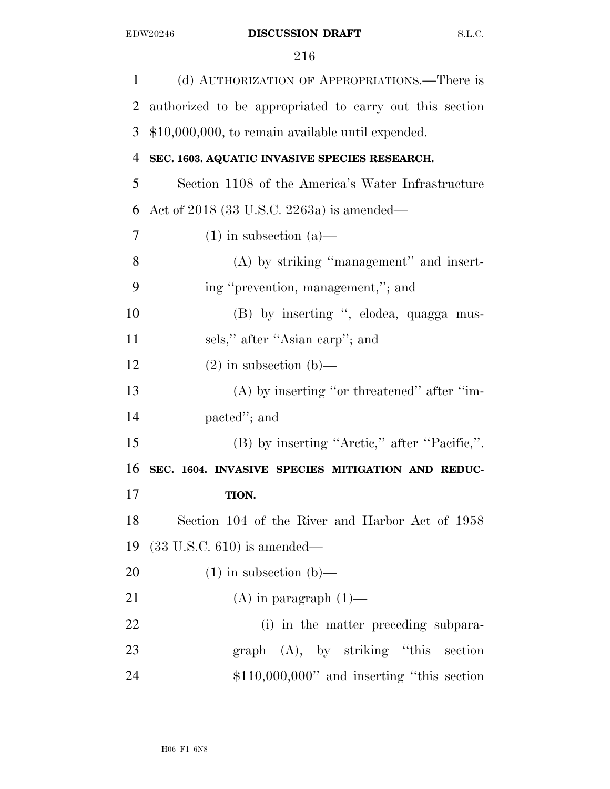| $\mathbf{1}$   | (d) AUTHORIZATION OF APPROPRIATIONS.—There is           |
|----------------|---------------------------------------------------------|
| $\overline{2}$ | authorized to be appropriated to carry out this section |
| 3              | $$10,000,000$ , to remain available until expended.     |
| $\overline{4}$ | SEC. 1603. AQUATIC INVASIVE SPECIES RESEARCH.           |
| 5              | Section 1108 of the America's Water Infrastructure      |
| 6              | Act of $2018$ (33 U.S.C. 2263a) is amended—             |
| 7              | $(1)$ in subsection $(a)$ —                             |
| 8              | (A) by striking "management" and insert-                |
| 9              | ing "prevention, management,"; and                      |
| 10             | (B) by inserting ", elodea, quagga mus-                 |
| 11             | sels," after "Asian carp"; and                          |
| 12             | $(2)$ in subsection $(b)$ —                             |
| 13             | $(A)$ by inserting "or threatened" after "im-           |
| 14             | pacted"; and                                            |
| 15             | (B) by inserting "Arctic," after "Pacific,".            |
| 16             | SEC. 1604. INVASIVE SPECIES MITIGATION AND REDUC-       |
| 17             | TION.                                                   |
| 18             | Section 104 of the River and Harbor Act of 1958         |
| 19             | $(33 \text{ U.S.C. } 610)$ is amended—                  |
| 20             | $(1)$ in subsection $(b)$ —                             |
| 21             | $(A)$ in paragraph $(1)$ —                              |
| 22             | (i) in the matter preceding subpara-                    |
| 23             | $graph$ (A), by striking "this section                  |
|                |                                                         |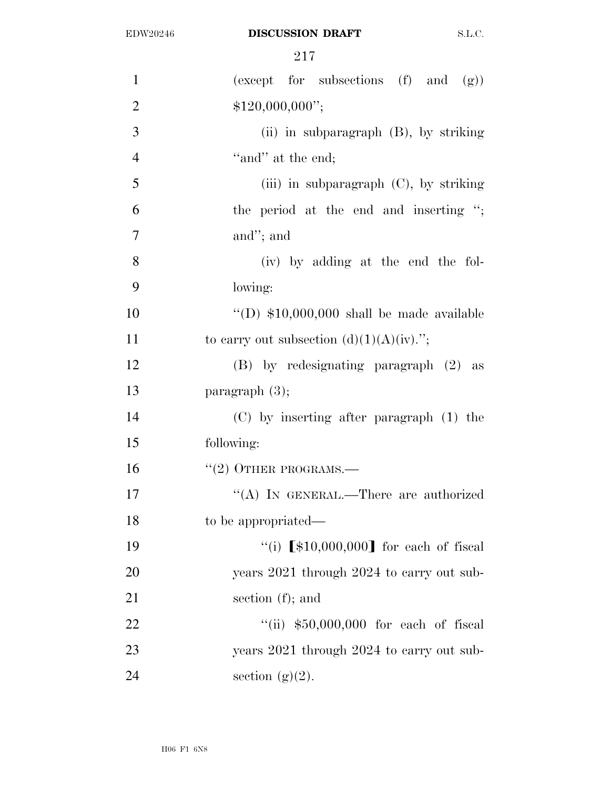| $\mathbf{1}$   | (except for subsections $(f)$ and $(g)$ )            |
|----------------|------------------------------------------------------|
| $\overline{2}$ | \$120,000,000";                                      |
| 3              | (ii) in subparagraph $(B)$ , by striking             |
| $\overline{4}$ | "and" at the end;                                    |
| 5              | (iii) in subparagraph $(C)$ , by striking            |
| 6              | the period at the end and inserting ";               |
| $\overline{7}$ | and"; and                                            |
| 8              | (iv) by adding at the end the fol-                   |
| 9              | lowing:                                              |
| 10             | "(D) $$10,000,000$ shall be made available           |
| 11             | to carry out subsection $(d)(1)(A)(iv)$ .";          |
| 12             | $(B)$ by redesignating paragraph $(2)$ as            |
| 13             | paragraph $(3)$ ;                                    |
| 14             | $(C)$ by inserting after paragraph $(1)$ the         |
| 15             | following:                                           |
| 16             | $``(2)$ OTHER PROGRAMS.—                             |
| 17             | "(A) IN GENERAL.—There are authorized                |
| 18             | to be appropriated—                                  |
| 19             | "(i) $\lbrack 10,000,000 \rbrack$ for each of fiscal |
| 20             | years 2021 through 2024 to carry out sub-            |
| 21             | section $(f)$ ; and                                  |
| 22             | "(ii) $$50,000,000$ for each of fiscal               |
| 23             | years 2021 through 2024 to carry out sub-            |
| 24             | section $(g)(2)$ .                                   |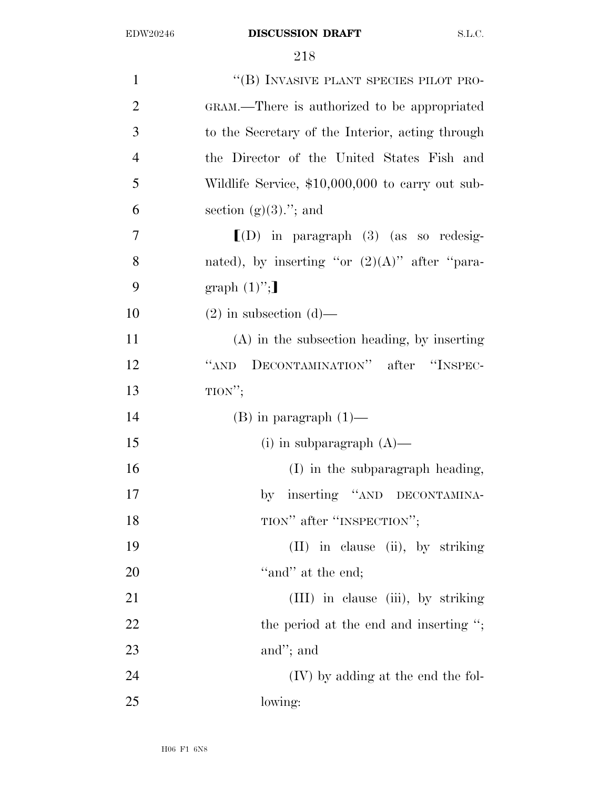| $\mathbf{1}$   | "(B) INVASIVE PLANT SPECIES PILOT PRO-            |
|----------------|---------------------------------------------------|
| $\overline{2}$ | GRAM.—There is authorized to be appropriated      |
| 3              | to the Secretary of the Interior, acting through  |
| $\overline{4}$ | the Director of the United States Fish and        |
| 5              | Wildlife Service, \$10,000,000 to carry out sub-  |
| 6              | section $(g)(3)$ ."; and                          |
| 7              | $\llbracket$ (D) in paragraph (3) (as so redesig- |
| 8              | nated), by inserting "or $(2)(A)$ " after "para-  |
| 9              | graph $(1)$ ";                                    |
| 10             | $(2)$ in subsection $(d)$ —                       |
| 11             | $(A)$ in the subsection heading, by inserting     |
| 12             | DECONTAMINATION" after "INSPEC-<br>``AND"         |
| 13             | TION";                                            |
| 14             | $(B)$ in paragraph $(1)$ —                        |
| 15             | (i) in subparagraph $(A)$ —                       |
| 16             | (I) in the subparagraph heading,                  |
| 17             | by inserting "AND DECONTAMINA-                    |
| 18             | TION" after "INSPECTION";                         |
| 19             | (II) in clause (ii), by striking                  |
| 20             | "and" at the end;                                 |
| 21             | (III) in clause (iii), by striking                |
| 22             | the period at the end and inserting ";            |
| 23             | and"; and                                         |
| 24             | $(IV)$ by adding at the end the fol-              |
| 25             | lowing:                                           |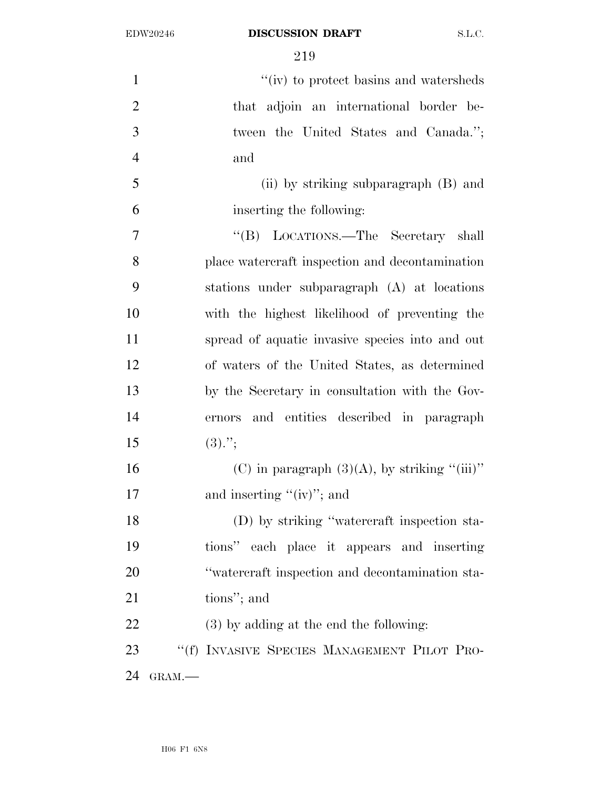| $\mathbf{1}$   |           | "(iv) to protect basins and watersheds          |
|----------------|-----------|-------------------------------------------------|
| $\overline{2}$ |           | that adjoin an international border be-         |
| 3              |           | tween the United States and Canada.";           |
| $\overline{4}$ |           | and                                             |
| 5              |           | (ii) by striking subparagraph (B) and           |
| 6              |           | inserting the following:                        |
| 7              |           | "(B) LOCATIONS.—The Secretary shall             |
| 8              |           | place watercraft inspection and decontamination |
| 9              |           | stations under subparagraph (A) at locations    |
| 10             |           | with the highest likelihood of preventing the   |
| 11             |           | spread of aquatic invasive species into and out |
| 12             |           | of waters of the United States, as determined   |
| 13             |           | by the Secretary in consultation with the Gov-  |
| 14             |           | and entities described in paragraph<br>ernors   |
| 15             |           | $(3).$ ";                                       |
| 16             |           | (C) in paragraph $(3)(A)$ , by striking "(iii)" |
| 17             |           | and inserting " $(iv)$ "; and                   |
| 18             |           | (D) by striking "watercraft inspection sta-     |
| 19             |           | tions" each place it appears and inserting      |
| 20             |           | "watercraft inspection and decontamination sta- |
| 21             |           | tions"; and                                     |
| 22             |           | (3) by adding at the end the following:         |
| 23             |           | "(f) INVASIVE SPECIES MANAGEMENT PILOT PRO-     |
| 24             | $GRAM.$ — |                                                 |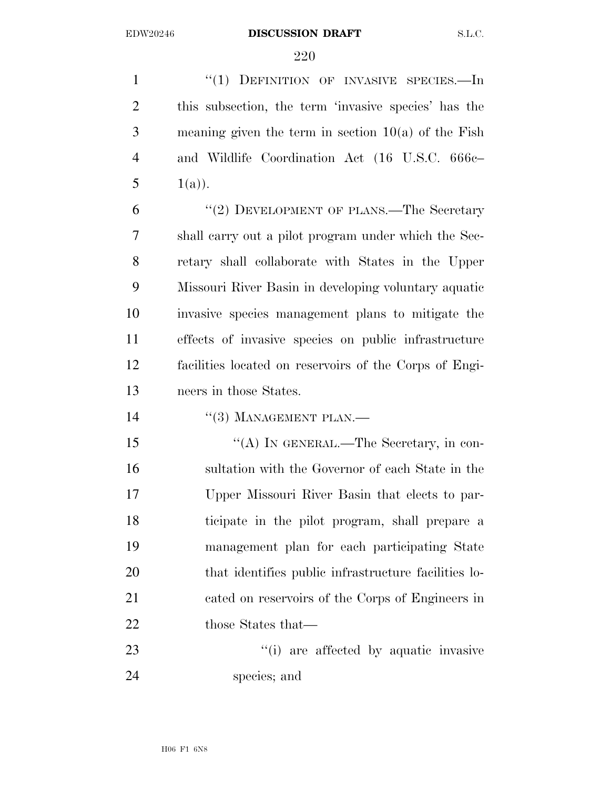1 "(1) DEFINITION OF INVASIVE SPECIES.—In this subsection, the term 'invasive species' has the meaning given the term in section 10(a) of the Fish and Wildlife Coordination Act (16 U.S.C. 666c– 5  $1(a)$ ).

6 "(2) DEVELOPMENT OF PLANS.—The Secretary shall carry out a pilot program under which the Sec- retary shall collaborate with States in the Upper Missouri River Basin in developing voluntary aquatic invasive species management plans to mitigate the effects of invasive species on public infrastructure facilities located on reservoirs of the Corps of Engi-neers in those States.

14  $(3)$  MANAGEMENT PLAN.—

15 ""(A) IN GENERAL.—The Secretary, in con- sultation with the Governor of each State in the Upper Missouri River Basin that elects to par- ticipate in the pilot program, shall prepare a management plan for each participating State that identifies public infrastructure facilities lo- cated on reservoirs of the Corps of Engineers in 22 those States that—

23  $\frac{1}{2}$  (i) are affected by aquatic invasive species; and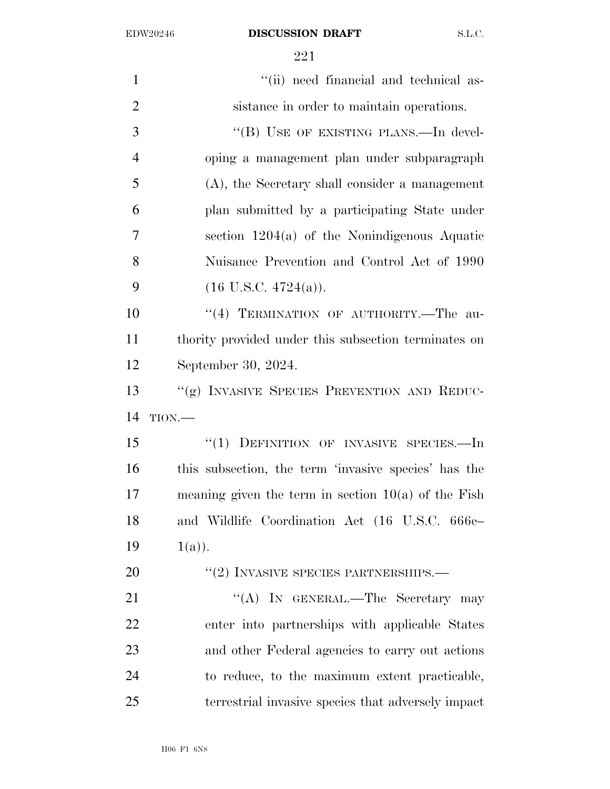| $\mathbf{1}$   | "(ii) need financial and technical as-                |
|----------------|-------------------------------------------------------|
| $\overline{2}$ | sistance in order to maintain operations.             |
| 3              | "(B) USE OF EXISTING PLANS.—In devel-                 |
| $\overline{4}$ | oping a management plan under subparagraph            |
| 5              | (A), the Secretary shall consider a management        |
| 6              | plan submitted by a participating State under         |
| 7              | section $1204(a)$ of the Nonindigenous Aquatic        |
| 8              | Nuisance Prevention and Control Act of 1990           |
| 9              | $(16 \text{ U.S.C. } 4724(a)).$                       |
| 10             | "(4) TERMINATION OF AUTHORITY.—The au-                |
| 11             | thority provided under this subsection terminates on  |
| 12             | September 30, 2024.                                   |
| 13             | "(g) INVASIVE SPECIES PREVENTION AND REDUC-           |
| 14             | TION                                                  |
| 15             | $``(1)$ DEFINITION OF INVASIVE SPECIES.—In            |
| 16             | this subsection, the term 'invasive species' has the  |
| 17             | meaning given the term in section $10(a)$ of the Fish |
| 18             | and Wildlife Coordination Act (16 U.S.C. 666c-        |
| 19             | $1(a)$ .                                              |
| 20             | $``(2)$ INVASIVE SPECIES PARTNERSHIPS.—               |
| 21             | "(A) IN GENERAL.—The Secretary may                    |
| 22             | enter into partnerships with applicable States        |
| 23             | and other Federal agencies to carry out actions       |
| 24             | to reduce, to the maximum extent practicable,         |
| 25             | terrestrial invasive species that adversely impact    |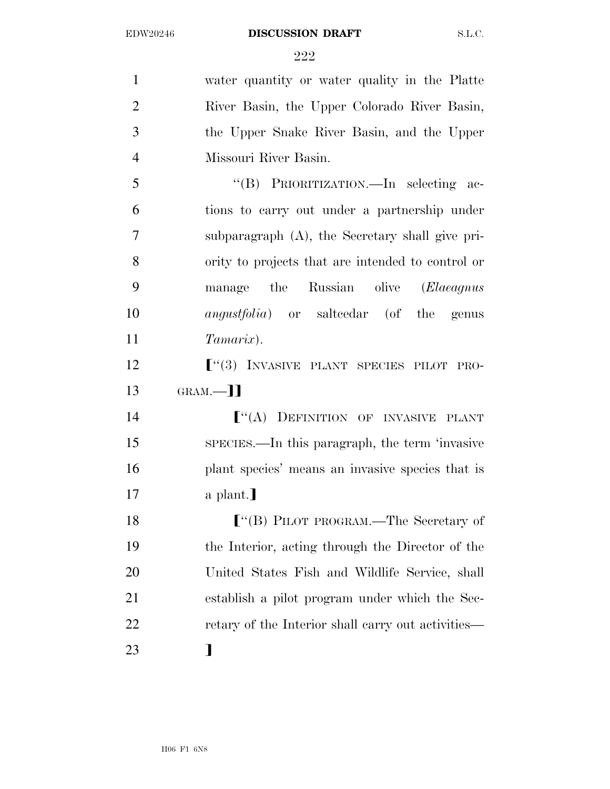water quantity or water quality in the Platte River Basin, the Upper Colorado River Basin, the Upper Snake River Basin, and the Upper Missouri River Basin. ''(B) PRIORITIZATION.—In selecting ac- tions to carry out under a partnership under subparagraph (A), the Secretary shall give pri- ority to projects that are intended to control or manage the Russian olive (*Elaeagnus angustfolia*) or saltcedar (of the genus *Tamarix*).  $\left[$ <sup>"(3)</sup> INVASIVE PLANT SPECIES PILOT PRO- $13 \qquad \text{GRAM}$ —11  $\lbrack$   $\lbrack$   $\lbrack$   $\lbrack$   $\lbrack$   $\lbrack$   $\rbrack$   $\lbrack$   $\rbrack$   $\rbrack$   $\lbrack$   $\rbrack$   $\rbrack$   $\rbrack$   $\lbrack$   $\rbrack$   $\rbrack$   $\rbrack$   $\rbrack$   $\rbrack$   $\rbrack$   $\rbrack$   $\rbrack$   $\rbrack$   $\rbrack$   $\rbrack$   $\rbrack$   $\rbrack$   $\rbrack$   $\rbrack$   $\rbrack$   $\rbrack$   $\rbrack$   $\rbrack$   $\rbrack$  SPECIES.—In this paragraph, the term 'invasive plant species' means an invasive species that is  $17 \qquad \qquad$  a plant. **F**<sup>"</sup>(B) PILOT PROGRAM.—The Secretary of the Interior, acting through the Director of the United States Fish and Wildlife Service, shall establish a pilot program under which the Sec-22 retary of the Interior shall carry out activities— ¿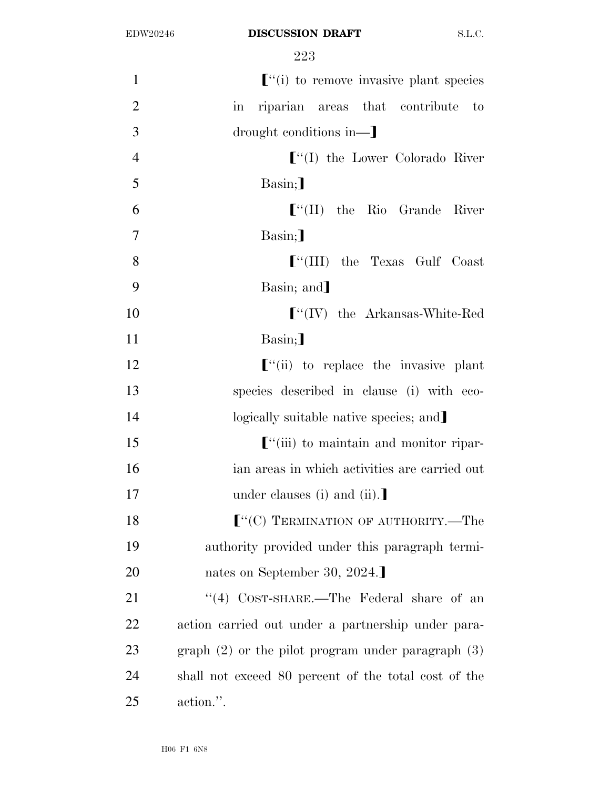| $\mathbf{1}$   | $\lbrack$ "(i) to remove invasive plant species                      |
|----------------|----------------------------------------------------------------------|
| $\overline{2}$ | riparian areas that contribute to<br>$\operatorname{in}$             |
| 3              | drought conditions in—                                               |
| $\overline{4}$ | $\lbrack$ "(I) the Lower Colorado River                              |
| 5              | Basin;                                                               |
| 6              | $\lbrack$ <sup>"</sup> (II) the Rio Grande River                     |
| 7              | Basin;                                                               |
| 8              | $\lbrack$ "(III) the Texas Gulf Coast                                |
| 9              | Basin; and                                                           |
| 10             | $\lbrack$ <sup>"</sup> (IV) the Arkansas-White-Red                   |
| 11             | Basin;                                                               |
| 12             | $\lbrack$ "(ii) to replace the invasive plant                        |
| 13             | species described in clause (i) with eco-                            |
| 14             | logically suitable native species; and                               |
| 15             | $\lbrack$ "(iii) to maintain and monitor ripar-                      |
| 16             | ian areas in which activities are carried out                        |
| 17             | under clauses (i) and (ii).                                          |
| 18             | $\lbrack\! \lbrack\! \lbrack^{(i)}(C)$ TERMINATION OF AUTHORITY.—The |
| 19             | authority provided under this paragraph termi-                       |
| 20             | nates on September 30, 2024.]                                        |
| 21             | "(4) $\text{CoST-SHARE.}$ The Federal share of an                    |
| 22             | action carried out under a partnership under para-                   |
| 23             | graph $(2)$ or the pilot program under paragraph $(3)$               |
| 24             | shall not exceed 80 percent of the total cost of the                 |
| 25             | action.".                                                            |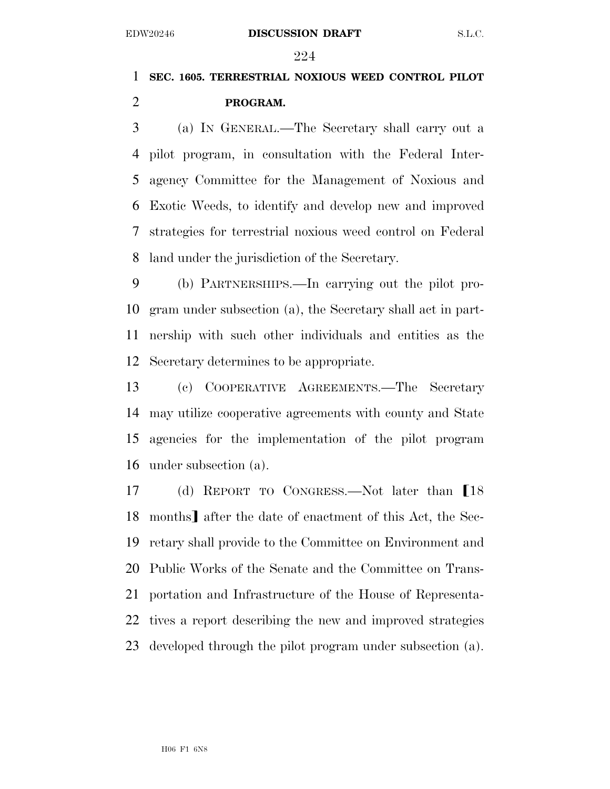## **SEC. 1605. TERRESTRIAL NOXIOUS WEED CONTROL PILOT PROGRAM.**

 (a) IN GENERAL.—The Secretary shall carry out a pilot program, in consultation with the Federal Inter- agency Committee for the Management of Noxious and Exotic Weeds, to identify and develop new and improved strategies for terrestrial noxious weed control on Federal land under the jurisdiction of the Secretary.

 (b) PARTNERSHIPS.—In carrying out the pilot pro- gram under subsection (a), the Secretary shall act in part- nership with such other individuals and entities as the Secretary determines to be appropriate.

 (c) COOPERATIVE AGREEMENTS.—The Secretary may utilize cooperative agreements with county and State agencies for the implementation of the pilot program under subsection (a).

17 (d) REPORT TO CONGRESS.—Not later than [18] 18 months] after the date of enactment of this Act, the Sec- retary shall provide to the Committee on Environment and Public Works of the Senate and the Committee on Trans- portation and Infrastructure of the House of Representa- tives a report describing the new and improved strategies developed through the pilot program under subsection (a).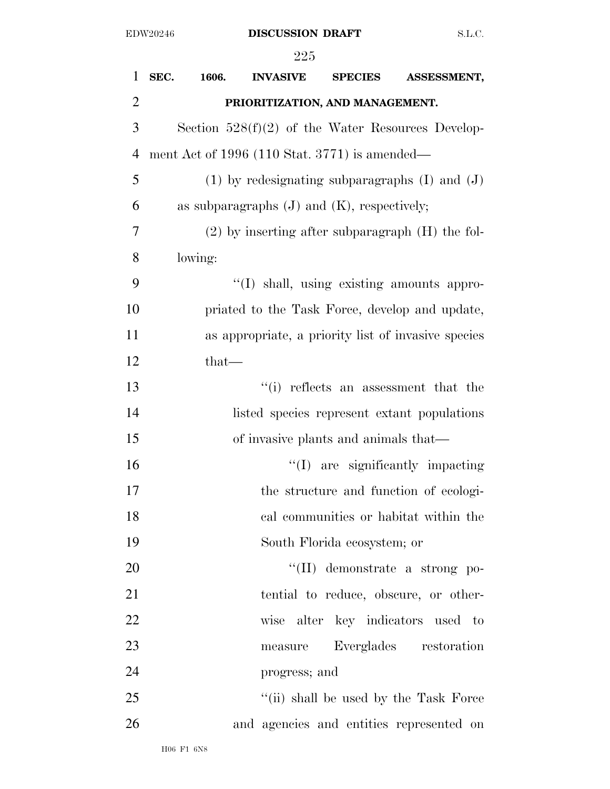| $\mathbf{1}$   | SEC. | 1606.   | <b>INVASIVE</b>                                  | <b>SPECIES</b>              | ASSESSMENT,                                          |
|----------------|------|---------|--------------------------------------------------|-----------------------------|------------------------------------------------------|
| $\overline{2}$ |      |         | PRIORITIZATION, AND MANAGEMENT.                  |                             |                                                      |
| 3              |      |         |                                                  |                             | Section $528(f)(2)$ of the Water Resources Develop-  |
| $\overline{4}$ |      |         | ment Act of $1996$ (110 Stat. 3771) is amended—  |                             |                                                      |
| 5              |      |         |                                                  |                             | $(1)$ by redesignating subparagraphs $(I)$ and $(J)$ |
| 6              |      |         | as subparagraphs $(J)$ and $(K)$ , respectively; |                             |                                                      |
| 7              |      |         |                                                  |                             | $(2)$ by inserting after subparagraph $(H)$ the fol- |
| 8              |      | lowing: |                                                  |                             |                                                      |
| 9              |      |         |                                                  |                             | "(I) shall, using existing amounts appro-            |
| 10             |      |         |                                                  |                             | priated to the Task Force, develop and update,       |
| 11             |      |         |                                                  |                             | as appropriate, a priority list of invasive species  |
| 12             |      | $that-$ |                                                  |                             |                                                      |
| 13             |      |         |                                                  |                             | $``(i)$ reflects an assessment that the              |
| 14             |      |         |                                                  |                             | listed species represent extant populations          |
| 15             |      |         | of invasive plants and animals that—             |                             |                                                      |
| 16             |      |         |                                                  |                             | "(I) are significantly impacting                     |
| 17             |      |         |                                                  |                             | the structure and function of ecologi-               |
| 18             |      |         |                                                  |                             | cal communities or habitat within the                |
| 19             |      |         |                                                  | South Florida ecosystem; or |                                                      |
| 20             |      |         |                                                  |                             | $\lq\lq$ (II) demonstrate a strong po-               |
| 21             |      |         |                                                  |                             | tential to reduce, obscure, or other-                |
| 22             |      |         |                                                  |                             | wise alter key indicators used to                    |
| 23             |      |         |                                                  |                             | measure Everglades restoration                       |
| 24             |      |         | progress; and                                    |                             |                                                      |
| 25             |      |         |                                                  |                             | "(ii) shall be used by the Task Force                |
| 26             |      |         |                                                  |                             | and agencies and entities represented on             |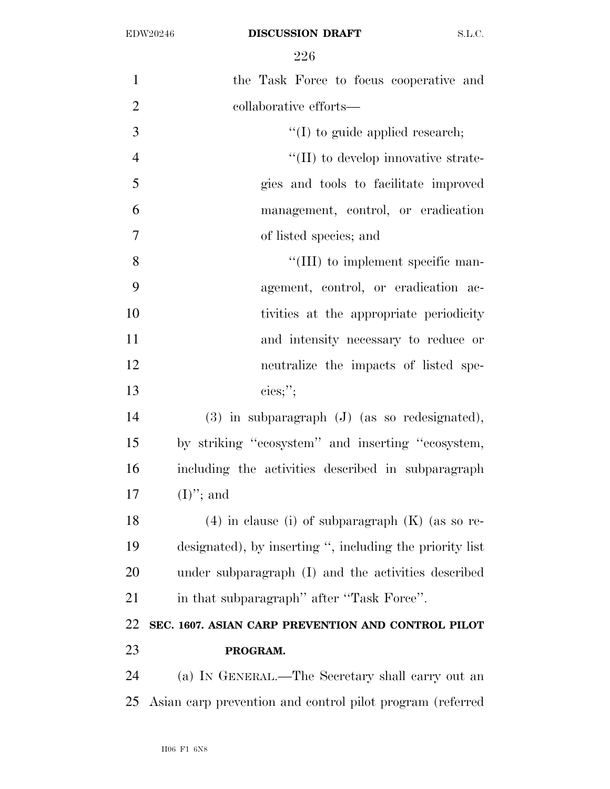| $\mathbf{1}$   | the Task Force to focus cooperative and                   |
|----------------|-----------------------------------------------------------|
| $\overline{2}$ | collaborative efforts—                                    |
| 3              | $\lq\lq$ to guide applied research;                       |
| $\overline{4}$ | $\lq\lq$ (II) to develop innovative strate-               |
| 5              | gies and tools to facilitate improved                     |
| 6              | management, control, or eradication                       |
| 7              | of listed species; and                                    |
| 8              | "(III) to implement specific man-                         |
| 9              | agement, control, or eradication ac-                      |
| 10             | tivities at the appropriate periodicity                   |
| 11             | and intensity necessary to reduce or                      |
| 12             | neutralize the impacts of listed spe-                     |
| 13             | ${\rm cies};$ ";                                          |
| 14             | $(3)$ in subparagraph $(J)$ (as so redesignated),         |
| 15             | by striking "ecosystem" and inserting "ecosystem,         |
| 16             | including the activities described in subparagraph        |
| 17             | $(I)$ "; and                                              |
| 18             | $(4)$ in clause (i) of subparagraph $(K)$ (as so re-      |
| 19             | designated), by inserting ", including the priority list  |
| 20             | under subparagraph (I) and the activities described       |
| 21             | in that subparagraph" after "Task Force".                 |
| <u>22</u>      | SEC. 1607. ASIAN CARP PREVENTION AND CONTROL PILOT        |
| 23             | PROGRAM.                                                  |
| 24             | (a) IN GENERAL.—The Secretary shall carry out an          |
| 25             | Asian carp prevention and control pilot program (referred |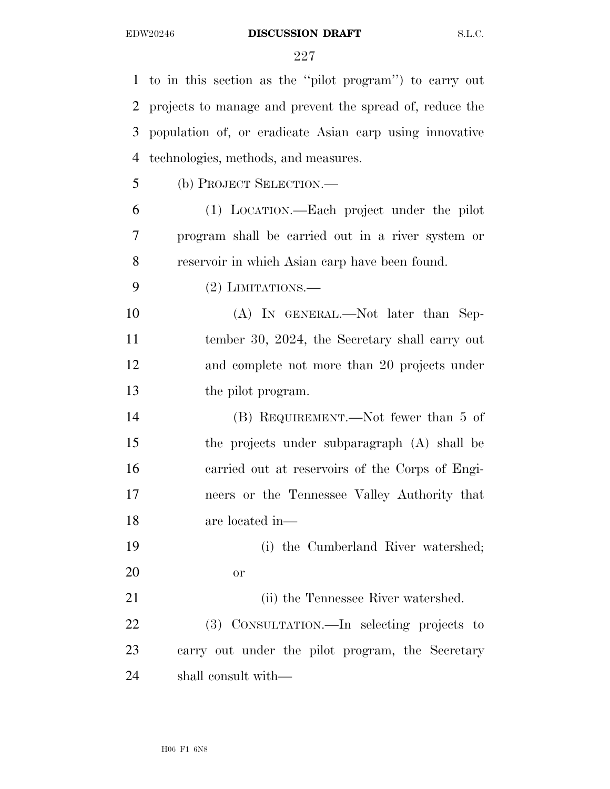| $\mathbf{1}$ | to in this section as the "pilot program" to carry out   |
|--------------|----------------------------------------------------------|
| 2            | projects to manage and prevent the spread of, reduce the |
| 3            | population of, or eradicate Asian carp using innovative  |
| 4            | technologies, methods, and measures.                     |
| 5            | (b) PROJECT SELECTION.—                                  |
| 6            | (1) LOCATION.—Each project under the pilot               |
| 7            | program shall be carried out in a river system or        |
| 8            | reservoir in which Asian carp have been found.           |
| 9            | $(2)$ LIMITATIONS.—                                      |
| 10           | (A) IN GENERAL.—Not later than Sep-                      |
| 11           | tember 30, 2024, the Secretary shall carry out           |
| 12           | and complete not more than 20 projects under             |
| 13           | the pilot program.                                       |
| 14           | (B) REQUIREMENT.—Not fewer than 5 of                     |
| 15           | the projects under subparagraph (A) shall be             |
| 16           | carried out at reservoirs of the Corps of Engi-          |
| 17           | neers or the Tennessee Valley Authority that             |
| 18           | are located in—                                          |
| 19           | (i) the Cumberland River watershed;                      |
| 20           | <b>or</b>                                                |
| 21           | (ii) the Tennessee River watershed.                      |
| 22           | (3) CONSULTATION.—In selecting projects to               |
| 23           | carry out under the pilot program, the Secretary         |
| 24           | shall consult with—                                      |
|              |                                                          |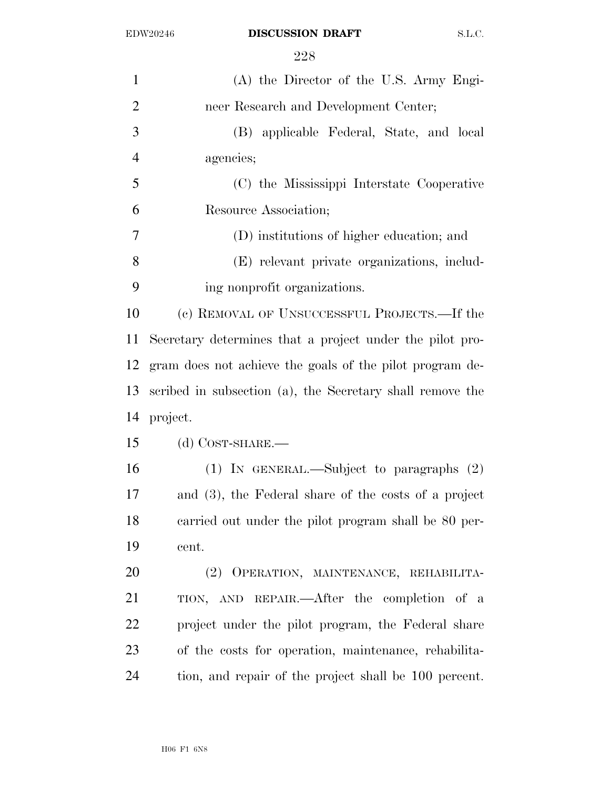| $\mathbf{1}$   | (A) the Director of the U.S. Army Engi-                   |
|----------------|-----------------------------------------------------------|
| $\overline{2}$ | neer Research and Development Center;                     |
| 3              | (B) applicable Federal, State, and local                  |
| $\overline{4}$ | agencies;                                                 |
| 5              | (C) the Mississippi Interstate Cooperative                |
| 6              | Resource Association;                                     |
| 7              | (D) institutions of higher education; and                 |
| 8              | (E) relevant private organizations, includ-               |
| 9              | ing nonprofit organizations.                              |
| 10             | (c) REMOVAL OF UNSUCCESSFUL PROJECTS.—If the              |
| 11             | Secretary determines that a project under the pilot pro-  |
| 12             | gram does not achieve the goals of the pilot program de-  |
| 13             | scribed in subsection (a), the Secretary shall remove the |
| 14             | project.                                                  |
| 15             | $(d)$ COST-SHARE.—                                        |
| 16             | (1) IN GENERAL.—Subject to paragraphs (2)                 |
| 17             | and (3), the Federal share of the costs of a project      |
| 18             | carried out under the pilot program shall be 80 per-      |
| 19             | cent.                                                     |
| 20             | (2) OPERATION, MAINTENANCE, REHABILITA-                   |
| 21             | TION, AND REPAIR.—After the completion of a               |
| 22             | project under the pilot program, the Federal share        |
| 23             | of the costs for operation, maintenance, rehabilita-      |
| 24             | tion, and repair of the project shall be 100 percent.     |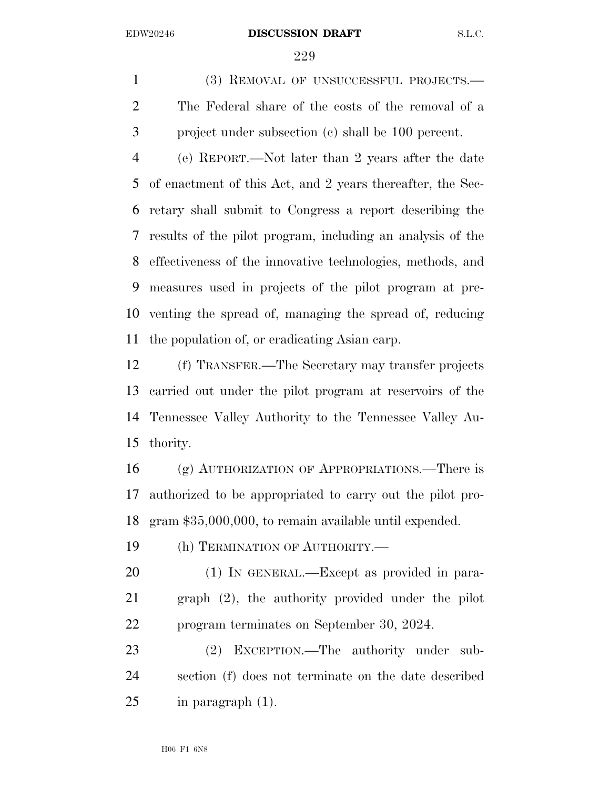1 (3) REMOVAL OF UNSUCCESSFUL PROJECTS.— The Federal share of the costs of the removal of a project under subsection (c) shall be 100 percent.

 (e) REPORT.—Not later than 2 years after the date of enactment of this Act, and 2 years thereafter, the Sec- retary shall submit to Congress a report describing the results of the pilot program, including an analysis of the effectiveness of the innovative technologies, methods, and measures used in projects of the pilot program at pre- venting the spread of, managing the spread of, reducing the population of, or eradicating Asian carp.

 (f) TRANSFER.—The Secretary may transfer projects carried out under the pilot program at reservoirs of the Tennessee Valley Authority to the Tennessee Valley Au-thority.

 (g) AUTHORIZATION OF APPROPRIATIONS.—There is authorized to be appropriated to carry out the pilot pro-gram \$35,000,000, to remain available until expended.

(h) TERMINATION OF AUTHORITY.—

 (1) IN GENERAL.—Except as provided in para- graph (2), the authority provided under the pilot program terminates on September 30, 2024.

 (2) EXCEPTION.—The authority under sub- section (f) does not terminate on the date described in paragraph (1).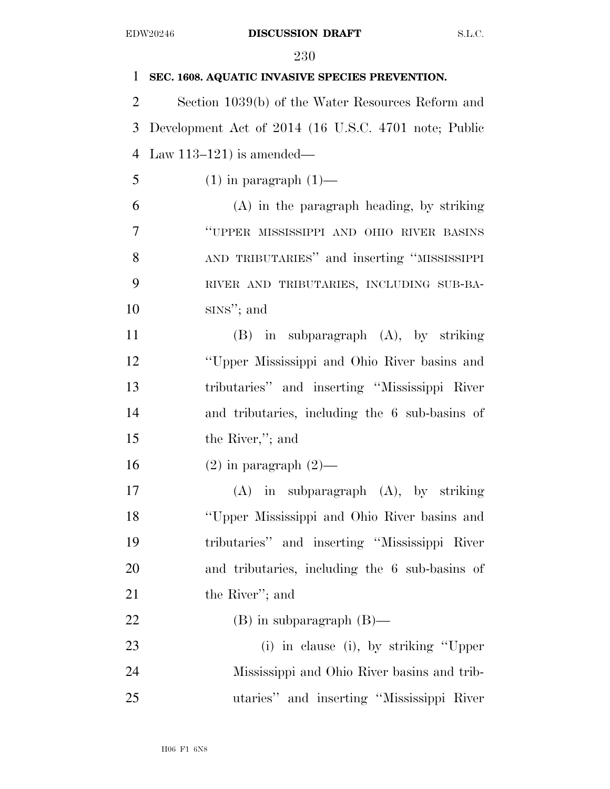| 1              | SEC. 1608. AQUATIC INVASIVE SPECIES PREVENTION.      |
|----------------|------------------------------------------------------|
| $\overline{2}$ | Section 1039(b) of the Water Resources Reform and    |
| 3              | Development Act of 2014 (16 U.S.C. 4701 note; Public |
| $\overline{4}$ | Law $113-121$ ) is amended—                          |
| 5              | $(1)$ in paragraph $(1)$ —                           |
| 6              | $(A)$ in the paragraph heading, by striking          |
| 7              | "UPPER MISSISSIPPI AND OHIO RIVER BASINS             |
| 8              | AND TRIBUTARIES" and inserting "MISSISSIPPI          |
| 9              | RIVER AND TRIBUTARIES, INCLUDING SUB-BA-             |
| 10             | $SINS''$ ; and                                       |
| 11             | $(B)$ in subparagraph $(A)$ , by striking            |
| 12             | "Upper Mississippi and Ohio River basins and         |
| 13             | tributaries" and inserting "Mississippi River        |
| 14             | and tributaries, including the 6 sub-basins of       |
| 15             | the River,"; and                                     |
| 16             | $(2)$ in paragraph $(2)$ —                           |
| 17             | $(A)$ in subparagraph $(A)$ , by striking            |
| 18             | "Upper Mississippi and Ohio River basins and         |
| 19             | tributaries" and inserting "Mississippi River        |
| 20             | and tributaries, including the 6 sub-basins of       |
| 21             | the River"; and                                      |
| <u>22</u>      | $(B)$ in subparagraph $(B)$ —                        |
| 23             | (i) in clause (i), by striking "Upper                |
| 24             | Mississippi and Ohio River basins and trib-          |
| 25             | utaries" and inserting "Mississippi River            |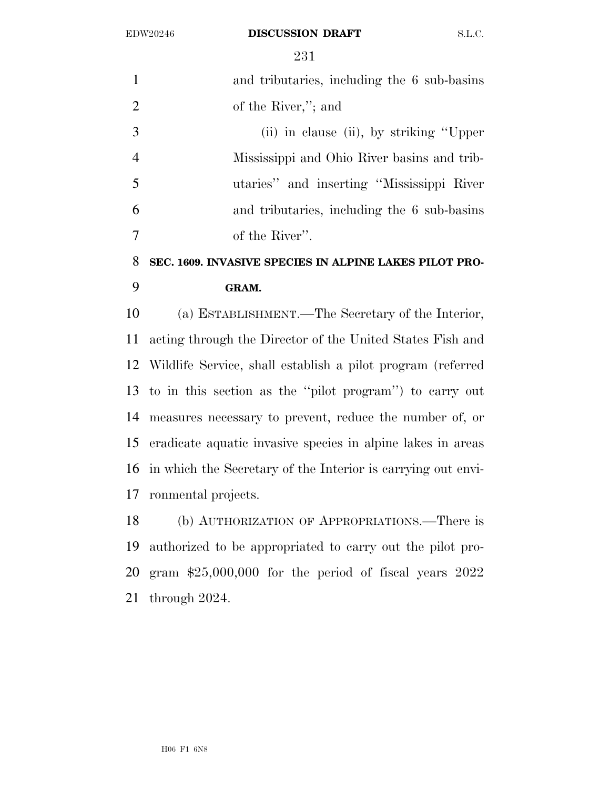|                | and tributaries, including the 6 sub-basins |
|----------------|---------------------------------------------|
| 2              | of the River,"; and                         |
| 3              | (ii) in clause (ii), by striking "Upper"    |
| $\overline{4}$ | Mississippi and Ohio River basins and trib- |
| -5             | utaries" and inserting "Mississippi River   |
| 6              | and tributaries, including the 6 sub-basins |
|                | of the River".                              |
|                |                                             |

# **SEC. 1609. INVASIVE SPECIES IN ALPINE LAKES PILOT PRO-GRAM.**

 (a) ESTABLISHMENT.—The Secretary of the Interior, acting through the Director of the United States Fish and Wildlife Service, shall establish a pilot program (referred to in this section as the ''pilot program'') to carry out measures necessary to prevent, reduce the number of, or eradicate aquatic invasive species in alpine lakes in areas in which the Secretary of the Interior is carrying out envi-ronmental projects.

 (b) AUTHORIZATION OF APPROPRIATIONS.—There is authorized to be appropriated to carry out the pilot pro- gram \$25,000,000 for the period of fiscal years 2022 through 2024.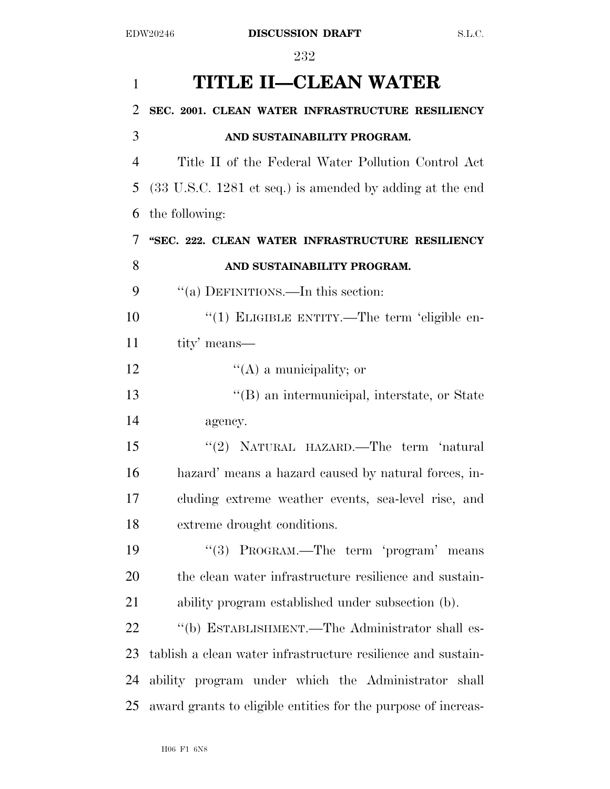| $\mathbf{1}$   | <b>TITLE II-CLEAN WATER</b>                                                 |
|----------------|-----------------------------------------------------------------------------|
| $\overline{2}$ | SEC. 2001. CLEAN WATER INFRASTRUCTURE RESILIENCY                            |
| 3              | AND SUSTAINABILITY PROGRAM.                                                 |
| $\overline{4}$ | Title II of the Federal Water Pollution Control Act                         |
| 5              | $(33 \text{ U.S.C. } 1281 \text{ et seq.})$ is amended by adding at the end |
| 6              | the following:                                                              |
| 7              | "SEC. 222. CLEAN WATER INFRASTRUCTURE RESILIENCY                            |
| 8              | AND SUSTAINABILITY PROGRAM.                                                 |
| 9              | "(a) DEFINITIONS.—In this section:                                          |
| 10             | "(1) ELIGIBLE ENTITY.—The term 'eligible en-                                |
| 11             | tity' means—                                                                |
| 12             | $\lq\lq$ (A) a municipality; or                                             |
| 13             | "(B) an intermunicipal, interstate, or State                                |
| 14             | agency.                                                                     |
| 15             | "(2) NATURAL HAZARD.—The term 'natural                                      |
| 16             | hazard' means a hazard caused by natural forces, in-                        |
| 17             | cluding extreme weather events, sea-level rise, and                         |
| 18             | extreme drought conditions.                                                 |
| 19             | "(3) PROGRAM.—The term 'program' means                                      |
| 20             | the clean water infrastructure resilience and sustain-                      |
| 21             | ability program established under subsection (b).                           |
| 22             | "(b) ESTABLISHMENT.—The Administrator shall es-                             |
| 23             | tablish a clean water infrastructure resilience and sustain-                |
| 24             | ability program under which the Administrator shall                         |
| 25             | award grants to eligible entities for the purpose of increas-               |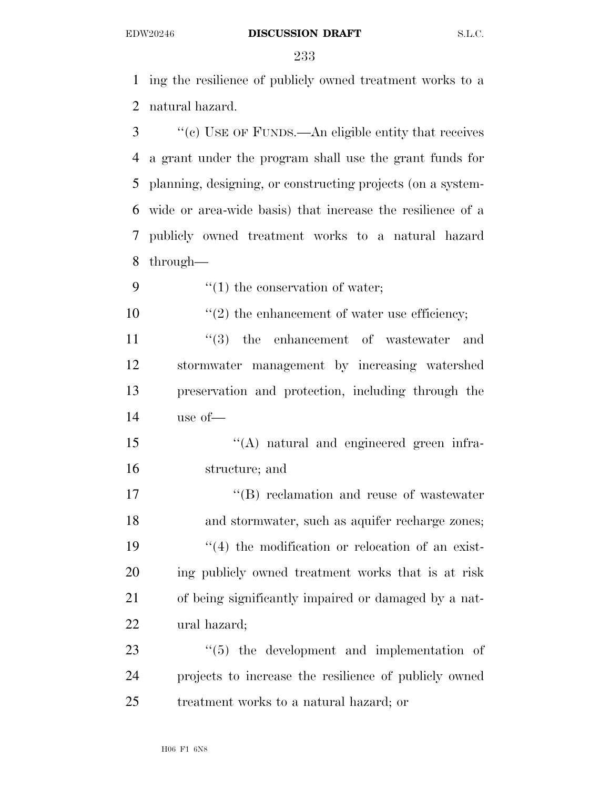ing the resilience of publicly owned treatment works to a natural hazard.

 ''(c) USE OF FUNDS.—An eligible entity that receives a grant under the program shall use the grant funds for planning, designing, or constructing projects (on a system- wide or area-wide basis) that increase the resilience of a publicly owned treatment works to a natural hazard through—

9  $\frac{1}{2}$  (1) the conservation of water;

10  $\frac{1}{2}$  the enhancement of water use efficiency;

 $\frac{1}{3}$  the enhancement of wastewater and stormwater management by increasing watershed preservation and protection, including through the use of—

15 "(A) natural and engineered green infra-structure; and

 $\text{``(B)}$  reclamation and reuse of wastewater and stormwater, such as aquifer recharge zones;  $\frac{1}{2}$  (4) the modification or relocation of an exist- ing publicly owned treatment works that is at risk of being significantly impaired or damaged by a nat-ural hazard;

23  $\frac{1}{2}$  (5) the development and implementation of projects to increase the resilience of publicly owned treatment works to a natural hazard; or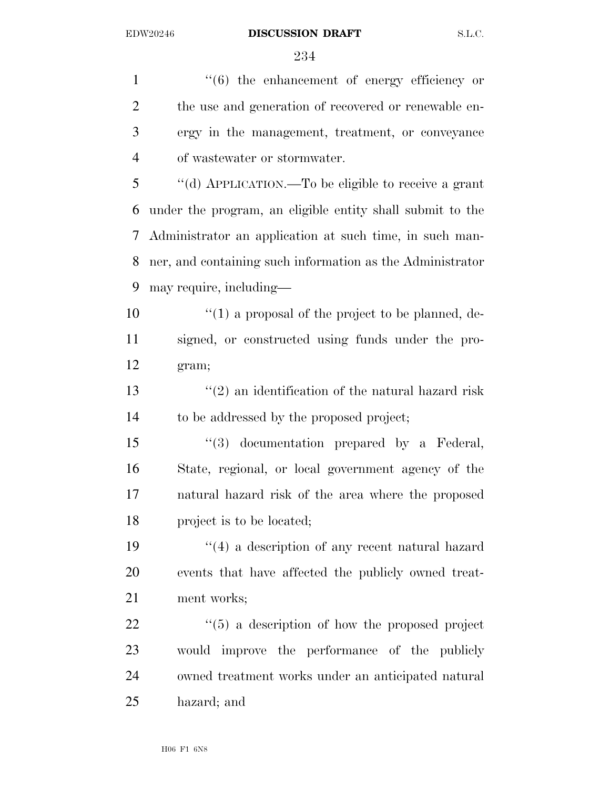1 ''(6) the enhancement of energy efficiency or the use and generation of recovered or renewable en- ergy in the management, treatment, or conveyance of wastewater or stormwater. ''(d) APPLICATION.—To be eligible to receive a grant

 under the program, an eligible entity shall submit to the Administrator an application at such time, in such man- ner, and containing such information as the Administrator may require, including—

 $\frac{10}{10}$  ''(1) a proposal of the project to be planned, de- signed, or constructed using funds under the pro-gram;

 $\frac{13}{2}$  ''(2) an identification of the natural hazard risk to be addressed by the proposed project;

 ''(3) documentation prepared by a Federal, State, regional, or local government agency of the natural hazard risk of the area where the proposed project is to be located;

 ''(4) a description of any recent natural hazard events that have affected the publicly owned treat-ment works;

 $\frac{1}{2}$  (5) a description of how the proposed project would improve the performance of the publicly owned treatment works under an anticipated natural hazard; and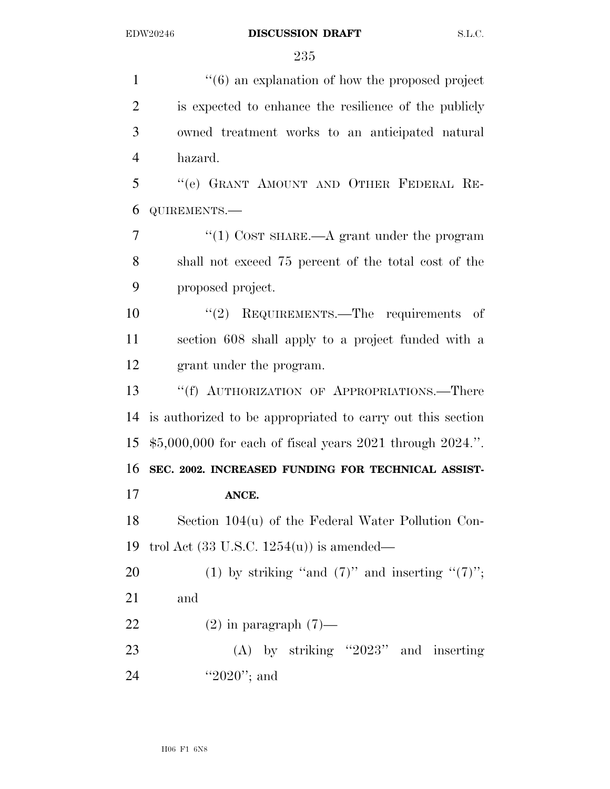$\frac{1}{6}$  an explanation of how the proposed project is expected to enhance the resilience of the publicly owned treatment works to an anticipated natural hazard. ''(e) GRANT AMOUNT AND OTHER FEDERAL RE- QUIREMENTS.— 7 "(1) COST SHARE.—A grant under the program shall not exceed 75 percent of the total cost of the proposed project.

 ''(2) REQUIREMENTS.—The requirements of section 608 shall apply to a project funded with a grant under the program.

13 "(f) AUTHORIZATION OF APPROPRIATIONS.—There is authorized to be appropriated to carry out this section \$5,000,000 for each of fiscal years 2021 through 2024.''. **SEC. 2002. INCREASED FUNDING FOR TECHNICAL ASSIST-ANCE.** 

 Section 104(u) of the Federal Water Pollution Con-trol Act (33 U.S.C. 1254(u)) is amended—

20 (1) by striking "and  $(7)$ " and inserting " $(7)$ "; and

22  $(2)$  in paragraph  $(7)$ —

 (A) by striking ''2023'' and inserting 24 "2020"; and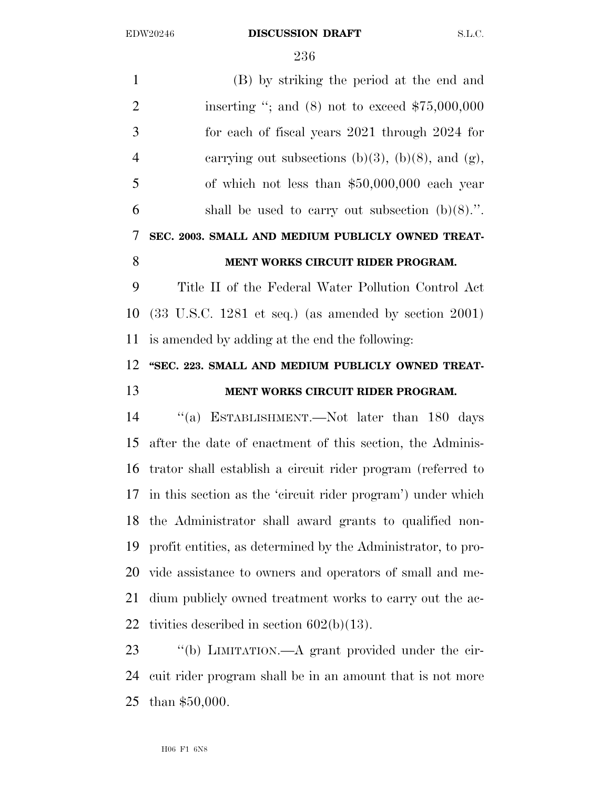| $\mathbf{1}$   | (B) by striking the period at the end and                                |
|----------------|--------------------------------------------------------------------------|
| $\overline{2}$ | inserting "; and $(8)$ not to exceed \$75,000,000                        |
| 3              | for each of fiscal years $2021$ through $2024$ for                       |
| $\overline{4}$ | carrying out subsections (b)(3), (b)(8), and (g),                        |
| 5              | of which not less than $$50,000,000$ each year                           |
| 6              | shall be used to carry out subsection $(b)(8)$ .".                       |
| 7              | SEC. 2003. SMALL AND MEDIUM PUBLICLY OWNED TREAT-                        |
| 8              | MENT WORKS CIRCUIT RIDER PROGRAM.                                        |
| 9              | Title II of the Federal Water Pollution Control Act                      |
| 10             | $(33 \text{ U.S.C. } 1281 \text{ et seq.})$ (as amended by section 2001) |
| 11             | is amended by adding at the end the following:                           |
| 12             | "SEC. 223. SMALL AND MEDIUM PUBLICLY OWNED TREAT-                        |
|                |                                                                          |
| 13             | MENT WORKS CIRCUIT RIDER PROGRAM.                                        |
| 14             | "(a) ESTABLISHMENT.—Not later than 180 days                              |
| 15             | after the date of enactment of this section, the Adminis-                |
| 16             | trator shall establish a circuit rider program (referred to              |
| 17             | in this section as the 'circuit rider program') under which              |
|                | 18 the Administrator shall award grants to qualified non-                |
| 19             | profit entities, as determined by the Administrator, to pro-             |
| 20             | vide assistance to owners and operators of small and me-                 |
| 21             | dium publicly owned treatment works to carry out the ac-                 |
| 22             | tivities described in section $602(b)(13)$ .                             |
| 23             | "(b) LIMITATION.—A grant provided under the cir-                         |

than \$50,000.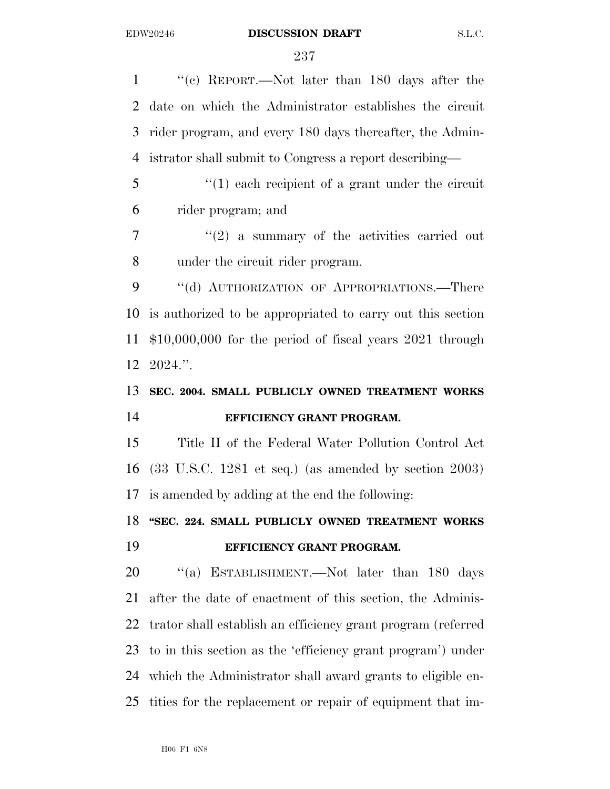''(c) REPORT.—Not later than 180 days after the date on which the Administrator establishes the circuit rider program, and every 180 days thereafter, the Admin- istrator shall submit to Congress a report describing— 5 "(1) each recipient of a grant under the circuit rider program; and  $7 \t\t\t\t\t\t''(2)$  a summary of the activities carried out under the circuit rider program. 9 "(d) AUTHORIZATION OF APPROPRIATIONS.—There is authorized to be appropriated to carry out this section \$10,000,000 for the period of fiscal years 2021 through 2024.''. **SEC. 2004. SMALL PUBLICLY OWNED TREATMENT WORKS EFFICIENCY GRANT PROGRAM.**  Title II of the Federal Water Pollution Control Act (33 U.S.C. 1281 et seq.) (as amended by section 2003) is amended by adding at the end the following: **''SEC. 224. SMALL PUBLICLY OWNED TREATMENT WORKS EFFICIENCY GRANT PROGRAM.**  20 "(a) ESTABLISHMENT.—Not later than 180 days after the date of enactment of this section, the Adminis- trator shall establish an efficiency grant program (referred to in this section as the 'efficiency grant program') under which the Administrator shall award grants to eligible en-tities for the replacement or repair of equipment that im-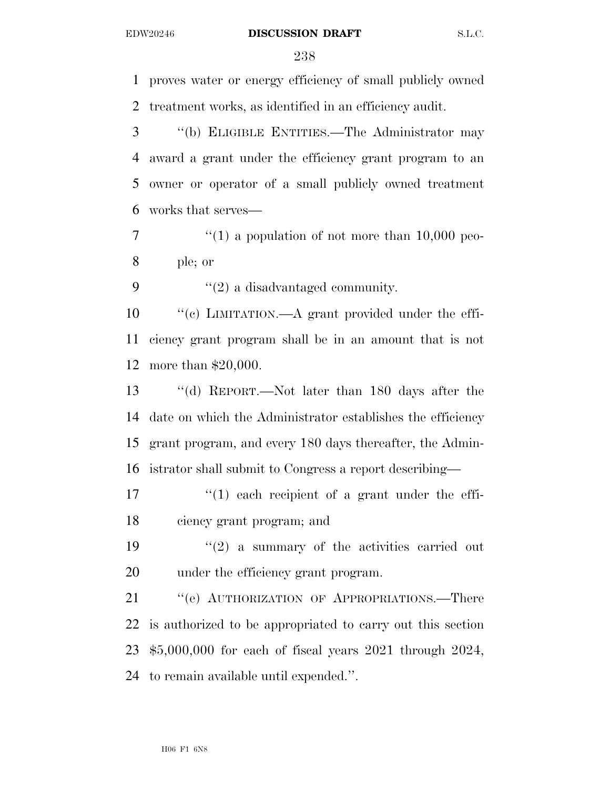proves water or energy efficiency of small publicly owned treatment works, as identified in an efficiency audit.

 ''(b) ELIGIBLE ENTITIES.—The Administrator may award a grant under the efficiency grant program to an owner or operator of a small publicly owned treatment works that serves—

 $\frac{7}{7}$  (1) a population of not more than 10,000 peo-ple; or

9  $\frac{1}{2}$  a disadvantaged community.

 ''(c) LIMITATION.—A grant provided under the effi- ciency grant program shall be in an amount that is not more than \$20,000.

 ''(d) REPORT.—Not later than 180 days after the date on which the Administrator establishes the efficiency grant program, and every 180 days thereafter, the Admin-istrator shall submit to Congress a report describing—

17  $\frac{17}{2}$  (1) each recipient of a grant under the effi-ciency grant program; and

19  $(2)$  a summary of the activities carried out under the efficiency grant program.

21 " (e) AUTHORIZATION OF APPROPRIATIONS.—There is authorized to be appropriated to carry out this section \$5,000,000 for each of fiscal years 2021 through 2024, to remain available until expended.''.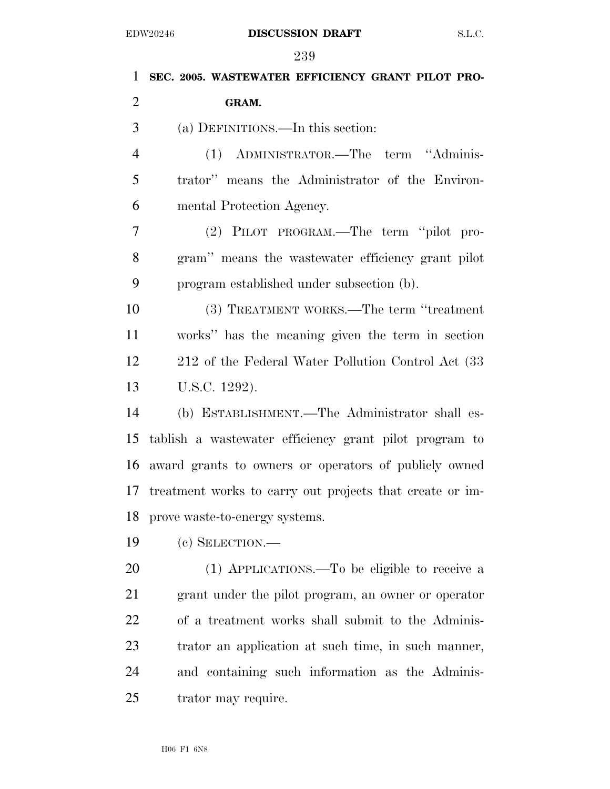| $\mathbf{1}$   | SEC. 2005. WASTEWATER EFFICIENCY GRANT PILOT PRO-           |
|----------------|-------------------------------------------------------------|
| $\overline{2}$ | GRAM.                                                       |
| 3              | (a) DEFINITIONS.—In this section:                           |
| $\overline{4}$ | (1) ADMINISTRATOR.—The term "Adminis-                       |
| 5              | trator" means the Administrator of the Environ-             |
| 6              | mental Protection Agency.                                   |
| 7              | (2) PILOT PROGRAM.—The term "pilot pro-                     |
| 8              | gram" means the wastewater efficiency grant pilot           |
| 9              | program established under subsection (b).                   |
| 10             | (3) TREATMENT WORKS.—The term "treatment"                   |
| 11             | works" has the meaning given the term in section            |
| 12             | 212 of the Federal Water Pollution Control Act (33)         |
| 13             | U.S.C. 1292).                                               |
| 14             | (b) ESTABLISHMENT.—The Administrator shall es-              |
| 15             | tablish a wastewater efficiency grant pilot program to      |
| 16             | award grants to owners or operators of publicly owned       |
|                | 17 treatment works to carry out projects that create or im- |
| 18             | prove waste-to-energy systems.                              |
| 19             | (c) SELECTION.-                                             |
| 20             | (1) APPLICATIONS.—To be eligible to receive a               |
| 21             | grant under the pilot program, an owner or operator         |
| 22             | of a treatment works shall submit to the Adminis-           |
| 23             | trator an application at such time, in such manner,         |
| 24             | and containing such information as the Adminis-             |
| 25             | trator may require.                                         |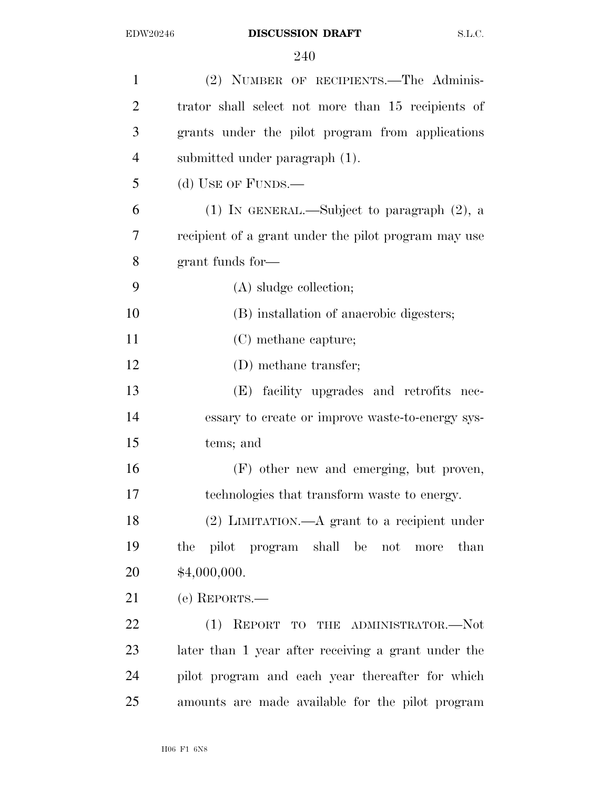| $\mathbf{1}$   | (2) NUMBER OF RECIPIENTS. The Adminis-               |
|----------------|------------------------------------------------------|
| $\overline{2}$ | trator shall select not more than 15 recipients of   |
| 3              | grants under the pilot program from applications     |
| $\overline{4}$ | submitted under paragraph (1).                       |
| 5              | (d) USE OF FUNDS.—                                   |
| 6              | (1) IN GENERAL.—Subject to paragraph $(2)$ , a       |
| 7              | recipient of a grant under the pilot program may use |
| 8              | grant funds for-                                     |
| 9              | (A) sludge collection;                               |
| 10             | (B) installation of anaerobic digesters;             |
| 11             | (C) methane capture;                                 |
| 12             | (D) methane transfer;                                |
| 13             | (E) facility upgrades and retrofits nec-             |
| 14             | essary to create or improve waste-to-energy sys-     |
| 15             | tems; and                                            |
| 16             | (F) other new and emerging, but proven,              |
| 17             | technologies that transform waste to energy.         |
| 18             | $(2)$ LIMITATION.—A grant to a recipient under       |
| 19             | pilot program shall be not<br>the<br>than<br>more    |
| 20             | \$4,000,000.                                         |
| 21             | (e) REPORTS.—                                        |
| 22             | (1)<br>REPORT TO THE ADMINISTRATOR.-Not              |
| 23             | later than 1 year after receiving a grant under the  |
| 24             | pilot program and each year thereafter for which     |
| 25             | amounts are made available for the pilot program     |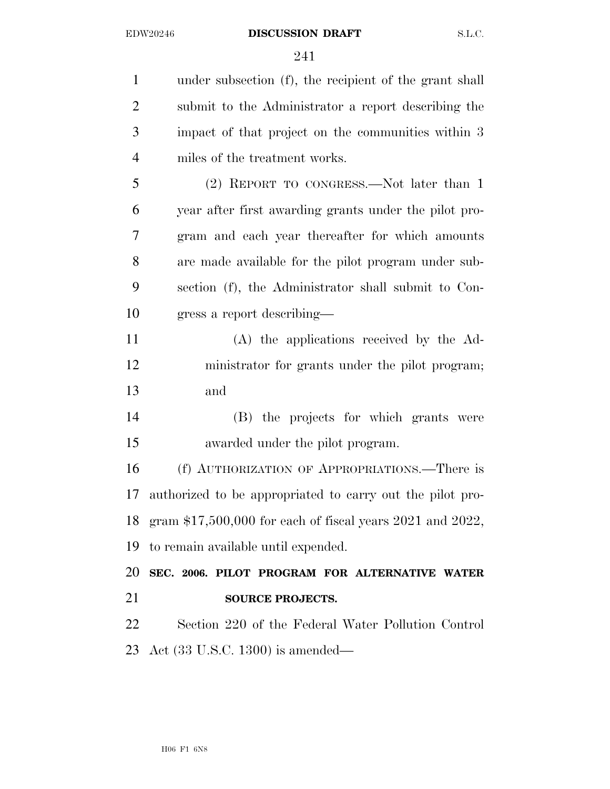| $\mathbf{1}$   | under subsection (f), the recipient of the grant shall          |
|----------------|-----------------------------------------------------------------|
| $\overline{2}$ | submit to the Administrator a report describing the             |
| 3              | impact of that project on the communities within 3              |
| $\overline{4}$ | miles of the treatment works.                                   |
| 5              | (2) REPORT TO CONGRESS.—Not later than 1                        |
| 6              | year after first awarding grants under the pilot pro-           |
| 7              | gram and each year thereafter for which amounts                 |
| 8              | are made available for the pilot program under sub-             |
| 9              | section (f), the Administrator shall submit to Con-             |
| 10             | gress a report describing—                                      |
| 11             | (A) the applications received by the Ad-                        |
| 12             | ministrator for grants under the pilot program;                 |
| 13             | and                                                             |
| 14             | (B) the projects for which grants were                          |
| 15             | awarded under the pilot program.                                |
| 16             | (f) AUTHORIZATION OF APPROPRIATIONS.—There is                   |
| 17             | authorized to be appropriated to carry out the pilot pro-       |
| 18             | gram $$17,500,000$ for each of fiscal years $2021$ and $2022$ , |
| 19             | to remain available until expended.                             |
| 20             | SEC. 2006. PILOT PROGRAM FOR ALTERNATIVE WATER                  |
| 21             | <b>SOURCE PROJECTS.</b>                                         |
| 22             | Section 220 of the Federal Water Pollution Control              |
| 23             | Act $(33 \text{ U.S.C. } 1300)$ is amended—                     |
|                |                                                                 |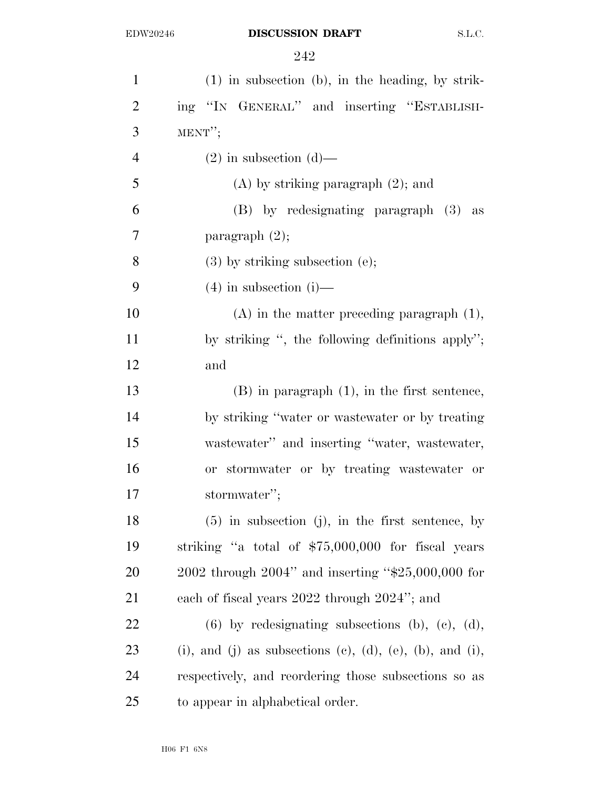| $\mathbf{1}$   | $(1)$ in subsection (b), in the heading, by strik-         |
|----------------|------------------------------------------------------------|
| $\overline{2}$ | ing "IN GENERAL" and inserting "ESTABLISH-                 |
| 3              | $MENT''$ ;                                                 |
| $\overline{4}$ | $(2)$ in subsection $(d)$ —                                |
| 5              | $(A)$ by striking paragraph $(2)$ ; and                    |
| 6              | (B) by redesignating paragraph (3) as                      |
| 7              | paragraph $(2)$ ;                                          |
| 8              | $(3)$ by striking subsection $(e)$ ;                       |
| 9              | $(4)$ in subsection $(i)$ —                                |
| 10             | $(A)$ in the matter preceding paragraph $(1)$ ,            |
| 11             | by striking ", the following definitions apply";           |
| 12             | and                                                        |
| 13             | $(B)$ in paragraph $(1)$ , in the first sentence,          |
| 14             | by striking "water or wastewater or by treating            |
| 15             | wastewater" and inserting "water, wastewater,              |
| 16             | or stormwater or by treating wastewater or                 |
| 17             | stormwater";                                               |
| 18             | $(5)$ in subsection (j), in the first sentence, by         |
| 19             | striking "a total of \$75,000,000 for fiscal years         |
| 20             | 2002 through $2004$ " and inserting "\$25,000,000 for      |
| 21             | each of fiscal years 2022 through 2024"; and               |
| 22             | $(6)$ by redesignating subsections $(b)$ , $(c)$ , $(d)$ , |
| 23             | (i), and (j) as subsections (c), (d), (e), (b), and (i),   |
| 24             | respectively, and reordering those subsections so as       |
| 25             | to appear in alphabetical order.                           |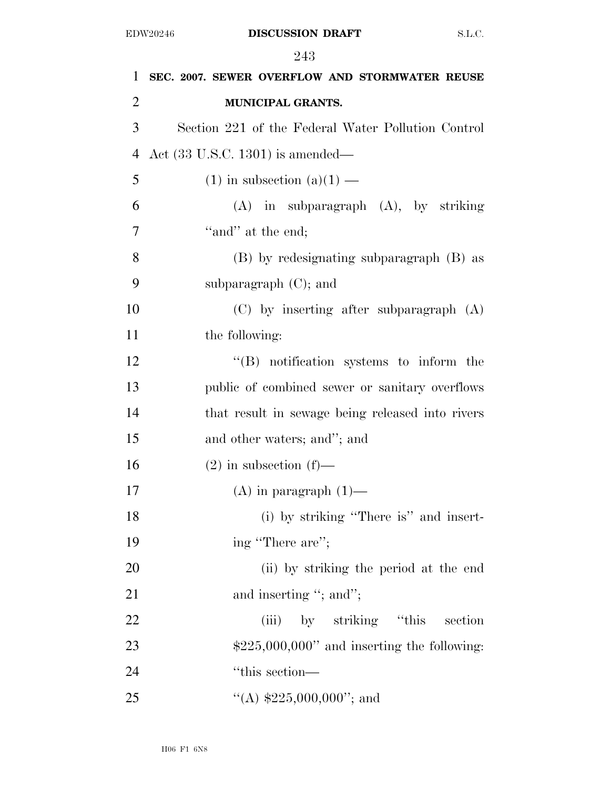| 1              | SEC. 2007. SEWER OVERFLOW AND STORMWATER REUSE     |
|----------------|----------------------------------------------------|
| $\overline{2}$ | MUNICIPAL GRANTS.                                  |
| 3              | Section 221 of the Federal Water Pollution Control |
| $\overline{4}$ | Act $(33 \text{ U.S.C. } 1301)$ is amended—        |
| 5              | $(1)$ in subsection $(a)(1)$ —                     |
| 6              | $(A)$ in subparagraph $(A)$ , by striking          |
| 7              | "and" at the end;                                  |
| 8              | (B) by redesignating subparagraph (B) as           |
| 9              | subparagraph $(C)$ ; and                           |
| 10             | $(C)$ by inserting after subparagraph $(A)$        |
| 11             | the following:                                     |
| 12             | $\lq\lq (B)$ notification systems to inform the    |
| 13             | public of combined sewer or sanitary overflows     |
| 14             | that result in sewage being released into rivers   |
| 15             | and other waters; and"; and                        |
| 16             | $(2)$ in subsection $(f)$ —                        |
| 17             | $(A)$ in paragraph $(1)$ —                         |
| 18             | (i) by striking "There is" and insert-             |
| 19             | ing "There are";                                   |
| 20             | (ii) by striking the period at the end             |
| 21             | and inserting "; and";                             |
| 22             | (iii) by striking "this section                    |
| 23             | $$225,000,000"$ and inserting the following:       |
| 24             | "this section—                                     |
| 25             | "(A) $$225,000,000$ "; and                         |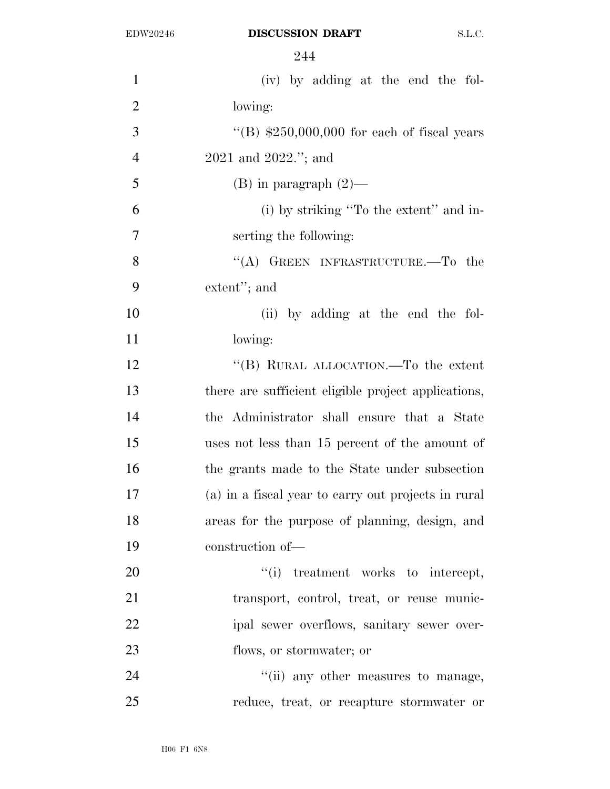| $\mathbf{1}$   | (iv) by adding at the end the fol-                  |
|----------------|-----------------------------------------------------|
| $\overline{2}$ | lowing:                                             |
| 3              | "(B) $$250,000,000$ for each of fiscal years        |
| $\overline{4}$ | $2021$ and $2022$ ."; and                           |
| 5              | $(B)$ in paragraph $(2)$ —                          |
| 6              | (i) by striking "To the extent" and in-             |
| 7              | serting the following:                              |
| 8              | "(A) GREEN INFRASTRUCTURE.—To the                   |
| 9              | extent"; and                                        |
| 10             | (ii) by adding at the end the fol-                  |
| 11             | lowing:                                             |
| 12             | "(B) RURAL ALLOCATION.—To the extent                |
| 13             | there are sufficient eligible project applications, |
| 14             | the Administrator shall ensure that a State         |
| 15             | uses not less than 15 percent of the amount of      |
| 16             | the grants made to the State under subsection       |
| 17             | (a) in a fiscal year to carry out projects in rural |
| 18             | areas for the purpose of planning, design, and      |
| 19             | construction of-                                    |
| 20             | ``(i)<br>treatment works to intercept,              |
| 21             | transport, control, treat, or reuse munic-          |
| 22             | ipal sewer overflows, sanitary sewer over-          |
| 23             | flows, or stormwater; or                            |
| 24             | "(ii) any other measures to manage,                 |
| 25             | reduce, treat, or recapture stormwater or           |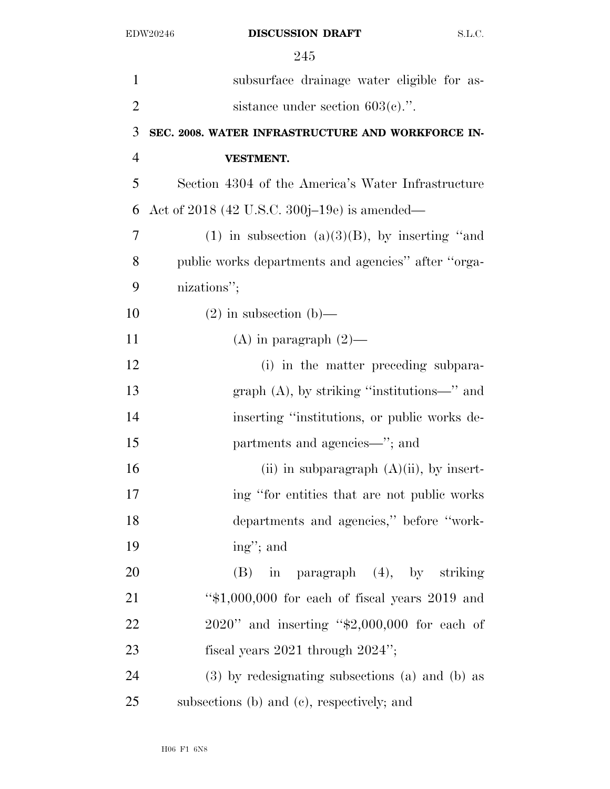| $\mathbf{1}$   | subsurface drainage water eligible for as-          |
|----------------|-----------------------------------------------------|
| $\overline{2}$ | sistance under section $603(c)$ .".                 |
| 3              | SEC. 2008. WATER INFRASTRUCTURE AND WORKFORCE IN-   |
| $\overline{4}$ | <b>VESTMENT.</b>                                    |
| 5              | Section 4304 of the America's Water Infrastructure  |
| 6              | Act of 2018 (42 U.S.C. 300j–19e) is amended—        |
| $\overline{7}$ | (1) in subsection (a) $(3)(B)$ , by inserting "and  |
| 8              | public works departments and agencies" after "orga- |
| 9              | nizations";                                         |
| 10             | $(2)$ in subsection $(b)$ —                         |
| 11             | (A) in paragraph $(2)$ —                            |
| 12             | (i) in the matter preceding subpara-                |
| 13             | graph $(A)$ , by striking "institutions—" and       |
| 14             | inserting "institutions, or public works de-        |
| 15             | partments and agencies—"; and                       |
| 16             | (ii) in subparagraph $(A)(ii)$ , by insert-         |
| 17             | ing "for entities that are not public works"        |
| 18             | departments and agencies," before "work-            |
| 19             | ing"; and                                           |
| 20             | in paragraph (4), by striking<br>(B)                |
| 21             | " $$1,000,000$ for each of fiscal years 2019 and    |
| 22             | $2020$ " and inserting " $$2,000,000$ for each of   |
| 23             | fiscal years $2021$ through $2024$ ";               |
| 24             | (3) by redesignating subsections (a) and (b) as     |
| 25             | subsections (b) and (c), respectively; and          |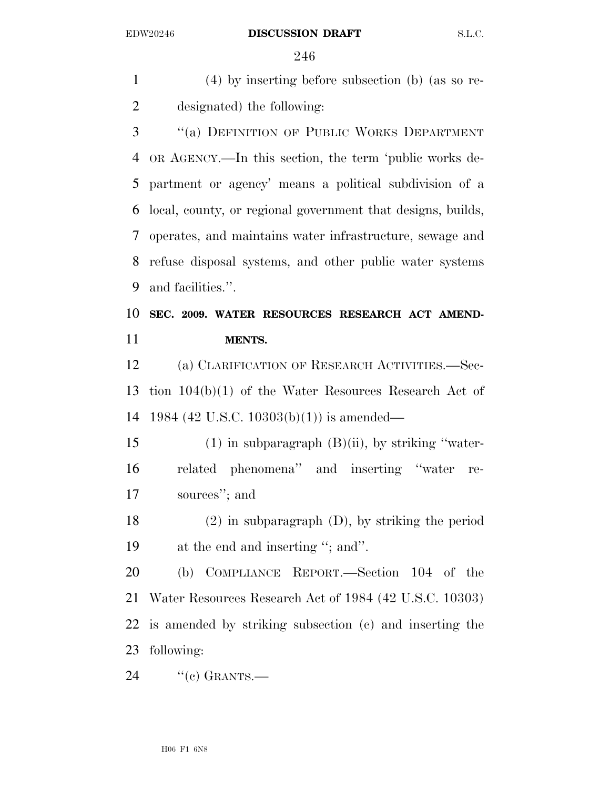(4) by inserting before subsection (b) (as so re-designated) the following:

 ''(a) DEFINITION OF PUBLIC WORKS DEPARTMENT OR AGENCY.—In this section, the term 'public works de- partment or agency' means a political subdivision of a local, county, or regional government that designs, builds, operates, and maintains water infrastructure, sewage and refuse disposal systems, and other public water systems and facilities.''.

## **SEC. 2009. WATER RESOURCES RESEARCH ACT AMEND-MENTS.**

 (a) CLARIFICATION OF RESEARCH ACTIVITIES.—Sec- tion 104(b)(1) of the Water Resources Research Act of 1984 (42 U.S.C. 10303(b)(1)) is amended—

 (1) in subparagraph (B)(ii), by striking ''water- related phenomena'' and inserting ''water re-sources''; and

 (2) in subparagraph (D), by striking the period at the end and inserting ''; and''.

 (b) COMPLIANCE REPORT.—Section 104 of the Water Resources Research Act of 1984 (42 U.S.C. 10303) is amended by striking subsection (c) and inserting the following:

24  $\text{``(c)}$  GRANTS.—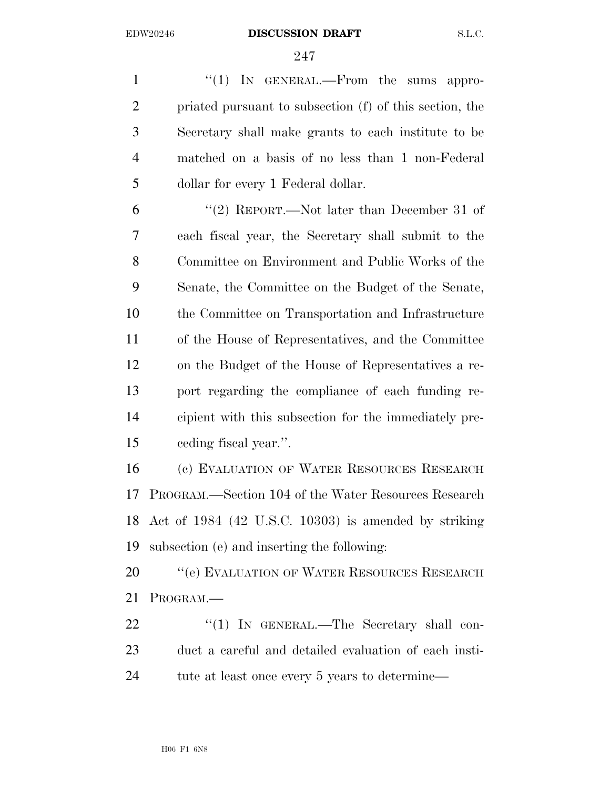1 "(1) In GENERAL.—From the sums appro- priated pursuant to subsection (f) of this section, the Secretary shall make grants to each institute to be matched on a basis of no less than 1 non-Federal dollar for every 1 Federal dollar.

 ''(2) REPORT.—Not later than December 31 of each fiscal year, the Secretary shall submit to the Committee on Environment and Public Works of the Senate, the Committee on the Budget of the Senate, the Committee on Transportation and Infrastructure of the House of Representatives, and the Committee on the Budget of the House of Representatives a re- port regarding the compliance of each funding re- cipient with this subsection for the immediately pre-ceding fiscal year.''.

 (c) EVALUATION OF WATER RESOURCES RESEARCH PROGRAM.—Section 104 of the Water Resources Research Act of 1984 (42 U.S.C. 10303) is amended by striking subsection (e) and inserting the following:

**''**(e) EVALUATION OF WATER RESOURCES RESEARCH PROGRAM.—

22 "(1) IN GENERAL.—The Secretary shall con- duct a careful and detailed evaluation of each insti-tute at least once every 5 years to determine—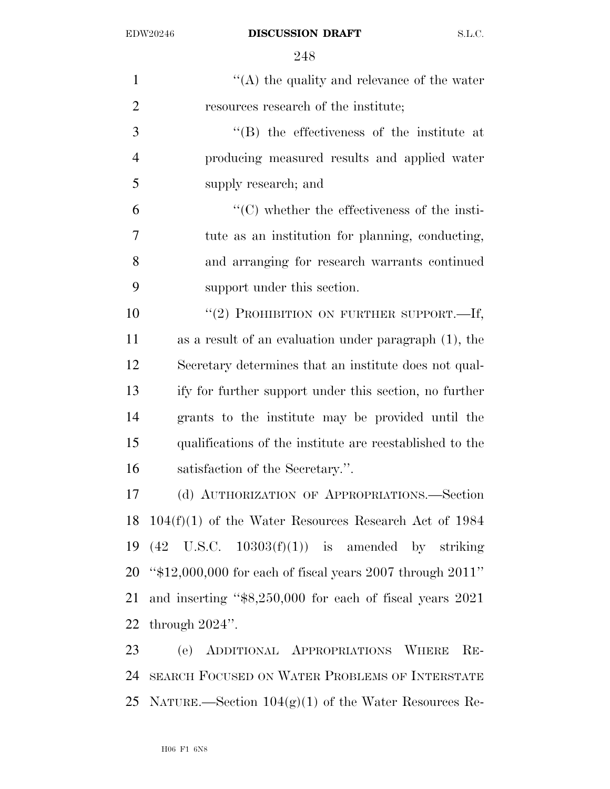| $\mathbf{1}$   | $\lq\lq$ the quality and relevance of the water                |
|----------------|----------------------------------------------------------------|
| $\overline{2}$ | resources research of the institute;                           |
| 3              | $\cdot$ (B) the effectiveness of the institute at              |
| $\overline{4}$ | producing measured results and applied water                   |
| 5              | supply research; and                                           |
| 6              | $\lq\lq$ (C) whether the effectiveness of the insti-           |
| 7              | tute as an institution for planning, conducting,               |
| 8              | and arranging for research warrants continued                  |
| 9              | support under this section.                                    |
| 10             | "(2) PROHIBITION ON FURTHER SUPPORT.—If,                       |
| 11             | as a result of an evaluation under paragraph (1), the          |
| 12             | Secretary determines that an institute does not qual-          |
| 13             | ify for further support under this section, no further         |
| 14             | grants to the institute may be provided until the              |
| 15             | qualifications of the institute are reestablished to the       |
| 16             | satisfaction of the Secretary.".                               |
| 17             | (d) AUTHORIZATION OF APPROPRIATIONS.-Section                   |
|                | 18 $104(f)(1)$ of the Water Resources Research Act of 1984     |
|                | 19 $(42 \text{ U.S.C. } 10303(f)(1))$ is amended by striking   |
|                | 20 " $$12,000,000$ for each of fiscal years 2007 through 2011" |
| 21             | and inserting "\$8,250,000 for each of fiscal years 2021       |
| 22             | through $2024$ ".                                              |
| 23             | (e) ADDITIONAL APPROPRIATIONS WHERE<br>$RE-$                   |
|                | 24 SEARCH FOCUSED ON WATER PROBLEMS OF INTERSTATE              |

NATURE.—Section 104(g)(1) of the Water Resources Re-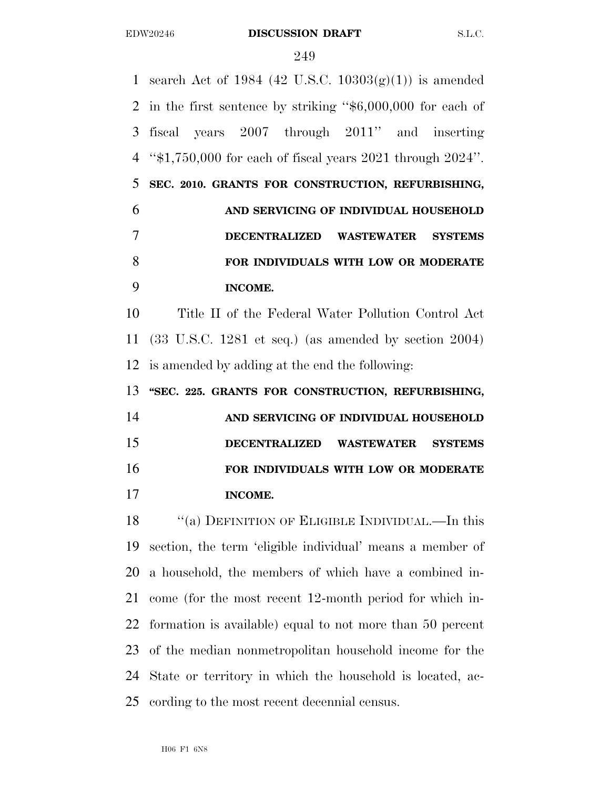1 search Act of 1984 (42 U.S.C.  $10303(g)(1)$ ) is amended in the first sentence by striking ''\$6,000,000 for each of fiscal years 2007 through 2011'' and inserting ''\$1,750,000 for each of fiscal years 2021 through 2024''. **SEC. 2010. GRANTS FOR CONSTRUCTION, REFURBISHING, AND SERVICING OF INDIVIDUAL HOUSEHOLD DECENTRALIZED WASTEWATER SYSTEMS FOR INDIVIDUALS WITH LOW OR MODERATE INCOME.**  Title II of the Federal Water Pollution Control Act (33 U.S.C. 1281 et seq.) (as amended by section 2004) is amended by adding at the end the following: **''SEC. 225. GRANTS FOR CONSTRUCTION, REFURBISHING, AND SERVICING OF INDIVIDUAL HOUSEHOLD DECENTRALIZED WASTEWATER SYSTEMS FOR INDIVIDUALS WITH LOW OR MODERATE INCOME.**  18 "(a) DEFINITION OF ELIGIBLE INDIVIDUAL.—In this section, the term 'eligible individual' means a member of a household, the members of which have a combined in- come (for the most recent 12-month period for which in- formation is available) equal to not more than 50 percent of the median nonmetropolitan household income for the State or territory in which the household is located, ac-cording to the most recent decennial census.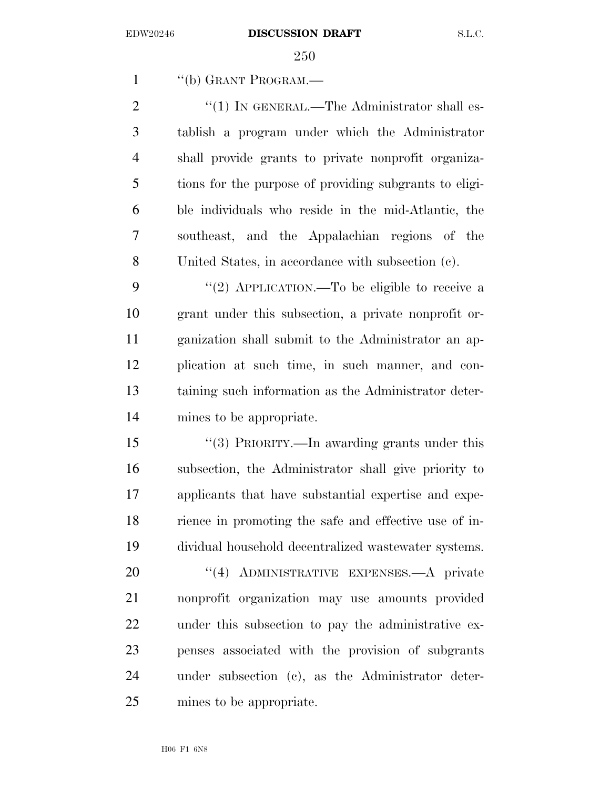''(b) GRANT PROGRAM.—

 $\frac{2}{1}$  <sup>(1)</sup> In GENERAL.—The Administrator shall es- tablish a program under which the Administrator shall provide grants to private nonprofit organiza- tions for the purpose of providing subgrants to eligi- ble individuals who reside in the mid-Atlantic, the southeast, and the Appalachian regions of the United States, in accordance with subsection (c).

9 "(2) APPLICATION.—To be eligible to receive a grant under this subsection, a private nonprofit or- ganization shall submit to the Administrator an ap- plication at such time, in such manner, and con- taining such information as the Administrator deter-mines to be appropriate.

 ''(3) PRIORITY.—In awarding grants under this subsection, the Administrator shall give priority to applicants that have substantial expertise and expe- rience in promoting the safe and effective use of in-dividual household decentralized wastewater systems.

20 "(4) ADMINISTRATIVE EXPENSES.—A private nonprofit organization may use amounts provided under this subsection to pay the administrative ex- penses associated with the provision of subgrants under subsection (c), as the Administrator deter-mines to be appropriate.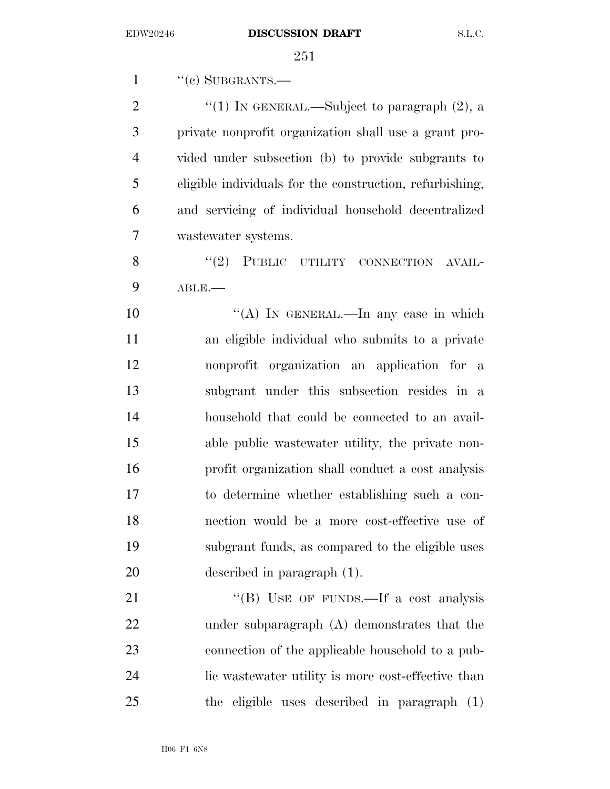"(c) SUBGRANTS.—  $\frac{1}{2}$  (1) In GENERAL.—Subject to paragraph (2), a private nonprofit organization shall use a grant pro- vided under subsection (b) to provide subgrants to eligible individuals for the construction, refurbishing, and servicing of individual household decentralized wastewater systems. 8 "(2) PUBLIC UTILITY CONNECTION AVAIL- ABLE.— 10 "(A) IN GENERAL.—In any case in which an eligible individual who submits to a private nonprofit organization an application for a subgrant under this subsection resides in a household that could be connected to an avail- able public wastewater utility, the private non- profit organization shall conduct a cost analysis to determine whether establishing such a con- nection would be a more cost-effective use of subgrant funds, as compared to the eligible uses described in paragraph (1). 21 "'(B) USE OF FUNDS.—If a cost analysis under subparagraph (A) demonstrates that the connection of the applicable household to a pub- lic wastewater utility is more cost-effective than the eligible uses described in paragraph (1)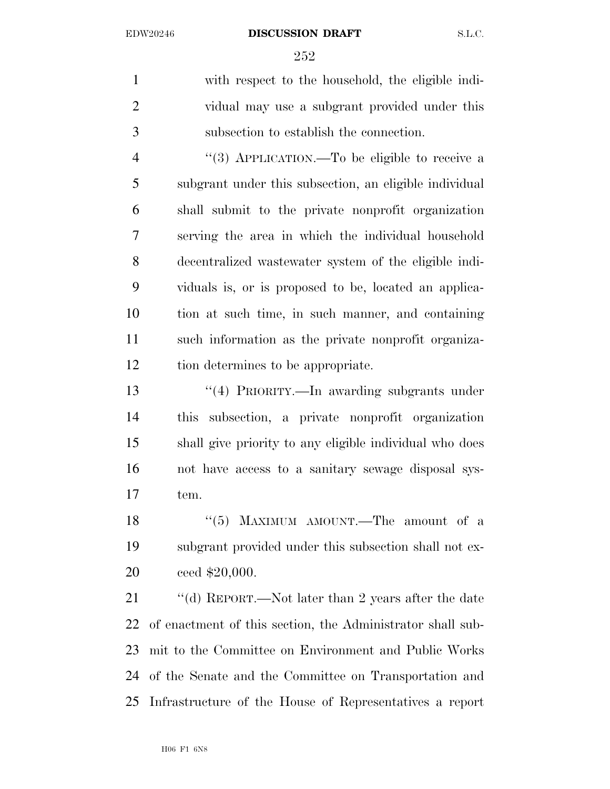with respect to the household, the eligible indi- vidual may use a subgrant provided under this subsection to establish the connection.

4 "(3) APPLICATION.—To be eligible to receive a subgrant under this subsection, an eligible individual shall submit to the private nonprofit organization serving the area in which the individual household decentralized wastewater system of the eligible indi- viduals is, or is proposed to be, located an applica- tion at such time, in such manner, and containing such information as the private nonprofit organiza-tion determines to be appropriate.

 ''(4) PRIORITY.—In awarding subgrants under this subsection, a private nonprofit organization shall give priority to any eligible individual who does not have access to a sanitary sewage disposal sys-tem.

18 ''(5) MAXIMUM AMOUNT.—The amount of a subgrant provided under this subsection shall not ex-ceed \$20,000.

21 ''(d) REPORT.—Not later than 2 years after the date of enactment of this section, the Administrator shall sub- mit to the Committee on Environment and Public Works of the Senate and the Committee on Transportation and Infrastructure of the House of Representatives a report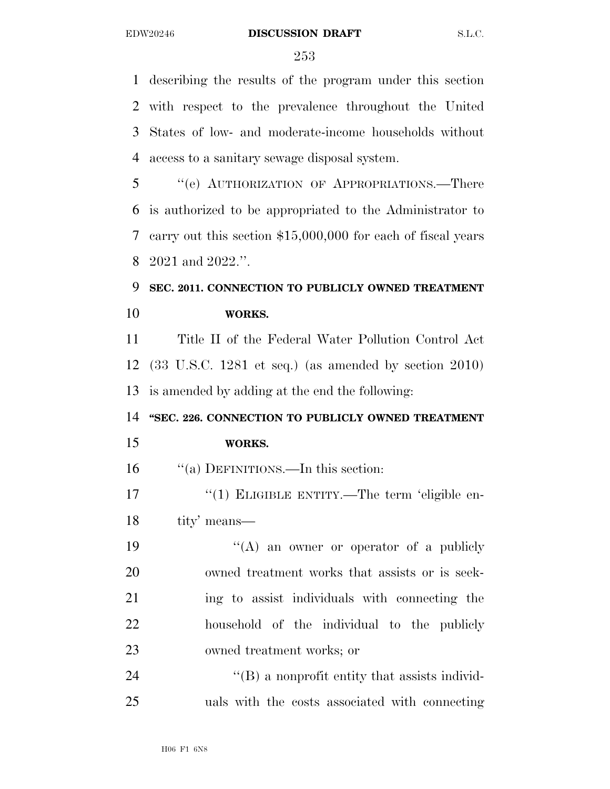describing the results of the program under this section with respect to the prevalence throughout the United States of low- and moderate-income households without access to a sanitary sewage disposal system.

 ''(e) AUTHORIZATION OF APPROPRIATIONS.—There is authorized to be appropriated to the Administrator to carry out this section \$15,000,000 for each of fiscal years 2021 and 2022.''.

# **SEC. 2011. CONNECTION TO PUBLICLY OWNED TREATMENT WORKS.**

 Title II of the Federal Water Pollution Control Act (33 U.S.C. 1281 et seq.) (as amended by section 2010) is amended by adding at the end the following:

# **''SEC. 226. CONNECTION TO PUBLICLY OWNED TREATMENT**

# **WORKS.**

''(a) DEFINITIONS.—In this section:

17 "(1) ELIGIBLE ENTITY.—The term 'eligible en-tity' means—

 $((A)$  an owner or operator of a publicly owned treatment works that assists or is seek- ing to assist individuals with connecting the household of the individual to the publicly owned treatment works; or

 ''(B) a nonprofit entity that assists individ-uals with the costs associated with connecting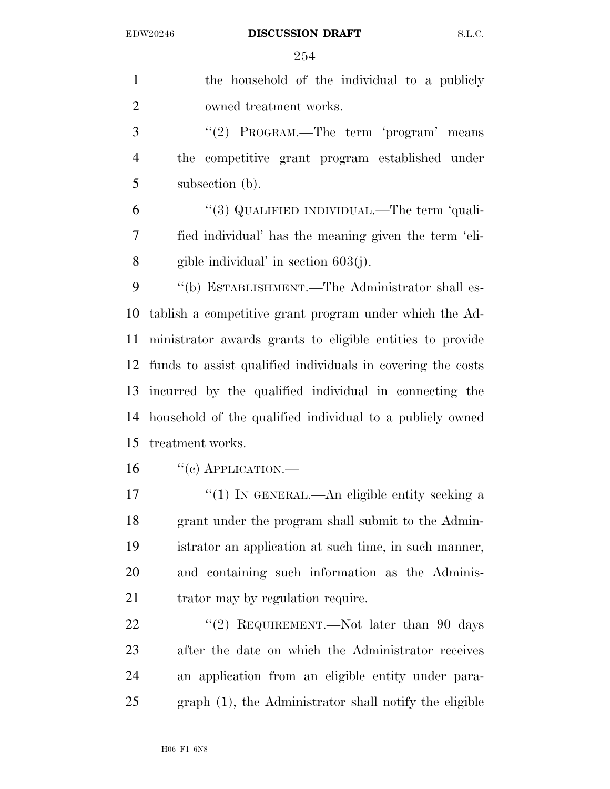the household of the individual to a publicly owned treatment works.

 ''(2) PROGRAM.—The term 'program' means the competitive grant program established under subsection (b).

 ''(3) QUALIFIED INDIVIDUAL.—The term 'quali- fied individual' has the meaning given the term 'eli-gible individual' in section 603(j).

 ''(b) ESTABLISHMENT.—The Administrator shall es- tablish a competitive grant program under which the Ad- ministrator awards grants to eligible entities to provide funds to assist qualified individuals in covering the costs incurred by the qualified individual in connecting the household of the qualified individual to a publicly owned treatment works.

"(c) APPLICATION.—

17 <sup>"</sup>(1) IN GENERAL.—An eligible entity seeking a grant under the program shall submit to the Admin- istrator an application at such time, in such manner, and containing such information as the Adminis-21 trator may by regulation require.

22 "(2) REQUIREMENT.—Not later than 90 days after the date on which the Administrator receives an application from an eligible entity under para-graph (1), the Administrator shall notify the eligible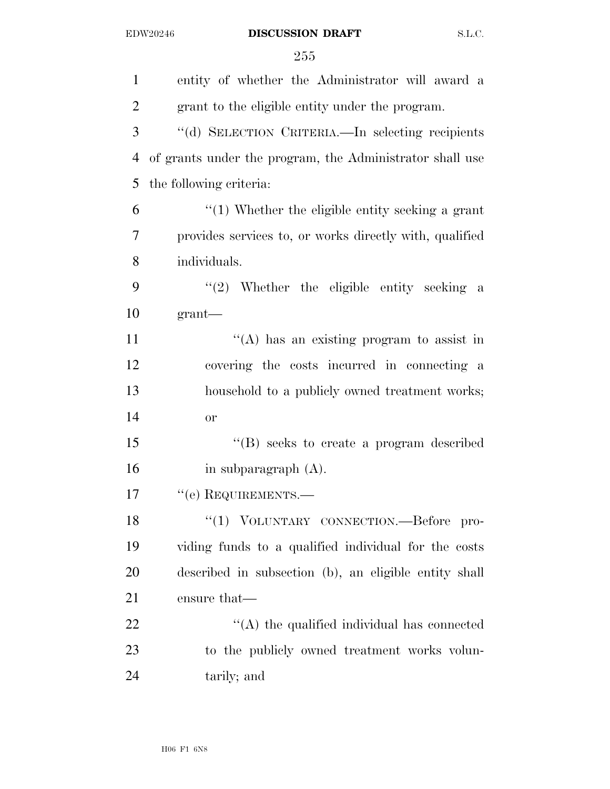| $\mathbf{1}$   | entity of whether the Administrator will award a         |
|----------------|----------------------------------------------------------|
| $\overline{2}$ | grant to the eligible entity under the program.          |
| 3              | "(d) SELECTION CRITERIA.—In selecting recipients         |
| $\overline{4}$ | of grants under the program, the Administrator shall use |
| 5              | the following criteria:                                  |
| 6              | $\lq(1)$ Whether the eligible entity seeking a grant     |
| $\overline{7}$ | provides services to, or works directly with, qualified  |
| 8              | individuals.                                             |
| 9              | $(2)$ Whether the eligible entity seeking a              |
| 10             | grant                                                    |
| 11             | $\lq\lq$ has an existing program to assist in            |
| 12             | covering the costs incurred in connecting a              |
| 13             | household to a publicly owned treatment works;           |
| 14             | or                                                       |
| 15             | $\lq\lq (B)$ seeks to create a program described         |
| 16             | in subparagraph $(A)$ .                                  |
| 17             | "(e) REQUIREMENTS.—                                      |
| 18             | "(1) VOLUNTARY CONNECTION. - Before pro-                 |
| 19             | viding funds to a qualified individual for the costs     |
| 20             | described in subsection (b), an eligible entity shall    |
| 21             | ensure that—                                             |
| 22             | $\lq\lq$ the qualified individual has connected          |
| 23             | to the publicly owned treatment works volun-             |
| 24             | tarily; and                                              |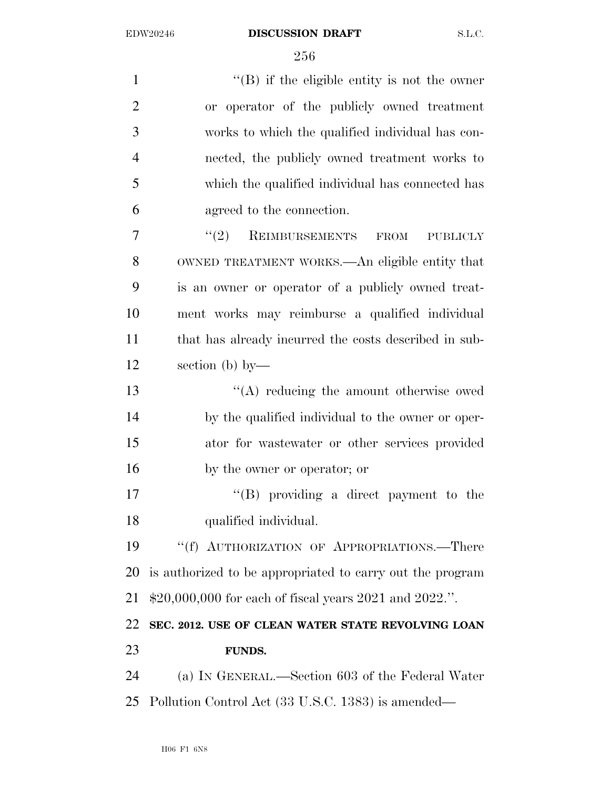1 ''(B) if the eligible entity is not the owner or operator of the publicly owned treatment works to which the qualified individual has con- nected, the publicly owned treatment works to which the qualified individual has connected has agreed to the connection. 7 "(2) REIMBURSEMENTS FROM PUBLICLY OWNED TREATMENT WORKS.—An eligible entity that is an owner or operator of a publicly owned treat- ment works may reimburse a qualified individual that has already incurred the costs described in sub- section (b) by— ''(A) reducing the amount otherwise owed by the qualified individual to the owner or oper- ator for wastewater or other services provided by the owner or operator; or ''(B) providing a direct payment to the qualified individual. 19 "(f) AUTHORIZATION OF APPROPRIATIONS.—There is authorized to be appropriated to carry out the program \$20,000,000 for each of fiscal years 2021 and 2022.''. **SEC. 2012. USE OF CLEAN WATER STATE REVOLVING LOAN FUNDS.**  (a) IN GENERAL.—Section 603 of the Federal Water Pollution Control Act (33 U.S.C. 1383) is amended—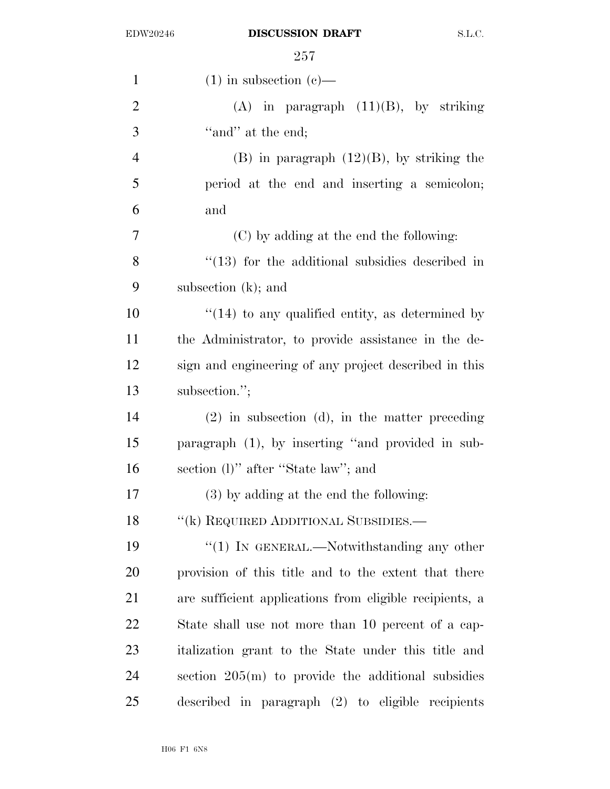| $\mathbf{1}$   | $(1)$ in subsection $(e)$ —                             |
|----------------|---------------------------------------------------------|
| $\overline{2}$ | (A) in paragraph $(11)(B)$ , by striking                |
| 3              | "and" at the end;                                       |
| $\overline{4}$ | $(B)$ in paragraph $(12)(B)$ , by striking the          |
| 5              | period at the end and inserting a semicolon;            |
| 6              | and                                                     |
| 7              | (C) by adding at the end the following:                 |
| 8              | $\cdot$ (13) for the additional subsidies described in  |
| 9              | subsection $(k)$ ; and                                  |
| 10             | $\lq(14)$ to any qualified entity, as determined by     |
| 11             | the Administrator, to provide assistance in the de-     |
| 12             | sign and engineering of any project described in this   |
| 13             | subsection.";                                           |
| 14             | $(2)$ in subsection (d), in the matter preceding        |
| 15             | paragraph (1), by inserting "and provided in sub-       |
| 16             | section (1)" after "State law"; and                     |
| 17             | $(3)$ by adding at the end the following:               |
| 18             | "(k) REQUIRED ADDITIONAL SUBSIDIES.—                    |
| 19             | "(1) IN GENERAL.—Notwithstanding any other              |
| 20             | provision of this title and to the extent that there    |
| 21             | are sufficient applications from eligible recipients, a |
| 22             | State shall use not more than 10 percent of a cap-      |
| 23             | italization grant to the State under this title and     |
| 24             | section $205(m)$ to provide the additional subsidies    |
| 25             | described in paragraph (2) to eligible recipients       |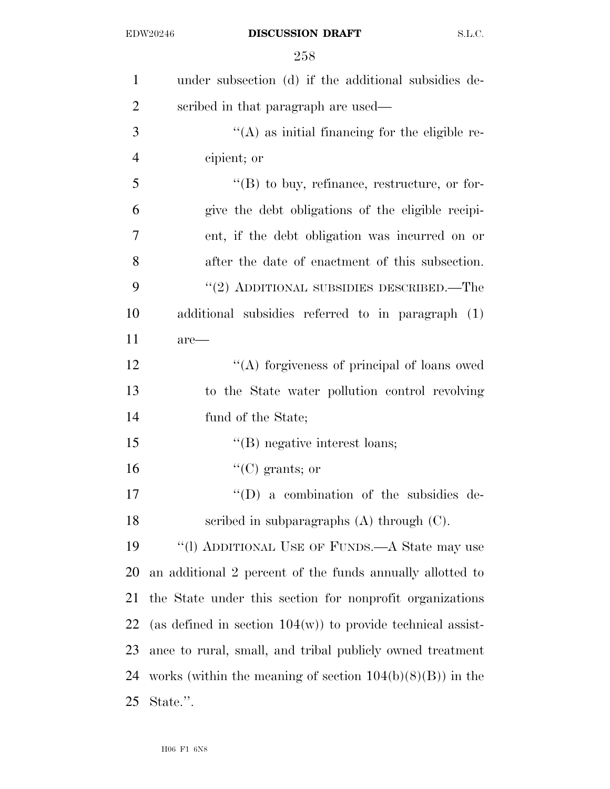| $\mathbf{1}$   | under subsection (d) if the additional subsidies de-           |
|----------------|----------------------------------------------------------------|
| $\overline{2}$ | scribed in that paragraph are used—                            |
| 3              | $\lq\lq$ as initial financing for the eligible re-             |
| $\overline{4}$ | cipient; or                                                    |
| 5              | $\lq\lq (B)$ to buy, refinance, restructure, or for-           |
| 6              | give the debt obligations of the eligible recipi-              |
| 7              | ent, if the debt obligation was incurred on or                 |
| 8              | after the date of enactment of this subsection.                |
| 9              | $"(2)$ ADDITIONAL SUBSIDIES DESCRIBED.—The                     |
| 10             | additional subsidies referred to in paragraph (1)              |
| 11             | $are-$                                                         |
| 12             | "(A) forgiveness of principal of loans owed                    |
| 13             | to the State water pollution control revolving                 |
| 14             | fund of the State;                                             |
| 15             | "(B) negative interest loans;                                  |
| 16             | $\lq\lq$ (C) grants; or                                        |
| 17             | $\lq\lq$ (D) a combination of the subsidies de-                |
| 18             | scribed in subparagraphs $(A)$ through $(C)$ .                 |
| 19             | "(l) ADDITIONAL USE OF FUNDS.—A State may use                  |
| <b>20</b>      | an additional 2 percent of the funds annually allotted to      |
| 21             | the State under this section for nonprofit organizations       |
| 22             | (as defined in section $104(w)$ ) to provide technical assist- |
| 23             | ance to rural, small, and tribal publicly owned treatment      |
| 24             | works (within the meaning of section $104(b)(8)(B)$ ) in the   |
| 25             | State.".                                                       |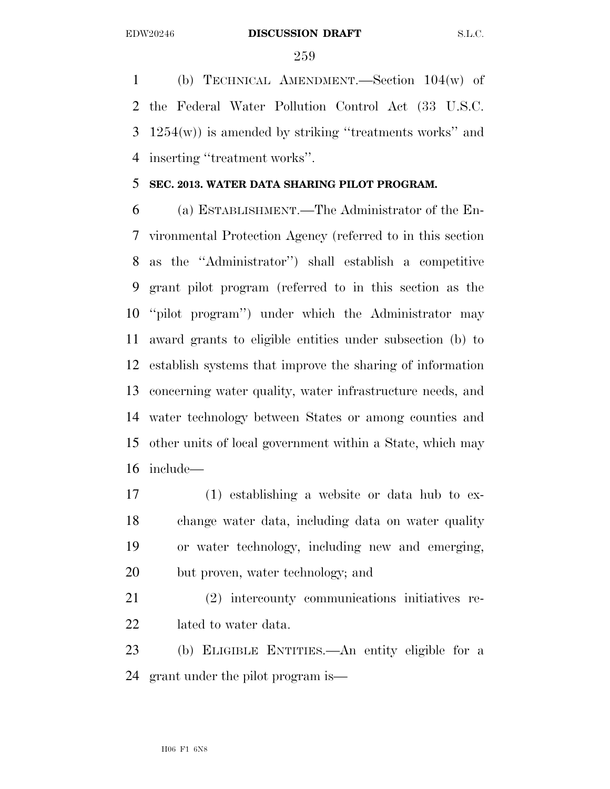(b) TECHNICAL AMENDMENT.—Section 104(w) of the Federal Water Pollution Control Act (33 U.S.C. 1254(w)) is amended by striking ''treatments works'' and inserting ''treatment works''.

### **SEC. 2013. WATER DATA SHARING PILOT PROGRAM.**

 (a) ESTABLISHMENT.—The Administrator of the En- vironmental Protection Agency (referred to in this section as the ''Administrator'') shall establish a competitive grant pilot program (referred to in this section as the ''pilot program'') under which the Administrator may award grants to eligible entities under subsection (b) to establish systems that improve the sharing of information concerning water quality, water infrastructure needs, and water technology between States or among counties and other units of local government within a State, which may include—

 (1) establishing a website or data hub to ex- change water data, including data on water quality or water technology, including new and emerging, but proven, water technology; and

 (2) intercounty communications initiatives re-lated to water data.

 (b) ELIGIBLE ENTITIES.—An entity eligible for a grant under the pilot program is—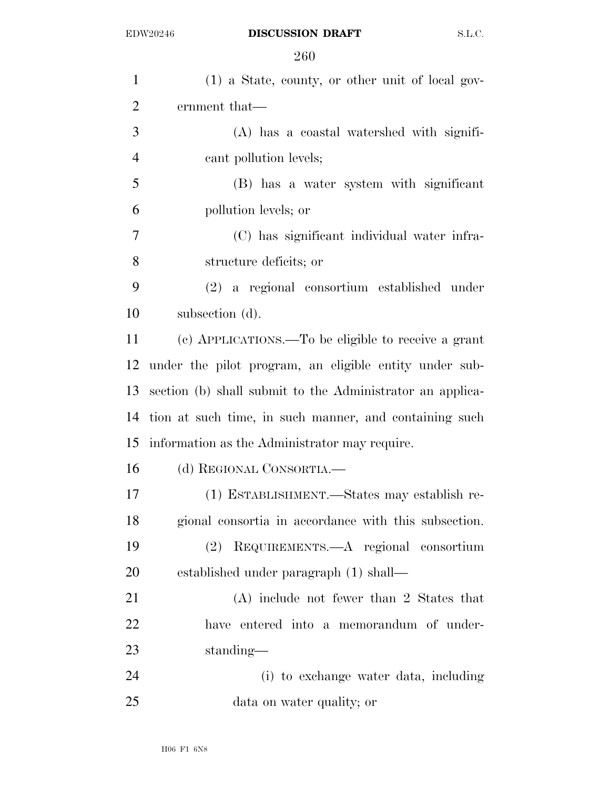| $\mathbf{1}$   | (1) a State, county, or other unit of local gov-          |
|----------------|-----------------------------------------------------------|
| $\overline{2}$ | ernment that—                                             |
| 3              | (A) has a coastal watershed with signifi-                 |
| $\overline{4}$ | cant pollution levels;                                    |
| 5              | (B) has a water system with significant                   |
| 6              | pollution levels; or                                      |
| $\overline{7}$ | (C) has significant individual water infra-               |
| 8              | structure deficits; or                                    |
| 9              | (2) a regional consortium established under               |
| 10             | subsection (d).                                           |
| 11             | (c) APPLICATIONS.—To be eligible to receive a grant       |
| 12             | under the pilot program, an eligible entity under sub-    |
| 13             | section (b) shall submit to the Administrator an applica- |
| 14             | tion at such time, in such manner, and containing such    |
| 15             | information as the Administrator may require.             |
| 16             | (d) REGIONAL CONSORTIA.—                                  |
| 17             | (1) ESTABLISHMENT.—States may establish re-               |
| 18             | gional consortia in accordance with this subsection.      |
| 19             | (2) REQUIREMENTS.—A regional consortium                   |
| 20             | established under paragraph (1) shall—                    |
| 21             | $(A)$ include not fewer than 2 States that                |
| 22             | have entered into a memorandum of under-                  |
| 23             | standing—                                                 |
| 24             | (i) to exchange water data, including                     |
| 25             | data on water quality; or                                 |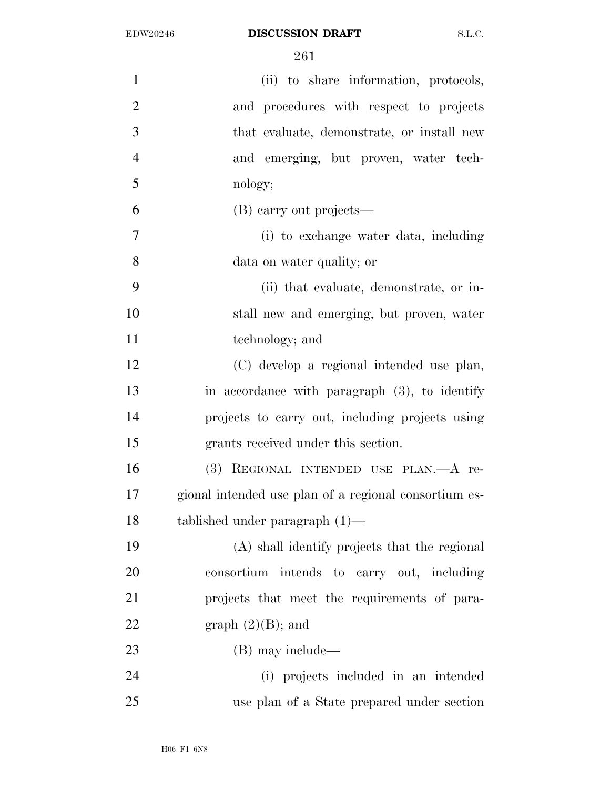| $\mathbf{1}$   | (ii) to share information, protocols,                 |
|----------------|-------------------------------------------------------|
| $\overline{2}$ | and procedures with respect to projects               |
| 3              | that evaluate, demonstrate, or install new            |
| $\overline{4}$ | and emerging, but proven, water tech-                 |
| 5              | nology;                                               |
| 6              | (B) carry out projects—                               |
| $\tau$         | (i) to exchange water data, including                 |
| 8              | data on water quality; or                             |
| 9              | (ii) that evaluate, demonstrate, or in-               |
| 10             | stall new and emerging, but proven, water             |
| 11             | technology; and                                       |
| 12             | (C) develop a regional intended use plan,             |
| 13             | in accordance with paragraph $(3)$ , to identify      |
| 14             | projects to carry out, including projects using       |
| 15             | grants received under this section.                   |
| 16             | (3) REGIONAL INTENDED USE PLAN.- A re-                |
| 17             | gional intended use plan of a regional consortium es- |
| 18             | tablished under paragraph $(1)$ —                     |
| 19             | (A) shall identify projects that the regional         |
| 20             | consortium<br>intends to carry out, including         |
| 21             | projects that meet the requirements of para-          |
| 22             | graph $(2)(B)$ ; and                                  |
| 23             | (B) may include—                                      |
| 24             | (i) projects included in an intended                  |
| 25             | use plan of a State prepared under section            |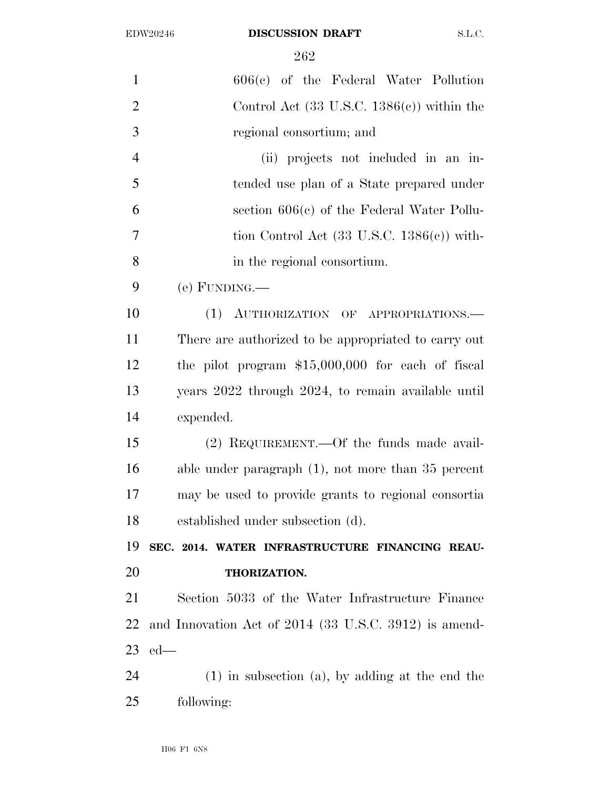| $606(e)$ of the Federal Water Pollution               |
|-------------------------------------------------------|
| Control Act $(33 \text{ U.S.C. } 1386(e))$ within the |
| regional consortium; and                              |
| (ii) projects not included in an in-                  |
| tended use plan of a State prepared under             |
| section $606(c)$ of the Federal Water Pollu-          |
| tion Control Act $(33 \text{ U.S.C. } 1386(c))$ with- |
| in the regional consortium.                           |
| $(e)$ FUNDING.—                                       |
| (1) AUTHORIZATION OF APPROPRIATIONS.                  |
| There are authorized to be appropriated to carry out  |
| the pilot program $$15,000,000$ for each of fiscal    |
| years 2022 through 2024, to remain available until    |
| expended.                                             |
| (2) REQUIREMENT.—Of the funds made avail-             |
| able under paragraph $(1)$ , not more than 35 percent |
| may be used to provide grants to regional consortia   |
| established under subsection (d).                     |
| SEC. 2014. WATER INFRASTRUCTURE FINANCING REAU-       |
| THORIZATION.                                          |
| Section 5033 of the Water Infrastructure Finance      |
| and Innovation Act of 2014 (33 U.S.C. 3912) is amend- |
| $ed$ —                                                |
| $(1)$ in subsection $(a)$ , by adding at the end the  |
| following:                                            |
|                                                       |
|                                                       |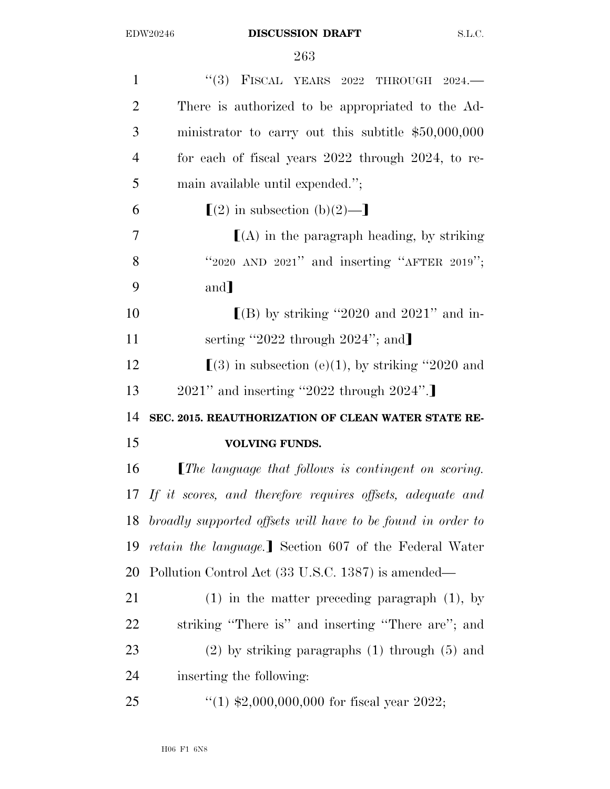| $\mathbf{1}$   | "(3) FISCAL YEARS $2022$ THROUGH $2024$ .                      |
|----------------|----------------------------------------------------------------|
| $\overline{2}$ | There is authorized to be appropriated to the Ad-              |
| 3              | ministrator to carry out this subtitle $$50,000,000$           |
| $\overline{4}$ | for each of fiscal years 2022 through 2024, to re-             |
| 5              | main available until expended.";                               |
| 6              | $[(2)$ in subsection (b)(2)—                                   |
| 7              | $\mathcal{L}(A)$ in the paragraph heading, by striking         |
| 8              | "2020 AND 2021" and inserting "AFTER 2019";                    |
| 9              | and]                                                           |
| 10             | $[(B)$ by striking "2020 and 2021" and in-                     |
| 11             | serting "2022 through 2024"; and                               |
| 12             | $(3)$ in subsection (e)(1), by striking "2020 and              |
| 13             | $2021$ " and inserting "2022 through $2024$ ".                 |
| 14             | SEC. 2015. REAUTHORIZATION OF CLEAN WATER STATE RE-            |
| 15             | <b>VOLVING FUNDS.</b>                                          |
| 16             | $[The language that follows is contingent on scoring.$         |
|                | 17 If it scores, and therefore requires offsets, adequate and  |
|                | 18 broadly supported offsets will have to be found in order to |
| 19             | <i>retain the language.</i> Section 607 of the Federal Water   |
| 20             | Pollution Control Act (33 U.S.C. 1387) is amended—             |
| 21             | $(1)$ in the matter preceding paragraph $(1)$ , by             |
| 22             | striking "There is" and inserting "There are"; and             |
| 23             | $(2)$ by striking paragraphs $(1)$ through $(5)$ and           |
| 24             | inserting the following:                                       |
| 25             | "(1) $\text{$}2,000,000,000$ for fiscal year 2022;             |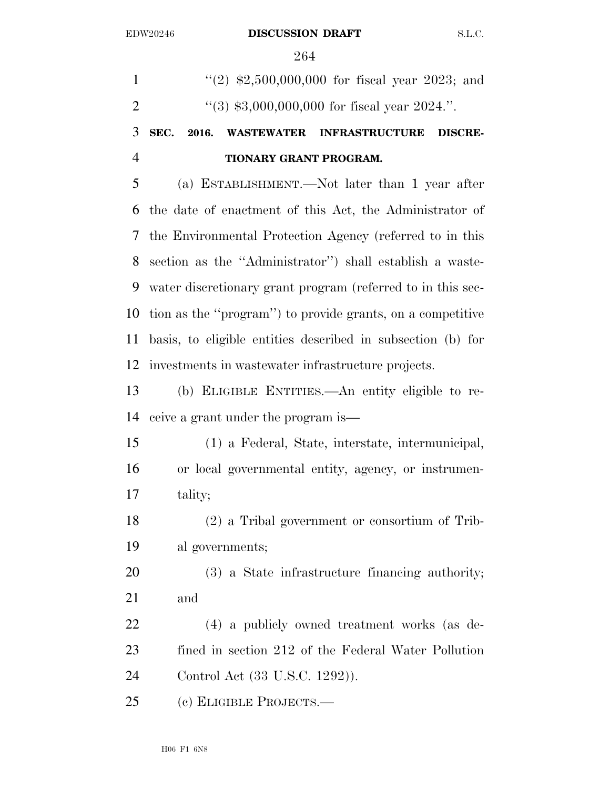1 ''(2)  $\text{$}2,500,000,000$  for fiscal year 2023; and  $\frac{4}{3}$   $\frac{4}{3}$ ,  $\frac{3}{3}$ ,  $\frac{3}{3}$ ,  $\frac{000}{000}$ ,  $\frac{000}{000}$  for fiscal year 2024.". **SEC. 2016. WASTEWATER INFRASTRUCTURE DISCRE- TIONARY GRANT PROGRAM.**  (a) ESTABLISHMENT.—Not later than 1 year after the date of enactment of this Act, the Administrator of the Environmental Protection Agency (referred to in this section as the ''Administrator'') shall establish a waste- water discretionary grant program (referred to in this sec- tion as the ''program'') to provide grants, on a competitive basis, to eligible entities described in subsection (b) for investments in wastewater infrastructure projects. (b) ELIGIBLE ENTITIES.—An entity eligible to re- ceive a grant under the program is— (1) a Federal, State, interstate, intermunicipal, or local governmental entity, agency, or instrumen- tality; (2) a Tribal government or consortium of Trib- al governments; (3) a State infrastructure financing authority; and (4) a publicly owned treatment works (as de-fined in section 212 of the Federal Water Pollution

Control Act (33 U.S.C. 1292)).

(c) ELIGIBLE PROJECTS.—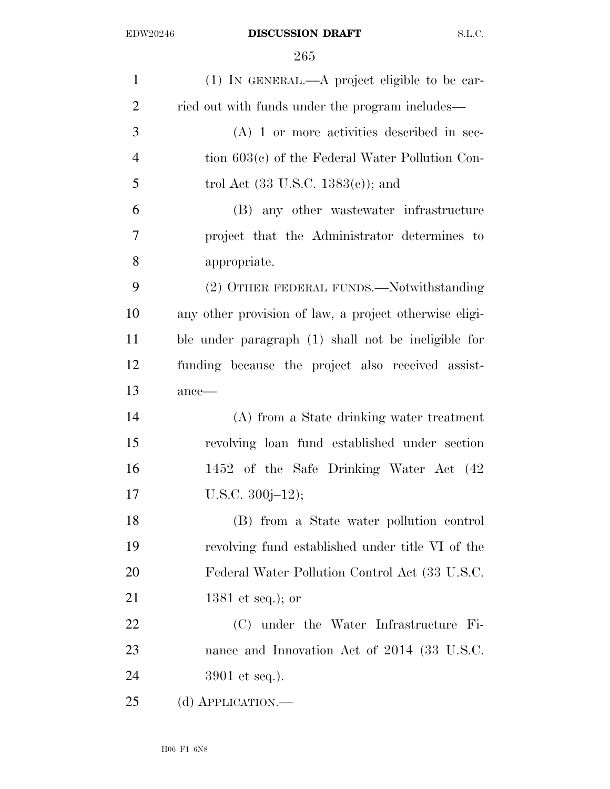| $\mathbf{1}$   | (1) IN GENERAL.—A project eligible to be car-          |
|----------------|--------------------------------------------------------|
| $\overline{2}$ | ried out with funds under the program includes—        |
| 3              | $(A)$ 1 or more activities described in sec-           |
| $\overline{4}$ | tion 603(c) of the Federal Water Pollution Con-        |
| 5              | trol Act $(33 \text{ U.S.C. } 1383(c))$ ; and          |
| 6              | (B) any other was tewater infrastructure               |
| 7              | project that the Administrator determines to           |
| 8              | appropriate.                                           |
| 9              | (2) OTHER FEDERAL FUNDS.—Notwithstanding               |
| 10             | any other provision of law, a project otherwise eligi- |
| 11             | ble under paragraph (1) shall not be ineligible for    |
| 12             | funding because the project also received assist-      |
| 13             | $ance$ —                                               |
| 14             | (A) from a State drinking water treatment              |
| 15             | revolving loan fund established under section          |
| 16             | 1452 of the Safe Drinking Water Act (42                |
| 17             | U.S.C. $300j-12$ ;                                     |
| 18             | (B) from a State water pollution control               |
| 19             | revolving fund established under title VI of the       |
| 20             | Federal Water Pollution Control Act (33 U.S.C.         |
| 21             | 1381 et seq.); or                                      |
| <u>22</u>      | (C) under the Water Infrastructure Fi-                 |
| 23             | nance and Innovation Act of 2014 (33 U.S.C.            |
| 24             | $3901$ et seq.).                                       |
| 25             | (d) APPLICATION.—                                      |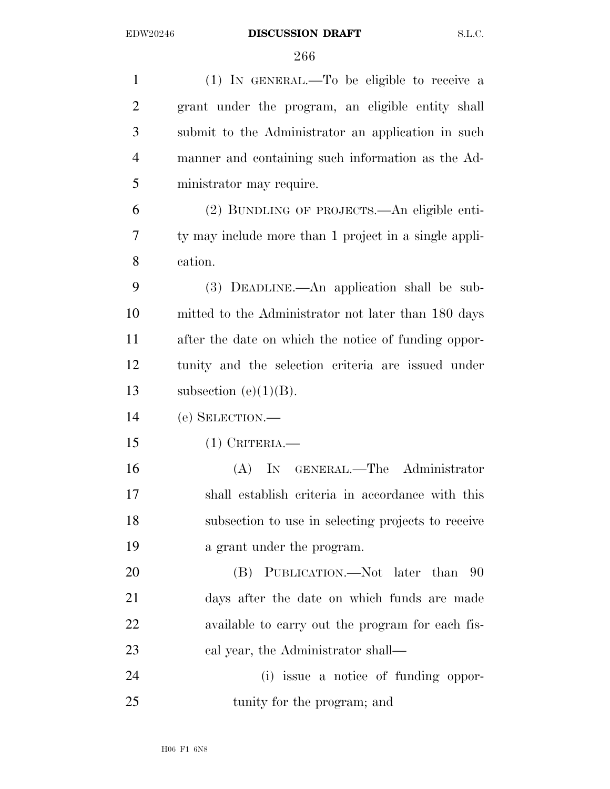(1) IN GENERAL.—To be eligible to receive a grant under the program, an eligible entity shall submit to the Administrator an application in such manner and containing such information as the Ad- ministrator may require. (2) BUNDLING OF PROJECTS.—An eligible enti- ty may include more than 1 project in a single appli- cation. (3) DEADLINE.—An application shall be sub- mitted to the Administrator not later than 180 days after the date on which the notice of funding oppor- tunity and the selection criteria are issued under 13 subsection  $(e)(1)(B)$ . (e) SELECTION.— (1) CRITERIA.— (A) IN GENERAL.—The Administrator shall establish criteria in accordance with this subsection to use in selecting projects to receive a grant under the program. 20 (B) PUBLICATION.—Not later than 90 days after the date on which funds are made available to carry out the program for each fis-23 cal year, the Administrator shall— (i) issue a notice of funding oppor-25 tunity for the program; and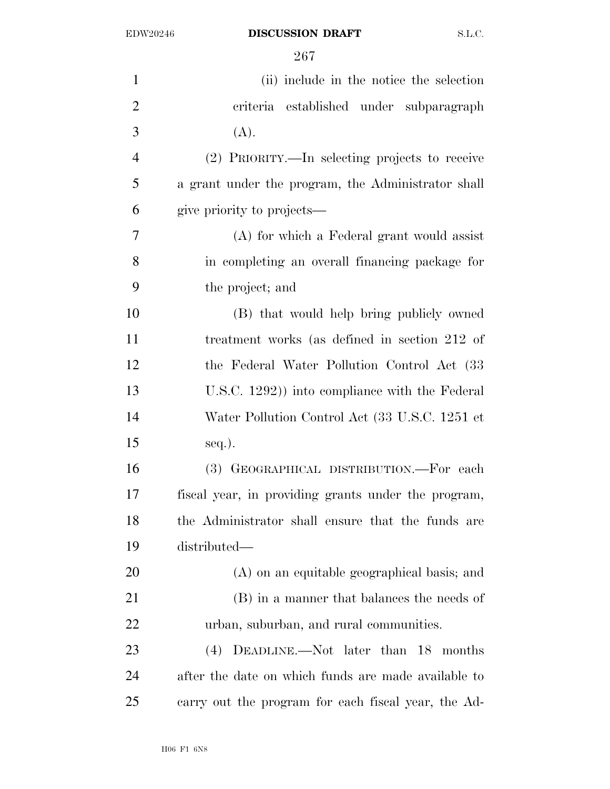| $\mathbf{1}$   | (ii) include in the notice the selection            |
|----------------|-----------------------------------------------------|
|                |                                                     |
| $\overline{2}$ | criteria established under subparagraph             |
| 3              | (A).                                                |
| $\overline{4}$ | (2) PRIORITY.—In selecting projects to receive      |
| 5              | a grant under the program, the Administrator shall  |
| 6              | give priority to projects—                          |
| 7              | (A) for which a Federal grant would assist          |
| 8              | in completing an overall financing package for      |
| 9              | the project; and                                    |
| 10             | (B) that would help bring publicly owned            |
| 11             | treatment works (as defined in section 212 of       |
| 12             | the Federal Water Pollution Control Act (33)        |
| 13             | U.S.C. 1292) into compliance with the Federal       |
| 14             | Water Pollution Control Act (33 U.S.C. 1251 et      |
| 15             | $seq.$ ).                                           |
| 16             | (3) GEOGRAPHICAL DISTRIBUTION.—For each             |
| 17             | fiscal year, in providing grants under the program, |
| 18             | the Administrator shall ensure that the funds are   |
| 19             | distributed—                                        |
| 20             | (A) on an equitable geographical basis; and         |
| 21             | (B) in a manner that balances the needs of          |
| 22             | urban, suburban, and rural communities.             |
| 23             | (4) DEADLINE.—Not later than 18 months              |
| 24             | after the date on which funds are made available to |
| 25             | carry out the program for each fiscal year, the Ad- |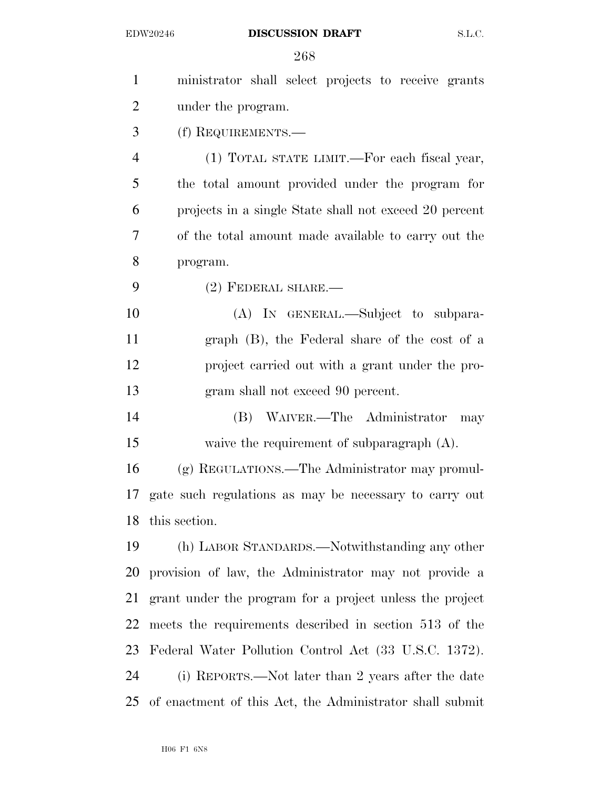| $\mathbf{1}$   | ministrator shall select projects to receive grants      |
|----------------|----------------------------------------------------------|
| $\overline{2}$ | under the program.                                       |
| 3              | (f) REQUIREMENTS.—                                       |
| $\overline{4}$ | (1) TOTAL STATE LIMIT.—For each fiscal year,             |
| 5              | the total amount provided under the program for          |
| 6              | projects in a single State shall not exceed 20 percent   |
| 7              | of the total amount made available to carry out the      |
| 8              | program.                                                 |
| 9              | $(2)$ FEDERAL SHARE.—                                    |
| 10             | (A) IN GENERAL.—Subject to subpara-                      |
| 11             | graph (B), the Federal share of the cost of a            |
| 12             | project carried out with a grant under the pro-          |
| 13             | gram shall not exceed 90 percent.                        |
| 14             | (B) WAIVER.—The Administrator<br>may                     |
| 15             | waive the requirement of subparagraph $(A)$ .            |
| 16             | (g) REGULATIONS.—The Administrator may promul-           |
| 17             | gate such regulations as may be necessary to carry out   |
| 18             | this section.                                            |
| 19             | (h) LABOR STANDARDS.—Notwithstanding any other           |
| 20             | provision of law, the Administrator may not provide a    |
| 21             | grant under the program for a project unless the project |
| 22             | meets the requirements described in section 513 of the   |
| 23             | Federal Water Pollution Control Act (33 U.S.C. 1372).    |
| 24             | (i) REPORTS.—Not later than 2 years after the date       |
| 25             | of enactment of this Act, the Administrator shall submit |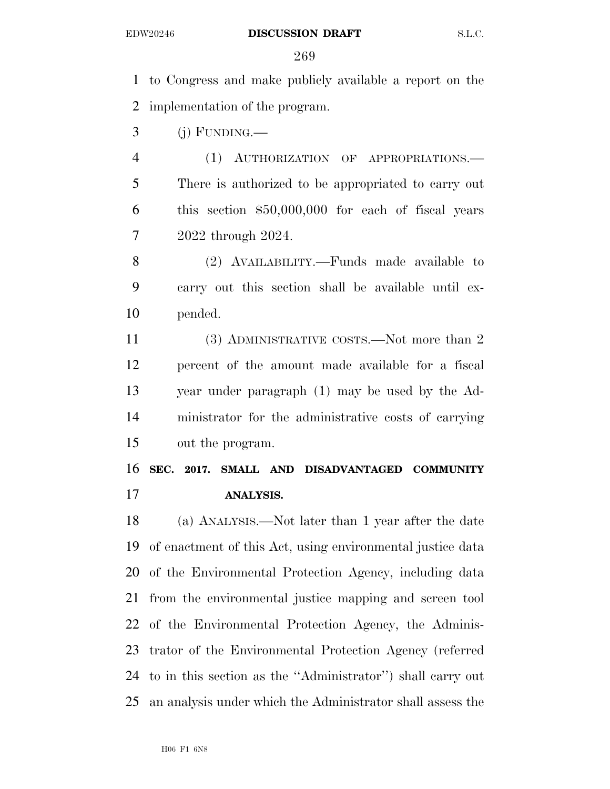to Congress and make publicly available a report on the implementation of the program.

(j) FUNDING.—

 (1) AUTHORIZATION OF APPROPRIATIONS.— There is authorized to be appropriated to carry out this section \$50,000,000 for each of fiscal years 2022 through 2024.

 (2) AVAILABILITY.—Funds made available to carry out this section shall be available until ex-pended.

11 (3) ADMINISTRATIVE COSTS.—Not more than 2 percent of the amount made available for a fiscal year under paragraph (1) may be used by the Ad- ministrator for the administrative costs of carrying out the program.

 **SEC. 2017. SMALL AND DISADVANTAGED COMMUNITY ANALYSIS.** 

 (a) ANALYSIS.—Not later than 1 year after the date of enactment of this Act, using environmental justice data of the Environmental Protection Agency, including data from the environmental justice mapping and screen tool of the Environmental Protection Agency, the Adminis- trator of the Environmental Protection Agency (referred to in this section as the ''Administrator'') shall carry out an analysis under which the Administrator shall assess the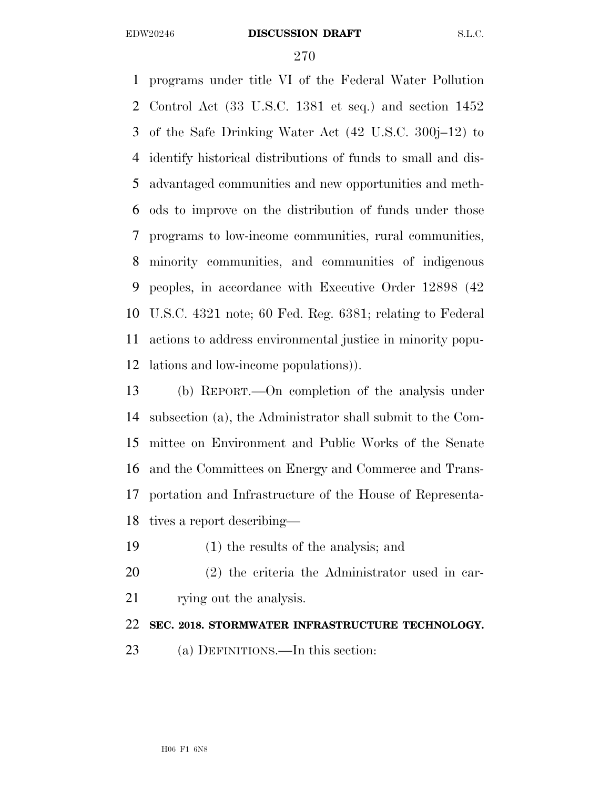programs under title VI of the Federal Water Pollution Control Act (33 U.S.C. 1381 et seq.) and section 1452 of the Safe Drinking Water Act (42 U.S.C. 300j–12) to identify historical distributions of funds to small and dis- advantaged communities and new opportunities and meth- ods to improve on the distribution of funds under those programs to low-income communities, rural communities, minority communities, and communities of indigenous peoples, in accordance with Executive Order 12898 (42 U.S.C. 4321 note; 60 Fed. Reg. 6381; relating to Federal actions to address environmental justice in minority popu-lations and low-income populations)).

 (b) REPORT.—On completion of the analysis under subsection (a), the Administrator shall submit to the Com- mittee on Environment and Public Works of the Senate and the Committees on Energy and Commerce and Trans- portation and Infrastructure of the House of Representa-tives a report describing—

(1) the results of the analysis; and

- (2) the criteria the Administrator used in car-
- 21 rying out the analysis.

## **SEC. 2018. STORMWATER INFRASTRUCTURE TECHNOLOGY.**

(a) DEFINITIONS.—In this section: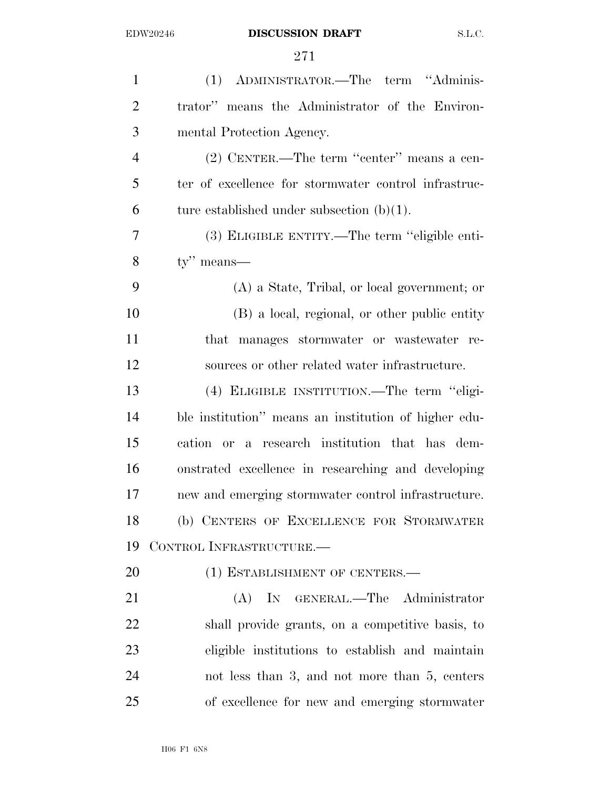| $\mathbf{1}$   | (1) ADMINISTRATOR.—The term "Adminis-                |
|----------------|------------------------------------------------------|
| $\overline{2}$ | trator" means the Administrator of the Environ-      |
| 3              | mental Protection Agency.                            |
| $\overline{4}$ | (2) CENTER.—The term "center" means a cen-           |
| 5              | ter of excellence for stormwater control infrastruc- |
| 6              | ture established under subsection $(b)(1)$ .         |
| 7              | (3) ELIGIBLE ENTITY.—The term "eligible enti-        |
| 8              | $ty''$ means—                                        |
| 9              | $(A)$ a State, Tribal, or local government; or       |
| 10             | (B) a local, regional, or other public entity        |
| 11             | that manages stormwater or wastewater re-            |
| 12             | sources or other related water infrastructure.       |
| 13             | (4) ELIGIBLE INSTITUTION.—The term "eligi-           |
| 14             | ble institution" means an institution of higher edu- |
| 15             | cation or a research institution that has dem-       |
| 16             | onstrated excellence in researching and developing   |
| 17             | new and emerging stormwater control infrastructure.  |
| 18             | (b) CENTERS OF EXCELLENCE FOR STORMWATER             |
| 19             | CONTROL INFRASTRUCTURE.                              |
| 20             | (1) ESTABLISHMENT OF CENTERS.—                       |
| 21             | IN GENERAL.—The Administrator<br>(A)                 |
| 22             | shall provide grants, on a competitive basis, to     |
| 23             | eligible institutions to establish and maintain      |
| 24             | not less than 3, and not more than 5, centers        |
| 25             | of excellence for new and emerging stormwater        |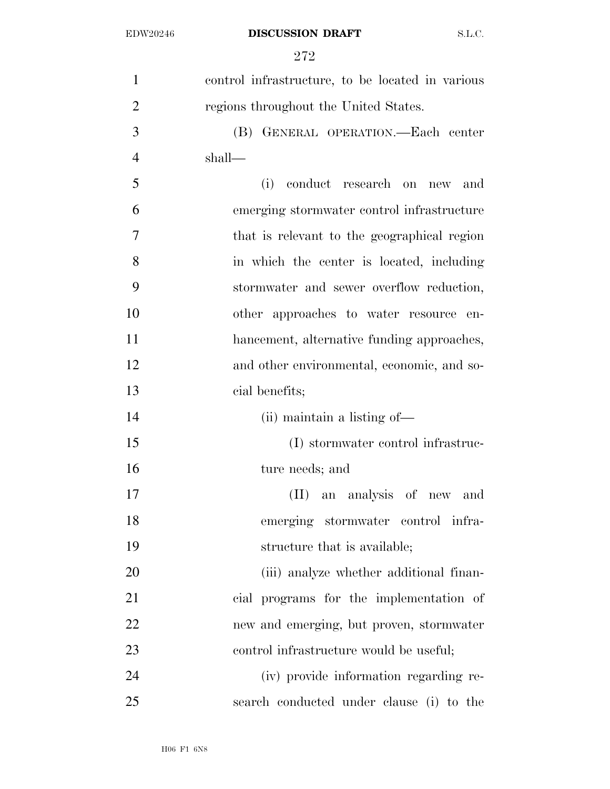| $\mathbf{1}$   | control infrastructure, to be located in various |
|----------------|--------------------------------------------------|
| $\overline{2}$ | regions throughout the United States.            |
| 3              | (B) GENERAL OPERATION.-Each center               |
| $\overline{4}$ | shall—                                           |
| 5              | conduct research on<br>(i)<br>and<br>new         |
| 6              | emerging stormwater control infrastructure       |
| 7              | that is relevant to the geographical region      |
| 8              | in which the center is located, including        |
| 9              | stormwater and sewer overflow reduction,         |
| 10             | other approaches to water resource en-           |
| 11             | hancement, alternative funding approaches,       |
| 12             | and other environmental, economic, and so-       |
| 13             | cial benefits;                                   |
| 14             | (ii) maintain a listing of—                      |
| 15             | (I) stormwater control infrastruc-               |
| 16             | ture needs; and                                  |
| 17             | an analysis of new and<br>(II)                   |
| 18             | emerging stormwater control infra-               |
| 19             | structure that is available;                     |
| 20             | (iii) analyze whether additional finan-          |
| 21             | cial programs for the implementation of          |
| 22             | new and emerging, but proven, stormwater         |
| 23             | control infrastructure would be useful;          |
| 24             | (iv) provide information regarding re-           |
| 25             | search conducted under clause (i) to the         |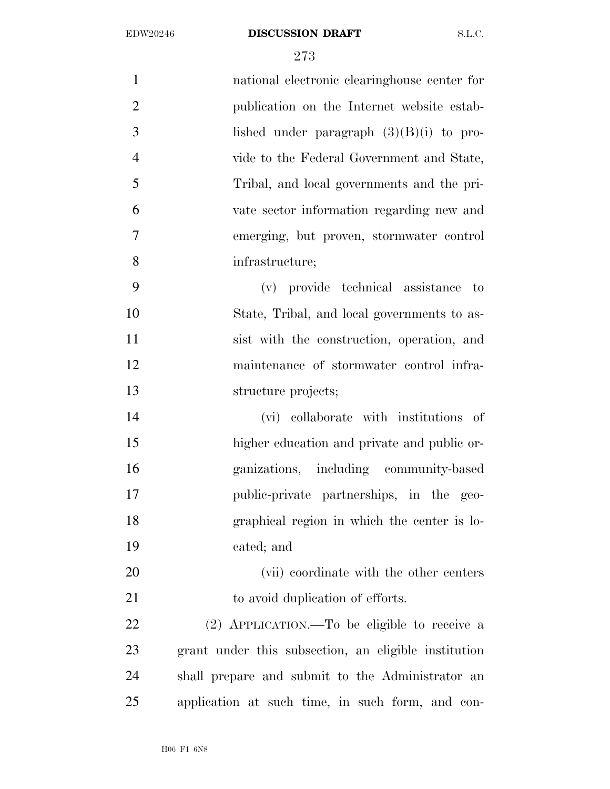| 1              | national electronic clearinghouse center for         |
|----------------|------------------------------------------------------|
| $\overline{2}$ | publication on the Internet website estab-           |
| 3              | lished under paragraph $(3)(B)(i)$ to pro-           |
| $\overline{4}$ | vide to the Federal Government and State,            |
| 5              | Tribal, and local governments and the pri-           |
| 6              | vate sector information regarding new and            |
| 7              | emerging, but proven, stormwater control             |
| 8              | infrastructure;                                      |
| 9              | (v) provide technical assistance to                  |
| 10             | State, Tribal, and local governments to as-          |
| 11             | sist with the construction, operation, and           |
| 12             | maintenance of stormwater control infra-             |
| 13             | structure projects;                                  |
| 14             | (vi) collaborate with institutions of                |
| 15             | higher education and private and public or-          |
| 16             | ganizations, including community-based               |
| 17             | public-private partnerships, in the geo-             |
| 18             | graphical region in which the center is lo-          |
| 19             | cated; and                                           |
| 20             | (vii) coordinate with the other centers              |
| 21             | to avoid duplication of efforts.                     |
| <u>22</u>      | (2) APPLICATION.—To be eligible to receive a         |
| 23             | grant under this subsection, an eligible institution |
| 24             | shall prepare and submit to the Administrator an     |
| 25             | application at such time, in such form, and con-     |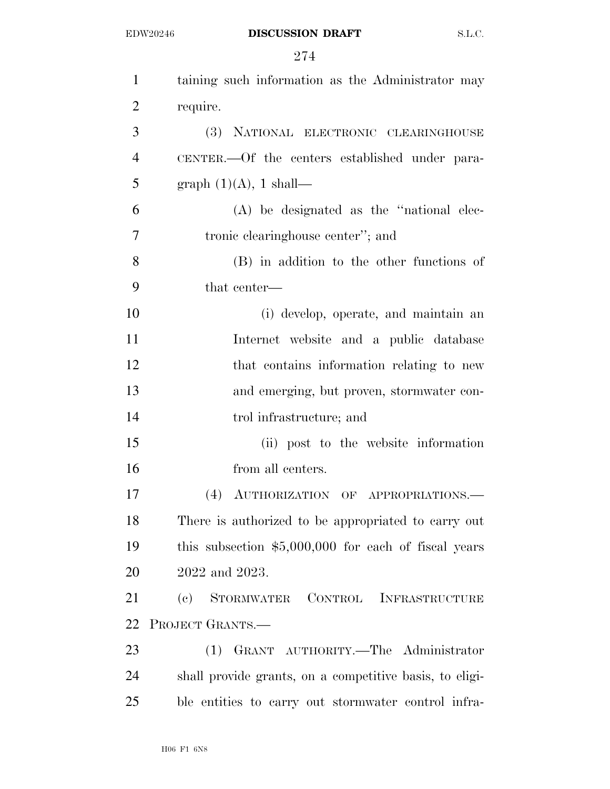| $\mathbf{1}$   | taining such information as the Administrator may       |
|----------------|---------------------------------------------------------|
| $\overline{2}$ | require.                                                |
| 3              | (3) NATIONAL ELECTRONIC CLEARINGHOUSE                   |
| $\overline{4}$ | CENTER. - Of the centers established under para-        |
| 5              | graph $(1)(A)$ , 1 shall—                               |
| 6              | $(A)$ be designated as the "national elec-              |
| $\overline{7}$ | tronic clearinghouse center"; and                       |
| 8              | (B) in addition to the other functions of               |
| 9              | that center—                                            |
| 10             | (i) develop, operate, and maintain an                   |
| 11             | Internet website and a public database                  |
| 12             | that contains information relating to new               |
| 13             | and emerging, but proven, stormwater con-               |
| 14             | trol infrastructure; and                                |
| 15             | (ii) post to the website information                    |
| 16             | from all centers.                                       |
| 17             | (4)<br>AUTHORIZATION OF APPROPRIATIONS.                 |
| 18             | There is authorized to be appropriated to carry out     |
| 19             | this subsection $$5,000,000$ for each of fiscal years   |
| 20             | 2022 and 2023.                                          |
| 21             | (c) STORMWATER CONTROL INFRASTRUCTURE                   |
| 22             | PROJECT GRANTS.                                         |
| 23             | (1) GRANT AUTHORITY.—The Administrator                  |
| 24             | shall provide grants, on a competitive basis, to eligi- |
| 25             | ble entities to carry out stormwater control infra-     |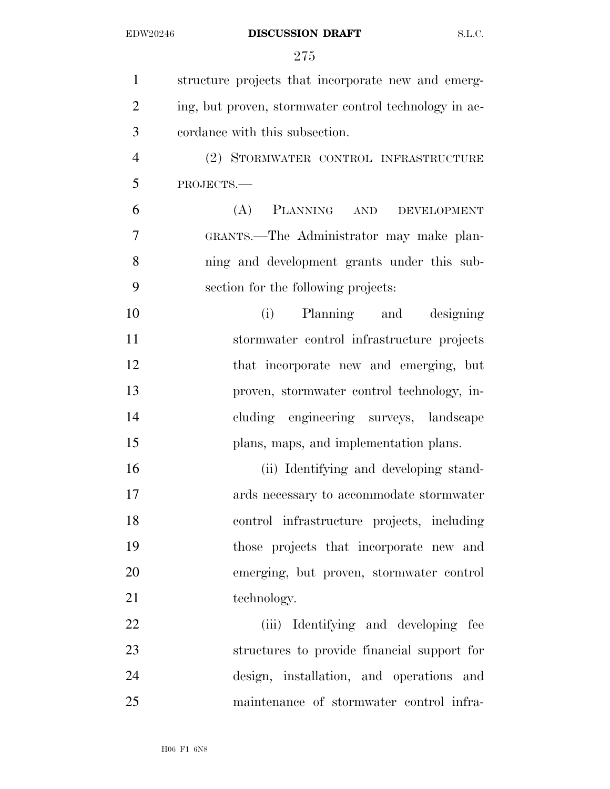| $\mathbf{1}$   | structure projects that incorporate new and emerg-    |
|----------------|-------------------------------------------------------|
| $\overline{2}$ | ing, but proven, stormwater control technology in ac- |
| 3              | cordance with this subsection.                        |
| $\overline{4}$ | (2) STORMWATER CONTROL INFRASTRUCTURE                 |
| 5              | PROJECTS.-                                            |
| 6              | (A)<br>PLANNING AND<br><b>DEVELOPMENT</b>             |
| 7              | GRANTS.—The Administrator may make plan-              |
| 8              | ning and development grants under this sub-           |
| 9              | section for the following projects:                   |
| 10             | Planning and designing<br>(i)                         |
| 11             | stormwater control infrastructure projects            |
| 12             | that incorporate new and emerging, but                |
| 13             | proven, stormwater control technology, in-            |
| 14             | cluding engineering surveys, landscape                |
| 15             | plans, maps, and implementation plans.                |
| 16             | (ii) Identifying and developing stand-                |
| 17             | ards necessary to accommodate stormwater              |
| 18             | control infrastructure projects, including            |
| 19             | those projects that incorporate new and               |
| 20             | emerging, but proven, stormwater control              |
| 21             | technology.                                           |
| 22             | (iii) Identifying and developing fee                  |
| 23             | structures to provide financial support for           |
| 24             | design, installation, and operations and              |
| 25             | maintenance of stormwater control infra-              |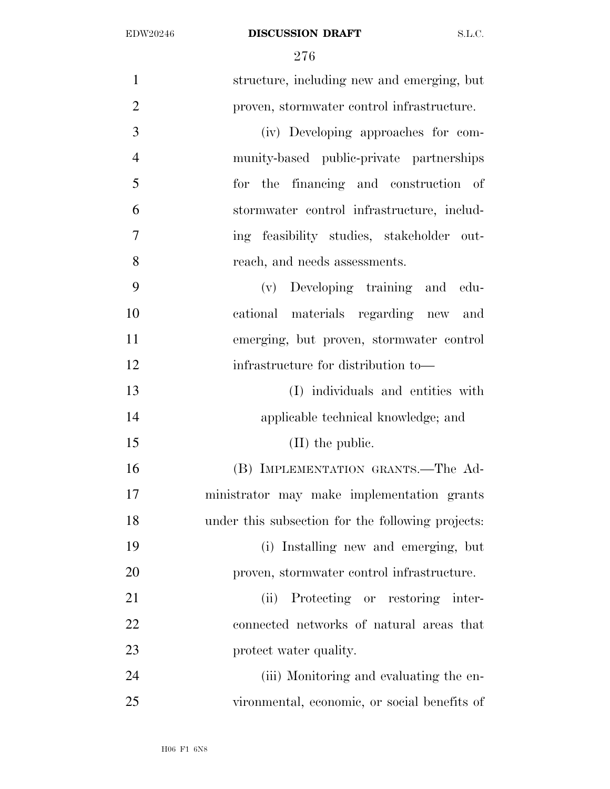| $\mathbf{1}$   | structure, including new and emerging, but        |
|----------------|---------------------------------------------------|
| $\overline{2}$ | proven, stormwater control infrastructure.        |
| 3              | (iv) Developing approaches for com-               |
| $\overline{4}$ | munity-based public-private partnerships          |
| 5              | for the financing and construction of             |
| 6              | stormwater control infrastructure, includ-        |
| $\overline{7}$ | ing feasibility studies, stakeholder out-         |
| 8              | reach, and needs assessments.                     |
| 9              | (v) Developing training and edu-                  |
| 10             | cational materials regarding new and              |
| 11             | emerging, but proven, stormwater control          |
| 12             | infrastructure for distribution to-               |
| 13             | (I) individuals and entities with                 |
| 14             | applicable technical knowledge; and               |
| 15             | $(II)$ the public.                                |
| 16             | (B) IMPLEMENTATION GRANTS.—The Ad-                |
| 17             | ministrator may make implementation grants        |
| 18             | under this subsection for the following projects: |
| 19             | (i) Installing new and emerging, but              |
| 20             | proven, stormwater control infrastructure.        |
| 21             | (ii) Protecting or restoring inter-               |
| 22             | connected networks of natural areas that          |
| 23             | protect water quality.                            |
| 24             | (iii) Monitoring and evaluating the en-           |
| 25             | vironmental, economic, or social benefits of      |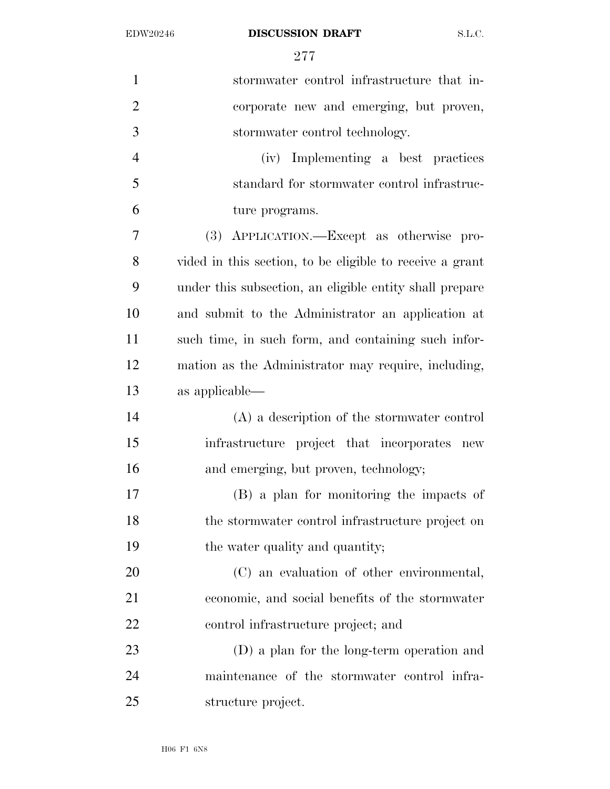| $\mathbf{1}$   | stormwater control infrastructure that in-               |
|----------------|----------------------------------------------------------|
| $\overline{2}$ | corporate new and emerging, but proven,                  |
| 3              | stormwater control technology.                           |
| $\overline{4}$ | (iv) Implementing a best practices                       |
| 5              | standard for stormwater control infrastruc-              |
| 6              | ture programs.                                           |
| 7              | (3) APPLICATION.—Except as otherwise pro-                |
| 8              | vided in this section, to be eligible to receive a grant |
| 9              | under this subsection, an eligible entity shall prepare  |
| 10             | and submit to the Administrator an application at        |
| 11             | such time, in such form, and containing such infor-      |
| 12             | mation as the Administrator may require, including,      |
| 13             | as applicable—                                           |
| 14             | (A) a description of the stormwater control              |
| 15             | infrastructure project that incorporates new             |
| 16             | and emerging, but proven, technology;                    |
| 17             | (B) a plan for monitoring the impacts of                 |
| 18             | the stormwater control infrastructure project on         |
| 19             | the water quality and quantity;                          |
| 20             | (C) an evaluation of other environmental,                |
| 21             | economic, and social benefits of the stormwater          |
| 22             | control infrastructure project; and                      |
| 23             | (D) a plan for the long-term operation and               |
| 24             | maintenance of the stormwater control infra-             |
| 25             | structure project.                                       |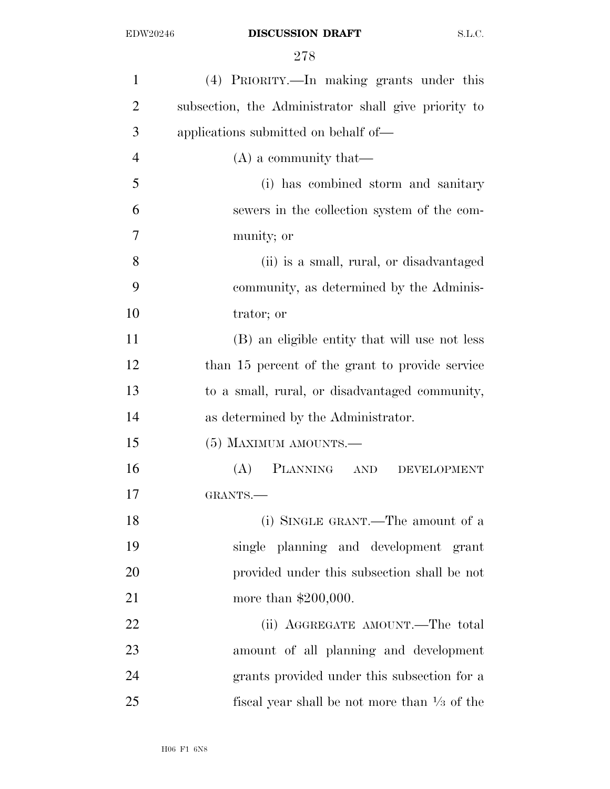| $\mathbf{1}$   | (4) PRIORITY.—In making grants under this               |
|----------------|---------------------------------------------------------|
| $\overline{2}$ | subsection, the Administrator shall give priority to    |
| 3              | applications submitted on behalf of—                    |
| $\overline{4}$ | $(A)$ a community that—                                 |
| 5              | (i) has combined storm and sanitary                     |
| 6              | sewers in the collection system of the com-             |
| 7              | munity; or                                              |
| 8              | (ii) is a small, rural, or disadvantaged                |
| 9              | community, as determined by the Adminis-                |
| 10             | trator; or                                              |
| 11             | (B) an eligible entity that will use not less           |
| 12             | than 15 percent of the grant to provide service         |
| 13             | to a small, rural, or disadvantaged community,          |
| 14             | as determined by the Administrator.                     |
| 15             | (5) MAXIMUM AMOUNTS.—                                   |
| 16             | PLANNING AND<br>(A)<br><b>DEVELOPMENT</b>               |
| 17             | GRANTS.                                                 |
| 18             | (i) SINGLE GRANT.—The amount of a                       |
| 19             | single planning and development grant                   |
| 20             | provided under this subsection shall be not             |
| 21             | more than $$200,000$ .                                  |
| 22             | (ii) AGGREGATE AMOUNT.—The total                        |
| 23             | amount of all planning and development                  |
| 24             | grants provided under this subsection for a             |
| 25             | fiscal year shall be not more than $\frac{1}{3}$ of the |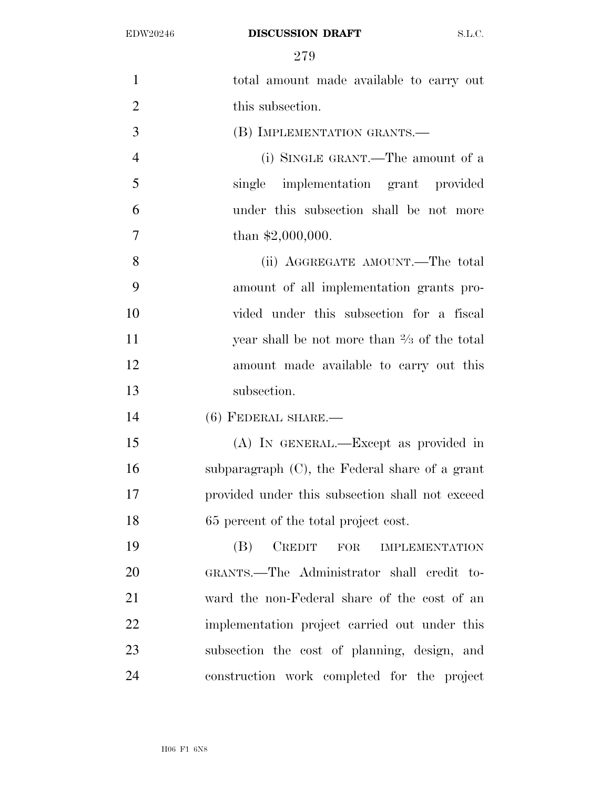| $\mathbf{1}$   | total amount made available to carry out                     |
|----------------|--------------------------------------------------------------|
| $\overline{2}$ | this subsection.                                             |
| 3              | (B) IMPLEMENTATION GRANTS.—                                  |
| $\overline{4}$ | (i) SINGLE GRANT.—The amount of a                            |
| 5              | single implementation grant provided                         |
| 6              | under this subsection shall be not more                      |
| 7              | than $$2,000,000$ .                                          |
| 8              | (ii) AGGREGATE AMOUNT.—The total                             |
| 9              | amount of all implementation grants pro-                     |
| 10             | vided under this subsection for a fiscal                     |
| 11             | year shall be not more than $\frac{2}{3}$ of the total       |
| 12             | amount made available to carry out this                      |
| 13             | subsection.                                                  |
| 14             | $(6)$ FEDERAL SHARE.—                                        |
| 15             | (A) IN GENERAL.—Except as provided in                        |
| 16             | subparagraph $(C)$ , the Federal share of a grant            |
| 17             | provided under this subsection shall not exceed              |
| 18             | 65 percent of the total project cost.                        |
| 19             | <b>CREDIT</b><br>(B)<br>${\rm FOR}$<br><b>IMPLEMENTATION</b> |
| 20             | GRANTS.—The Administrator shall credit to-                   |
| 21             | ward the non-Federal share of the cost of an                 |
| 22             | implementation project carried out under this                |
| 23             | subsection the cost of planning, design, and                 |
| 24             | construction work completed for the project                  |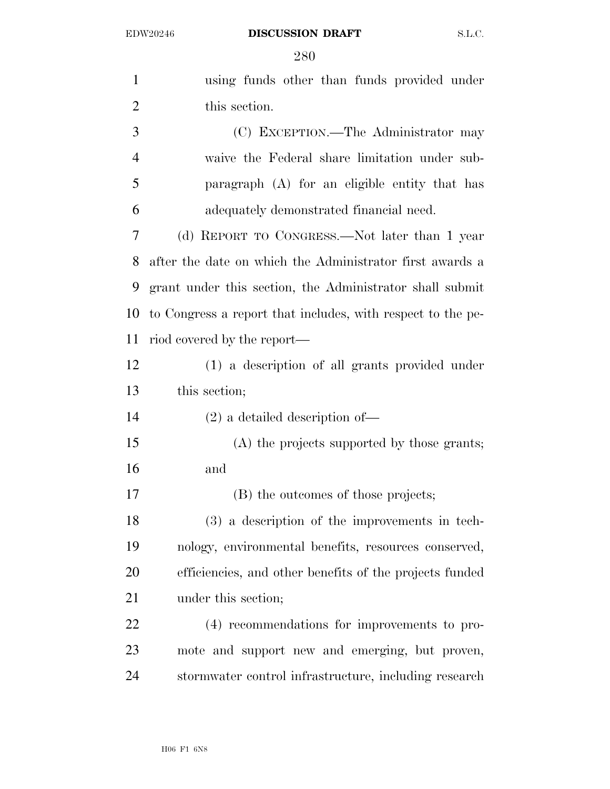| 1              | using funds other than funds provided under                 |
|----------------|-------------------------------------------------------------|
| $\overline{2}$ | this section.                                               |
| 3              | (C) EXCEPTION.—The Administrator may                        |
| $\overline{4}$ | waive the Federal share limitation under sub-               |
| 5              | paragraph (A) for an eligible entity that has               |
| 6              | adequately demonstrated financial need.                     |
| 7              | (d) REPORT TO CONGRESS.—Not later than 1 year               |
| 8              | after the date on which the Administrator first awards a    |
| 9              | grant under this section, the Administrator shall submit    |
| 10             | to Congress a report that includes, with respect to the pe- |
| 11             | riod covered by the report—                                 |
| 12             | (1) a description of all grants provided under              |
| 13             | this section;                                               |
| 14             | $(2)$ a detailed description of —                           |
| 15             | (A) the projects supported by those grants;                 |
| 16             | and                                                         |
| 17             | (B) the outcomes of those projects;                         |
| 18             | $(3)$ a description of the improvements in tech-            |
| 19             | nology, environmental benefits, resources conserved,        |
| 20             | efficiencies, and other benefits of the projects funded     |
| 21             | under this section;                                         |
| 22             | (4) recommendations for improvements to pro-                |
| 23             | mote and support new and emerging, but proven,              |
| 24             | stormwater control infrastructure, including research       |
|                |                                                             |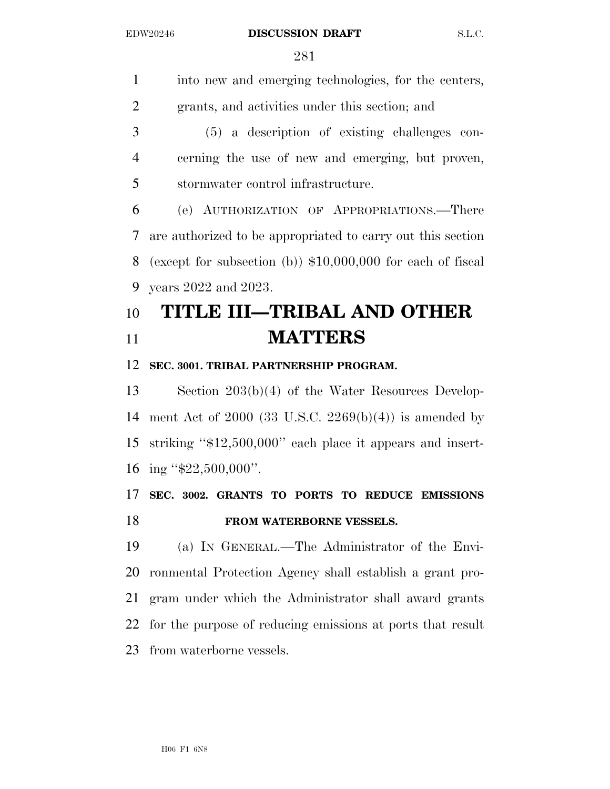into new and emerging technologies, for the centers, grants, and activities under this section; and

 (5) a description of existing challenges con- cerning the use of new and emerging, but proven, stormwater control infrastructure.

 (e) AUTHORIZATION OF APPROPRIATIONS.—There are authorized to be appropriated to carry out this section (except for subsection (b)) \$10,000,000 for each of fiscal years 2022 and 2023.

# **TITLE III—TRIBAL AND OTHER MATTERS**

# **SEC. 3001. TRIBAL PARTNERSHIP PROGRAM.**

 Section 203(b)(4) of the Water Resources Develop- ment Act of 2000 (33 U.S.C. 2269(b)(4)) is amended by striking ''\$12,500,000'' each place it appears and insert-16 ing "\$22,500,000".

 **SEC. 3002. GRANTS TO PORTS TO REDUCE EMISSIONS FROM WATERBORNE VESSELS.** 

 (a) IN GENERAL.—The Administrator of the Envi- ronmental Protection Agency shall establish a grant pro- gram under which the Administrator shall award grants for the purpose of reducing emissions at ports that result from waterborne vessels.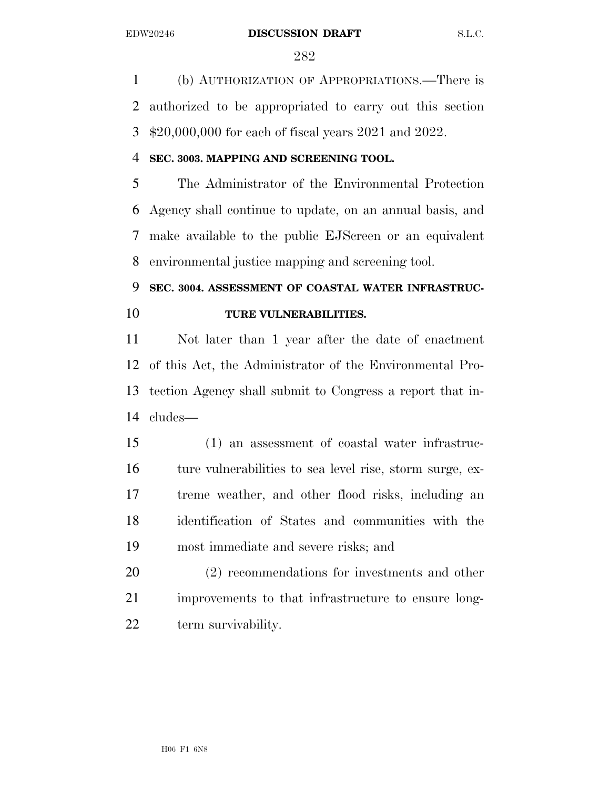(b) AUTHORIZATION OF APPROPRIATIONS.—There is authorized to be appropriated to carry out this section \$20,000,000 for each of fiscal years 2021 and 2022.

# **SEC. 3003. MAPPING AND SCREENING TOOL.**

 The Administrator of the Environmental Protection Agency shall continue to update, on an annual basis, and make available to the public EJScreen or an equivalent environmental justice mapping and screening tool.

# **SEC. 3004. ASSESSMENT OF COASTAL WATER INFRASTRUC-TURE VULNERABILITIES.**

 Not later than 1 year after the date of enactment of this Act, the Administrator of the Environmental Pro- tection Agency shall submit to Congress a report that in-cludes—

 (1) an assessment of coastal water infrastruc- ture vulnerabilities to sea level rise, storm surge, ex- treme weather, and other flood risks, including an identification of States and communities with the most immediate and severe risks; and

 (2) recommendations for investments and other improvements to that infrastructure to ensure long-22 term survivability.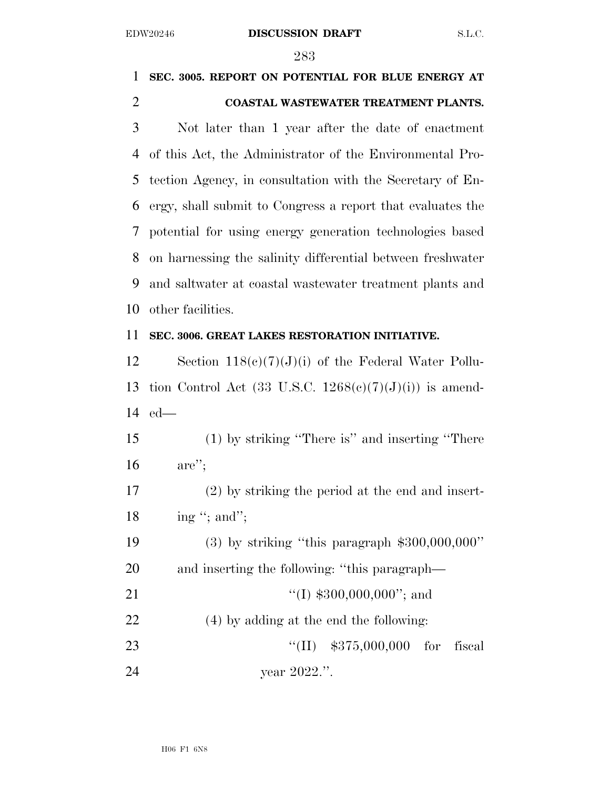# **SEC. 3005. REPORT ON POTENTIAL FOR BLUE ENERGY AT COASTAL WASTEWATER TREATMENT PLANTS.**

 Not later than 1 year after the date of enactment of this Act, the Administrator of the Environmental Pro- tection Agency, in consultation with the Secretary of En- ergy, shall submit to Congress a report that evaluates the potential for using energy generation technologies based on harnessing the salinity differential between freshwater and saltwater at coastal wastewater treatment plants and other facilities.

### **SEC. 3006. GREAT LAKES RESTORATION INITIATIVE.**

 Section 118(c)(7)(J)(i) of the Federal Water Pollu-13 tion Control Act  $(33 \text{ U.S.C. } 1268(e)(7)(J)(i))$  is amend-ed—

 (1) by striking ''There is'' and inserting ''There are'';

 (2) by striking the period at the end and insert-18 ing "; and";

 (3) by striking ''this paragraph \$300,000,000'' and inserting the following: ''this paragraph—  $\text{``(I)} \$300,000,000\text{''}; \text{ and}$  (4) by adding at the end the following: ''(II) \$375,000,000 for fiscal year 2022.''.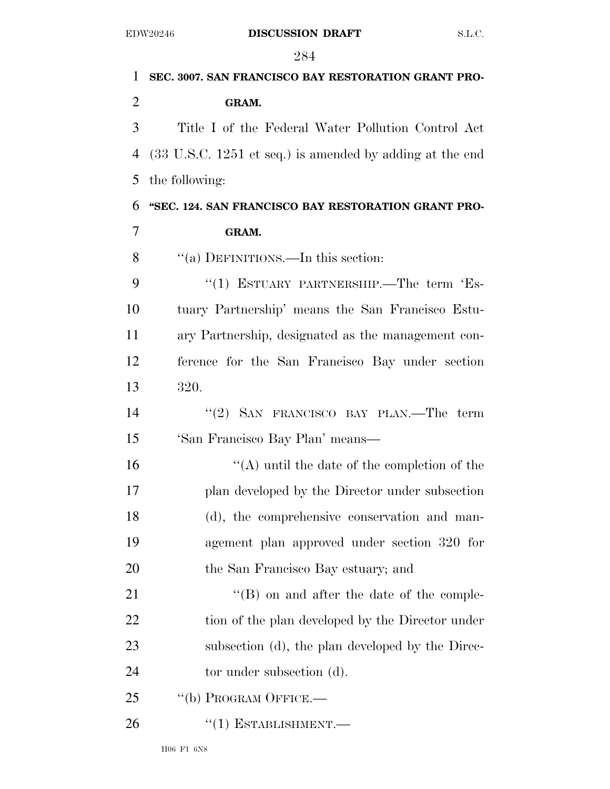| 1              | SEC. 3007. SAN FRANCISCO BAY RESTORATION GRANT PRO-                         |
|----------------|-----------------------------------------------------------------------------|
| $\overline{2}$ | GRAM.                                                                       |
| 3              | Title I of the Federal Water Pollution Control Act                          |
| 4              | $(33 \text{ U.S.C. } 1251 \text{ et seq.})$ is amended by adding at the end |
| 5              | the following:                                                              |
| 6              | "SEC. 124. SAN FRANCISCO BAY RESTORATION GRANT PRO-                         |
| 7              | GRAM.                                                                       |
| 8              | "(a) DEFINITIONS.—In this section:                                          |
| 9              | "(1) ESTUARY PARTNERSHIP.—The term 'Es-                                     |
| 10             | tuary Partnership' means the San Francisco Estu-                            |
| 11             | ary Partnership, designated as the management con-                          |
| 12             | ference for the San Francisco Bay under section                             |
| 13             | 320.                                                                        |
| 14             | "(2) SAN FRANCISCO BAY PLAN.—The term                                       |
| 15             | 'San Francisco Bay Plan' means—                                             |
| 16             | $\lq\lq$ and the date of the completion of the                              |
| 17             | plan developed by the Director under subsection                             |
| 18             | (d), the comprehensive conservation and man-                                |
| 19             | agement plan approved under section 320 for                                 |
| 20             | the San Francisco Bay estuary; and                                          |
| 21             | $\lq\lq (B)$ on and after the date of the comple-                           |
| 22             | tion of the plan developed by the Director under                            |
| 23             | subsection (d), the plan developed by the Direc-                            |
| 24             | tor under subsection (d).                                                   |
| 25             | "(b) PROGRAM OFFICE.—                                                       |
| 26             | $f'(1)$ ESTABLISHMENT.—                                                     |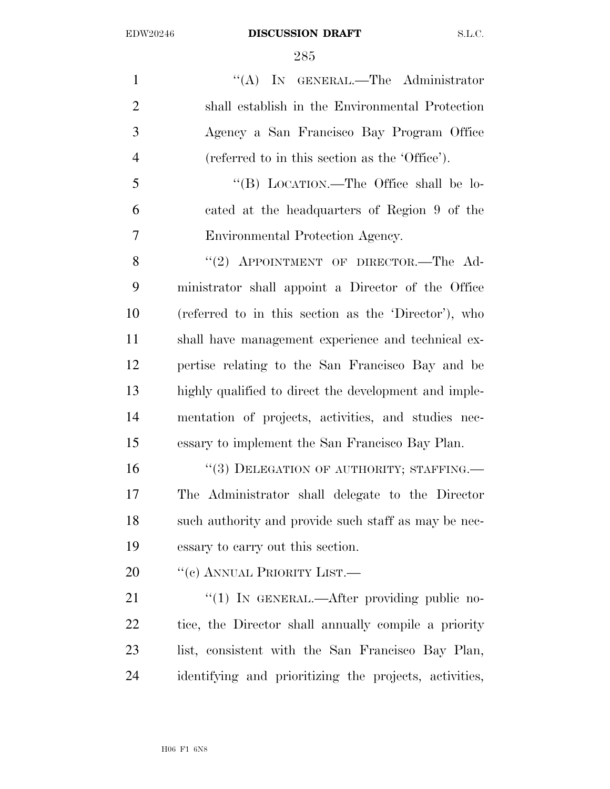1 "'(A) In GENERAL.—The Administrator shall establish in the Environmental Protection Agency a San Francisco Bay Program Office (referred to in this section as the 'Office').

 ''(B) LOCATION.—The Office shall be lo- cated at the headquarters of Region 9 of the Environmental Protection Agency.

8 "(2) APPOINTMENT OF DIRECTOR. The Ad- ministrator shall appoint a Director of the Office (referred to in this section as the 'Director'), who shall have management experience and technical ex- pertise relating to the San Francisco Bay and be highly qualified to direct the development and imple- mentation of projects, activities, and studies nec-essary to implement the San Francisco Bay Plan.

16 "(3) DELEGATION OF AUTHORITY; STAFFING.— The Administrator shall delegate to the Director such authority and provide such staff as may be nec-essary to carry out this section.

20 "(c) ANNUAL PRIORITY LIST.—

21 "(1) In GENERAL.—After providing public no- tice, the Director shall annually compile a priority list, consistent with the San Francisco Bay Plan, identifying and prioritizing the projects, activities,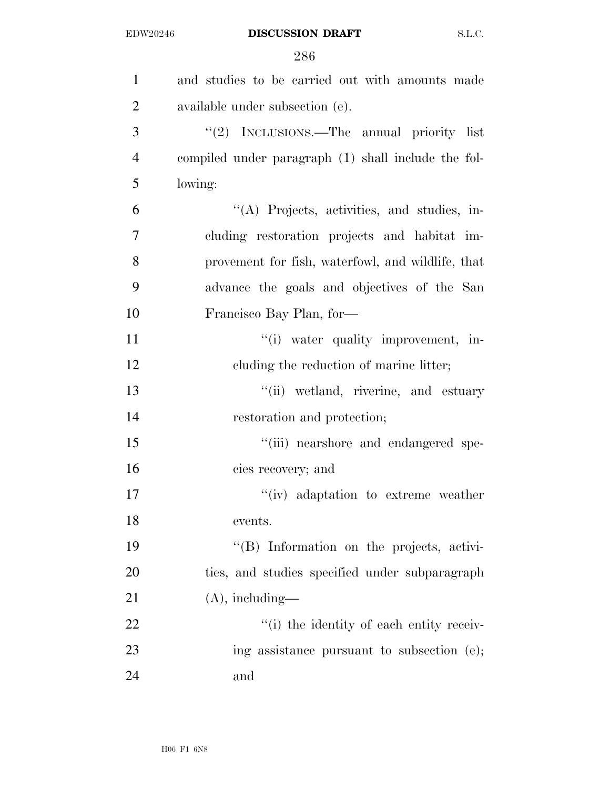| $\mathbf{1}$   | and studies to be carried out with amounts made     |
|----------------|-----------------------------------------------------|
| $\overline{2}$ | available under subsection (e).                     |
| 3              | "(2) INCLUSIONS.—The annual priority list           |
| $\overline{4}$ | compiled under paragraph (1) shall include the fol- |
| 5              | lowing:                                             |
| 6              | "(A) Projects, activities, and studies, in-         |
| 7              | cluding restoration projects and habitat im-        |
| 8              | provement for fish, waterfowl, and wildlife, that   |
| 9              | advance the goals and objectives of the San         |
| 10             | Francisco Bay Plan, for-                            |
| 11             | "(i) water quality improvement, in-                 |
| 12             | cluding the reduction of marine litter;             |
| 13             | "(ii) wetland, riverine, and estuary                |
| 14             | restoration and protection;                         |
| 15             | "(iii) nearshore and endangered spe-                |
| 16             | cies recovery; and                                  |
| 17             | "(iv) adaptation to extreme weather                 |
| 18             | events.                                             |
| 19             | "(B) Information on the projects, activi-           |
| 20             | ties, and studies specified under subparagraph      |
| 21             | $(A)$ , including—                                  |
| 22             | "(i) the identity of each entity receiv-            |
| 23             | ing assistance pursuant to subsection (e);          |
| 24             | and                                                 |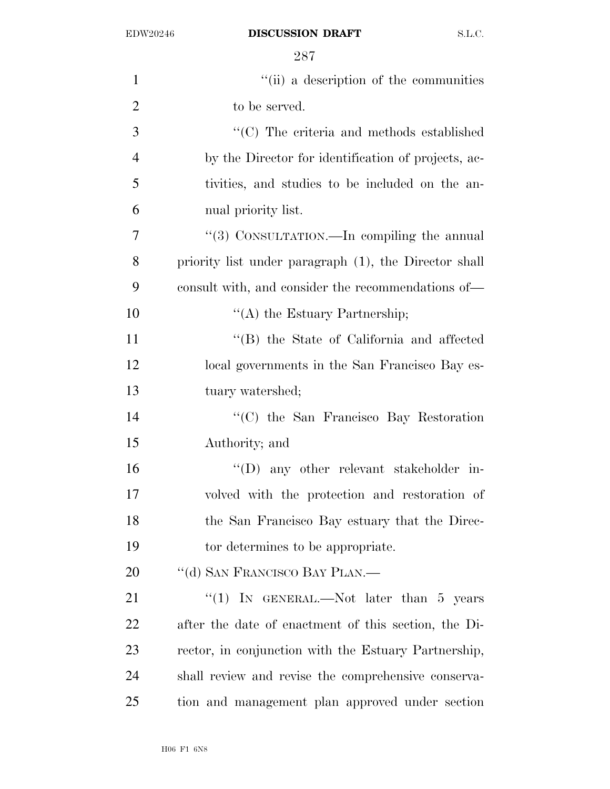| $\mathbf{1}$   | "(ii) a description of the communities                |
|----------------|-------------------------------------------------------|
| $\overline{2}$ | to be served.                                         |
| 3              | "(C) The criteria and methods established             |
| $\overline{4}$ | by the Director for identification of projects, ac-   |
| 5              | tivities, and studies to be included on the an-       |
| 6              | nual priority list.                                   |
| 7              | "(3) CONSULTATION.—In compiling the annual            |
| 8              | priority list under paragraph (1), the Director shall |
| 9              | consult with, and consider the recommendations of—    |
| 10             | $\lq\lq$ the Estuary Partnership;                     |
| 11             | "(B) the State of California and affected             |
| 12             | local governments in the San Francisco Bay es-        |
| 13             | tuary watershed;                                      |
| 14             | $\cdot$ (C) the San Francisco Bay Restoration         |
| 15             | Authority; and                                        |
| 16             | $\lq\lq$ any other relevant stakeholder in-           |
| 17             | volved with the protection and restoration of         |
| 18             | the San Francisco Bay estuary that the Direc-         |
| 19             | tor determines to be appropriate.                     |
| 20             | "(d) SAN FRANCISCO BAY PLAN.—                         |
| 21             | "(1) IN GENERAL.—Not later than $5$ years             |
| 22             | after the date of enactment of this section, the Di-  |
| 23             | rector, in conjunction with the Estuary Partnership,  |
| 24             | shall review and revise the comprehensive conserva-   |
| 25             | tion and management plan approved under section       |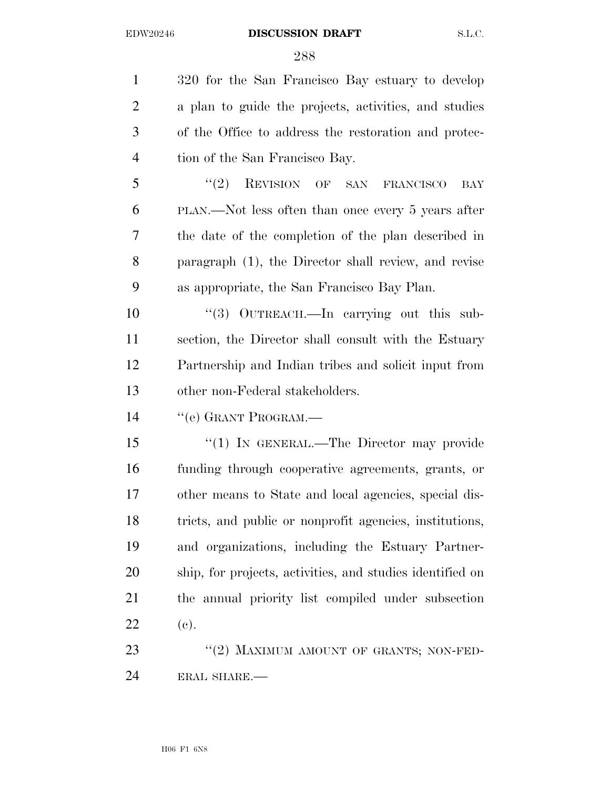320 for the San Francisco Bay estuary to develop a plan to guide the projects, activities, and studies of the Office to address the restoration and protec- tion of the San Francisco Bay. 5 "(2) REVISION OF SAN FRANCISCO BAY PLAN.—Not less often than once every 5 years after the date of the completion of the plan described in paragraph (1), the Director shall review, and revise as appropriate, the San Francisco Bay Plan. 10 "(3) OUTREACH.—In carrying out this sub- section, the Director shall consult with the Estuary Partnership and Indian tribes and solicit input from other non-Federal stakeholders. 14 "(e) GRANT PROGRAM.— 15 "(1) IN GENERAL.—The Director may provide

 funding through cooperative agreements, grants, or other means to State and local agencies, special dis- tricts, and public or nonprofit agencies, institutions, and organizations, including the Estuary Partner- ship, for projects, activities, and studies identified on the annual priority list compiled under subsection (c).

23 "(2) MAXIMUM AMOUNT OF GRANTS; NON-FED-ERAL SHARE.—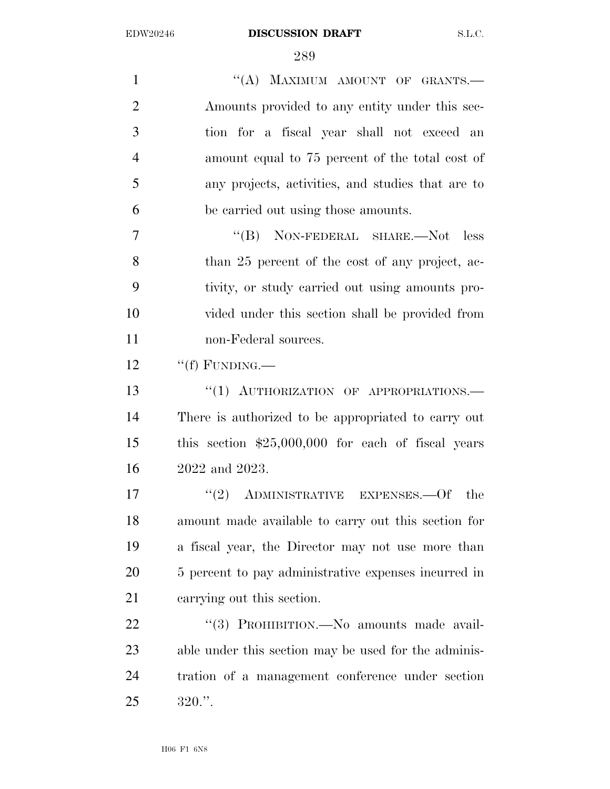1 "(A) MAXIMUM AMOUNT OF GRANTS.— Amounts provided to any entity under this sec- tion for a fiscal year shall not exceed an amount equal to 75 percent of the total cost of any projects, activities, and studies that are to be carried out using those amounts. 7 "'(B) NON-FEDERAL SHARE.—Not less 8 than 25 percent of the cost of any project, ac- tivity, or study carried out using amounts pro- vided under this section shall be provided from non-Federal sources.

 $12 \qquad \text{``(f) FUNDING.}$ 

13 "(1) AUTHORIZATION OF APPROPRIATIONS.— There is authorized to be appropriated to carry out this section \$25,000,000 for each of fiscal years 2022 and 2023.

 $(2)$  ADMINISTRATIVE EXPENSES. Of the amount made available to carry out this section for a fiscal year, the Director may not use more than 5 percent to pay administrative expenses incurred in carrying out this section.

22 "(3) PROHIBITION.—No amounts made avail- able under this section may be used for the adminis- tration of a management conference under section 320.''.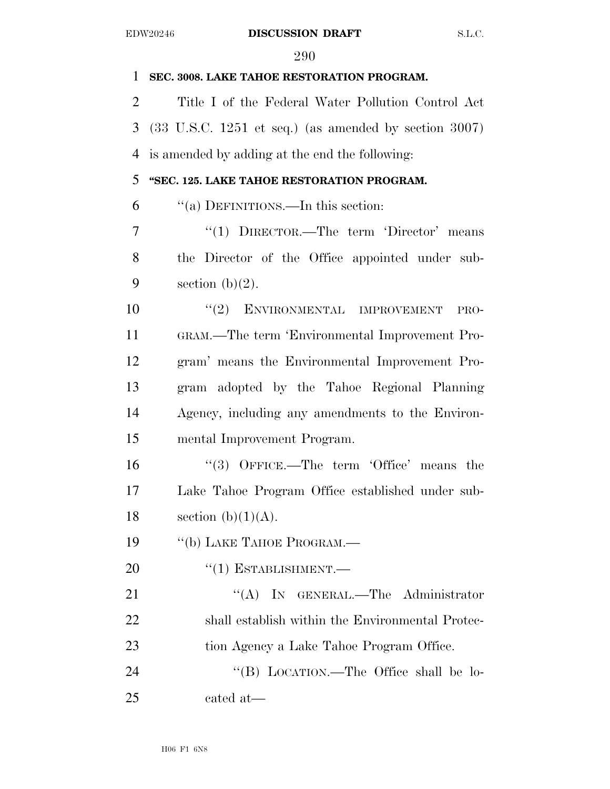| 1              | SEC. 3008. LAKE TAHOE RESTORATION PROGRAM.                               |
|----------------|--------------------------------------------------------------------------|
| $\overline{2}$ | Title I of the Federal Water Pollution Control Act                       |
| 3              | $(33 \text{ U.S.C. } 1251 \text{ et seq.})$ (as amended by section 3007) |
| 4              | is amended by adding at the end the following:                           |
| 5              | "SEC. 125. LAKE TAHOE RESTORATION PROGRAM.                               |
| 6              | "(a) DEFINITIONS.—In this section:                                       |
| 7              | "(1) $DIRECTOR$ .—The term 'Director' means                              |
| 8              | the Director of the Office appointed under sub-                          |
| 9              | section $(b)(2)$ .                                                       |
| 10             | "(2) ENVIRONMENTAL IMPROVEMENT<br>PRO-                                   |
| 11             | GRAM.—The term 'Environmental Improvement Pro-                           |
| 12             | gram' means the Environmental Improvement Pro-                           |
| 13             | gram adopted by the Tahoe Regional Planning                              |
| 14             | Agency, including any amendments to the Environ-                         |
| 15             | mental Improvement Program.                                              |
| 16             | $(3)$ OFFICE.—The term 'Office' means the                                |
| 17             | Lake Tahoe Program Office established under sub-                         |
| 18             | section $(b)(1)(A)$ .                                                    |
| 19             | "(b) LAKE TAHOE PROGRAM.-                                                |
| <b>20</b>      | $``(1)$ ESTABLISHMENT.—                                                  |
| 21             | "(A) IN GENERAL.—The Administrator                                       |
| 22             | shall establish within the Environmental Protec-                         |
| 23             | tion Agency a Lake Tahoe Program Office.                                 |
| 24             | "(B) LOCATION.—The Office shall be lo-                                   |
| 25             | cated at-                                                                |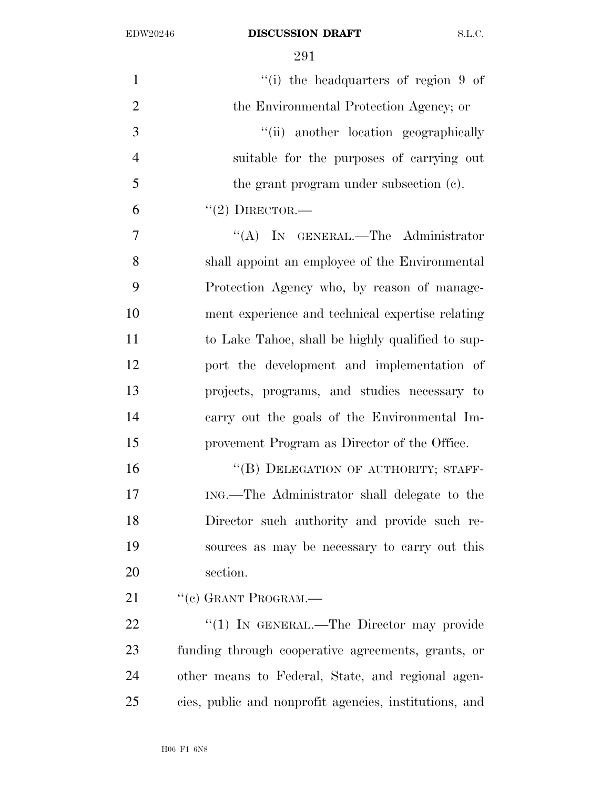| $\mathbf{1}$   | "(i) the headquarters of region 9 of                   |
|----------------|--------------------------------------------------------|
| $\overline{2}$ | the Environmental Protection Agency; or                |
| 3              | "(ii) another location geographically                  |
| $\overline{4}$ | suitable for the purposes of carrying out              |
| 5              | the grant program under subsection (c).                |
| 6              | $"(2)$ DIRECTOR.—                                      |
| 7              | "(A) IN GENERAL.—The Administrator                     |
| 8              | shall appoint an employee of the Environmental         |
| 9              | Protection Agency who, by reason of manage-            |
| 10             | ment experience and technical expertise relating       |
| 11             | to Lake Tahoe, shall be highly qualified to sup-       |
| 12             | port the development and implementation of             |
| 13             | projects, programs, and studies necessary to           |
| 14             | carry out the goals of the Environmental Im-           |
| 15             | provement Program as Director of the Office.           |
| 16             | "(B) DELEGATION OF AUTHORITY; STAFF-                   |
| 17             | ING.—The Administrator shall delegate to the           |
| 18             | Director such authority and provide such re-           |
| 19             | sources as may be necessary to carry out this          |
| 20             | section.                                               |
| 21             | $``(c)$ GRANT PROGRAM.—                                |
| 22             | "(1) IN GENERAL.—The Director may provide              |
| 23             | funding through cooperative agreements, grants, or     |
| 24             | other means to Federal, State, and regional agen-      |
| 25             | cies, public and nonprofit agencies, institutions, and |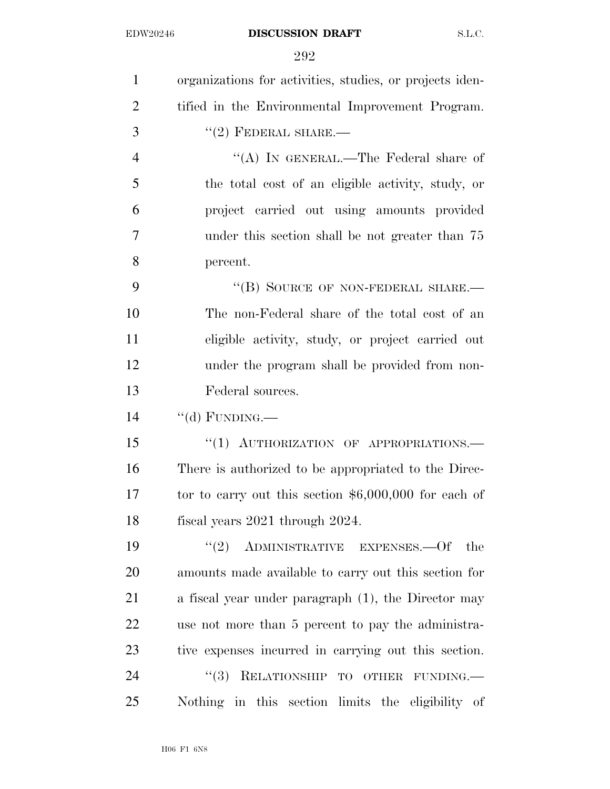| $\mathbf{1}$   | organizations for activities, studies, or projects iden- |
|----------------|----------------------------------------------------------|
| $\overline{2}$ | tified in the Environmental Improvement Program.         |
| 3              | $"(2)$ FEDERAL SHARE.—                                   |
| $\overline{4}$ | "(A) IN GENERAL.—The Federal share of                    |
| 5              | the total cost of an eligible activity, study, or        |
| 6              | project carried out using amounts provided               |
| 7              | under this section shall be not greater than 75          |
| 8              | percent.                                                 |
| 9              | "(B) SOURCE OF NON-FEDERAL SHARE.-                       |
| 10             | The non-Federal share of the total cost of an            |
| 11             | eligible activity, study, or project carried out         |
| 12             | under the program shall be provided from non-            |
| 13             | Federal sources.                                         |
| 14             | "(d) FUNDING.—                                           |
| 15             | "(1) AUTHORIZATION OF APPROPRIATIONS.-                   |
| 16             | There is authorized to be appropriated to the Direc-     |
| 17             | tor to carry out this section $$6,000,000$ for each of   |
| 18             | fiscal years 2021 through 2024.                          |
| 19             | $(2)$ ADMINISTRATIVE EXPENSES. - Of the                  |
| 20             | amounts made available to carry out this section for     |
| 21             | a fiscal year under paragraph (1), the Director may      |
| 22             | use not more than 5 percent to pay the administra-       |
| 23             | tive expenses incurred in carrying out this section.     |
| 24             | "(3) RELATIONSHIP TO OTHER FUNDING.                      |
| 25             | Nothing in this section limits the eligibility of        |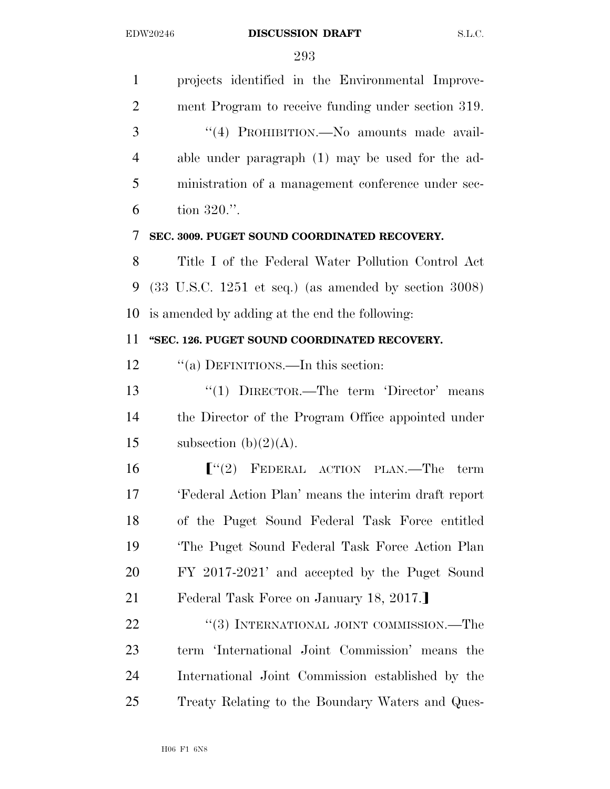projects identified in the Environmental Improve- ment Program to receive funding under section 319. 3 "(4) PROHIBITION.—No amounts made avail- able under paragraph (1) may be used for the ad- ministration of a management conference under sec- tion 320.''. **SEC. 3009. PUGET SOUND COORDINATED RECOVERY.**  Title I of the Federal Water Pollution Control Act (33 U.S.C. 1251 et seq.) (as amended by section 3008) is amended by adding at the end the following: **''SEC. 126. PUGET SOUND COORDINATED RECOVERY.**  12 "(a) DEFINITIONS.—In this section: ''(1) DIRECTOR.—The term 'Director' means the Director of the Program Office appointed under 15 subsection  $(b)(2)(A)$ . **F**<sup>"</sup>(2) FEDERAL ACTION PLAN.—The term 'Federal Action Plan' means the interim draft report of the Puget Sound Federal Task Force entitled 'The Puget Sound Federal Task Force Action Plan FY 2017-2021' and accepted by the Puget Sound 21 Federal Task Force on January 18, 2017. 22 "(3) INTERNATIONAL JOINT COMMISSION.—The term 'International Joint Commission' means the International Joint Commission established by the Treaty Relating to the Boundary Waters and Ques-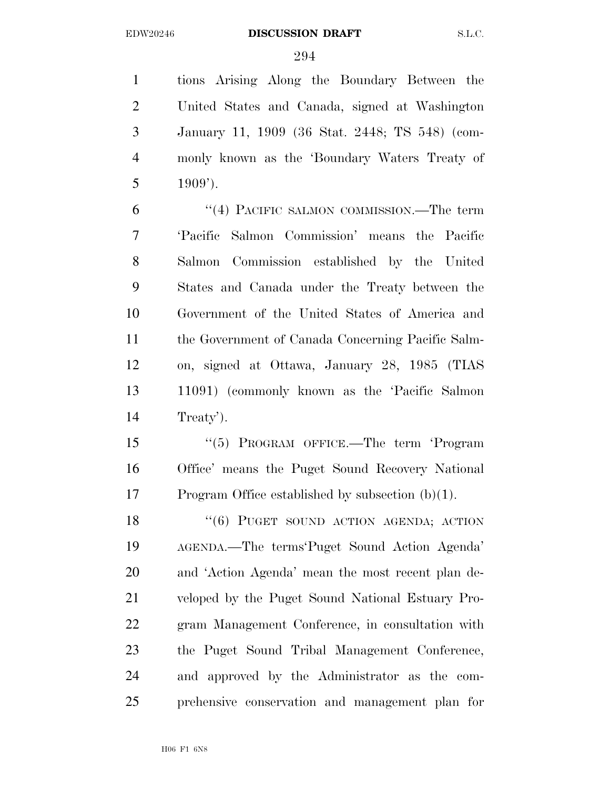tions Arising Along the Boundary Between the United States and Canada, signed at Washington January 11, 1909 (36 Stat. 2448; TS 548) (com- monly known as the 'Boundary Waters Treaty of 5  $1909'$ ).

 ''(4) PACIFIC SALMON COMMISSION.—The term 'Pacific Salmon Commission' means the Pacific Salmon Commission established by the United States and Canada under the Treaty between the Government of the United States of America and the Government of Canada Concerning Pacific Salm- on, signed at Ottawa, January 28, 1985 (TIAS 11091) (commonly known as the 'Pacific Salmon Treaty').

15 "(5) PROGRAM OFFICE.—The term 'Program Office' means the Puget Sound Recovery National Program Office established by subsection (b)(1).

18 "(6) PUGET SOUND ACTION AGENDA; ACTION AGENDA.—The terms'Puget Sound Action Agenda' and 'Action Agenda' mean the most recent plan de- veloped by the Puget Sound National Estuary Pro- gram Management Conference, in consultation with the Puget Sound Tribal Management Conference, and approved by the Administrator as the com-prehensive conservation and management plan for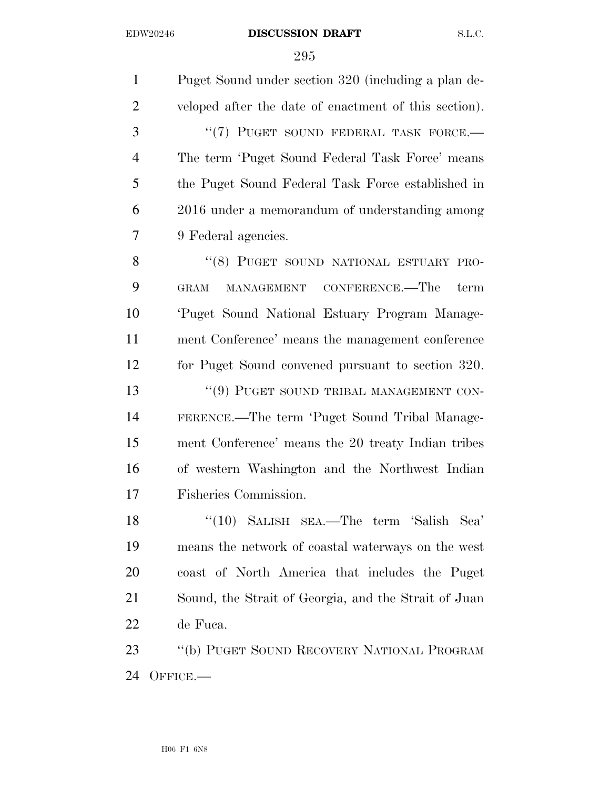Puget Sound under section 320 (including a plan de- veloped after the date of enactment of this section). 3 "(7) PUGET SOUND FEDERAL TASK FORCE.— The term 'Puget Sound Federal Task Force' means the Puget Sound Federal Task Force established in 2016 under a memorandum of understanding among 9 Federal agencies. 8 "(8) PUGET SOUND NATIONAL ESTUARY PRO- GRAM MANAGEMENT CONFERENCE.—The term 'Puget Sound National Estuary Program Manage- ment Conference' means the management conference for Puget Sound convened pursuant to section 320. 13 "(9) PUGET SOUND TRIBAL MANAGEMENT CON-FERENCE.—The term 'Puget Sound Tribal Manage-

 ment Conference' means the 20 treaty Indian tribes of western Washington and the Northwest Indian Fisheries Commission. ''(10) SALISH SEA.—The term 'Salish Sea'

 means the network of coastal waterways on the west coast of North America that includes the Puget Sound, the Strait of Georgia, and the Strait of Juan de Fuca.

 ''(b) PUGET SOUND RECOVERY NATIONAL PROGRAM OFFICE.—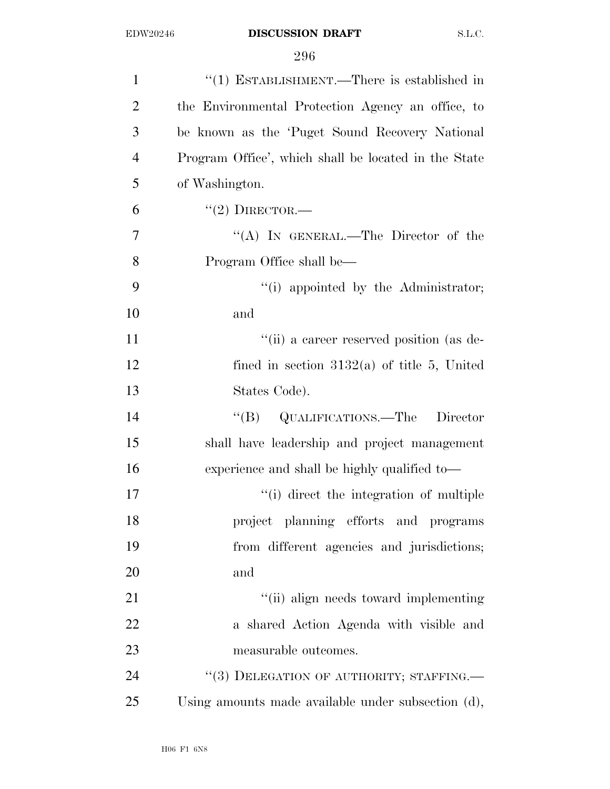| $\mathbf{1}$   | $\lq(1)$ ESTABLISHMENT.—There is established in      |
|----------------|------------------------------------------------------|
| $\overline{2}$ | the Environmental Protection Agency an office, to    |
| 3              | be known as the 'Puget Sound Recovery National       |
| $\overline{4}$ | Program Office', which shall be located in the State |
| 5              | of Washington.                                       |
| 6              | $``(2)$ DIRECTOR.—                                   |
| 7              | "(A) IN GENERAL.—The Director of the                 |
| 8              | Program Office shall be—                             |
| 9              | "(i) appointed by the Administrator;                 |
| 10             | and                                                  |
| 11             | "(ii) a career reserved position (as de-             |
| 12             | fined in section $3132(a)$ of title 5, United        |
| 13             | States Code).                                        |
| 14             | "(B) QUALIFICATIONS.—The<br>Director                 |
| 15             | shall have leadership and project management         |
| 16             | experience and shall be highly qualified to—         |
| 17             | "(i) direct the integration of multiple              |
| 18             | project planning efforts and programs                |
| 19             | from different agencies and jurisdictions;           |
| 20             | and                                                  |
| 21             | "(ii) align needs toward implementing                |
| 22             | a shared Action Agenda with visible and              |
| 23             | measurable outcomes.                                 |
| 24             | "(3) DELEGATION OF AUTHORITY; STAFFING.—             |
| 25             | Using amounts made available under subsection (d),   |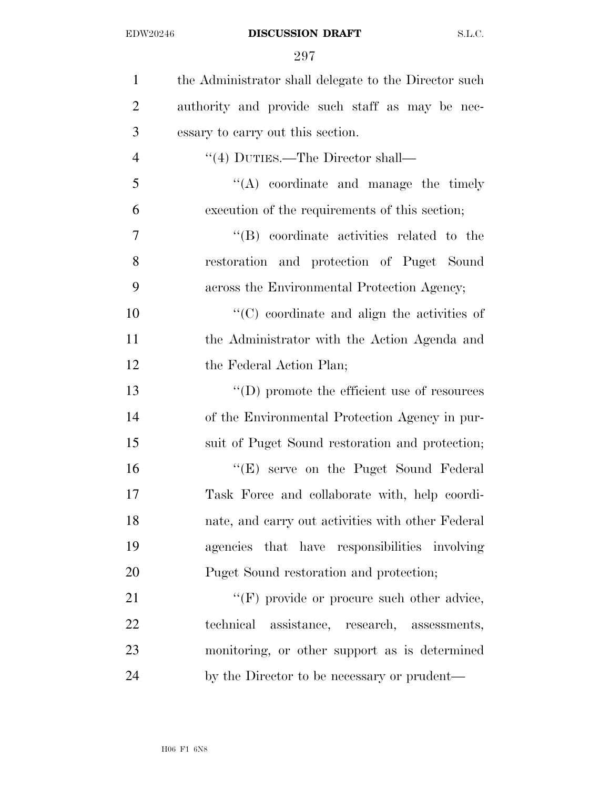| $\mathbf{1}$   | the Administrator shall delegate to the Director such |
|----------------|-------------------------------------------------------|
| $\overline{2}$ | authority and provide such staff as may be nec-       |
| 3              | essary to carry out this section.                     |
| $\overline{4}$ | "(4) DUTIES.—The Director shall—                      |
| 5              | $\lq\lq$ coordinate and manage the timely             |
| 6              | execution of the requirements of this section;        |
| 7              | $\lq\lq$ coordinate activities related to the         |
| 8              | restoration and protection of Puget Sound             |
| 9              | across the Environmental Protection Agency;           |
| 10             | $\cdot$ (C) coordinate and align the activities of    |
| 11             | the Administrator with the Action Agenda and          |
| 12             | the Federal Action Plan;                              |
| 13             | $\lq\lq$ (D) promote the efficient use of resources   |
| 14             | of the Environmental Protection Agency in pur-        |
| 15             | suit of Puget Sound restoration and protection;       |
| 16             | "(E) serve on the Puget Sound Federal                 |
| 17             | Task Force and collaborate with, help coordi-         |
| 18             | nate, and carry out activities with other Federal     |
| 19             | agencies that have responsibilities involving         |
| 20             | Puget Sound restoration and protection;               |
| 21             | "(F) provide or procure such other advice,            |
| 22             | technical<br>assistance, research, assessments,       |
| 23             | monitoring, or other support as is determined         |
| 24             | by the Director to be necessary or prudent—           |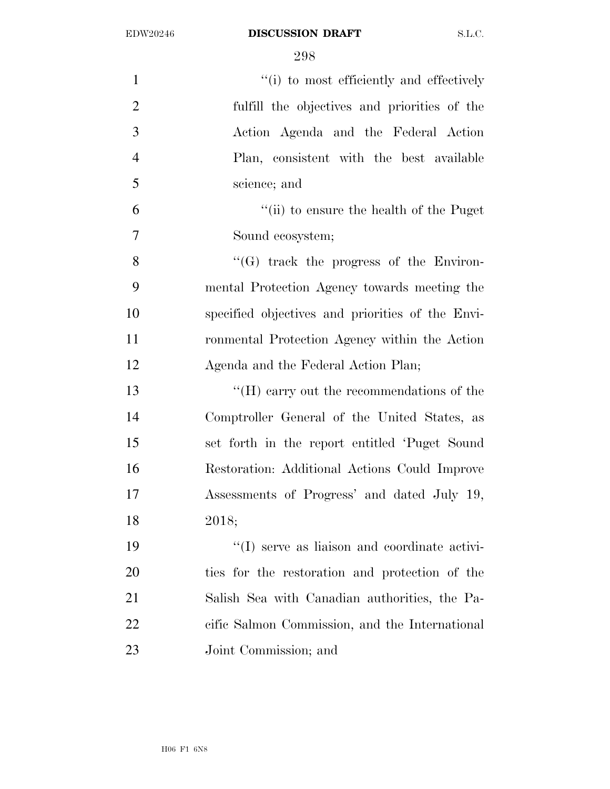| $\mathbf{1}$   | "(i) to most efficiently and effectively                       |
|----------------|----------------------------------------------------------------|
| $\overline{2}$ | fulfill the objectives and priorities of the                   |
| 3              | Action Agenda and the Federal Action                           |
| $\overline{4}$ | Plan, consistent with the best available                       |
| 5              | science; and                                                   |
| 6              | "(ii) to ensure the health of the Puget                        |
| $\tau$         | Sound ecosystem;                                               |
| 8              | $\lq\lq(G)$ track the progress of the Environ-                 |
| 9              | mental Protection Agency towards meeting the                   |
| 10             | specified objectives and priorities of the Envi-               |
| 11             | ronmental Protection Agency within the Action                  |
| 12             | Agenda and the Federal Action Plan;                            |
| 13             | $\rm ^{\prime \prime}(H)$ carry out the recommendations of the |
| 14             | Comptroller General of the United States, as                   |
| 15             | set forth in the report entitled 'Puget Sound                  |
| 16             | Restoration: Additional Actions Could Improve                  |
| 17             | Assessments of Progress' and dated July 19,                    |
| 18             | 2018;                                                          |
| 19             | "(I) serve as liaison and coordinate activi-                   |
| 20             | ties for the restoration and protection of the                 |
| 21             | Salish Sea with Canadian authorities, the Pa-                  |
| 22             | cific Salmon Commission, and the International                 |
| 23             | Joint Commission; and                                          |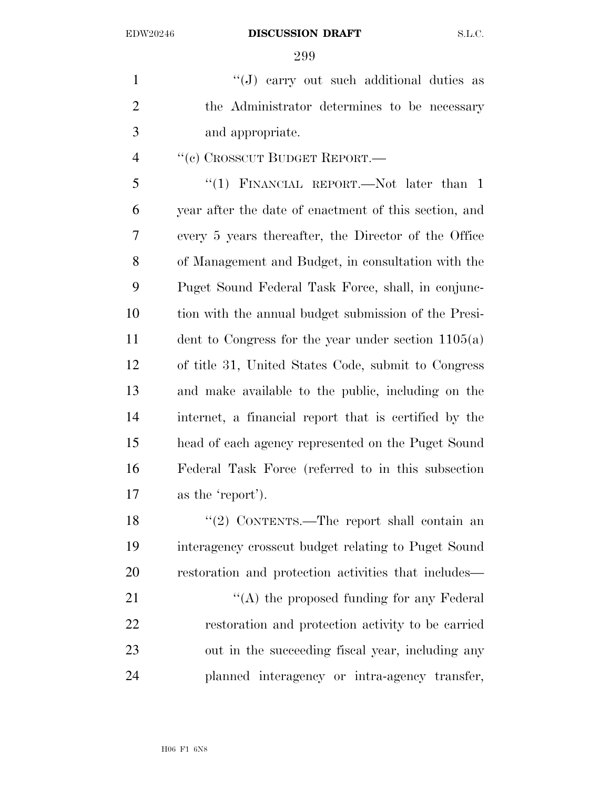1 ''(J) carry out such additional duties as the Administrator determines to be necessary and appropriate.

4 "(c) CROSSCUT BUDGET REPORT.—

5 "(1) FINANCIAL REPORT.—Not later than 1 year after the date of enactment of this section, and every 5 years thereafter, the Director of the Office of Management and Budget, in consultation with the Puget Sound Federal Task Force, shall, in conjunc- tion with the annual budget submission of the Presi- dent to Congress for the year under section 1105(a) of title 31, United States Code, submit to Congress and make available to the public, including on the internet, a financial report that is certified by the head of each agency represented on the Puget Sound Federal Task Force (referred to in this subsection as the 'report').

18 "(2) CONTENTS.—The report shall contain an interagency crosscut budget relating to Puget Sound restoration and protection activities that includes—

21 ''(A) the proposed funding for any Federal restoration and protection activity to be carried out in the succeeding fiscal year, including any planned interagency or intra-agency transfer,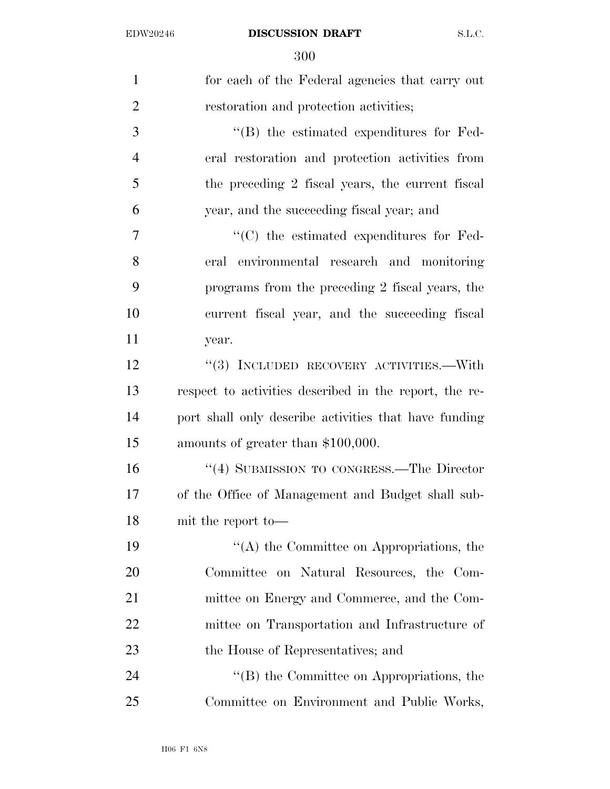| $\mathbf{1}$   | for each of the Federal agencies that carry out        |
|----------------|--------------------------------------------------------|
| $\overline{2}$ | restoration and protection activities;                 |
| 3              | $\lq\lq$ the estimated expenditures for Fed-           |
| $\overline{4}$ | eral restoration and protection activities from        |
| 5              | the preceding 2 fiscal years, the current fiscal       |
| 6              | year, and the succeeding fiscal year; and              |
| 7              | $\cdot$ (C) the estimated expenditures for Fed-        |
| 8              | eral environmental research and monitoring             |
| 9              | programs from the preceding 2 fiscal years, the        |
| 10             | current fiscal year, and the succeeding fiscal         |
| 11             | year.                                                  |
| 12             | $``(3)$ INCLUDED RECOVERY ACTIVITIES.—With             |
| 13             | respect to activities described in the report, the re- |
| 14             | port shall only describe activities that have funding  |
| 15             | amounts of greater than \$100,000.                     |
| 16             | "(4) SUBMISSION TO CONGRESS.—The Director              |
| 17             | of the Office of Management and Budget shall sub-      |
| 18             | mit the report to-                                     |
| 19             | "(A) the Committee on Appropriations, the              |
| 20             | Committee on Natural Resources, the Com-               |
| 21             | mittee on Energy and Commerce, and the Com-            |
| 22             | mittee on Transportation and Infrastructure of         |
| 23             | the House of Representatives; and                      |
| 24             | "(B) the Committee on Appropriations, the              |
| 25             | Committee on Environment and Public Works,             |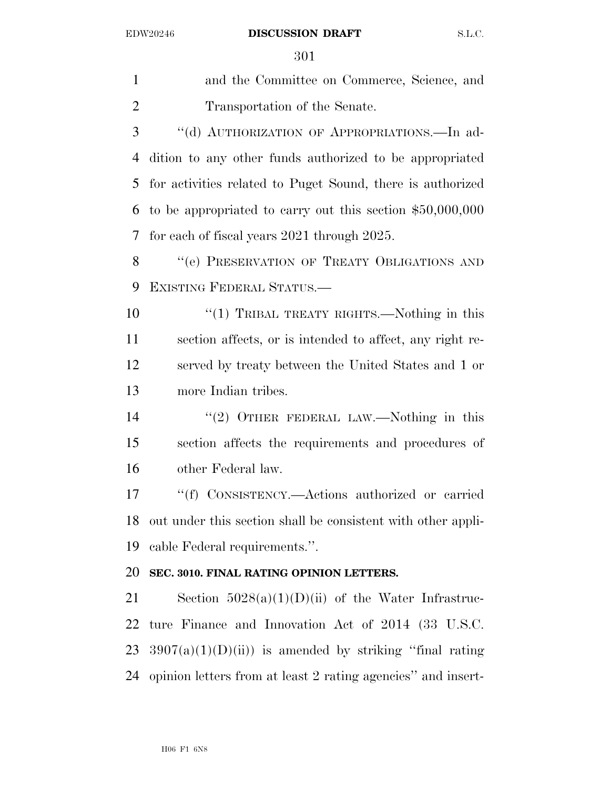and the Committee on Commerce, Science, and Transportation of the Senate. ''(d) AUTHORIZATION OF APPROPRIATIONS.—In ad- dition to any other funds authorized to be appropriated for activities related to Puget Sound, there is authorized to be appropriated to carry out this section \$50,000,000 for each of fiscal years 2021 through 2025. 8 "(e) PRESERVATION OF TREATY OBLIGATIONS AND EXISTING FEDERAL STATUS.— 10 ''(1) TRIBAL TREATY RIGHTS.—Nothing in this section affects, or is intended to affect, any right re- served by treaty between the United States and 1 or more Indian tribes. ''(2) OTHER FEDERAL LAW.—Nothing in this section affects the requirements and procedures of other Federal law. ''(f) CONSISTENCY.—Actions authorized or carried out under this section shall be consistent with other appli- cable Federal requirements.''. **SEC. 3010. FINAL RATING OPINION LETTERS.**  21 Section  $5028(a)(1)(D)(ii)$  of the Water Infrastruc- ture Finance and Innovation Act of 2014 (33 U.S.C.  $3907(a)(1)(D)(ii)$  is amended by striking "final rating" opinion letters from at least 2 rating agencies'' and insert-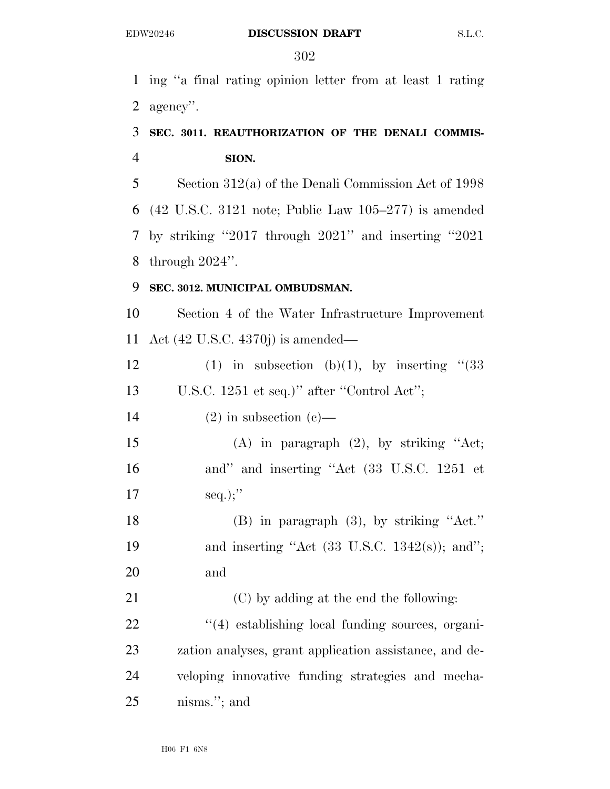ing ''a final rating opinion letter from at least 1 rating agency''.

 **SEC. 3011. REAUTHORIZATION OF THE DENALI COMMIS-SION.** 

 Section 312(a) of the Denali Commission Act of 1998 (42 U.S.C. 3121 note; Public Law 105–277) is amended by striking ''2017 through 2021'' and inserting ''2021 through 2024''.

# **SEC. 3012. MUNICIPAL OMBUDSMAN.**

 Section 4 of the Water Infrastructure Improvement Act (42 U.S.C. 4370j) is amended—

12 (1) in subsection (b)(1), by inserting  $(33)$ U.S.C. 1251 et seq.)'' after ''Control Act'';

14 (2) in subsection (c)—

 (A) in paragraph (2), by striking ''Act; and'' and inserting ''Act (33 U.S.C. 1251 et 17  $seq.$ ;"

 (B) in paragraph (3), by striking ''Act.'' and inserting ''Act (33 U.S.C. 1342(s)); and''; and

 (C) by adding at the end the following:  $\frac{4}{4}$  establishing local funding sources, organi- zation analyses, grant application assistance, and de- veloping innovative funding strategies and mecha-nisms.''; and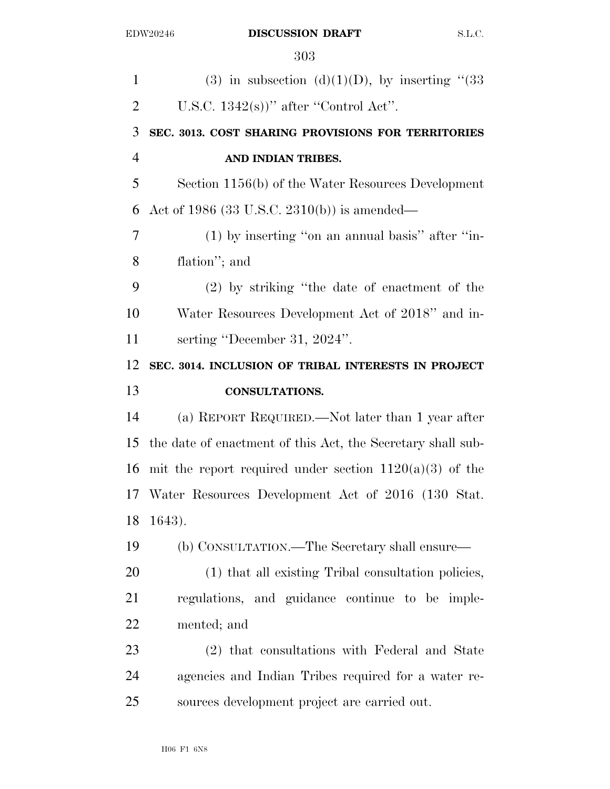| 1              | (3) in subsection (d)(1)(D), by inserting " $(33)$          |
|----------------|-------------------------------------------------------------|
| $\overline{2}$ | U.S.C. $1342(s)$ " after "Control Act".                     |
| 3              | SEC. 3013. COST SHARING PROVISIONS FOR TERRITORIES          |
| $\overline{4}$ | AND INDIAN TRIBES.                                          |
| 5              | Section 1156(b) of the Water Resources Development          |
| 6              | Act of 1986 (33 U.S.C. 2310(b)) is amended—                 |
| 7              | $(1)$ by inserting "on an annual basis" after "in-          |
| 8              | flation"; and                                               |
| 9              | $(2)$ by striking "the date of enactment of the             |
| 10             | Water Resources Development Act of 2018" and in-            |
| 11             | serting "December 31, 2024".                                |
| 12             | SEC. 3014. INCLUSION OF TRIBAL INTERESTS IN PROJECT         |
| 13             | <b>CONSULTATIONS.</b>                                       |
| 14             | (a) REPORT REQUIRED.—Not later than 1 year after            |
| 15             | the date of enactment of this Act, the Secretary shall sub- |
| 16             | mit the report required under section $1120(a)(3)$ of the   |
|                | 17 Water Resources Development Act of 2016 (130 Stat.       |
| 18             | 1643).                                                      |
| 19             | (b) CONSULTATION.—The Secretary shall ensure—               |
| 20             |                                                             |
|                | (1) that all existing Tribal consultation policies,         |
| 21             | regulations, and guidance continue to be imple-             |
| 22             | mented; and                                                 |
| 23             | (2) that consultations with Federal and State               |
| 24             | agencies and Indian Tribes required for a water re-         |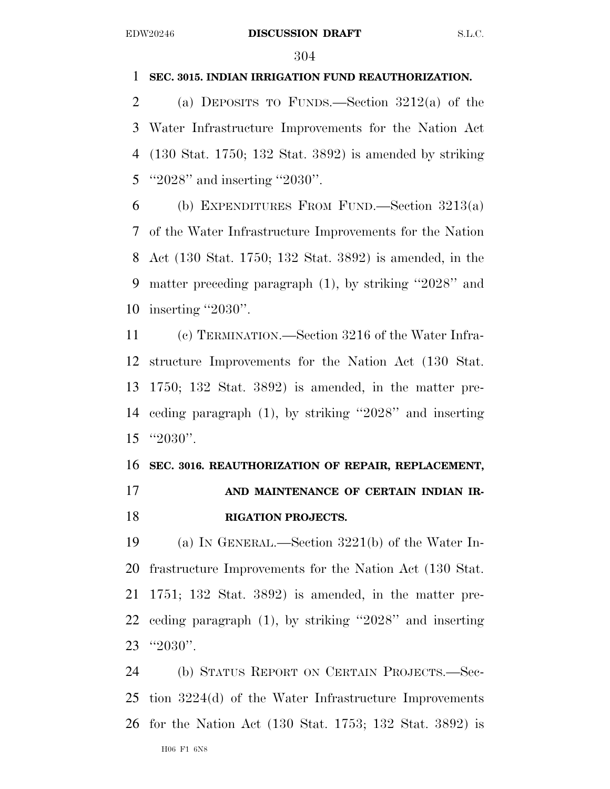### **SEC. 3015. INDIAN IRRIGATION FUND REAUTHORIZATION.**

 (a) DEPOSITS TO FUNDS.—Section 3212(a) of the Water Infrastructure Improvements for the Nation Act (130 Stat. 1750; 132 Stat. 3892) is amended by striking ''2028'' and inserting ''2030''.

 (b) EXPENDITURES FROM FUND.—Section 3213(a) of the Water Infrastructure Improvements for the Nation Act (130 Stat. 1750; 132 Stat. 3892) is amended, in the matter preceding paragraph (1), by striking ''2028'' and inserting ''2030''.

 (c) TERMINATION.—Section 3216 of the Water Infra- structure Improvements for the Nation Act (130 Stat. 1750; 132 Stat. 3892) is amended, in the matter pre- ceding paragraph (1), by striking ''2028'' and inserting ''2030''.

# **SEC. 3016. REAUTHORIZATION OF REPAIR, REPLACEMENT,**

 **AND MAINTENANCE OF CERTAIN INDIAN IR-RIGATION PROJECTS.** 

 (a) IN GENERAL.—Section 3221(b) of the Water In- frastructure Improvements for the Nation Act (130 Stat. 1751; 132 Stat. 3892) is amended, in the matter pre- ceding paragraph (1), by striking ''2028'' and inserting ''2030''.

H06 F1 6N8 (b) STATUS REPORT ON CERTAIN PROJECTS.—Sec- tion 3224(d) of the Water Infrastructure Improvements for the Nation Act (130 Stat. 1753; 132 Stat. 3892) is